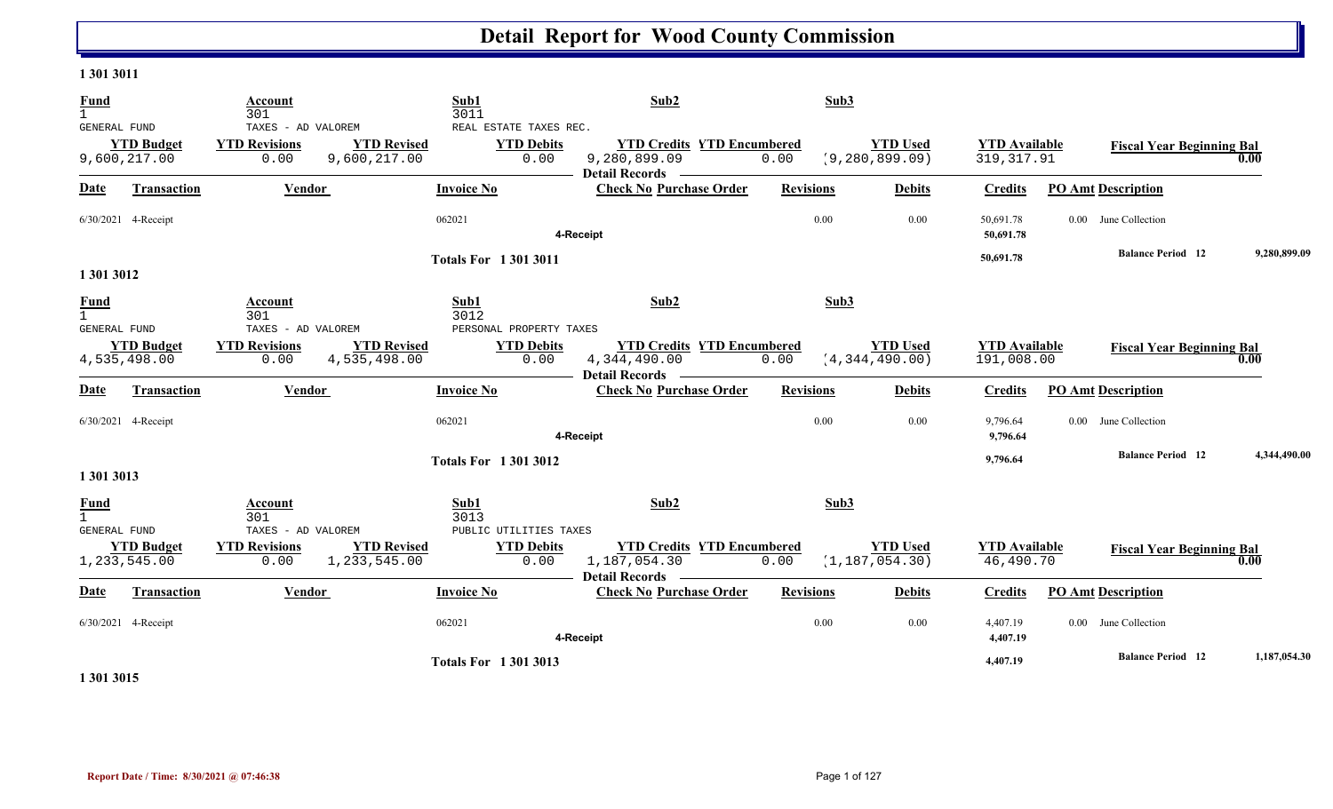#### **1 301 3011**

| <b>Fund</b><br>$\mathbf{1}$                        |                                   | Account<br>301                                     |                                    | Sub1<br>3011                                        | Sub2                                                                                                                                                                                                                                                                                                                                                                                                                                                                                                                                                     | Sub3             |                                     |                                     |                                  |              |
|----------------------------------------------------|-----------------------------------|----------------------------------------------------|------------------------------------|-----------------------------------------------------|----------------------------------------------------------------------------------------------------------------------------------------------------------------------------------------------------------------------------------------------------------------------------------------------------------------------------------------------------------------------------------------------------------------------------------------------------------------------------------------------------------------------------------------------------------|------------------|-------------------------------------|-------------------------------------|----------------------------------|--------------|
| <b>GENERAL FUND</b>                                | <b>YTD Budget</b><br>9,600,217.00 | TAXES - AD VALOREM<br><b>YTD Revisions</b><br>0.00 | <b>YTD Revised</b><br>9,600,217.00 | REAL ESTATE TAXES REC.<br><b>YTD Debits</b><br>0.00 | <b>YTD Credits YTD Encumbered</b><br>9,280,899.09<br><b>Detail Records</b><br>$\frac{1}{2} \left( \frac{1}{2} \right) \left( \frac{1}{2} \right) \left( \frac{1}{2} \right) \left( \frac{1}{2} \right) \left( \frac{1}{2} \right) \left( \frac{1}{2} \right) \left( \frac{1}{2} \right) \left( \frac{1}{2} \right) \left( \frac{1}{2} \right) \left( \frac{1}{2} \right) \left( \frac{1}{2} \right) \left( \frac{1}{2} \right) \left( \frac{1}{2} \right) \left( \frac{1}{2} \right) \left( \frac{1}{2} \right) \left( \frac{1}{2} \right) \left( \frac$ | 0.00             | <b>YTD Used</b><br>(9, 280, 899.09) | <b>YTD Available</b><br>319, 317.91 | <b>Fiscal Year Beginning Bal</b> | 0.00         |
| <b>Date</b>                                        | <b>Transaction</b>                | Vendor                                             |                                    | <b>Invoice No</b>                                   | <b>Check No Purchase Order</b>                                                                                                                                                                                                                                                                                                                                                                                                                                                                                                                           | <b>Revisions</b> | <b>Debits</b>                       | <b>Credits</b>                      | <b>PO Amt Description</b>        |              |
|                                                    | 6/30/2021 4-Receipt               |                                                    |                                    | 062021                                              | 4-Receipt                                                                                                                                                                                                                                                                                                                                                                                                                                                                                                                                                | 0.00             | 0.00                                | 50,691.78<br>50,691.78              | 0.00 June Collection             |              |
| 1 301 3012                                         |                                   |                                                    |                                    | <b>Totals For 13013011</b>                          |                                                                                                                                                                                                                                                                                                                                                                                                                                                                                                                                                          |                  |                                     | 50,691.78                           | <b>Balance Period</b> 12         | 9.280.899.09 |
| <b>Fund</b><br>$\mathbf{1}$<br><b>GENERAL FUND</b> |                                   | Account<br>301<br>TAXES - AD VALOREM               |                                    | Sub1<br>3012<br>PERSONAL PROPERTY TAXES             | Sub <sub>2</sub>                                                                                                                                                                                                                                                                                                                                                                                                                                                                                                                                         | Sub3             |                                     |                                     |                                  |              |
|                                                    | <b>YTD Budget</b><br>4,535,498.00 | <b>YTD Revisions</b><br>0.00                       | <b>YTD Revised</b><br>4,535,498.00 | <b>YTD Debits</b><br>0.00                           | <b>YTD Credits YTD Encumbered</b><br>4,344,490.00<br>Detail Records ––––––––                                                                                                                                                                                                                                                                                                                                                                                                                                                                             | 0.00             | <b>YTD Used</b><br>(4, 344, 490.00) | <b>YTD Available</b><br>191,008.00  | <b>Fiscal Year Beginning Bal</b> | 0.00         |
| <b>Date</b>                                        | Transaction                       | <b>Vendor</b>                                      |                                    | <b>Invoice No</b>                                   | <b>Check No Purchase Order</b>                                                                                                                                                                                                                                                                                                                                                                                                                                                                                                                           | <b>Revisions</b> | <b>Debits</b>                       | <b>Credits</b>                      | <b>PO Amt Description</b>        |              |
|                                                    | 6/30/2021 4-Receipt               |                                                    |                                    | 062021                                              | 4-Receipt                                                                                                                                                                                                                                                                                                                                                                                                                                                                                                                                                | 0.00             | 0.00                                | 9,796.64<br>9,796.64                | 0.00 June Collection             |              |
| 1 301 3013                                         |                                   |                                                    |                                    | <b>Totals For 13013012</b>                          |                                                                                                                                                                                                                                                                                                                                                                                                                                                                                                                                                          |                  |                                     | 9,796.64                            | <b>Balance Period 12</b>         | 4,344,490.00 |
| <b>Fund</b><br>$\mathbf{1}$<br><b>GENERAL FUND</b> |                                   | Account<br>301<br>TAXES - AD VALOREM               |                                    | Sub1<br>3013<br>PUBLIC UTILITIES TAXES              | Sub2                                                                                                                                                                                                                                                                                                                                                                                                                                                                                                                                                     | Sub3             |                                     |                                     |                                  |              |
|                                                    | <b>YTD Budget</b><br>1,233,545.00 | <b>YTD Revisions</b><br>0.00                       | <b>YTD Revised</b><br>1,233,545.00 | <b>YTD Debits</b><br>0.00                           | <b>YTD Credits YTD Encumbered</b><br>1,187,054.30<br>Detail Records -                                                                                                                                                                                                                                                                                                                                                                                                                                                                                    | 0.00             | <b>YTD</b> Used<br>(1, 187, 054.30) | <b>YTD Available</b><br>46,490.70   | <b>Fiscal Year Beginning Bal</b> | 0.00         |
| <b>Date</b>                                        | Transaction                       | Vendor                                             |                                    | <b>Invoice No</b>                                   | <b>Check No Purchase Order</b>                                                                                                                                                                                                                                                                                                                                                                                                                                                                                                                           | <b>Revisions</b> | <b>Debits</b>                       | <b>Credits</b>                      | <b>PO Amt Description</b>        |              |
|                                                    | 6/30/2021 4-Receipt               |                                                    |                                    | 062021                                              | 4-Receipt                                                                                                                                                                                                                                                                                                                                                                                                                                                                                                                                                | 0.00             | 0.00                                | 4,407.19<br>4,407.19                | 0.00 June Collection             |              |
|                                                    |                                   |                                                    |                                    | <b>Totals For 13013013</b>                          |                                                                                                                                                                                                                                                                                                                                                                                                                                                                                                                                                          |                  |                                     | 4,407.19                            | <b>Balance Period 12</b>         | 1,187,054.30 |

**1 301 3015**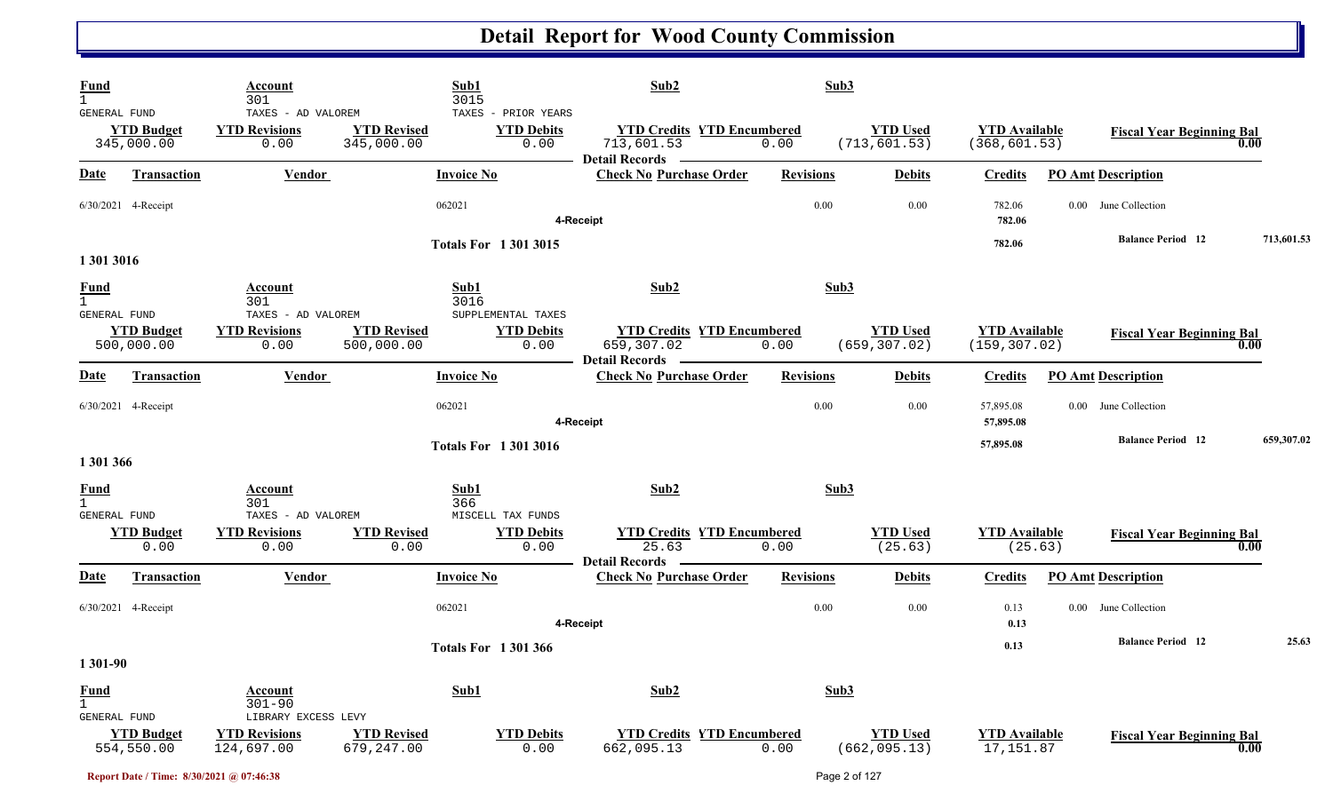| Fund<br>$\mathbf{1}$<br>GENERAL FUND |                                 | Account<br>301<br>TAXES - AD VALOREM                      | Sub1<br>3015                     | TAXES - PRIOR YEARS                             | Sub2                                                                    | Sub3             |                                  |                                       |                                  |            |
|--------------------------------------|---------------------------------|-----------------------------------------------------------|----------------------------------|-------------------------------------------------|-------------------------------------------------------------------------|------------------|----------------------------------|---------------------------------------|----------------------------------|------------|
|                                      | <b>YTD Budget</b><br>345,000.00 | <b>YTD Revisions</b><br>0.00                              | <b>YTD Revised</b><br>345,000.00 | <b>YTD Debits</b><br>0.00                       | <b>YTD Credits YTD Encumbered</b><br>713,601.53<br>Detail Records ————— | 0.00             | <b>YTD Used</b><br>(713, 601.53) | <b>YTD Available</b><br>(368, 601.53) | <b>Fiscal Year Beginning Bal</b> | 0.00       |
| Date                                 | <b>Transaction</b>              | Vendor                                                    | <b>Invoice No</b>                |                                                 | <b>Check No Purchase Order</b>                                          | <b>Revisions</b> | <b>Debits</b>                    | <b>Credits</b>                        | <b>PO Amt Description</b>        |            |
|                                      | 6/30/2021 4-Receipt             |                                                           | 062021                           |                                                 | 4-Receipt                                                               | 0.00             | 0.00                             | 782.06<br>782.06                      | 0.00 June Collection             |            |
| 1 301 3016                           |                                 |                                                           |                                  | <b>Totals For 13013015</b>                      |                                                                         |                  |                                  | 782.06                                | <b>Balance Period</b> 12         | 713,601.53 |
| <b>Fund</b><br>$\mathbf{1}$          |                                 | Account<br>301                                            | Sub1<br>3016                     |                                                 | Sub2                                                                    | Sub3             |                                  |                                       |                                  |            |
| GENERAL FUND                         | <b>YTD Budget</b><br>500,000.00 | TAXES - AD VALOREM<br><b>YTD Revisions</b><br>0.00        | <b>YTD Revised</b><br>500,000.00 | SUPPLEMENTAL TAXES<br><b>YTD Debits</b><br>0.00 | <b>YTD Credits YTD Encumbered</b><br>659,307.02                         | 0.00             | <b>YTD</b> Used<br>(659, 307.02) | <b>YTD Available</b><br>(159, 307.02) | <b>Fiscal Year Beginning Bal</b> | 0.00       |
| <b>Date</b>                          | <b>Transaction</b>              | <b>Vendor</b>                                             | <b>Invoice No</b>                |                                                 | <b>Detail Records</b><br><b>Check No Purchase Order</b>                 | <b>Revisions</b> | <b>Debits</b>                    | <b>Credits</b>                        | <b>PO Amt Description</b>        |            |
|                                      | 6/30/2021 4-Receipt             |                                                           | 062021                           |                                                 | 4-Receipt                                                               | 0.00             | 0.00                             | 57,895.08<br>57,895.08                | 0.00 June Collection             |            |
| 1 301 366                            |                                 |                                                           |                                  | <b>Totals For 13013016</b>                      |                                                                         |                  |                                  | 57,895.08                             | <b>Balance Period</b> 12         | 659,307.02 |
| <b>Fund</b><br>$\overline{1}$        |                                 | <b>Account</b><br>301                                     | Sub1<br>366                      |                                                 | Sub2                                                                    | Sub3             |                                  |                                       |                                  |            |
| GENERAL FUND                         | <b>YTD Budget</b><br>0.00       | TAXES - AD VALOREM<br><b>YTD Revisions</b><br>0.00        | <b>YTD Revised</b><br>0.00       | MISCELL TAX FUNDS<br><b>YTD Debits</b><br>0.00  | <b>YTD Credits YTD Encumbered</b><br>25.63                              | 0.00             | <b>YTD Used</b><br>(25.63)       | <b>YTD Available</b><br>(25.63)       | <b>Fiscal Year Beginning Bal</b> | 0.00       |
| <b>Date</b>                          | <b>Transaction</b>              | <b>Vendor</b>                                             | <b>Invoice No</b>                |                                                 | <b>Detail Records</b><br><b>Check No Purchase Order</b>                 | <b>Revisions</b> | <b>Debits</b>                    | <b>Credits</b>                        | <b>PO Amt Description</b>        |            |
|                                      | 6/30/2021 4-Receipt             |                                                           | 062021                           |                                                 | 4-Receipt                                                               | $0.00\,$         | $0.00\,$                         | 0.13<br>0.13                          | 0.00 June Collection             |            |
| 1 301-90                             |                                 |                                                           |                                  | <b>Totals For 1301366</b>                       |                                                                         |                  |                                  | 0.13                                  | <b>Balance Period 12</b>         | 25.63      |
| <b>Fund</b><br>$\mathbf{1}$          |                                 | <b>Account</b><br>$301 - 90$                              | Sub1                             |                                                 | Sub2                                                                    | Sub3             |                                  |                                       |                                  |            |
| GENERAL FUND                         | <b>YTD Budget</b><br>554,550.00 | LIBRARY EXCESS LEVY<br><b>YTD Revisions</b><br>124,697.00 | <b>YTD Revised</b><br>679,247.00 | <b>YTD Debits</b><br>0.00                       | <b>YTD Credits YTD Encumbered</b><br>662,095.13                         | 0.00             | <b>YTD Used</b><br>(662, 095.13) | <b>YTD</b> Available<br>17,151.87     | <b>Fiscal Year Beginning Bal</b> | 0.00       |

**Report Date / Time: 8/30/2021 @ 07:46:38** Page 2 of 127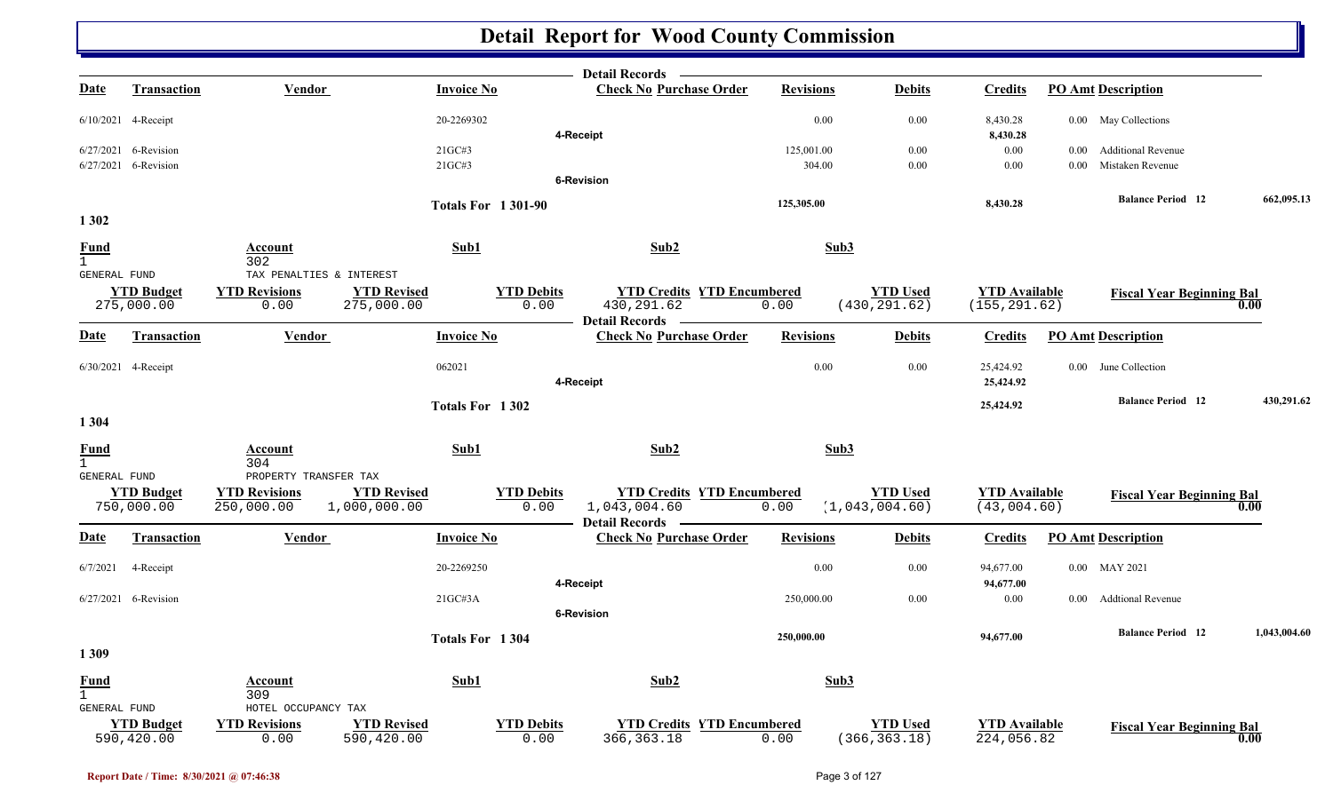|                                                    |                                 |                                                             |                                    |                           | <b>Detail Records</b>                                                  |                  |                                   |                                       |          |                                  |              |
|----------------------------------------------------|---------------------------------|-------------------------------------------------------------|------------------------------------|---------------------------|------------------------------------------------------------------------|------------------|-----------------------------------|---------------------------------------|----------|----------------------------------|--------------|
| <b>Date</b>                                        | <b>Transaction</b>              | <b>Vendor</b>                                               |                                    | <b>Invoice No</b>         | <b>Check No Purchase Order</b>                                         | <b>Revisions</b> | <b>Debits</b>                     | <b>Credits</b>                        |          | <b>PO Amt Description</b>        |              |
|                                                    | 6/10/2021 4-Receipt             |                                                             |                                    | 20-2269302                | 4-Receipt                                                              | 0.00             | 0.00                              | 8,430.28<br>8,430.28                  |          | 0.00 May Collections             |              |
|                                                    | 6/27/2021 6-Revision            |                                                             |                                    | 21GC#3                    |                                                                        | 125,001.00       | $0.00\,$                          | 0.00                                  | $0.00\,$ | <b>Additional Revenue</b>        |              |
|                                                    | 6/27/2021 6-Revision            |                                                             |                                    | 21GC#3                    |                                                                        | 304.00           | 0.00                              | 0.00                                  | 0.00     | Mistaken Revenue                 |              |
|                                                    |                                 |                                                             |                                    |                           | 6-Revision                                                             |                  |                                   |                                       |          |                                  |              |
|                                                    |                                 |                                                             |                                    | <b>Totals For 1301-90</b> |                                                                        | 125,305.00       |                                   | 8,430.28                              |          | <b>Balance Period</b> 12         | 662,095.13   |
| 1 3 0 2                                            |                                 |                                                             |                                    |                           |                                                                        |                  |                                   |                                       |          |                                  |              |
| <b>Fund</b><br>$\mathbf{1}$                        |                                 | Account<br>302                                              |                                    | Sub1                      | Sub2                                                                   | Sub3             |                                   |                                       |          |                                  |              |
| <b>GENERAL FUND</b>                                |                                 | TAX PENALTIES & INTEREST                                    |                                    |                           |                                                                        |                  |                                   |                                       |          |                                  |              |
|                                                    | <b>YTD Budget</b><br>275,000.00 | <b>YTD Revisions</b><br>0.00                                | <b>YTD Revised</b><br>275,000.00   | <b>YTD Debits</b><br>0.00 | <b>YTD Credits YTD Encumbered</b><br>430, 291.62<br>- Detail Records - | 0.00             | <b>YTD Used</b><br>(430, 291.62)  | <b>YTD Available</b><br>(155, 291.62) |          | <b>Fiscal Year Beginning Bal</b> | 0.00         |
| <u>Date</u>                                        | <b>Transaction</b>              | Vendor                                                      |                                    | <b>Invoice No</b>         | <b>Check No Purchase Order</b>                                         | <b>Revisions</b> | <b>Debits</b>                     | <b>Credits</b>                        |          | <b>PO Amt Description</b>        |              |
|                                                    | 6/30/2021 4-Receipt             |                                                             |                                    | 062021                    | 4-Receipt                                                              | 0.00             | $0.00\,$                          | 25,424.92<br>25,424.92                |          | 0.00 June Collection             |              |
|                                                    |                                 |                                                             |                                    | Totals For 1302           |                                                                        |                  |                                   | 25,424.92                             |          | <b>Balance Period 12</b>         | 430,291.62   |
| 1 3 0 4<br><b>Fund</b><br>$\mathbf{1}$             |                                 | <u>Account</u><br>304                                       |                                    | Sub1                      | Sub2                                                                   | Sub3             |                                   |                                       |          |                                  |              |
| GENERAL FUND                                       | <b>YTD Budget</b><br>750,000.00 | PROPERTY TRANSFER TAX<br><b>YTD Revisions</b><br>250,000.00 | <b>YTD Revised</b><br>1,000,000.00 | <b>YTD Debits</b><br>0.00 | <b>YTD Credits YTD Encumbered</b><br>1,043,004.60<br>Detail Records —  | 0.00             | <b>YTD Used</b><br>(1,043,004.60) | <b>YTD</b> Available<br>(43,004.60)   |          | <b>Fiscal Year Beginning Bal</b> | 0.00         |
| <u>Date</u>                                        | Transaction                     | <b>Vendor</b>                                               |                                    | <b>Invoice No</b>         | <b>Check No Purchase Order</b>                                         | <b>Revisions</b> | <b>Debits</b>                     | <b>Credits</b>                        |          | <b>PO Amt Description</b>        |              |
| 6/7/2021                                           | 4-Receipt                       |                                                             |                                    | 20-2269250                | 4-Receipt                                                              | 0.00             | $0.00\,$                          | 94,677.00<br>94,677.00                |          | 0.00 MAY 2021                    |              |
|                                                    | 6/27/2021 6-Revision            |                                                             |                                    | 21GCH3A                   |                                                                        | 250,000.00       | 0.00                              | 0.00                                  | $0.00 -$ | <b>Addtional Revenue</b>         |              |
|                                                    |                                 |                                                             |                                    |                           | <b>6-Revision</b>                                                      |                  |                                   |                                       |          |                                  |              |
| 1309                                               |                                 |                                                             |                                    | Totals For 1304           |                                                                        | 250,000.00       |                                   | 94,677.00                             |          | <b>Balance Period</b> 12         | 1,043,004.60 |
| <b>Fund</b><br>$\mathbf{1}$<br><b>GENERAL FUND</b> |                                 | <u>Account</u><br>309<br>HOTEL OCCUPANCY TAX                |                                    | Sub1                      | Sub2                                                                   | Sub3             |                                   |                                       |          |                                  |              |
|                                                    | <b>YTD Budget</b><br>590,420.00 | <b>YTD Revisions</b><br>0.00                                | <b>YTD Revised</b><br>590,420.00   | <b>YTD Debits</b>         | <b>YTD Credits YTD Encumbered</b><br>366, 363.18<br>0.00               | 0.00             | <b>YTD Used</b><br>(366, 363.18)  | <b>YTD Available</b><br>224,056.82    |          | <b>Fiscal Year Beginning Bal</b> | 0.00         |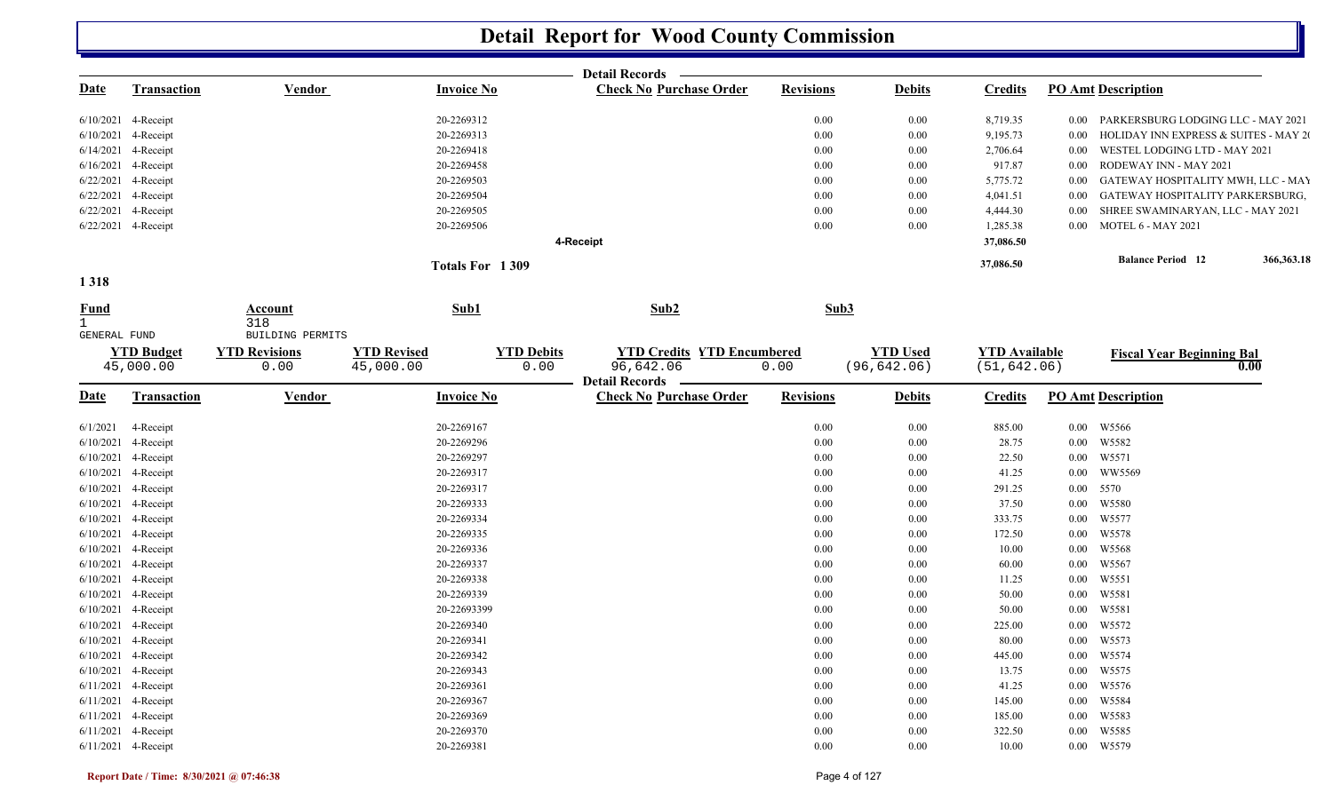|                               |                                |                              |                                 | <b>Detail Records</b>                                                       |                  |                                 |                                      |          |                                       |            |
|-------------------------------|--------------------------------|------------------------------|---------------------------------|-----------------------------------------------------------------------------|------------------|---------------------------------|--------------------------------------|----------|---------------------------------------|------------|
| <u>Date</u>                   | <b>Transaction</b>             | Vendor                       | <b>Invoice No</b>               | <b>Check No Purchase Order</b>                                              | <b>Revisions</b> | <b>Debits</b>                   | <b>Credits</b>                       |          | <b>PO Amt Description</b>             |            |
|                               | 6/10/2021 4-Receipt            |                              | 20-2269312                      |                                                                             | $0.00\,$         | 0.00                            | 8,719.35                             | $0.00\,$ | PARKERSBURG LODGING LLC - MAY 2021    |            |
|                               | 6/10/2021 4-Receipt            |                              | 20-2269313                      |                                                                             | 0.00             | $0.00\,$                        | 9,195.73                             | $0.00\,$ | HOLIDAY INN EXPRESS & SUITES - MAY 20 |            |
|                               | 6/14/2021 4-Receipt            |                              | 20-2269418                      |                                                                             | $0.00\,$         | $0.00\,$                        | 2,706.64                             | $0.00\,$ | WESTEL LODGING LTD - MAY 2021         |            |
|                               | 6/16/2021 4-Receipt            |                              | 20-2269458                      |                                                                             | 0.00             | 0.00                            | 917.87                               | $0.00\,$ | RODEWAY INN - MAY 2021                |            |
|                               | 6/22/2021 4-Receipt            |                              | 20-2269503                      |                                                                             | 0.00             | 0.00                            | 5,775.72                             | $0.00\,$ | GATEWAY HOSPITALITY MWH, LLC - MAY    |            |
|                               | 6/22/2021 4-Receipt            |                              | 20-2269504                      |                                                                             | 0.00             | 0.00                            | 4,041.51                             | $0.00\,$ | GATEWAY HOSPITALITY PARKERSBURG,      |            |
|                               | 6/22/2021 4-Receipt            |                              | 20-2269505                      |                                                                             | 0.00             | 0.00                            | 4,444.30                             | $0.00\,$ | SHREE SWAMINARYAN, LLC - MAY 2021     |            |
|                               | 6/22/2021 4-Receipt            |                              | 20-2269506                      |                                                                             | 0.00             | 0.00                            | 1,285.38                             |          | 0.00 MOTEL 6 - MAY 2021               |            |
|                               |                                |                              |                                 | 4-Receipt                                                                   |                  |                                 | 37,086.50                            |          |                                       |            |
|                               |                                |                              | Totals For 1309                 |                                                                             |                  |                                 | 37,086.50                            |          | <b>Balance Period</b> 12              | 366,363.18 |
| 1318                          |                                |                              |                                 |                                                                             |                  |                                 |                                      |          |                                       |            |
| <b>Fund</b><br>$\overline{1}$ |                                | Account<br>318               | Sub1                            | Sub2                                                                        | Sub3             |                                 |                                      |          |                                       |            |
| GENERAL FUND                  |                                | BUILDING PERMITS             |                                 |                                                                             |                  |                                 |                                      |          |                                       |            |
|                               | <b>YTD Budget</b><br>45,000.00 | <b>YTD Revisions</b><br>0.00 | <b>YTD Revised</b><br>45,000.00 | <b>YTD Debits</b><br><b>YTD Credits YTD Encumbered</b><br>0.00<br>96,642.06 | 0.00             | <b>YTD Used</b><br>(96, 642.06) | <b>YTD Available</b><br>(51, 642.06) |          | <b>Fiscal Year Beginning Bal</b>      | 0.00       |
| <u>Date</u>                   | <b>Transaction</b>             | Vendor                       | <b>Invoice No</b>               | <b>Detail Records</b><br><b>Check No Purchase Order</b>                     | <b>Revisions</b> | <b>Debits</b>                   | <b>Credits</b>                       |          | <b>PO Amt Description</b>             |            |
| 6/1/2021                      | 4-Receipt                      |                              | 20-2269167                      |                                                                             | $0.00\,$         | $0.00\,$                        | 885.00                               |          | 0.00 W5566                            |            |
|                               | 6/10/2021 4-Receipt            |                              | 20-2269296                      |                                                                             | $0.00\,$         | 0.00                            | 28.75                                | $0.00\,$ | W5582                                 |            |
|                               | 6/10/2021 4-Receipt            |                              | 20-2269297                      |                                                                             | 0.00             | $0.00\,$                        | 22.50                                |          | 0.00 W5571                            |            |
|                               | 6/10/2021 4-Receipt            |                              | 20-2269317                      |                                                                             | 0.00             | $0.00\,$                        | 41.25                                | $0.00\,$ | WW5569                                |            |
|                               | $6/10/2021$ 4-Receipt          |                              | 20-2269317                      |                                                                             | 0.00             | $0.00\,$                        | 291.25                               | $0.00\,$ | 5570                                  |            |
|                               | 6/10/2021 4-Receipt            |                              | 20-2269333                      |                                                                             | 0.00             | 0.00                            | 37.50                                | $0.00\,$ | W5580                                 |            |
|                               | 6/10/2021 4-Receipt            |                              | 20-2269334                      |                                                                             | $0.00\,$         | 0.00                            | 333.75                               | $0.00\,$ | W5577                                 |            |
|                               | 6/10/2021 4-Receipt            |                              | 20-2269335                      |                                                                             | 0.00             | 0.00                            | 172.50                               | $0.00\,$ | W5578                                 |            |
|                               | 6/10/2021 4-Receipt            |                              | 20-2269336                      |                                                                             | 0.00             | $0.00\,$                        | 10.00                                | $0.00\,$ | W5568                                 |            |
|                               | 6/10/2021 4-Receipt            |                              | 20-2269337                      |                                                                             | $0.00\,$         | 0.00                            | 60.00                                | $0.00\,$ | W5567                                 |            |
|                               | 6/10/2021 4-Receipt            |                              | 20-2269338                      |                                                                             | $0.00\,$         | 0.00                            | 11.25                                | $0.00\,$ | W5551                                 |            |
|                               | 6/10/2021 4-Receipt            |                              | 20-2269339                      |                                                                             | 0.00             | 0.00                            | 50.00                                | $0.00\,$ | W5581                                 |            |
|                               | 6/10/2021 4-Receipt            |                              | 20-22693399                     |                                                                             | 0.00             | 0.00                            | 50.00                                | $0.00\,$ | W5581                                 |            |
|                               | 6/10/2021 4-Receipt            |                              | 20-2269340                      |                                                                             | $0.00\,$         | 0.00                            | 225.00                               | $0.00\,$ | W5572                                 |            |
|                               | 6/10/2021 4-Receipt            |                              | 20-2269341                      |                                                                             | 0.00             | 0.00                            | 80.00                                | $0.00\,$ | W5573                                 |            |
|                               | $6/10/2021$ 4-Receipt          |                              | 20-2269342                      |                                                                             | 0.00             | $0.00\,$                        | 445.00                               | $0.00\,$ | W5574                                 |            |
|                               | 6/10/2021 4-Receipt            |                              | 20-2269343                      |                                                                             | 0.00             | $0.00\,$                        | 13.75                                | $0.00\,$ | W5575                                 |            |
|                               | 6/11/2021 4-Receipt            |                              | 20-2269361                      |                                                                             | 0.00             | $0.00\,$                        | 41.25                                | $0.00\,$ | W5576                                 |            |
|                               | 6/11/2021 4-Receipt            |                              | 20-2269367                      |                                                                             | 0.00             | $0.00\,$                        | 145.00                               | $0.00\,$ | W5584                                 |            |
|                               | 6/11/2021 4-Receipt            |                              | 20-2269369                      |                                                                             | 0.00             | 0.00                            | 185.00                               | $0.00\,$ | W5583                                 |            |
|                               | 6/11/2021 4-Receipt            |                              | 20-2269370                      |                                                                             | 0.00             | $0.00\,$                        | 322.50                               | $0.00\,$ | W5585                                 |            |
|                               | 6/11/2021 4-Receipt            |                              | 20-2269381                      |                                                                             | 0.00             | 0.00                            | 10.00                                |          | 0.00 W5579                            |            |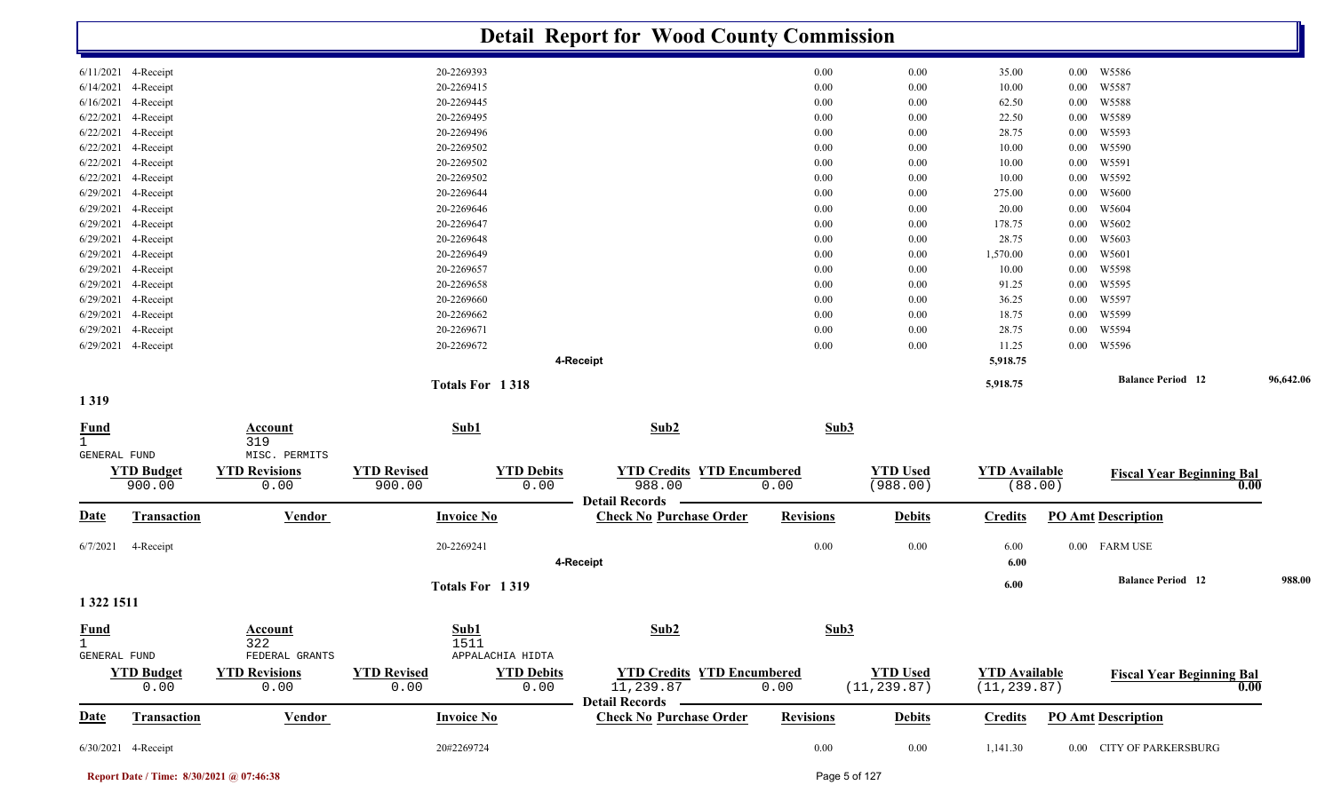|                                             |                                            |                                               |                              |                           | <b>Detail Report for Wood County Commission</b>                    |                  |                                 |                                      |                  |                                  |           |
|---------------------------------------------|--------------------------------------------|-----------------------------------------------|------------------------------|---------------------------|--------------------------------------------------------------------|------------------|---------------------------------|--------------------------------------|------------------|----------------------------------|-----------|
|                                             | 6/11/2021 4-Receipt                        |                                               | 20-2269393                   |                           |                                                                    | 0.00             | 0.00                            | 35.00                                | $0.00\,$         | W5586                            |           |
|                                             | 6/14/2021 4-Receipt                        |                                               | 20-2269415                   |                           |                                                                    | 0.00             | 0.00                            | 10.00                                | $0.00\,$         | W5587                            |           |
|                                             | 6/16/2021 4-Receipt                        |                                               | 20-2269445                   |                           |                                                                    | 0.00             | 0.00                            | 62.50                                | $0.00\,$         | W5588                            |           |
|                                             | 6/22/2021 4-Receipt                        |                                               | 20-2269495                   |                           |                                                                    | 0.00             | 0.00                            | 22.50                                | $0.00\,$         | W5589                            |           |
|                                             | 6/22/2021 4-Receipt                        |                                               | 20-2269496                   |                           |                                                                    | $0.00\,$         | 0.00                            | 28.75                                | $0.00\,$         | W5593                            |           |
|                                             | 6/22/2021 4-Receipt                        |                                               | 20-2269502                   |                           |                                                                    | 0.00             | 0.00                            | 10.00                                | 0.00             | W5590                            |           |
|                                             | 6/22/2021 4-Receipt                        |                                               | 20-2269502                   |                           |                                                                    | 0.00             | 0.00                            | 10.00                                | 0.00             | W5591                            |           |
|                                             | 6/22/2021 4-Receipt                        |                                               | 20-2269502                   |                           |                                                                    | 0.00             | 0.00                            | 10.00                                | 0.00             | W5592                            |           |
| 6/29/2021                                   | 4-Receipt                                  |                                               | 20-2269644                   |                           |                                                                    | 0.00             | 0.00                            | 275.00                               | 0.00             | W5600                            |           |
|                                             | 6/29/2021 4-Receipt                        |                                               | 20-2269646                   |                           |                                                                    | 0.00             | 0.00                            | 20.00                                | 0.00             | W5604                            |           |
|                                             | 6/29/2021 4-Receipt                        |                                               | 20-2269647                   |                           |                                                                    | $0.00\,$         | 0.00                            | 178.75                               | 0.00             | W5602                            |           |
|                                             | 6/29/2021 4-Receipt                        |                                               | 20-2269648                   |                           |                                                                    | 0.00             | 0.00                            | 28.75                                | 0.00             | W5603                            |           |
|                                             | 6/29/2021 4-Receipt                        |                                               | 20-2269649                   |                           |                                                                    | 0.00             | 0.00                            | 1,570.00                             | $0.00\,$         | W5601                            |           |
|                                             | 6/29/2021 4-Receipt                        |                                               | 20-2269657                   |                           |                                                                    | 0.00             | 0.00                            | 10.00                                | $0.00\,$         | W5598                            |           |
|                                             | 6/29/2021 4-Receipt                        |                                               | 20-2269658                   |                           |                                                                    | 0.00             | 0.00                            | 91.25                                | $0.00\,$         | W5595                            |           |
|                                             | 6/29/2021 4-Receipt                        |                                               | 20-2269660                   |                           |                                                                    | 0.00             | 0.00                            | 36.25                                | $0.00\,$         | W5597                            |           |
|                                             | 6/29/2021 4-Receipt                        |                                               | 20-2269662                   |                           |                                                                    | 0.00             | 0.00                            | 18.75                                | $0.00\,$         | W5599                            |           |
|                                             | 6/29/2021 4-Receipt<br>6/29/2021 4-Receipt |                                               | 20-2269671<br>20-2269672     |                           |                                                                    | 0.00<br>0.00     | 0.00<br>0.00                    | 28.75<br>11.25                       | 0.00<br>$0.00\,$ | W5594<br>W5596                   |           |
|                                             |                                            |                                               |                              |                           | 4-Receipt                                                          |                  |                                 | 5,918.75                             |                  |                                  |           |
|                                             |                                            |                                               | Totals For 1318              |                           |                                                                    |                  |                                 | 5,918.75                             |                  | <b>Balance Period</b> 12         | 96,642.06 |
| 1319                                        |                                            |                                               |                              |                           |                                                                    |                  |                                 |                                      |                  |                                  |           |
| <b>Fund</b><br>$\mathbf{1}$                 |                                            | <b>Account</b><br>319                         | Sub1                         |                           | Sub2                                                               | Sub3             |                                 |                                      |                  |                                  |           |
| GENERAL FUND                                | <b>YTD Budget</b><br>900.00                | MISC. PERMITS<br><b>YTD Revisions</b><br>0.00 | <b>YTD Revised</b><br>900.00 | <b>YTD Debits</b><br>0.00 | <b>YTD Credits YTD Encumbered</b><br>988.00                        | 0.00             | <b>YTD Used</b><br>(988.00)     | <b>YTD Available</b><br>(88.00)      |                  | <b>Fiscal Year Beginning Bal</b> | 0.00      |
| <b>Date</b>                                 | Transaction                                | <b>Vendor</b>                                 | <b>Invoice No</b>            |                           | <b>Detail Records</b><br><b>Check No Purchase Order</b>            | <b>Revisions</b> | <b>Debits</b>                   | <b>Credits</b>                       |                  | <b>PO Amt Description</b>        |           |
| 6/7/2021                                    | 4-Receipt                                  |                                               | 20-2269241                   |                           |                                                                    | $0.00\,$         | 0.00                            | 6.00                                 |                  | 0.00 FARM USE                    |           |
|                                             |                                            |                                               |                              |                           | 4-Receipt                                                          |                  |                                 | 6.00                                 |                  |                                  |           |
|                                             |                                            |                                               | Totals For 1319              |                           |                                                                    |                  |                                 | 6.00                                 |                  | <b>Balance Period 12</b>         | 988.00    |
| 1 322 1511                                  |                                            |                                               |                              |                           |                                                                    |                  |                                 |                                      |                  |                                  |           |
| <b>Fund</b><br>$\mathbf{1}$<br>GENERAL FUND |                                            | Account<br>322<br>FEDERAL GRANTS              | Sub1<br>1511                 | APPALACHIA HIDTA          | Sub2                                                               | Sub3             |                                 |                                      |                  |                                  |           |
|                                             | <b>YTD Budget</b><br>0.00                  | <b>YTD Revisions</b><br>0.00                  | <b>YTD Revised</b><br>0.00   | <b>YTD Debits</b><br>0.00 | <b>YTD Credits YTD Encumbered</b><br>11,239.87<br>Detail Records — | 0.00             | <b>YTD Used</b><br>(11, 239.87) | <b>YTD Available</b><br>(11, 239.87) |                  | <b>Fiscal Year Beginning Bal</b> | 0.00      |
| <b>Date</b>                                 | <b>Transaction</b>                         | <b>Vendor</b>                                 | <b>Invoice No</b>            |                           | <b>Check No Purchase Order</b>                                     | <b>Revisions</b> | <b>Debits</b>                   | <b>Credits</b>                       |                  | <b>PO Amt Description</b>        |           |
|                                             | 6/30/2021 4-Receipt                        |                                               | 20#2269724                   |                           |                                                                    | $0.00\,$         | $0.00\,$                        | 1,141.30                             |                  | 0.00 CITY OF PARKERSBURG         |           |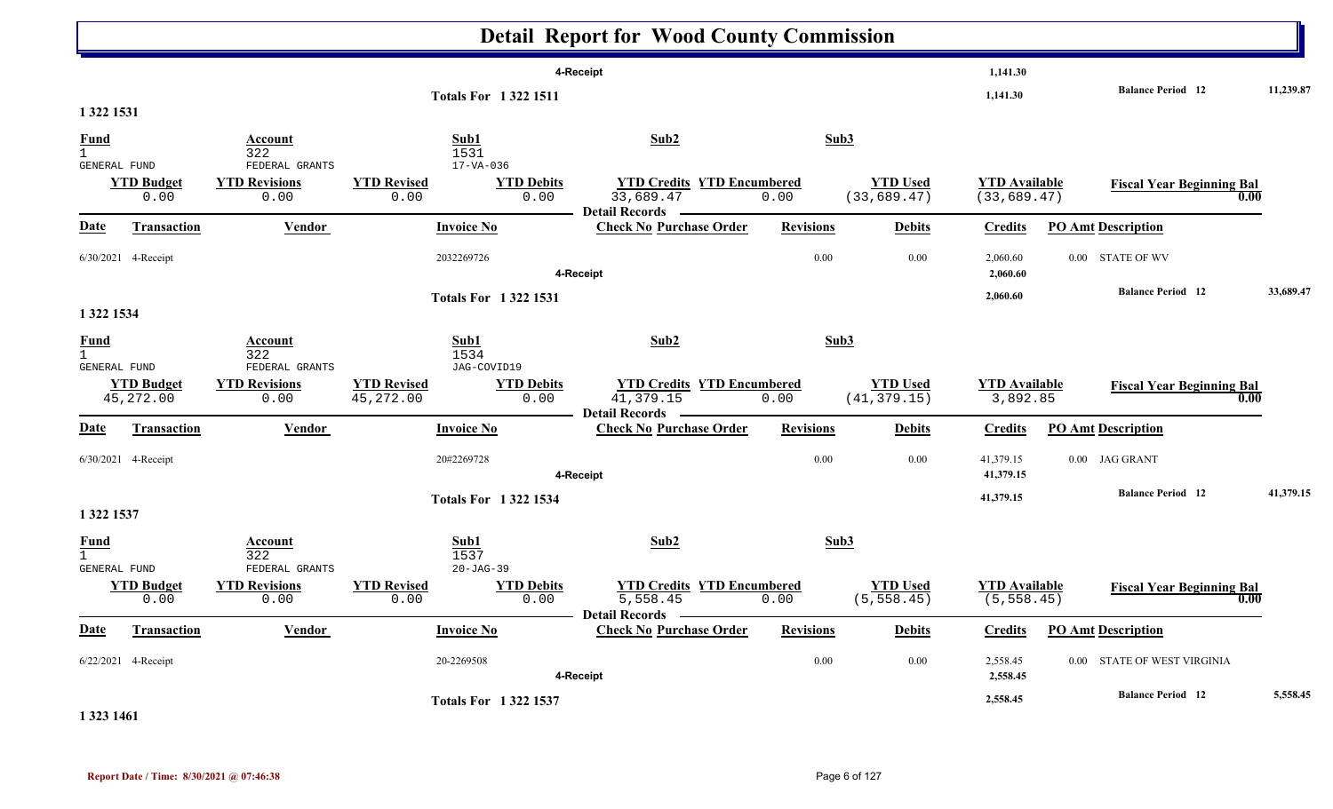|                                         |                                 |                                                |                                                                            | <b>Detail Report for Wood County Commission</b>                         |                  |                                 |                                      |                                          |           |
|-----------------------------------------|---------------------------------|------------------------------------------------|----------------------------------------------------------------------------|-------------------------------------------------------------------------|------------------|---------------------------------|--------------------------------------|------------------------------------------|-----------|
|                                         |                                 |                                                | <b>Totals For 13221511</b>                                                 | 4-Receipt                                                               |                  |                                 | 1,141.30<br>1,141.30                 | <b>Balance Period</b> 12                 | 11,239.87 |
| 1 322 1531                              |                                 |                                                |                                                                            |                                                                         |                  |                                 |                                      |                                          |           |
| <b>Fund</b><br>GENERAL FUND             |                                 | Account<br>322<br>FEDERAL GRANTS               | Sub1<br>1531<br>$17 - VA - 036$                                            | Sub2                                                                    | Sub3             |                                 |                                      |                                          |           |
|                                         | <b>YTD Budget</b><br>0.00       | <b>YTD Revisions</b><br>0.00                   | <b>YTD Revised</b><br><b>YTD Debits</b><br>0.00<br>0.00                    | <b>YTD Credits YTD Encumbered</b><br>33,689.47<br>Detail Records –      | 0.00             | <b>YTD Used</b><br>(33, 689.47) | <b>YTD Available</b><br>(33, 689.47) | <b>Fiscal Year Beginning Bal</b><br>0.00 |           |
| <b>Date</b>                             | <b>Transaction</b>              | <b>Vendor</b>                                  | <b>Invoice No</b>                                                          | <b>Check No Purchase Order</b>                                          | <b>Revisions</b> | <b>Debits</b>                   | <b>Credits</b>                       | <b>PO Amt Description</b>                |           |
|                                         | 6/30/2021 4-Receipt             |                                                | 2032269726                                                                 | 4-Receipt                                                               | 0.00             | 0.00                            | 2,060.60<br>2,060.60                 | 0.00 STATE OF WV                         |           |
|                                         |                                 |                                                | <b>Totals For 13221531</b>                                                 |                                                                         |                  |                                 | 2,060.60                             | <b>Balance Period</b> 12                 | 33,689.47 |
| 1 322 1534                              |                                 |                                                |                                                                            |                                                                         |                  |                                 |                                      |                                          |           |
| $\frac{Fund}{1}$<br><b>GENERAL FUND</b> |                                 | <b>Account</b><br>322<br>FEDERAL GRANTS        | Sub1<br>1534<br>JAG-COVID19                                                | Sub2                                                                    | Sub3             |                                 |                                      |                                          |           |
|                                         | <b>YTD Budget</b><br>45, 272.00 | <b>YTD Revisions</b><br>0.00                   | <b>YTD Revised</b><br><b>YTD Debits</b><br>45, 272.00<br>0.00              | <b>YTD Credits YTD Encumbered</b><br>41,379.15<br><b>Detail Records</b> | 0.00             | <b>YTD Used</b><br>(41, 379.15) | <b>YTD Available</b><br>3,892.85     | <b>Fiscal Year Beginning Bal</b><br>0.00 |           |
| <b>Date</b>                             | Transaction                     | Vendor                                         | <b>Invoice No</b>                                                          | <b>Check No Purchase Order</b>                                          | <b>Revisions</b> | <b>Debits</b>                   | <b>Credits</b>                       | <b>PO Amt Description</b>                |           |
|                                         | 6/30/2021 4-Receipt             |                                                | 20#2269728                                                                 | 4-Receipt                                                               | 0.00             | 0.00                            | 41,379.15<br>41,379.15               | 0.00 JAG GRANT                           |           |
| 1 322 1537                              |                                 |                                                | <b>Totals For 13221534</b>                                                 |                                                                         |                  |                                 | 41,379.15                            | <b>Balance Period 12</b>                 | 41,379.15 |
| $\frac{Fund}{1}$                        |                                 | <b>Account</b><br>322                          | Sub1<br>1537                                                               | Sub2                                                                    | Sub3             |                                 |                                      |                                          |           |
| <b>GENERAL FUND</b>                     | <b>YTD Budget</b><br>0.00       | FEDERAL GRANTS<br><b>YTD Revisions</b><br>0.00 | $20 - JAG - 39$<br><b>YTD Revised</b><br><b>YTD Debits</b><br>0.00<br>0.00 | <b>YTD Credits YTD Encumbered</b><br>5,558.45                           | 0.00             | <b>YTD Used</b><br>(5, 558.45)  | <b>YTD Available</b><br>(5, 558.45)  | <b>Fiscal Year Beginning Bal</b><br>0.00 |           |
| <u>Date</u>                             | <b>Transaction</b>              | Vendor                                         | <b>Invoice No</b>                                                          | Detail Records -<br><b>Check No Purchase Order</b>                      | <b>Revisions</b> | <b>Debits</b>                   | <b>Credits</b>                       | <b>PO Amt Description</b>                |           |
|                                         | 6/22/2021 4-Receipt             |                                                | 20-2269508                                                                 | 4-Receipt                                                               | $0.00\,$         | 0.00                            | 2,558.45<br>2,558.45                 | 0.00 STATE OF WEST VIRGINIA              |           |
|                                         |                                 |                                                | <b>Totals For 13221537</b>                                                 |                                                                         |                  |                                 | 2,558.45                             | <b>Balance Period</b> 12                 | 5,558.45  |

#### **1 323 1461**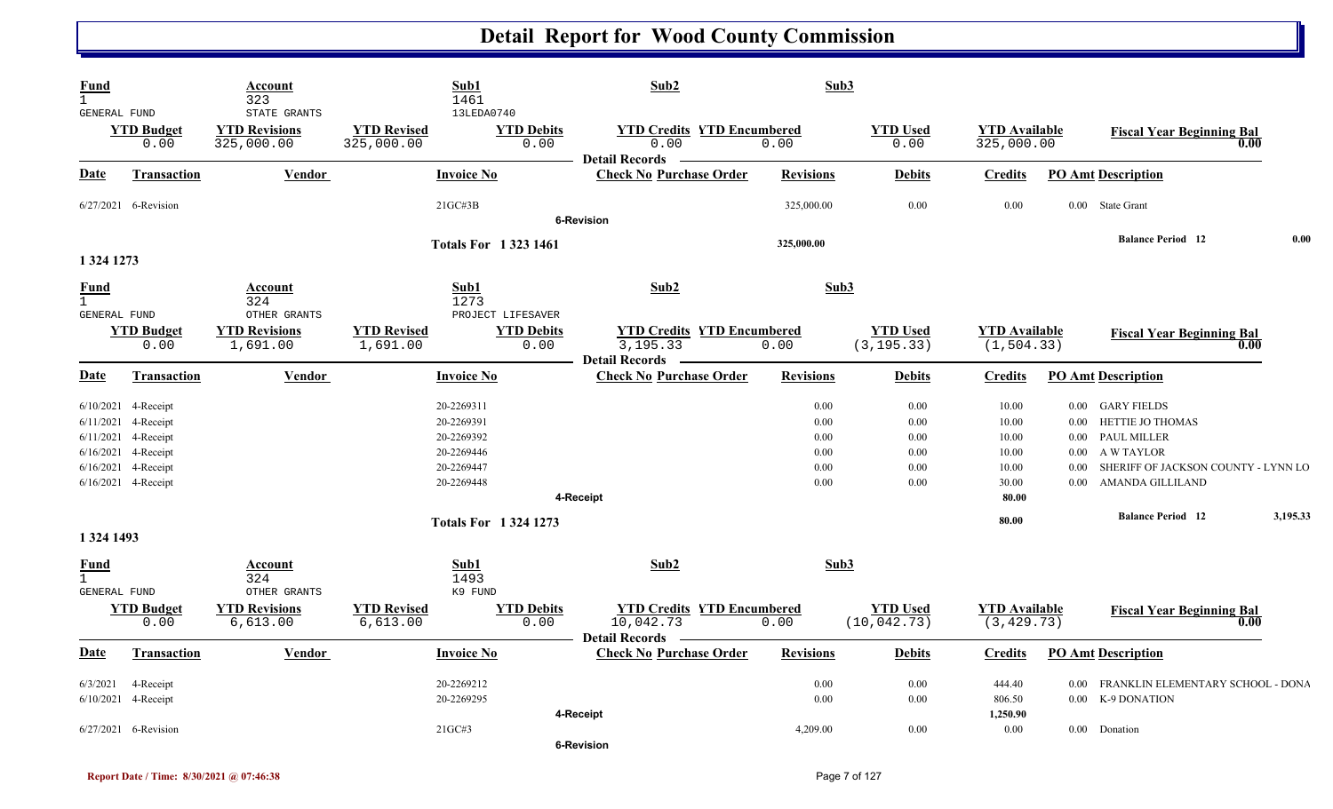| Fund<br>$\mathbf{1}$<br>GENERAL FUND          |                                                                                                                                          | Account<br>323<br>STATE GRANTS        | Sub1<br>1461                                                                     | 13LEDA0740                  | Sub2                                                                    | Sub3                                         |                                              |                                                    |                                  |                                                                                                                                        |          |
|-----------------------------------------------|------------------------------------------------------------------------------------------------------------------------------------------|---------------------------------------|----------------------------------------------------------------------------------|-----------------------------|-------------------------------------------------------------------------|----------------------------------------------|----------------------------------------------|----------------------------------------------------|----------------------------------|----------------------------------------------------------------------------------------------------------------------------------------|----------|
|                                               | <b>YTD Budget</b><br>0.00                                                                                                                | <b>YTD Revisions</b><br>325,000.00    | <b>YTD Revised</b><br>325,000.00                                                 | <b>YTD Debits</b><br>0.00   | <b>YTD Credits YTD Encumbered</b><br>0.00<br><b>Detail Records</b>      | 0.00                                         | <b>YTD Used</b><br>0.00                      | <b>YTD</b> Available<br>325,000.00                 |                                  | <b>Fiscal Year Beginning Bal</b><br>0.00                                                                                               |          |
| <b>Date</b>                                   | <b>Transaction</b>                                                                                                                       | <b>Vendor</b>                         | <b>Invoice No</b>                                                                |                             | <b>Check No Purchase Order</b>                                          | <b>Revisions</b>                             | <b>Debits</b>                                | <b>Credits</b>                                     |                                  | <b>PO Amt Description</b>                                                                                                              |          |
|                                               | 6/27/2021 6-Revision                                                                                                                     |                                       | 21GC#3B                                                                          |                             | <b>6-Revision</b>                                                       | 325,000.00                                   | 0.00                                         | 0.00                                               |                                  | 0.00 State Grant                                                                                                                       |          |
|                                               |                                                                                                                                          |                                       |                                                                                  | <b>Totals For 1323 1461</b> |                                                                         | 325,000.00                                   |                                              |                                                    |                                  | <b>Balance Period</b> 12                                                                                                               | 0.00     |
| 1 324 1273                                    |                                                                                                                                          |                                       |                                                                                  |                             |                                                                         |                                              |                                              |                                                    |                                  |                                                                                                                                        |          |
| Fund<br>$\mathbf{1}$<br><b>GENERAL FUND</b>   |                                                                                                                                          | <b>Account</b><br>324<br>OTHER GRANTS | Sub1<br>1273                                                                     | PROJECT LIFESAVER           | Sub2                                                                    | Sub3                                         |                                              |                                                    |                                  |                                                                                                                                        |          |
|                                               | <b>YTD Budget</b><br>0.00                                                                                                                | <b>YTD Revisions</b><br>1,691.00      | <b>YTD Revised</b><br>1,691.00                                                   | <b>YTD Debits</b><br>0.00   | <b>YTD Credits YTD Encumbered</b><br>3,195.33<br>Detail Records —       | 0.00                                         | <b>YTD Used</b><br>(3, 195.33)               | <b>YTD Available</b><br>(1, 504.33)                |                                  | <b>Fiscal Year Beginning Bal</b><br>0.00                                                                                               |          |
| <u>Date</u>                                   | Transaction                                                                                                                              | <b>Vendor</b>                         | <b>Invoice No</b>                                                                |                             | <b>Check No Purchase Order</b>                                          | <b>Revisions</b>                             | <b>Debits</b>                                | <b>Credits</b>                                     |                                  | <b>PO Amt Description</b>                                                                                                              |          |
|                                               | 6/10/2021 4-Receipt<br>6/11/2021 4-Receipt<br>6/11/2021 4-Receipt<br>6/16/2021 4-Receipt<br>6/16/2021 4-Receipt<br>$6/16/2021$ 4-Receipt |                                       | 20-2269311<br>20-2269391<br>20-2269392<br>20-2269446<br>20-2269447<br>20-2269448 |                             |                                                                         | 0.00<br>0.00<br>0.00<br>0.00<br>0.00<br>0.00 | 0.00<br>0.00<br>0.00<br>0.00<br>0.00<br>0.00 | 10.00<br>10.00<br>10.00<br>10.00<br>10.00<br>30.00 | $0.00\,$<br>$0.00\,$<br>$0.00\,$ | 0.00 GARY FIELDS<br>HETTIE JO THOMAS<br>0.00 PAUL MILLER<br>A W TAYLOR<br>SHERIFF OF JACKSON COUNTY - LYNN LO<br>0.00 AMANDA GILLILAND |          |
|                                               |                                                                                                                                          |                                       |                                                                                  |                             | 4-Receipt                                                               |                                              |                                              | 80.00                                              |                                  | <b>Balance Period</b> 12                                                                                                               | 3,195.33 |
| 1 324 1493                                    |                                                                                                                                          |                                       |                                                                                  | <b>Totals For 13241273</b>  |                                                                         |                                              |                                              | 80.00                                              |                                  |                                                                                                                                        |          |
| Fund<br>$\overline{1}$<br><b>GENERAL FUND</b> |                                                                                                                                          | Account<br>324<br>OTHER GRANTS        | Sub1<br>1493<br>K9 FUND                                                          |                             | Sub2                                                                    | Sub3                                         |                                              |                                                    |                                  |                                                                                                                                        |          |
|                                               | <b>YTD Budget</b><br>0.00                                                                                                                | <b>YTD Revisions</b><br>6,613.00      | <b>YTD Revised</b><br>6,613.00                                                   | <b>YTD Debits</b><br>0.00   | <b>YTD Credits YTD Encumbered</b><br>10,042.73<br><b>Detail Records</b> | 0.00                                         | <b>YTD Used</b><br>(10, 042.73)              | <b>YTD</b> Available<br>(3, 429.73)                |                                  | <b>Fiscal Year Beginning Bal</b><br>0.00                                                                                               |          |
| <b>Date</b>                                   | Transaction                                                                                                                              | Vendor                                | <b>Invoice No</b>                                                                |                             | <b>Check No Purchase Order</b>                                          | <b>Revisions</b>                             | <b>Debits</b>                                | <b>Credits</b>                                     |                                  | <b>PO Amt Description</b>                                                                                                              |          |
| 6/3/2021<br>6/10/2021                         | 4-Receipt<br>4-Receipt                                                                                                                   |                                       | 20-2269212<br>20-2269295                                                         |                             | 4-Receipt                                                               | 0.00<br>0.00                                 | 0.00<br>0.00                                 | 444.40<br>806.50<br>1,250.90                       |                                  | 0.00 FRANKLIN ELEMENTARY SCHOOL - DONA<br>0.00 K-9 DONATION                                                                            |          |
|                                               | 6/27/2021 6-Revision                                                                                                                     |                                       | 21GC#3                                                                           |                             | <b>6-Revision</b>                                                       | 4,209.00                                     | 0.00                                         | 0.00                                               |                                  | 0.00 Donation                                                                                                                          |          |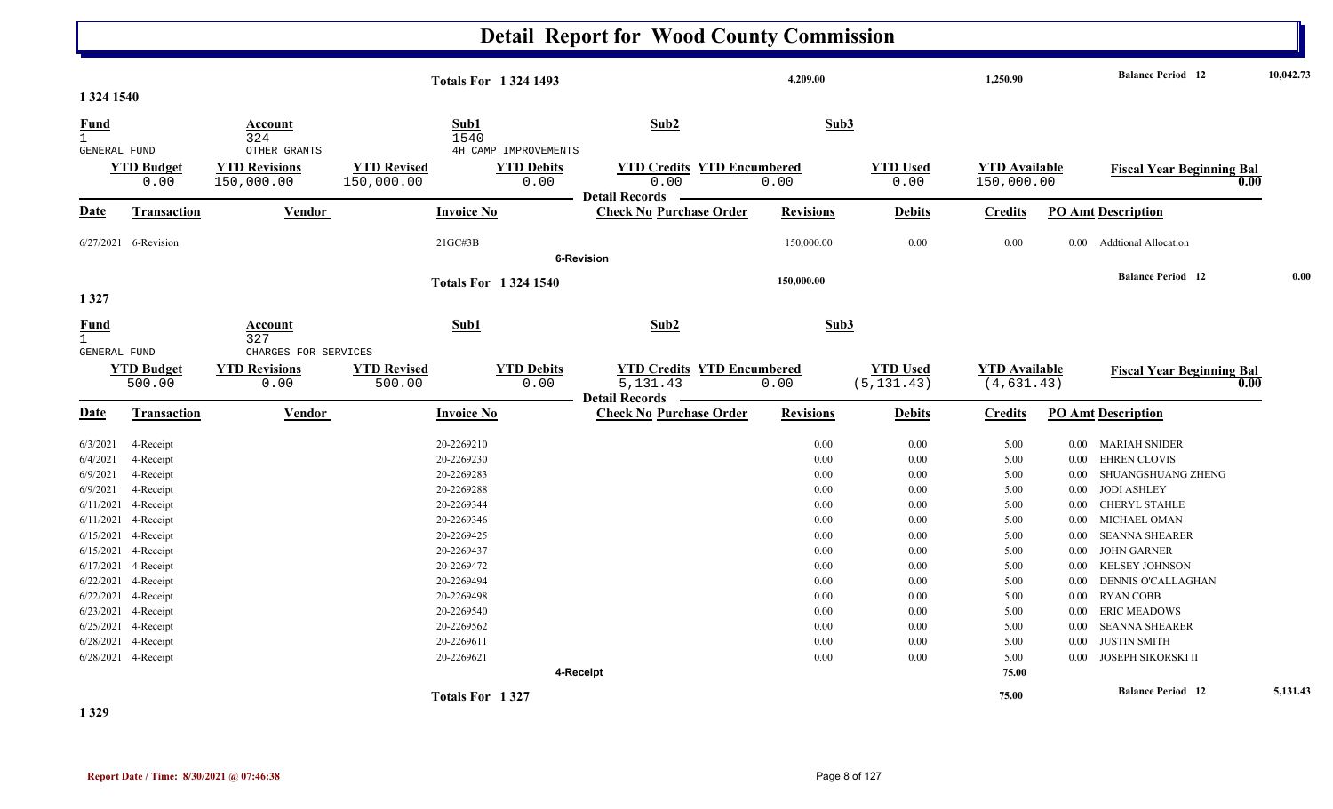#### **Detail Report for Wood County Commission 4,209.00 1,250.90 Balance Period 10,042.73 <sup>12</sup> Totals For 1 324 1493 1 324 1540** 1 324 1540 **Fund Account Sub1 Sub2 Sub3** GENERAL FUND OTHER GRANTS 4H CAMP IMPROVEMENTS 0.00 150,000.00 150,000.00 0.00 0.00 0.00 0.00 150,000.00 **YTD Budget YTD Revisions YTD Revised YTD Debits YTD Credits YTD Encumbered<u>TD Used</u> <b>YTD Available Fiscal Year Beginning Bal 0.00 0.00 150,000.00 Fiscal Year Beginning Bal Date Vendor Invoice NoTransaction Purchase Order Revisions Debits Credits PO Amt Description Detail Records** Vendor **Invoice No** 6/27/2021 6-Revision 6-Revision 21GC#3B 150,000.00 0.00 0.00 0.00 Addtional Allocation **6-Revision150,000.00 Balance Period 0.00 <sup>12</sup> Totals For 1 324 1540 1 327** 1 327**Fund Account Sub1 Sub2 Sub3** GENERAL FUND CHARGES FOR SERVICES 500.00 0.00 500.00 0.00 5,131.43 0.00 ) (5,131.43) (4,631.43 **YTD Budget YTD Revisions YTD Revised YTD Debits YTD Encumbered<u>YTD Used</u> <b>YTD Available Fiscal Year Beginning Bal**  $(4, 631, 43)$  **Fiscal Year Beginning Bal Date Vendor Invoice NoTransaction Purchase Order Revisions Debits Credits PO Amt Description Detail RecordsConductional Vendor Check Invoice No** 6/3/20211 4-Receipt 20-2269210 20-2269210 20-2269210 20-2269210 20-2269210 20:00 0.00 0.00 5.00 0.00 MARIAH SNIDER 6/4/20211 4-Receipt 20-2269230 20-2269230 20-2269230 20-2269230 20-2269230 20-2269230 20:00 5.00 0.00 5.00 0.00 EHREN CLOVIS 6/9/2021 4-Receipt 20-2269283 0.00 0.00 5.00 0.00 SHUANGSHUANG ZHENG 6/9/20211 4-Receipt 20-2269288 20-2269288 20-2269288 20-2269288 20-2269288 20-2269288 20-2269288 20-2269288 20-2269288 6/11/2021 4-Receipt 20-2269344 0.00 0.00 5.00 0.00 CHERYL STAHLE 6/11/2021 4-Receipt 20-2269346 0.00 0.00 5.00 0.00 MICHAEL OMAN 6/15/2021 4-Receipt 20-2269425 0.00 0.00 5.00 0.00 SEANNA SHEARER 6/15/2021 4-Receipt 20-2269437 0.00 0.00 5.00 0.00 JOHN GARNER 6/17/2021 4-Receipt 20-2269472 0.00 0.00 5.00 0.00 KELSEY JOHNSON 6/22/2021 4-Receipt 20-2269494 0.00 0.00 5.00 0.00 DENNIS O'CALLAGHAN 6/22/2021 4-Receipt 20-2269498 0.00 0.00 5.00 0.00 RYAN COBB 6/23/2021 4-Receipt 20-2269540 0.00 0.00 5.00 0.00 ERIC MEADOWS 6/25/2021 4-Receipt 20-2269562 0.00 0.00 5.00 0.00 SEANNA SHEARER 6/28/20211 4-Receipt 20-2269611 20-2269611 20-2269611 20-2269611 20-2269611 20-2269611 20-2369611 20-2369611 20-2369611 6/28/2021 4-Receipt 4-Receipt 20-2269621 0.00 0.00 5.00 0.00 JOSEPH SIKORSKI II **4-Receipt 75.00 75.00 Balance Period 5,131.43 <sup>12</sup> Totals For1 327**

**1 329**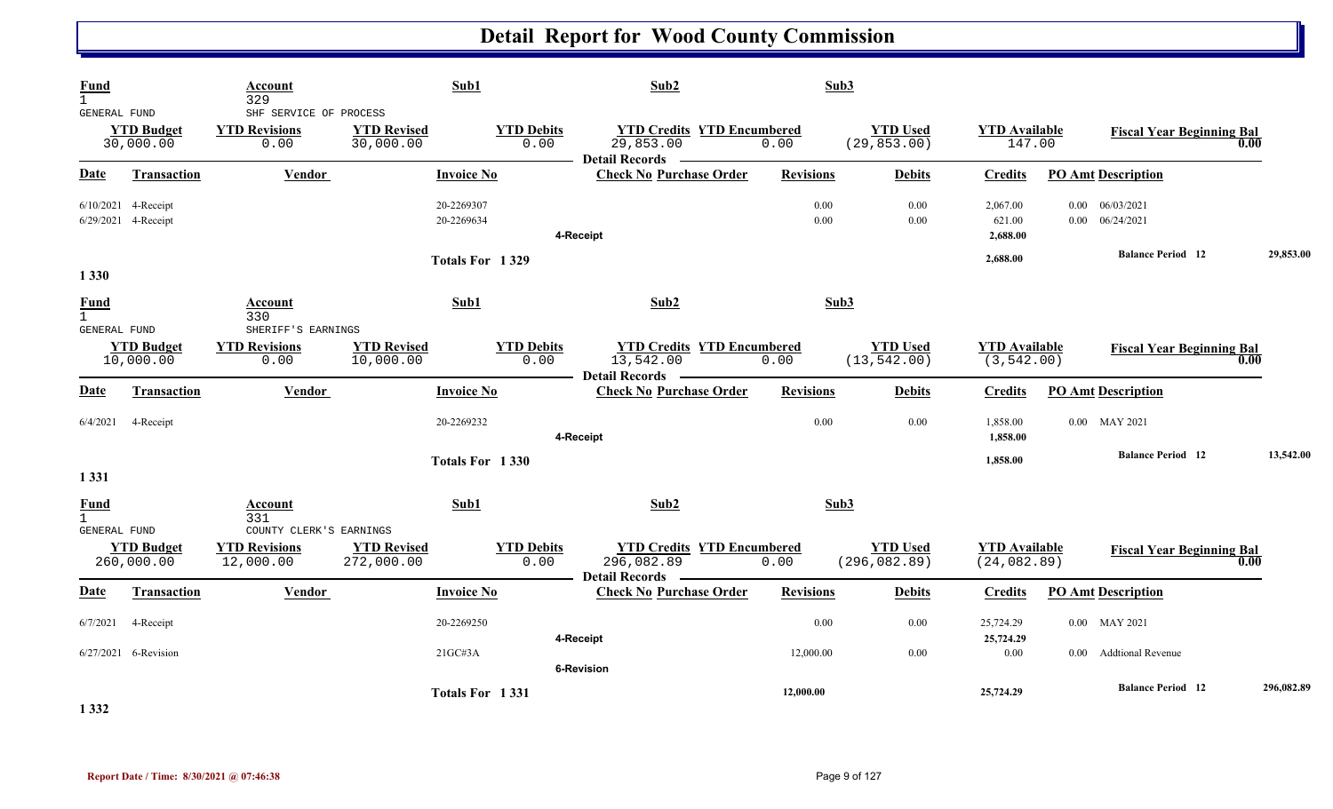| Fund<br>$\mathbf{1}$                        |                                            | Account<br>329                                               | Sub1                             |                           | Sub2                                                               | Sub3             |                                  |                                      |                                                |            |
|---------------------------------------------|--------------------------------------------|--------------------------------------------------------------|----------------------------------|---------------------------|--------------------------------------------------------------------|------------------|----------------------------------|--------------------------------------|------------------------------------------------|------------|
| GENERAL FUND                                | <b>YTD Budget</b><br>30,000.00             | SHF SERVICE OF PROCESS<br><b>YTD Revisions</b><br>0.00       | <b>YTD Revised</b><br>30,000.00  | <b>YTD Debits</b><br>0.00 | <b>YTD Credits YTD Encumbered</b><br>29,853.00                     | 0.00             | <b>YTD Used</b><br>(29, 853.00)  | <b>YTD Available</b><br>147.00       | <b>Fiscal Year Beginning Bal</b>               | 0.00       |
| Date                                        | <b>Transaction</b>                         | Vendor                                                       | <b>Invoice No</b>                |                           | <b>Detail Records</b><br><b>Check No Purchase Order</b>            | <b>Revisions</b> | <b>Debits</b>                    | <b>Credits</b>                       | <b>PO Amt Description</b>                      |            |
|                                             | 6/10/2021 4-Receipt<br>6/29/2021 4-Receipt |                                                              | 20-2269307<br>20-2269634         |                           | 4-Receipt                                                          | 0.00<br>0.00     | 0.00<br>0.00                     | 2,067.00<br>621.00<br>2,688.00       | $0.00 \quad 06/03/2021$<br>$0.00$ $06/24/2021$ |            |
| 1 3 3 0                                     |                                            |                                                              | Totals For 1329                  |                           |                                                                    |                  |                                  | 2,688.00                             | <b>Balance Period</b> 12                       | 29,853.00  |
| Fund<br>$\mathbf{1}$<br><b>GENERAL FUND</b> |                                            | Account<br>330<br>SHERIFF'S EARNINGS                         | Sub1                             |                           | Sub2                                                               | Sub3             |                                  |                                      |                                                |            |
|                                             | <b>YTD Budget</b><br>10,000.00             | <b>YTD Revisions</b><br>0.00                                 | <b>YTD Revised</b><br>10,000.00  | <b>YTD Debits</b><br>0.00 | <b>YTD Credits YTD Encumbered</b><br>13,542.00<br>Detail Records — | 0.00             | <b>YTD Used</b><br>(13, 542.00)  | <b>YTD Available</b><br>(3, 542.00)  | <b>Fiscal Year Beginning Bal</b>               | 0.00       |
| <b>Date</b>                                 | <b>Transaction</b>                         | <b>Vendor</b>                                                | <b>Invoice No</b>                |                           | <b>Check No Purchase Order</b>                                     | <b>Revisions</b> | <b>Debits</b>                    | <b>Credits</b>                       | <b>PO Amt Description</b>                      |            |
| 6/4/2021                                    | 4-Receipt                                  |                                                              | 20-2269232                       |                           | 4-Receipt                                                          | 0.00             | 0.00                             | 1,858.00<br>1,858.00                 | 0.00 MAY 2021                                  |            |
| 1 3 3 1                                     |                                            |                                                              | Totals For 1330                  |                           |                                                                    |                  |                                  | 1,858.00                             | <b>Balance Period 12</b>                       | 13,542.00  |
| Fund<br>$\mathbf{1}$                        |                                            | Account<br>331                                               | Sub1                             |                           | Sub2                                                               | Sub3             |                                  |                                      |                                                |            |
| <b>GENERAL FUND</b>                         | <b>YTD Budget</b><br>260,000.00            | COUNTY CLERK'S EARNINGS<br><b>YTD Revisions</b><br>12,000.00 | <b>YTD Revised</b><br>272,000.00 | <b>YTD Debits</b><br>0.00 | <b>YTD Credits YTD Encumbered</b><br>296,082.89                    | 0.00             | <b>YTD Used</b><br>(296, 082.89) | <b>YTD Available</b><br>(24, 082.89) | <b>Fiscal Year Beginning Bal</b>               | 0.00       |
| Date                                        | Transaction                                | Vendor                                                       | <b>Invoice No</b>                |                           | Detail Records –<br><b>Check No Purchase Order</b>                 | <b>Revisions</b> | <b>Debits</b>                    | <b>Credits</b>                       | <b>PO Amt Description</b>                      |            |
| 6/7/2021                                    | 4-Receipt                                  |                                                              | 20-2269250                       |                           | 4-Receipt                                                          | 0.00             | 0.00                             | 25,724.29<br>25,724.29               | 0.00 MAY 2021                                  |            |
|                                             | 6/27/2021 6-Revision                       |                                                              | 21GCH3A                          |                           | <b>6-Revision</b>                                                  | 12,000.00        | $0.00\,$                         | $0.00\,$                             | <b>Addtional Revenue</b><br>$0.00\,$           |            |
| 1 3 3 2                                     |                                            |                                                              | Totals For 1331                  |                           |                                                                    | 12,000.00        |                                  | 25,724.29                            | <b>Balance Period 12</b>                       | 296,082.89 |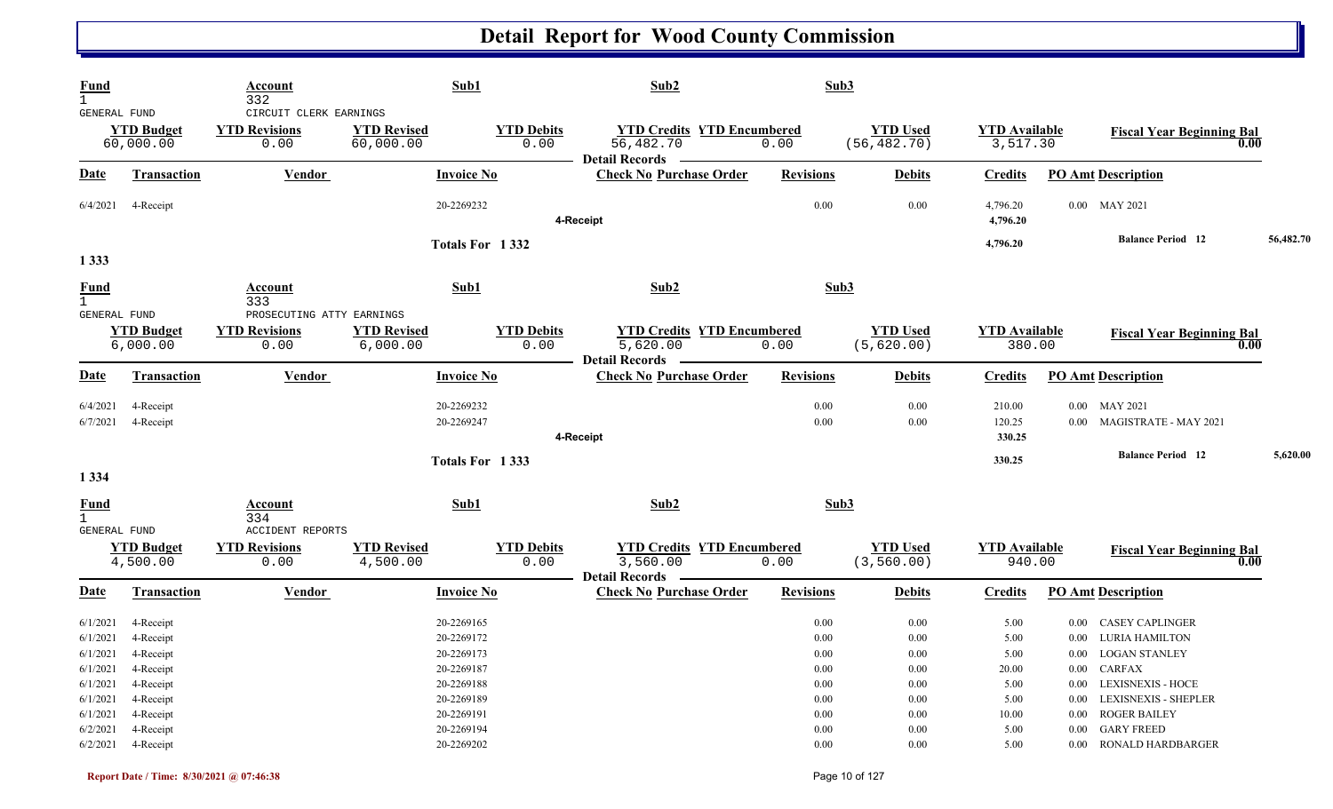|                                                                            | Account<br>332                                                                                                                                                                                                                               |                                 |                                                                                | Sub2                                                                                                                                                                                                                                                                                              |                                                                                               |                                                                                                                         |                                                                |                                                                                                                                                                                               |                                                                                                                                |
|----------------------------------------------------------------------------|----------------------------------------------------------------------------------------------------------------------------------------------------------------------------------------------------------------------------------------------|---------------------------------|--------------------------------------------------------------------------------|---------------------------------------------------------------------------------------------------------------------------------------------------------------------------------------------------------------------------------------------------------------------------------------------------|-----------------------------------------------------------------------------------------------|-------------------------------------------------------------------------------------------------------------------------|----------------------------------------------------------------|-----------------------------------------------------------------------------------------------------------------------------------------------------------------------------------------------|--------------------------------------------------------------------------------------------------------------------------------|
|                                                                            | <b>YTD Revisions</b><br>0.00                                                                                                                                                                                                                 | <b>YTD Revised</b><br>60,000.00 | <b>YTD Debits</b><br>0.00                                                      | 56,482.70                                                                                                                                                                                                                                                                                         | 0.00                                                                                          | <b>YTD Used</b><br>(56, 482.70)                                                                                         |                                                                | <b>Fiscal Year Beginning Bal</b>                                                                                                                                                              | 0.00                                                                                                                           |
| <b>Transaction</b>                                                         | <b>Vendor</b>                                                                                                                                                                                                                                |                                 |                                                                                | <b>Check No Purchase Order</b>                                                                                                                                                                                                                                                                    | <b>Revisions</b>                                                                              | <b>Debits</b>                                                                                                           | <b>Credits</b>                                                 | <b>PO Amt Description</b>                                                                                                                                                                     |                                                                                                                                |
| 4-Receipt                                                                  |                                                                                                                                                                                                                                              |                                 |                                                                                |                                                                                                                                                                                                                                                                                                   | $0.00\,$                                                                                      | 0.00                                                                                                                    | 4,796.20<br>4,796.20                                           | 0.00 MAY 2021                                                                                                                                                                                 |                                                                                                                                |
|                                                                            |                                                                                                                                                                                                                                              |                                 |                                                                                |                                                                                                                                                                                                                                                                                                   |                                                                                               |                                                                                                                         | 4,796.20                                                       | <b>Balance Period</b> 12                                                                                                                                                                      | 56,482.70                                                                                                                      |
|                                                                            | Account<br>333                                                                                                                                                                                                                               |                                 |                                                                                | Sub2                                                                                                                                                                                                                                                                                              |                                                                                               |                                                                                                                         |                                                                |                                                                                                                                                                                               |                                                                                                                                |
|                                                                            | <b>YTD Revisions</b><br>0.00                                                                                                                                                                                                                 | <b>YTD Revised</b><br>6,000.00  | <b>YTD Debits</b><br>0.00                                                      | 5,620.00                                                                                                                                                                                                                                                                                          | 0.00                                                                                          | <b>YTD Used</b><br>(5,620.00)                                                                                           |                                                                | <b>Fiscal Year Beginning Bal</b>                                                                                                                                                              | 0.00                                                                                                                           |
| Transaction                                                                | Vendor                                                                                                                                                                                                                                       |                                 |                                                                                | <b>Check No Purchase Order</b>                                                                                                                                                                                                                                                                    | <b>Revisions</b>                                                                              | <b>Debits</b>                                                                                                           | <b>Credits</b>                                                 | <b>PO Amt Description</b>                                                                                                                                                                     |                                                                                                                                |
| 4-Receipt<br>4-Receipt                                                     |                                                                                                                                                                                                                                              |                                 |                                                                                |                                                                                                                                                                                                                                                                                                   | 0.00<br>0.00                                                                                  | 0.00<br>0.00                                                                                                            | 210.00<br>120.25<br>330.25                                     | 0.00 MAY 2021<br>0.00 MAGISTRATE - MAY 2021                                                                                                                                                   |                                                                                                                                |
|                                                                            |                                                                                                                                                                                                                                              |                                 |                                                                                |                                                                                                                                                                                                                                                                                                   |                                                                                               |                                                                                                                         | 330.25                                                         | <b>Balance Period</b> 12                                                                                                                                                                      | 5,620.00                                                                                                                       |
|                                                                            |                                                                                                                                                                                                                                              |                                 |                                                                                |                                                                                                                                                                                                                                                                                                   |                                                                                               |                                                                                                                         |                                                                |                                                                                                                                                                                               |                                                                                                                                |
|                                                                            | <b>Account</b><br>334                                                                                                                                                                                                                        |                                 |                                                                                | Sub2                                                                                                                                                                                                                                                                                              |                                                                                               |                                                                                                                         |                                                                |                                                                                                                                                                                               |                                                                                                                                |
|                                                                            | <b>YTD Revisions</b><br>0.00                                                                                                                                                                                                                 | <b>YTD Revised</b><br>4,500.00  | <b>YTD Debits</b><br>0.00                                                      | 3,560.00                                                                                                                                                                                                                                                                                          | 0.00                                                                                          | <b>YTD Used</b><br>(3, 560.00)                                                                                          |                                                                | <b>Fiscal Year Beginning Bal</b>                                                                                                                                                              | 0.00                                                                                                                           |
| <b>Transaction</b>                                                         | Vendor                                                                                                                                                                                                                                       |                                 |                                                                                | <b>Check No Purchase Order</b>                                                                                                                                                                                                                                                                    | <b>Revisions</b>                                                                              | <b>Debits</b>                                                                                                           | <b>Credits</b>                                                 | <b>PO Amt Description</b>                                                                                                                                                                     |                                                                                                                                |
| 4-Receipt<br>4-Receipt<br>4-Receipt<br>4-Receipt<br>4-Receipt<br>4-Receipt |                                                                                                                                                                                                                                              |                                 |                                                                                |                                                                                                                                                                                                                                                                                                   | 0.00<br>$0.00\,$<br>$0.00\,$<br>$0.00\,$<br>$0.00\,$<br>$0.00\,$<br>$0.00\,$<br>$0.00\,$      | 0.00<br>$0.00\,$<br>$0.00\,$<br>0.00<br>$0.00\,$<br>$0.00\,$<br>$0.00\,$<br>0.00                                        | 5.00<br>5.00<br>5.00<br>20.00<br>5.00<br>5.00<br>10.00<br>5.00 | <b>CASEY CAPLINGER</b><br>$0.00\,$<br>0.00 LURIA HAMILTON<br>0.00 LOGAN STANLEY<br>0.00 CARFAX<br>0.00 LEXISNEXIS - HOCE<br>0.00 LEXISNEXIS - SHEPLER<br>0.00 ROGER BAILEY<br>0.00 GARY FREED |                                                                                                                                |
| 6/1/2021<br>6/1/2021<br>6/1/2021                                           | GENERAL FUND<br><b>YTD Budget</b><br>60,000.00<br><b>GENERAL FUND</b><br><b>YTD Budget</b><br>6,000.00<br><b>GENERAL FUND</b><br><b>YTD Budget</b><br>4,500.00<br>6/1/2021 4-Receipt<br>6/1/2021 4-Receipt<br>6/2/2021<br>6/2/2021 4-Receipt |                                 | CIRCUIT CLERK EARNINGS<br>PROSECUTING ATTY EARNINGS<br><b>ACCIDENT REPORTS</b> | Sub1<br><b>Invoice No</b><br>20-2269232<br>Totals For 1332<br>Sub1<br><b>Invoice No</b><br>20-2269232<br>20-2269247<br>Totals For 1333<br>Sub1<br><b>Invoice No</b><br>20-2269165<br>20-2269172<br>20-2269173<br>20-2269187<br>20-2269188<br>20-2269189<br>20-2269191<br>20-2269194<br>20-2269202 | Detail Records —<br>4-Receipt<br>Detail Records _______<br>4-Receipt<br><b>Detail Records</b> | <b>YTD Credits YTD Encumbered</b><br><b>YTD Credits YTD Encumbered</b><br><b>YTD Credits YTD Encumbered</b><br>$0.00\,$ | Sub3<br>Sub3<br>Sub3<br>$0.00\,$                               | 5.00                                                                                                                                                                                          | <b>YTD Available</b><br>3,517.30<br><b>YTD Available</b><br>380.00<br><b>YTD Available</b><br>940.00<br>0.00 RONALD HARDBARGER |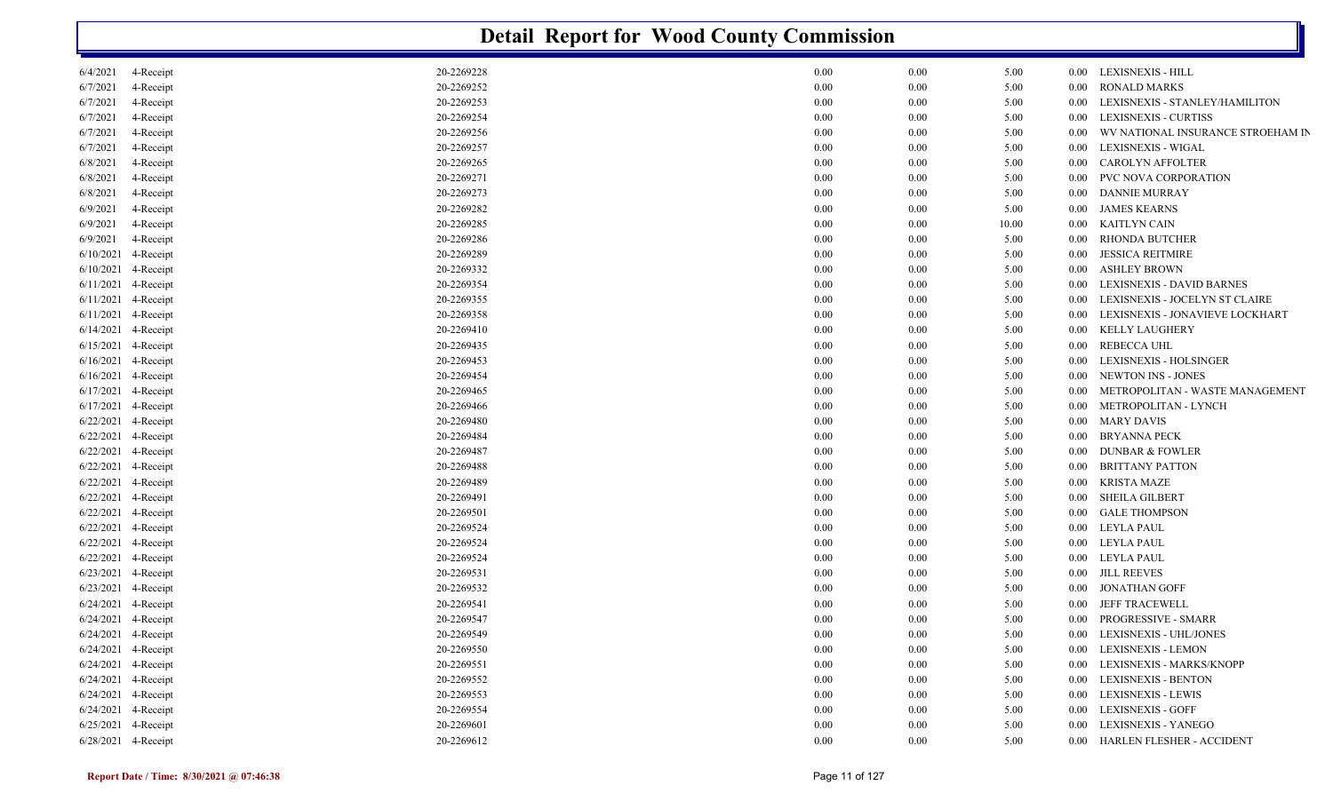|                       |           |            | <b>Detail Report for Wood County Commission</b> |       |          |                                   |
|-----------------------|-----------|------------|-------------------------------------------------|-------|----------|-----------------------------------|
| 6/4/2021              | 4-Receipt | 20-2269228 | 0.00<br>0.00                                    | 5.00  |          | 0.00 LEXISNEXIS - HILL            |
| 6/7/2021              | 4-Receipt | 20-2269252 | 0.00<br>0.00                                    | 5.00  | $0.00\,$ | <b>RONALD MARKS</b>               |
| 6/7/2021              | 4-Receipt | 20-2269253 | 0.00<br>0.00                                    | 5.00  | 0.00     | LEXISNEXIS - STANLEY/HAMILITON    |
| 6/7/2021              | 4-Receipt | 20-2269254 | 0.00<br>0.00                                    | 5.00  | $0.00\,$ | LEXISNEXIS - CURTISS              |
| 6/7/2021              | 4-Receipt | 20-2269256 | 0.00<br>0.00                                    | 5.00  | 0.00     | WV NATIONAL INSURANCE STROEHAM IN |
| 6/7/2021              | 4-Receipt | 20-2269257 | 0.00<br>0.00                                    | 5.00  | 0.00     | <b>LEXISNEXIS - WIGAL</b>         |
| 6/8/2021              | 4-Receipt | 20-2269265 | 0.00<br>0.00                                    | 5.00  | 0.00     | <b>CAROLYN AFFOLTER</b>           |
| 6/8/2021              | 4-Receipt | 20-2269271 | 0.00<br>0.00                                    | 5.00  | 0.00     | PVC NOVA CORPORATION              |
| 6/8/2021              | 4-Receipt | 20-2269273 | 0.00<br>0.00                                    | 5.00  | 0.00     | <b>DANNIE MURRAY</b>              |
| 6/9/2021              | 4-Receipt | 20-2269282 | 0.00<br>0.00                                    | 5.00  | $0.00\,$ | <b>JAMES KEARNS</b>               |
| 6/9/2021              | 4-Receipt | 20-2269285 | 0.00<br>0.00                                    | 10.00 | $0.00\,$ | KAITLYN CAIN                      |
| 6/9/2021              | 4-Receipt | 20-2269286 | 0.00<br>0.00                                    | 5.00  | 0.00     | <b>RHONDA BUTCHER</b>             |
| 6/10/2021             | 4-Receipt | 20-2269289 | 0.00<br>0.00                                    | 5.00  | 0.00     | <b>JESSICA REITMIRE</b>           |
| 6/10/2021             | 4-Receipt | 20-2269332 | 0.00<br>0.00                                    | 5.00  | $0.00\,$ | <b>ASHLEY BROWN</b>               |
| 6/11/2021             | 4-Receipt | 20-2269354 | 0.00<br>0.00                                    | 5.00  | 0.00     | <b>LEXISNEXIS - DAVID BARNES</b>  |
| 6/11/2021             | 4-Receipt | 20-2269355 | 0.00<br>0.00                                    | 5.00  | 0.00     | LEXISNEXIS - JOCELYN ST CLAIRE    |
| 6/11/2021             | 4-Receipt | 20-2269358 | 0.00<br>0.00                                    | 5.00  | 0.00     | LEXISNEXIS - JONAVIEVE LOCKHART   |
| 6/14/2021             | 4-Receipt | 20-2269410 | 0.00<br>0.00                                    | 5.00  | 0.00     | <b>KELLY LAUGHERY</b>             |
| 6/15/2021             | 4-Receipt | 20-2269435 | 0.00<br>0.00                                    | 5.00  | $0.00\,$ | <b>REBECCA UHL</b>                |
| 6/16/2021             | 4-Receipt | 20-2269453 | 0.00<br>0.00                                    | 5.00  | 0.00     | LEXISNEXIS - HOLSINGER            |
| 6/16/2021             | 4-Receipt | 20-2269454 | 0.00<br>0.00                                    | 5.00  | 0.00     | <b>NEWTON INS - JONES</b>         |
| 6/17/2021             | 4-Receipt | 20-2269465 | 0.00<br>0.00                                    | 5.00  | 0.00     | METROPOLITAN - WASTE MANAGEMENT   |
| 6/17/2021             | 4-Receipt | 20-2269466 | 0.00<br>0.00                                    | 5.00  | 0.00     | METROPOLITAN - LYNCH              |
| 6/22/2021             | 4-Receipt | 20-2269480 | 0.00<br>0.00                                    | 5.00  | $0.00\,$ | <b>MARY DAVIS</b>                 |
| 6/22/2021             | 4-Receipt | 20-2269484 | 0.00<br>0.00                                    | 5.00  | $0.00\,$ | <b>BRYANNA PECK</b>               |
| 6/22/2021             | 4-Receipt | 20-2269487 | 0.00<br>0.00                                    | 5.00  | $0.00\,$ | <b>DUNBAR &amp; FOWLER</b>        |
| 6/22/2021             | 4-Receipt | 20-2269488 | 0.00<br>0.00                                    | 5.00  | $0.00\,$ | <b>BRITTANY PATTON</b>            |
| 6/22/2021             | 4-Receipt | 20-2269489 | 0.00<br>0.00                                    | 5.00  | $0.00\,$ | <b>KRISTA MAZE</b>                |
| 6/22/2021             | 4-Receipt | 20-2269491 | 0.00<br>0.00                                    | 5.00  | 0.00     | SHEILA GILBERT                    |
| 6/22/2021             | 4-Receipt | 20-2269501 | 0.00<br>0.00                                    | 5.00  | 0.00     | <b>GALE THOMPSON</b>              |
| 6/22/2021             | 4-Receipt | 20-2269524 | 0.00<br>0.00                                    | 5.00  | $0.00\,$ | <b>LEYLA PAUL</b>                 |
| 6/22/2021             | 4-Receipt | 20-2269524 | 0.00<br>0.00                                    | 5.00  | $0.00\,$ | <b>LEYLA PAUL</b>                 |
| 6/22/2021             | 4-Receipt | 20-2269524 | 0.00<br>0.00                                    | 5.00  | $0.00\,$ | <b>LEYLA PAUL</b>                 |
| 6/23/2021             | 4-Receipt | 20-2269531 | 0.00<br>0.00                                    | 5.00  | $0.00\,$ | <b>JILL REEVES</b>                |
| 6/23/2021 4-Receipt   |           | 20-2269532 | 0.00<br>0.00                                    | 5.00  | $0.00\,$ | <b>JONATHAN GOFF</b>              |
| 6/24/2021 4-Receipt   |           | 20-2269541 | 0.00<br>0.00                                    | 5.00  |          | 0.00 JEFF TRACEWELL               |
| $6/24/2021$ 4-Receipt |           | 20-2269547 | 0.00<br>0.00                                    | 5.00  |          | 0.00 PROGRESSIVE - SMARR          |
| 6/24/2021 4-Receipt   |           | 20-2269549 | $0.00\,$<br>0.00                                | 5.00  |          | 0.00 LEXISNEXIS - UHL/JONES       |
| 6/24/2021 4-Receipt   |           | 20-2269550 | 0.00<br>0.00                                    | 5.00  |          | 0.00 LEXISNEXIS - LEMON           |
| 6/24/2021 4-Receipt   |           | 20-2269551 | 0.00<br>0.00                                    | 5.00  |          | 0.00 LEXISNEXIS - MARKS/KNOPP     |
| 6/24/2021 4-Receipt   |           | 20-2269552 | 0.00<br>0.00                                    | 5.00  | $0.00\,$ | <b>LEXISNEXIS - BENTON</b>        |
| 6/24/2021 4-Receipt   |           | 20-2269553 | 0.00<br>0.00                                    | 5.00  | $0.00\,$ | LEXISNEXIS - LEWIS                |
| 6/24/2021 4-Receipt   |           | 20-2269554 | 0.00<br>0.00                                    | 5.00  | $0.00\,$ | <b>LEXISNEXIS - GOFF</b>          |
| 6/25/2021 4-Receipt   |           | 20-2269601 | 0.00<br>0.00                                    | 5.00  | $0.00\,$ | LEXISNEXIS - YANEGO               |
| 6/28/2021 4-Receipt   |           | 20-2269612 | 0.00<br>0.00                                    | 5.00  |          | 0.00 HARLEN FLESHER - ACCIDENT    |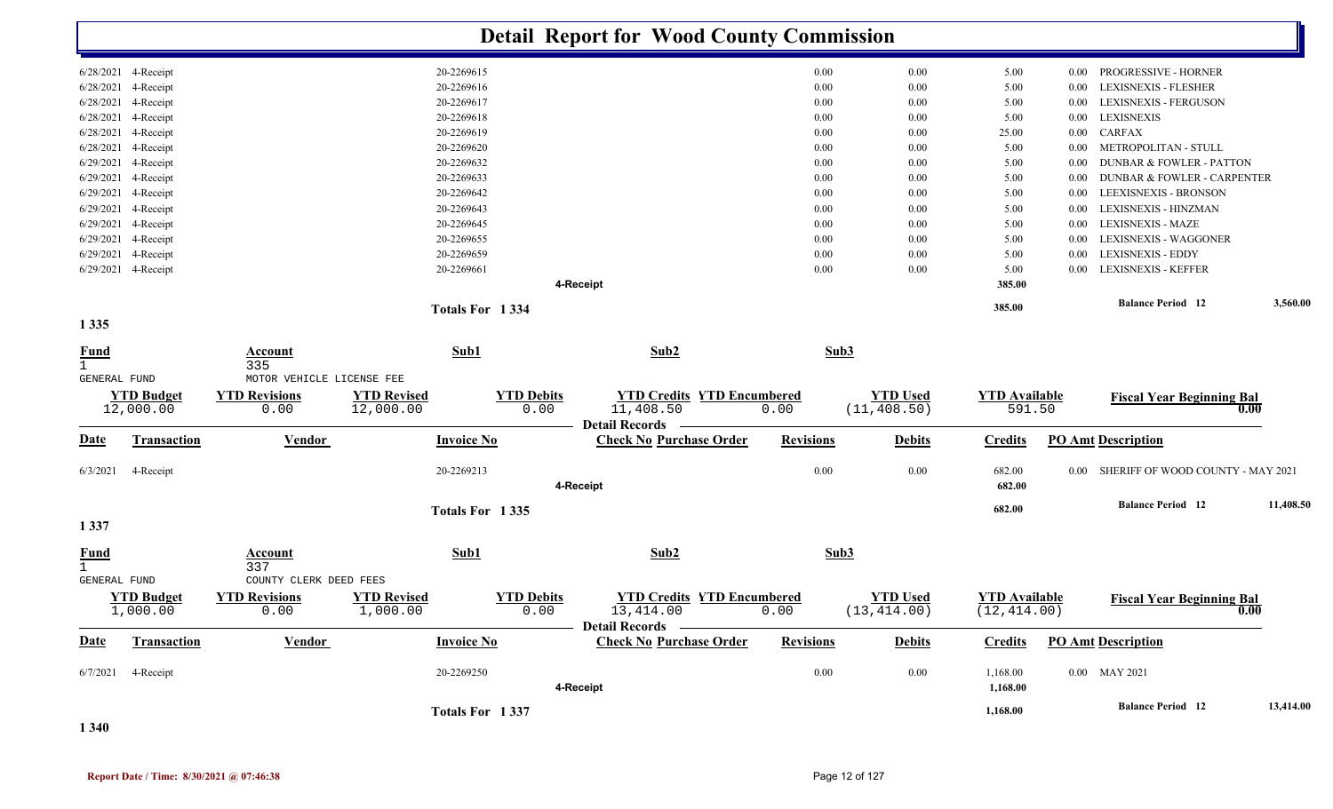|                            |                                |                              |                                 |                           | <b>Detail Report for Wood County Commission</b>         |                  |                                 |                                      |          |                                        |           |
|----------------------------|--------------------------------|------------------------------|---------------------------------|---------------------------|---------------------------------------------------------|------------------|---------------------------------|--------------------------------------|----------|----------------------------------------|-----------|
|                            | 6/28/2021 4-Receipt            |                              | 20-2269615                      |                           |                                                         | 0.00             | 0.00                            | 5.00                                 | $0.00\,$ | PROGRESSIVE - HORNER                   |           |
|                            | 6/28/2021 4-Receipt            |                              | 20-2269616                      |                           |                                                         | 0.00             | 0.00                            | 5.00                                 | 0.00     | <b>LEXISNEXIS - FLESHER</b>            |           |
|                            | 6/28/2021 4-Receipt            |                              | 20-2269617                      |                           |                                                         | 0.00             | 0.00                            | 5.00                                 | 0.00     | LEXISNEXIS - FERGUSON                  |           |
|                            | 6/28/2021 4-Receipt            |                              | 20-2269618                      |                           |                                                         | 0.00             | 0.00                            | 5.00                                 | $0.00\,$ | <b>LEXISNEXIS</b>                      |           |
|                            | 6/28/2021 4-Receipt            |                              | 20-2269619                      |                           |                                                         | 0.00             | 0.00                            | 25.00                                | $0.00\,$ | <b>CARFAX</b>                          |           |
|                            | 6/28/2021 4-Receipt            |                              | 20-2269620                      |                           |                                                         | 0.00             | 0.00                            | 5.00                                 | 0.00     | METROPOLITAN - STULL                   |           |
|                            | 6/29/2021 4-Receipt            |                              | 20-2269632                      |                           |                                                         | 0.00             | 0.00                            | 5.00                                 | $0.00\,$ | <b>DUNBAR &amp; FOWLER - PATTON</b>    |           |
|                            | 6/29/2021 4-Receipt            |                              | 20-2269633                      |                           |                                                         | 0.00             | 0.00                            | 5.00                                 | $0.00\,$ | DUNBAR & FOWLER - CARPENTER            |           |
|                            | 6/29/2021 4-Receipt            |                              | 20-2269642                      |                           |                                                         | 0.00             | 0.00                            | 5.00                                 | $0.00\,$ | LEEXISNEXIS - BRONSON                  |           |
|                            | 6/29/2021 4-Receipt            |                              | 20-2269643                      |                           |                                                         | 0.00             | 0.00                            | 5.00                                 | $0.00\,$ | LEXISNEXIS - HINZMAN                   |           |
|                            | 6/29/2021 4-Receipt            |                              | 20-2269645                      |                           |                                                         | 0.00             | 0.00                            | 5.00                                 | $0.00\,$ | LEXISNEXIS - MAZE                      |           |
|                            | 6/29/2021 4-Receipt            |                              | 20-2269655                      |                           |                                                         | 0.00             | 0.00                            | 5.00                                 | $0.00\,$ | <b>LEXISNEXIS - WAGGONER</b>           |           |
|                            | 6/29/2021 4-Receipt            |                              | 20-2269659                      |                           |                                                         | 0.00             | 0.00                            | 5.00                                 | $0.00\,$ | <b>LEXISNEXIS - EDDY</b>               |           |
|                            | 6/29/2021 4-Receipt            |                              | 20-2269661                      |                           |                                                         | 0.00             | 0.00                            | 5.00                                 | 0.00     | <b>LEXISNEXIS - KEFFER</b>             |           |
|                            |                                |                              |                                 |                           | 4-Receipt                                               |                  |                                 | 385.00                               |          |                                        |           |
|                            |                                |                              | Totals For 1334                 |                           |                                                         |                  |                                 | 385.00                               |          | <b>Balance Period</b> 12               | 3,560.00  |
| 1 3 3 5                    |                                |                              |                                 |                           |                                                         |                  |                                 |                                      |          |                                        |           |
| $\frac{Fund}{1}$           |                                | Account<br>335               | Sub1                            |                           | Sub2                                                    | Sub3             |                                 |                                      |          |                                        |           |
| <b>GENERAL FUND</b>        |                                | MOTOR VEHICLE LICENSE FEE    |                                 |                           |                                                         |                  |                                 |                                      |          |                                        |           |
|                            | <b>YTD Budget</b><br>12,000.00 | <b>YTD Revisions</b><br>0.00 | <b>YTD Revised</b><br>12,000.00 | <b>YTD Debits</b><br>0.00 | <b>YTD Credits YTD Encumbered</b><br>11,408.50          | 0.00             | <b>YTD Used</b><br>(11, 408.50) | <b>YTD</b> Available<br>591.50       |          | <b>Fiscal Year Beginning Bal</b>       | $0.00\,$  |
| <u>Date</u>                | <b>Transaction</b>             | <b>Vendor</b>                | <b>Invoice No</b>               |                           | <b>Detail Records</b><br><b>Check No Purchase Order</b> | <b>Revisions</b> | <b>Debits</b>                   | <b>Credits</b>                       |          | <b>PO Amt Description</b>              |           |
| 6/3/2021                   | 4-Receipt                      |                              | 20-2269213                      |                           | 4-Receipt                                               | 0.00             | 0.00                            | 682.00<br>682.00                     |          | 0.00 SHERIFF OF WOOD COUNTY - MAY 2021 |           |
|                            |                                |                              |                                 |                           |                                                         |                  |                                 |                                      |          |                                        |           |
| 1 3 3 7                    |                                |                              | Totals For 1335                 |                           |                                                         |                  |                                 | 682.00                               |          | <b>Balance Period</b> 12               | 11,408.50 |
| <b>Fund</b><br>$\mathbf 1$ |                                | <b>Account</b><br>337        | Sub1                            |                           | Sub2                                                    | Sub3             |                                 |                                      |          |                                        |           |
| <b>GENERAL FUND</b>        |                                | COUNTY CLERK DEED FEES       |                                 |                           |                                                         |                  |                                 |                                      |          |                                        |           |
|                            | <b>YTD Budget</b><br>1,000.00  | <b>YTD Revisions</b><br>0.00 | <b>YTD Revised</b><br>1,000.00  | <b>YTD Debits</b><br>0.00 | <b>YTD Credits YTD Encumbered</b><br>13,414.00          | 0.00             | <b>YTD Used</b><br>(13, 414.00) | <b>YTD Available</b><br>(12, 414.00) |          | <b>Fiscal Year Beginning Bal</b>       |           |
| <b>Date</b>                | <b>Transaction</b>             | <b>Vendor</b>                | <b>Invoice No</b>               |                           | Detail Records ——<br><b>Check No Purchase Order</b>     | <b>Revisions</b> | <b>Debits</b>                   | <b>Credits</b>                       |          | <b>PO Amt Description</b>              |           |
|                            | $6/7/2021$ 4-Receipt           |                              | 20-2269250                      |                           |                                                         | 0.00             | $0.00\,$                        | 1,168.00                             |          | 0.00 MAY 2021                          |           |
|                            |                                |                              |                                 |                           | 4-Receipt                                               |                  |                                 | 1,168.00                             |          |                                        |           |
|                            |                                |                              |                                 |                           |                                                         |                  |                                 |                                      |          | <b>Balance Period 12</b>               | 13,414.00 |
|                            |                                |                              | Totals For 1337                 |                           |                                                         |                  |                                 | 1,168.00                             |          |                                        |           |

**1 340**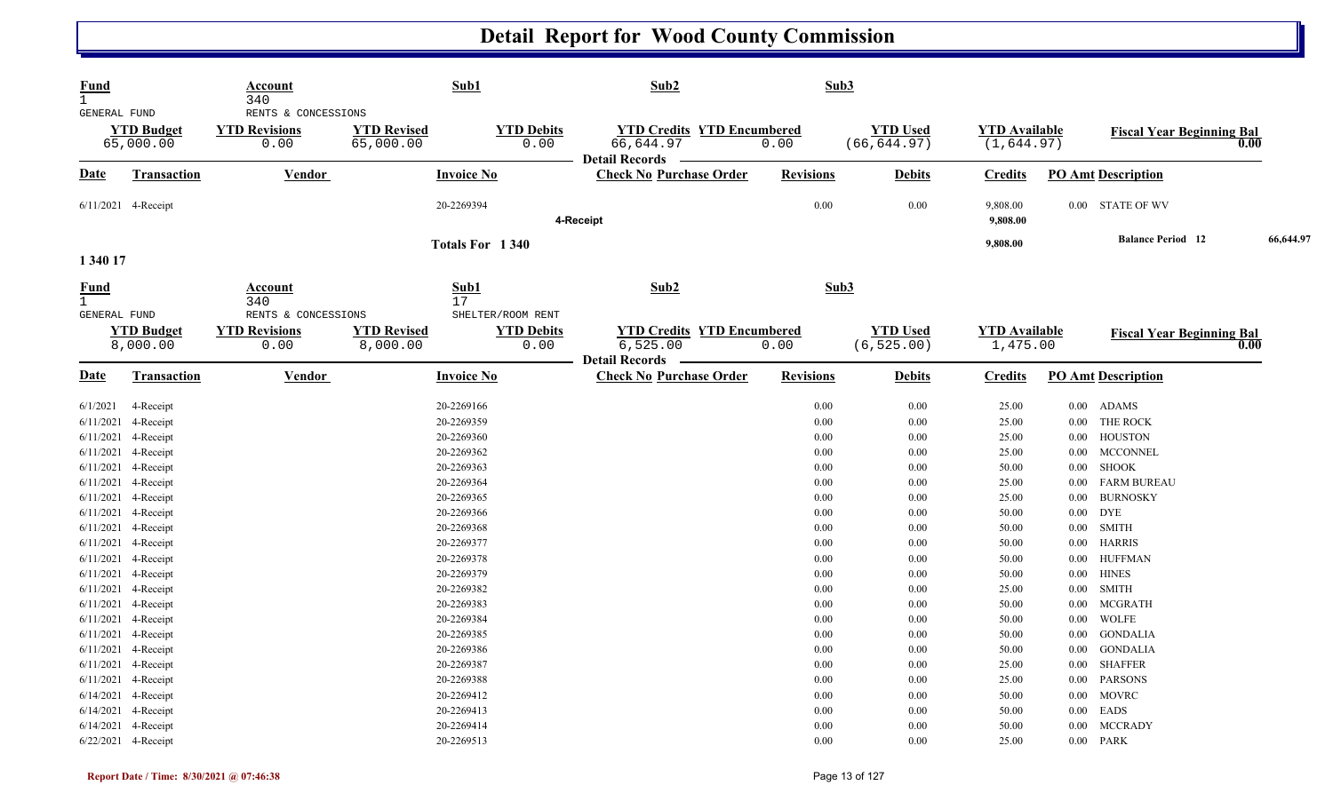| <b>Fund</b><br>$\mathbf{1}$<br>GENERAL FUND |                                                                       | Account<br>340<br>RENTS & CONCESSIONS | Sub1                                   |                                                | Sub2                                                               | Sub3                 |                                 |                                     |                                  |                                                |           |
|---------------------------------------------|-----------------------------------------------------------------------|---------------------------------------|----------------------------------------|------------------------------------------------|--------------------------------------------------------------------|----------------------|---------------------------------|-------------------------------------|----------------------------------|------------------------------------------------|-----------|
|                                             | <b>YTD Budget</b><br>65,000.00                                        | <b>YTD Revisions</b><br>0.00          | <b>YTD Revised</b><br>65,000.00        | <b>YTD Debits</b><br>0.00                      | <b>YTD Credits YTD Encumbered</b><br>66,644.97<br>Detail Records - | 0.00                 | <b>YTD Used</b><br>(66, 644.97) | <b>YTD Available</b><br>(1, 644.97) |                                  | <b>Fiscal Year Beginning Bal</b><br>0.00       |           |
| <u>Date</u>                                 | <b>Transaction</b>                                                    | Vendor                                | <b>Invoice No</b>                      |                                                | <b>Check No Purchase Order</b>                                     | <b>Revisions</b>     | <b>Debits</b>                   | <b>Credits</b>                      |                                  | <b>PO Amt Description</b>                      |           |
|                                             | $6/11/2021$ 4-Receipt                                                 |                                       | 20-2269394                             |                                                | 4-Receipt                                                          | 0.00                 | 0.00                            | 9,808.00<br>9,808.00                |                                  | 0.00 STATE OF WV                               |           |
| 1 340 17                                    |                                                                       |                                       |                                        | Totals For 1340                                |                                                                    |                      |                                 | 9,808.00                            |                                  | <b>Balance Period</b> 12                       | 66,644.97 |
| <b>Fund</b><br>$\mathbf{1}$<br>GENERAL FUND |                                                                       | Account<br>340<br>RENTS & CONCESSIONS | Sub1<br>17                             |                                                | Sub2                                                               | Sub3                 |                                 |                                     |                                  |                                                |           |
|                                             | <b>YTD Budget</b><br>8,000.00                                         | <b>YTD Revisions</b><br>0.00          | <b>YTD Revised</b><br>8,000.00         | SHELTER/ROOM RENT<br><b>YTD Debits</b><br>0.00 | <b>YTD Credits YTD Encumbered</b><br>6,525.00                      | 0.00                 | <b>YTD Used</b><br>(6, 525.00)  | <b>YTD Available</b><br>1,475.00    |                                  | <b>Fiscal Year Beginning Bal</b><br>0.00       |           |
| Date                                        | Transaction                                                           | Vendor                                | <b>Invoice No</b>                      |                                                | <b>Detail Records</b><br><b>Check No Purchase Order</b>            | <b>Revisions</b>     | <b>Debits</b>                   | <b>Credits</b>                      |                                  | <b>PO Amt Description</b>                      |           |
| 6/1/2021<br>6/11/2021                       | 4-Receipt<br>4-Receipt                                                |                                       | 20-2269166<br>20-2269359               |                                                |                                                                    | 0.00<br>0.00         | 0.00<br>0.00                    | 25.00<br>25.00                      | $0.00$ ADAMS<br>$0.00\,$         | THE ROCK                                       |           |
|                                             | 6/11/2021 4-Receipt<br>6/11/2021 4-Receipt                            |                                       | 20-2269360<br>20-2269362               |                                                |                                                                    | 0.00<br>0.00         | 0.00<br>0.00                    | 25.00<br>25.00                      |                                  | 0.00 HOUSTON<br>0.00 MCCONNEL                  |           |
|                                             | 6/11/2021 4-Receipt<br>6/11/2021 4-Receipt                            |                                       | 20-2269363<br>20-2269364               |                                                |                                                                    | 0.00<br>0.00         | 0.00<br>0.00                    | 50.00<br>25.00                      | $0.00\,$<br>$0.00\,$             | SHOOK<br><b>FARM BUREAU</b>                    |           |
|                                             | 6/11/2021 4-Receipt                                                   |                                       | 20-2269365                             |                                                |                                                                    | 0.00                 | 0.00                            | 25.00                               | $0.00\,$                         | <b>BURNOSKY</b>                                |           |
|                                             | 6/11/2021 4-Receipt<br>6/11/2021 4-Receipt                            |                                       | 20-2269366<br>20-2269368               |                                                |                                                                    | 0.00<br>0.00         | 0.00<br>0.00                    | 50.00<br>50.00                      | $0.00\,$<br>$0.00$ SMITH         | <b>DYE</b>                                     |           |
|                                             | 6/11/2021 4-Receipt<br>6/11/2021 4-Receipt                            |                                       | 20-2269377<br>20-2269378               |                                                |                                                                    | 0.00<br>0.00         | 0.00<br>0.00                    | 50.00<br>50.00                      | 0.00 HARRIS<br>$0.00\,$          | <b>HUFFMAN</b>                                 |           |
|                                             | $6/11/2021$ 4-Receipt<br>6/11/2021 4-Receipt<br>$6/11/2021$ 4-Receipt |                                       | 20-2269379<br>20-2269382<br>20-2269383 |                                                |                                                                    | 0.00<br>0.00<br>0.00 | 0.00<br>0.00<br>0.00            | 50.00<br>25.00<br>50.00             | $0.00\,$<br>$0.00\,$<br>$0.00\,$ | <b>HINES</b><br><b>SMITH</b><br><b>MCGRATH</b> |           |
|                                             | 6/11/2021 4-Receipt<br>6/11/2021 4-Receipt                            |                                       | 20-2269384<br>20-2269385               |                                                |                                                                    | 0.00<br>0.00         | 0.00<br>0.00                    | 50.00<br>50.00                      | $0.00\,$<br>$0.00\,$             | WOLFE<br><b>GONDALIA</b>                       |           |
|                                             | 6/11/2021 4-Receipt<br>6/11/2021 4-Receipt                            |                                       | 20-2269386<br>20-2269387               |                                                |                                                                    | 0.00<br>0.00         | 0.00<br>0.00                    | 50.00<br>25.00                      | $0.00\,$<br>$0.00\,$             | <b>GONDALIA</b><br><b>SHAFFER</b>              |           |
|                                             | 6/11/2021 4-Receipt<br>6/14/2021 4-Receipt                            |                                       | 20-2269388<br>20-2269412               |                                                |                                                                    | 0.00<br>0.00         | 0.00<br>0.00                    | 25.00<br>50.00                      | $0.00\,$<br>$0.00\,$             | <b>PARSONS</b><br>MOVRC                        |           |
|                                             | 6/14/2021 4-Receipt<br>6/14/2021 4-Receipt<br>6/22/2021 4-Receipt     |                                       | 20-2269413<br>20-2269414<br>20-2269513 |                                                |                                                                    | 0.00<br>0.00<br>0.00 | 0.00<br>0.00<br>0.00            | 50.00<br>50.00<br>25.00             | $0.00$ EADS<br>0.00<br>0.00 PARK | <b>MCCRADY</b>                                 |           |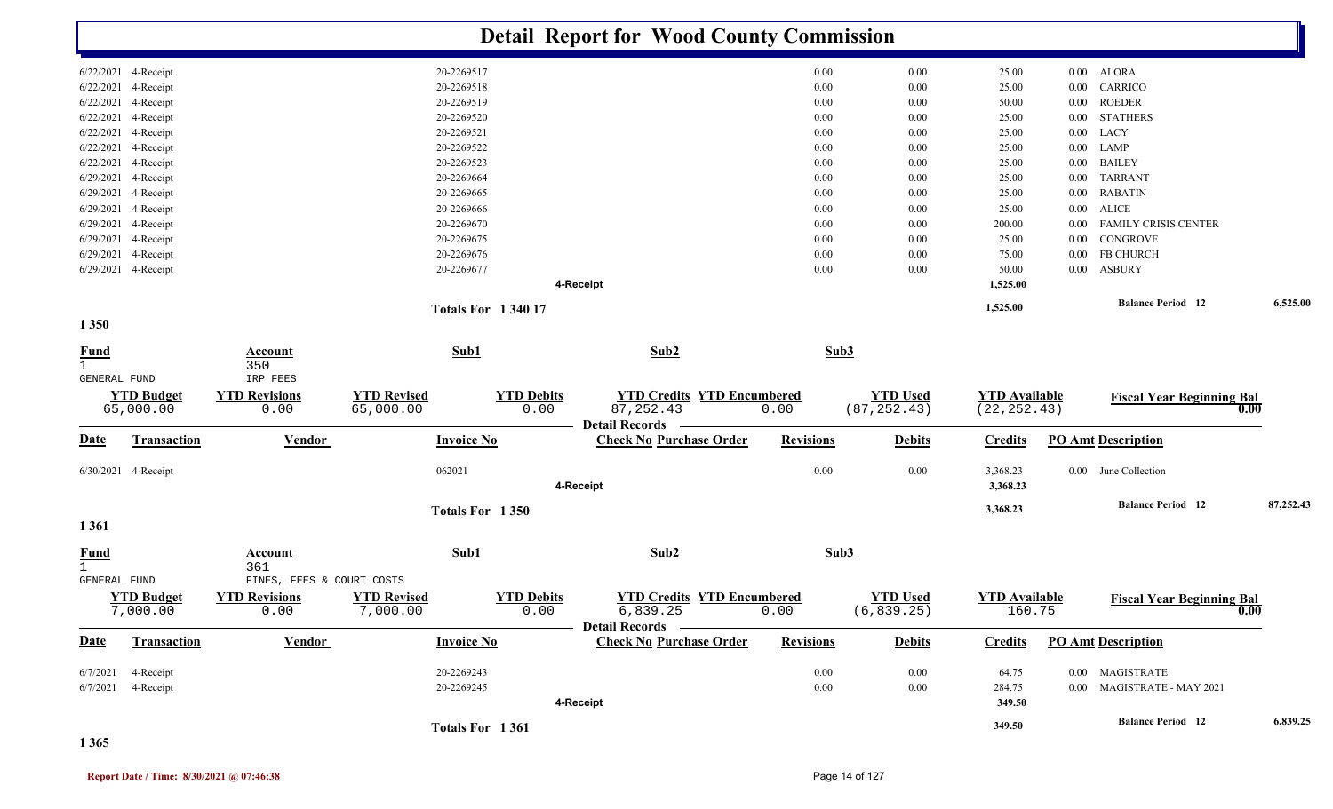|                             |                                |                                          |                                 |                           | <b>Detail Report for Wood County Commission</b>                   |                  |                                 |                                      |          |                                  |           |
|-----------------------------|--------------------------------|------------------------------------------|---------------------------------|---------------------------|-------------------------------------------------------------------|------------------|---------------------------------|--------------------------------------|----------|----------------------------------|-----------|
|                             | 6/22/2021 4-Receipt            |                                          |                                 | 20-2269517                |                                                                   | 0.00             | 0.00                            | 25.00                                | $0.00\,$ | ALORA                            |           |
| 6/22/2021                   | 4-Receipt                      |                                          |                                 | 20-2269518                |                                                                   | 0.00             | 0.00                            | 25.00                                | 0.00     | CARRICO                          |           |
| 6/22/2021                   | 4-Receipt                      |                                          |                                 | 20-2269519                |                                                                   | 0.00             | 0.00                            | 50.00                                | $0.00\,$ | <b>ROEDER</b>                    |           |
| 6/22/2021                   | 4-Receipt                      |                                          |                                 | 20-2269520                |                                                                   | 0.00             | 0.00                            | 25.00                                | $0.00\,$ | <b>STATHERS</b>                  |           |
| 6/22/2021                   | 4-Receipt                      |                                          |                                 | 20-2269521                |                                                                   | 0.00             | 0.00                            | 25.00                                | $0.00\,$ | LACY                             |           |
| 6/22/2021                   | 4-Receipt                      |                                          |                                 | 20-2269522                |                                                                   | 0.00             | 0.00                            | 25.00                                | $0.00\,$ | LAMP                             |           |
| 6/22/2021                   | 4-Receipt                      |                                          |                                 | 20-2269523                |                                                                   | 0.00             | 0.00                            | 25.00                                | $0.00\,$ | <b>BAILEY</b>                    |           |
|                             | 6/29/2021 4-Receipt            |                                          |                                 | 20-2269664                |                                                                   | 0.00             | 0.00                            | 25.00                                | $0.00\,$ | <b>TARRANT</b>                   |           |
|                             | 6/29/2021 4-Receipt            |                                          |                                 | 20-2269665                |                                                                   | 0.00             | 0.00                            | 25.00                                | $0.00\,$ | <b>RABATIN</b>                   |           |
|                             | 6/29/2021 4-Receipt            |                                          |                                 | 20-2269666                |                                                                   | 0.00             | 0.00                            | 25.00                                | $0.00\,$ | <b>ALICE</b>                     |           |
| 6/29/2021                   | 4-Receipt                      |                                          |                                 | 20-2269670                |                                                                   | 0.00             | 0.00                            | 200.00                               | 0.00     | FAMILY CRISIS CENTER             |           |
| 6/29/2021                   | 4-Receipt                      |                                          |                                 | 20-2269675                |                                                                   | 0.00             | 0.00                            | 25.00                                | 0.00     | CONGROVE                         |           |
| 6/29/2021                   | 4-Receipt                      |                                          |                                 | 20-2269676                |                                                                   | 0.00             | 0.00                            | 75.00                                | 0.00     | <b>FB CHURCH</b>                 |           |
|                             | 6/29/2021 4-Receipt            |                                          |                                 | 20-2269677                |                                                                   | 0.00             | 0.00                            | 50.00                                | $0.00\,$ | ASBURY                           |           |
|                             |                                |                                          |                                 |                           | 4-Receipt                                                         |                  |                                 | 1,525.00                             |          |                                  |           |
|                             |                                |                                          |                                 | <b>Totals For 134017</b>  |                                                                   |                  |                                 | 1,525.00                             |          | <b>Balance Period</b> 12         | 6,525.00  |
| 1 3 5 0                     |                                |                                          |                                 |                           |                                                                   |                  |                                 |                                      |          |                                  |           |
| <b>Fund</b><br>$\mathbf{1}$ |                                | Account<br>350                           |                                 | Sub1                      | Sub2                                                              | Sub3             |                                 |                                      |          |                                  |           |
| <b>GENERAL FUND</b>         | <b>YTD</b> Budget<br>65,000.00 | IRP FEES<br><b>YTD Revisions</b><br>0.00 | <b>YTD Revised</b><br>65,000.00 | <b>YTD Debits</b><br>0.00 | <b>YTD Credits YTD Encumbered</b><br>87, 252.43                   | 0.00             | <b>YTD Used</b><br>(87, 252.43) | <b>YTD Available</b><br>(22, 252.43) |          | <b>Fiscal Year Beginning Bal</b> | 0.00      |
| Date                        | <b>Transaction</b>             | <b>Vendor</b>                            |                                 | <b>Invoice No</b>         | <b>Detail Records</b><br><b>Check No Purchase Order</b>           | <b>Revisions</b> | <b>Debits</b>                   | <b>Credits</b>                       |          | <b>PO Amt Description</b>        |           |
|                             | 6/30/2021 4-Receipt            |                                          |                                 | 062021                    | 4-Receipt                                                         | 0.00             | 0.00                            | 3,368.23<br>3,368.23                 |          | 0.00 June Collection             |           |
| 1 3 6 1                     |                                |                                          |                                 | Totals For 1350           |                                                                   |                  |                                 | 3,368.23                             |          | <b>Balance Period</b> 12         | 87,252.43 |
| <b>Fund</b><br>$\mathbf{1}$ |                                | <b>Account</b><br>361                    |                                 | Sub1                      | Sub2                                                              | Sub3             |                                 |                                      |          |                                  |           |
| <b>GENERAL FUND</b>         |                                | FINES, FEES & COURT COSTS                |                                 |                           |                                                                   |                  |                                 |                                      |          |                                  |           |
|                             | <b>YTD Budget</b><br>7,000.00  | <b>YTD Revisions</b><br>0.00             | <b>YTD Revised</b><br>7,000.00  | <b>YTD Debits</b><br>0.00 | <b>YTD Credits YTD Encumbered</b><br>6,839.25<br>Detail Records — | 0.00             | <b>YTD Used</b><br>(6, 839.25)  | <b>YTD</b> Available<br>160.75       |          | <b>Fiscal Year Beginning Bal</b> | 0.00      |
| <b>Date</b>                 | Transaction                    | Vendor                                   |                                 | <b>Invoice No</b>         | <b>Check No Purchase Order</b>                                    | <b>Revisions</b> | <b>Debits</b>                   | <b>Credits</b>                       |          | <b>PO Amt Description</b>        |           |
|                             |                                |                                          |                                 | 20-2269243                |                                                                   | $0.00\,$         |                                 | 64.75                                |          | 0.00 MAGISTRATE                  |           |
| 6/7/2021                    | 4-Receipt<br>4-Receipt         |                                          |                                 | 20-2269245                |                                                                   | $0.00\,$         | $0.00\,$<br>0.00                | 284.75                               |          | 0.00 MAGISTRATE - MAY 2021       |           |
| 6/7/2021                    |                                |                                          |                                 |                           | 4-Receipt                                                         |                  |                                 | 349.50                               |          |                                  |           |
|                             |                                |                                          |                                 |                           |                                                                   |                  |                                 | 349.50                               |          | <b>Balance Period</b> 12         | 6,839.25  |
|                             |                                |                                          |                                 | Totals For 1361           |                                                                   |                  |                                 |                                      |          |                                  |           |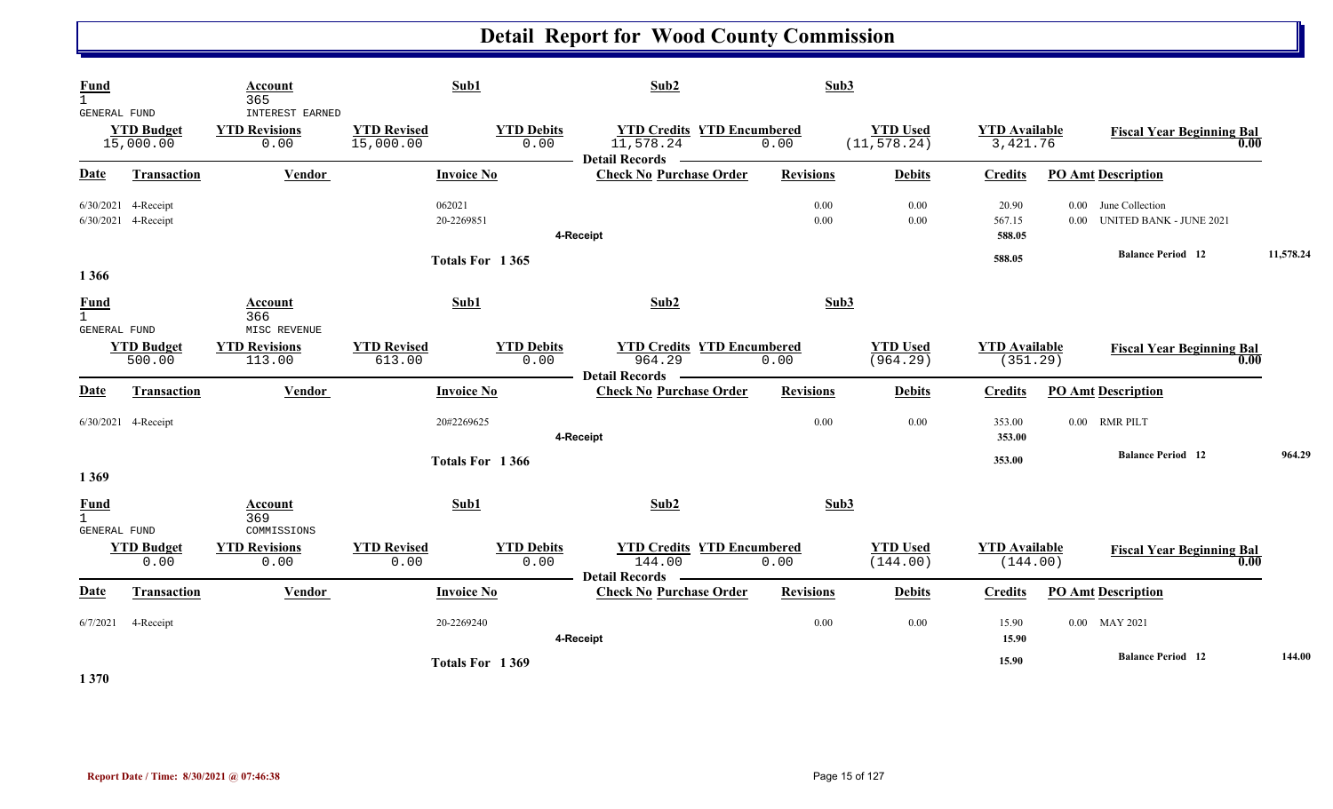| <b>Fund</b><br>GENERAL FUND                        |                                            | Account<br>365<br><b>INTEREST EARNED</b> | Sub1                            |                           | Sub2                                                                             | Sub3             |                                 |                                  |                                                      |           |
|----------------------------------------------------|--------------------------------------------|------------------------------------------|---------------------------------|---------------------------|----------------------------------------------------------------------------------|------------------|---------------------------------|----------------------------------|------------------------------------------------------|-----------|
|                                                    | <b>YTD Budget</b><br>15,000.00             | <b>YTD Revisions</b><br>0.00             | <b>YTD Revised</b><br>15,000.00 | <b>YTD Debits</b><br>0.00 | <b>YTD Credits YTD Encumbered</b><br>11,578.24<br>Detail Records <b>________</b> | 0.00             | <b>YTD Used</b><br>(11, 578.24) | <b>YTD Available</b><br>3,421.76 | <b>Fiscal Year Beginning Bal</b><br>0.00             |           |
| Date                                               | <b>Transaction</b>                         | Vendor                                   | <b>Invoice No</b>               |                           | <b>Check No Purchase Order</b>                                                   | <b>Revisions</b> | <b>Debits</b>                   | <b>Credits</b>                   | <b>PO Amt Description</b>                            |           |
|                                                    | 6/30/2021 4-Receipt<br>6/30/2021 4-Receipt |                                          | 062021<br>20-2269851            |                           | 4-Receipt                                                                        | 0.00<br>0.00     | 0.00<br>$0.00\,$                | 20.90<br>567.15<br>588.05        | 0.00 June Collection<br>0.00 UNITED BANK - JUNE 2021 |           |
|                                                    |                                            |                                          | Totals For 1365                 |                           |                                                                                  |                  |                                 | 588.05                           | <b>Balance Period 12</b>                             | 11,578.24 |
| 1 3 6 6                                            |                                            |                                          |                                 |                           |                                                                                  |                  |                                 |                                  |                                                      |           |
| <b>Fund</b><br>$\mathbf{1}$<br>GENERAL FUND        |                                            | Account<br>366<br>MISC REVENUE           | Sub1                            |                           | Sub2                                                                             | Sub3             |                                 |                                  |                                                      |           |
|                                                    | <b>YTD Budget</b><br>500.00                | <b>YTD Revisions</b><br>113.00           | <b>YTD Revised</b><br>613.00    | <b>YTD Debits</b><br>0.00 | <b>YTD Credits YTD Encumbered</b><br>964.29<br>Detail Records ——————             | 0.00             | <b>YTD</b> Used<br>(964.29)     | <b>YTD Available</b><br>(351.29) | <b>Fiscal Year Beginning Bal</b><br>0.00             |           |
| <b>Date</b>                                        | <b>Transaction</b>                         | Vendor                                   | <b>Invoice No</b>               |                           | <b>Check No Purchase Order</b>                                                   | <b>Revisions</b> | <b>Debits</b>                   | <b>Credits</b>                   | <b>PO Amt Description</b>                            |           |
|                                                    | 6/30/2021 4-Receipt                        |                                          | 20#2269625                      |                           | 4-Receipt                                                                        | 0.00             | 0.00                            | 353.00<br>353.00                 | 0.00 RMR PILT                                        |           |
|                                                    |                                            |                                          | Totals For 1366                 |                           |                                                                                  |                  |                                 | 353.00                           | <b>Balance Period</b> 12                             | 964.29    |
| 1 3 6 9                                            |                                            |                                          |                                 |                           |                                                                                  |                  |                                 |                                  |                                                      |           |
| <b>Fund</b><br>$\mathbf{1}$<br><b>GENERAL FUND</b> |                                            | <b>Account</b><br>369<br>COMMISSIONS     | Sub1                            |                           | Sub2                                                                             | Sub3             |                                 |                                  |                                                      |           |
|                                                    | <b>YTD Budget</b><br>0.00                  | <b>YTD Revisions</b><br>0.00             | <b>YTD Revised</b><br>0.00      | <b>YTD Debits</b><br>0.00 | <b>YTD Credits YTD Encumbered</b><br>144.00<br>Detail Records —                  | 0.00             | <b>YTD Used</b><br>(144.00)     | <b>YTD Available</b><br>(144.00) | <b>Fiscal Year Beginning Bal</b><br>0.00             |           |
| Date                                               | Transaction                                | Vendor                                   | <b>Invoice No</b>               |                           | <b>Check No Purchase Order</b>                                                   | <b>Revisions</b> | <b>Debits</b>                   | <b>Credits</b>                   | <b>PO Amt Description</b>                            |           |
| 6/7/2021                                           | 4-Receipt                                  |                                          | 20-2269240                      |                           | 4-Receipt                                                                        | 0.00             | 0.00                            | 15.90<br>15.90                   | 0.00 MAY 2021                                        |           |
|                                                    |                                            |                                          | Totals For 1369                 |                           |                                                                                  |                  |                                 | 15.90                            | <b>Balance Period 12</b>                             | 144.00    |

**1 370**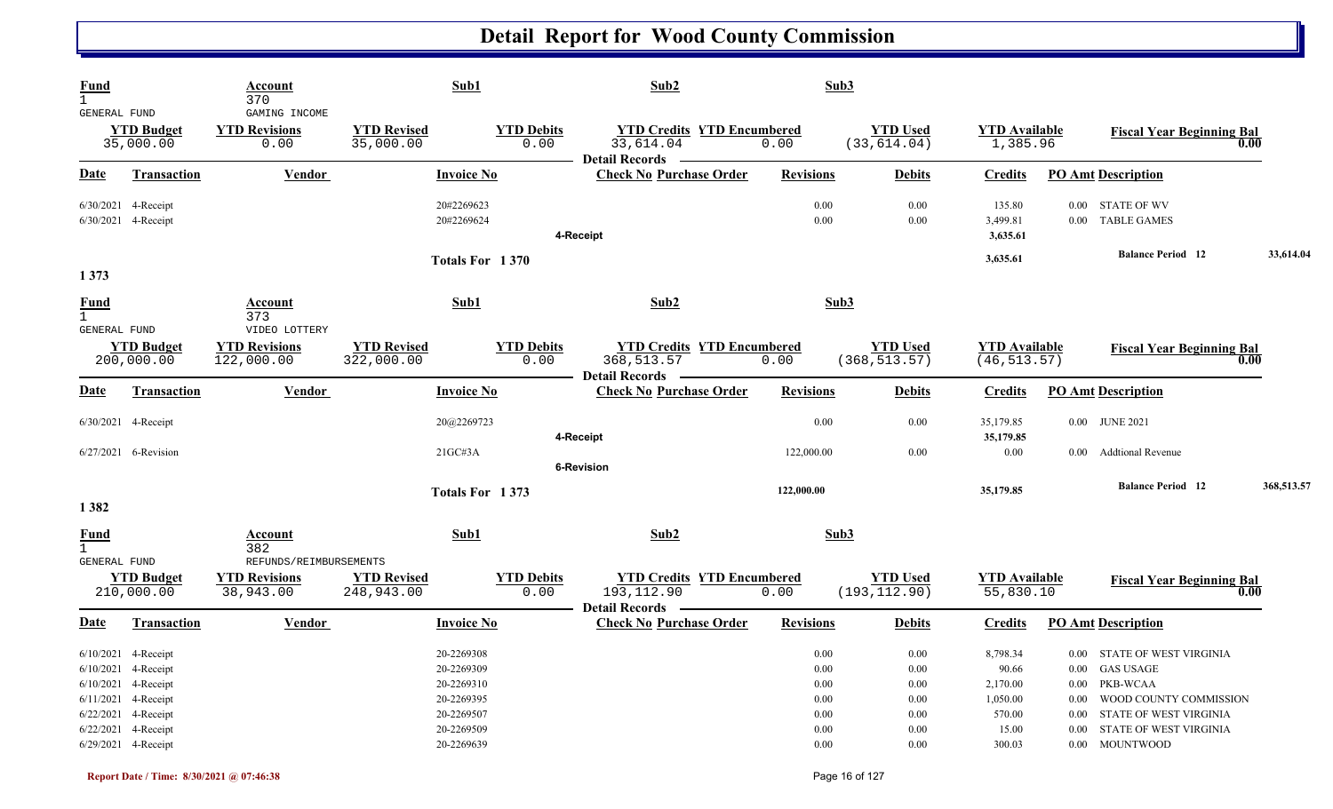| <b>Fund</b><br>$\mathbf{1}$                 |                                                                                                                                                                   | Account<br>370                                |                                  | Sub1                                                                                           | Sub2                                                                     | Sub3                                                                 |                                                                                  |                                                                        |                                                                                                                                                                                      |            |
|---------------------------------------------|-------------------------------------------------------------------------------------------------------------------------------------------------------------------|-----------------------------------------------|----------------------------------|------------------------------------------------------------------------------------------------|--------------------------------------------------------------------------|----------------------------------------------------------------------|----------------------------------------------------------------------------------|------------------------------------------------------------------------|--------------------------------------------------------------------------------------------------------------------------------------------------------------------------------------|------------|
| GENERAL FUND                                | <b>YTD Budget</b><br>35,000.00                                                                                                                                    | GAMING INCOME<br><b>YTD Revisions</b><br>0.00 | <b>YTD Revised</b><br>35,000.00  | <b>YTD Debits</b><br>0.00                                                                      | <b>YTD Credits YTD Encumbered</b><br>33,614.04<br><b>Detail Records</b>  | 0.00                                                                 | <b>YTD Used</b><br>(33, 614.04)                                                  | <b>YTD Available</b><br>1,385.96                                       | <b>Fiscal Year Beginning Bal</b>                                                                                                                                                     | 0.00       |
| <u>Date</u>                                 | <b>Transaction</b>                                                                                                                                                | <b>Vendor</b>                                 |                                  | <b>Invoice No</b>                                                                              | <b>Check No Purchase Order</b>                                           | <b>Revisions</b>                                                     | <b>Debits</b>                                                                    | <b>Credits</b>                                                         | <b>PO Amt Description</b>                                                                                                                                                            |            |
|                                             | 6/30/2021 4-Receipt<br>6/30/2021 4-Receipt                                                                                                                        |                                               |                                  | 20#2269623<br>20#2269624                                                                       | 4-Receipt                                                                | 0.00<br>0.00                                                         | 0.00<br>0.00                                                                     | 135.80<br>3,499.81<br>3,635.61                                         | STATE OF WV<br>$0.00\,$<br><b>TABLE GAMES</b><br>$0.00\,$                                                                                                                            |            |
|                                             |                                                                                                                                                                   |                                               |                                  | Totals For 1370                                                                                |                                                                          |                                                                      |                                                                                  | 3,635.61                                                               | <b>Balance Period</b> 12                                                                                                                                                             | 33,614.04  |
| 1 3 7 3                                     |                                                                                                                                                                   |                                               |                                  |                                                                                                |                                                                          |                                                                      |                                                                                  |                                                                        |                                                                                                                                                                                      |            |
| <b>Fund</b><br>$\mathbf{1}$<br>GENERAL FUND |                                                                                                                                                                   | <b>Account</b><br>373<br>VIDEO LOTTERY        |                                  | Sub1                                                                                           | Sub2                                                                     | Sub3                                                                 |                                                                                  |                                                                        |                                                                                                                                                                                      |            |
|                                             | <b>YTD Budget</b><br>200,000.00                                                                                                                                   | <b>YTD Revisions</b><br>122,000.00            | <b>YTD Revised</b><br>322,000.00 | <b>YTD Debits</b><br>0.00                                                                      | <b>YTD Credits YTD Encumbered</b><br>368,513.57<br><b>Detail Records</b> | 0.00                                                                 | <b>YTD Used</b><br>(368, 513.57)                                                 | <b>YTD Available</b><br>(46, 513.57)                                   | <b>Fiscal Year Beginning Bal</b>                                                                                                                                                     | 0.00       |
| Date                                        | <b>Transaction</b>                                                                                                                                                | <b>Vendor</b>                                 |                                  | <b>Invoice No</b>                                                                              | <b>Check No Purchase Order</b>                                           | <b>Revisions</b>                                                     | <b>Debits</b>                                                                    | <b>Credits</b>                                                         | <b>PO Amt Description</b>                                                                                                                                                            |            |
|                                             | 6/30/2021 4-Receipt                                                                                                                                               |                                               |                                  | 20@2269723                                                                                     |                                                                          | 0.00                                                                 | 0.00                                                                             | 35,179.85                                                              | 0.00 JUNE 2021                                                                                                                                                                       |            |
|                                             | 6/27/2021 6-Revision                                                                                                                                              |                                               |                                  | 21GCH3A                                                                                        | 4-Receipt<br>6-Revision                                                  | 122,000.00                                                           | 0.00                                                                             | 35,179.85<br>$0.00\,$                                                  | <b>Addtional Revenue</b><br>0.00                                                                                                                                                     |            |
|                                             |                                                                                                                                                                   |                                               |                                  | Totals For 1373                                                                                |                                                                          | 122,000.00                                                           |                                                                                  | 35,179.85                                                              | <b>Balance Period 12</b>                                                                                                                                                             | 368,513.57 |
| 1382                                        |                                                                                                                                                                   |                                               |                                  |                                                                                                |                                                                          |                                                                      |                                                                                  |                                                                        |                                                                                                                                                                                      |            |
| <b>Fund</b><br>$\mathbf{1}$<br>GENERAL FUND |                                                                                                                                                                   | Account<br>382<br>REFUNDS/REIMBURSEMENTS      |                                  | Sub1                                                                                           | Sub2                                                                     | Sub3                                                                 |                                                                                  |                                                                        |                                                                                                                                                                                      |            |
|                                             | <b>YTD Budget</b><br>210,000.00                                                                                                                                   | <b>YTD Revisions</b><br>38,943.00             | <b>YTD Revised</b><br>248,943.00 | <b>YTD Debits</b><br>0.00                                                                      | <b>YTD Credits YTD Encumbered</b><br>193, 112.90<br>Detail Records ————  | 0.00                                                                 | <b>YTD Used</b><br>(193, 112.90)                                                 | <b>YTD Available</b><br>55,830.10                                      | <b>Fiscal Year Beginning Bal</b>                                                                                                                                                     | 0.00       |
| <b>Date</b>                                 | <b>Transaction</b>                                                                                                                                                | <b>Vendor</b>                                 |                                  | <b>Invoice No</b>                                                                              | <b>Check No Purchase Order</b>                                           | <b>Revisions</b>                                                     | <b>Debits</b>                                                                    | <b>Credits</b>                                                         | <b>PO Amt Description</b>                                                                                                                                                            |            |
|                                             | $6/10/2021$ 4-Receipt<br>$6/10/2021$ 4-Receipt<br>6/10/2021 4-Receipt<br>6/11/2021 4-Receipt<br>6/22/2021 4-Receipt<br>6/22/2021 4-Receipt<br>6/29/2021 4-Receipt |                                               |                                  | 20-2269308<br>20-2269309<br>20-2269310<br>20-2269395<br>20-2269507<br>20-2269509<br>20-2269639 |                                                                          | 0.00<br>0.00<br>$0.00\,$<br>$0.00\,$<br>$0.00\,$<br>0.00<br>$0.00\,$ | $0.00\,$<br>$0.00\,$<br>$0.00\,$<br>$0.00\,$<br>$0.00\,$<br>$0.00\,$<br>$0.00\,$ | 8,798.34<br>90.66<br>2,170.00<br>1,050.00<br>570.00<br>15.00<br>300.03 | 0.00 STATE OF WEST VIRGINIA<br>0.00 GAS USAGE<br>0.00 PKB-WCAA<br>0.00 WOOD COUNTY COMMISSION<br>0.00 STATE OF WEST VIRGINIA<br>STATE OF WEST VIRGINIA<br>$0.00\,$<br>0.00 MOUNTWOOD |            |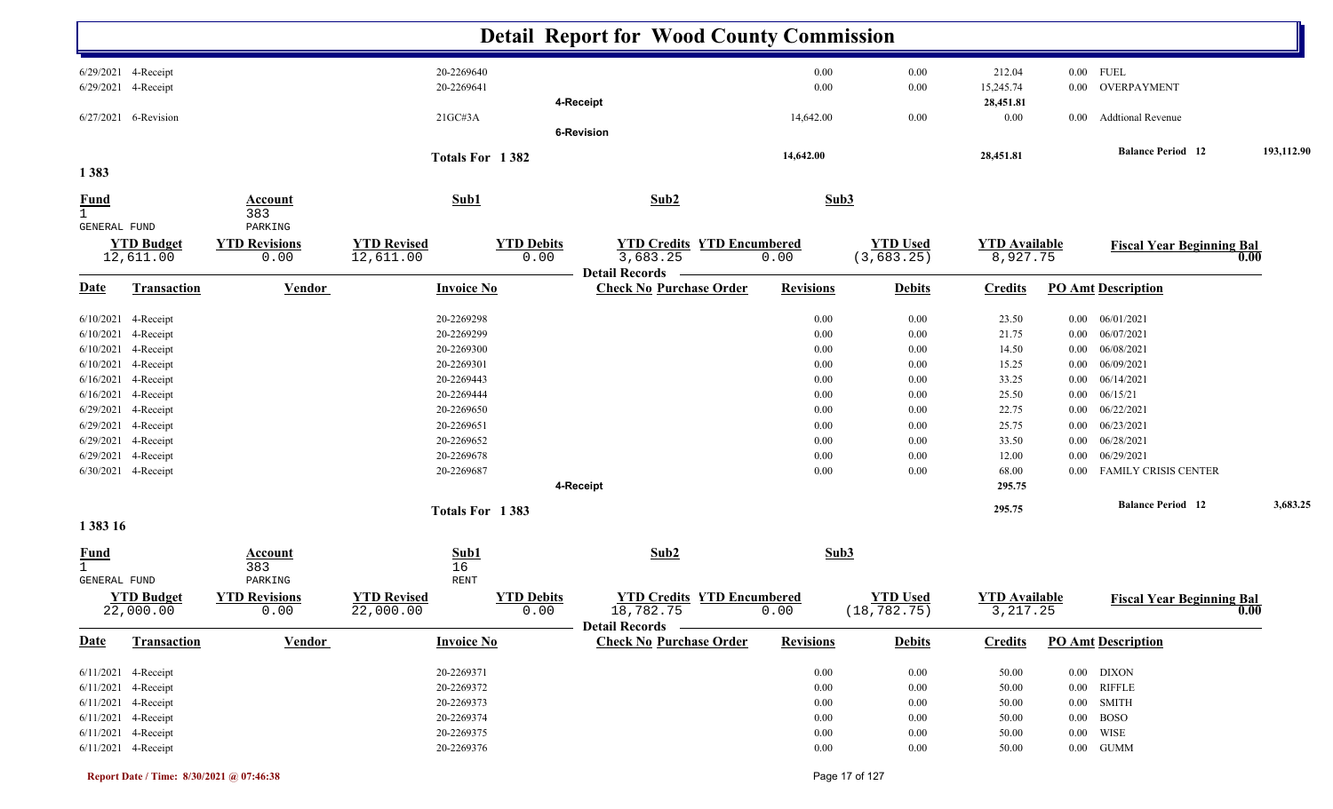|                                             |                                            |                                  |                                 |                           | <b>Detail Report for Wood County Commission</b>                       |                  |                                 |                                   |          |                                  |            |
|---------------------------------------------|--------------------------------------------|----------------------------------|---------------------------------|---------------------------|-----------------------------------------------------------------------|------------------|---------------------------------|-----------------------------------|----------|----------------------------------|------------|
|                                             | 6/29/2021 4-Receipt<br>6/29/2021 4-Receipt |                                  | 20-2269640<br>20-2269641        |                           |                                                                       | 0.00<br>0.00     | 0.00<br>0.00                    | 212.04<br>15,245.74               | $0.00\,$ | $0.00$ FUEL<br>OVERPAYMENT       |            |
|                                             |                                            |                                  |                                 |                           | 4-Receipt                                                             |                  |                                 | 28,451.81                         |          |                                  |            |
|                                             | 6/27/2021 6-Revision                       |                                  | 21GC#3A                         |                           |                                                                       | 14,642.00        | 0.00                            | $0.00\,$                          | $0.00\,$ | <b>Addtional Revenue</b>         |            |
|                                             |                                            |                                  |                                 |                           | <b>6-Revision</b>                                                     |                  |                                 |                                   |          |                                  |            |
|                                             |                                            |                                  |                                 | Totals For 1382           |                                                                       | 14,642.00        |                                 | 28,451.81                         |          | <b>Balance Period</b> 12         | 193,112.90 |
| 1383                                        |                                            |                                  |                                 |                           |                                                                       |                  |                                 |                                   |          |                                  |            |
| <b>Fund</b><br>$\mathbf{1}$<br>GENERAL FUND |                                            | <b>Account</b><br>383<br>PARKING | Sub1                            |                           | Sub2                                                                  | Sub3             |                                 |                                   |          |                                  |            |
|                                             | <b>YTD Budget</b>                          | <b>YTD Revisions</b>             | <b>YTD Revised</b>              | <b>YTD Debits</b>         | <b>YTD Credits YTD Encumbered</b>                                     |                  | <b>YTD Used</b>                 | <b>YTD Available</b>              |          | <b>Fiscal Year Beginning Bal</b> |            |
|                                             | 12,611.00                                  | 0.00                             | 12,611.00                       | 0.00                      | 3,683.25                                                              | 0.00             | (3,683.25)                      | 8,927.75                          |          |                                  | 0.00       |
| <u>Date</u>                                 | <b>Transaction</b>                         | <b>Vendor</b>                    | <b>Invoice No</b>               |                           | <b>Detail Records</b><br><b>Check No Purchase Order</b>               | <b>Revisions</b> | <b>Debits</b>                   | <b>Credits</b>                    |          | <b>PO Amt Description</b>        |            |
| 6/10/2021                                   | 4-Receipt                                  |                                  | 20-2269298                      |                           |                                                                       | 0.00             | 0.00                            | 23.50                             | $0.00\,$ | 06/01/2021                       |            |
| 6/10/2021                                   | 4-Receipt                                  |                                  | 20-2269299                      |                           |                                                                       | 0.00             | 0.00                            | 21.75                             | $0.00\,$ | 06/07/2021                       |            |
| 6/10/2021                                   | 4-Receipt                                  |                                  | 20-2269300                      |                           |                                                                       | 0.00             | 0.00                            | 14.50                             | $0.00\,$ | 06/08/2021                       |            |
| 6/10/2021                                   | 4-Receipt                                  |                                  | 20-2269301                      |                           |                                                                       | 0.00             | 0.00                            | 15.25                             | $0.00\,$ | 06/09/2021                       |            |
| 6/16/2021                                   | 4-Receipt                                  |                                  | 20-2269443                      |                           |                                                                       | 0.00             | 0.00                            | 33.25                             | $0.00\,$ | 06/14/2021                       |            |
|                                             | 6/16/2021 4-Receipt                        |                                  | 20-2269444                      |                           |                                                                       | 0.00             | 0.00                            | 25.50                             | $0.00\,$ | 06/15/21                         |            |
| 6/29/2021 4-Receipt                         |                                            |                                  | 20-2269650                      |                           |                                                                       | 0.00             | 0.00                            | 22.75                             | $0.00\,$ | 06/22/2021                       |            |
| 6/29/2021 4-Receipt                         |                                            |                                  | 20-2269651                      |                           |                                                                       | 0.00             | 0.00                            | 25.75                             | $0.00\,$ | 06/23/2021                       |            |
|                                             | 6/29/2021 4-Receipt                        |                                  | 20-2269652                      |                           |                                                                       | 0.00             | 0.00                            | 33.50                             | $0.00\,$ | 06/28/2021                       |            |
| 6/29/2021                                   | 4-Receipt                                  |                                  | 20-2269678                      |                           |                                                                       | 0.00             | 0.00                            | 12.00                             | $0.00\,$ | 06/29/2021                       |            |
|                                             | 6/30/2021 4-Receipt                        |                                  | 20-2269687                      |                           |                                                                       | 0.00             | 0.00                            | 68.00                             |          | 0.00 FAMILY CRISIS CENTER        |            |
|                                             |                                            |                                  |                                 |                           | 4-Receipt                                                             |                  |                                 | 295.75                            |          |                                  |            |
| 1 383 16                                    |                                            |                                  |                                 | Totals For 1383           |                                                                       |                  |                                 | 295.75                            |          | <b>Balance Period</b> 12         | 3,683.25   |
| <u>Fund</u>                                 |                                            | Account                          | Sub1                            |                           | Sub2                                                                  | Sub3             |                                 |                                   |          |                                  |            |
| $\mathbf{1}$                                |                                            | 383                              | 16                              |                           |                                                                       |                  |                                 |                                   |          |                                  |            |
| GENERAL FUND                                |                                            | PARKING                          | RENT                            |                           |                                                                       |                  |                                 |                                   |          |                                  |            |
|                                             | <b>YTD Budget</b><br>22,000.00             | <b>YTD Revisions</b><br>0.00     | <b>YTD Revised</b><br>22,000.00 | <b>YTD Debits</b><br>0.00 | <b>YTD Credits YTD Encumbered</b><br>18,782.75<br>Detail Records ———— | 0.00             | <b>YTD Used</b><br>(18, 782.75) | <b>YTD Available</b><br>3, 217.25 |          | <b>Fiscal Year Beginning Bal</b> | 0.00       |
| <b>Date</b>                                 | <b>Transaction</b>                         | <b>Vendor</b>                    | <b>Invoice No</b>               |                           | <b>Check No Purchase Order</b>                                        | <b>Revisions</b> | <b>Debits</b>                   | <b>Credits</b>                    |          | <b>PO Amt Description</b>        |            |
|                                             | $6/11/2021$ 4-Receipt                      |                                  | 20-2269371                      |                           |                                                                       | $0.00\,$         | 0.00                            | 50.00                             |          | $0.00$ DIXON                     |            |
|                                             | 6/11/2021 4-Receipt                        |                                  | 20-2269372                      |                           |                                                                       | $0.00\,$         | 0.00                            | 50.00                             |          | $0.00$ RIFFLE                    |            |
|                                             | 6/11/2021 4-Receipt                        |                                  | 20-2269373                      |                           |                                                                       | $0.00\,$         | 0.00                            | 50.00                             |          | 0.00 SMITH                       |            |
|                                             | 6/11/2021 4-Receipt                        |                                  | 20-2269374                      |                           |                                                                       | $0.00\,$         | 0.00                            | 50.00                             |          | $0.00$ BOSO                      |            |
|                                             | 6/11/2021 4-Receipt                        |                                  | 20-2269375                      |                           |                                                                       | $0.00\,$         | $0.00\,$                        | 50.00                             |          | $0.00$ WISE                      |            |
|                                             | 6/11/2021 4-Receipt                        |                                  | 20-2269376                      |                           |                                                                       | $0.00\,$         | $0.00\,$                        | 50.00                             |          | $0.00\quad$ GUMM                 |            |
|                                             |                                            |                                  |                                 |                           |                                                                       |                  |                                 |                                   |          |                                  |            |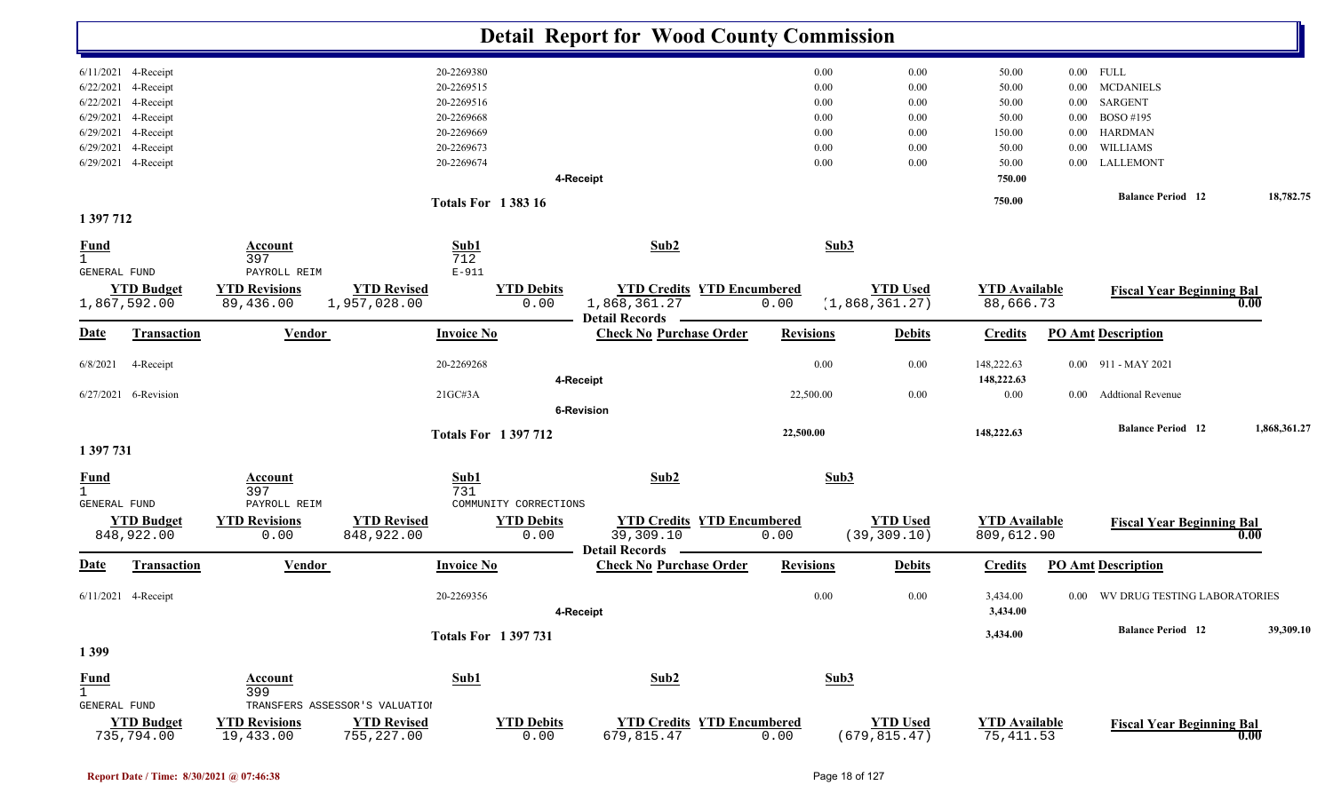|                               |                    |                      |                                |                           |                       | <b>Detail Report for Wood County Commission</b>         |                  |                |                 |                      |          |                                   |              |
|-------------------------------|--------------------|----------------------|--------------------------------|---------------------------|-----------------------|---------------------------------------------------------|------------------|----------------|-----------------|----------------------|----------|-----------------------------------|--------------|
| $6/11/2021$ 4-Receipt         |                    |                      |                                | 20-2269380                |                       |                                                         | 0.00             |                | 0.00            | 50.00                |          | $0.00$ FULL                       |              |
| 6/22/2021                     | 4-Receipt          |                      |                                | 20-2269515                |                       |                                                         |                  | 0.00           | 0.00            | 50.00                | $0.00\,$ | <b>MCDANIELS</b>                  |              |
| 6/22/2021                     | 4-Receipt          |                      |                                | 20-2269516                |                       |                                                         |                  | 0.00           | 0.00            | 50.00                | $0.00\,$ | SARGENT                           |              |
| 6/29/2021 4-Receipt           |                    |                      |                                | 20-2269668                |                       |                                                         |                  | 0.00           | 0.00            | 50.00                | 0.00     | BOSO #195                         |              |
| 6/29/2021 4-Receipt           |                    |                      |                                | 20-2269669                |                       |                                                         |                  | 0.00           | 0.00            | 150.00               | $0.00\,$ | <b>HARDMAN</b>                    |              |
| 6/29/2021                     | 4-Receipt          |                      |                                | 20-2269673                |                       |                                                         |                  | 0.00           | 0.00            | 50.00                | 0.00     | WILLIAMS                          |              |
| 6/29/2021 4-Receipt           |                    |                      |                                | 20-2269674                |                       |                                                         |                  | 0.00           | 0.00            | 50.00                |          | 0.00 LALLEMONT                    |              |
|                               |                    |                      |                                |                           | 4-Receipt             |                                                         |                  |                |                 | 750.00               |          |                                   |              |
|                               |                    |                      |                                | <b>Totals For 138316</b>  |                       |                                                         |                  |                |                 | 750.00               |          | <b>Balance Period</b> 12          | 18,782.75    |
| 1 397 712                     |                    |                      |                                |                           |                       |                                                         |                  |                |                 |                      |          |                                   |              |
| <b>Fund</b>                   |                    | Account              |                                | Sub1                      |                       | Sub2                                                    |                  | Sub3           |                 |                      |          |                                   |              |
| $\mathbf{1}$                  |                    | 397                  |                                | 712                       |                       |                                                         |                  |                |                 |                      |          |                                   |              |
| GENERAL FUND                  |                    | PAYROLL REIM         |                                | $E-911$                   |                       |                                                         |                  |                |                 |                      |          |                                   |              |
|                               | <b>YTD Budget</b>  | <b>YTD Revisions</b> | <b>YTD Revised</b>             |                           | <b>YTD Debits</b>     | <b>YTD Credits YTD Encumbered</b>                       |                  |                | <b>YTD Used</b> | <b>YTD Available</b> |          | <b>Fiscal Year Beginning Bal</b>  |              |
| 1,867,592.00                  |                    | 89,436.00            | 1,957,028.00                   |                           | 0.00                  | 1,868,361.27                                            | 0.00             | (1,868,361.27) |                 | 88,666.73            |          |                                   | 0.00         |
| <b>Date</b>                   | <b>Transaction</b> | <b>Vendor</b>        |                                | <b>Invoice No</b>         |                       | <b>Detail Records</b><br><b>Check No Purchase Order</b> | <b>Revisions</b> |                | <b>Debits</b>   | <b>Credits</b>       |          | <b>PO Amt Description</b>         |              |
|                               |                    |                      |                                |                           |                       |                                                         |                  |                |                 |                      |          |                                   |              |
| 6/8/2021                      | 4-Receipt          |                      |                                | 20-2269268                |                       |                                                         | 0.00             |                | 0.00            | 148,222.63           |          | $0.00$ 911 - MAY 2021             |              |
|                               |                    |                      |                                |                           | 4-Receipt             |                                                         |                  |                |                 | 148,222.63           |          |                                   |              |
| 6/27/2021 6-Revision          |                    |                      |                                | 21GCH3A                   |                       |                                                         | 22,500.00        |                | 0.00            | $0.00\,$             | $0.00\,$ | <b>Addtional Revenue</b>          |              |
|                               |                    |                      |                                |                           | <b>6-Revision</b>     |                                                         |                  |                |                 |                      |          |                                   |              |
|                               |                    |                      |                                | <b>Totals For 1397712</b> |                       |                                                         | 22,500.00        |                |                 | 148,222.63           |          | <b>Balance Period 12</b>          | 1,868,361.27 |
| 1 397 731                     |                    |                      |                                |                           |                       |                                                         |                  |                |                 |                      |          |                                   |              |
| <b>Fund</b>                   |                    | <b>Account</b>       |                                | Sub1                      |                       | Sub2                                                    |                  | Sub3           |                 |                      |          |                                   |              |
| $\mathbf{1}$                  |                    | 397                  |                                | 731                       |                       |                                                         |                  |                |                 |                      |          |                                   |              |
| GENERAL FUND                  |                    | PAYROLL REIM         |                                |                           | COMMUNITY CORRECTIONS |                                                         |                  |                |                 |                      |          |                                   |              |
|                               | <b>YTD Budget</b>  | <b>YTD Revisions</b> | <b>YTD Revised</b>             |                           | <b>YTD Debits</b>     | <b>YTD Credits YTD Encumbered</b>                       |                  |                | <b>YTD Used</b> | <b>YTD</b> Available |          | <b>Fiscal Year Beginning Bal</b>  |              |
|                               | 848,922.00         | 0.00                 | 848,922.00                     |                           | 0.00                  | 39,309.10                                               | 0.00             | (39, 309.10)   |                 | 809,612.90           |          |                                   | 0.00         |
| <u>Date</u>                   | <b>Transaction</b> | <b>Vendor</b>        |                                | <b>Invoice No</b>         |                       | <b>Detail Records</b><br><b>Check No Purchase Order</b> | <b>Revisions</b> |                | <b>Debits</b>   | <b>Credits</b>       |          | <b>PO Amt Description</b>         |              |
|                               |                    |                      |                                |                           |                       |                                                         |                  |                |                 |                      |          |                                   |              |
| 6/11/2021 4-Receipt           |                    |                      |                                | 20-2269356                |                       |                                                         | 0.00             |                | 0.00            | 3,434.00             |          | 0.00 WV DRUG TESTING LABORATORIES |              |
|                               |                    |                      |                                |                           | 4-Receipt             |                                                         |                  |                |                 | 3,434.00             |          |                                   |              |
|                               |                    |                      |                                | <b>Totals For 1397731</b> |                       |                                                         |                  |                |                 | 3,434.00             |          | <b>Balance Period</b> 12          | 39,309.10    |
| 1399                          |                    |                      |                                |                           |                       |                                                         |                  |                |                 |                      |          |                                   |              |
|                               |                    |                      |                                |                           |                       | Sub2                                                    |                  | Sub3           |                 |                      |          |                                   |              |
| <b>Fund</b><br>$\overline{1}$ |                    | Account<br>399       |                                | Sub1                      |                       |                                                         |                  |                |                 |                      |          |                                   |              |
| GENERAL FUND                  |                    |                      | TRANSFERS ASSESSOR'S VALUATION |                           |                       |                                                         |                  |                |                 |                      |          |                                   |              |
|                               | <b>YTD Budget</b>  | <b>YTD Revisions</b> | <b>YTD Revised</b>             |                           | <b>YTD Debits</b>     | <b>YTD Credits YTD Encumbered</b>                       |                  |                | <b>YTD</b> Used | <b>YTD</b> Available |          | <b>Fiscal Year Beginning Bal</b>  |              |
|                               | 735,794.00         | 19,433.00            | 755, 227.00                    |                           | 0.00                  | 679,815.47                                              | 0.00             | (679, 815.47)  |                 | 75, 411.53           |          |                                   | 0.00         |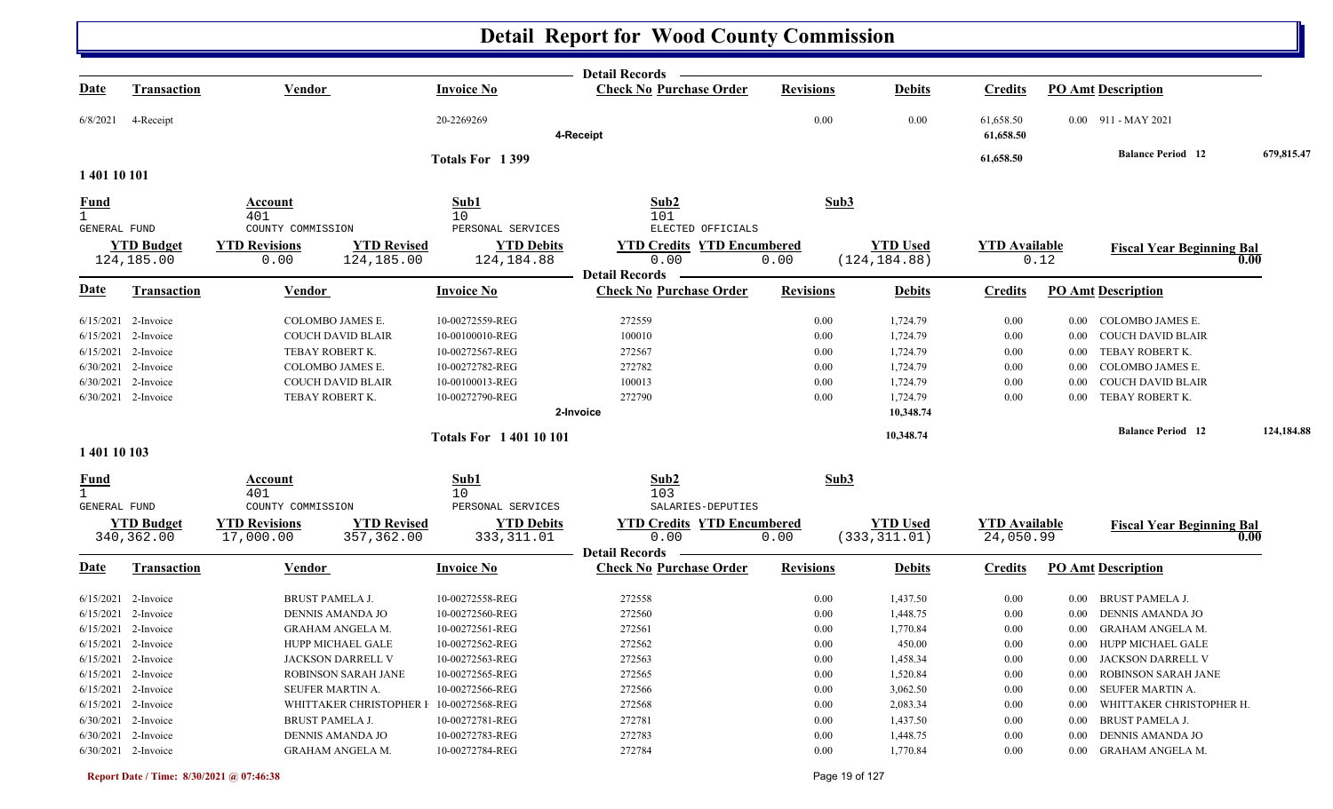|                     |                                 |                                                                       |                                  | Detail Records -                                        |                  |                                  |                                   |          |                                  |             |
|---------------------|---------------------------------|-----------------------------------------------------------------------|----------------------------------|---------------------------------------------------------|------------------|----------------------------------|-----------------------------------|----------|----------------------------------|-------------|
| <u>Date</u>         | <b>Transaction</b>              | <b>Vendor</b>                                                         | <b>Invoice No</b>                | <b>Check No Purchase Order</b>                          | <b>Revisions</b> | <b>Debits</b>                    | <b>Credits</b>                    |          | <b>PO Amt Description</b>        |             |
| 6/8/2021            | 4-Receipt                       |                                                                       | 20-2269269                       |                                                         | 0.00             | 0.00                             | 61,658.50                         |          | $0.00$ 911 - MAY 2021            |             |
|                     |                                 |                                                                       |                                  | 4-Receipt                                               |                  |                                  | 61,658.50                         |          |                                  |             |
|                     |                                 |                                                                       | Totals For 1399                  |                                                         |                  |                                  | 61,658.50                         |          | <b>Balance Period 12</b>         | 679,815.47  |
| 1 401 10 101        |                                 |                                                                       |                                  |                                                         |                  |                                  |                                   |          |                                  |             |
| <u>Fund</u>         |                                 | Account                                                               | Sub1                             | Sub2                                                    | Sub3             |                                  |                                   |          |                                  |             |
| $\mathbf{1}$        |                                 | 401                                                                   | 10                               | 101                                                     |                  |                                  |                                   |          |                                  |             |
| GENERAL FUND        |                                 | COUNTY COMMISSION                                                     | PERSONAL SERVICES                | ELECTED OFFICIALS                                       |                  |                                  |                                   |          |                                  |             |
|                     | <b>YTD Budget</b>               | <b>YTD Revisions</b><br><b>YTD Revised</b>                            | <b>YTD Debits</b>                | <b>YTD Credits YTD Encumbered</b>                       |                  | <b>YTD Used</b>                  | <b>YTD Available</b>              |          | <b>Fiscal Year Beginning Bal</b> |             |
|                     | 124,185.00                      | 0.00<br>124,185.00                                                    | 124,184.88                       | 0.00                                                    | 0.00             | (124, 184.88)                    |                                   | 0.12     |                                  | 0.00        |
|                     |                                 |                                                                       |                                  | <b>Detail Records</b>                                   |                  |                                  |                                   |          |                                  |             |
| <b>Date</b>         | <b>Transaction</b>              | Vendor                                                                | <b>Invoice No</b>                | <b>Check No Purchase Order</b>                          | <b>Revisions</b> | <b>Debits</b>                    | <b>Credits</b>                    |          | <b>PO Amt Description</b>        |             |
|                     | $6/15/2021$ 2-Invoice           | COLOMBO JAMES E.                                                      | 10-00272559-REG                  | 272559                                                  | 0.00             | 1,724.79                         | 0.00                              | $0.00\,$ | COLOMBO JAMES E.                 |             |
|                     | 6/15/2021 2-Invoice             | <b>COUCH DAVID BLAIR</b>                                              | 10-00100010-REG                  | 100010                                                  | 0.00             | 1,724.79                         | 0.00                              | $0.00\,$ | <b>COUCH DAVID BLAIR</b>         |             |
|                     | 6/15/2021 2-Invoice             | TEBAY ROBERT K.                                                       | 10-00272567-REG                  | 272567                                                  | 0.00             | 1,724.79                         | 0.00                              | $0.00\,$ | TEBAY ROBERT K.                  |             |
|                     | 6/30/2021 2-Invoice             | COLOMBO JAMES E.                                                      | 10-00272782-REG                  | 272782                                                  | 0.00             | 1,724.79                         | 0.00                              | $0.00\,$ | COLOMBO JAMES E.                 |             |
|                     | 6/30/2021 2-Invoice             | COUCH DAVID BLAIR                                                     | 10-00100013-REG                  | 100013                                                  | 0.00             | 1,724.79                         | 0.00                              | 0.00     | <b>COUCH DAVID BLAIR</b>         |             |
|                     | 6/30/2021 2-Invoice             | TEBAY ROBERT K.                                                       | 10-00272790-REG                  | 272790                                                  | 0.00             | 1,724.79                         | 0.00                              | 0.00     | TEBAY ROBERT K.                  |             |
|                     |                                 |                                                                       |                                  | 2-Invoice                                               |                  | 10,348.74                        |                                   |          |                                  |             |
|                     |                                 |                                                                       | <b>Totals For 140110101</b>      |                                                         |                  | 10,348.74                        |                                   |          | <b>Balance Period 12</b>         | 124,184.88  |
| 1 401 10 103        |                                 |                                                                       |                                  |                                                         |                  |                                  |                                   |          |                                  |             |
| <b>Fund</b>         |                                 | Account                                                               | Sub1                             | Sub2                                                    | Sub3             |                                  |                                   |          |                                  |             |
| $\mathbf{1}$        |                                 | 401                                                                   | 10                               | 103                                                     |                  |                                  |                                   |          |                                  |             |
| <b>GENERAL FUND</b> |                                 | COUNTY COMMISSION                                                     | PERSONAL SERVICES                | SALARIES-DEPUTIES                                       |                  |                                  |                                   |          |                                  |             |
|                     | <b>YTD Budget</b><br>340,362.00 | <b>YTD Revised</b><br><b>YTD Revisions</b><br>357,362.00<br>17,000.00 | <b>YTD Debits</b><br>333, 311.01 | <b>YTD Credits YTD Encumbered</b><br>0.00               | 0.00             | <b>YTD Used</b><br>(333, 311.01) | <b>YTD Available</b><br>24,050.99 |          | <b>Fiscal Year Beginning Bal</b> | $\bf{0.00}$ |
| <u>Date</u>         | <b>Transaction</b>              | <b>Vendor</b>                                                         | <b>Invoice No</b>                | <b>Detail Records</b><br><b>Check No Purchase Order</b> | <b>Revisions</b> | <b>Debits</b>                    | <b>Credits</b>                    |          | <b>PO Amt Description</b>        |             |
|                     |                                 |                                                                       |                                  |                                                         |                  |                                  |                                   |          |                                  |             |
|                     | $6/15/2021$ 2-Invoice           | BRUST PAMELA J.                                                       | 10-00272558-REG                  | 272558                                                  | 0.00             | 1,437.50                         | 0.00                              | $0.00\,$ | <b>BRUST PAMELA J.</b>           |             |
|                     | 6/15/2021 2-Invoice             | DENNIS AMANDA JO                                                      | 10-00272560-REG                  | 272560                                                  | 0.00             | 1,448.75                         | 0.00                              | $0.00\,$ | DENNIS AMANDA JO                 |             |
|                     | $6/15/2021$ 2-Invoice           | <b>GRAHAM ANGELA M.</b>                                               | 10-00272561-REG                  | 272561                                                  | 0.00             | 1,770.84                         | 0.00                              | 0.00     | <b>GRAHAM ANGELA M.</b>          |             |
|                     | 6/15/2021 2-Invoice             | HUPP MICHAEL GALE                                                     | 10-00272562-REG                  | 272562                                                  | 0.00             | 450.00                           | 0.00                              |          | 0.00 HUPP MICHAEL GALE           |             |
|                     | 6/15/2021 2-Invoice             | JACKSON DARRELL V                                                     | 10-00272563-REG                  | 272563                                                  | $0.00\,$         | 1,458.34                         | 0.00                              |          | 0.00 JACKSON DARRELL V           |             |
|                     | $6/15/2021$ 2-Invoice           | ROBINSON SARAH JANE                                                   | 10-00272565-REG                  | 272565                                                  | 0.00             | 1,520.84                         | 0.00                              |          | 0.00 ROBINSON SARAH JANE         |             |
|                     | 6/15/2021 2-Invoice             | SEUFER MARTIN A.                                                      | 10-00272566-REG                  | 272566                                                  | 0.00             | 3,062.50                         | 0.00                              | $0.00\,$ | SEUFER MARTIN A.                 |             |
|                     | $6/15/2021$ 2-Invoice           | WHITTAKER CHRISTOPHER I 10-00272568-REG                               |                                  | 272568                                                  | 0.00             | 2,083.34                         | 0.00                              | $0.00\,$ | WHITTAKER CHRISTOPHER H.         |             |
|                     | 6/30/2021 2-Invoice             | BRUST PAMELA J.                                                       | 10-00272781-REG                  | 272781                                                  | 0.00             | 1,437.50                         | 0.00                              | $0.00\,$ | BRUST PAMELA J.                  |             |
|                     | $6/30/2021$ 2-Invoice           | DENNIS AMANDA JO                                                      | 10-00272783-REG                  | 272783                                                  | 0.00             | 1,448.75                         | 0.00                              | $0.00\,$ | DENNIS AMANDA JO                 |             |
|                     | 6/30/2021 2-Invoice             | <b>GRAHAM ANGELA M.</b>                                               | 10-00272784-REG                  | 272784                                                  | 0.00             | 1,770.84                         | 0.00                              |          | 0.00 GRAHAM ANGELA M.            |             |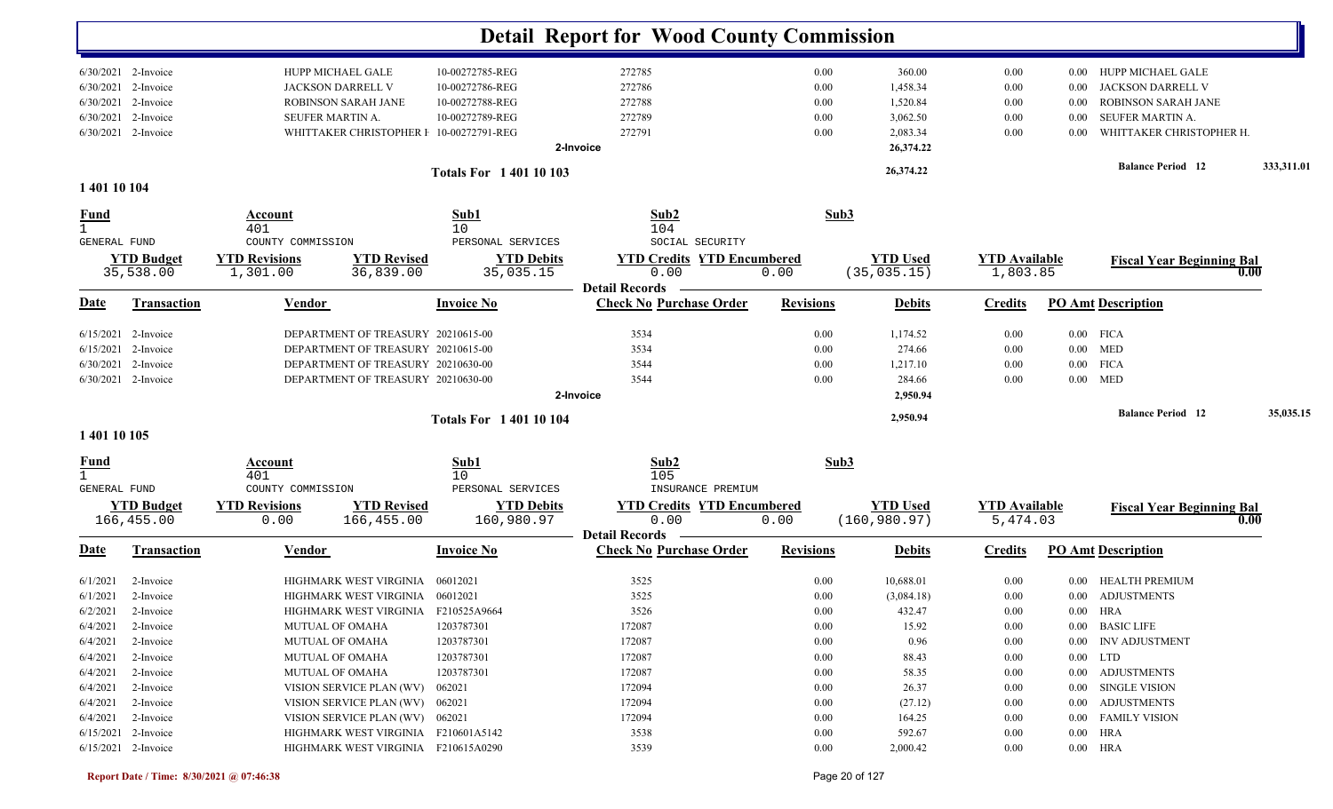|                             |                                  |                                           |                                                              | <b>Detail Report for Wood County Commission</b>         |                  |                    |                      |                                                            |            |
|-----------------------------|----------------------------------|-------------------------------------------|--------------------------------------------------------------|---------------------------------------------------------|------------------|--------------------|----------------------|------------------------------------------------------------|------------|
| 6/30/2021                   | 6/30/2021 2-Invoice<br>2-Invoice | HUPP MICHAEL GALE<br>JACKSON DARRELL V    | 10-00272785-REG<br>10-00272786-REG                           | 272785<br>272786                                        | 0.00<br>0.00     | 360.00<br>1,458.34 | 0.00<br>0.00         | HUPP MICHAEL GALE<br>$0.00\,$<br>JACKSON DARRELL V<br>0.00 |            |
| 6/30/2021                   | 2-Invoice                        | ROBINSON SARAH JANE                       | 10-00272788-REG                                              | 272788                                                  | 0.00             | 1,520.84           | 0.00                 | <b>ROBINSON SARAH JANE</b><br>0.00                         |            |
| 6/30/2021                   | 2-Invoice                        | <b>SEUFER MARTIN A</b>                    | 10-00272789-REG                                              | 272789                                                  | 0.00             | 3,062.50           | 0.00                 | SEUFER MARTIN A.<br>0.00                                   |            |
|                             | 6/30/2021 2-Invoice              |                                           | WHITTAKER CHRISTOPHER I 10-00272791-REG                      | 272791                                                  | 0.00             | 2,083.34           | 0.00                 | WHITTAKER CHRISTOPHER H.<br>0.00                           |            |
|                             |                                  |                                           |                                                              | 2-Invoice                                               |                  | 26,374.22          |                      |                                                            |            |
|                             |                                  |                                           | <b>Totals For 140110103</b>                                  |                                                         |                  | 26,374.22          |                      | <b>Balance Period</b> 12                                   | 333,311.01 |
| 1 401 10 104                |                                  |                                           |                                                              |                                                         |                  |                    |                      |                                                            |            |
| <u>Fund</u>                 |                                  | Account<br>401                            | Sub1<br>10                                                   | Sub2<br>104                                             | Sub3             |                    |                      |                                                            |            |
| <b>GENERAL FUND</b>         | <b>YTD Budget</b>                | COUNTY COMMISSION<br><b>YTD Revisions</b> | PERSONAL SERVICES<br><b>YTD Revised</b><br><b>YTD Debits</b> | SOCIAL SECURITY<br><b>YTD Credits YTD Encumbered</b>    |                  | <b>YTD Used</b>    | <b>YTD Available</b> | <b>Fiscal Year Beginning Bal</b>                           |            |
|                             | 35,538.00                        | 1,301.00                                  | 36,839.00<br>35,035.15                                       | 0.00                                                    | 0.00             | (35, 035.15)       | 1,803.85             |                                                            | 0.00       |
| <b>Date</b>                 | Transaction                      | <b>Vendor</b>                             | <b>Invoice No</b>                                            | <b>Detail Records</b><br><b>Check No Purchase Order</b> | <b>Revisions</b> | <b>Debits</b>      | <b>Credits</b>       | <b>PO Amt Description</b>                                  |            |
|                             |                                  |                                           |                                                              |                                                         |                  |                    |                      |                                                            |            |
| 6/15/2021                   | 2-Invoice                        |                                           | DEPARTMENT OF TREASURY 20210615-00                           | 3534                                                    | 0.00             | 1,174.52           | 0.00                 | $0.00$ FICA                                                |            |
| 6/15/2021                   | 2-Invoice                        |                                           | DEPARTMENT OF TREASURY 20210615-00                           | 3534                                                    | 0.00             | 274.66             | 0.00                 | $0.00$ MED                                                 |            |
| 6/30/2021                   | 2-Invoice                        |                                           | DEPARTMENT OF TREASURY 20210630-00                           | 3544                                                    | 0.00             | 1,217.10           | 0.00                 | <b>FICA</b><br>$0.00\,$                                    |            |
| 6/30/2021                   | 2-Invoice                        |                                           | DEPARTMENT OF TREASURY 20210630-00                           | 3544<br>2-Invoice                                       | 0.00             | 284.66<br>2,950.94 | 0.00                 | $0.00$ MED                                                 |            |
|                             |                                  |                                           |                                                              |                                                         |                  |                    |                      | <b>Balance Period 12</b>                                   | 35,035.15  |
| 1 401 10 105                |                                  |                                           | <b>Totals For 140110104</b>                                  |                                                         |                  | 2,950.94           |                      |                                                            |            |
| <u>Fund</u><br>$\mathbf{1}$ |                                  | Account<br>401                            | Sub1<br>10                                                   | Sub2<br>105                                             | Sub3             |                    |                      |                                                            |            |
| GENERAL FUND                |                                  | COUNTY COMMISSION                         | PERSONAL SERVICES                                            | INSURANCE PREMIUM                                       |                  |                    |                      |                                                            |            |
|                             | <b>YTD Budget</b>                | <b>YTD Revisions</b>                      | <b>YTD Revised</b><br><b>YTD Debits</b>                      | <b>YTD Credits YTD Encumbered</b>                       |                  | <b>YTD Used</b>    | <b>YTD Available</b> | <b>Fiscal Year Beginning Bal</b>                           |            |
|                             | 166,455.00                       | 0.00                                      | 166,455.00<br>160,980.97                                     | 0.00<br><b>Detail Records</b>                           | 0.00             | (160, 980.97)      | 5,474.03             |                                                            | 0.00       |
| <u>Date</u>                 | Transaction                      | <u>Vendor</u>                             | <b>Invoice No</b>                                            | <b>Check No Purchase Order</b>                          | <b>Revisions</b> | <b>Debits</b>      | <b>Credits</b>       | <b>PO Amt Description</b>                                  |            |
| 6/1/2021                    | 2-Invoice                        |                                           | HIGHMARK WEST VIRGINIA 06012021                              | 3525                                                    | 0.00             | 10,688.01          | 0.00                 | HEALTH PREMIUM<br>$0.00\,$                                 |            |
| 6/1/2021                    | 2-Invoice                        |                                           | HIGHMARK WEST VIRGINIA 06012021                              | 3525                                                    | 0.00             | (3,084.18)         | 0.00                 | 0.00 ADJUSTMENTS                                           |            |
|                             | 6/2/2021 2-Invoice               |                                           | HIGHMARK WEST VIRGINIA F210525A9664                          | 3526                                                    | $0.00\,$         | 432.47             | $0.00\,$             | $0.00$ HRA                                                 |            |
| 6/4/2021                    | 2-Invoice                        | <b>MUTUAL OF OMAHA</b>                    | 1203787301                                                   | 172087                                                  | $0.00\,$         | 15.92              | 0.00                 | 0.00 BASIC LIFE                                            |            |
| 6/4/2021                    | 2-Invoice                        | <b>MUTUAL OF OMAHA</b>                    | 1203787301                                                   | 172087                                                  | $0.00\,$         | 0.96               | 0.00                 | 0.00 INV ADJUSTMENT                                        |            |
| 6/4/2021                    | 2-Invoice                        | <b>MUTUAL OF OMAHA</b>                    | 1203787301                                                   | 172087                                                  | $0.00\,$         | 88.43              | 0.00                 | $0.00$ LTD                                                 |            |
| 6/4/2021                    | 2-Invoice                        | <b>MUTUAL OF OMAHA</b>                    | 1203787301                                                   | 172087                                                  | $0.00\,$         | 58.35              | $0.00\,$             | 0.00 ADJUSTMENTS                                           |            |
| 6/4/2021                    | 2-Invoice                        |                                           | VISION SERVICE PLAN (WV) 062021                              | 172094                                                  | 0.00             | 26.37              | 0.00                 | 0.00 SINGLE VISION                                         |            |
| 6/4/2021                    |                                  |                                           |                                                              |                                                         |                  |                    |                      |                                                            |            |
|                             | 2-Invoice                        |                                           | VISION SERVICE PLAN (WV) 062021                              | 172094                                                  | $0.00\,$         | (27.12)            | 0.00                 | 0.00 ADJUSTMENTS                                           |            |
| 6/4/2021                    | 2-Invoice                        |                                           | VISION SERVICE PLAN (WV) 062021                              | 172094                                                  | $0.00\,$         | 164.25             | 0.00                 | 0.00 FAMILY VISION                                         |            |
|                             | 6/15/2021 2-Invoice              |                                           | HIGHMARK WEST VIRGINIA F210601A5142                          | 3538                                                    | $0.00\,$         | 592.67             | $0.00\,$             | $0.00$ HRA                                                 |            |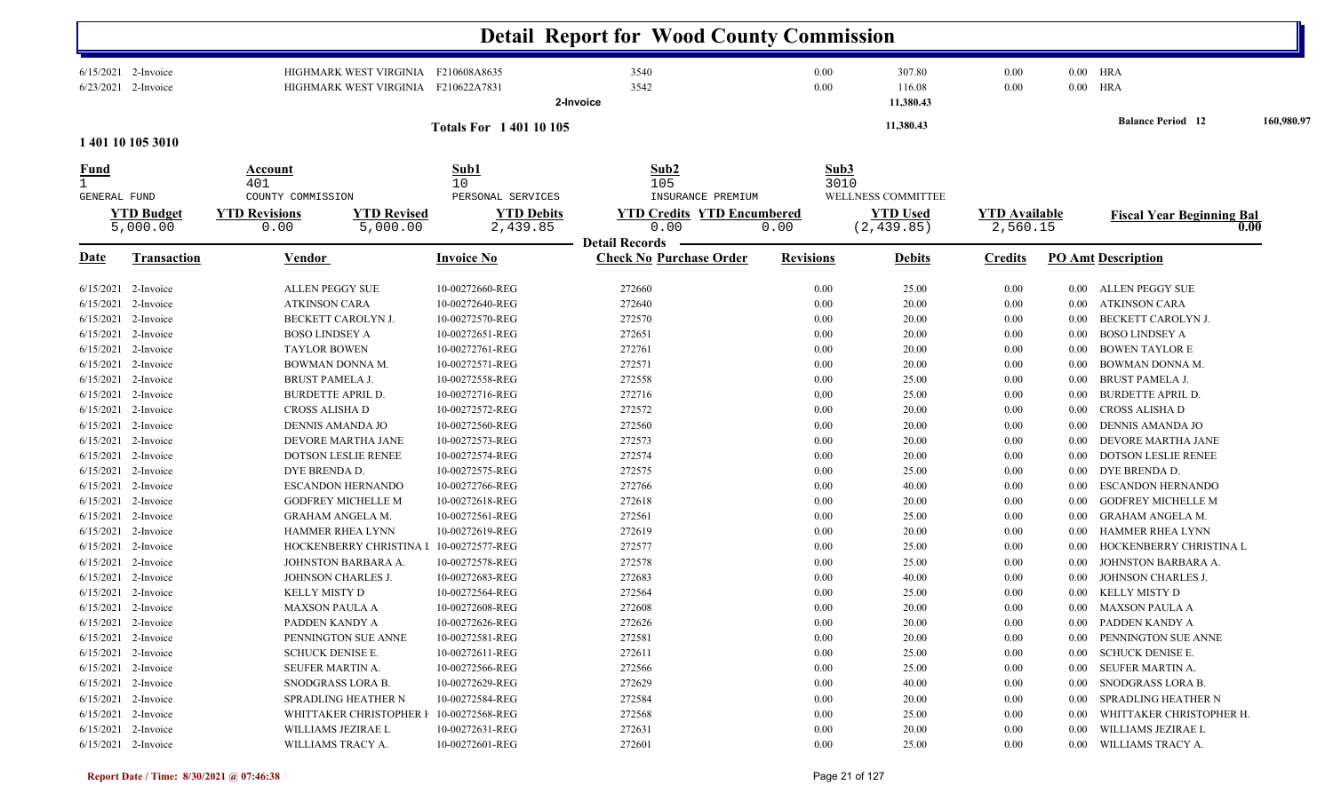|                                                                            |                                                                                                                                                                                                                                                                      |                                                                                                                                                                                                                                                                                                                                      |                                                                                                                                                                                                                                                                        | <b>Detail Report for Wood County Commission</b>                                                                                          |                                                                                                              |                                                                                                                            |                                                                                                              |                                                                                                                  |                                                                                                                                                                                                                                                                                                                                        |            |
|----------------------------------------------------------------------------|----------------------------------------------------------------------------------------------------------------------------------------------------------------------------------------------------------------------------------------------------------------------|--------------------------------------------------------------------------------------------------------------------------------------------------------------------------------------------------------------------------------------------------------------------------------------------------------------------------------------|------------------------------------------------------------------------------------------------------------------------------------------------------------------------------------------------------------------------------------------------------------------------|------------------------------------------------------------------------------------------------------------------------------------------|--------------------------------------------------------------------------------------------------------------|----------------------------------------------------------------------------------------------------------------------------|--------------------------------------------------------------------------------------------------------------|------------------------------------------------------------------------------------------------------------------|----------------------------------------------------------------------------------------------------------------------------------------------------------------------------------------------------------------------------------------------------------------------------------------------------------------------------------------|------------|
|                                                                            | 6/15/2021 2-Invoice<br>6/23/2021 2-Invoice                                                                                                                                                                                                                           | HIGHMARK WEST VIRGINIA F210608A8635<br>HIGHMARK WEST VIRGINIA F210622A7831                                                                                                                                                                                                                                                           |                                                                                                                                                                                                                                                                        | 3540<br>3542<br>2-Invoice                                                                                                                | 0.00<br>0.00                                                                                                 | 307.80<br>116.08<br>11,380.43                                                                                              | 0.00<br>0.00                                                                                                 | 0.00 HRA<br>$0.00$ HRA                                                                                           |                                                                                                                                                                                                                                                                                                                                        |            |
|                                                                            | 1 401 10 105 3010                                                                                                                                                                                                                                                    |                                                                                                                                                                                                                                                                                                                                      | <b>Totals For 140110105</b>                                                                                                                                                                                                                                            |                                                                                                                                          |                                                                                                              | 11,380.43                                                                                                                  |                                                                                                              |                                                                                                                  | <b>Balance Period 12</b>                                                                                                                                                                                                                                                                                                               | 160,980.97 |
| <u>Fund</u>                                                                |                                                                                                                                                                                                                                                                      | Account                                                                                                                                                                                                                                                                                                                              | Sub1                                                                                                                                                                                                                                                                   | Sub2                                                                                                                                     | Sub3                                                                                                         |                                                                                                                            |                                                                                                              |                                                                                                                  |                                                                                                                                                                                                                                                                                                                                        |            |
| $\mathbf{1}$<br><b>GENERAL FUND</b>                                        | <b>YTD Budget</b><br>5,000.00                                                                                                                                                                                                                                        | 401<br>COUNTY COMMISSION<br><b>YTD Revisions</b><br><b>YTD Revised</b><br>5,000.00<br>0.00                                                                                                                                                                                                                                           | 10<br>PERSONAL SERVICES<br><b>YTD Debits</b><br>2,439.85                                                                                                                                                                                                               | 105<br>INSURANCE PREMIUM<br><b>YTD Credits YTD Encumbered</b><br>0.00                                                                    | 0.00                                                                                                         | 3010<br>WELLNESS COMMITTEE<br><b>YTD Used</b><br>(2, 439.85)                                                               | <b>YTD Available</b><br>2,560.15                                                                             |                                                                                                                  | <b>Fiscal Year Beginning Bal</b>                                                                                                                                                                                                                                                                                                       | 0.00       |
| <u>Date</u>                                                                | <b>Transaction</b>                                                                                                                                                                                                                                                   | <b>Vendor</b>                                                                                                                                                                                                                                                                                                                        | <b>Invoice No</b>                                                                                                                                                                                                                                                      | <b>Detail Records</b><br><b>Check No Purchase Order</b>                                                                                  | <b>Revisions</b>                                                                                             | <b>Debits</b>                                                                                                              | <b>Credits</b>                                                                                               |                                                                                                                  | <b>PO</b> Amt Description                                                                                                                                                                                                                                                                                                              |            |
| 6/15/2021<br>6/15/2021<br>6/15/2021<br>6/15/2021<br>6/15/2021<br>6/15/2021 | $6/15/2021$ 2-Invoice<br>2-Invoice<br>2-Invoice<br>2-Invoice<br>2-Invoice<br>2-Invoice<br>6/15/2021 2-Invoice<br>6/15/2021 2-Invoice<br>6/15/2021 2-Invoice<br>6/15/2021 2-Invoice<br>6/15/2021 2-Invoice<br>6/15/2021 2-Invoice<br>6/15/2021 2-Invoice<br>2-Invoice | <b>ALLEN PEGGY SUE</b><br><b>ATKINSON CARA</b><br>BECKETT CAROLYN J.<br><b>BOSO LINDSEY A</b><br><b>TAYLOR BOWEN</b><br>BOWMAN DONNA M.<br><b>BRUST PAMELA J.</b><br><b>BURDETTE APRIL D.</b><br>CROSS ALISHA D<br>DENNIS AMANDA JO<br>DEVORE MARTHA JANE<br><b>DOTSON LESLIE RENEE</b><br>DYE BRENDA D.<br><b>ESCANDON HERNANDO</b> | 10-00272660-REG<br>10-00272640-REG<br>10-00272570-REG<br>10-00272651-REG<br>10-00272761-REG<br>10-00272571-REG<br>10-00272558-REG<br>10-00272716-REG<br>10-00272572-REG<br>10-00272560-REG<br>10-00272573-REG<br>10-00272574-REG<br>10-00272575-REG<br>10-00272766-REG | 272660<br>272640<br>272570<br>272651<br>272761<br>272571<br>272558<br>272716<br>272572<br>272560<br>272573<br>272574<br>272575<br>272766 | 0.00<br>0.00<br>0.00<br>0.00<br>0.00<br>0.00<br>0.00<br>0.00<br>0.00<br>0.00<br>0.00<br>0.00<br>0.00<br>0.00 | 25.00<br>20.00<br>20.00<br>20.00<br>20.00<br>20.00<br>25.00<br>25.00<br>20.00<br>20.00<br>20.00<br>20.00<br>25.00<br>40.00 | 0.00<br>0.00<br>0.00<br>0.00<br>0.00<br>0.00<br>0.00<br>0.00<br>0.00<br>0.00<br>0.00<br>0.00<br>0.00<br>0.00 | 0.00<br>0.00<br>0.00<br>0.00<br>0.00<br>0.00<br>0.00<br>0.00<br>0.00<br>$0.00\,$<br>0.00<br>0.00<br>0.00<br>0.00 | ALLEN PEGGY SUE<br><b>ATKINSON CARA</b><br>BECKETT CAROLYN J.<br><b>BOSO LINDSEY A</b><br><b>BOWEN TAYLOR E</b><br><b>BOWMAN DONNA M.</b><br><b>BRUST PAMELA J.</b><br><b>BURDETTE APRIL D.</b><br>CROSS ALISHA D<br>DENNIS AMANDA JO<br>DEVORE MARTHA JANE<br><b>DOTSON LESLIE RENEE</b><br>DYE BRENDA D.<br><b>ESCANDON HERNANDO</b> |            |
| 6/15/2021<br>6/15/2021<br>6/15/2021<br>6/15/2021<br>6/15/2021              | 2-Invoice<br>2-Invoice<br>2-Invoice<br>2-Invoice<br>2-Invoice<br>6/15/2021 2-Invoice<br>6/15/2021 2-Invoice                                                                                                                                                          | <b>GODFREY MICHELLE M</b><br><b>GRAHAM ANGELA M.</b><br><b>HAMMER RHEA LYNN</b><br>HOCKENBERRY CHRISTINA I<br>JOHNSTON BARBARA A.<br>JOHNSON CHARLES J.<br>KELLY MISTY D                                                                                                                                                             | 10-00272618-REG<br>10-00272561-REG<br>10-00272619-REG<br>10-00272577-REG<br>10-00272578-REG<br>10-00272683-REG<br>10-00272564-REG                                                                                                                                      | 272618<br>272561<br>272619<br>272577<br>272578<br>272683<br>272564<br>272608                                                             | 0.00<br>0.00<br>0.00<br>0.00<br>0.00<br>0.00<br>0.00<br>0.00                                                 | 20.00<br>25.00<br>20.00<br>25.00<br>25.00<br>40.00<br>25.00<br>20.00                                                       | 0.00<br>0.00<br>0.00<br>0.00<br>0.00<br>0.00<br>0.00<br>0.00                                                 | 0.00<br>0.00<br>0.00<br>0.00<br>0.00<br>0.00<br>0.00                                                             | <b>GODFREY MICHELLE M</b><br><b>GRAHAM ANGELA M.</b><br>HAMMER RHEA LYNN<br>HOCKENBERRY CHRISTINA L<br>JOHNSTON BARBARA A.<br>JOHNSON CHARLES J.<br>KELLY MISTY D                                                                                                                                                                      |            |
|                                                                            | 6/15/2021 2-Invoice<br>$6/15/2021$ 2-Invoice<br>$6/15/2021$ 2-Invoice<br>6/15/2021 2-Invoice<br>6/15/2021 2-Invoice<br>$6/15/2021$ 2-Invoice<br>$6/15/2021$ 2-Invoice                                                                                                | <b>MAXSON PAULA A</b><br>PADDEN KANDY A<br>PENNINGTON SUE ANNE<br><b>SCHUCK DENISE E.</b><br>SEUFER MARTIN A.<br>SNODGRASS LORA B.<br>SPRADLING HEATHER N                                                                                                                                                                            | 10-00272608-REG<br>10-00272626-REG<br>10-00272581-REG<br>10-00272611-REG<br>10-00272566-REG<br>10-00272629-REG<br>10-00272584-REG                                                                                                                                      | 272626<br>272581<br>272611<br>272566<br>272629<br>272584                                                                                 | 0.00<br>$0.00\,$<br>$0.00\,$<br>0.00<br>$0.00\,$<br>0.00                                                     | 20.00<br>20.00<br>25.00<br>25.00<br>40.00<br>20.00                                                                         | 0.00<br>0.00<br>$0.00\,$<br>$0.00\,$<br>0.00<br>0.00                                                         | $0.00\,$<br>$0.00\,$<br>0.00<br>0.00<br>$0.00\,$                                                                 | 0.00 MAXSON PAULA A<br>0.00 PADDEN KANDY A<br>PENNINGTON SUE ANNE<br>SCHUCK DENISE E.<br>SEUFER MARTIN A.<br>SNODGRASS LORA B.<br>SPRADLING HEATHER N                                                                                                                                                                                  |            |
|                                                                            | $6/15/2021$ 2-Invoice<br>$6/15/2021$ 2-Invoice<br>$6/15/2021$ 2-Invoice                                                                                                                                                                                              | WHITTAKER CHRISTOPHER I<br>WILLIAMS JEZIRAE L<br>WILLIAMS TRACY A.                                                                                                                                                                                                                                                                   | 10-00272568-REG<br>10-00272631-REG<br>10-00272601-REG                                                                                                                                                                                                                  | 272568<br>272631<br>272601                                                                                                               | 0.00<br>0.00<br>$0.00\,$                                                                                     | 25.00<br>20.00<br>25.00                                                                                                    | 0.00<br>0.00<br>$0.00\,$                                                                                     | 0.00<br>$0.00\,$                                                                                                 | WHITTAKER CHRISTOPHER H.<br>WILLIAMS JEZIRAE L<br>0.00 WILLIAMS TRACY A.                                                                                                                                                                                                                                                               |            |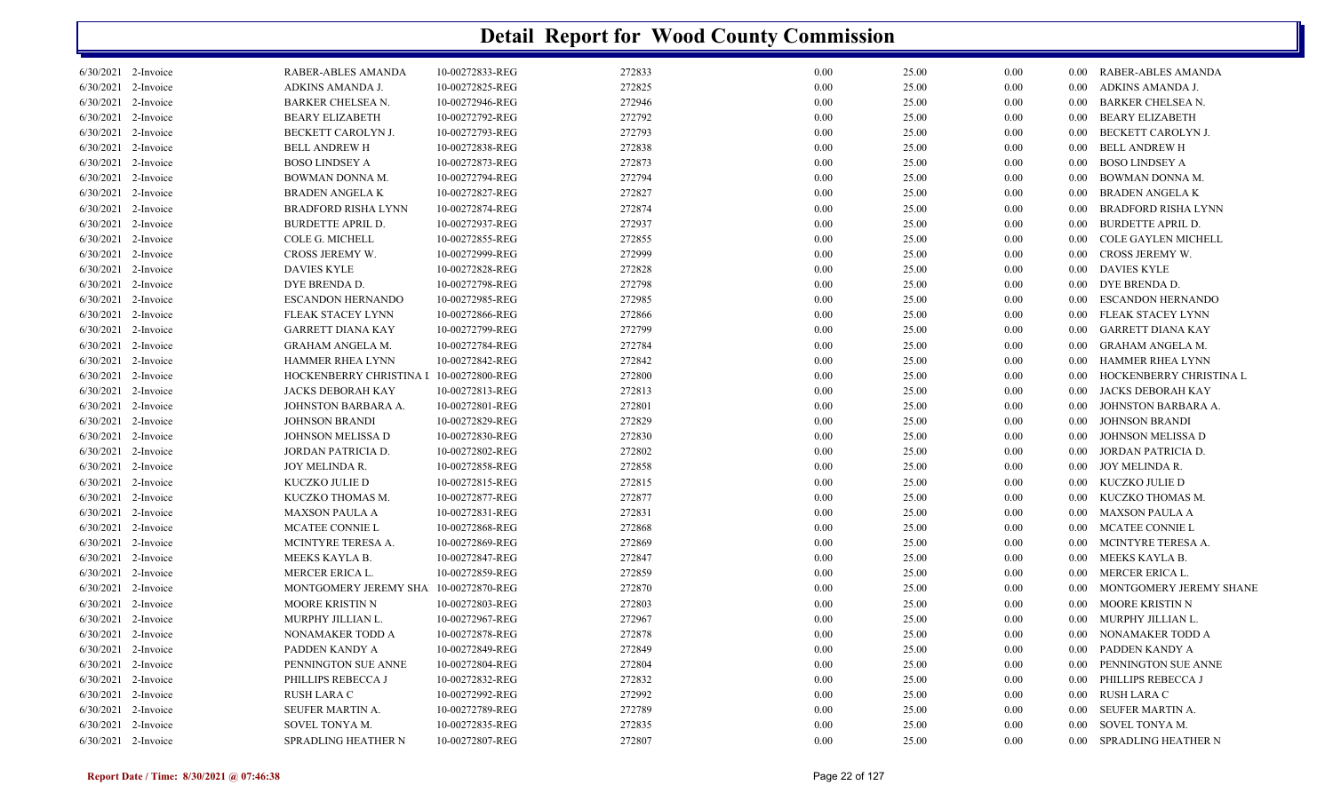| 6/30/2021 2-Invoice | RABER-ABLES AMANDA                      | 10-00272833-REG | 272833 | 0.00 | 25.00 | 0.00 | $0.00\,$ | RABER-ABLES AMANDA         |
|---------------------|-----------------------------------------|-----------------|--------|------|-------|------|----------|----------------------------|
| 6/30/2021 2-Invoice | ADKINS AMANDA J.                        | 10-00272825-REG | 272825 | 0.00 | 25.00 | 0.00 | $0.00\,$ | ADKINS AMANDA J.           |
| 6/30/2021 2-Invoice | <b>BARKER CHELSEA N.</b>                | 10-00272946-REG | 272946 | 0.00 | 25.00 | 0.00 | $0.00\,$ | <b>BARKER CHELSEA N.</b>   |
| 6/30/2021 2-Invoice | <b>BEARY ELIZABETH</b>                  | 10-00272792-REG | 272792 | 0.00 | 25.00 | 0.00 | $0.00\,$ | BEARY ELIZABETH            |
| 6/30/2021 2-Invoice | BECKETT CAROLYN J.                      | 10-00272793-REG | 272793 | 0.00 | 25.00 | 0.00 | 0.00     | BECKETT CAROLYN J.         |
| 6/30/2021 2-Invoice | <b>BELL ANDREW H</b>                    | 10-00272838-REG | 272838 | 0.00 | 25.00 | 0.00 | $0.00\,$ | <b>BELL ANDREW H</b>       |
| 6/30/2021 2-Invoice | <b>BOSO LINDSEY A</b>                   | 10-00272873-REG | 272873 | 0.00 | 25.00 | 0.00 | $0.00\,$ | <b>BOSO LINDSEY A</b>      |
| 6/30/2021 2-Invoice | BOWMAN DONNA M.                         | 10-00272794-REG | 272794 | 0.00 | 25.00 | 0.00 | 0.00     | BOWMAN DONNA M.            |
| 6/30/2021 2-Invoice | <b>BRADEN ANGELA K</b>                  | 10-00272827-REG | 272827 | 0.00 | 25.00 | 0.00 | $0.00\,$ | <b>BRADEN ANGELA K</b>     |
| 6/30/2021 2-Invoice | <b>BRADFORD RISHA LYNN</b>              | 10-00272874-REG | 272874 | 0.00 | 25.00 | 0.00 | 0.00     | <b>BRADFORD RISHA LYNN</b> |
| 6/30/2021 2-Invoice | <b>BURDETTE APRIL D.</b>                | 10-00272937-REG | 272937 | 0.00 | 25.00 | 0.00 | 0.00     | <b>BURDETTE APRIL D.</b>   |
| 6/30/2021 2-Invoice | COLE G. MICHELL                         | 10-00272855-REG | 272855 | 0.00 | 25.00 | 0.00 | $0.00\,$ | COLE GAYLEN MICHELL        |
| 6/30/2021 2-Invoice | CROSS JEREMY W.                         | 10-00272999-REG | 272999 | 0.00 | 25.00 | 0.00 | 0.00     | CROSS JEREMY W.            |
| 6/30/2021 2-Invoice | <b>DAVIES KYLE</b>                      | 10-00272828-REG | 272828 | 0.00 | 25.00 | 0.00 | $0.00\,$ | <b>DAVIES KYLE</b>         |
| 6/30/2021 2-Invoice | DYE BRENDA D.                           | 10-00272798-REG | 272798 | 0.00 | 25.00 | 0.00 | $0.00\,$ | DYE BRENDA D.              |
| 6/30/2021 2-Invoice | <b>ESCANDON HERNANDO</b>                | 10-00272985-REG | 272985 | 0.00 | 25.00 | 0.00 | $0.00\,$ | <b>ESCANDON HERNANDO</b>   |
| 6/30/2021 2-Invoice | FLEAK STACEY LYNN                       | 10-00272866-REG | 272866 | 0.00 | 25.00 | 0.00 | $0.00\,$ | FLEAK STACEY LYNN          |
| 6/30/2021 2-Invoice | <b>GARRETT DIANA KAY</b>                | 10-00272799-REG | 272799 | 0.00 | 25.00 | 0.00 | $0.00\,$ | GARRETT DIANA KAY          |
| 6/30/2021 2-Invoice | GRAHAM ANGELA M.                        | 10-00272784-REG | 272784 | 0.00 | 25.00 | 0.00 | $0.00\,$ | GRAHAM ANGELA M.           |
| 6/30/2021 2-Invoice | HAMMER RHEA LYNN                        | 10-00272842-REG | 272842 | 0.00 | 25.00 | 0.00 | $0.00\,$ | HAMMER RHEA LYNN           |
| 6/30/2021 2-Invoice | HOCKENBERRY CHRISTINA I 10-00272800-REG |                 | 272800 | 0.00 | 25.00 | 0.00 | 0.00     | HOCKENBERRY CHRISTINA L    |
| 6/30/2021 2-Invoice | JACKS DEBORAH KAY                       | 10-00272813-REG | 272813 | 0.00 | 25.00 | 0.00 | $0.00\,$ | JACKS DEBORAH KAY          |
| 6/30/2021 2-Invoice | JOHNSTON BARBARA A.                     | 10-00272801-REG | 272801 | 0.00 | 25.00 | 0.00 | $0.00\,$ | JOHNSTON BARBARA A.        |
| 6/30/2021 2-Invoice | JOHNSON BRANDI                          | 10-00272829-REG | 272829 | 0.00 | 25.00 | 0.00 | 0.00     | <b>JOHNSON BRANDI</b>      |
| 6/30/2021 2-Invoice | JOHNSON MELISSA D                       | 10-00272830-REG | 272830 | 0.00 | 25.00 | 0.00 | 0.00     | JOHNSON MELISSA D          |
| 6/30/2021 2-Invoice | JORDAN PATRICIA D.                      | 10-00272802-REG | 272802 | 0.00 | 25.00 | 0.00 | 0.00     | JORDAN PATRICIA D.         |
| 6/30/2021 2-Invoice | JOY MELINDA R.                          | 10-00272858-REG | 272858 | 0.00 | 25.00 | 0.00 | $0.00\,$ | JOY MELINDA R.             |
| 6/30/2021 2-Invoice | KUCZKO JULIE D                          | 10-00272815-REG | 272815 | 0.00 | 25.00 | 0.00 | $0.00\,$ | KUCZKO JULIE D             |
| 6/30/2021 2-Invoice | KUCZKO THOMAS M.                        | 10-00272877-REG | 272877 | 0.00 | 25.00 | 0.00 | $0.00\,$ | KUCZKO THOMAS M.           |
| 6/30/2021 2-Invoice | <b>MAXSON PAULA A</b>                   | 10-00272831-REG | 272831 | 0.00 | 25.00 | 0.00 | 0.00     | <b>MAXSON PAULA A</b>      |
| 6/30/2021 2-Invoice | MCATEE CONNIE L                         | 10-00272868-REG | 272868 | 0.00 | 25.00 | 0.00 | 0.00     | MCATEE CONNIE L            |
| 6/30/2021 2-Invoice | MCINTYRE TERESA A.                      | 10-00272869-REG | 272869 | 0.00 | 25.00 | 0.00 | $0.00\,$ | MCINTYRE TERESA A.         |
| 6/30/2021 2-Invoice | MEEKS KAYLA B.                          | 10-00272847-REG | 272847 | 0.00 | 25.00 | 0.00 | $0.00\,$ | MEEKS KAYLA B.             |
| 6/30/2021 2-Invoice | MERCER ERICA L.                         | 10-00272859-REG | 272859 | 0.00 | 25.00 | 0.00 | $0.00\,$ | MERCER ERICA L.            |
| 6/30/2021 2-Invoice | MONTGOMERY JEREMY SHA 10-00272870-REG   |                 | 272870 | 0.00 | 25.00 | 0.00 | $0.00\,$ | MONTGOMERY JEREMY SHANE    |
| 6/30/2021 2-Invoice | MOORE KRISTIN N                         | 10-00272803-REG | 272803 | 0.00 | 25.00 | 0.00 | $0.00\,$ | MOORE KRISTIN N            |
| 6/30/2021 2-Invoice | MURPHY JILLIAN L.                       | 10-00272967-REG | 272967 | 0.00 | 25.00 | 0.00 | $0.00\,$ | MURPHY JILLIAN L.          |
| 6/30/2021 2-Invoice | NONAMAKER TODD A                        | 10-00272878-REG | 272878 | 0.00 | 25.00 | 0.00 | $0.00\,$ | NONAMAKER TODD A           |
| 6/30/2021 2-Invoice | PADDEN KANDY A                          | 10-00272849-REG | 272849 | 0.00 | 25.00 | 0.00 | 0.00     | PADDEN KANDY A             |
| 6/30/2021 2-Invoice | PENNINGTON SUE ANNE                     | 10-00272804-REG | 272804 | 0.00 | 25.00 | 0.00 | 0.00     | PENNINGTON SUE ANNE        |
| 6/30/2021 2-Invoice | PHILLIPS REBECCA J                      | 10-00272832-REG | 272832 | 0.00 | 25.00 | 0.00 | $0.00\,$ | PHILLIPS REBECCA J         |
| 6/30/2021 2-Invoice | RUSH LARA C                             | 10-00272992-REG | 272992 | 0.00 | 25.00 | 0.00 | $0.00\,$ | RUSH LARA C                |
| 6/30/2021 2-Invoice | SEUFER MARTIN A.                        | 10-00272789-REG | 272789 | 0.00 | 25.00 | 0.00 | $0.00\,$ | SEUFER MARTIN A.           |
| 6/30/2021 2-Invoice | SOVEL TONYA M.                          | 10-00272835-REG | 272835 | 0.00 | 25.00 | 0.00 | 0.00     | SOVEL TONYA M.             |
| 6/30/2021 2-Invoice | SPRADLING HEATHER N                     | 10-00272807-REG | 272807 | 0.00 | 25.00 | 0.00 | $0.00\,$ | SPRADLING HEATHER N        |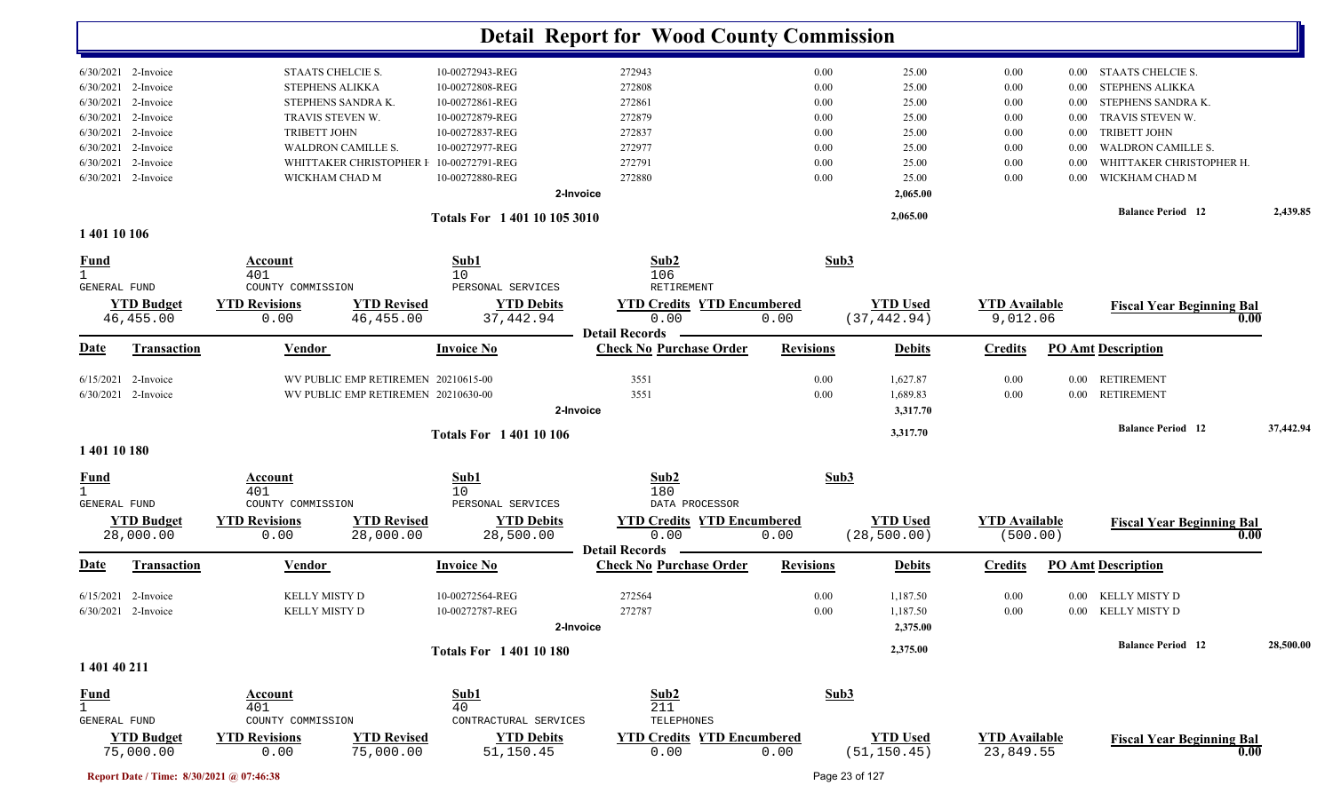|                                                 |                                                      |                                                                  | <b>Detail Report for Wood County Commission</b>         |                  |                 |                      |              |                                                       |           |
|-------------------------------------------------|------------------------------------------------------|------------------------------------------------------------------|---------------------------------------------------------|------------------|-----------------|----------------------|--------------|-------------------------------------------------------|-----------|
| 6/30/2021 2-Invoice                             | STAATS CHELCIE S.                                    | 10-00272943-REG                                                  | 272943                                                  | 0.00             | 25.00           | 0.00                 | $0.00\,$     | STAATS CHELCIE S.                                     |           |
| 6/30/2021 2-Invoice                             | <b>STEPHENS ALIKKA</b>                               | 10-00272808-REG                                                  | 272808                                                  | 0.00             | 25.00           | 0.00                 | 0.00         | <b>STEPHENS ALIKKA</b>                                |           |
| $6/30/2021$ 2-Invoice                           | STEPHENS SANDRA K.                                   | 10-00272861-REG                                                  | 272861                                                  | 0.00             | 25.00           | 0.00                 | 0.00         | STEPHENS SANDRA K.                                    |           |
| $6/30/2021$ 2-Invoice                           | TRAVIS STEVEN W.                                     | 10-00272879-REG                                                  | 272879                                                  | 0.00             | 25.00           | 0.00                 | $0.00\,$     | TRAVIS STEVEN W.                                      |           |
| $6/30/2021$ 2-Invoice                           | TRIBETT JOHN                                         | 10-00272837-REG                                                  | 272837                                                  | 0.00             | 25.00           | 0.00                 | 0.00         | <b>TRIBETT JOHN</b>                                   |           |
| $6/30/2021$ 2-Invoice<br>6/30/2021<br>2-Invoice | <b>WALDRON CAMILLE S.</b><br>WHITTAKER CHRISTOPHER I | 10-00272977-REG<br>10-00272791-REG                               | 272977<br>272791                                        | 0.00<br>0.00     | 25.00           | 0.00                 | 0.00         | <b>WALDRON CAMILLE S.</b><br>WHITTAKER CHRISTOPHER H. |           |
| 6/30/2021 2-Invoice                             | WICKHAM CHAD M                                       | 10-00272880-REG                                                  | 272880                                                  | 0.00             | 25.00<br>25.00  | 0.00<br>0.00         | 0.00<br>0.00 | WICKHAM CHAD M                                        |           |
|                                                 |                                                      |                                                                  | 2-Invoice                                               |                  | 2,065.00        |                      |              |                                                       |           |
|                                                 |                                                      |                                                                  |                                                         |                  |                 |                      |              | <b>Balance Period</b> 12                              | 2,439.85  |
| 1 401 10 106                                    |                                                      | Totals For 1 401 10 105 3010                                     |                                                         |                  | 2,065.00        |                      |              |                                                       |           |
| <b>Fund</b>                                     | Account                                              | Sub1                                                             | Sub2                                                    | Sub3             |                 |                      |              |                                                       |           |
| $\mathbf{1}$                                    | 401                                                  | 10                                                               | 106                                                     |                  |                 |                      |              |                                                       |           |
| GENERAL FUND                                    | COUNTY COMMISSION                                    | PERSONAL SERVICES                                                | RETIREMENT                                              |                  |                 |                      |              |                                                       |           |
| <b>YTD Budget</b>                               | <b>YTD Revisions</b>                                 | <b>YTD Revised</b><br><b>YTD Debits</b>                          | <b>YTD Credits YTD Encumbered</b>                       |                  | <b>YTD Used</b> | <b>YTD Available</b> |              | <b>Fiscal Year Beginning Bal</b>                      |           |
| 46, 455.00                                      | 0.00                                                 | 46, 455.00<br>37,442.94                                          | 0.00                                                    | 0.00             | (37, 442.94)    | 9,012.06             |              | 0.00                                                  |           |
| Date<br>Transaction                             | Vendor                                               | <b>Invoice No</b>                                                | <b>Detail Records</b><br><b>Check No Purchase Order</b> | <b>Revisions</b> | <b>Debits</b>   | <b>Credits</b>       |              | <b>PO Amt Description</b>                             |           |
| $6/15/2021$ 2-Invoice                           |                                                      | WV PUBLIC EMP RETIREMEN 20210615-00                              | 3551                                                    | 0.00             | 1,627.87        | 0.00                 |              | 0.00 RETIREMENT                                       |           |
| 6/30/2021 2-Invoice                             |                                                      | WV PUBLIC EMP RETIREMEN 20210630-00                              | 3551                                                    | 0.00             | 1,689.83        | 0.00                 |              | 0.00 RETIREMENT                                       |           |
|                                                 |                                                      |                                                                  | 2-Invoice                                               |                  | 3,317.70        |                      |              |                                                       |           |
|                                                 |                                                      | <b>Totals For 140110106</b>                                      |                                                         |                  | 3,317.70        |                      |              | <b>Balance Period</b> 12                              | 37,442.94 |
| 1 401 10 180                                    |                                                      |                                                                  |                                                         |                  |                 |                      |              |                                                       |           |
| <u>Fund</u><br>$\mathbf{1}$                     | <b>Account</b><br>401                                | Sub1<br>10                                                       | Sub2<br>180                                             | Sub3             |                 |                      |              |                                                       |           |
| GENERAL FUND                                    | COUNTY COMMISSION                                    | PERSONAL SERVICES                                                | DATA PROCESSOR                                          |                  |                 |                      |              |                                                       |           |
| <b>YTD Budget</b>                               | <b>YTD Revisions</b>                                 | <b>YTD Revised</b><br><b>YTD Debits</b>                          | <b>YTD Credits YTD Encumbered</b>                       |                  | <b>YTD Used</b> | <b>YTD Available</b> |              | <b>Fiscal Year Beginning Bal</b>                      |           |
| 28,000.00                                       | 0.00                                                 | 28,500.00<br>28,000.00                                           | 0.00                                                    | 0.00             | (28, 500.00)    | (500.00)             |              | 0.00                                                  |           |
| Date<br><b>Transaction</b>                      | Vendor                                               | <b>Invoice No</b>                                                | <b>Detail Records</b><br><b>Check No Purchase Order</b> | <b>Revisions</b> | <b>Debits</b>   | <b>Credits</b>       |              | <b>PO Amt Description</b>                             |           |
|                                                 |                                                      |                                                                  |                                                         |                  |                 |                      |              |                                                       |           |
| $6/15/2021$ 2-Invoice                           | <b>KELLY MISTY D</b>                                 | 10-00272564-REG                                                  | 272564                                                  | 0.00             | 1,187.50        | 0.00                 |              | 0.00 KELLY MISTY D                                    |           |
| 6/30/2021 2-Invoice                             | KELLY MISTY D                                        | 10-00272787-REG                                                  | 272787                                                  | $0.00\,$         | 1,187.50        | $0.00\,$             |              | 0.00 KELLY MISTY D                                    |           |
|                                                 |                                                      |                                                                  | 2-Invoice                                               |                  | 2,375.00        |                      |              |                                                       |           |
| 1 401 40 211                                    |                                                      | <b>Totals For 140110180</b>                                      |                                                         |                  | 2,375.00        |                      |              | <b>Balance Period 12</b>                              | 28,500.00 |
|                                                 |                                                      |                                                                  |                                                         |                  |                 |                      |              |                                                       |           |
| <b>Fund</b>                                     | Account                                              | Sub1                                                             | Sub2                                                    | Sub3             |                 |                      |              |                                                       |           |
| $\mathbf{1}$                                    | 401                                                  | 40                                                               | 211                                                     |                  |                 |                      |              |                                                       |           |
| GENERAL FUND<br><b>YTD Budget</b>               | COUNTY COMMISSION<br><b>YTD Revisions</b>            | CONTRACTURAL SERVICES<br><b>YTD Revised</b><br><b>YTD Debits</b> | TELEPHONES<br><b>YTD Credits YTD Encumbered</b>         |                  | <b>YTD Used</b> | <b>YTD Available</b> |              |                                                       |           |
| 75,000.00                                       | 0.00                                                 | 75,000.00<br>51,150.45                                           | 0.00                                                    | 0.00             | (51, 150.45)    | 23,849.55            |              | <b>Fiscal Year Beginning Bal</b><br>0.00              |           |
| Report Date / Time: 8/30/2021 @ 07:46:38        |                                                      |                                                                  |                                                         |                  | Page 23 of 127  |                      |              |                                                       |           |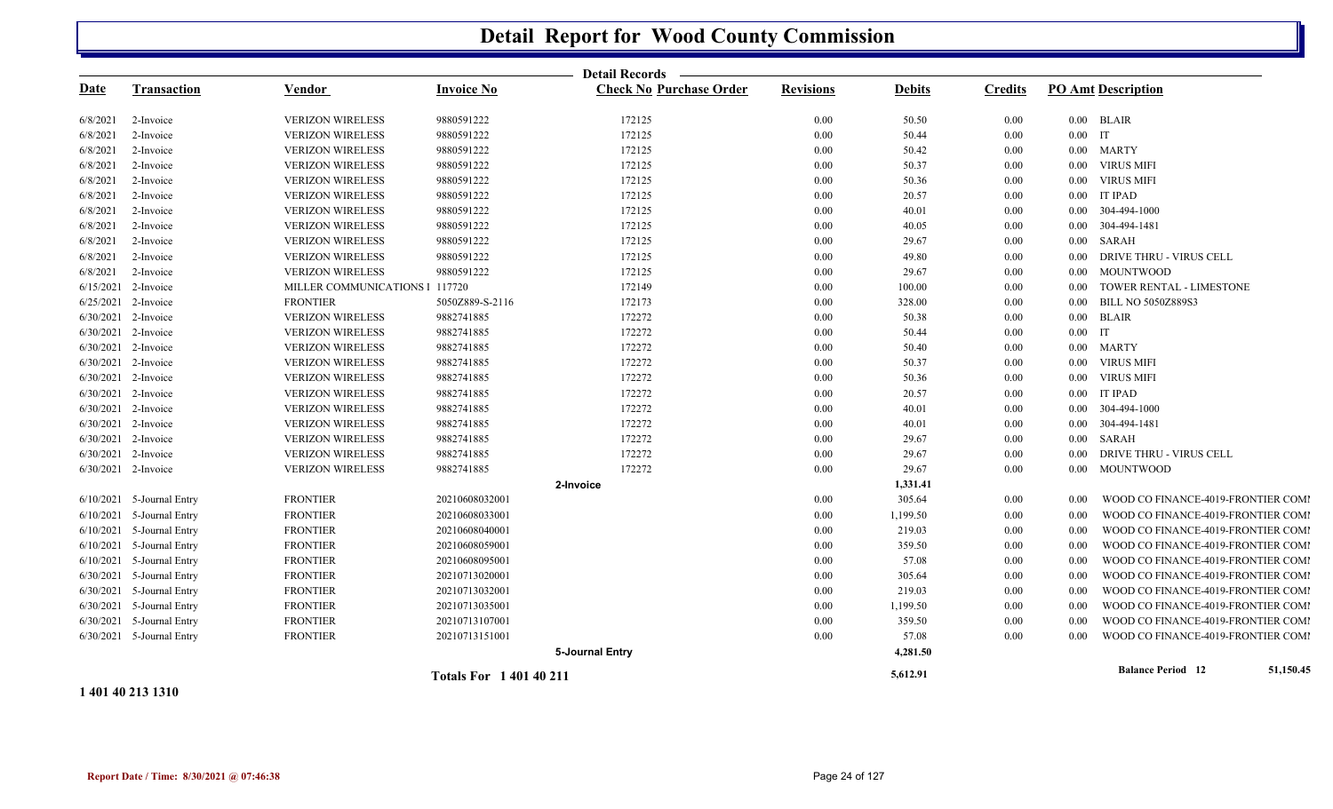|             |                             |                                |                             | <b>Detail Records</b>          |                  |               |                |           |                                    |           |
|-------------|-----------------------------|--------------------------------|-----------------------------|--------------------------------|------------------|---------------|----------------|-----------|------------------------------------|-----------|
| <b>Date</b> | <b>Transaction</b>          | <b>Vendor</b>                  | <b>Invoice No</b>           | <b>Check No Purchase Order</b> | <b>Revisions</b> | <b>Debits</b> | <b>Credits</b> |           | <b>PO Amt Description</b>          |           |
| 6/8/2021    | 2-Invoice                   | <b>VERIZON WIRELESS</b>        | 9880591222                  | 172125                         | $0.00\,$         | 50.50         | 0.00           |           | $0.00$ BLAIR                       |           |
| 6/8/2021    | 2-Invoice                   | <b>VERIZON WIRELESS</b>        | 9880591222                  | 172125                         | 0.00             | 50.44         | 0.00           | $0.00$ IT |                                    |           |
| 6/8/2021    | 2-Invoice                   | <b>VERIZON WIRELESS</b>        | 9880591222                  | 172125                         | 0.00             | 50.42         | $0.00\,$       |           | 0.00 MARTY                         |           |
| 6/8/2021    | 2-Invoice                   | <b>VERIZON WIRELESS</b>        | 9880591222                  | 172125                         | $0.00\,$         | 50.37         | 0.00           |           | 0.00 VIRUS MIFI                    |           |
| 6/8/2021    | 2-Invoice                   | <b>VERIZON WIRELESS</b>        | 9880591222                  | 172125                         | $0.00\,$         | 50.36         | 0.00           | $0.00\,$  | <b>VIRUS MIFI</b>                  |           |
| 6/8/2021    | 2-Invoice                   | <b>VERIZON WIRELESS</b>        | 9880591222                  | 172125                         | 0.00             | 20.57         | $0.00\,$       | $0.00\,$  | <b>IT IPAD</b>                     |           |
| 6/8/2021    | 2-Invoice                   | <b>VERIZON WIRELESS</b>        | 9880591222                  | 172125                         | $0.00\,$         | 40.01         | $0.00\,$       |           | 0.00 304-494-1000                  |           |
| 6/8/2021    | 2-Invoice                   | <b>VERIZON WIRELESS</b>        | 9880591222                  | 172125                         | 0.00             | 40.05         | $0.00\,$       |           | 0.00 304-494-1481                  |           |
| 6/8/2021    | 2-Invoice                   | <b>VERIZON WIRELESS</b>        | 9880591222                  | 172125                         | 0.00             | 29.67         | $0.00\,$       |           | $0.00$ SARAH                       |           |
| 6/8/2021    | 2-Invoice                   | <b>VERIZON WIRELESS</b>        | 9880591222                  | 172125                         | $0.00\,$         | 49.80         | $0.00\,$       | $0.00\,$  | DRIVE THRU - VIRUS CELL            |           |
| 6/8/2021    | 2-Invoice                   | <b>VERIZON WIRELESS</b>        | 9880591222                  | 172125                         | $0.00\,$         | 29.67         | $0.00\,$       | $0.00\,$  | <b>MOUNTWOOD</b>                   |           |
| 6/15/2021   | 2-Invoice                   | MILLER COMMUNICATIONS   117720 |                             | 172149                         | 0.00             | 100.00        | $0.00\,$       | 0.00      | TOWER RENTAL - LIMESTONE           |           |
|             | 6/25/2021 2-Invoice         | <b>FRONTIER</b>                | 5050Z889-S-2116             | 172173                         | $0.00\,$         | 328.00        | $0.00\,$       | $0.00\,$  | <b>BILL NO 5050Z889S3</b>          |           |
|             | 6/30/2021 2-Invoice         | <b>VERIZON WIRELESS</b>        | 9882741885                  | 172272                         | 0.00             | 50.38         | $0.00\,$       |           | $0.00$ BLAIR                       |           |
|             | 6/30/2021 2-Invoice         | <b>VERIZON WIRELESS</b>        | 9882741885                  | 172272                         | 0.00             | 50.44         | $0.00\,$       | $0.00$ IT |                                    |           |
|             | 6/30/2021 2-Invoice         | <b>VERIZON WIRELESS</b>        | 9882741885                  | 172272                         | $0.00\,$         | 50.40         | $0.00\,$       |           | 0.00 MARTY                         |           |
|             | 6/30/2021 2-Invoice         | <b>VERIZON WIRELESS</b>        | 9882741885                  | 172272                         | 0.00             | 50.37         | 0.00           |           | 0.00 VIRUS MIFI                    |           |
|             | 6/30/2021 2-Invoice         | <b>VERIZON WIRELESS</b>        | 9882741885                  | 172272                         | 0.00             | 50.36         | $0.00\,$       | $0.00\,$  | <b>VIRUS MIFI</b>                  |           |
|             | 6/30/2021 2-Invoice         | <b>VERIZON WIRELESS</b>        | 9882741885                  | 172272                         | 0.00             | 20.57         | $0.00\,$       | $0.00\,$  | <b>IT IPAD</b>                     |           |
|             | 6/30/2021 2-Invoice         | <b>VERIZON WIRELESS</b>        | 9882741885                  | 172272                         | 0.00             | 40.01         | $0.00\,$       |           | 0.00 304-494-1000                  |           |
|             | 6/30/2021 2-Invoice         | <b>VERIZON WIRELESS</b>        | 9882741885                  | 172272                         | 0.00             | 40.01         | $0.00\,$       |           | 0.00 304-494-1481                  |           |
|             | 6/30/2021 2-Invoice         | <b>VERIZON WIRELESS</b>        | 9882741885                  | 172272                         | 0.00             | 29.67         | $0.00\,$       |           | $0.00$ SARAH                       |           |
|             | 6/30/2021 2-Invoice         | <b>VERIZON WIRELESS</b>        | 9882741885                  | 172272                         | 0.00             | 29.67         | 0.00           | $0.00\,$  | DRIVE THRU - VIRUS CELL            |           |
|             | 6/30/2021 2-Invoice         | <b>VERIZON WIRELESS</b>        | 9882741885                  | 172272                         | 0.00             | 29.67         | 0.00           |           | 0.00 MOUNTWOOD                     |           |
|             |                             |                                |                             | 2-Invoice                      |                  | 1,331.41      |                |           |                                    |           |
|             | 6/10/2021 5-Journal Entry   | <b>FRONTIER</b>                | 20210608032001              |                                | $0.00\,$         | 305.64        | $0.00\,$       | 0.00      | WOOD CO FINANCE-4019-FRONTIER COMI |           |
|             | $6/10/2021$ 5-Journal Entry | <b>FRONTIER</b>                | 20210608033001              |                                | $0.00\,$         | 1,199.50      | $0.00\,$       | 0.00      | WOOD CO FINANCE-4019-FRONTIER COMI |           |
|             | $6/10/2021$ 5-Journal Entry | <b>FRONTIER</b>                | 20210608040001              |                                | 0.00             | 219.03        | $0.00\,$       | 0.00      | WOOD CO FINANCE-4019-FRONTIER COMI |           |
|             | 6/10/2021 5-Journal Entry   | <b>FRONTIER</b>                | 20210608059001              |                                | 0.00             | 359.50        | 0.00           | 0.00      | WOOD CO FINANCE-4019-FRONTIER COMI |           |
| 6/10/2021   | 5-Journal Entry             | <b>FRONTIER</b>                | 20210608095001              |                                | 0.00             | 57.08         | $0.00\,$       | 0.00      | WOOD CO FINANCE-4019-FRONTIER COMI |           |
|             | 6/30/2021 5-Journal Entry   | <b>FRONTIER</b>                | 20210713020001              |                                | 0.00             | 305.64        | 0.00           | 0.00      | WOOD CO FINANCE-4019-FRONTIER COMI |           |
|             | 6/30/2021 5-Journal Entry   | <b>FRONTIER</b>                | 20210713032001              |                                | $0.00\,$         | 219.03        | $0.00\,$       | 0.00      | WOOD CO FINANCE-4019-FRONTIER COMI |           |
|             | 6/30/2021 5-Journal Entry   | <b>FRONTIER</b>                | 20210713035001              |                                | 0.00             | 1,199.50      | $0.00\,$       | 0.00      | WOOD CO FINANCE-4019-FRONTIER COMI |           |
|             | 6/30/2021 5-Journal Entry   | <b>FRONTIER</b>                | 20210713107001              |                                | 0.00             | 359.50        | 0.00           | 0.00      | WOOD CO FINANCE-4019-FRONTIER COMI |           |
|             | 6/30/2021 5-Journal Entry   | <b>FRONTIER</b>                | 20210713151001              |                                | 0.00             | 57.08         | 0.00           | 0.00      | WOOD CO FINANCE-4019-FRONTIER COMI |           |
|             |                             |                                |                             | 5-Journal Entry                |                  | 4,281.50      |                |           |                                    |           |
|             |                             |                                | <b>Totals For 140140211</b> |                                |                  | 5,612.91      |                |           | <b>Balance Period</b> 12           | 51,150.45 |

**1 401 40 213 1310**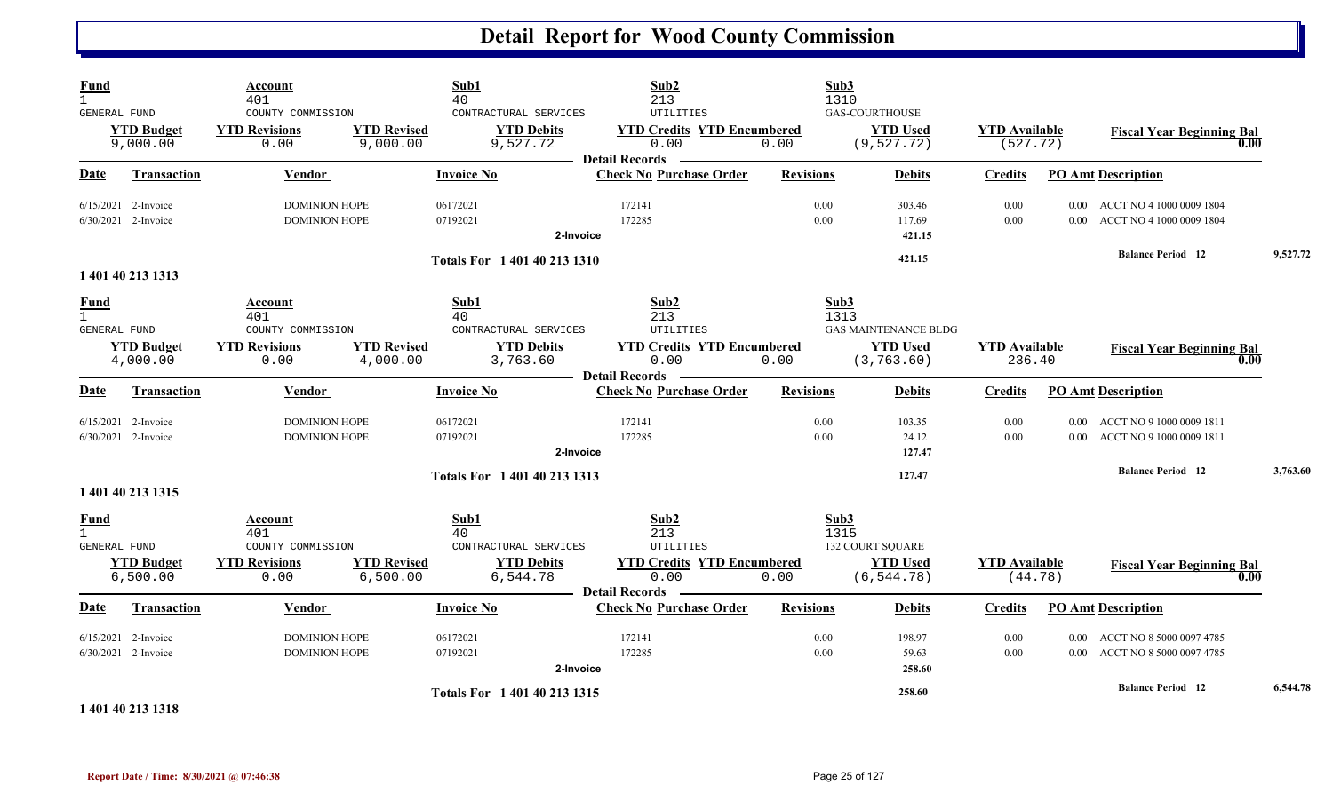| Fund<br>$\mathbf{1}$<br>GENERAL FUND                 |                                                | Account<br>401<br>COUNTY COMMISSION                                 |                                | Sub1<br>40<br>CONTRACTURAL SERVICES                                  | Sub2<br>213<br>UTILITIES                                                                       |                  | Sub3<br>1310<br><b>GAS-COURTHOUSE</b>                                         |                                  |                               |                                                                |          |
|------------------------------------------------------|------------------------------------------------|---------------------------------------------------------------------|--------------------------------|----------------------------------------------------------------------|------------------------------------------------------------------------------------------------|------------------|-------------------------------------------------------------------------------|----------------------------------|-------------------------------|----------------------------------------------------------------|----------|
|                                                      | <b>YTD Budget</b><br>9,000.00                  | <b>YTD Revisions</b><br>0.00                                        | <b>YTD Revised</b><br>9,000.00 | <b>YTD Debits</b><br>9,527.72                                        | <b>YTD Credits YTD Encumbered</b><br>0.00<br><b>Detail Records</b>                             | 0.00             | <b>YTD Used</b><br>(9, 527.72)                                                | <b>YTD</b> Available<br>(527.72) |                               | <b>Fiscal Year Beginning Bal</b><br>0.00                       |          |
| Date                                                 | <b>Transaction</b>                             | Vendor                                                              |                                | <b>Invoice No</b>                                                    | <b>Check No Purchase Order</b>                                                                 | <b>Revisions</b> | <b>Debits</b>                                                                 | <b>Credits</b>                   |                               | <b>PO Amt Description</b>                                      |          |
|                                                      | $6/15/2021$ 2-Invoice<br>6/30/2021 2-Invoice   | <b>DOMINION HOPE</b><br><b>DOMINION HOPE</b>                        |                                | 06172021<br>07192021<br>2-Invoice                                    | 172141<br>172285                                                                               | 0.00<br>0.00     | 303.46<br>117.69<br>421.15                                                    | 0.00<br>0.00                     |                               | 0.00 ACCT NO 4 1000 0009 1804<br>0.00 ACCT NO 4 1000 0009 1804 |          |
|                                                      | 1 401 40 213 1313                              |                                                                     |                                | Totals For 1 401 40 213 1310                                         |                                                                                                |                  | 421.15                                                                        |                                  |                               | <b>Balance Period 12</b>                                       | 9,527.72 |
| <b>Fund</b><br>$\mathbf{1}$<br><b>GENERAL FUND</b>   | <b>YTD Budget</b><br>4,000.00                  | Account<br>401<br>COUNTY COMMISSION<br><b>YTD Revisions</b><br>0.00 | <b>YTD Revised</b><br>4,000.00 | Sub1<br>40<br>CONTRACTURAL SERVICES<br><b>YTD Debits</b><br>3,763.60 | Sub2<br>213<br>UTILITIES<br><b>YTD Credits YTD Encumbered</b><br>0.00<br><b>Detail Records</b> | 0.00             | Sub3<br>1313<br><b>GAS MAINTENANCE BLDG</b><br><b>YTD Used</b><br>(3, 763.60) | <b>YTD</b> Available<br>236.40   |                               | <b>Fiscal Year Beginning Bal</b><br>0.00                       |          |
| Date                                                 | <b>Transaction</b>                             | <b>Vendor</b>                                                       |                                | <b>Invoice No</b>                                                    | <b>Check No Purchase Order</b>                                                                 | <b>Revisions</b> | <b>Debits</b>                                                                 | <b>Credits</b>                   |                               | <b>PO Amt Description</b>                                      |          |
|                                                      | $6/15/2021$ 2-Invoice<br>$6/30/2021$ 2-Invoice | <b>DOMINION HOPE</b><br><b>DOMINION HOPE</b>                        |                                | 06172021<br>07192021<br>2-Invoice                                    | 172141<br>172285                                                                               | 0.00<br>0.00     | 103.35<br>24.12<br>127.47                                                     | 0.00<br>0.00                     | 0.00                          | ACCT NO 9 1000 0009 1811<br>0.00 ACCT NO 9 1000 0009 1811      |          |
|                                                      | 1 401 40 213 1315                              |                                                                     |                                | Totals For 1 401 40 213 1313                                         |                                                                                                |                  | 127.47                                                                        |                                  |                               | <b>Balance Period 12</b>                                       | 3,763.60 |
| <b>Fund</b><br>$\overline{1}$<br><b>GENERAL FUND</b> | <b>YTD Budget</b><br>6,500.00                  | Account<br>401<br>COUNTY COMMISSION<br><b>YTD Revisions</b><br>0.00 | <b>YTD Revised</b><br>6,500.00 | Sub1<br>40<br>CONTRACTURAL SERVICES<br><b>YTD Debits</b><br>6,544.78 | Sub2<br>213<br>UTILITIES<br><b>YTD Credits YTD Encumbered</b><br>0.00<br><b>Detail Records</b> | 0.00             | Sub3<br>1315<br><b>132 COURT SQUARE</b><br><b>YTD Used</b><br>(6, 544.78)     | <b>YTD Available</b><br>(44.78)  |                               | <b>Fiscal Year Beginning Bal</b><br>0.00                       |          |
| <b>Date</b>                                          | <b>Transaction</b>                             | Vendor                                                              |                                | <b>Invoice No</b>                                                    | <b>Check No Purchase Order</b>                                                                 | <b>Revisions</b> | <b>Debits</b>                                                                 | <b>Credits</b>                   |                               | <b>PO Amt Description</b>                                      |          |
| 6/15/2021                                            | 2-Invoice<br>6/30/2021 2-Invoice               | <b>DOMINION HOPE</b><br><b>DOMINION HOPE</b>                        |                                | 06172021<br>07192021                                                 | 172141<br>172285<br>2-Invoice                                                                  | 0.00<br>0.00     | 198.97<br>59.63<br>258.60                                                     | 0.00<br>0.00                     | 0.00 <sub>1</sub><br>$0.00\,$ | ACCT NO 8 5000 0097 4785<br>ACCT NO 8 5000 0097 4785           |          |
|                                                      | 1 401 40 213 1318                              |                                                                     |                                | Totals For 1 401 40 213 1315                                         |                                                                                                |                  | 258.60                                                                        |                                  |                               | <b>Balance Period 12</b>                                       | 6,544.78 |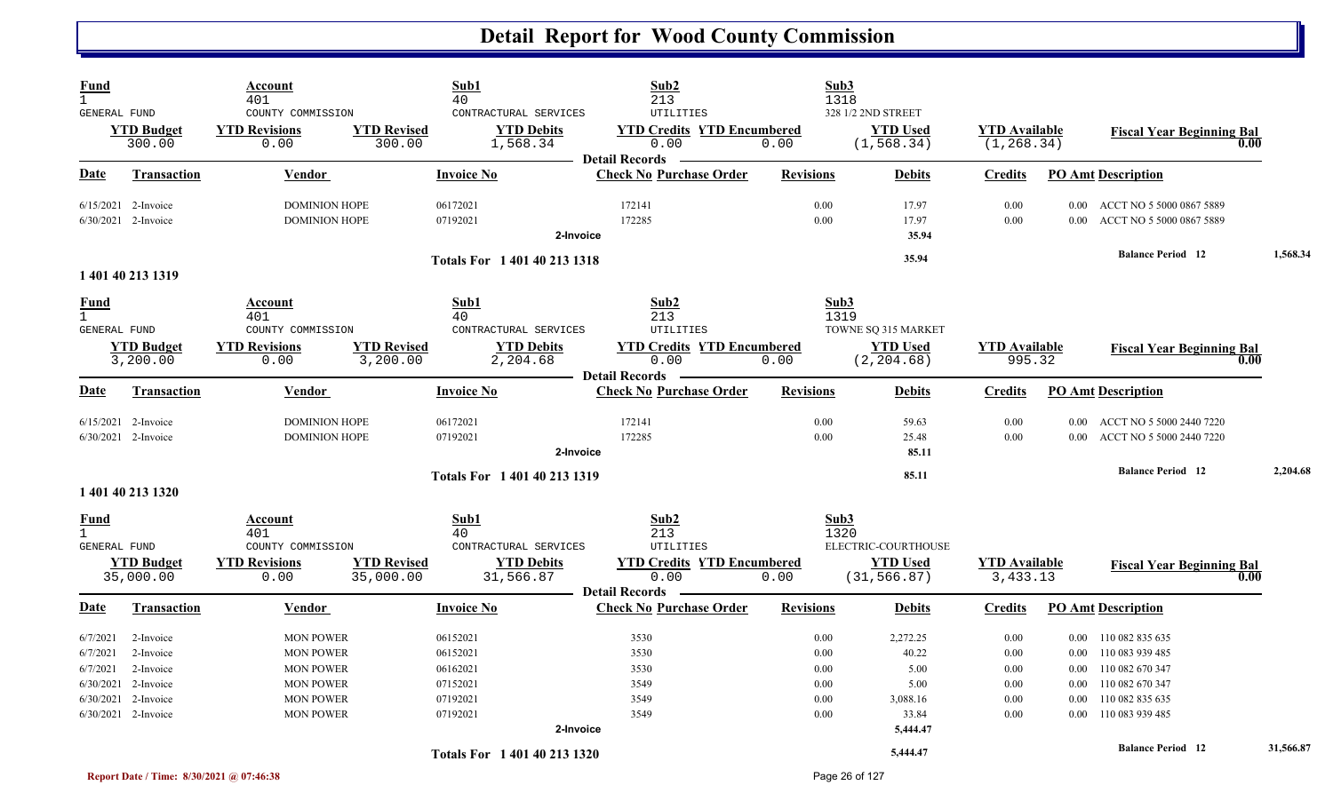| Fund<br>$\mathbf{1}$<br>GENERAL FUND          |                                                                                                | Account<br>401<br>COUNTY COMMISSION                                                                                  |                                 | Sub1<br>40<br>CONTRACTURAL SERVICES                                  | Sub2<br>213<br><b>UTILITIES</b>                                    | Sub3<br>1318                                 | 328 1/2 2ND STREET                                                 |                                              |                                                      |                                                                                                                     |           |
|-----------------------------------------------|------------------------------------------------------------------------------------------------|----------------------------------------------------------------------------------------------------------------------|---------------------------------|----------------------------------------------------------------------|--------------------------------------------------------------------|----------------------------------------------|--------------------------------------------------------------------|----------------------------------------------|------------------------------------------------------|---------------------------------------------------------------------------------------------------------------------|-----------|
|                                               | <b>YTD Budget</b><br>300.00                                                                    | <b>YTD Revisions</b><br>0.00                                                                                         | <b>YTD Revised</b><br>300.00    | <b>YTD Debits</b><br>1,568.34                                        | <b>YTD Credits YTD Encumbered</b><br>0.00<br><b>Detail Records</b> | 0.00                                         | <b>YTD Used</b><br>(1, 568.34)                                     | <b>YTD</b> Available<br>(1, 268.34)          |                                                      | <b>Fiscal Year Beginning Bal</b>                                                                                    | 0.00      |
| Date                                          | <b>Transaction</b>                                                                             | Vendor                                                                                                               |                                 | <b>Invoice No</b>                                                    | <b>Check No Purchase Order</b>                                     | <b>Revisions</b>                             | <b>Debits</b>                                                      | <b>Credits</b>                               |                                                      | <b>PO Amt Description</b>                                                                                           |           |
|                                               | $6/15/2021$ 2-Invoice<br>$6/30/2021$ 2-Invoice                                                 | <b>DOMINION HOPE</b><br><b>DOMINION HOPE</b>                                                                         |                                 | 06172021<br>07192021                                                 | 172141<br>172285<br>2-Invoice                                      | 0.00<br>0.00                                 | 17.97<br>17.97<br>35.94                                            | 0.00<br>0.00                                 | 0.00                                                 | 0.00 ACCT NO 5 5000 0867 5889<br>ACCT NO 5 5000 0867 5889                                                           |           |
|                                               | 1 401 40 213 1319                                                                              |                                                                                                                      |                                 | Totals For 1 401 40 213 1318                                         |                                                                    |                                              | 35.94                                                              |                                              |                                                      | <b>Balance Period 12</b>                                                                                            | 1,568.34  |
| Fund<br>$\mathbf{1}$<br>GENERAL FUND          |                                                                                                | Account<br>401<br>COUNTY COMMISSION                                                                                  |                                 | Sub1<br>40<br>CONTRACTURAL SERVICES                                  | Sub2<br>213<br>UTILITIES                                           | Sub3<br>1319                                 | TOWNE SQ 315 MARKET                                                |                                              |                                                      |                                                                                                                     |           |
|                                               | <b>YTD Budget</b><br>3,200.00                                                                  | <b>YTD Revisions</b><br>0.00                                                                                         | <b>YTD Revised</b><br>3,200.00  | <b>YTD Debits</b><br>2,204.68                                        | <b>YTD Credits YTD Encumbered</b><br>0.00<br><b>Detail Records</b> | 0.00                                         | <b>YTD Used</b><br>(2, 204.68)                                     | <b>YTD Available</b><br>995.32               |                                                      | <b>Fiscal Year Beginning Bal</b>                                                                                    | 0.00      |
| Date                                          | <b>Transaction</b>                                                                             | Vendor                                                                                                               |                                 | <b>Invoice No</b>                                                    | <b>Check No Purchase Order</b>                                     | <b>Revisions</b>                             | <b>Debits</b>                                                      | <b>Credits</b>                               |                                                      | <b>PO Amt Description</b>                                                                                           |           |
|                                               | $6/15/2021$ 2-Invoice<br>6/30/2021 2-Invoice                                                   | <b>DOMINION HOPE</b><br><b>DOMINION HOPE</b>                                                                         |                                 | 06172021<br>07192021                                                 | 172141<br>172285<br>2-Invoice                                      | 0.00<br>0.00                                 | 59.63<br>25.48<br>85.11                                            | 0.00<br>0.00                                 | $0.00^{\circ}$                                       | 0.00 ACCT NO 5 5000 2440 7220<br>ACCT NO 5 5000 2440 7220                                                           |           |
|                                               | 1 401 40 213 1320                                                                              |                                                                                                                      |                                 | Totals For 1 401 40 213 1319                                         |                                                                    |                                              | 85.11                                                              |                                              |                                                      | <b>Balance Period 12</b>                                                                                            | 2,204.68  |
| Fund<br>$\mathbf{1}$<br><b>GENERAL FUND</b>   |                                                                                                | Account<br>401<br>COUNTY COMMISSION                                                                                  |                                 | Sub1<br>40<br>CONTRACTURAL SERVICES                                  | Sub2<br>213<br><b>UTILITIES</b>                                    | Sub3<br>1320                                 | ELECTRIC-COURTHOUSE                                                |                                              |                                                      |                                                                                                                     |           |
|                                               | <b>YTD Budget</b><br>35,000.00                                                                 | <b>YTD Revisions</b><br>0.00                                                                                         | <b>YTD Revised</b><br>35,000.00 | <b>YTD Debits</b><br>31,566.87                                       | <b>YTD Credits YTD Encumbered</b><br>0.00<br><b>Detail Records</b> | 0.00                                         | <b>YTD Used</b><br>(31, 566.87)                                    | <b>YTD</b> Available<br>3,433.13             |                                                      | <b>Fiscal Year Beginning Bal</b>                                                                                    | 0.00      |
| Date                                          | <b>Transaction</b>                                                                             | Vendor                                                                                                               |                                 | <b>Invoice No</b>                                                    | <b>Check No Purchase Order</b>                                     | <b>Revisions</b>                             | <b>Debits</b>                                                      | Credits                                      |                                                      | <b>PO Amt Description</b>                                                                                           |           |
| 6/7/2021<br>6/7/2021<br>6/7/2021<br>6/30/2021 | 2-Invoice<br>2-Invoice<br>2-Invoice<br>2-Invoice<br>6/30/2021 2-Invoice<br>6/30/2021 2-Invoice | <b>MON POWER</b><br><b>MON POWER</b><br><b>MON POWER</b><br><b>MON POWER</b><br><b>MON POWER</b><br><b>MON POWER</b> |                                 | 06152021<br>06152021<br>06162021<br>07152021<br>07192021<br>07192021 | 3530<br>3530<br>3530<br>3549<br>3549<br>3549<br>2-Invoice          | 0.00<br>0.00<br>0.00<br>0.00<br>0.00<br>0.00 | 2,272.25<br>40.22<br>5.00<br>5.00<br>3,088.16<br>33.84<br>5,444.47 | 0.00<br>0.00<br>0.00<br>0.00<br>0.00<br>0.00 | $0.00\,$<br>$0.00\,$<br>$0.00\,$<br>$0.00\,$<br>0.00 | 110 082 835 635<br>0.00 110 083 939 485<br>110 082 670 347<br>110 082 670 347<br>110 082 835 635<br>110 083 939 485 |           |
|                                               |                                                                                                |                                                                                                                      |                                 | Totals For 1 401 40 213 1320                                         |                                                                    |                                              | 5,444.47                                                           |                                              |                                                      | <b>Balance Period 12</b>                                                                                            | 31,566.87 |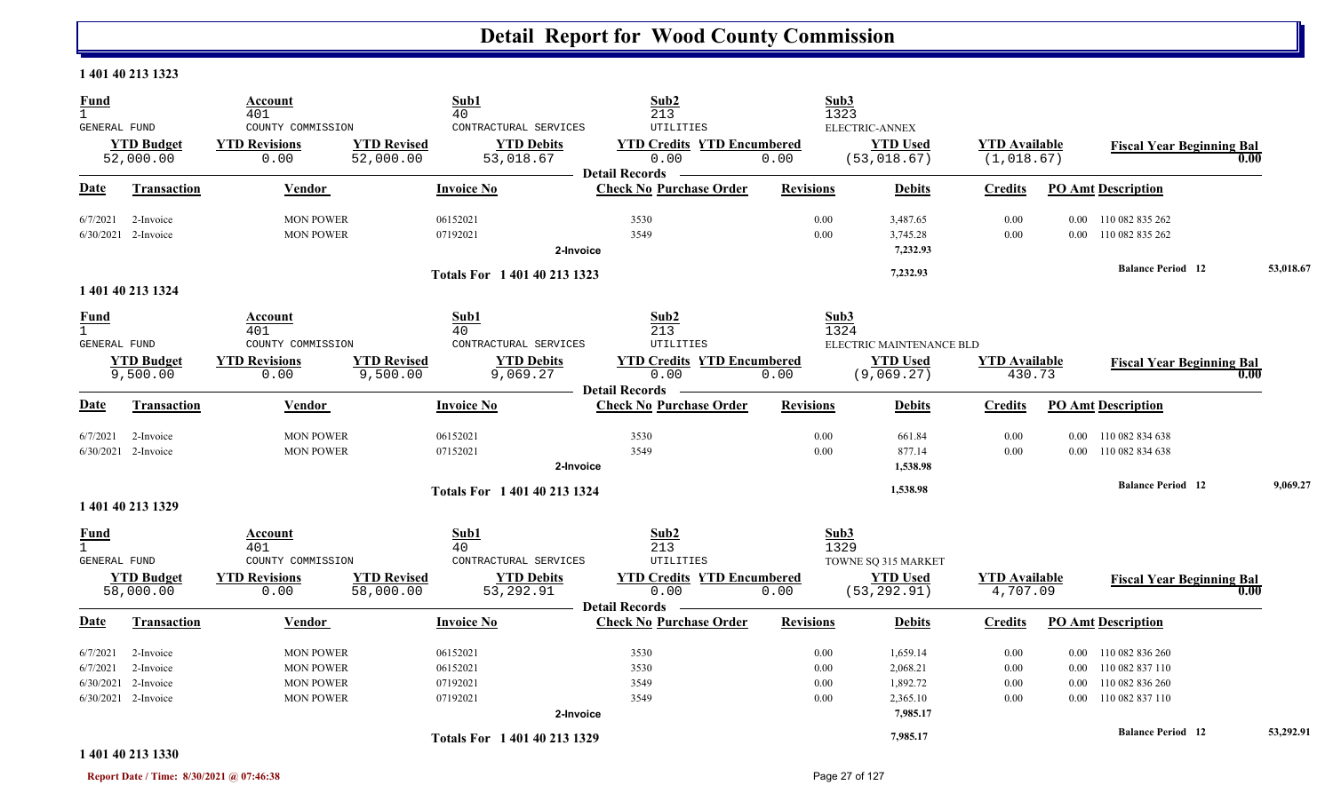#### **1 401 40 213 1323**

| <b>Fund</b><br>$\mathbf{1}$ |                                | Account<br>401                                    | Sub1<br>40                                                                                 | Sub2<br>213                                             | Sub3<br>1323     |                                                   |                                    |          |                                  |           |
|-----------------------------|--------------------------------|---------------------------------------------------|--------------------------------------------------------------------------------------------|---------------------------------------------------------|------------------|---------------------------------------------------|------------------------------------|----------|----------------------------------|-----------|
| GENERAL FUND                | <b>YTD Budget</b><br>52,000.00 | COUNTY COMMISSION<br><b>YTD Revisions</b><br>0.00 | CONTRACTURAL SERVICES<br><b>YTD Revised</b><br><b>YTD Debits</b><br>52,000.00<br>53,018.67 | UTILITIES<br><b>YTD Credits YTD Encumbered</b><br>0.00  | 0.00             | ELECTRIC-ANNEX<br><b>YTD Used</b><br>(53, 018.67) | <b>YTD Available</b><br>(1,018.67) |          | <b>Fiscal Year Beginning Bal</b> | 0.00      |
| <b>Date</b>                 | <b>Transaction</b>             | Vendor                                            | <b>Invoice No</b>                                                                          | <b>Detail Records</b><br><b>Check No Purchase Order</b> | <b>Revisions</b> | <b>Debits</b>                                     | <b>Credits</b>                     |          | <b>PO Amt Description</b>        |           |
| 6/7/2021                    | 2-Invoice                      | <b>MON POWER</b>                                  | 06152021                                                                                   | 3530                                                    | 0.00             | 3,487.65                                          | 0.00                               | $0.00\,$ | 110 082 835 262                  |           |
|                             | $6/30/2021$ 2-Invoice          | <b>MON POWER</b>                                  | 07192021                                                                                   | 3549<br>2-Invoice                                       | 0.00             | 3,745.28<br>7,232.93                              | 0.00                               |          | 0.00 110 082 835 262             |           |
|                             |                                |                                                   | Totals For 1 401 40 213 1323                                                               |                                                         |                  | 7,232.93                                          |                                    |          | <b>Balance Period 12</b>         | 53,018.67 |
|                             | 1 401 40 213 1324              |                                                   |                                                                                            |                                                         |                  |                                                   |                                    |          |                                  |           |
| <b>Fund</b><br>$\mathbf{1}$ |                                | Account<br>401                                    | Sub1<br>40                                                                                 | Sub2<br>213                                             | Sub3<br>1324     |                                                   |                                    |          |                                  |           |
| GENERAL FUND                |                                | COUNTY COMMISSION                                 | CONTRACTURAL SERVICES                                                                      | <b>UTILITIES</b>                                        |                  | ELECTRIC MAINTENANCE BLD                          |                                    |          |                                  |           |
|                             | <b>YTD Budget</b>              | <b>YTD Revisions</b>                              | <b>YTD Revised</b><br><b>YTD Debits</b>                                                    | <b>YTD Credits YTD Encumbered</b>                       |                  | <b>YTD Used</b>                                   | <b>YTD</b> Available               |          | <b>Fiscal Year Beginning Bal</b> |           |
|                             | 9,500.00                       | 0.00                                              | 9,500.00<br>9,069.27                                                                       | 0.00<br><b>_ Detail Records</b>                         | 0.00             | (9,069.27)                                        | 430.73                             |          |                                  | 0.00      |
| Date                        | Transaction                    | Vendor                                            | <b>Invoice No</b>                                                                          | <b>Check No Purchase Order</b>                          | <b>Revisions</b> | <b>Debits</b>                                     | <b>Credits</b>                     |          | <b>PO Amt Description</b>        |           |
| 6/7/2021                    | 2-Invoice                      | <b>MON POWER</b>                                  | 06152021                                                                                   | 3530                                                    | 0.00             | 661.84                                            | 0.00                               |          | 0.00 110 082 834 638             |           |
|                             | 6/30/2021 2-Invoice            | <b>MON POWER</b>                                  | 07152021                                                                                   | 3549                                                    | 0.00             | 877.14                                            | 0.00                               |          | 0.00 110 082 834 638             |           |
|                             |                                |                                                   |                                                                                            | 2-Invoice                                               |                  | 1,538.98                                          |                                    |          |                                  |           |
|                             |                                |                                                   | Totals For 1 401 40 213 1324                                                               |                                                         |                  | 1,538.98                                          |                                    |          | <b>Balance Period</b> 12         | 9,069.27  |
|                             | 1 401 40 213 1329              |                                                   |                                                                                            |                                                         |                  |                                                   |                                    |          |                                  |           |
| <b>Fund</b><br>$\mathbf{1}$ |                                | Account<br>401                                    | Sub1<br>40                                                                                 | Sub2<br>213                                             | Sub3<br>1329     |                                                   |                                    |          |                                  |           |
| <b>GENERAL FUND</b>         |                                | COUNTY COMMISSION                                 | CONTRACTURAL SERVICES                                                                      | <b>UTILITIES</b>                                        |                  | TOWNE SQ 315 MARKET                               |                                    |          |                                  |           |
|                             | <b>YTD Budget</b><br>58,000.00 | <b>YTD Revisions</b><br>0.00                      | <b>YTD Revised</b><br><b>YTD Debits</b><br>58,000.00<br>53,292.91                          | <b>YTD Credits YTD Encumbered</b><br>0.00               | 0.00             | <b>YTD Used</b><br>(53, 292.91)                   | <b>YTD Available</b><br>4,707.09   |          | <b>Fiscal Year Beginning Bal</b> | 0.00      |
|                             |                                |                                                   |                                                                                            | <b>Detail Records</b>                                   |                  |                                                   |                                    |          |                                  |           |
| Date                        | <b>Transaction</b>             | Vendor                                            | <b>Invoice No</b>                                                                          | <b>Check No Purchase Order</b>                          | <b>Revisions</b> | <b>Debits</b>                                     | <b>Credits</b>                     |          | <b>PO Amt Description</b>        |           |
| 6/7/2021                    | 2-Invoice                      | <b>MON POWER</b>                                  | 06152021                                                                                   | 3530                                                    | 0.00             | 1,659.14                                          | 0.00                               | $0.00\,$ | 110 082 836 260                  |           |
| 6/7/2021                    | 2-Invoice                      | <b>MON POWER</b>                                  | 06152021                                                                                   | 3530                                                    | 0.00             | 2,068.21                                          | 0.00                               | $0.00\,$ | 110 082 837 110                  |           |
|                             | 6/30/2021 2-Invoice            | <b>MON POWER</b>                                  | 07192021                                                                                   | 3549                                                    | 0.00             | 1,892.72                                          | 0.00                               | $0.00\,$ | 110 082 836 260                  |           |
|                             | 6/30/2021 2-Invoice            | <b>MON POWER</b>                                  | 07192021                                                                                   | 3549                                                    | 0.00             | 2,365.10                                          | 0.00                               |          | 0.00 110 082 837 110             |           |
|                             |                                |                                                   |                                                                                            | 2-Invoice                                               |                  | 7,985.17                                          |                                    |          |                                  |           |
|                             |                                |                                                   | Totals For 1 401 40 213 1329                                                               |                                                         |                  | 7,985.17                                          |                                    |          | <b>Balance Period 12</b>         | 53,292.91 |

#### **1 401 40 213 1330**

**Report Date / Time: 8/30/2021 @ 07:46:38** Page 27 of 127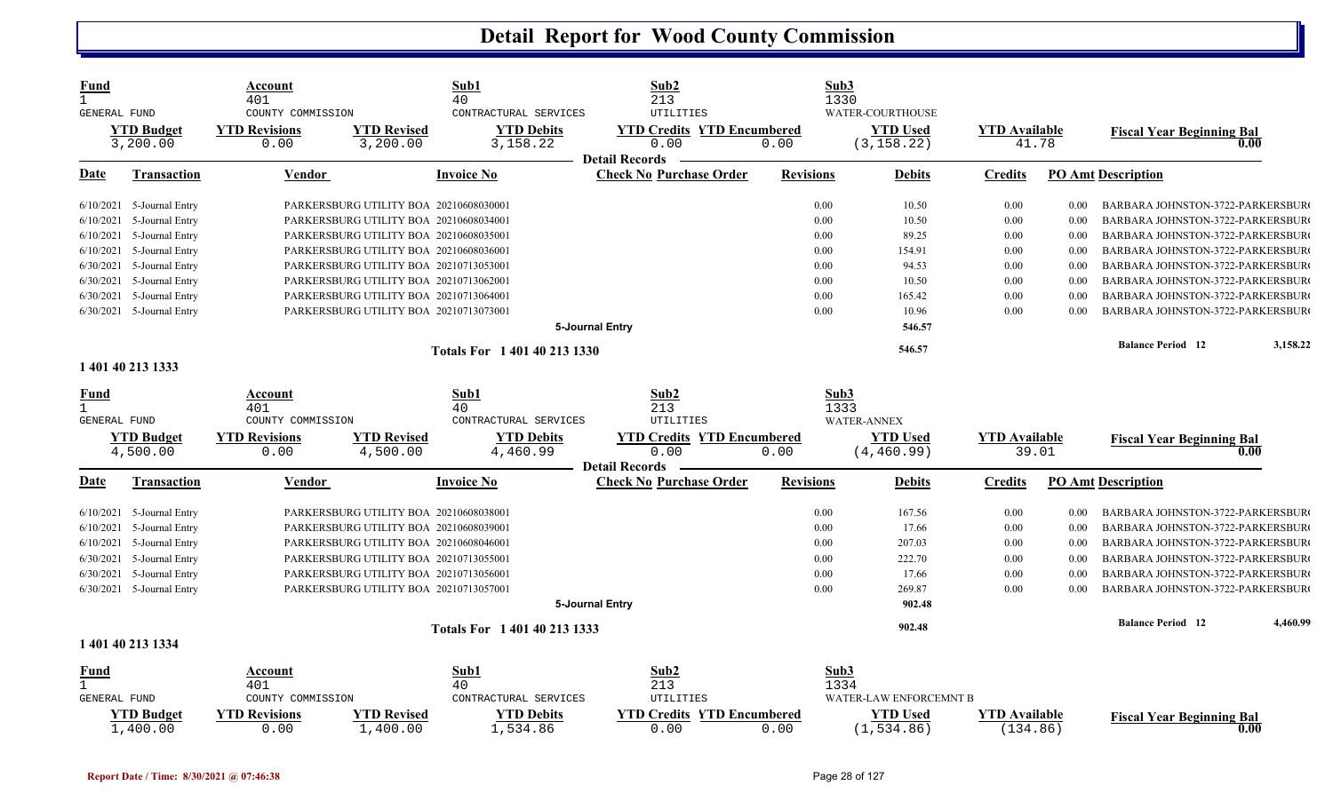| Fund                |                             | Account<br>401                            |                                        | Sub1<br>40                                 | Sub2<br>213                                    |                  | Sub3<br>1330                        |                      |       |                                          |
|---------------------|-----------------------------|-------------------------------------------|----------------------------------------|--------------------------------------------|------------------------------------------------|------------------|-------------------------------------|----------------------|-------|------------------------------------------|
| GENERAL FUND        | <b>YTD Budget</b>           | COUNTY COMMISSION<br><b>YTD Revisions</b> | <b>YTD Revised</b>                     | CONTRACTURAL SERVICES<br><b>YTD Debits</b> | UTILITIES<br><b>YTD Credits YTD Encumbered</b> |                  | WATER-COURTHOUSE<br><b>YTD Used</b> | <b>YTD Available</b> |       |                                          |
|                     | 3,200.00                    | 0.00                                      | 3,200.00                               | 3,158.22                                   | 0.00                                           | 0.00             | (3, 158.22)                         |                      | 41.78 | <b>Fiscal Year Beginning Bal</b><br>0.00 |
|                     |                             |                                           |                                        |                                            | <b>Detail Records</b>                          |                  |                                     |                      |       |                                          |
| Date                | <b>Transaction</b>          | Vendor                                    |                                        | <b>Invoice No</b>                          | <b>Check No Purchase Order</b>                 | <b>Revisions</b> | <b>Debits</b>                       | <b>Credits</b>       |       | <b>PO Amt Description</b>                |
|                     | $6/10/2021$ 5-Journal Entry |                                           | PARKERSBURG UTILITY BOA 20210608030001 |                                            |                                                | 0.00             | 10.50                               | 0.00                 | 0.00  | BARBARA JOHNSTON-3722-PARKERSBUR         |
| 6/10/2021           | 5-Journal Entry             |                                           | PARKERSBURG UTILITY BOA 20210608034001 |                                            |                                                | 0.00             | 10.50                               | 0.00                 | 0.00  | BARBARA JOHNSTON-3722-PARKERSBUR         |
|                     | 6/10/2021 5-Journal Entry   |                                           | PARKERSBURG UTILITY BOA 20210608035001 |                                            |                                                | 0.00             | 89.25                               | 0.00                 | 0.00  | BARBARA JOHNSTON-3722-PARKERSBUR         |
|                     | 6/10/2021 5-Journal Entry   |                                           | PARKERSBURG UTILITY BOA 20210608036001 |                                            |                                                | 0.00             | 154.91                              | 0.00                 | 0.00  | BARBARA JOHNSTON-3722-PARKERSBUR         |
|                     | 6/30/2021 5-Journal Entry   |                                           | PARKERSBURG UTILITY BOA 20210713053001 |                                            |                                                | 0.00             | 94.53                               | 0.00                 | 0.00  | BARBARA JOHNSTON-3722-PARKERSBUR         |
|                     | 6/30/2021 5-Journal Entry   |                                           | PARKERSBURG UTILITY BOA 20210713062001 |                                            |                                                | 0.00             | 10.50                               | 0.00                 | 0.00  | BARBARA JOHNSTON-3722-PARKERSBUR         |
|                     | 6/30/2021 5-Journal Entry   |                                           | PARKERSBURG UTILITY BOA 20210713064001 |                                            |                                                | 0.00             | 165.42                              | 0.00                 | 0.00  | BARBARA JOHNSTON-3722-PARKERSBUR         |
|                     | 6/30/2021 5-Journal Entry   |                                           | PARKERSBURG UTILITY BOA 20210713073001 |                                            |                                                | 0.00             | 10.96                               | 0.00                 | 0.00  | BARBARA JOHNSTON-3722-PARKERSBUR         |
|                     |                             |                                           |                                        |                                            | 5-Journal Entry                                |                  | 546.57                              |                      |       |                                          |
|                     |                             |                                           |                                        | Totals For 1401402131330                   |                                                |                  | 546.57                              |                      |       | <b>Balance Period 12</b><br>3,158.22     |
|                     | 1 401 40 213 1333           |                                           |                                        |                                            |                                                |                  |                                     |                      |       |                                          |
| Fund                |                             | Account                                   |                                        | Sub1                                       | Sub2                                           |                  | Sub3                                |                      |       |                                          |
| $\mathbf{1}$        |                             | 401                                       |                                        | 40                                         | 213                                            |                  | 1333                                |                      |       |                                          |
| <b>GENERAL FUND</b> |                             | COUNTY COMMISSION                         |                                        | CONTRACTURAL SERVICES                      | UTILITIES                                      |                  | <b>WATER-ANNEX</b>                  |                      |       |                                          |
|                     | <b>YTD Budget</b>           | <b>YTD Revisions</b>                      | <b>YTD Revised</b>                     | <b>YTD Debits</b>                          | <b>YTD Credits YTD Encumbered</b>              |                  | <b>YTD</b> Used                     | <b>YTD Available</b> |       | <b>Fiscal Year Beginning Bal</b>         |
|                     | 4,500.00                    | 0.00                                      | 4,500.00                               | 4,460.99                                   | 0.00<br><b>Detail Records</b>                  | 0.00             | (4, 460.99)                         |                      | 39.01 | 0.00                                     |
| <b>Date</b>         | <b>Transaction</b>          | <b>Vendor</b>                             |                                        | <b>Invoice No</b>                          | <b>Check No Purchase Order</b>                 | <b>Revisions</b> | <b>Debits</b>                       | <b>Credits</b>       |       | <b>PO Amt Description</b>                |
|                     | $6/10/2021$ 5-Journal Entry |                                           | PARKERSBURG UTILITY BOA 20210608038001 |                                            |                                                | 0.00             | 167.56                              | 0.00                 | 0.00  | BARBARA JOHNSTON-3722-PARKERSBUR         |
|                     | $6/10/2021$ 5-Journal Entry |                                           | PARKERSBURG UTILITY BOA 20210608039001 |                                            |                                                | 0.00             | 17.66                               | 0.00                 | 0.00  | BARBARA JOHNSTON-3722-PARKERSBUR         |
|                     | 6/10/2021 5-Journal Entry   |                                           | PARKERSBURG UTILITY BOA 20210608046001 |                                            |                                                | 0.00             | 207.03                              | 0.00                 | 0.00  | BARBARA JOHNSTON-3722-PARKERSBUR         |
|                     | 6/30/2021 5-Journal Entry   |                                           | PARKERSBURG UTILITY BOA 20210713055001 |                                            |                                                | 0.00             | 222.70                              | 0.00                 | 0.00  | BARBARA JOHNSTON-3722-PARKERSBUR         |
| 6/30/2021           | 5-Journal Entry             |                                           | PARKERSBURG UTILITY BOA 20210713056001 |                                            |                                                | 0.00             | 17.66                               | 0.00                 | 0.00  | BARBARA JOHNSTON-3722-PARKERSBUR         |
|                     | 6/30/2021 5-Journal Entry   |                                           | PARKERSBURG UTILITY BOA 20210713057001 |                                            |                                                | 0.00             | 269.87                              | 0.00                 | 0.00  | BARBARA JOHNSTON-3722-PARKERSBUR         |
|                     |                             |                                           |                                        |                                            | 5-Journal Entry                                |                  | 902.48                              |                      |       |                                          |
|                     |                             |                                           |                                        |                                            |                                                |                  | 902.48                              |                      |       | 4,460.99<br><b>Balance Period</b> 12     |
|                     | 1 401 40 213 1334           |                                           |                                        | Totals For 1401402131333                   |                                                |                  |                                     |                      |       |                                          |
| Fund                |                             | Account                                   |                                        | Sub1                                       | Sub2                                           |                  | Sub3                                |                      |       |                                          |
|                     |                             | 401                                       |                                        | 40                                         | 213                                            |                  | 1334                                |                      |       |                                          |
| GENERAL FUND        |                             | COUNTY COMMISSION                         |                                        | CONTRACTURAL SERVICES                      | UTILITIES                                      |                  | WATER-LAW ENFORCEMNT B              |                      |       |                                          |
|                     | <b>YTD Budget</b>           | <b>YTD Revisions</b>                      | <b>YTD Revised</b>                     | <b>YTD Debits</b>                          | <b>YTD Credits YTD Encumbered</b>              |                  | <b>YTD Used</b>                     | <b>YTD</b> Available |       | <b>Fiscal Year Beginning Bal</b>         |
|                     | 1,400.00                    | 0.00                                      | 1,400.00                               | 1,534.86                                   | 0.00                                           | 0.00             | (1, 534.86)                         | (134.86)             |       | 0.00                                     |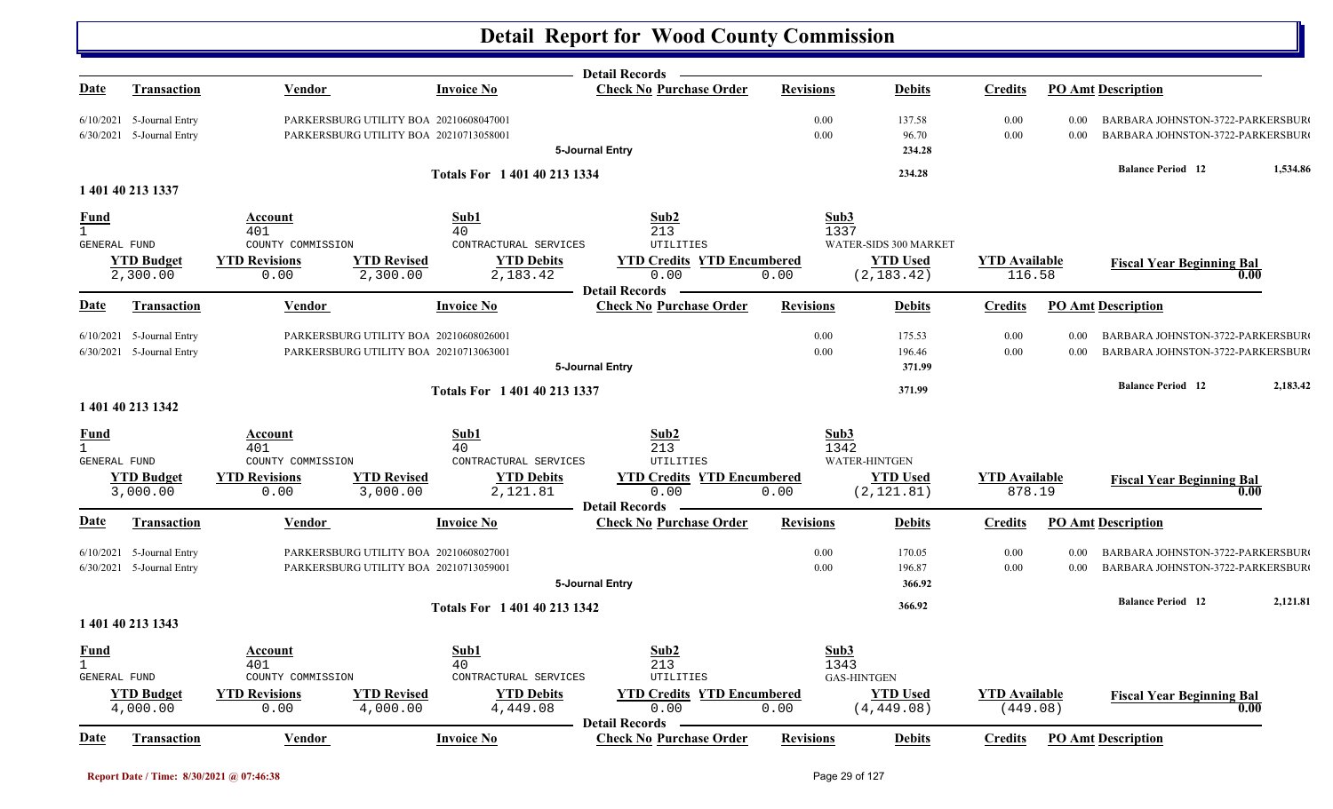|                                                    |                                                            |                                                                                  |                                |                                                          | <b>Detail Records</b>                                              |                  |                                  |                                  |              |                                                                             |          |
|----------------------------------------------------|------------------------------------------------------------|----------------------------------------------------------------------------------|--------------------------------|----------------------------------------------------------|--------------------------------------------------------------------|------------------|----------------------------------|----------------------------------|--------------|-----------------------------------------------------------------------------|----------|
| Date                                               | <b>Transaction</b>                                         | Vendor                                                                           |                                | <b>Invoice No</b>                                        | <b>Check No Purchase Order</b>                                     | <b>Revisions</b> | <b>Debits</b>                    | <b>Credits</b>                   |              | <b>PO Amt Description</b>                                                   |          |
|                                                    | $6/10/2021$ 5-Journal Entry<br>$6/30/2021$ 5-Journal Entry | PARKERSBURG UTILITY BOA 20210608047001<br>PARKERSBURG UTILITY BOA 20210713058001 |                                |                                                          | 5-Journal Entry                                                    | 0.00<br>0.00     | 137.58<br>96.70<br>234.28        | 0.00<br>0.00                     | 0.00<br>0.00 | <b>BARBARA JOHNSTON-3722-PARKERSBUR</b><br>BARBARA JOHNSTON-3722-PARKERSBUR |          |
|                                                    |                                                            |                                                                                  |                                | Totals For 1 401 40 213 1334                             |                                                                    |                  | 234.28                           |                                  |              | <b>Balance Period 12</b>                                                    | 1,534.86 |
|                                                    | 1 401 40 213 1337                                          |                                                                                  |                                |                                                          |                                                                    |                  |                                  |                                  |              |                                                                             |          |
| Fund<br>$\mathbf{1}$<br>GENERAL FUND               |                                                            | Account<br>401<br>COUNTY COMMISSION                                              |                                | Sub1<br>40<br>CONTRACTURAL SERVICES                      | Sub <sub>2</sub><br>213<br>UTILITIES                               | Sub3<br>1337     | WATER-SIDS 300 MARKET            |                                  |              |                                                                             |          |
|                                                    | <b>YTD Budget</b><br>2,300.00                              | <b>YTD Revisions</b><br>0.00                                                     | <b>YTD Revised</b><br>2,300.00 | <b>YTD Debits</b><br>2,183.42                            | <b>YTD Credits YTD Encumbered</b><br>0.00<br><b>Detail Records</b> | 0.00             | <b>YTD</b> Used<br>(2, 183.42)   | <b>YTD</b> Available<br>116.58   |              | <b>Fiscal Year Beginning Bal</b><br>0.00                                    |          |
| <u>Date</u>                                        | <b>Transaction</b>                                         | <b>Vendor</b>                                                                    |                                | <b>Invoice No</b>                                        | <b>Check No Purchase Order</b>                                     | <b>Revisions</b> | <b>Debits</b>                    | <b>Credits</b>                   |              | <b>PO Amt Description</b>                                                   |          |
|                                                    | 6/10/2021 5-Journal Entry<br>$6/30/2021$ 5-Journal Entry   | PARKERSBURG UTILITY BOA 20210608026001<br>PARKERSBURG UTILITY BOA 20210713063001 |                                |                                                          | 5-Journal Entry                                                    | 0.00<br>0.00     | 175.53<br>196.46<br>371.99       | 0.00<br>0.00                     | 0.00<br>0.00 | BARBARA JOHNSTON-3722-PARKERSBUR<br>BARBARA JOHNSTON-3722-PARKERSBUR        |          |
|                                                    | 1 401 40 213 1342                                          |                                                                                  |                                | Totals For 1 401 40 213 1337                             |                                                                    |                  | 371.99                           |                                  |              | <b>Balance Period 12</b>                                                    | 2,183.42 |
| <b>Fund</b><br>$\mathbf{1}$<br>GENERAL FUND        | <b>YTD Budget</b>                                          | Account<br>401<br>COUNTY COMMISSION<br><b>YTD Revisions</b>                      | <b>YTD Revised</b>             | Sub1<br>40<br>CONTRACTURAL SERVICES<br><b>YTD Debits</b> | Sub2<br>213<br>UTILITIES<br><b>YTD Credits YTD Encumbered</b>      | Sub3<br>1342     | WATER-HINTGEN<br><b>YTD Used</b> | <b>YTD Available</b>             |              | <b>Fiscal Year Beginning Bal</b>                                            |          |
|                                                    | 3,000.00                                                   | 0.00                                                                             | 3,000.00                       | 2,121.81                                                 | 0.00<br><b>Detail Records</b>                                      | 0.00             | (2, 121.81)                      | 878.19                           |              | 0.00                                                                        |          |
| <u>Date</u>                                        | <b>Transaction</b>                                         | <b>Vendor</b>                                                                    |                                | <b>Invoice No</b>                                        | <b>Check No Purchase Order</b>                                     | <b>Revisions</b> | <b>Debits</b>                    | <b>Credits</b>                   |              | <b>PO Amt Description</b>                                                   |          |
|                                                    | 6/10/2021 5-Journal Entry<br>6/30/2021 5-Journal Entry     | PARKERSBURG UTILITY BOA 20210608027001<br>PARKERSBURG UTILITY BOA 20210713059001 |                                |                                                          | 5-Journal Entry                                                    | 0.00<br>0.00     | 170.05<br>196.87<br>366.92       | 0.00<br>0.00                     | 0.00<br>0.00 | BARBARA JOHNSTON-3722-PARKERSBUR<br>BARBARA JOHNSTON-3722-PARKERSBUR        |          |
|                                                    | 1 401 40 213 1343                                          |                                                                                  |                                | Totals For 1 401 40 213 1342                             |                                                                    |                  | 366.92                           |                                  |              | <b>Balance Period 12</b>                                                    | 2,121.81 |
| <b>Fund</b><br>$\mathbf{1}$<br><b>GENERAL FUND</b> |                                                            | Account<br>401<br>COUNTY COMMISSION                                              |                                | Sub1<br>40<br>CONTRACTURAL SERVICES                      | Sub2<br>213<br>UTILITIES                                           | Sub3<br>1343     | <b>GAS-HINTGEN</b>               |                                  |              |                                                                             |          |
|                                                    | <b>YTD Budget</b><br>4,000.00                              | <b>YTD Revisions</b><br>0.00                                                     | <b>YTD Revised</b><br>4,000.00 | <b>YTD Debits</b><br>4,449.08                            | <b>YTD Credits YTD Encumbered</b><br>0.00                          | 0.00             | <b>YTD Used</b><br>(4, 449.08)   | <b>YTD Available</b><br>(449.08) |              | <b>Fiscal Year Beginning Bal</b><br>0.00                                    |          |
| <u>Date</u>                                        | Transaction                                                | <b>Vendor</b>                                                                    |                                | <b>Invoice No</b>                                        | <b>Detail Records</b><br><b>Check No Purchase Order</b>            | <b>Revisions</b> | <b>Debits</b>                    | <b>Credits</b>                   |              | <b>PO Amt Description</b>                                                   |          |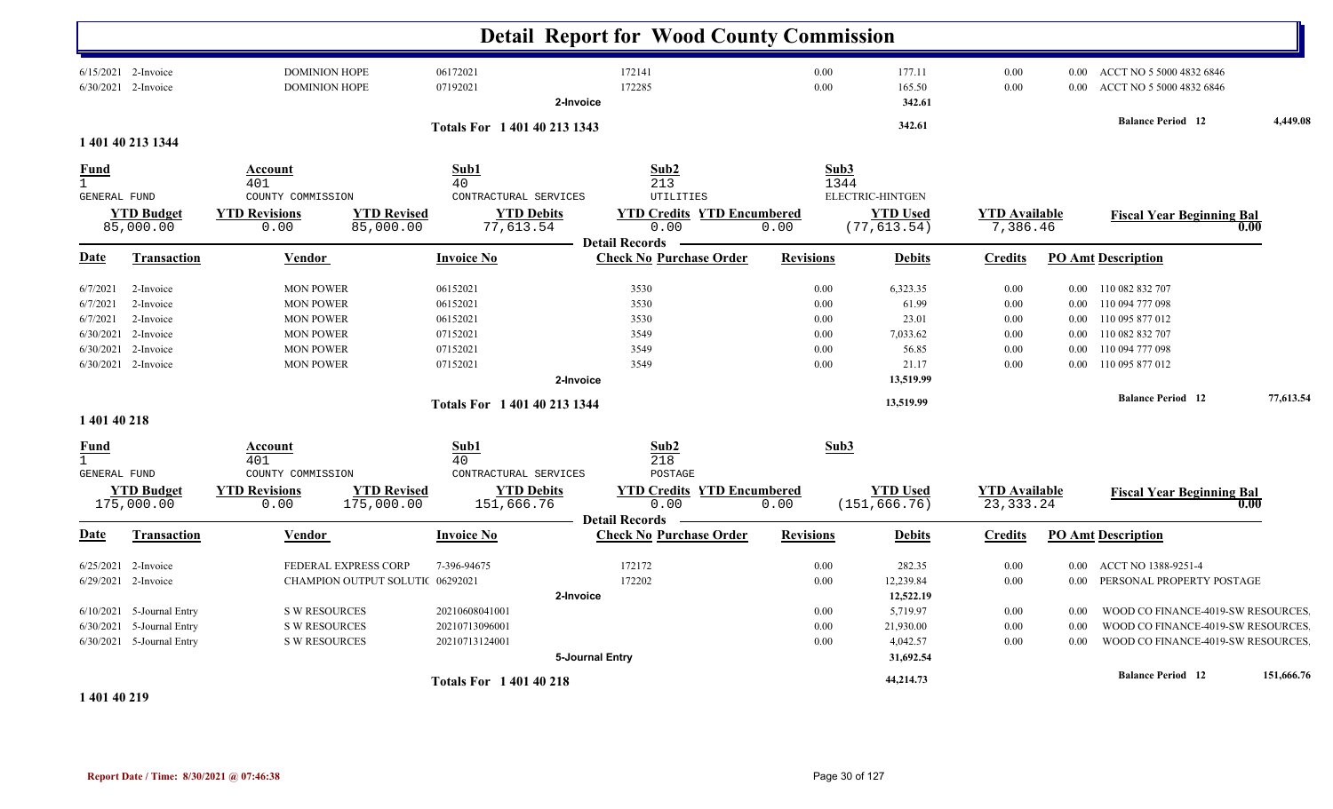|                                                            |                                                                                      |                                                                                                                      |                                                                                              | <b>Detail Report for Wood County Commission</b>                     |                                                      |                                                          |                                                      |                                                                  |                                                                                                                |            |
|------------------------------------------------------------|--------------------------------------------------------------------------------------|----------------------------------------------------------------------------------------------------------------------|----------------------------------------------------------------------------------------------|---------------------------------------------------------------------|------------------------------------------------------|----------------------------------------------------------|------------------------------------------------------|------------------------------------------------------------------|----------------------------------------------------------------------------------------------------------------|------------|
|                                                            | $6/15/2021$ 2-Invoice<br>6/30/2021 2-Invoice                                         | <b>DOMINION HOPE</b><br>DOMINION HOPE                                                                                | 06172021<br>07192021                                                                         | 172141<br>172285<br>2-Invoice                                       | $0.00\,$<br>0.00                                     | 177.11<br>165.50<br>342.61                               | 0.00<br>0.00                                         | 0.00                                                             | 0.00 ACCT NO 5 5000 4832 6846<br>ACCT NO 5 5000 4832 6846                                                      |            |
|                                                            | 1 401 40 213 1344                                                                    |                                                                                                                      | Totals For 1 401 40 213 1343                                                                 |                                                                     |                                                      | 342.61                                                   |                                                      |                                                                  | <b>Balance Period 12</b>                                                                                       | 4,449.08   |
| <u>Fund</u><br>$\mathbf{1}$<br>GENERAL FUND                |                                                                                      | Account<br>401<br>COUNTY COMMISSION                                                                                  | Sub1<br>40<br>CONTRACTURAL SERVICES                                                          | Sub2<br>213<br>UTILITIES                                            | Sub3<br>1344                                         | ELECTRIC-HINTGEN                                         |                                                      |                                                                  |                                                                                                                |            |
|                                                            | <b>YTD Budget</b><br>85,000.00                                                       | <b>YTD Revisions</b><br>0.00                                                                                         | <b>YTD Revised</b><br><b>YTD Debits</b><br>85,000.00<br>77,613.54                            | <b>YTD Credits YTD Encumbered</b><br>0.00                           | 0.00                                                 | <b>YTD Used</b><br>(77, 613.54)                          | <b>YTD Available</b><br>7,386.46                     |                                                                  | <b>Fiscal Year Beginning Bal</b><br>0.00                                                                       |            |
| <u>Date</u>                                                | Transaction                                                                          | <b>Vendor</b>                                                                                                        | <b>Invoice No</b>                                                                            | <b>Detail Records</b><br><b>Check No Purchase Order</b>             | <b>Revisions</b>                                     | <b>Debits</b>                                            | <b>Credits</b>                                       |                                                                  | <b>PO Amt Description</b>                                                                                      |            |
| 6/7/2021<br>6/7/2021<br>6/7/2021<br>6/30/2021<br>6/30/2021 | 2-Invoice<br>2-Invoice<br>2-Invoice<br>2-Invoice<br>2-Invoice<br>6/30/2021 2-Invoice | <b>MON POWER</b><br><b>MON POWER</b><br><b>MON POWER</b><br><b>MON POWER</b><br><b>MON POWER</b><br><b>MON POWER</b> | 06152021<br>06152021<br>06152021<br>07152021<br>07152021<br>07152021                         | 3530<br>3530<br>3530<br>3549<br>3549<br>3549                        | 0.00<br>$0.00\,$<br>0.00<br>0.00<br>$0.00\,$<br>0.00 | 6,323.35<br>61.99<br>23.01<br>7,033.62<br>56.85<br>21.17 | 0.00<br>$0.00\,$<br>0.00<br>$0.00\,$<br>0.00<br>0.00 | $0.00\,$<br>$0.00\,$<br>$0.00\,$<br>$0.00\,$<br>$0.00\,$<br>0.00 | 110 082 832 707<br>110 094 777 098<br>110 095 877 012<br>110 082 832 707<br>110 094 777 098<br>110 095 877 012 |            |
| 1 401 40 218                                               |                                                                                      |                                                                                                                      | Totals For 1 401 40 213 1344                                                                 | 2-Invoice                                                           |                                                      | 13,519.99<br>13,519.99                                   |                                                      |                                                                  | <b>Balance Period 12</b>                                                                                       | 77,613.54  |
| Fund<br>GENERAL FUND                                       | <b>YTD Budget</b><br>175,000.00                                                      | Account<br>401<br>COUNTY COMMISSION<br><b>YTD Revisions</b><br>175,000.00<br>0.00                                    | Sub1<br>40<br>CONTRACTURAL SERVICES<br><b>YTD Revised</b><br><b>YTD Debits</b><br>151,666.76 | Sub2<br>218<br>POSTAGE<br><b>YTD Credits YTD Encumbered</b><br>0.00 | Sub3<br>0.00                                         | <b>YTD Used</b><br>(151, 666.76)                         | <b>YTD Available</b><br>23, 333. 24                  |                                                                  | <b>Fiscal Year Beginning Bal</b><br>0.00                                                                       |            |
| Date                                                       | <b>Transaction</b>                                                                   | <b>Vendor</b>                                                                                                        | <b>Invoice No</b>                                                                            | <b>Detail Records</b><br><b>Check No Purchase Order</b>             | <b>Revisions</b>                                     | <b>Debits</b>                                            | <b>Credits</b>                                       |                                                                  | <b>PO Amt Description</b>                                                                                      |            |
|                                                            | 6/25/2021 2-Invoice<br>6/29/2021 2-Invoice                                           | FEDERAL EXPRESS CORP<br>CHAMPION OUTPUT SOLUTIC 06292021                                                             | 7-396-94675                                                                                  | 172172<br>172202<br>2-Invoice                                       | 0.00<br>0.00                                         | 282.35<br>12,239.84<br>12,522.19                         | 0.00<br>$0.00\,$                                     | $0.00\,$<br>$0.00\,$                                             | ACCT NO 1388-9251-4<br>PERSONAL PROPERTY POSTAGE                                                               |            |
|                                                            | 6/10/2021 5-Journal Entry<br>6/30/2021 5-Journal Entry<br>6/30/2021 5-Journal Entry  | <b>S W RESOURCES</b><br><b>S W RESOURCES</b><br><b>S W RESOURCES</b>                                                 | 20210608041001<br>20210713096001<br>20210713124001                                           |                                                                     | $0.00\,$<br>0.00<br>0.00                             | 5,719.97<br>21,930.00<br>4,042.57                        | 0.00<br>0.00<br>0.00                                 | 0.00<br>0.00<br>0.00                                             | WOOD CO FINANCE-4019-SW RESOURCES<br>WOOD CO FINANCE-4019-SW RESOURCES<br>WOOD CO FINANCE-4019-SW RESOURCES    |            |
| 1.401.40.210                                               |                                                                                      |                                                                                                                      | <b>Totals For 140140218</b>                                                                  | 5-Journal Entry                                                     |                                                      | 31,692.54<br>44,214.73                                   |                                                      |                                                                  | <b>Balance Period 12</b>                                                                                       | 151,666.76 |

#### **1 401 40 219**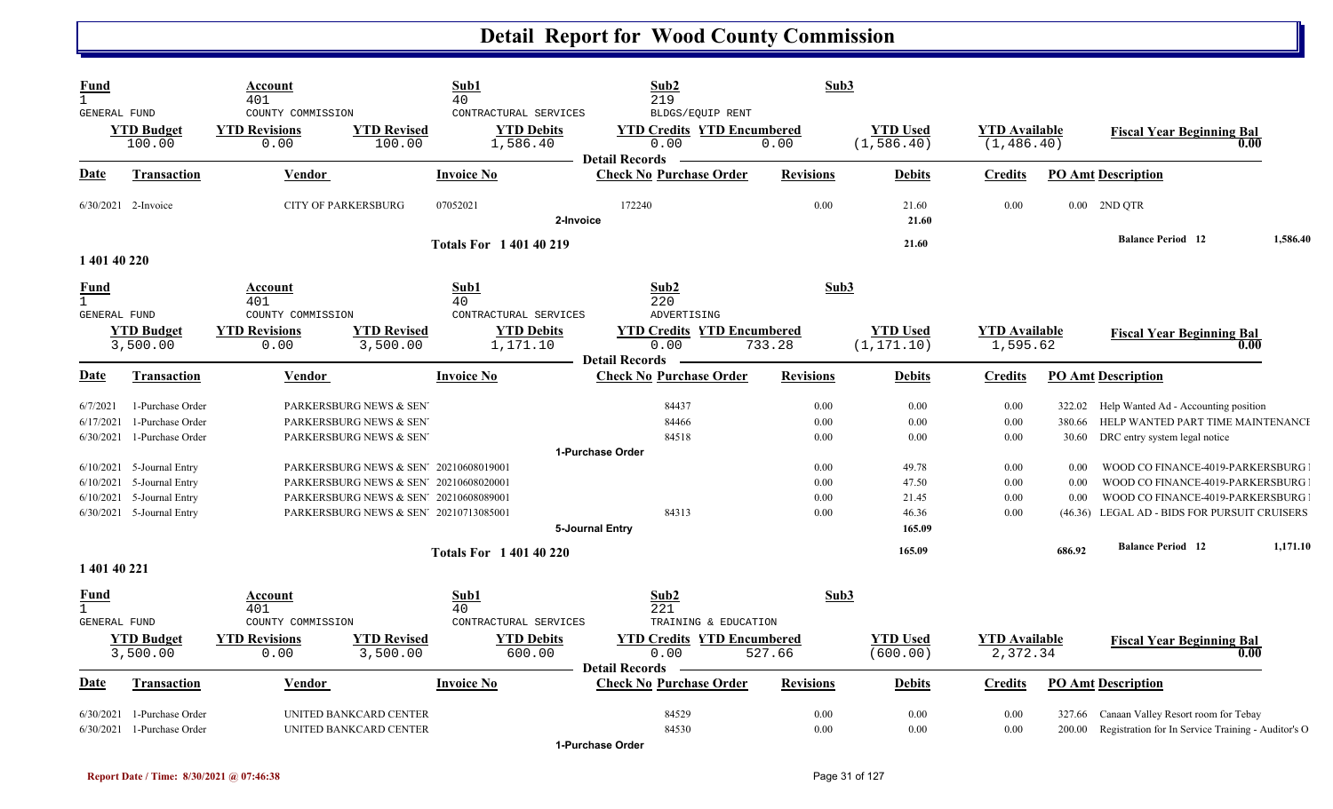| <b>Fund</b><br>$\mathbf{1}$<br>GENERAL FUND |                                                                                    | Account<br>401<br>COUNTY COMMISSION                                                                                                                                | Sub1<br>40<br>CONTRACTURAL SERVICES | Sub2<br>219<br>BLDGS/EQUIP RENT                                    | Sub3                         |                                            |                                     |                                 |                                                                                                                                                  |          |
|---------------------------------------------|------------------------------------------------------------------------------------|--------------------------------------------------------------------------------------------------------------------------------------------------------------------|-------------------------------------|--------------------------------------------------------------------|------------------------------|--------------------------------------------|-------------------------------------|---------------------------------|--------------------------------------------------------------------------------------------------------------------------------------------------|----------|
|                                             | <b>YTD Budget</b><br>100.00                                                        | <b>YTD Revisions</b><br><b>YTD Revised</b><br>0.00<br>100.00                                                                                                       | <b>YTD Debits</b><br>1,586.40       | <b>YTD Credits YTD Encumbered</b><br>0.00<br><b>Detail Records</b> | 0.00                         | <b>YTD</b> Used<br>(1, 586.40)             | <b>YTD</b> Available<br>(1, 486.40) |                                 | <b>Fiscal Year Beginning Bal</b><br>0.00                                                                                                         |          |
| Date                                        | <b>Transaction</b>                                                                 | Vendor                                                                                                                                                             | <b>Invoice No</b>                   | <b>Check No Purchase Order</b>                                     | <b>Revisions</b>             | <b>Debits</b>                              | <b>Credits</b>                      |                                 | <b>PO Amt Description</b>                                                                                                                        |          |
|                                             | 6/30/2021 2-Invoice                                                                | <b>CITY OF PARKERSBURG</b>                                                                                                                                         | 07052021                            | 172240<br>2-Invoice                                                | 0.00                         | 21.60<br>21.60                             | 0.00                                |                                 | $0.00$ 2ND QTR                                                                                                                                   |          |
| 1 401 40 220                                |                                                                                    |                                                                                                                                                                    | <b>Totals For 140140219</b>         |                                                                    |                              | 21.60                                      |                                     |                                 | <b>Balance Period</b> 12                                                                                                                         | 1,586.40 |
| <u>Fund</u><br>$\mathbf{1}$<br>GENERAL FUND |                                                                                    | <b>Account</b><br>401<br>COUNTY COMMISSION                                                                                                                         | Sub1<br>40<br>CONTRACTURAL SERVICES | Sub2<br>220<br>ADVERTISING                                         | Sub3                         |                                            |                                     |                                 |                                                                                                                                                  |          |
|                                             | <b>YTD Budget</b><br>3,500.00                                                      | <b>YTD Revisions</b><br><b>YTD Revised</b><br>0.00<br>3,500.00                                                                                                     | <b>YTD Debits</b><br>1,171.10       | <b>YTD Credits YTD Encumbered</b><br>0.00<br><b>Detail Records</b> | 733.28                       | <b>YTD Used</b><br>(1, 171.10)             | <b>YTD Available</b><br>1,595.62    |                                 | <b>Fiscal Year Beginning Bal</b><br>0.00                                                                                                         |          |
| Date                                        | <b>Transaction</b>                                                                 | Vendor                                                                                                                                                             | <b>Invoice No</b>                   | <b>Check No Purchase Order</b>                                     | <b>Revisions</b>             | <b>Debits</b>                              | <b>Credits</b>                      |                                 | <b>PO Amt Description</b>                                                                                                                        |          |
| 6/7/2021<br>6/17/2021<br>6/30/2021          | 1-Purchase Order<br>1-Purchase Order<br>1-Purchase Order                           | PARKERSBURG NEWS & SEN<br>PARKERSBURG NEWS & SEN<br>PARKERSBURG NEWS & SEN                                                                                         |                                     | 84437<br>84466<br>84518                                            | $0.00\,$<br>0.00<br>$0.00\,$ | 0.00<br>0.00<br>0.00                       | 0.00<br>0.00<br>0.00                | 322.02<br>380.66<br>30.60       | Help Wanted Ad - Accounting position<br>HELP WANTED PART TIME MAINTENANCE                                                                        |          |
|                                             |                                                                                    |                                                                                                                                                                    |                                     | 1-Purchase Order                                                   |                              |                                            |                                     |                                 | DRC entry system legal notice                                                                                                                    |          |
| 6/10/2021<br>6/10/2021<br>6/10/2021         | 5-Journal Entry<br>5-Journal Entry<br>5-Journal Entry<br>6/30/2021 5-Journal Entry | PARKERSBURG NEWS & SEN 20210608019001<br>PARKERSBURG NEWS & SEN 20210608020001<br>PARKERSBURG NEWS & SEN' 20210608089001<br>PARKERSBURG NEWS & SEN' 20210713085001 |                                     | 84313<br>5-Journal Entry                                           | 0.00<br>0.00<br>0.00<br>0.00 | 49.78<br>47.50<br>21.45<br>46.36<br>165.09 | 0.00<br>0.00<br>0.00<br>0.00        | 0.00<br>0.00<br>0.00<br>(46.36) | WOOD CO FINANCE-4019-PARKERSBURG<br>WOOD CO FINANCE-4019-PARKERSBURG<br>WOOD CO FINANCE-4019-PARKERSBURG<br>LEGAL AD - BIDS FOR PURSUIT CRUISERS |          |
| 1 401 40 221                                |                                                                                    |                                                                                                                                                                    | <b>Totals For 140140220</b>         |                                                                    |                              | 165.09                                     |                                     | 686.92                          | <b>Balance Period 12</b>                                                                                                                         | 1,171.10 |
| <u>Fund</u><br>$\mathbf{1}$<br>GENERAL FUND |                                                                                    | Account<br>401<br>COUNTY COMMISSION                                                                                                                                | Sub1<br>40<br>CONTRACTURAL SERVICES | Sub2<br>221<br>TRAINING & EDUCATION                                | Sub3                         |                                            |                                     |                                 |                                                                                                                                                  |          |
|                                             | <b>YTD Budget</b><br>3,500.00                                                      | <b>YTD Revised</b><br><b>YTD Revisions</b><br>0.00<br>3,500.00                                                                                                     | <b>YTD Debits</b><br>600.00         | <b>YTD Credits YTD Encumbered</b><br>0.00<br><b>Detail Records</b> | 527.66                       | <b>YTD</b> Used<br>(600.00)                | <b>YTD Available</b><br>2,372.34    |                                 | <b>Fiscal Year Beginning Bal</b><br>0.00                                                                                                         |          |
| Date                                        | Transaction                                                                        | Vendor                                                                                                                                                             | <b>Invoice No</b>                   | <b>Check No Purchase Order</b>                                     | <b>Revisions</b>             | <b>Debits</b>                              | <b>Credits</b>                      |                                 | <b>PO Amt Description</b>                                                                                                                        |          |
| 6/30/2021<br>6/30/2021                      | 1-Purchase Order<br>1-Purchase Order                                               | UNITED BANKCARD CENTER<br>UNITED BANKCARD CENTER                                                                                                                   |                                     | 84529<br>84530<br>1-Purchase Order                                 | 0.00<br>0.00                 | 0.00<br>0.00                               | 0.00<br>0.00                        | 327.66<br>200.00                | Canaan Valley Resort room for Tebay<br>Registration for In Service Training - Auditor's O                                                        |          |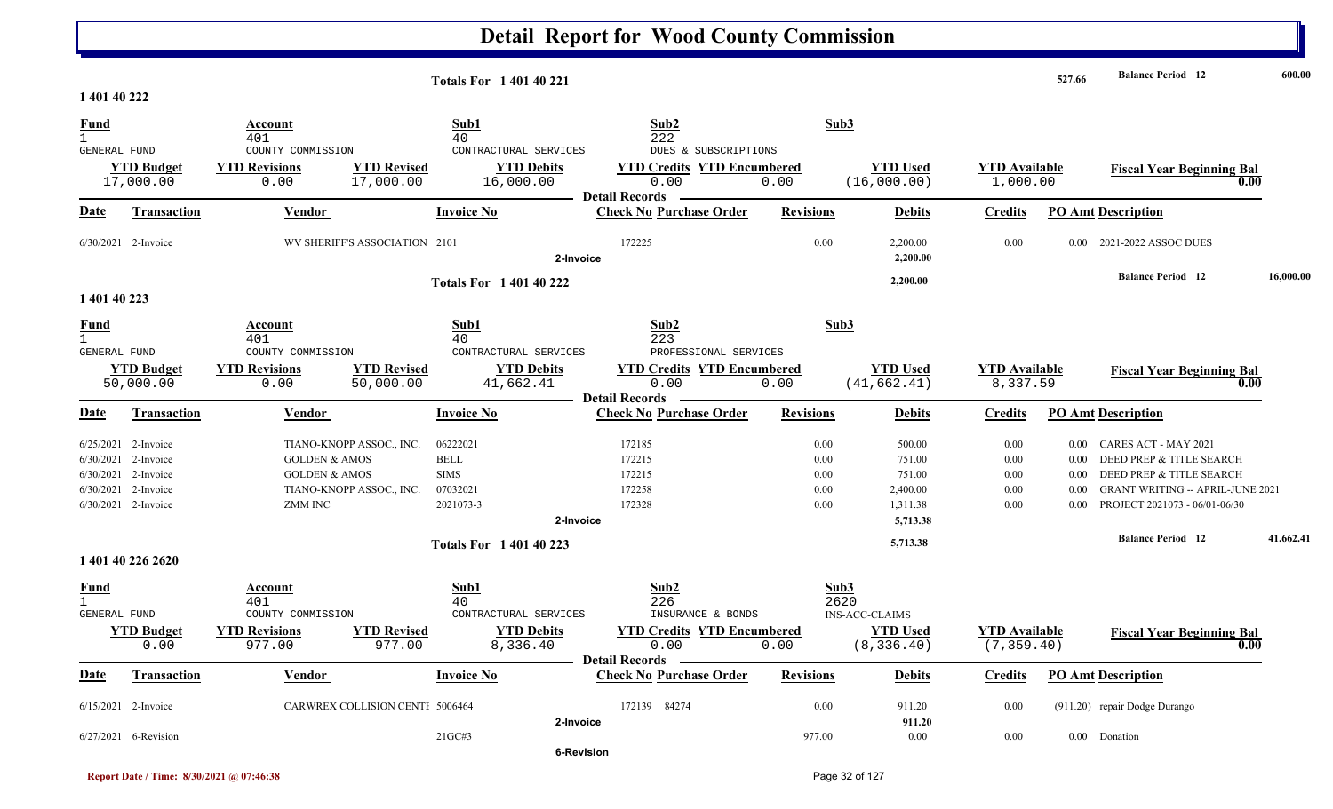|                             |                                |                                                   |                                 | <b>Totals For 140140221</b>                             |                                                                    |                  |                                 |                                     | 527.66   | <b>Balance Period</b> 12                 | 600.00    |
|-----------------------------|--------------------------------|---------------------------------------------------|---------------------------------|---------------------------------------------------------|--------------------------------------------------------------------|------------------|---------------------------------|-------------------------------------|----------|------------------------------------------|-----------|
| 1 401 40 222                |                                |                                                   |                                 |                                                         |                                                                    |                  |                                 |                                     |          |                                          |           |
| <u>Fund</u><br>GENERAL FUND |                                | Account<br>401<br>COUNTY COMMISSION               |                                 | Sub1<br>40<br>CONTRACTURAL SERVICES                     | Sub2<br>222<br>DUES & SUBSCRIPTIONS                                |                  | Sub3                            |                                     |          |                                          |           |
|                             | <b>YTD Budget</b><br>17,000.00 | <b>YTD Revisions</b><br>0.00                      | <b>YTD Revised</b><br>17,000.00 | <b>YTD Debits</b><br>16,000.00                          | <b>YTD Credits YTD Encumbered</b><br>0.00<br><b>Detail Records</b> | 0.00             | <b>YTD Used</b><br>(16,000.00)  | <b>YTD Available</b><br>1,000.00    |          | <b>Fiscal Year Beginning Bal</b><br>0.00 |           |
| Date                        | Transaction                    | Vendor                                            |                                 | <b>Invoice No</b>                                       | <b>Check No Purchase Order</b>                                     | <b>Revisions</b> | <b>Debits</b>                   | <b>Credits</b>                      |          | <b>PO Amt Description</b>                |           |
|                             | 6/30/2021 2-Invoice            |                                                   | WV SHERIFF'S ASSOCIATION 2101   | 2-Invoice                                               | 172225                                                             | 0.00             | 2,200.00<br>2,200.00            | 0.00                                | 0.00     | 2021-2022 ASSOC DUES                     |           |
|                             |                                |                                                   |                                 | <b>Totals For 1 401 40 222</b>                          |                                                                    |                  | 2,200.00                        |                                     |          | <b>Balance Period</b> 12                 | 16,000.00 |
| 1 401 40 223                |                                |                                                   |                                 |                                                         |                                                                    |                  |                                 |                                     |          |                                          |           |
| <u>Fund</u><br>$\mathbf{1}$ |                                | <b>Account</b><br>401                             |                                 | Sub1<br>40                                              | Sub2<br>223                                                        |                  | Sub3                            |                                     |          |                                          |           |
| GENERAL FUND                | <b>YTD Budget</b><br>50,000.00 | COUNTY COMMISSION<br><b>YTD Revisions</b><br>0.00 | <b>YTD Revised</b><br>50,000.00 | CONTRACTURAL SERVICES<br><b>YTD Debits</b><br>41,662.41 | PROFESSIONAL SERVICES<br><b>YTD Credits YTD Encumbered</b><br>0.00 | 0.00             | <b>YTD Used</b><br>(41, 662.41) | <b>YTD</b> Available<br>8,337.59    |          | <b>Fiscal Year Beginning Bal</b><br>0.00 |           |
| Date                        | <b>Transaction</b>             | Vendor                                            |                                 | <b>Invoice No</b>                                       | <b>Detail Records</b><br><b>Check No Purchase Order</b>            | <b>Revisions</b> | <b>Debits</b>                   | <b>Credits</b>                      |          | <b>PO Amt Description</b>                |           |
|                             | $6/25/2021$ 2-Invoice          | TIANO-KNOPP ASSOC., INC.                          |                                 | 06222021                                                | 172185                                                             | 0.00             | 500.00                          | 0.00                                | $0.00\,$ | CARES ACT - MAY 2021                     |           |
| 6/30/2021                   | 2-Invoice                      | <b>GOLDEN &amp; AMOS</b>                          | <b>BELL</b>                     |                                                         | 172215                                                             | 0.00             | 751.00                          | 0.00                                | 0.00     | DEED PREP & TITLE SEARCH                 |           |
| 6/30/2021                   | 2-Invoice                      | <b>GOLDEN &amp; AMOS</b>                          | <b>SIMS</b>                     |                                                         | 172215                                                             | 0.00             | 751.00                          | 0.00                                | 0.00     | DEED PREP & TITLE SEARCH                 |           |
| 6/30/2021                   | 2-Invoice                      | TIANO-KNOPP ASSOC., INC.                          |                                 | 07032021                                                | 172258                                                             | 0.00             | 2,400.00                        | 0.00                                | 0.00     | <b>GRANT WRITING -- APRIL-JUNE 2021</b>  |           |
|                             | 6/30/2021 2-Invoice            | ZMM INC                                           |                                 | 2021073-3                                               | 172328                                                             | 0.00             | 1,311.38                        | 0.00                                | 0.00     | PROJECT 2021073 - 06/01-06/30            |           |
|                             |                                |                                                   |                                 | 2-Invoice                                               |                                                                    |                  | 5,713.38                        |                                     |          |                                          |           |
|                             |                                |                                                   |                                 | <b>Totals For 140140223</b>                             |                                                                    |                  | 5,713.38                        |                                     |          | <b>Balance Period 12</b>                 | 41,662.41 |
|                             | 1 401 40 226 2620              |                                                   |                                 |                                                         |                                                                    |                  |                                 |                                     |          |                                          |           |
| <b>Fund</b><br>$\mathbf{1}$ |                                | Account<br>401                                    |                                 | Sub1<br>40                                              | Sub2<br>226                                                        |                  | Sub3<br>2620                    |                                     |          |                                          |           |
| <b>GENERAL FUND</b>         |                                | COUNTY COMMISSION                                 |                                 | CONTRACTURAL SERVICES                                   | INSURANCE & BONDS                                                  |                  | <b>INS-ACC-CLAIMS</b>           |                                     |          |                                          |           |
|                             | <b>YTD Budget</b><br>0.00      | <b>YTD Revisions</b><br>977.00                    | <b>YTD Revised</b><br>977.00    | <b>YTD Debits</b><br>8,336.40                           | <b>YTD Credits YTD Encumbered</b><br>0.00                          | 0.00             | <b>YTD Used</b><br>(8, 336.40)  | <b>YTD</b> Available<br>(7, 359.40) |          | <b>Fiscal Year Beginning Bal</b><br>0.00 |           |
|                             |                                |                                                   |                                 |                                                         | Detail Records —                                                   |                  |                                 |                                     |          |                                          |           |
| <u>Date</u>                 | <b>Transaction</b>             | Vendor                                            |                                 | <b>Invoice No</b>                                       | <b>Check No Purchase Order</b>                                     | <b>Revisions</b> | <b>Debits</b>                   | <b>Credits</b>                      |          | <b>PO Amt Description</b>                |           |
|                             | $6/15/2021$ 2-Invoice          |                                                   | CARWREX COLLISION CENTI 5006464 | 2-Invoice                                               | 172139 84274                                                       | 0.00             | 911.20<br>911.20                | 0.00                                |          | (911.20) repair Dodge Durango            |           |
|                             | 6/27/2021 6-Revision           |                                                   | 21GC#3                          |                                                         |                                                                    | 977.00           | 0.00                            | 0.00                                |          | 0.00 Donation                            |           |
|                             |                                |                                                   |                                 | 6-Revision                                              |                                                                    |                  |                                 |                                     |          |                                          |           |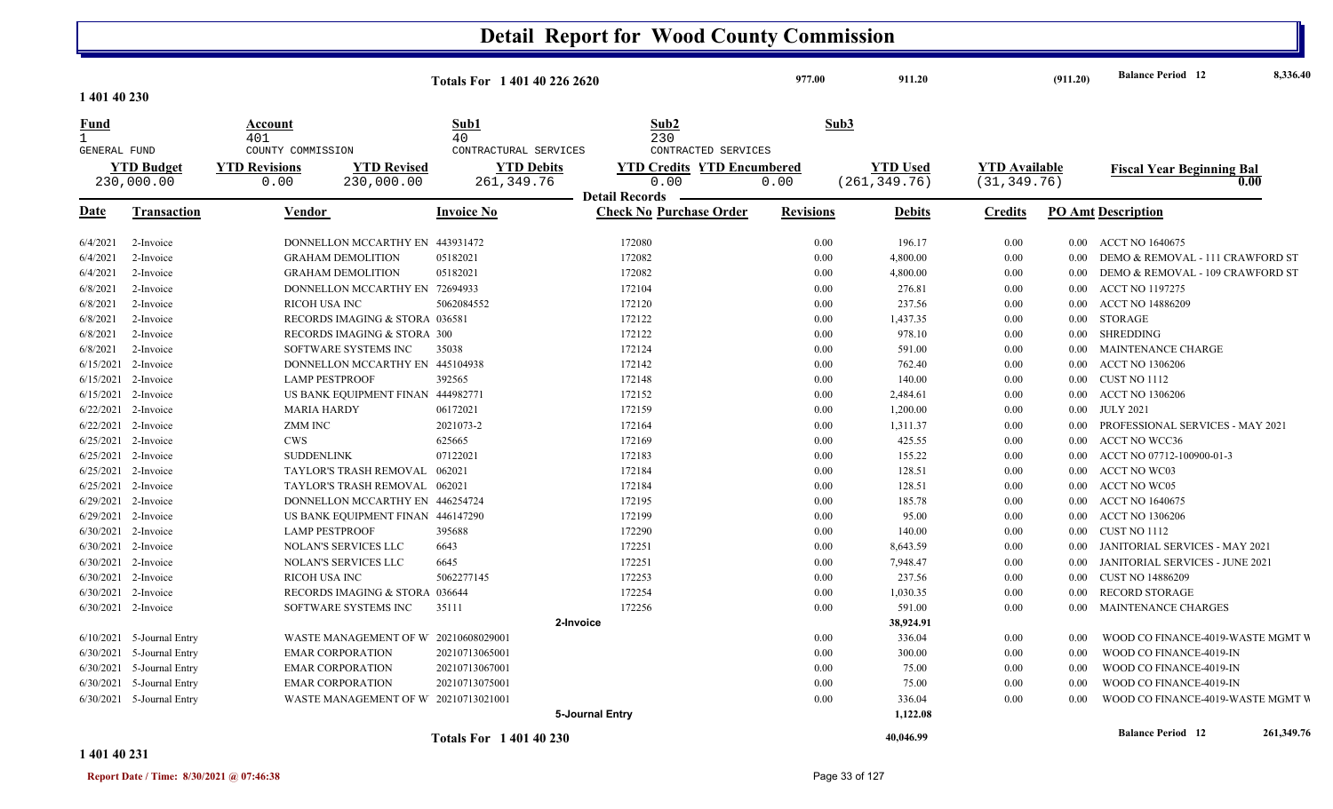|                                             |                                                                             |                                                                                            | Totals For 1 401 40 226 2620        |                                                                    | 977.00                                   | 911.20                         |                                      | (911.20)                           | <b>Balance Period</b> 12                                                                | 8,336.40   |
|---------------------------------------------|-----------------------------------------------------------------------------|--------------------------------------------------------------------------------------------|-------------------------------------|--------------------------------------------------------------------|------------------------------------------|--------------------------------|--------------------------------------|------------------------------------|-----------------------------------------------------------------------------------------|------------|
| 1 401 40 230                                |                                                                             |                                                                                            |                                     |                                                                    |                                          |                                |                                      |                                    |                                                                                         |            |
| <u>Fund</u><br>$\mathbf{1}$<br>GENERAL FUND |                                                                             | Account<br>401<br>COUNTY COMMISSION                                                        | Sub1<br>40<br>CONTRACTURAL SERVICES | Sub2<br>230<br>CONTRACTED SERVICES                                 | Sub3                                     |                                |                                      |                                    |                                                                                         |            |
|                                             | <b>YTD Budget</b><br>230,000.00                                             | <b>YTD Revisions</b><br><b>YTD Revised</b><br>230,000.00<br>0.00                           | <b>YTD Debits</b><br>261, 349.76    | <b>YTD Credits YTD Encumbered</b><br>0.00<br><b>Detail Records</b> | <b>YTD</b> Used<br>(261, 349.76)<br>0.00 |                                | <b>YTD</b> Available<br>(31, 349.76) |                                    | <b>Fiscal Year Beginning Bal</b><br>0.00                                                |            |
| Date                                        | <b>Transaction</b>                                                          | Vendor                                                                                     | <b>Invoice No</b>                   | <b>Check No Purchase Order</b>                                     | <b>Revisions</b>                         | <b>Debits</b>                  | <b>Credits</b>                       |                                    | <b>PO Amt Description</b>                                                               |            |
| 6/4/2021<br>6/4/2021                        | 2-Invoice<br>2-Invoice                                                      | DONNELLON MCCARTHY EN 443931472<br><b>GRAHAM DEMOLITION</b>                                | 05182021                            | 172080<br>172082                                                   | 0.00<br>0.00                             | 196.17<br>4,800.00             | 0.00<br>0.00                         | $0.00\,$<br>$0.00\,$               | ACCT NO 1640675<br>DEMO & REMOVAL - 111 CRAWFORD ST                                     |            |
| 6/4/2021<br>6/8/2021                        | 2-Invoice<br>2-Invoice                                                      | <b>GRAHAM DEMOLITION</b><br>DONNELLON MCCARTHY EN 72694933                                 | 05182021                            | 172082<br>172104                                                   | 0.00<br>0.00                             | 4,800.00<br>276.81             | 0.00<br>0.00                         | $0.00\,$<br>0.00 <sub>1</sub>      | DEMO & REMOVAL - 109 CRAWFORD ST<br><b>ACCT NO 1197275</b>                              |            |
| 6/8/2021<br>6/8/2021<br>6/8/2021            | 2-Invoice<br>2-Invoice<br>2-Invoice                                         | <b>RICOH USA INC</b><br>RECORDS IMAGING & STORA 036581<br>RECORDS IMAGING & STORA 300      | 5062084552                          | 172120<br>172122<br>172122                                         | 0.00<br>0.00<br>0.00                     | 237.56<br>1,437.35<br>978.10   | 0.00<br>0.00<br>0.00                 | $0.00\,$<br>0.00                   | <b>ACCT NO 14886209</b><br>0.00 STORAGE<br>SHREDDING                                    |            |
| 6/8/2021                                    | 2-Invoice<br>6/15/2021 2-Invoice                                            | SOFTWARE SYSTEMS INC<br>DONNELLON MCCARTHY EN 445104938                                    | 35038                               | 172124<br>172142                                                   | 0.00<br>0.00                             | 591.00<br>762.40               | 0.00<br>0.00                         | $0.00\,$<br>$0.00\,$               | <b>MAINTENANCE CHARGE</b><br><b>ACCT NO 1306206</b>                                     |            |
|                                             | $6/15/2021$ 2-Invoice<br>6/15/2021 2-Invoice<br>$6/22/2021$ 2-Invoice       | <b>LAMP PESTPROOF</b><br>US BANK EQUIPMENT FINAN 444982771<br><b>MARIA HARDY</b>           | 392565<br>06172021                  | 172148<br>172152<br>172159                                         | 0.00<br>0.00<br>0.00                     | 140.00<br>2,484.61<br>1,200.00 | 0.00<br>0.00<br>0.00                 | $0.00 -$<br>$0.00\,$<br>$0.00\,$   | CUST NO 1112<br><b>ACCT NO 1306206</b><br><b>JULY 2021</b>                              |            |
|                                             | 6/22/2021 2-Invoice<br>6/25/2021 2-Invoice                                  | ZMM INC<br><b>CWS</b>                                                                      | 2021073-2<br>625665                 | 172164<br>172169                                                   | 0.00<br>0.00                             | 1,311.37<br>425.55             | 0.00<br>0.00                         | 0.00<br>$0.00\,$                   | PROFESSIONAL SERVICES - MAY 2021<br><b>ACCT NO WCC36</b>                                |            |
|                                             | 6/25/2021 2-Invoice<br>6/25/2021 2-Invoice<br>6/25/2021 2-Invoice           | <b>SUDDENLINK</b><br>TAYLOR'S TRASH REMOVAL 062021<br>TAYLOR'S TRASH REMOVAL 062021        | 07122021                            | 172183<br>172184<br>172184                                         | 0.00<br>0.00<br>0.00                     | 155.22<br>128.51<br>128.51     | 0.00<br>0.00<br>0.00                 | $0.00\,$<br>$0.00^{\circ}$<br>0.00 | ACCT NO 07712-100900-01-3<br><b>ACCT NO WC03</b><br><b>ACCT NO WC05</b>                 |            |
|                                             | 6/29/2021 2-Invoice<br>6/29/2021 2-Invoice                                  | DONNELLON MCCARTHY EN 446254724<br>US BANK EQUIPMENT FINAN 446147290                       |                                     | 172195<br>172199                                                   | 0.00<br>0.00                             | 185.78<br>95.00                | 0.00<br>0.00                         | $0.00\,$<br>0.00                   | <b>ACCT NO 1640675</b><br><b>ACCT NO 1306206</b>                                        |            |
| 6/30/2021                                   | 6/30/2021 2-Invoice<br>$6/30/2021$ 2-Invoice<br>2-Invoice                   | <b>LAMP PESTPROOF</b><br><b>NOLAN'S SERVICES LLC</b><br><b>NOLAN'S SERVICES LLC</b>        | 395688<br>6643<br>6645              | 172290<br>172251<br>172251                                         | 0.00<br>0.00<br>0.00                     | 140.00<br>8,643.59<br>7,948.47 | 0.00<br>0.00<br>0.00                 | $0.00\,$<br>0.00<br>$0.00^{\circ}$ | CUST NO 1112<br>JANITORIAL SERVICES - MAY 2021<br>JANITORIAL SERVICES - JUNE 2021       |            |
|                                             | 6/30/2021 2-Invoice<br>6/30/2021 2-Invoice                                  | RICOH USA INC<br>RECORDS IMAGING & STORA 036644                                            | 5062277145                          | 172253<br>172254                                                   | 0.00<br>0.00                             | 237.56<br>1,030.35             | 0.00<br>0.00                         | $0.00\,$<br>$0.00\,$               | <b>CUST NO 14886209</b><br><b>RECORD STORAGE</b>                                        |            |
|                                             | 6/30/2021 2-Invoice                                                         | SOFTWARE SYSTEMS INC                                                                       | 35111                               | 172256<br>2-Invoice                                                | 0.00                                     | 591.00<br>38,924.91            | 0.00                                 | 0.00                               | MAINTENANCE CHARGES                                                                     |            |
| 6/30/2021                                   | $6/10/2021$ 5-Journal Entry<br>5-Journal Entry<br>6/30/2021 5-Journal Entry | WASTE MANAGEMENT OF W 20210608029001<br><b>EMAR CORPORATION</b><br><b>EMAR CORPORATION</b> | 20210713065001<br>20210713067001    |                                                                    | 0.00<br>0.00<br>0.00                     | 336.04<br>300.00<br>75.00      | 0.00<br>0.00<br>0.00                 | 0.00<br>0.00<br>0.00               | WOOD CO FINANCE-4019-WASTE MGMT V<br>WOOD CO FINANCE-4019-IN<br>WOOD CO FINANCE-4019-IN |            |
|                                             | 6/30/2021 5-Journal Entry<br>$6/30/2021$ 5-Journal Entry                    | <b>EMAR CORPORATION</b><br>WASTE MANAGEMENT OF W 20210713021001                            | 20210713075001                      |                                                                    | 0.00<br>0.00                             | 75.00<br>336.04                | 0.00<br>0.00                         | 0.00<br>0.00                       | WOOD CO FINANCE-4019-IN<br>WOOD CO FINANCE-4019-WASTE MGMT V                            |            |
|                                             |                                                                             |                                                                                            | <b>Totals For 140140230</b>         | 5-Journal Entry                                                    |                                          | 1,122.08<br>40,046.99          |                                      |                                    | <b>Balance Period</b> 12                                                                | 261,349.76 |

**1 401 40 231**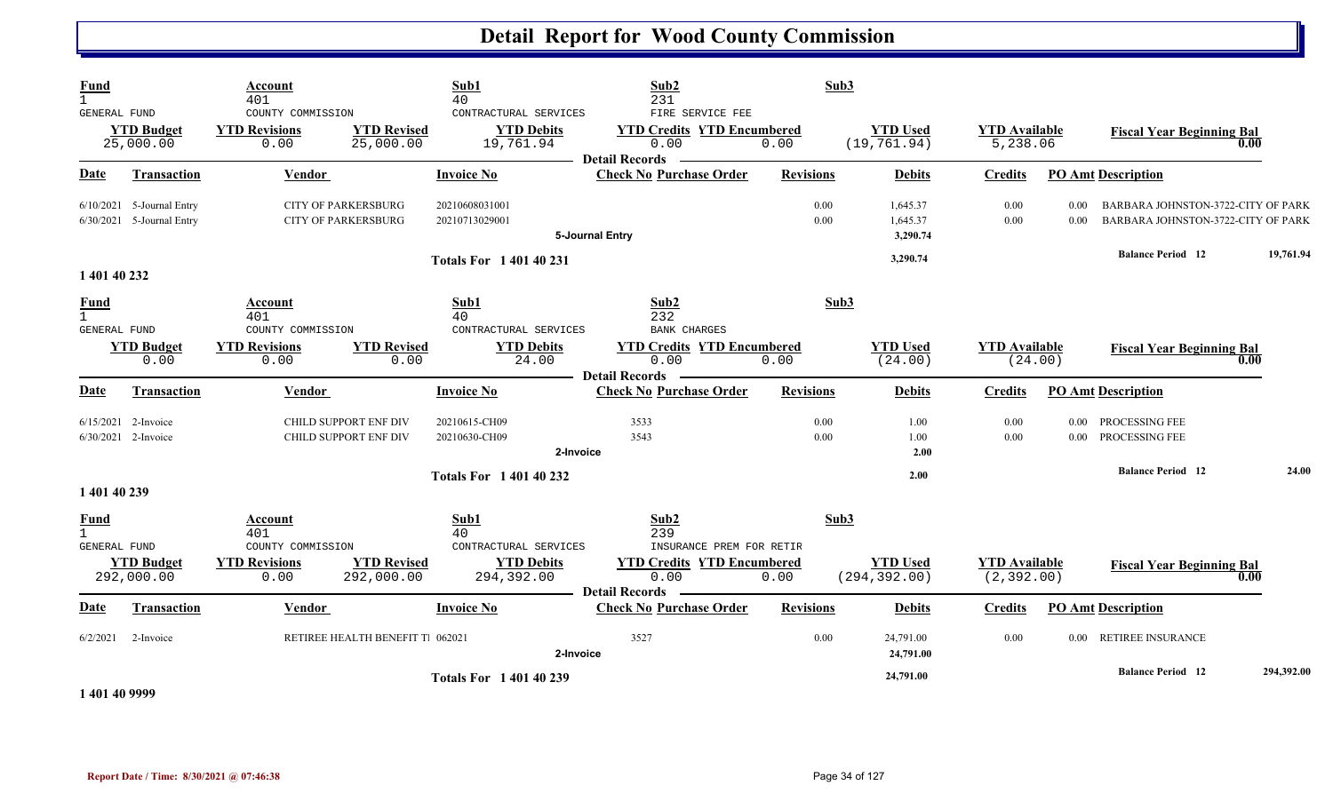| Fund<br>$\mathbf{1}$<br>GENERAL FUND        | <b>YTD Budget</b><br>25,000.00                           | Account<br>401<br>COUNTY COMMISSION<br><b>YTD Revisions</b><br>0.00 | <b>YTD Revised</b><br>25,000.00  | Sub1<br>40<br>CONTRACTURAL SERVICES<br><b>YTD Debits</b><br>19,761.94  | Sub2<br>231<br>FIRE SERVICE FEE<br><b>YTD Credits YTD Encumbered</b><br>0.00<br><b>Detail Records</b> | Sub3<br>0.00     | <b>YTD Used</b><br>(19, 761.94)  | <b>YTD Available</b><br>5,238.06    |              | <b>Fiscal Year Beginning Bal</b>                                         | 0.00       |
|---------------------------------------------|----------------------------------------------------------|---------------------------------------------------------------------|----------------------------------|------------------------------------------------------------------------|-------------------------------------------------------------------------------------------------------|------------------|----------------------------------|-------------------------------------|--------------|--------------------------------------------------------------------------|------------|
| <b>Date</b>                                 | <b>Transaction</b>                                       | <b>Vendor</b>                                                       |                                  | <b>Invoice No</b>                                                      | <b>Check No Purchase Order</b>                                                                        | <b>Revisions</b> | <b>Debits</b>                    | <b>Credits</b>                      |              | <b>PO Amt Description</b>                                                |            |
|                                             | $6/10/2021$ 5-Journal Entry<br>6/30/2021 5-Journal Entry | <b>CITY OF PARKERSBURG</b><br><b>CITY OF PARKERSBURG</b>            |                                  | 20210608031001<br>20210713029001                                       | 5-Journal Entry                                                                                       | 0.00<br>0.00     | 1,645.37<br>1,645.37<br>3,290.74 | 0.00<br>0.00                        | 0.00<br>0.00 | BARBARA JOHNSTON-3722-CITY OF PARK<br>BARBARA JOHNSTON-3722-CITY OF PARK |            |
| 1 401 40 232                                |                                                          |                                                                     |                                  | <b>Totals For 1 401 40 231</b>                                         |                                                                                                       |                  | 3,290.74                         |                                     |              | <b>Balance Period</b> 12                                                 | 19,761.94  |
| <b>Fund</b><br><b>GENERAL FUND</b>          |                                                          | Account<br>401<br>COUNTY COMMISSION                                 |                                  | Sub1<br>40<br>CONTRACTURAL SERVICES                                    | Sub2<br>232<br><b>BANK CHARGES</b>                                                                    | Sub3             |                                  |                                     |              |                                                                          |            |
|                                             | <b>YTD Budget</b><br>0.00                                | <b>YTD Revisions</b><br>0.00                                        | <b>YTD Revised</b><br>0.00       | <b>YTD Debits</b><br>24.00                                             | <b>YTD Credits YTD Encumbered</b><br>0.00<br><b>Detail Records</b>                                    | 0.00             | <b>YTD Used</b><br>(24.00)       | <b>YTD Available</b><br>(24.00)     |              | <b>Fiscal Year Beginning Bal</b>                                         | 0.00       |
| Date                                        | <b>Transaction</b>                                       | Vendor                                                              |                                  | <b>Invoice No</b>                                                      | <b>Check No Purchase Order</b>                                                                        | <b>Revisions</b> | <b>Debits</b>                    | <b>Credits</b>                      |              | <b>PO</b> Amt Description                                                |            |
|                                             | 6/15/2021 2-Invoice<br>$6/30/2021$ 2-Invoice             | CHILD SUPPORT ENF DIV<br>CHILD SUPPORT ENF DIV                      |                                  | 20210615-CH09<br>20210630-CH09<br>2-Invoice                            | 3533<br>3543                                                                                          | 0.00<br>0.00     | 1.00<br>1.00<br>2.00             | 0.00<br>0.00                        |              | 0.00 PROCESSING FEE<br>0.00 PROCESSING FEE                               |            |
| 1 401 40 239                                |                                                          |                                                                     |                                  | <b>Totals For 140140232</b>                                            |                                                                                                       |                  | 2.00                             |                                     |              | <b>Balance Period 12</b>                                                 | 24.00      |
| <b>Fund</b><br>$\mathbf{1}$<br>GENERAL FUND | <b>YTD Budget</b><br>292,000.00                          | Account<br>401<br>COUNTY COMMISSION<br><b>YTD Revisions</b><br>0.00 | <b>YTD Revised</b><br>292,000.00 | Sub1<br>40<br>CONTRACTURAL SERVICES<br><b>YTD Debits</b><br>294,392.00 | Sub2<br>239<br>INSURANCE PREM FOR RETIR<br><b>YTD Credits YTD Encumbered</b><br>0.00                  | Sub3<br>0.00     | <b>YTD Used</b><br>(294, 392.00) | <b>YTD Available</b><br>(2, 392.00) |              | <b>Fiscal Year Beginning Bal</b>                                         | 0.00       |
| <u>Date</u>                                 | <b>Transaction</b>                                       | Vendor                                                              |                                  | <b>Invoice No</b>                                                      | <b>Detail Records</b><br><b>Check No Purchase Order</b>                                               | <b>Revisions</b> | <b>Debits</b>                    | <b>Credits</b>                      |              | <b>PO Amt Description</b>                                                |            |
|                                             | $6/2/2021$ 2-Invoice                                     |                                                                     | RETIREE HEALTH BENEFIT T. 062021 | 2-Invoice                                                              | 3527                                                                                                  | 0.00             | 24,791.00<br>24,791.00           | 0.00                                |              | 0.00 RETIREE INSURANCE                                                   |            |
| 1.401.40.000                                |                                                          |                                                                     |                                  | <b>Totals For 140140239</b>                                            |                                                                                                       |                  | 24,791.00                        |                                     |              | <b>Balance Period</b> 12                                                 | 294,392.00 |

**1 401 40 9999**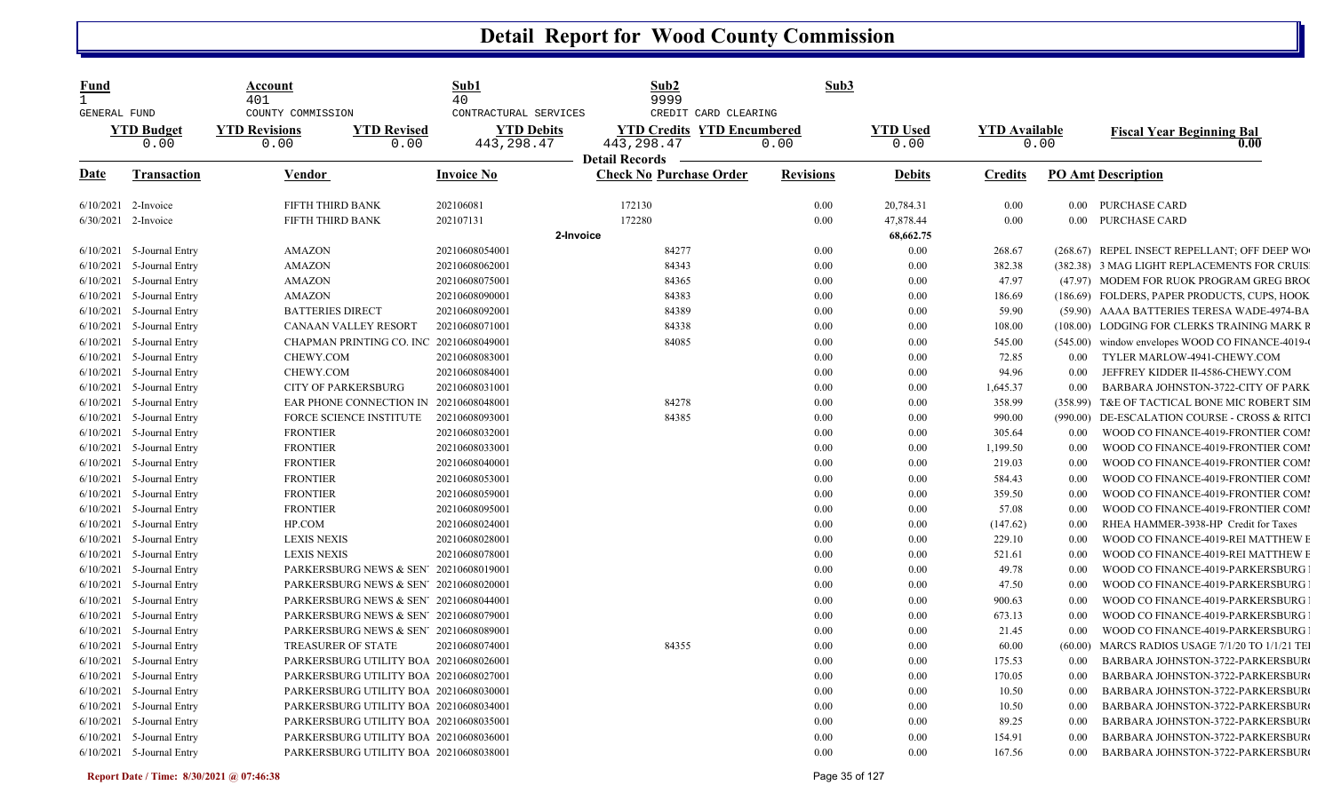| <u>Fund</u><br>$\mathbf{1}$ |                             | Account<br>401                                    |                            | Sub1<br>40                                                | Sub2<br>9999                                                                                      | Sub3             |                         |                      |          |                                                  |
|-----------------------------|-----------------------------|---------------------------------------------------|----------------------------|-----------------------------------------------------------|---------------------------------------------------------------------------------------------------|------------------|-------------------------|----------------------|----------|--------------------------------------------------|
| <b>GENERAL FUND</b>         | <b>YTD Budget</b><br>0.00   | COUNTY COMMISSION<br><b>YTD Revisions</b><br>0.00 | <b>YTD Revised</b><br>0.00 | CONTRACTURAL SERVICES<br><b>YTD Debits</b><br>443, 298.47 | CREDIT CARD CLEARING<br><b>YTD Credits YTD Encumbered</b><br>443, 298.47<br><b>Detail Records</b> | 0.00             | <b>YTD</b> Used<br>0.00 | <b>YTD</b> Available | 0.00     | <b>Fiscal Year Beginning Bal</b><br>0.00         |
| Date                        | <b>Transaction</b>          | Vendor                                            |                            | <b>Invoice No</b>                                         | <b>Check No Purchase Order</b>                                                                    | <b>Revisions</b> | <b>Debits</b>           | <b>Credits</b>       |          | <b>PO Amt Description</b>                        |
| 6/10/2021 2-Invoice         |                             | FIFTH THIRD BANK                                  |                            | 202106081                                                 | 172130                                                                                            | 0.00             | 20,784.31               | 0.00                 |          | 0.00 PURCHASE CARD                               |
| 6/30/2021 2-Invoice         |                             | FIFTH THIRD BANK                                  |                            | 202107131                                                 | 172280                                                                                            | 0.00             | 47,878.44               | 0.00                 |          | 0.00 PURCHASE CARD                               |
|                             |                             |                                                   |                            | 2-Invoice                                                 |                                                                                                   |                  | 68,662.75               |                      |          |                                                  |
|                             | $6/10/2021$ 5-Journal Entry | <b>AMAZON</b>                                     |                            | 20210608054001                                            | 84277                                                                                             | 0.00             | 0.00                    | 268.67               |          | (268.67) REPEL INSECT REPELLANT; OFF DEEP WO     |
| 6/10/2021                   | 5-Journal Entry             | <b>AMAZON</b>                                     |                            | 20210608062001                                            | 84343                                                                                             | $0.00\,$         | 0.00                    | 382.38               |          | (382.38) 3 MAG LIGHT REPLACEMENTS FOR CRUIS.     |
| 6/10/2021                   | 5-Journal Entry             | <b>AMAZON</b>                                     |                            | 20210608075001                                            | 84365                                                                                             | 0.00             | 0.00                    | 47.97                |          | (47.97) MODEM FOR RUOK PROGRAM GREG BROO         |
| 6/10/2021                   | 5-Journal Entry             | <b>AMAZON</b>                                     |                            | 20210608090001                                            | 84383                                                                                             | 0.00             | 0.00                    | 186.69               |          | (186.69) FOLDERS, PAPER PRODUCTS, CUPS, HOOK     |
| 6/10/2021                   | 5-Journal Entry             | <b>BATTERIES DIRECT</b>                           |                            | 20210608092001                                            | 84389                                                                                             | 0.00             | 0.00                    | 59.90                |          | (59.90) AAAA BATTERIES TERESA WADE-4974-BA       |
| 6/10/2021                   | 5-Journal Entry             | CANAAN VALLEY RESORT                              |                            | 20210608071001                                            | 84338                                                                                             | 0.00             | 0.00                    | 108.00               |          | (108.00) LODGING FOR CLERKS TRAINING MARK R      |
| 6/10/2021                   | 5-Journal Entry             | CHAPMAN PRINTING CO. INC 20210608049001           |                            |                                                           | 84085                                                                                             | 0.00             | 0.00                    | 545.00               |          | (545.00) window envelopes WOOD CO FINANCE-4019-0 |
| 6/10/2021                   | 5-Journal Entry             | CHEWY.COM                                         |                            | 20210608083001                                            |                                                                                                   | 0.00             | 0.00                    | 72.85                | 0.00     | TYLER MARLOW-4941-CHEWY.COM                      |
| 6/10/2021                   | 5-Journal Entry             | CHEWY.COM                                         |                            | 20210608084001                                            |                                                                                                   | 0.00             | 0.00                    | 94.96                | 0.00     | JEFFREY KIDDER II-4586-CHEWY.COM                 |
| 6/10/2021                   | 5-Journal Entry             | <b>CITY OF PARKERSBURG</b>                        |                            | 20210608031001                                            |                                                                                                   | 0.00             | 0.00                    | 1,645.37             | 0.00     | BARBARA JOHNSTON-3722-CITY OF PARK               |
| 6/10/2021                   | 5-Journal Entry             | EAR PHONE CONNECTION IN                           |                            | 20210608048001                                            | 84278                                                                                             | 0.00             | 0.00                    | 358.99               | (358.99) | T&E OF TACTICAL BONE MIC ROBERT SIM              |
|                             | $6/10/2021$ 5-Journal Entry | <b>FORCE SCIENCE INSTITUTE</b>                    |                            | 20210608093001                                            | 84385                                                                                             | 0.00             | 0.00                    | 990.00               |          | (990.00) DE-ESCALATION COURSE - CROSS & RITCI    |
| 6/10/2021                   | 5-Journal Entry             | <b>FRONTIER</b>                                   |                            | 20210608032001                                            |                                                                                                   | 0.00             | 0.00                    | 305.64               | 0.00     | WOOD CO FINANCE-4019-FRONTIER COMI               |
| 6/10/2021                   | 5-Journal Entry             | <b>FRONTIER</b>                                   |                            | 20210608033001                                            |                                                                                                   | 0.00             | 0.00                    | 1,199.50             | 0.00     | WOOD CO FINANCE-4019-FRONTIER COMI               |
| 6/10/2021                   | 5-Journal Entry             | <b>FRONTIER</b>                                   |                            | 20210608040001                                            |                                                                                                   | 0.00             | 0.00                    | 219.03               | 0.00     | WOOD CO FINANCE-4019-FRONTIER COMI               |
| 6/10/2021                   | 5-Journal Entry             | <b>FRONTIER</b>                                   |                            | 20210608053001                                            |                                                                                                   | 0.00             | 0.00                    | 584.43               | 0.00     | WOOD CO FINANCE-4019-FRONTIER COMI               |
| 6/10/2021                   | 5-Journal Entry             | <b>FRONTIER</b>                                   |                            | 20210608059001                                            |                                                                                                   | 0.00             | 0.00                    | 359.50               | 0.00     | WOOD CO FINANCE-4019-FRONTIER COMI               |
| 6/10/2021                   | 5-Journal Entry             | <b>FRONTIER</b>                                   |                            | 20210608095001                                            |                                                                                                   | 0.00             | 0.00                    | 57.08                | 0.00     | WOOD CO FINANCE-4019-FRONTIER COMI               |
| 6/10/2021                   | 5-Journal Entry             | HP.COM                                            |                            | 20210608024001                                            |                                                                                                   | 0.00             | 0.00                    | (147.62)             | 0.00     | RHEA HAMMER-3938-HP Credit for Taxes             |
| 6/10/2021                   | 5-Journal Entry             | <b>LEXIS NEXIS</b>                                |                            | 20210608028001                                            |                                                                                                   | 0.00             | 0.00                    | 229.10               | 0.00     | WOOD CO FINANCE-4019-REI MATTHEW E               |
| 6/10/2021                   | 5-Journal Entry             | <b>LEXIS NEXIS</b>                                |                            | 20210608078001                                            |                                                                                                   | 0.00             | 0.00                    | 521.61               | 0.00     | WOOD CO FINANCE-4019-REI MATTHEW E               |
| 6/10/2021                   | 5-Journal Entry             | PARKERSBURG NEWS & SEN' 20210608019001            |                            |                                                           |                                                                                                   | 0.00             | 0.00                    | 49.78                | 0.00     | WOOD CO FINANCE-4019-PARKERSBURG                 |
| 6/10/2021                   | 5-Journal Entry             | PARKERSBURG NEWS & SEN' 20210608020001            |                            |                                                           |                                                                                                   | 0.00             | 0.00                    | 47.50                | 0.00     | WOOD CO FINANCE-4019-PARKERSBURG                 |
| 6/10/2021                   | 5-Journal Entry             | PARKERSBURG NEWS & SEN' 20210608044001            |                            |                                                           |                                                                                                   | 0.00             | 0.00                    | 900.63               | 0.00     | WOOD CO FINANCE-4019-PARKERSBURG                 |
| 6/10/2021                   | 5-Journal Entry             | PARKERSBURG NEWS & SEN' 20210608079001            |                            |                                                           |                                                                                                   | 0.00             | 0.00                    | 673.13               | 0.00     | WOOD CO FINANCE-4019-PARKERSBURG                 |
| 6/10/2021                   | 5-Journal Entry             | PARKERSBURG NEWS & SEN' 20210608089001            |                            |                                                           |                                                                                                   | 0.00             | 0.00                    | 21.45                | 0.00     | WOOD CO FINANCE-4019-PARKERSBURG                 |
| 6/10/2021                   | 5-Journal Entry             | <b>TREASURER OF STATE</b>                         |                            | 20210608074001                                            | 84355                                                                                             | 0.00             | 0.00                    | 60.00                | (60.00)  | MARCS RADIOS USAGE 7/1/20 TO 1/1/21 TE           |
| 6/10/2021                   | 5-Journal Entry             | PARKERSBURG UTILITY BOA 20210608026001            |                            |                                                           |                                                                                                   | 0.00             | 0.00                    | 175.53               | 0.00     | BARBARA JOHNSTON-3722-PARKERSBUR                 |
| 6/10/2021                   | 5-Journal Entry             | PARKERSBURG UTILITY BOA 20210608027001            |                            |                                                           |                                                                                                   | 0.00             | 0.00                    | 170.05               | 0.00     | BARBARA JOHNSTON-3722-PARKERSBUR                 |
| 6/10/2021                   | 5-Journal Entry             | PARKERSBURG UTILITY BOA 20210608030001            |                            |                                                           |                                                                                                   | 0.00             | 0.00                    | 10.50                | 0.00     | BARBARA JOHNSTON-3722-PARKERSBUR                 |
| 6/10/2021                   | 5-Journal Entry             | PARKERSBURG UTILITY BOA 20210608034001            |                            |                                                           |                                                                                                   | 0.00             | 0.00                    | 10.50                | 0.00     | BARBARA JOHNSTON-3722-PARKERSBUR                 |
| 6/10/2021                   | 5-Journal Entry             | PARKERSBURG UTILITY BOA 20210608035001            |                            |                                                           |                                                                                                   | 0.00             | 0.00                    | 89.25                | 0.00     | BARBARA JOHNSTON-3722-PARKERSBUR                 |
| 6/10/2021                   | 5-Journal Entry             | PARKERSBURG UTILITY BOA 20210608036001            |                            |                                                           |                                                                                                   | 0.00             | 0.00                    | 154.91               | 0.00     | BARBARA JOHNSTON-3722-PARKERSBUR                 |
|                             | $6/10/2021$ 5-Journal Entry | PARKERSBURG UTILITY BOA 20210608038001            |                            |                                                           |                                                                                                   | 0.00             | 0.00                    | 167.56               | 0.00     | BARBARA JOHNSTON-3722-PARKERSBUR                 |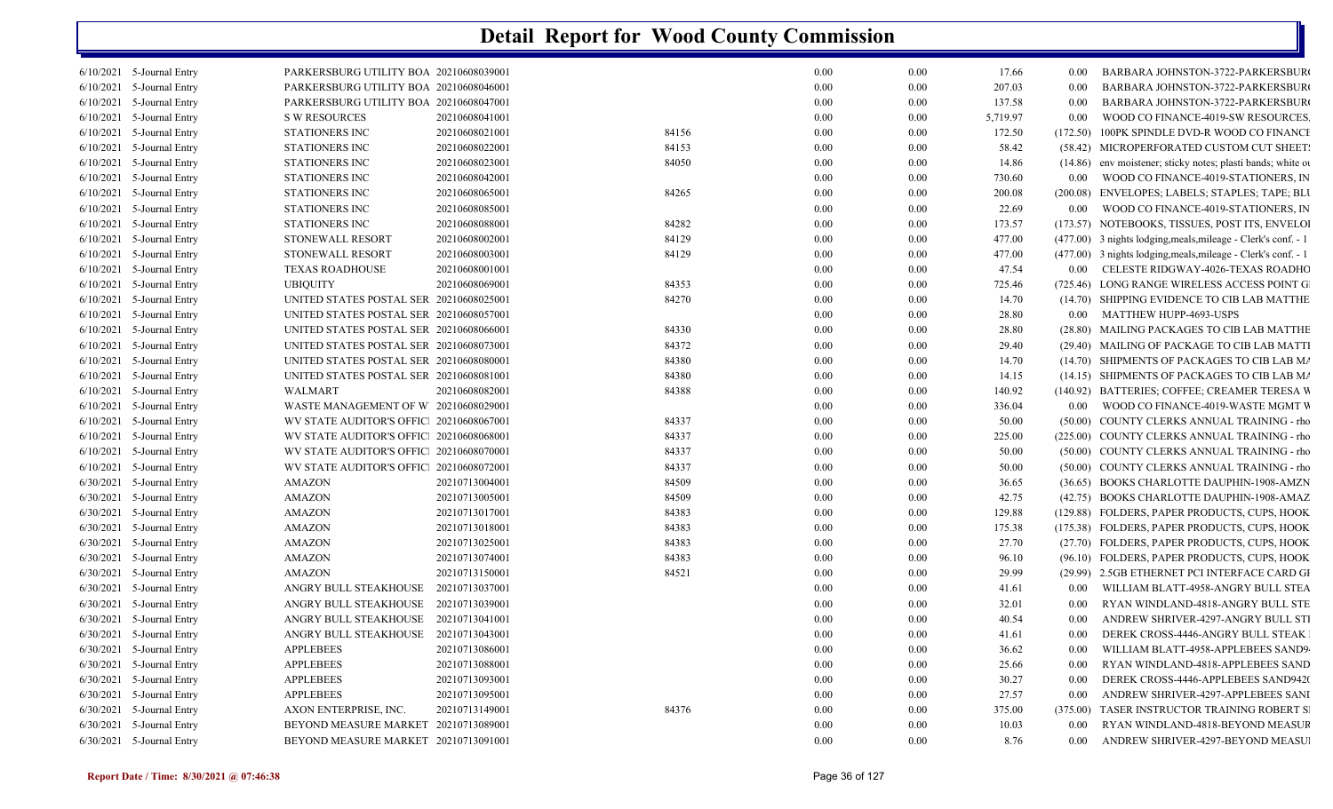|           | 6/10/2021 5-Journal Entry   | PARKERSBURG UTILITY BOA 20210608039001  |                |       | 0.00     | 0.00 | 17.66    | $0.00\,$ | <b>BARBARA JOHNSTON-3722-PARKERSBUR</b>                       |
|-----------|-----------------------------|-----------------------------------------|----------------|-------|----------|------|----------|----------|---------------------------------------------------------------|
|           | 6/10/2021 5-Journal Entry   | PARKERSBURG UTILITY BOA 20210608046001  |                |       | 0.00     | 0.00 | 207.03   | 0.00     | BARBARA JOHNSTON-3722-PARKERSBUR                              |
|           | 6/10/2021 5-Journal Entry   | PARKERSBURG UTILITY BOA 20210608047001  |                |       | 0.00     | 0.00 | 137.58   | $0.00\,$ | BARBARA JOHNSTON-3722-PARKERSBUR                              |
|           | 6/10/2021 5-Journal Entry   | <b>S W RESOURCES</b>                    | 20210608041001 |       | 0.00     | 0.00 | 5,719.97 | 0.00     | WOOD CO FINANCE-4019-SW RESOURCES.                            |
|           | 6/10/2021 5-Journal Entry   | STATIONERS INC                          | 20210608021001 | 84156 | 0.00     | 0.00 | 172.50   | (172.50) | 100PK SPINDLE DVD-R WOOD CO FINANCH                           |
|           | 6/10/2021 5-Journal Entry   | STATIONERS INC                          | 20210608022001 | 84153 | 0.00     | 0.00 | 58.42    |          | (58.42) MICROPERFORATED CUSTOM CUT SHEET:                     |
|           | 6/10/2021 5-Journal Entry   | STATIONERS INC                          | 20210608023001 | 84050 | 0.00     | 0.00 | 14.86    |          | (14.86) env moistener; sticky notes; plasti bands; white or   |
|           | $6/10/2021$ 5-Journal Entry | <b>STATIONERS INC</b>                   | 20210608042001 |       | 0.00     | 0.00 | 730.60   | $0.00\,$ | WOOD CO FINANCE-4019-STATIONERS, IN                           |
|           | 6/10/2021 5-Journal Entry   | STATIONERS INC                          | 20210608065001 | 84265 | 0.00     | 0.00 | 200.08   |          | (200.08) ENVELOPES; LABELS; STAPLES; TAPE; BLU                |
|           | $6/10/2021$ 5-Journal Entry | STATIONERS INC                          | 20210608085001 |       | 0.00     | 0.00 | 22.69    | $0.00\,$ | WOOD CO FINANCE-4019-STATIONERS, IN                           |
| 6/10/2021 | 5-Journal Entry             | <b>STATIONERS INC</b>                   | 20210608088001 | 84282 | 0.00     | 0.00 | 173.57   |          | (173.57) NOTEBOOKS, TISSUES, POST ITS, ENVELOI                |
|           | 6/10/2021 5-Journal Entry   | STONEWALL RESORT                        | 20210608002001 | 84129 | 0.00     | 0.00 | 477.00   |          | (477.00) 3 nights lodging, meals, mileage - Clerk's conf. - 1 |
|           | $6/10/2021$ 5-Journal Entry | STONEWALL RESORT                        | 20210608003001 | 84129 | 0.00     | 0.00 | 477.00   |          | (477.00) 3 nights lodging, meals, mileage - Clerk's conf. - 1 |
|           | 6/10/2021 5-Journal Entry   | <b>TEXAS ROADHOUSE</b>                  | 20210608001001 |       | 0.00     | 0.00 | 47.54    | $0.00\,$ | CELESTE RIDGWAY-4026-TEXAS ROADHC                             |
|           | $6/10/2021$ 5-Journal Entry | <b>UBIQUITY</b>                         | 20210608069001 | 84353 | 0.00     | 0.00 | 725.46   |          | (725.46) LONG RANGE WIRELESS ACCESS POINT G                   |
|           | $6/10/2021$ 5-Journal Entry | UNITED STATES POSTAL SER 20210608025001 |                | 84270 | 0.00     | 0.00 | 14.70    |          | (14.70) SHIPPING EVIDENCE TO CIB LAB MATTHE                   |
|           | $6/10/2021$ 5-Journal Entry | UNITED STATES POSTAL SER 20210608057001 |                |       | 0.00     | 0.00 | 28.80    |          | 0.00 MATTHEW HUPP-4693-USPS                                   |
|           | 6/10/2021 5-Journal Entry   | UNITED STATES POSTAL SER 20210608066001 |                | 84330 | 0.00     | 0.00 | 28.80    |          | (28.80) MAILING PACKAGES TO CIB LAB MATTHE                    |
|           | 6/10/2021 5-Journal Entry   | UNITED STATES POSTAL SER 20210608073001 |                | 84372 | 0.00     | 0.00 | 29.40    |          | (29.40) MAILING OF PACKAGE TO CIB LAB MATTI                   |
|           | $6/10/2021$ 5-Journal Entry | UNITED STATES POSTAL SER 20210608080001 |                | 84380 | 0.00     | 0.00 | 14.70    |          | (14.70) SHIPMENTS OF PACKAGES TO CIB LAB MA                   |
| 6/10/2021 | 5-Journal Entry             | UNITED STATES POSTAL SER 20210608081001 |                | 84380 | 0.00     | 0.00 | 14.15    |          | (14.15) SHIPMENTS OF PACKAGES TO CIB LAB MA                   |
| 6/10/2021 | 5-Journal Entry             | <b>WALMART</b>                          | 20210608082001 | 84388 | 0.00     | 0.00 | 140.92   |          | (140.92) BATTERIES; COFFEE; CREAMER TERESA W                  |
|           | $6/10/2021$ 5-Journal Entry | WASTE MANAGEMENT OF W 20210608029001    |                |       | 0.00     | 0.00 | 336.04   |          | 0.00 WOOD CO FINANCE-4019-WASTE MGMT V                        |
|           | 6/10/2021 5-Journal Entry   | WV STATE AUDITOR'S OFFIC 20210608067001 |                | 84337 | 0.00     | 0.00 | 50.00    |          | (50.00) COUNTY CLERKS ANNUAL TRAINING - rho                   |
| 6/10/2021 | 5-Journal Entry             | WV STATE AUDITOR'S OFFIC 20210608068001 |                | 84337 | 0.00     | 0.00 | 225.00   |          | (225.00) COUNTY CLERKS ANNUAL TRAINING - rho                  |
|           | 6/10/2021 5-Journal Entry   | WV STATE AUDITOR'S OFFIC 20210608070001 |                | 84337 | 0.00     | 0.00 | 50.00    |          | (50.00) COUNTY CLERKS ANNUAL TRAINING - rho                   |
|           | $6/10/2021$ 5-Journal Entry | WV STATE AUDITOR'S OFFIC 20210608072001 |                | 84337 | 0.00     | 0.00 | 50.00    |          | (50.00) COUNTY CLERKS ANNUAL TRAINING - rho                   |
|           | 6/30/2021 5-Journal Entry   | <b>AMAZON</b>                           | 20210713004001 | 84509 | 0.00     | 0.00 | 36.65    |          | (36.65) BOOKS CHARLOTTE DAUPHIN-1908-AMZN                     |
|           | $6/30/2021$ 5-Journal Entry | <b>AMAZON</b>                           | 20210713005001 | 84509 | 0.00     | 0.00 | 42.75    |          | (42.75) BOOKS CHARLOTTE DAUPHIN-1908-AMAZ                     |
|           | 6/30/2021 5-Journal Entry   | <b>AMAZON</b>                           | 20210713017001 | 84383 | 0.00     | 0.00 | 129.88   |          | (129.88) FOLDERS, PAPER PRODUCTS, CUPS, HOOK                  |
|           | 6/30/2021 5-Journal Entry   | <b>AMAZON</b>                           | 20210713018001 | 84383 | 0.00     | 0.00 | 175.38   |          | (175.38) FOLDERS, PAPER PRODUCTS, CUPS, HOOK                  |
|           | 6/30/2021 5-Journal Entry   | <b>AMAZON</b>                           | 20210713025001 | 84383 | 0.00     | 0.00 | 27.70    |          | (27.70) FOLDERS, PAPER PRODUCTS, CUPS, HOOK                   |
|           | 6/30/2021 5-Journal Entry   | <b>AMAZON</b>                           | 20210713074001 | 84383 | 0.00     | 0.00 | 96.10    |          | (96.10) FOLDERS, PAPER PRODUCTS, CUPS, HOOK                   |
|           | $6/30/2021$ 5-Journal Entry | <b>AMAZON</b>                           | 20210713150001 | 84521 | 0.00     | 0.00 | 29.99    |          | (29.99) 2.5GB ETHERNET PCI INTERFACE CARD GI                  |
|           | 6/30/2021 5-Journal Entry   | ANGRY BULL STEAKHOUSE                   | 20210713037001 |       | $0.00\,$ | 0.00 | 41.61    | 0.00     | WILLIAM BLATT-4958-ANGRY BULL STEA                            |
|           | 6/30/2021 5-Journal Entry   | ANGRY BULL STEAKHOUSE                   | 20210713039001 |       | 0.00     | 0.00 | 32.01    | $0.00\,$ | RYAN WINDLAND-4818-ANGRY BULL STE                             |
|           | $6/30/2021$ 5-Journal Entry | ANGRY BULL STEAKHOUSE                   | 20210713041001 |       | 0.00     | 0.00 | 40.54    | 0.00     | ANDREW SHRIVER-4297-ANGRY BULL STI                            |
|           | 6/30/2021 5-Journal Entry   | ANGRY BULL STEAKHOUSE 20210713043001    |                |       | 0.00     | 0.00 | 41.61    | 0.00     | DEREK CROSS-4446-ANGRY BULL STEAK                             |
| 6/30/2021 | 5-Journal Entry             | <b>APPLEBEES</b>                        | 20210713086001 |       | 0.00     | 0.00 | 36.62    | 0.00     | WILLIAM BLATT-4958-APPLEBEES SAND9                            |
|           | 6/30/2021 5-Journal Entry   | <b>APPLEBEES</b>                        | 20210713088001 |       | 0.00     | 0.00 | 25.66    | 0.00     | RYAN WINDLAND-4818-APPLEBEES SAND                             |
|           | 6/30/2021 5-Journal Entry   | <b>APPLEBEES</b>                        | 20210713093001 |       | 0.00     | 0.00 | 30.27    | 0.00     | DEREK CROSS-4446-APPLEBEES SAND9420                           |
|           | 6/30/2021 5-Journal Entry   | <b>APPLEBEES</b>                        | 20210713095001 |       | 0.00     | 0.00 | 27.57    | 0.00     | ANDREW SHRIVER-4297-APPLEBEES SANI                            |
|           | 6/30/2021 5-Journal Entry   | AXON ENTERPRISE, INC.                   | 20210713149001 | 84376 | 0.00     | 0.00 | 375.00   |          | (375.00) TASER INSTRUCTOR TRAINING ROBERT S                   |
|           | 6/30/2021 5-Journal Entry   | BEYOND MEASURE MARKET 20210713089001    |                |       | 0.00     | 0.00 | 10.03    | $0.00\,$ | RYAN WINDLAND-4818-BEYOND MEASUF                              |
|           | 6/30/2021 5-Journal Entry   | BEYOND MEASURE MARKET 20210713091001    |                |       | 0.00     | 0.00 | 8.76     | 0.00     | ANDREW SHRIVER-4297-BEYOND MEASU                              |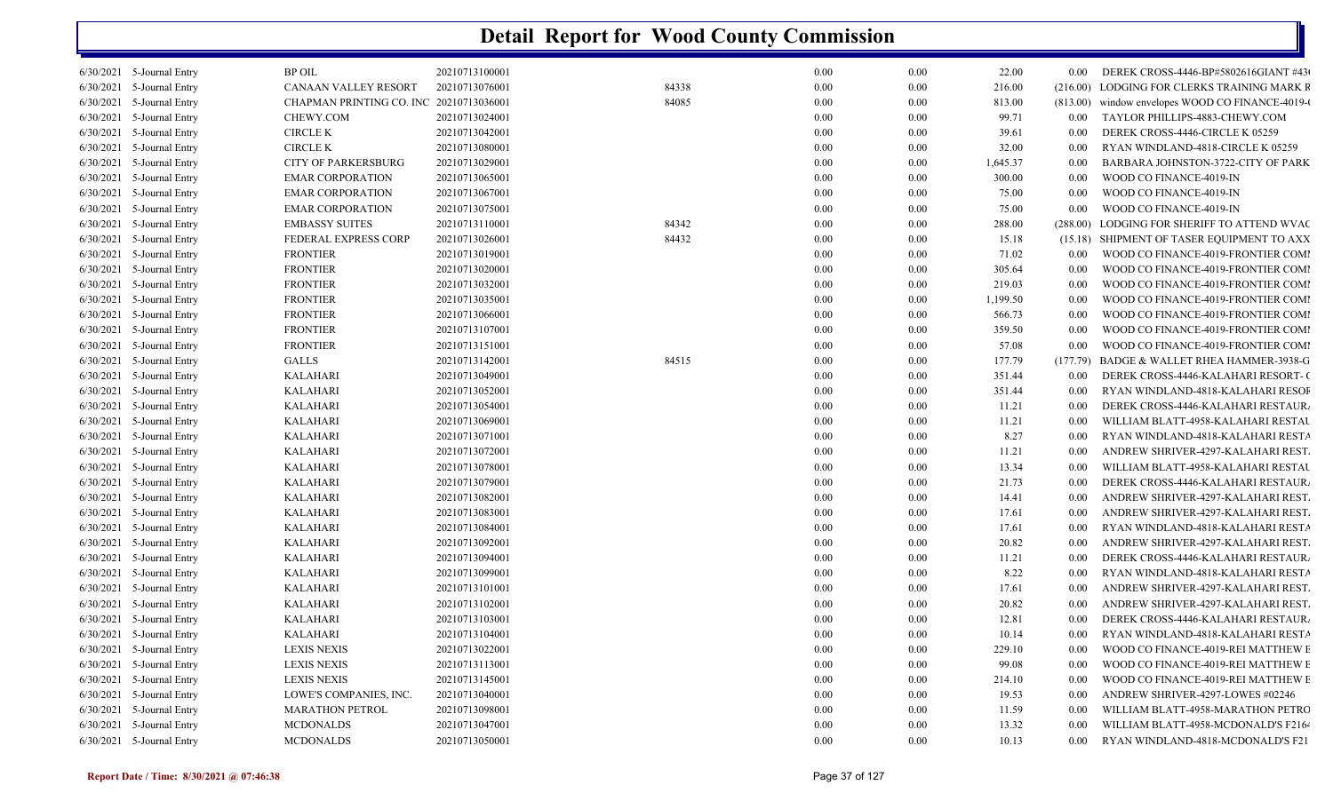|           | 6/30/2021 5-Journal Entry   | <b>BP OIL</b>                           | 20210713100001 |       | 0.00     | 0.00     | 22.00    | $0.00\,$          | DEREK CROSS-4446-BP#5802616GIANT #43             |
|-----------|-----------------------------|-----------------------------------------|----------------|-------|----------|----------|----------|-------------------|--------------------------------------------------|
|           | 6/30/2021 5-Journal Entry   | CANAAN VALLEY RESORT                    | 20210713076001 | 84338 | 0.00     | 0.00     | 216.00   | (216.00)          | LODGING FOR CLERKS TRAINING MARK F               |
| 6/30/2021 | 5-Journal Entry             | CHAPMAN PRINTING CO. INC 20210713036001 |                | 84085 | 0.00     | 0.00     | 813.00   |                   | (813.00) window envelopes WOOD CO FINANCE-4019-0 |
| 6/30/2021 | 5-Journal Entry             | CHEWY.COM                               | 20210713024001 |       | 0.00     | 0.00     | 99.71    | $0.00\,$          | TAYLOR PHILLIPS-4883-CHEWY.COM                   |
| 6/30/2021 | 5-Journal Entry             | <b>CIRCLE K</b>                         | 20210713042001 |       | 0.00     | 0.00     | 39.61    | 0.00              | DEREK CROSS-4446-CIRCLE K 05259                  |
| 6/30/2021 | 5-Journal Entry             | <b>CIRCLE K</b>                         | 20210713080001 |       | 0.00     | 0.00     | 32.00    | 0.00              | RYAN WINDLAND-4818-CIRCLE K 05259                |
| 6/30/2021 | 5-Journal Entry             | <b>CITY OF PARKERSBURG</b>              | 20210713029001 |       | 0.00     | 0.00     | 1,645.37 | 0.00              | BARBARA JOHNSTON-3722-CITY OF PARK               |
|           | 6/30/2021 5-Journal Entry   | <b>EMAR CORPORATION</b>                 | 20210713065001 |       | 0.00     | 0.00     | 300.00   | 0.00              | WOOD CO FINANCE-4019-IN                          |
| 6/30/2021 | 5-Journal Entry             | <b>EMAR CORPORATION</b>                 | 20210713067001 |       | 0.00     | 0.00     | 75.00    | 0.00              | WOOD CO FINANCE-4019-IN                          |
| 6/30/2021 | 5-Journal Entry             | <b>EMAR CORPORATION</b>                 | 20210713075001 |       | 0.00     | 0.00     | 75.00    | 0.00              | WOOD CO FINANCE-4019-IN                          |
| 6/30/2021 | 5-Journal Entry             | <b>EMBASSY SUITES</b>                   | 20210713110001 | 84342 | 0.00     | 0.00     | 288.00   | (288.00)          | LODGING FOR SHERIFF TO ATTEND WVAC               |
| 6/30/2021 | 5-Journal Entry             | FEDERAL EXPRESS CORP                    | 20210713026001 | 84432 | 0.00     | 0.00     | 15.18    |                   | (15.18) SHIPMENT OF TASER EQUIPMENT TO AXX       |
| 6/30/2021 | 5-Journal Entry             | <b>FRONTIER</b>                         | 20210713019001 |       | 0.00     | 0.00     | 71.02    | 0.00              | WOOD CO FINANCE-4019-FRONTIER COMI               |
| 6/30/2021 | 5-Journal Entry             | <b>FRONTIER</b>                         | 20210713020001 |       | 0.00     | 0.00     | 305.64   | 0.00              | WOOD CO FINANCE-4019-FRONTIER COMI               |
| 6/30/2021 | 5-Journal Entry             | <b>FRONTIER</b>                         | 20210713032001 |       | 0.00     | 0.00     | 219.03   | 0.00              | WOOD CO FINANCE-4019-FRONTIER COMI               |
| 6/30/2021 | 5-Journal Entry             | <b>FRONTIER</b>                         | 20210713035001 |       | 0.00     | 0.00     | 1,199.50 | 0.00              | WOOD CO FINANCE-4019-FRONTIER COMI               |
| 6/30/2021 | 5-Journal Entry             | <b>FRONTIER</b>                         | 20210713066001 |       | 0.00     | 0.00     | 566.73   | 0.00              | WOOD CO FINANCE-4019-FRONTIER COMI               |
| 6/30/2021 | 5-Journal Entry             | <b>FRONTIER</b>                         | 20210713107001 |       | 0.00     | 0.00     | 359.50   | 0.00              | WOOD CO FINANCE-4019-FRONTIER COMI               |
| 6/30/2021 | 5-Journal Entry             | <b>FRONTIER</b>                         | 20210713151001 |       | 0.00     | 0.00     | 57.08    | 0.00              | WOOD CO FINANCE-4019-FRONTIER COMI               |
| 6/30/2021 | 5-Journal Entry             | <b>GALLS</b>                            | 20210713142001 | 84515 | 0.00     | 0.00     | 177.79   | (177.79)          | BADGE & WALLET RHEA HAMMER-3938-G                |
| 6/30/2021 | 5-Journal Entry             | <b>KALAHARI</b>                         | 20210713049001 |       | 0.00     | 0.00     | 351.44   | $0.00\,$          | DEREK CROSS-4446-KALAHARI RESORT- (              |
| 6/30/2021 | 5-Journal Entry             | <b>KALAHARI</b>                         | 20210713052001 |       | 0.00     | 0.00     | 351.44   | 0.00              | RYAN WINDLAND-4818-KALAHARI RESOI                |
| 6/30/2021 | 5-Journal Entry             | <b>KALAHARI</b>                         | 20210713054001 |       | 0.00     | 0.00     | 11.21    | 0.00              | DEREK CROSS-4446-KALAHARI RESTAUR.               |
| 6/30/2021 | 5-Journal Entry             | <b>KALAHARI</b>                         | 20210713069001 |       | 0.00     | 0.00     | 11.21    | 0.00              | WILLIAM BLATT-4958-KALAHARI RESTAU               |
| 6/30/2021 | 5-Journal Entry             | <b>KALAHARI</b>                         | 20210713071001 |       | 0.00     | 0.00     | 8.27     | 0.00              | RYAN WINDLAND-4818-KALAHARI RESTA                |
| 6/30/2021 | 5-Journal Entry             | <b>KALAHARI</b>                         | 20210713072001 |       | 0.00     | 0.00     | 11.21    | 0.00              | ANDREW SHRIVER-4297-KALAHARI REST.               |
| 6/30/2021 | 5-Journal Entry             | <b>KALAHARI</b>                         | 20210713078001 |       | 0.00     | 0.00     | 13.34    | 0.00              | WILLIAM BLATT-4958-KALAHARI RESTAU               |
| 6/30/2021 | 5-Journal Entry             | <b>KALAHARI</b>                         | 20210713079001 |       | 0.00     | 0.00     | 21.73    | 0.00              | DEREK CROSS-4446-KALAHARI RESTAUR.               |
| 6/30/2021 | 5-Journal Entry             | KALAHARI                                | 20210713082001 |       | 0.00     | 0.00     | 14.41    | 0.00              | ANDREW SHRIVER-4297-KALAHARI REST.               |
| 6/30/2021 | 5-Journal Entry             | <b>KALAHARI</b>                         | 20210713083001 |       | 0.00     | 0.00     | 17.61    | 0.00              | ANDREW SHRIVER-4297-KALAHARI REST.               |
| 6/30/2021 | 5-Journal Entry             | <b>KALAHARI</b>                         | 20210713084001 |       | 0.00     | 0.00     | 17.61    | 0.00              | RYAN WINDLAND-4818-KALAHARI RESTA                |
|           | 6/30/2021 5-Journal Entry   | <b>KALAHARI</b>                         | 20210713092001 |       | 0.00     | 0.00     | 20.82    | 0.00              | ANDREW SHRIVER-4297-KALAHARI REST.               |
| 6/30/2021 | 5-Journal Entry             | <b>KALAHARI</b>                         | 20210713094001 |       | 0.00     | 0.00     | 11.21    | 0.00              | DEREK CROSS-4446-KALAHARI RESTAUR.               |
| 6/30/2021 | 5-Journal Entry             | <b>KALAHARI</b>                         | 20210713099001 |       | 0.00     | 0.00     | 8.22     | 0.00              | RYAN WINDLAND-4818-KALAHARI RESTA                |
|           | 6/30/2021 5-Journal Entry   | <b>KALAHARI</b>                         | 20210713101001 |       | 0.00     | 0.00     | 17.61    | 0.00              | ANDREW SHRIVER-4297-KALAHARI REST.               |
| 6/30/2021 | 5-Journal Entry             | <b>KALAHARI</b>                         | 20210713102001 |       | 0.00     | 0.00     | 20.82    | 0.00              | ANDREW SHRIVER-4297-KALAHARI REST.               |
|           | 6/30/2021 5-Journal Entry   | <b>KALAHARI</b>                         | 20210713103001 |       | 0.00     | 0.00     | 12.81    | 0.00              | DEREK CROSS-4446-KALAHARI RESTAUR.               |
|           | 6/30/2021 5-Journal Entry   | <b>KALAHARI</b>                         | 20210713104001 |       | 0.00     | 0.00     | 10.14    | 0.00              | RYAN WINDLAND-4818-KALAHARI RESTA                |
|           | $6/30/2021$ 5-Journal Entry | <b>LEXIS NEXIS</b>                      | 20210713022001 |       | $0.00\,$ | 0.00     | 229.10   | $0.00\,$          | WOOD CO FINANCE-4019-REI MATTHEW E               |
|           | $6/30/2021$ 5-Journal Entry | <b>LEXIS NEXIS</b>                      | 20210713113001 |       | 0.00     | 0.00     | 99.08    | 0.00 <sub>1</sub> | WOOD CO FINANCE-4019-REI MATTHEW E               |
|           | 6/30/2021 5-Journal Entry   | <b>LEXIS NEXIS</b>                      | 20210713145001 |       | 0.00     | 0.00     | 214.10   | $0.00\,$          | WOOD CO FINANCE-4019-REI MATTHEW E               |
|           | 6/30/2021 5-Journal Entry   | LOWE'S COMPANIES, INC.                  | 20210713040001 |       | 0.00     | 0.00     | 19.53    | 0.00              | ANDREW SHRIVER-4297-LOWES #02246                 |
|           | 6/30/2021 5-Journal Entry   | <b>MARATHON PETROL</b>                  | 20210713098001 |       | 0.00     | 0.00     | 11.59    | 0.00              | WILLIAM BLATT-4958-MARATHON PETRC                |
|           | 6/30/2021 5-Journal Entry   | <b>MCDONALDS</b>                        | 20210713047001 |       | 0.00     | 0.00     | 13.32    | 0.00              | WILLIAM BLATT-4958-MCDONALD'S F2164              |
|           | 6/30/2021 5-Journal Entry   | <b>MCDONALDS</b>                        | 20210713050001 |       | $0.00\,$ | $0.00\,$ | 10.13    | $0.00\,$          | RYAN WINDLAND-4818-MCDONALD'S F21                |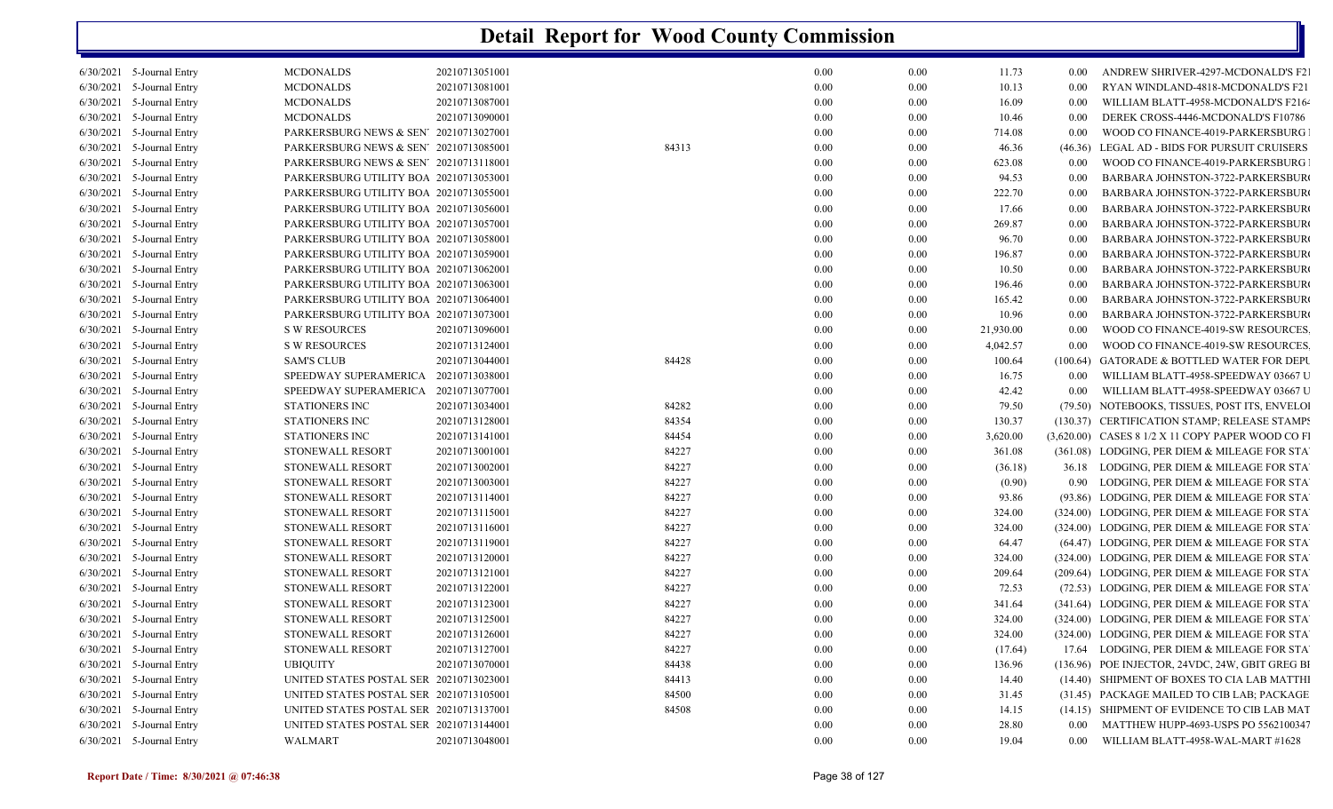|           | $6/30/2021$ 5-Journal Entry | <b>MCDONALDS</b>                        | 20210713051001 |       | 0.00 | 0.00 | 11.73     | 0.00              | ANDREW SHRIVER-4297-MCDONALD'S F2                 |
|-----------|-----------------------------|-----------------------------------------|----------------|-------|------|------|-----------|-------------------|---------------------------------------------------|
|           | 6/30/2021 5-Journal Entry   | <b>MCDONALDS</b>                        | 20210713081001 |       | 0.00 | 0.00 | 10.13     | 0.00              | RYAN WINDLAND-4818-MCDONALD'S F21                 |
|           | 6/30/2021 5-Journal Entry   | <b>MCDONALDS</b>                        | 20210713087001 |       | 0.00 | 0.00 | 16.09     | 0.00              | WILLIAM BLATT-4958-MCDONALD'S F2164               |
|           | $6/30/2021$ 5-Journal Entry | <b>MCDONALDS</b>                        | 20210713090001 |       | 0.00 | 0.00 | 10.46     | 0.00              | DEREK CROSS-4446-MCDONALD'S F10786                |
|           | 6/30/2021 5-Journal Entry   | PARKERSBURG NEWS & SEN' 20210713027001  |                |       | 0.00 | 0.00 | 714.08    | 0.00              | WOOD CO FINANCE-4019-PARKERSBURG                  |
|           | 6/30/2021 5-Journal Entry   | PARKERSBURG NEWS & SEN' 20210713085001  |                | 84313 | 0.00 | 0.00 | 46.36     | (46.36)           | LEGAL AD - BIDS FOR PURSUIT CRUISERS              |
|           | 6/30/2021 5-Journal Entry   | PARKERSBURG NEWS & SEN 20210713118001   |                |       | 0.00 | 0.00 | 623.08    | 0.00              | WOOD CO FINANCE-4019-PARKERSBURG                  |
| 6/30/2021 | 5-Journal Entry             | PARKERSBURG UTILITY BOA 20210713053001  |                |       | 0.00 | 0.00 | 94.53     | 0.00              | BARBARA JOHNSTON-3722-PARKERSBUR                  |
|           | 6/30/2021 5-Journal Entry   | PARKERSBURG UTILITY BOA 20210713055001  |                |       | 0.00 | 0.00 | 222.70    | 0.00              | BARBARA JOHNSTON-3722-PARKERSBUR                  |
|           | $6/30/2021$ 5-Journal Entry | PARKERSBURG UTILITY BOA 20210713056001  |                |       | 0.00 | 0.00 | 17.66     | 0.00              | BARBARA JOHNSTON-3722-PARKERSBUR                  |
| 6/30/2021 | 5-Journal Entry             | PARKERSBURG UTILITY BOA 20210713057001  |                |       | 0.00 | 0.00 | 269.87    | 0.00              | BARBARA JOHNSTON-3722-PARKERSBUR                  |
|           | 6/30/2021 5-Journal Entry   | PARKERSBURG UTILITY BOA 20210713058001  |                |       | 0.00 | 0.00 | 96.70     | 0.00              | BARBARA JOHNSTON-3722-PARKERSBUR                  |
|           | $6/30/2021$ 5-Journal Entry | PARKERSBURG UTILITY BOA 20210713059001  |                |       | 0.00 | 0.00 | 196.87    | 0.00              | BARBARA JOHNSTON-3722-PARKERSBUR                  |
|           | 6/30/2021 5-Journal Entry   | PARKERSBURG UTILITY BOA 20210713062001  |                |       | 0.00 | 0.00 | 10.50     | 0.00              | BARBARA JOHNSTON-3722-PARKERSBUR                  |
|           | 6/30/2021 5-Journal Entry   | PARKERSBURG UTILITY BOA 20210713063001  |                |       | 0.00 | 0.00 | 196.46    | 0.00              | BARBARA JOHNSTON-3722-PARKERSBUR                  |
| 6/30/2021 | 5-Journal Entry             | PARKERSBURG UTILITY BOA 20210713064001  |                |       | 0.00 | 0.00 | 165.42    | 0.00              | BARBARA JOHNSTON-3722-PARKERSBUR                  |
|           | 6/30/2021 5-Journal Entry   | PARKERSBURG UTILITY BOA 20210713073001  |                |       | 0.00 | 0.00 | 10.96     | 0.00              | BARBARA JOHNSTON-3722-PARKERSBUR                  |
|           | 6/30/2021 5-Journal Entry   | <b>S W RESOURCES</b>                    | 20210713096001 |       | 0.00 | 0.00 | 21,930.00 | 0.00              | WOOD CO FINANCE-4019-SW RESOURCES                 |
| 6/30/2021 | 5-Journal Entry             | <b>S W RESOURCES</b>                    | 20210713124001 |       | 0.00 | 0.00 | 4,042.57  | 0.00              | WOOD CO FINANCE-4019-SW RESOURCES                 |
|           | 6/30/2021 5-Journal Entry   | <b>SAM'S CLUB</b>                       | 20210713044001 | 84428 | 0.00 | 0.00 | 100.64    |                   | (100.64) GATORADE & BOTTLED WATER FOR DEPU        |
|           | 6/30/2021 5-Journal Entry   | SPEEDWAY SUPERAMERICA                   | 20210713038001 |       | 0.00 | 0.00 | 16.75     | $0.00\,$          | WILLIAM BLATT-4958-SPEEDWAY 03667 U               |
| 6/30/2021 | 5-Journal Entry             | SPEEDWAY SUPERAMERICA                   | 20210713077001 |       | 0.00 | 0.00 | 42.42     | 0.00              | WILLIAM BLATT-4958-SPEEDWAY 03667 U               |
|           | 6/30/2021 5-Journal Entry   | <b>STATIONERS INC</b>                   | 20210713034001 | 84282 | 0.00 | 0.00 | 79.50     |                   | (79.50) NOTEBOOKS, TISSUES, POST ITS, ENVELOI     |
|           | 6/30/2021 5-Journal Entry   | STATIONERS INC                          | 20210713128001 | 84354 | 0.00 | 0.00 | 130.37    |                   | (130.37) CERTIFICATION STAMP; RELEASE STAMP:      |
| 6/30/2021 | 5-Journal Entry             | STATIONERS INC                          | 20210713141001 | 84454 | 0.00 | 0.00 | 3,620.00  |                   | (3,620.00) CASES 8 1/2 X 11 COPY PAPER WOOD CO FI |
|           | 6/30/2021 5-Journal Entry   | <b>STONEWALL RESORT</b>                 | 20210713001001 | 84227 | 0.00 | 0.00 | 361.08    |                   | (361.08) LODGING, PER DIEM & MILEAGE FOR STA      |
|           | 6/30/2021 5-Journal Entry   | STONEWALL RESORT                        | 20210713002001 | 84227 | 0.00 | 0.00 | (36.18)   |                   | 36.18 LODGING, PER DIEM & MILEAGE FOR STA         |
| 6/30/2021 | 5-Journal Entry             | STONEWALL RESORT                        | 20210713003001 | 84227 | 0.00 | 0.00 | (0.90)    |                   | 0.90 LODGING, PER DIEM & MILEAGE FOR STA          |
|           | 6/30/2021 5-Journal Entry   | STONEWALL RESORT                        | 20210713114001 | 84227 | 0.00 | 0.00 | 93.86     |                   | (93.86) LODGING, PER DIEM & MILEAGE FOR STA       |
|           | 6/30/2021 5-Journal Entry   | STONEWALL RESORT                        | 20210713115001 | 84227 | 0.00 | 0.00 | 324.00    |                   | (324.00) LODGING, PER DIEM & MILEAGE FOR STA      |
| 6/30/2021 | 5-Journal Entry             | <b>STONEWALL RESORT</b>                 | 20210713116001 | 84227 | 0.00 | 0.00 | 324.00    |                   | (324.00) LODGING, PER DIEM & MILEAGE FOR STA      |
|           | 6/30/2021 5-Journal Entry   | <b>STONEWALL RESORT</b>                 | 20210713119001 | 84227 | 0.00 | 0.00 | 64.47     |                   | (64.47) LODGING, PER DIEM & MILEAGE FOR STA       |
| 6/30/2021 | 5-Journal Entry             | STONEWALL RESORT                        | 20210713120001 | 84227 | 0.00 | 0.00 | 324.00    |                   | (324.00) LODGING, PER DIEM & MILEAGE FOR STA      |
|           | 6/30/2021 5-Journal Entry   | STONEWALL RESORT                        | 20210713121001 | 84227 | 0.00 | 0.00 | 209.64    |                   | (209.64) LODGING, PER DIEM & MILEAGE FOR STA      |
|           | 6/30/2021 5-Journal Entry   | <b>STONEWALL RESORT</b>                 | 20210713122001 | 84227 | 0.00 | 0.00 | 72.53     |                   | (72.53) LODGING, PER DIEM & MILEAGE FOR STA       |
|           | 6/30/2021 5-Journal Entry   | STONEWALL RESORT                        | 20210713123001 | 84227 | 0.00 | 0.00 | 341.64    |                   | (341.64) LODGING, PER DIEM & MILEAGE FOR STA      |
|           | 6/30/2021 5-Journal Entry   | STONEWALL RESORT                        | 20210713125001 | 84227 | 0.00 | 0.00 | 324.00    |                   | (324.00) LODGING, PER DIEM & MILEAGE FOR STA      |
|           | $6/30/2021$ 5-Journal Entry | <b>STONEWALL RESORT</b>                 | 20210713126001 | 84227 | 0.00 | 0.00 | 324.00    |                   | (324.00) LODGING, PER DIEM & MILEAGE FOR STA      |
|           | 6/30/2021 5-Journal Entry   | STONEWALL RESORT                        | 20210713127001 | 84227 | 0.00 | 0.00 | (17.64)   |                   | 17.64 LODGING, PER DIEM & MILEAGE FOR STA         |
|           | 6/30/2021 5-Journal Entry   | <b>UBIQUITY</b>                         | 20210713070001 | 84438 | 0.00 | 0.00 | 136.96    |                   | (136.96) POE INJECTOR, 24VDC, 24W, GBIT GREG BI   |
|           | 6/30/2021 5-Journal Entry   | UNITED STATES POSTAL SER 20210713023001 |                | 84413 | 0.00 | 0.00 | 14.40     |                   | (14.40) SHIPMENT OF BOXES TO CIA LAB MATTHI       |
| 6/30/2021 | 5-Journal Entry             | UNITED STATES POSTAL SER 20210713105001 |                | 84500 | 0.00 | 0.00 | 31.45     |                   | (31.45) PACKAGE MAILED TO CIB LAB; PACKAGE        |
|           | 6/30/2021 5-Journal Entry   | UNITED STATES POSTAL SER 20210713137001 |                | 84508 | 0.00 | 0.00 | 14.15     |                   | (14.15) SHIPMENT OF EVIDENCE TO CIB LAB MAT       |
|           | 6/30/2021 5-Journal Entry   | UNITED STATES POSTAL SER 20210713144001 |                |       | 0.00 | 0.00 | 28.80     | 0.00              | MATTHEW HUPP-4693-USPS PO 5562100347              |
|           | 6/30/2021 5-Journal Entry   | WALMART                                 | 20210713048001 |       | 0.00 | 0.00 | 19.04     | 0.00 <sub>1</sub> | WILLIAM BLATT-4958-WAL-MART #1628                 |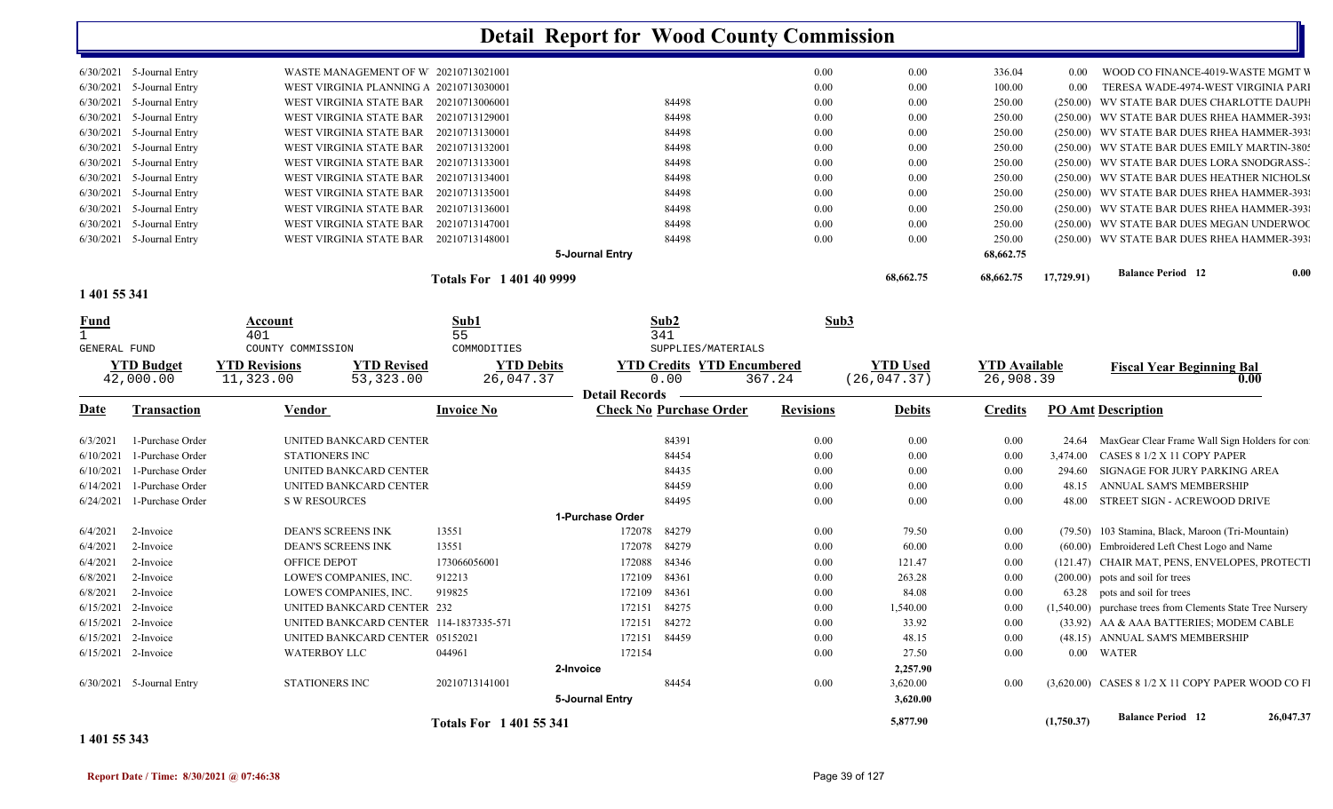| 6/30/2021<br>6/30/2021<br>6/30/2021<br>6/30/2021<br>6/30/2021<br>6/30/2021<br>6/30/2021 | 6/30/2021 5-Journal Entry<br>6/30/2021 5-Journal Entry<br>5-Journal Entry<br>5-Journal Entry<br>$6/30/2021$ 5-Journal Entry<br>5-Journal Entry<br>5-Journal Entry<br>6/30/2021 5-Journal Entry<br>5-Journal Entry<br>5-Journal Entry<br>5-Journal Entry<br>6/30/2021 5-Journal Entry | WASTE MANAGEMENT OF W 20210713021001<br>WEST VIRGINIA PLANNING A 20210713030001<br>WEST VIRGINIA STATE BAR 20210713006001<br>WEST VIRGINIA STATE BAR 20210713129001<br>WEST VIRGINIA STATE BAR 20210713130001<br>WEST VIRGINIA STATE BAR 20210713132001<br>WEST VIRGINIA STATE BAR 20210713133001<br>WEST VIRGINIA STATE BAR 20210713134001<br>WEST VIRGINIA STATE BAR 20210713135001<br>WEST VIRGINIA STATE BAR<br>WEST VIRGINIA STATE BAR<br>WEST VIRGINIA STATE BAR 20210713148001 | 20210713136001<br>20210713147001              | 84498<br>84498<br>84498<br>84498<br>84498<br>84498<br>84498<br>84498<br>84498<br>84498<br>5-Journal Entry | 0.00<br>0.00<br>0.00<br>0.00<br>0.00<br>0.00<br>0.00<br>0.00<br>0.00<br>0.00<br>0.00<br>0.00 | $0.00\,$<br>0.00<br>$0.00\,$<br>$0.00\,$<br>$0.00\,$<br>$0.00\,$<br>$0.00\,$<br>$0.00\,$<br>$0.00\,$<br>$0.00\,$<br>$0.00\,$<br>$0.00\,$ | 336.04<br>100.00<br>250.00<br>250.00<br>250.00<br>250.00<br>250.00<br>250.00<br>250.00<br>250.00<br>250.00<br>250.00<br>68,662.75 | $0.00\,$<br>0.00 | WOOD CO FINANCE-4019-WASTE MGMT V<br>TERESA WADE-4974-WEST VIRGINIA PARI<br>(250.00) WV STATE BAR DUES CHARLOTTE DAUPH<br>(250.00) WV STATE BAR DUES RHEA HAMMER-393<br>(250.00) WV STATE BAR DUES RHEA HAMMER-393<br>(250.00) WV STATE BAR DUES EMILY MARTIN-380:<br>(250.00) WV STATE BAR DUES LORA SNODGRASS-<br>(250.00) WV STATE BAR DUES HEATHER NICHOLS<br>(250.00) WV STATE BAR DUES RHEA HAMMER-393<br>(250.00) WV STATE BAR DUES RHEA HAMMER-393<br>(250.00) WV STATE BAR DUES MEGAN UNDERWOO<br>(250.00) WV STATE BAR DUES RHEA HAMMER-393 |      |
|-----------------------------------------------------------------------------------------|--------------------------------------------------------------------------------------------------------------------------------------------------------------------------------------------------------------------------------------------------------------------------------------|---------------------------------------------------------------------------------------------------------------------------------------------------------------------------------------------------------------------------------------------------------------------------------------------------------------------------------------------------------------------------------------------------------------------------------------------------------------------------------------|-----------------------------------------------|-----------------------------------------------------------------------------------------------------------|----------------------------------------------------------------------------------------------|------------------------------------------------------------------------------------------------------------------------------------------|-----------------------------------------------------------------------------------------------------------------------------------|------------------|-------------------------------------------------------------------------------------------------------------------------------------------------------------------------------------------------------------------------------------------------------------------------------------------------------------------------------------------------------------------------------------------------------------------------------------------------------------------------------------------------------------------------------------------------------|------|
|                                                                                         |                                                                                                                                                                                                                                                                                      |                                                                                                                                                                                                                                                                                                                                                                                                                                                                                       | <b>Totals For 1401409999</b>                  |                                                                                                           |                                                                                              | 68,662.75                                                                                                                                | 68,662.75                                                                                                                         | 17,729.91)       | <b>Balance Period 12</b>                                                                                                                                                                                                                                                                                                                                                                                                                                                                                                                              | 0.00 |
| 1 401 55 341                                                                            |                                                                                                                                                                                                                                                                                      |                                                                                                                                                                                                                                                                                                                                                                                                                                                                                       |                                               |                                                                                                           |                                                                                              |                                                                                                                                          |                                                                                                                                   |                  |                                                                                                                                                                                                                                                                                                                                                                                                                                                                                                                                                       |      |
| Fund                                                                                    |                                                                                                                                                                                                                                                                                      | Account<br>401                                                                                                                                                                                                                                                                                                                                                                                                                                                                        | Sub1<br>55                                    | Sub2<br>341                                                                                               |                                                                                              | Sub3                                                                                                                                     |                                                                                                                                   |                  |                                                                                                                                                                                                                                                                                                                                                                                                                                                                                                                                                       |      |
| GENERAL FUND                                                                            | <b>YTD Budget</b><br>42,000.00                                                                                                                                                                                                                                                       | COUNTY COMMISSION<br><b>YTD Revised</b><br><b>YTD Revisions</b><br>11,323.00<br>53, 323.00                                                                                                                                                                                                                                                                                                                                                                                            | COMMODITIES<br><b>YTD Debits</b><br>26,047.37 | 0.00<br><b>Detail Records</b>                                                                             | SUPPLIES/MATERIALS<br><b>YTD Credits YTD Encumbered</b><br>367.24                            | <b>YTD Used</b><br>(26, 047.37)                                                                                                          | <b>YTD</b> Available<br>26,908.39                                                                                                 |                  | <b>Fiscal Year Beginning Bal</b><br>0.00                                                                                                                                                                                                                                                                                                                                                                                                                                                                                                              |      |
| Date                                                                                    | <b>Transaction</b>                                                                                                                                                                                                                                                                   | Vendor                                                                                                                                                                                                                                                                                                                                                                                                                                                                                | <b>Invoice No</b>                             | <b>Check No Purchase Order</b>                                                                            | <b>Revisions</b>                                                                             | <b>Debits</b>                                                                                                                            | <b>Credits</b>                                                                                                                    |                  | <b>PO Amt Description</b>                                                                                                                                                                                                                                                                                                                                                                                                                                                                                                                             |      |
|                                                                                         |                                                                                                                                                                                                                                                                                      |                                                                                                                                                                                                                                                                                                                                                                                                                                                                                       |                                               |                                                                                                           |                                                                                              |                                                                                                                                          |                                                                                                                                   |                  |                                                                                                                                                                                                                                                                                                                                                                                                                                                                                                                                                       |      |
| 6/3/2021                                                                                | 1-Purchase Order                                                                                                                                                                                                                                                                     | UNITED BANKCARD CENTER                                                                                                                                                                                                                                                                                                                                                                                                                                                                |                                               | 84391                                                                                                     | 0.00                                                                                         | 0.00                                                                                                                                     | 0.00                                                                                                                              |                  | 24.64 MaxGear Clear Frame Wall Sign Holders for con                                                                                                                                                                                                                                                                                                                                                                                                                                                                                                   |      |
| 6/10/2021                                                                               | 1-Purchase Order                                                                                                                                                                                                                                                                     | STATIONERS INC                                                                                                                                                                                                                                                                                                                                                                                                                                                                        |                                               | 84454                                                                                                     | 0.00                                                                                         | 0.00                                                                                                                                     | 0.00                                                                                                                              | 3,474.00         | CASES 8 1/2 X 11 COPY PAPER                                                                                                                                                                                                                                                                                                                                                                                                                                                                                                                           |      |
| 6/10/2021                                                                               | 1-Purchase Order                                                                                                                                                                                                                                                                     | UNITED BANKCARD CENTER                                                                                                                                                                                                                                                                                                                                                                                                                                                                |                                               | 84435                                                                                                     | 0.00                                                                                         | 0.00                                                                                                                                     | 0.00                                                                                                                              | 294.60           | SIGNAGE FOR JURY PARKING AREA                                                                                                                                                                                                                                                                                                                                                                                                                                                                                                                         |      |
| 6/14/2021                                                                               | 1-Purchase Order                                                                                                                                                                                                                                                                     | UNITED BANKCARD CENTER                                                                                                                                                                                                                                                                                                                                                                                                                                                                |                                               | 84459                                                                                                     | 0.00                                                                                         | $0.00\,$                                                                                                                                 | 0.00                                                                                                                              | 48.15            | ANNUAL SAM'S MEMBERSHIP                                                                                                                                                                                                                                                                                                                                                                                                                                                                                                                               |      |
| 6/24/2021                                                                               | 1-Purchase Order                                                                                                                                                                                                                                                                     | S W RESOURCES                                                                                                                                                                                                                                                                                                                                                                                                                                                                         |                                               | 84495                                                                                                     | 0.00                                                                                         | 0.00                                                                                                                                     | 0.00                                                                                                                              | 48.00            | STREET SIGN - ACREWOOD DRIVE                                                                                                                                                                                                                                                                                                                                                                                                                                                                                                                          |      |
|                                                                                         |                                                                                                                                                                                                                                                                                      |                                                                                                                                                                                                                                                                                                                                                                                                                                                                                       |                                               | 1-Purchase Order                                                                                          |                                                                                              |                                                                                                                                          |                                                                                                                                   |                  |                                                                                                                                                                                                                                                                                                                                                                                                                                                                                                                                                       |      |
| 6/4/2021                                                                                | 2-Invoice                                                                                                                                                                                                                                                                            | DEAN'S SCREENS INK                                                                                                                                                                                                                                                                                                                                                                                                                                                                    | 13551                                         | 172078<br>84279                                                                                           | 0.00                                                                                         | 79.50                                                                                                                                    | 0.00                                                                                                                              |                  | (79.50) 103 Stamina, Black, Maroon (Tri-Mountain)                                                                                                                                                                                                                                                                                                                                                                                                                                                                                                     |      |
| 6/4/2021                                                                                | 2-Invoice                                                                                                                                                                                                                                                                            | DEAN'S SCREENS INK                                                                                                                                                                                                                                                                                                                                                                                                                                                                    | 13551                                         | 172078<br>84279                                                                                           | 0.00                                                                                         | 60.00                                                                                                                                    | 0.00                                                                                                                              |                  | (60.00) Embroidered Left Chest Logo and Name                                                                                                                                                                                                                                                                                                                                                                                                                                                                                                          |      |
| 6/4/2021                                                                                | 2-Invoice                                                                                                                                                                                                                                                                            | OFFICE DEPOT                                                                                                                                                                                                                                                                                                                                                                                                                                                                          | 173066056001                                  | 84346<br>172088                                                                                           | 0.00                                                                                         | 121.47                                                                                                                                   | 0.00                                                                                                                              |                  | (121.47) CHAIR MAT, PENS, ENVELOPES, PROTECTI                                                                                                                                                                                                                                                                                                                                                                                                                                                                                                         |      |
| 6/8/2021                                                                                | 2-Invoice                                                                                                                                                                                                                                                                            | LOWE'S COMPANIES, INC.                                                                                                                                                                                                                                                                                                                                                                                                                                                                | 912213                                        | 84361<br>172109                                                                                           | 0.00                                                                                         | 263.28                                                                                                                                   | 0.00                                                                                                                              |                  | $(200.00)$ pots and soil for trees                                                                                                                                                                                                                                                                                                                                                                                                                                                                                                                    |      |
| 6/8/2021                                                                                | 2-Invoice                                                                                                                                                                                                                                                                            | LOWE'S COMPANIES, INC.                                                                                                                                                                                                                                                                                                                                                                                                                                                                | 919825                                        | 172109<br>84361                                                                                           | 0.00                                                                                         | 84.08                                                                                                                                    | 0.00                                                                                                                              |                  | 63.28 pots and soil for trees                                                                                                                                                                                                                                                                                                                                                                                                                                                                                                                         |      |
| $6/15/2021$ 2-Invoice                                                                   |                                                                                                                                                                                                                                                                                      | UNITED BANKCARD CENTER 232                                                                                                                                                                                                                                                                                                                                                                                                                                                            |                                               | 84275<br>172151                                                                                           | 0.00                                                                                         | 1,540.00                                                                                                                                 | 0.00                                                                                                                              |                  | (1,540.00) purchase trees from Clements State Tree Nursery                                                                                                                                                                                                                                                                                                                                                                                                                                                                                            |      |
| 6/15/2021                                                                               | 2-Invoice                                                                                                                                                                                                                                                                            | UNITED BANKCARD CENTER 114-1837335-571                                                                                                                                                                                                                                                                                                                                                                                                                                                |                                               | 84272<br>172151                                                                                           | 0.00                                                                                         | 33.92                                                                                                                                    | 0.00                                                                                                                              |                  | (33.92) AA & AAA BATTERIES; MODEM CABLE                                                                                                                                                                                                                                                                                                                                                                                                                                                                                                               |      |
| 6/15/2021                                                                               | 2-Invoice                                                                                                                                                                                                                                                                            | UNITED BANKCARD CENTER 05152021                                                                                                                                                                                                                                                                                                                                                                                                                                                       |                                               | 172151<br>84459                                                                                           | 0.00                                                                                         | 48.15                                                                                                                                    | 0.00                                                                                                                              |                  | (48.15) ANNUAL SAM'S MEMBERSHIP                                                                                                                                                                                                                                                                                                                                                                                                                                                                                                                       |      |
| 6/15/2021 2-Invoice                                                                     |                                                                                                                                                                                                                                                                                      | <b>WATERBOY LLC</b>                                                                                                                                                                                                                                                                                                                                                                                                                                                                   | 044961                                        | 172154                                                                                                    | 0.00                                                                                         | 27.50                                                                                                                                    | 0.00                                                                                                                              |                  | 0.00 WATER                                                                                                                                                                                                                                                                                                                                                                                                                                                                                                                                            |      |
|                                                                                         |                                                                                                                                                                                                                                                                                      |                                                                                                                                                                                                                                                                                                                                                                                                                                                                                       |                                               | 2-Invoice                                                                                                 |                                                                                              | 2,257.90                                                                                                                                 |                                                                                                                                   |                  |                                                                                                                                                                                                                                                                                                                                                                                                                                                                                                                                                       |      |
|                                                                                         | 6/30/2021 5-Journal Entry                                                                                                                                                                                                                                                            | <b>STATIONERS INC</b>                                                                                                                                                                                                                                                                                                                                                                                                                                                                 | 20210713141001                                | 84454<br>5-Journal Entry                                                                                  | 0.00                                                                                         | 3,620.00<br>3,620.00                                                                                                                     | 0.00                                                                                                                              |                  | $(3,620.00)$ CASES $81/2$ X 11 COPY PAPER WOOD CO FI                                                                                                                                                                                                                                                                                                                                                                                                                                                                                                  |      |

#### **1 401 55 343**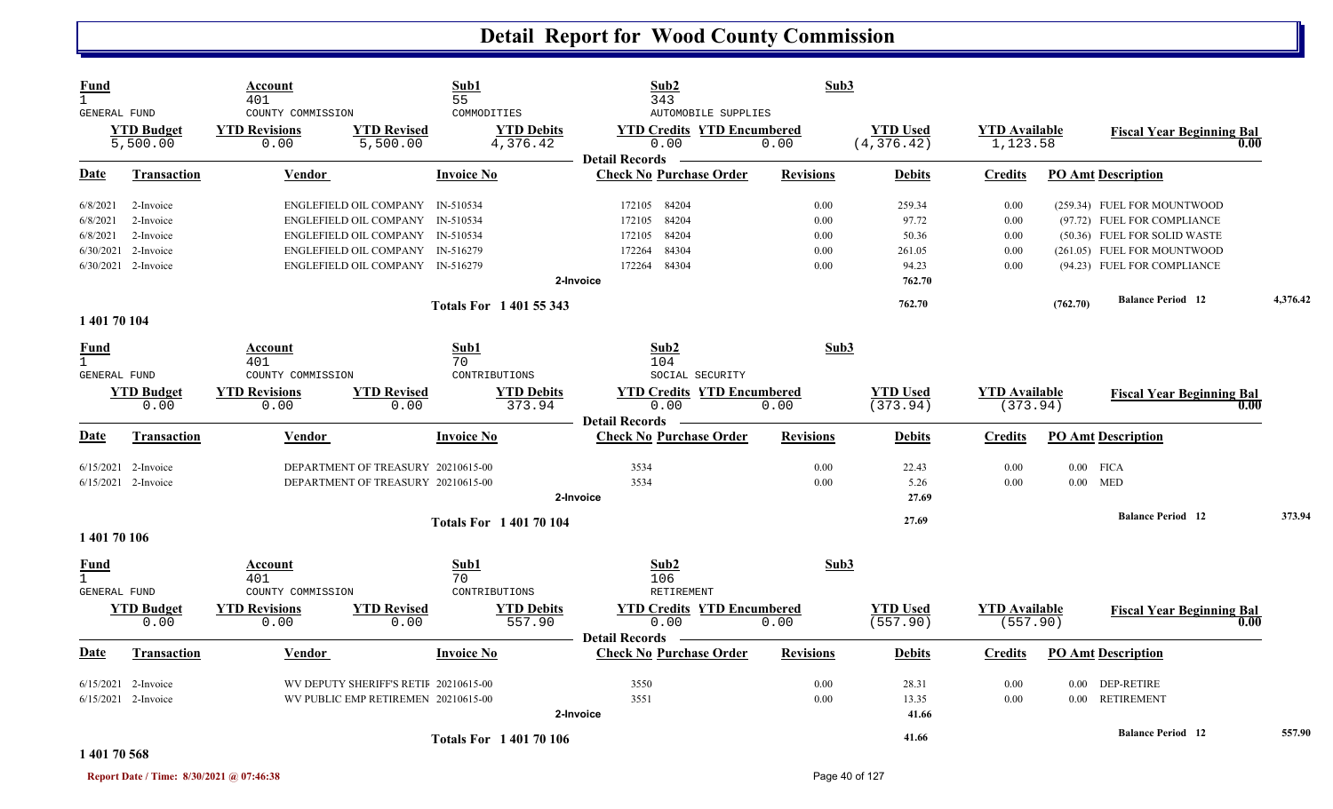| Fund<br>$\mathbf{1}$<br>GENERAL FUND |                               | Account<br>401<br>COUNTY COMMISSION |                                       | Sub1<br>55<br>COMMODITIES     | Sub2<br>343<br>AUTOMOBILE SUPPLIES                                 | Sub3             |                                |                                  |          |                                          |          |
|--------------------------------------|-------------------------------|-------------------------------------|---------------------------------------|-------------------------------|--------------------------------------------------------------------|------------------|--------------------------------|----------------------------------|----------|------------------------------------------|----------|
|                                      | <b>YTD Budget</b><br>5,500.00 | <b>YTD Revisions</b><br>0.00        | <b>YTD Revised</b><br>5,500.00        | <b>YTD Debits</b><br>4,376.42 | <b>YTD Credits YTD Encumbered</b><br>0.00<br><b>Detail Records</b> | 0.00             | <b>YTD Used</b><br>(4, 376.42) | <b>YTD Available</b><br>1,123.58 |          | <b>Fiscal Year Beginning Bal</b><br>0.00 |          |
| Date                                 | <b>Transaction</b>            | Vendor                              |                                       | <b>Invoice No</b>             | <b>Check No Purchase Order</b>                                     | <b>Revisions</b> | <b>Debits</b>                  | <b>Credits</b>                   |          | <b>PO Amt Description</b>                |          |
| 6/8/2021                             | 2-Invoice                     |                                     | ENGLEFIELD OIL COMPANY IN-510534      |                               | 172105 84204                                                       | 0.00             | 259.34                         | 0.00                             |          | (259.34) FUEL FOR MOUNTWOOD              |          |
| 6/8/2021                             | 2-Invoice                     |                                     | ENGLEFIELD OIL COMPANY IN-510534      |                               | 84204<br>172105                                                    | 0.00             | 97.72                          | 0.00                             |          | (97.72) FUEL FOR COMPLIANCE              |          |
| 6/8/2021                             | 2-Invoice                     |                                     | ENGLEFIELD OIL COMPANY IN-510534      |                               | 84204<br>172105                                                    | 0.00             | 50.36                          | 0.00                             |          | (50.36) FUEL FOR SOLID WASTE             |          |
| 6/30/2021                            | 2-Invoice                     |                                     | ENGLEFIELD OIL COMPANY IN-516279      |                               | 84304<br>172264                                                    | 0.00             | 261.05                         | 0.00                             |          | (261.05) FUEL FOR MOUNTWOOD              |          |
|                                      | 6/30/2021 2-Invoice           |                                     | ENGLEFIELD OIL COMPANY IN-516279      |                               | 84304<br>172264                                                    | 0.00             | 94.23                          | 0.00                             |          | (94.23) FUEL FOR COMPLIANCE              |          |
|                                      |                               |                                     |                                       |                               | 2-Invoice                                                          |                  | 762.70                         |                                  |          |                                          |          |
|                                      |                               |                                     |                                       | Totals For 1 401 55 343       |                                                                    |                  | 762.70                         |                                  | (762.70) | <b>Balance Period</b> 12                 | 4,376.42 |
| 1 401 70 104                         |                               |                                     |                                       |                               |                                                                    |                  |                                |                                  |          |                                          |          |
| Fund                                 |                               | Account                             |                                       | Sub1                          | Sub2                                                               | Sub3             |                                |                                  |          |                                          |          |
| $\mathbf{1}$                         |                               | 401                                 |                                       | 70                            | 104                                                                |                  |                                |                                  |          |                                          |          |
| <b>GENERAL FUND</b>                  |                               | COUNTY COMMISSION                   |                                       | CONTRIBUTIONS                 | SOCIAL SECURITY                                                    |                  |                                |                                  |          |                                          |          |
|                                      | <b>YTD Budget</b>             | <b>YTD Revisions</b>                | <b>YTD Revised</b>                    | <b>YTD Debits</b>             | <b>YTD Credits YTD Encumbered</b>                                  |                  | <b>YTD</b> Used                | <b>YTD Available</b>             |          | <b>Fiscal Year Beginning Bal</b>         |          |
|                                      | 0.00                          | 0.00                                | 0.00                                  | 373.94                        | 0.00<br><b>Detail Records</b>                                      | 0.00             | (373.94)                       | (373.94)                         |          | 0.00                                     |          |
| Date                                 | <b>Transaction</b>            | <b>Vendor</b>                       |                                       | <b>Invoice No</b>             | <b>Check No Purchase Order</b>                                     | <b>Revisions</b> | <b>Debits</b>                  | <b>Credits</b>                   |          | <b>PO Amt Description</b>                |          |
|                                      | $6/15/2021$ 2-Invoice         |                                     | DEPARTMENT OF TREASURY 20210615-00    |                               | 3534                                                               | 0.00             | 22.43                          | 0.00                             |          | $0.00$ FICA                              |          |
|                                      | 6/15/2021 2-Invoice           |                                     | DEPARTMENT OF TREASURY 20210615-00    |                               | 3534                                                               | 0.00             | 5.26                           | 0.00                             |          | $0.00$ MED                               |          |
|                                      |                               |                                     |                                       |                               | 2-Invoice                                                          |                  | 27.69                          |                                  |          |                                          |          |
|                                      |                               |                                     |                                       | <b>Totals For 140170104</b>   |                                                                    |                  | 27.69                          |                                  |          | <b>Balance Period</b> 12                 | 373.94   |
| 1 401 70 106                         |                               |                                     |                                       |                               |                                                                    |                  |                                |                                  |          |                                          |          |
| Fund                                 |                               | Account                             |                                       | Sub1                          | Sub2                                                               | Sub3             |                                |                                  |          |                                          |          |
| $\mathbf{1}$                         |                               | 401                                 |                                       | 70                            | 106                                                                |                  |                                |                                  |          |                                          |          |
| GENERAL FUND                         |                               | COUNTY COMMISSION                   |                                       | CONTRIBUTIONS                 | RETIREMENT                                                         |                  |                                |                                  |          |                                          |          |
|                                      | <b>YTD Budget</b>             | <b>YTD Revisions</b>                | <b>YTD Revised</b>                    | <b>YTD Debits</b>             | <b>YTD Credits YTD Encumbered</b>                                  |                  | <b>YTD Used</b>                | <b>YTD Available</b>             |          | <b>Fiscal Year Beginning Bal</b>         |          |
|                                      | 0.00                          | 0.00                                | 0.00                                  | 557.90                        | 0.00<br><b>Detail Records</b>                                      | 0.00             | (557.90)                       | (557.90)                         |          | 0.00                                     |          |
| Date                                 | Transaction                   | Vendor                              |                                       | <b>Invoice No</b>             | <b>Check No Purchase Order</b>                                     | <b>Revisions</b> | <b>Debits</b>                  | <b>Credits</b>                   |          | <b>PO Amt Description</b>                |          |
|                                      | 6/15/2021 2-Invoice           |                                     | WV DEPUTY SHERIFF'S RETIF 20210615-00 |                               | 3550                                                               | 0.00             | 28.31                          | 0.00                             |          | 0.00 DEP-RETIRE                          |          |
|                                      | $6/15/2021$ 2-Invoice         |                                     | WV PUBLIC EMP RETIREMEN 20210615-00   |                               | 3551                                                               | 0.00             | 13.35                          | 0.00                             |          | 0.00 RETIREMENT                          |          |
|                                      |                               |                                     |                                       |                               | 2-Invoice                                                          |                  | 41.66                          |                                  |          |                                          |          |
|                                      |                               |                                     |                                       |                               |                                                                    |                  |                                |                                  |          | <b>Balance Period</b> 12                 | 557.90   |
|                                      |                               |                                     |                                       | <b>Totals For 140170106</b>   |                                                                    |                  | 41.66                          |                                  |          |                                          |          |

#### **1 401 70 568**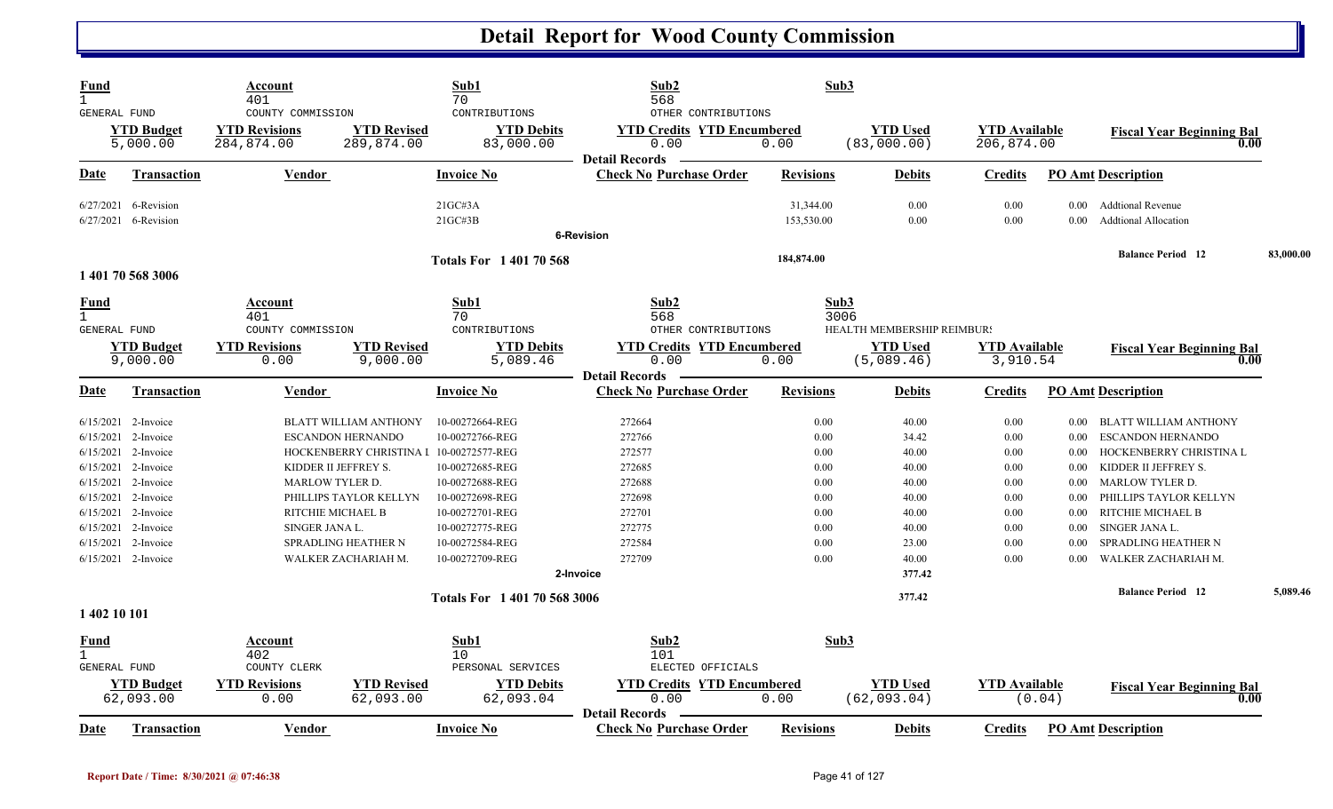| Fund<br>$\mathbf{1}$<br>GENERAL FUND        |                                    | Account<br>401<br>COUNTY COMMISSION |                                         | Sub1<br>70<br>CONTRIBUTIONS        | Sub2<br>568<br>OTHER CONTRIBUTIONS                                 | Sub3                    |                                 |                                    |                        |                                                         |           |
|---------------------------------------------|------------------------------------|-------------------------------------|-----------------------------------------|------------------------------------|--------------------------------------------------------------------|-------------------------|---------------------------------|------------------------------------|------------------------|---------------------------------------------------------|-----------|
|                                             | <b>YTD Budget</b><br>5,000.00      | <b>YTD Revisions</b><br>284,874.00  | <b>YTD Revised</b><br>289,874.00        | <b>YTD Debits</b><br>83,000.00     | <b>YTD Credits YTD Encumbered</b><br>0.00<br><b>Detail Records</b> | 0.00                    | <b>YTD Used</b><br>(83,000.00)  | <b>YTD Available</b><br>206,874.00 |                        | <b>Fiscal Year Beginning Bal</b><br>0.00                |           |
| Date                                        | Transaction                        | <b>Vendor</b>                       |                                         | <b>Invoice No</b>                  | <b>Check No Purchase Order</b>                                     | <b>Revisions</b>        | <b>Debits</b>                   | <b>Credits</b>                     |                        | <b>PO Amt Description</b>                               |           |
| 6/27/2021                                   | 6-Revision<br>6/27/2021 6-Revision |                                     |                                         | 21GCH3A<br>$21G$ C#3B              |                                                                    | 31,344.00<br>153,530.00 | 0.00<br>0.00                    | 0.00<br>0.00                       | $0.00^{\circ}$<br>0.00 | <b>Addtional Revenue</b><br><b>Addtional Allocation</b> |           |
|                                             |                                    |                                     |                                         |                                    | 6-Revision                                                         |                         |                                 |                                    |                        |                                                         |           |
|                                             | 1 401 70 568 3006                  |                                     |                                         | <b>Totals For 1 401 70 568</b>     |                                                                    | 184,874.00              |                                 |                                    |                        | <b>Balance Period</b> 12                                | 83,000.00 |
| Fund<br>$\mathbf{1}$<br>GENERAL FUND        |                                    | Account<br>401<br>COUNTY COMMISSION |                                         | Sub1<br>70<br>CONTRIBUTIONS        | Sub2<br>568<br>OTHER CONTRIBUTIONS                                 | Sub3<br>3006            | HEALTH MEMBERSHIP REIMBUR!      |                                    |                        |                                                         |           |
|                                             | <b>YTD Budget</b><br>9,000.00      | <b>YTD Revisions</b><br>0.00        | <b>YTD Revised</b><br>9,000.00          | <b>YTD Debits</b><br>5,089.46      | <b>YTD Credits YTD Encumbered</b><br>0.00<br><b>Detail Records</b> | 0.00                    | <b>YTD</b> Used<br>(5,089.46)   | <b>YTD</b> Available<br>3,910.54   |                        | <b>Fiscal Year Beginning Bal</b><br>0.00                |           |
| Date                                        | Transaction                        | Vendor                              |                                         | <b>Invoice No</b>                  | <b>Check No Purchase Order</b>                                     | <b>Revisions</b>        | <b>Debits</b>                   | <b>Credits</b>                     |                        | <b>PO Amt Description</b>                               |           |
| 6/15/2021                                   | 2-Invoice                          |                                     | <b>BLATT WILLIAM ANTHONY</b>            | 10-00272664-REG                    | 272664                                                             | 0.00                    | 40.00                           | 0.00                               | $0.00\,$               | BLATT WILLIAM ANTHONY                                   |           |
| 6/15/2021                                   | 2-Invoice                          |                                     | <b>ESCANDON HERNANDO</b>                | 10-00272766-REG                    | 272766                                                             | 0.00                    | 34.42                           | 0.00                               | $0.00\,$               | <b>ESCANDON HERNANDO</b>                                |           |
| 6/15/2021<br>6/15/2021                      | 2-Invoice<br>2-Invoice             | KIDDER II JEFFREY S.                | HOCKENBERRY CHRISTINA I 10-00272577-REG |                                    | 272577<br>272685                                                   | 0.00<br>0.00            | 40.00<br>40.00                  | 0.00<br>0.00                       | $0.00\,$               | HOCKENBERRY CHRISTINA L<br>KIDDER II JEFFREY S.         |           |
| 6/15/2021                                   | 2-Invoice                          | MARLOW TYLER D.                     |                                         | 10-00272685-REG<br>10-00272688-REG | 272688                                                             | 0.00                    | 40.00                           | 0.00                               | $0.00\,$<br>0.00       | <b>MARLOW TYLER D.</b>                                  |           |
| 6/15/2021                                   | 2-Invoice                          |                                     | PHILLIPS TAYLOR KELLYN                  | 10-00272698-REG                    | 272698                                                             | 0.00                    | 40.00                           | 0.00                               | $0.00\,$               | PHILLIPS TAYLOR KELLYN                                  |           |
| 6/15/2021                                   | 2-Invoice                          | RITCHIE MICHAEL B                   |                                         | 10-00272701-REG                    | 272701                                                             | 0.00                    | 40.00                           | 0.00                               | 0.00                   | RITCHIE MICHAEL B                                       |           |
| 6/15/2021                                   | 2-Invoice                          | SINGER JANA L.                      |                                         | 10-00272775-REG                    | 272775                                                             | 0.00                    | 40.00                           | 0.00                               | $0.00\,$               | SINGER JANA L.                                          |           |
| 6/15/2021                                   | 2-Invoice                          |                                     | <b>SPRADLING HEATHER N</b>              | 10-00272584-REG                    | 272584                                                             | 0.00                    | 23.00                           | 0.00                               | 0.00                   | SPRADLING HEATHER N                                     |           |
|                                             | 6/15/2021 2-Invoice                |                                     | WALKER ZACHARIAH M.                     | 10-00272709-REG                    | 272709                                                             | 0.00                    | 40.00                           | 0.00                               | 0.00                   | WALKER ZACHARIAH M.                                     |           |
|                                             |                                    |                                     |                                         |                                    | 2-Invoice                                                          |                         | 377.42                          |                                    |                        |                                                         |           |
|                                             |                                    |                                     |                                         | Totals For 1 401 70 568 3006       |                                                                    |                         | 377.42                          |                                    |                        | <b>Balance Period 12</b>                                | 5,089.46  |
| 1 402 10 101                                |                                    |                                     |                                         |                                    |                                                                    |                         |                                 |                                    |                        |                                                         |           |
| <u>Fund</u><br>$\mathbf{1}$<br>GENERAL FUND |                                    | Account<br>402<br>COUNTY CLERK      |                                         | Sub1<br>10<br>PERSONAL SERVICES    | Sub2<br>101<br>ELECTED OFFICIALS                                   | Sub3                    |                                 |                                    |                        |                                                         |           |
|                                             | <b>YTD Budget</b><br>62,093.00     | <b>YTD Revisions</b><br>0.00        | <b>YTD Revised</b><br>62,093.00         | <b>YTD Debits</b><br>62,093.04     | <b>YTD Credits YTD Encumbered</b><br>0.00                          | 0.00                    | <b>YTD</b> Used<br>(62, 093.04) | <b>YTD Available</b>               | (0.04)                 | <b>Fiscal Year Beginning Bal</b><br>0.00                |           |
| Date                                        | Transaction                        | Vendor                              |                                         | <b>Invoice No</b>                  | <b>Detail Records</b><br><b>Check No Purchase Order</b>            | <b>Revisions</b>        | <b>Debits</b>                   | <b>Credits</b>                     |                        | <b>PO Amt Description</b>                               |           |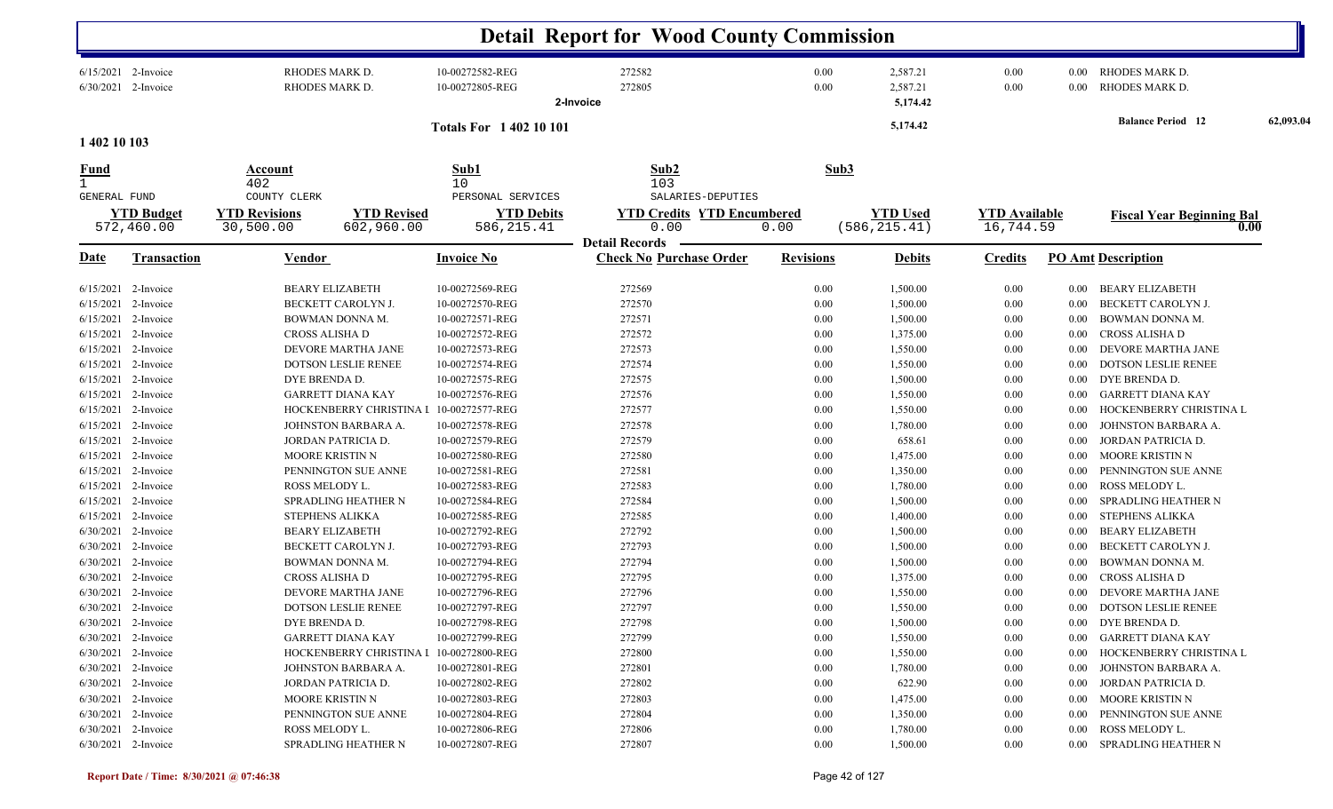|                  |                                            |                                      |                                         |                                        | <b>Detail Report for Wood County Commission</b>        |                  |                                  |                      |              |                                          |           |
|------------------|--------------------------------------------|--------------------------------------|-----------------------------------------|----------------------------------------|--------------------------------------------------------|------------------|----------------------------------|----------------------|--------------|------------------------------------------|-----------|
|                  | 6/15/2021 2-Invoice<br>6/30/2021 2-Invoice | RHODES MARK D.<br>RHODES MARK D.     |                                         | 10-00272582-REG<br>10-00272805-REG     | 272582<br>272805<br>2-Invoice                          | 0.00<br>0.00     | 2,587.21<br>2,587.21<br>5,174.42 | 0.00<br>0.00         | 0.00<br>0.00 | RHODES MARK D.<br>RHODES MARK D.         |           |
| 1 402 10 103     |                                            |                                      |                                         | <b>Totals For 140210101</b>            |                                                        |                  | 5,174.42                         |                      |              | <b>Balance Period</b> 12                 | 62,093.04 |
| $\frac{Fund}{1}$ |                                            | Account                              |                                         | Sub1                                   | Sub <sub>2</sub>                                       |                  | Sub3                             |                      |              |                                          |           |
|                  |                                            | 402                                  |                                         | 10                                     | 103                                                    |                  |                                  |                      |              |                                          |           |
| GENERAL FUND     | <b>YTD Budget</b>                          | COUNTY CLERK<br><b>YTD Revisions</b> | <b>YTD Revised</b>                      | PERSONAL SERVICES<br><b>YTD Debits</b> | SALARIES-DEPUTIES<br><b>YTD Credits YTD Encumbered</b> |                  | <b>YTD Used</b>                  | <b>YTD Available</b> |              |                                          |           |
|                  | 572,460.00                                 | 30,500.00                            | 602,960.00                              | 586, 215.41                            | 0.00                                                   | 0.00             | (586, 215.41)                    | 16,744.59            |              | <b>Fiscal Year Beginning Bal</b><br>0.00 |           |
|                  |                                            |                                      |                                         |                                        | <b>Detail Records</b>                                  |                  |                                  |                      |              |                                          |           |
| <b>Date</b>      | <b>Transaction</b>                         | <b>Vendor</b>                        |                                         | <b>Invoice No</b>                      | <b>Check No Purchase Order</b>                         | <b>Revisions</b> | <b>Debits</b>                    | <b>Credits</b>       |              | <b>PO Amt Description</b>                |           |
|                  | $6/15/2021$ 2-Invoice                      | <b>BEARY ELIZABETH</b>               |                                         | 10-00272569-REG                        | 272569                                                 | 0.00             | 1,500.00                         | 0.00                 | $0.00\,$     | BEARY ELIZABETH                          |           |
| 6/15/2021        | 2-Invoice                                  | BECKETT CAROLYN J.                   |                                         | 10-00272570-REG                        | 272570                                                 | 0.00             | 1,500.00                         | 0.00                 | 0.00         | BECKETT CAROLYN J.                       |           |
| 6/15/2021        | 2-Invoice                                  | BOWMAN DONNA M.                      |                                         | 10-00272571-REG                        | 272571                                                 | 0.00             | 1,500.00                         | 0.00                 | $0.00\,$     | <b>BOWMAN DONNA M.</b>                   |           |
| 6/15/2021        | 2-Invoice                                  | CROSS ALISHA D                       |                                         | 10-00272572-REG                        | 272572                                                 | 0.00             | 1,375.00                         | 0.00                 | $0.00\,$     | <b>CROSS ALISHA D</b>                    |           |
| 6/15/2021        | 2-Invoice                                  |                                      | DEVORE MARTHA JANE                      | 10-00272573-REG                        | 272573                                                 | 0.00             | 1,550.00                         | 0.00                 | $0.00\,$     | DEVORE MARTHA JANE                       |           |
| 6/15/2021        | 2-Invoice                                  |                                      | DOTSON LESLIE RENEE                     | 10-00272574-REG                        | 272574                                                 | 0.00             | 1,550.00                         | 0.00                 | 0.00         | <b>DOTSON LESLIE RENEE</b>               |           |
| 6/15/2021        | 2-Invoice                                  | DYE BRENDA D.                        |                                         | 10-00272575-REG                        | 272575                                                 | 0.00             | 1,500.00                         | 0.00                 | $0.00\,$     | DYE BRENDA D.                            |           |
| 6/15/2021        | 2-Invoice                                  | <b>GARRETT DIANA KAY</b>             |                                         | 10-00272576-REG                        | 272576                                                 | 0.00             | 1,550.00                         | 0.00                 | $0.00\,$     | <b>GARRETT DIANA KAY</b>                 |           |
| 6/15/2021        | 2-Invoice                                  |                                      | HOCKENBERRY CHRISTINA I                 | 10-00272577-REG                        | 272577                                                 | 0.00             | 1,550.00                         | 0.00                 | 0.00         | HOCKENBERRY CHRISTINA L                  |           |
| 6/15/2021        | 2-Invoice                                  |                                      | JOHNSTON BARBARA A.                     | 10-00272578-REG                        | 272578                                                 | 0.00             | 1,780.00                         | 0.00                 | 0.00         | JOHNSTON BARBARA A.                      |           |
|                  | 6/15/2021 2-Invoice                        | JORDAN PATRICIA D.                   |                                         | 10-00272579-REG                        | 272579                                                 | 0.00             | 658.61                           | 0.00                 | $0.00\,$     | JORDAN PATRICIA D.                       |           |
|                  | 6/15/2021 2-Invoice                        | <b>MOORE KRISTIN N</b>               |                                         | 10-00272580-REG                        | 272580                                                 | 0.00             | 1,475.00                         | $0.00\,$             | $0.00\,$     | MOORE KRISTIN N                          |           |
|                  | 6/15/2021 2-Invoice                        |                                      | PENNINGTON SUE ANNE                     | 10-00272581-REG                        | 272581                                                 | 0.00             | 1,350.00                         | $0.00\,$             | $0.00\,$     | PENNINGTON SUE ANNE                      |           |
|                  | 6/15/2021 2-Invoice                        | ROSS MELODY L.                       |                                         | 10-00272583-REG                        | 272583                                                 | 0.00             | 1,780.00                         | 0.00                 | $0.00\,$     | ROSS MELODY L.                           |           |
|                  | 6/15/2021 2-Invoice                        |                                      | SPRADLING HEATHER N                     | 10-00272584-REG                        | 272584                                                 | 0.00             | 1,500.00                         | $0.00\,$             | $0.00\,$     | SPRADLING HEATHER N                      |           |
| 6/15/2021        | 2-Invoice                                  | <b>STEPHENS ALIKKA</b>               |                                         | 10-00272585-REG                        | 272585                                                 | 0.00             | 1,400.00                         | $0.00\,$             | $0.00\,$     | <b>STEPHENS ALIKKA</b>                   |           |
| 6/30/2021        | 2-Invoice                                  | <b>BEARY ELIZABETH</b>               |                                         | 10-00272792-REG                        | 272792                                                 | 0.00             | 1,500.00                         | 0.00                 | 0.00         | <b>BEARY ELIZABETH</b>                   |           |
| 6/30/2021        | 2-Invoice                                  | BECKETT CAROLYN J.                   |                                         | 10-00272793-REG                        | 272793                                                 | 0.00             | 1,500.00                         | 0.00                 | 0.00         | BECKETT CAROLYN J.                       |           |
| 6/30/2021        | 2-Invoice                                  | BOWMAN DONNA M.                      |                                         | 10-00272794-REG                        | 272794                                                 | 0.00             | 1,500.00                         | 0.00                 | $0.00\,$     | <b>BOWMAN DONNA M.</b>                   |           |
| 6/30/2021        | 2-Invoice                                  | CROSS ALISHA D                       |                                         | 10-00272795-REG                        | 272795                                                 | 0.00             | 1,375.00                         | 0.00                 | $0.00\,$     | CROSS ALISHA D                           |           |
|                  | 6/30/2021 2-Invoice                        |                                      | DEVORE MARTHA JANE                      | 10-00272796-REG                        | 272796                                                 | 0.00             | 1,550.00                         | 0.00                 | $0.00\,$     | DEVORE MARTHA JANE                       |           |
|                  | 6/30/2021 2-Invoice                        |                                      | DOTSON LESLIE RENEE                     | 10-00272797-REG                        | 272797                                                 | $0.00\,$         | 1,550.00                         | $0.00\,$             |              | 0.00 DOTSON LESLIE RENEE                 |           |
|                  | 6/30/2021 2-Invoice                        | DYE BRENDA D.                        |                                         | 10-00272798-REG                        | 272798                                                 | $0.00\,$         | 1,500.00                         | 0.00                 |              | 0.00 DYE BRENDA D.                       |           |
|                  | 6/30/2021 2-Invoice                        | <b>GARRETT DIANA KAY</b>             |                                         | 10-00272799-REG                        | 272799                                                 | $0.00\,$         | 1,550.00                         | $0.00\,$             |              | 0.00 GARRETT DIANA KAY                   |           |
|                  | $6/30/2021$ 2-Invoice                      |                                      | HOCKENBERRY CHRISTINA I 10-00272800-REG |                                        | 272800                                                 | $0.00\,$         | 1,550.00                         | $0.00\,$             |              | 0.00 HOCKENBERRY CHRISTINA L             |           |
|                  | $6/30/2021$ 2-Invoice                      |                                      | JOHNSTON BARBARA A.                     | 10-00272801-REG                        | 272801                                                 | 0.00             | 1,780.00                         | $0.00\,$             |              | 0.00 JOHNSTON BARBARA A.                 |           |
|                  | $6/30/2021$ 2-Invoice                      | JORDAN PATRICIA D.                   |                                         | 10-00272802-REG                        | 272802                                                 | $0.00\,$         | 622.90                           | $0.00\,$             |              | 0.00 JORDAN PATRICIA D.                  |           |
|                  | $6/30/2021$ 2-Invoice                      | <b>MOORE KRISTIN N</b>               |                                         | 10-00272803-REG                        | 272803                                                 | $0.00\,$         | 1,475.00                         | $0.00\,$             |              | 0.00 MOORE KRISTIN N                     |           |
|                  | 6/30/2021 2-Invoice                        |                                      | PENNINGTON SUE ANNE                     | 10-00272804-REG                        | 272804                                                 | 0.00             | 1,350.00                         | 0.00                 | $0.00\,$     | PENNINGTON SUE ANNE                      |           |
|                  | 6/30/2021 2-Invoice                        | ROSS MELODY L.                       |                                         | 10-00272806-REG                        | 272806                                                 | $0.00\,$         | 1,780.00                         | 0.00                 |              | 0.00 ROSS MELODY L.                      |           |
|                  | 6/30/2021 2-Invoice                        |                                      | SPRADLING HEATHER N                     | 10-00272807-REG                        | 272807                                                 | $0.00\,$         | 1,500.00                         | $0.00\,$             |              | 0.00 SPRADLING HEATHER N                 |           |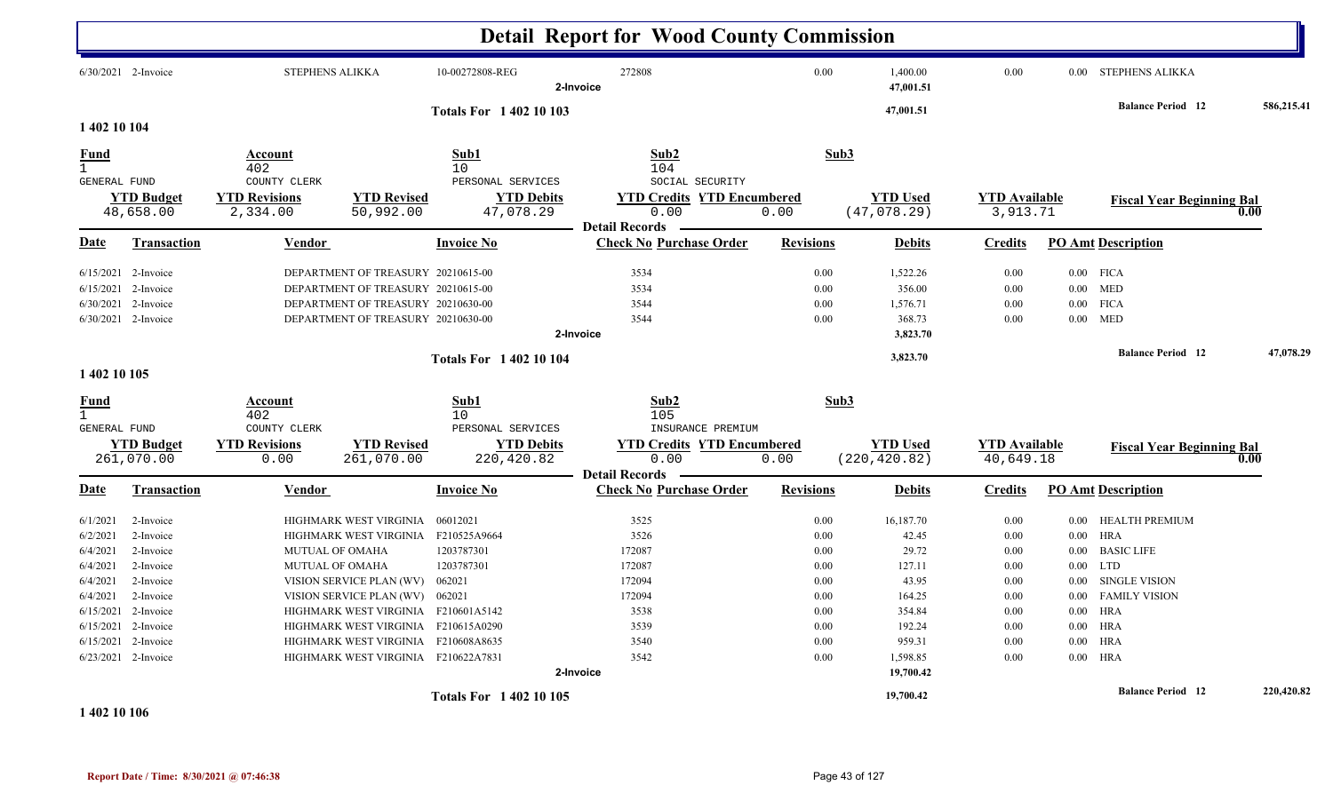|                                      |                       |                                |                                     |                                 | <b>Detail Report for Wood County Commission</b>         |                  |                       |                      |          |                                  |            |
|--------------------------------------|-----------------------|--------------------------------|-------------------------------------|---------------------------------|---------------------------------------------------------|------------------|-----------------------|----------------------|----------|----------------------------------|------------|
|                                      | 6/30/2021 2-Invoice   | <b>STEPHENS ALIKKA</b>         |                                     | 10-00272808-REG                 | 272808<br>2-Invoice                                     | 0.00             | 1,400.00<br>47,001.51 | 0.00                 |          | 0.00 STEPHENS ALIKKA             |            |
|                                      |                       |                                |                                     | <b>Totals For 140210103</b>     |                                                         |                  | 47,001.51             |                      |          | <b>Balance Period 12</b>         | 586,215.41 |
| 1 402 10 104                         |                       |                                |                                     |                                 |                                                         |                  |                       |                      |          |                                  |            |
| Fund<br>$\mathbf{1}$<br>GENERAL FUND |                       | Account<br>402<br>COUNTY CLERK |                                     | Sub1<br>10<br>PERSONAL SERVICES | Sub2<br>104<br>SOCIAL SECURITY                          |                  | Sub3                  |                      |          |                                  |            |
|                                      | <b>YTD Budget</b>     | <b>YTD Revisions</b>           | <b>YTD Revised</b>                  | <b>YTD Debits</b>               | <b>YTD Credits YTD Encumbered</b>                       |                  | <b>YTD Used</b>       | <b>YTD Available</b> |          | <b>Fiscal Year Beginning Bal</b> |            |
|                                      | 48,658.00             | 2,334.00                       | 50,992.00                           | 47,078.29                       | 0.00                                                    | 0.00             | (47,078.29)           | 3,913.71             |          |                                  | 0.00       |
| Date                                 | <b>Transaction</b>    | Vendor                         |                                     | <b>Invoice No</b>               | <b>Detail Records</b><br><b>Check No Purchase Order</b> | <b>Revisions</b> | <b>Debits</b>         | <b>Credits</b>       |          | <b>PO Amt Description</b>        |            |
| 6/15/2021                            | 2-Invoice             |                                | DEPARTMENT OF TREASURY 20210615-00  |                                 | 3534                                                    | 0.00             | 1,522.26              | 0.00                 |          | $0.00$ FICA                      |            |
|                                      | $6/15/2021$ 2-Invoice |                                | DEPARTMENT OF TREASURY 20210615-00  |                                 | 3534                                                    | 0.00             | 356.00                | 0.00                 |          | $0.00$ MED                       |            |
| 6/30/2021                            | 2-Invoice             |                                | DEPARTMENT OF TREASURY 20210630-00  |                                 | 3544                                                    | 0.00             | 1,576.71              | 0.00                 | $0.00\,$ | <b>FICA</b>                      |            |
|                                      | 6/30/2021 2-Invoice   |                                | DEPARTMENT OF TREASURY 20210630-00  |                                 | 3544                                                    | 0.00             | 368.73                | 0.00                 | $0.00\,$ | MED                              |            |
|                                      |                       |                                |                                     |                                 | 2-Invoice                                               |                  | 3,823.70              |                      |          |                                  |            |
|                                      |                       |                                |                                     | <b>Totals For 140210104</b>     |                                                         |                  | 3,823.70              |                      |          | <b>Balance Period</b> 12         | 47,078.29  |
| 1 402 10 105                         |                       |                                |                                     |                                 |                                                         |                  |                       |                      |          |                                  |            |
| <u>Fund</u><br>$\mathbf{1}$          |                       | Account<br>402                 |                                     | Sub1<br>10                      | Sub2<br>105                                             |                  | Sub3                  |                      |          |                                  |            |
| <b>GENERAL FUND</b>                  |                       | COUNTY CLERK                   |                                     | PERSONAL SERVICES               | INSURANCE PREMIUM                                       |                  |                       |                      |          |                                  |            |
|                                      | <b>YTD Budget</b>     | <b>YTD Revisions</b>           | <b>YTD Revised</b>                  | <b>YTD Debits</b>               | <b>YTD Credits YTD Encumbered</b>                       |                  | <b>YTD Used</b>       | <b>YTD</b> Available |          | <b>Fiscal Year Beginning Bal</b> |            |
|                                      | 261,070.00            | 0.00                           | 261,070.00                          | 220,420.82                      | 0.00                                                    | 0.00             | (220, 420.82)         | 40,649.18            |          |                                  | 0.00       |
| Date                                 | <b>Transaction</b>    | <b>Vendor</b>                  |                                     | <b>Invoice No</b>               | <b>Detail Records</b><br><b>Check No Purchase Order</b> | <b>Revisions</b> | <b>Debits</b>         | <b>Credits</b>       |          | <b>PO Amt Description</b>        |            |
| 6/1/2021                             | 2-Invoice             |                                | HIGHMARK WEST VIRGINIA              | 06012021                        | 3525                                                    | 0.00             | 16,187.70             | 0.00                 | $0.00\,$ | HEALTH PREMIUM                   |            |
| 6/2/2021                             | 2-Invoice             |                                | HIGHMARK WEST VIRGINIA              | F210525A9664                    | 3526                                                    | 0.00             | 42.45                 | 0.00                 | $0.00\,$ | HRA                              |            |
| 6/4/2021                             | 2-Invoice             | <b>MUTUAL OF OMAHA</b>         |                                     | 1203787301                      | 172087                                                  | 0.00             | 29.72                 | 0.00                 | 0.00     | <b>BASIC LIFE</b>                |            |
| 6/4/2021                             | 2-Invoice             | <b>MUTUAL OF OMAHA</b>         |                                     | 1203787301                      | 172087                                                  | 0.00             | 127.11                | 0.00                 | $0.00\,$ | <b>LTD</b>                       |            |
| 6/4/2021                             | 2-Invoice             |                                | VISION SERVICE PLAN (WV)            | 062021                          | 172094                                                  | 0.00             | 43.95                 | 0.00                 | $0.00\,$ | <b>SINGLE VISION</b>             |            |
| 6/4/2021                             | 2-Invoice             |                                | VISION SERVICE PLAN (WV)            | 062021                          | 172094                                                  | 0.00             | 164.25                | 0.00                 | $0.00\,$ | <b>FAMILY VISION</b>             |            |
|                                      | 6/15/2021 2-Invoice   |                                | HIGHMARK WEST VIRGINIA F210601A5142 |                                 | 3538                                                    | 0.00             | 354.84                | 0.00                 | $0.00\,$ | HRA                              |            |
|                                      | 6/15/2021 2-Invoice   |                                | HIGHMARK WEST VIRGINIA              | F210615A0290                    | 3539                                                    | 0.00             | 192.24                | 0.00                 | $0.00\,$ | HRA                              |            |
| 6/15/2021                            | 2-Invoice             |                                | HIGHMARK WEST VIRGINIA              | F210608A8635                    | 3540                                                    | 0.00             | 959.31                | 0.00                 | $0.00\,$ | <b>HRA</b>                       |            |
|                                      | 6/23/2021 2-Invoice   |                                | HIGHMARK WEST VIRGINIA F210622A7831 |                                 | 3542                                                    | 0.00             | 1,598.85              | 0.00                 |          | $0.00$ HRA                       |            |
|                                      |                       |                                |                                     |                                 | 2-Invoice                                               |                  | 19,700.42             |                      |          |                                  |            |
|                                      |                       |                                |                                     | <b>Totals For 140210105</b>     |                                                         |                  | 19,700.42             |                      |          | <b>Balance Period</b> 12         | 220,420.82 |

**1 402 10 106**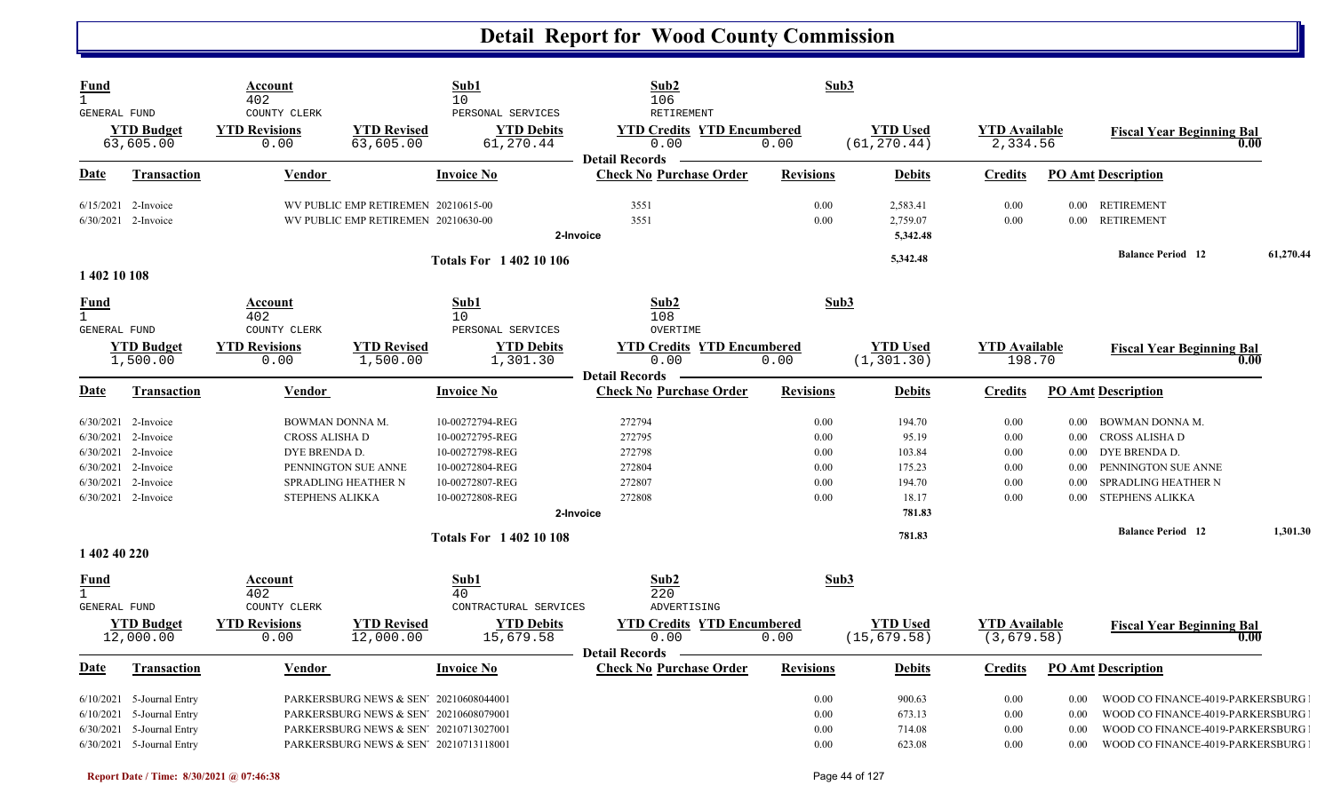| <b>Fund</b><br>$\mathbf{1}$<br>GENERAL FUND |                                                                                                                      | Account<br>402<br>COUNTY CLERK                                               |                                                                                                                                                                      | Sub1<br>10<br>PERSONAL SERVICES                                                                                             | Sub2<br>106<br>RETIREMENT                                               | Sub3                                         |                                                                  |                                              |                                                  |                                                                                                                                              |           |
|---------------------------------------------|----------------------------------------------------------------------------------------------------------------------|------------------------------------------------------------------------------|----------------------------------------------------------------------------------------------------------------------------------------------------------------------|-----------------------------------------------------------------------------------------------------------------------------|-------------------------------------------------------------------------|----------------------------------------------|------------------------------------------------------------------|----------------------------------------------|--------------------------------------------------|----------------------------------------------------------------------------------------------------------------------------------------------|-----------|
|                                             | <b>YTD</b> Budget<br>63,605.00                                                                                       | <b>YTD Revisions</b><br>0.00                                                 | <b>YTD Revised</b><br>63,605.00                                                                                                                                      | <b>YTD Debits</b><br>61,270.44                                                                                              | <b>YTD Credits YTD Encumbered</b><br>0.00<br><b>Detail Records</b>      | 0.00                                         | <b>YTD Used</b><br>(61, 270.44)                                  | <b>YTD Available</b><br>2,334.56             |                                                  | <b>Fiscal Year Beginning Bal</b><br>0.00                                                                                                     |           |
| Date                                        | <b>Transaction</b>                                                                                                   | Vendor                                                                       |                                                                                                                                                                      | <b>Invoice No</b>                                                                                                           | <b>Check No Purchase Order</b>                                          | <b>Revisions</b>                             | <b>Debits</b>                                                    | <b>Credits</b>                               |                                                  | <b>PO Amt Description</b>                                                                                                                    |           |
|                                             | 6/15/2021 2-Invoice<br>6/30/2021 2-Invoice                                                                           |                                                                              | WV PUBLIC EMP RETIREMEN 20210615-00<br>WV PUBLIC EMP RETIREMEN 20210630-00                                                                                           | 2-Invoice                                                                                                                   | 3551<br>3551                                                            | 0.00<br>0.00                                 | 2,583.41<br>2,759.07<br>5,342.48                                 | 0.00<br>0.00                                 | $0.00\,$                                         | 0.00 RETIREMENT<br><b>RETIREMENT</b>                                                                                                         |           |
| 1 402 10 108                                |                                                                                                                      |                                                                              |                                                                                                                                                                      | <b>Totals For 140210106</b>                                                                                                 |                                                                         |                                              | 5,342.48                                                         |                                              |                                                  | <b>Balance Period 12</b>                                                                                                                     | 61,270.44 |
| <b>Fund</b><br>$\mathbf{1}$<br>GENERAL FUND |                                                                                                                      | Account<br>402<br>COUNTY CLERK                                               |                                                                                                                                                                      | Sub1<br>10<br>PERSONAL SERVICES                                                                                             | Sub2<br>108<br>OVERTIME                                                 | Sub3                                         |                                                                  |                                              |                                                  |                                                                                                                                              |           |
|                                             | <b>YTD Budget</b><br>1,500.00                                                                                        | <b>YTD Revisions</b><br>0.00                                                 | <b>YTD Revised</b><br>1,500.00                                                                                                                                       | <b>YTD Debits</b><br>1,301.30                                                                                               | <b>YTD Credits YTD Encumbered</b><br>0.00<br><b>Detail Records</b>      | 0.00                                         | <b>YTD</b> Used<br>(1, 301.30)                                   | <b>YTD</b> Available<br>198.70               |                                                  | <b>Fiscal Year Beginning Bal</b><br>0.00                                                                                                     |           |
| Date                                        | <b>Transaction</b>                                                                                                   | Vendor                                                                       |                                                                                                                                                                      | <b>Invoice No</b>                                                                                                           | <b>Check No Purchase Order</b>                                          | <b>Revisions</b>                             | <b>Debits</b>                                                    | <b>Credits</b>                               |                                                  | <b>PO Amt Description</b>                                                                                                                    |           |
| 6/30/2021<br>6/30/2021                      | $6/30/2021$ 2-Invoice<br>2-Invoice<br>6/30/2021 2-Invoice<br>6/30/2021 2-Invoice<br>2-Invoice<br>6/30/2021 2-Invoice | BOWMAN DONNA M.<br>CROSS ALISHA D<br>DYE BRENDA D.<br><b>STEPHENS ALIKKA</b> | PENNINGTON SUE ANNE<br>SPRADLING HEATHER N                                                                                                                           | 10-00272794-REG<br>10-00272795-REG<br>10-00272798-REG<br>10-00272804-REG<br>10-00272807-REG<br>10-00272808-REG<br>2-Invoice | 272794<br>272795<br>272798<br>272804<br>272807<br>272808                | 0.00<br>0.00<br>0.00<br>0.00<br>0.00<br>0.00 | 194.70<br>95.19<br>103.84<br>175.23<br>194.70<br>18.17<br>781.83 | 0.00<br>0.00<br>0.00<br>0.00<br>0.00<br>0.00 | $0.00\,$<br>0.00<br>0.00<br>0.00<br>0.00<br>0.00 | BOWMAN DONNA M.<br>CROSS ALISHA D<br>DYE BRENDA D.<br>PENNINGTON SUE ANNE<br>SPRADLING HEATHER N<br>STEPHENS ALIKKA                          |           |
| 1 402 40 220                                |                                                                                                                      |                                                                              |                                                                                                                                                                      | <b>Totals For 140210108</b>                                                                                                 |                                                                         |                                              | 781.83                                                           |                                              |                                                  | <b>Balance Period 12</b>                                                                                                                     | 1,301.30  |
| <u>Fund</u><br>$\mathbf{1}$<br>GENERAL FUND | <b>YTD Budget</b><br>12,000.00                                                                                       | Account<br>402<br>COUNTY CLERK<br><b>YTD Revisions</b><br>0.00               | <b>YTD Revised</b><br>12,000.00                                                                                                                                      | Sub1<br>40<br>CONTRACTURAL SERVICES<br><b>YTD Debits</b><br>15,679.58                                                       | Sub2<br>220<br>ADVERTISING<br><b>YTD Credits YTD Encumbered</b><br>0.00 | Sub3<br>0.00                                 | <b>YTD</b> Used<br>(15, 679.58)                                  | <b>YTD</b> Available<br>(3,679.58)           |                                                  | <b>Fiscal Year Beginning Bal</b><br>0.00                                                                                                     |           |
| Date                                        | <b>Transaction</b>                                                                                                   | Vendor                                                                       |                                                                                                                                                                      | <b>Invoice No</b>                                                                                                           | <b>Detail Records</b><br><b>Check No Purchase Order</b>                 | <b>Revisions</b>                             | <b>Debits</b>                                                    | <b>Credits</b>                               |                                                  | <b>PO Amt Description</b>                                                                                                                    |           |
| 6/10/2021<br>6/30/2021                      | $6/10/2021$ 5-Journal Entry<br>5-Journal Entry<br>5-Journal Entry<br>6/30/2021 5-Journal Entry                       |                                                                              | PARKERSBURG NEWS & SEN' 20210608044001<br>PARKERSBURG NEWS & SEN' 20210608079001<br>PARKERSBURG NEWS & SEN' 20210713027001<br>PARKERSBURG NEWS & SEN' 20210713118001 |                                                                                                                             |                                                                         | 0.00<br>0.00<br>0.00<br>0.00                 | 900.63<br>673.13<br>714.08<br>623.08                             | 0.00<br>0.00<br>0.00<br>0.00                 | 0.00<br>0.00<br>0.00<br>0.00                     | WOOD CO FINANCE-4019-PARKERSBURG<br>WOOD CO FINANCE-4019-PARKERSBURG<br>WOOD CO FINANCE-4019-PARKERSBURG<br>WOOD CO FINANCE-4019-PARKERSBURG |           |

N N N N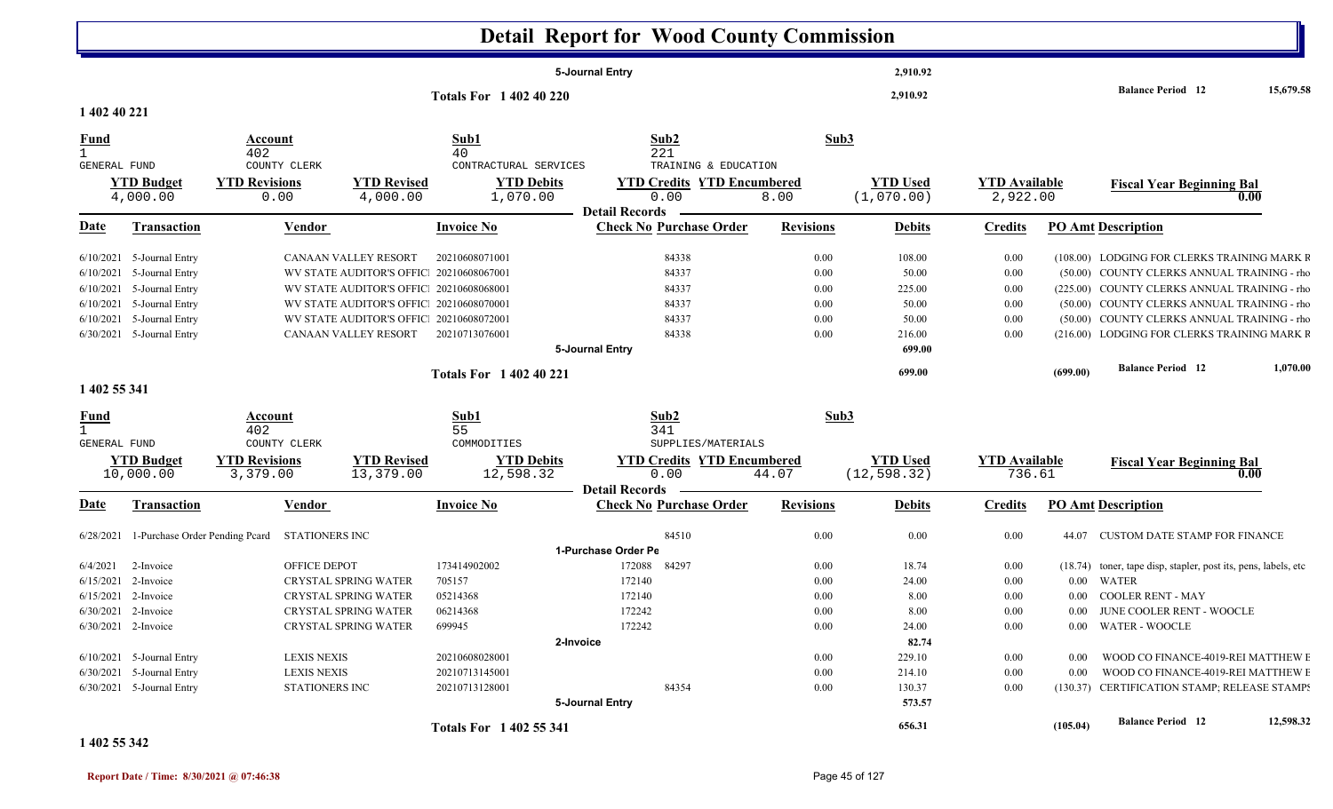|                              |                               |                                               |                                          |                                |                                | <b>Detail Report for Wood County Commission</b> |                  |                               |                                  |              |                                                                          |           |
|------------------------------|-------------------------------|-----------------------------------------------|------------------------------------------|--------------------------------|--------------------------------|-------------------------------------------------|------------------|-------------------------------|----------------------------------|--------------|--------------------------------------------------------------------------|-----------|
|                              |                               |                                               |                                          |                                | 5-Journal Entry                |                                                 |                  | 2,910.92                      |                                  |              |                                                                          |           |
|                              |                               |                                               |                                          | <b>Totals For 1 402 40 220</b> |                                |                                                 |                  | 2,910.92                      |                                  |              | <b>Balance Period</b> 12                                                 | 15,679.58 |
| 1 402 40 221                 |                               |                                               |                                          |                                |                                |                                                 |                  |                               |                                  |              |                                                                          |           |
| <u>Fund</u>                  |                               | Account                                       |                                          | Sub1                           | Sub2                           |                                                 | Sub3             |                               |                                  |              |                                                                          |           |
|                              |                               | 402                                           |                                          | 40                             | 221                            |                                                 |                  |                               |                                  |              |                                                                          |           |
| GENERAL FUND                 |                               | COUNTY CLERK                                  |                                          | CONTRACTURAL SERVICES          |                                | TRAINING & EDUCATION                            |                  |                               |                                  |              |                                                                          |           |
|                              | <b>YTD Budget</b><br>4,000.00 | <b>YTD Revisions</b><br>0.00                  | <b>YTD Revised</b><br>4,000.00           | <b>YTD Debits</b><br>1,070.00  | 0.00<br><b>Detail Records</b>  | <b>YTD Credits YTD Encumbered</b><br>8.00       |                  | <b>YTD Used</b><br>(1,070.00) | <b>YTD Available</b><br>2,922.00 |              | <b>Fiscal Year Beginning Bal</b>                                         | 0.00      |
| <u>Date</u>                  | <b>Transaction</b>            | <b>Vendor</b>                                 |                                          | <b>Invoice No</b>              | <b>Check No Purchase Order</b> |                                                 | <b>Revisions</b> | <b>Debits</b>                 | <b>Credits</b>                   |              | <b>PO Amt Description</b>                                                |           |
|                              | $6/10/2021$ 5-Journal Entry   |                                               | CANAAN VALLEY RESORT                     | 20210608071001                 | 84338                          |                                                 | 0.00             | 108.00                        | 0.00                             |              | (108.00) LODGING FOR CLERKS TRAINING MARK R                              |           |
| 6/10/2021                    | 5-Journal Entry               |                                               | WV STATE AUDITOR'S OFFIC 20210608067001  |                                | 84337                          |                                                 | 0.00             | 50.00                         | 0.00                             |              | (50.00) COUNTY CLERKS ANNUAL TRAINING - rho                              |           |
|                              | $6/10/2021$ 5-Journal Entry   |                                               | WV STATE AUDITOR'S OFFIC 20210608068001  |                                | 84337                          |                                                 | 0.00             | 225.00                        | 0.00                             |              | (225.00) COUNTY CLERKS ANNUAL TRAINING - rho                             |           |
|                              | 6/10/2021 5-Journal Entry     |                                               | WV STATE AUDITOR'S OFFIC 20210608070001  |                                | 84337                          |                                                 | 0.00             | 50.00                         | 0.00                             |              | (50.00) COUNTY CLERKS ANNUAL TRAINING - rho                              |           |
|                              | $6/10/2021$ 5-Journal Entry   |                                               | WV STATE AUDITOR'S OFFIC: 20210608072001 |                                | 84337                          |                                                 | 0.00             | 50.00                         | 0.00                             |              | (50.00) COUNTY CLERKS ANNUAL TRAINING - rho                              |           |
|                              | 6/30/2021 5-Journal Entry     |                                               | CANAAN VALLEY RESORT                     | 20210713076001                 | 84338                          |                                                 | 0.00             | 216.00                        | 0.00                             |              | (216.00) LODGING FOR CLERKS TRAINING MARK F                              |           |
|                              |                               |                                               |                                          |                                | 5-Journal Entry                |                                                 |                  | 699.00                        |                                  |              |                                                                          |           |
|                              |                               |                                               |                                          | <b>Totals For 140240221</b>    |                                |                                                 |                  | 699.00                        |                                  | (699.00)     | <b>Balance Period</b> 12                                                 | 1,070.00  |
| 1 402 55 341                 |                               |                                               |                                          |                                |                                |                                                 |                  |                               |                                  |              |                                                                          |           |
| <u>Fund</u>                  |                               | Account                                       |                                          | Sub1                           | Sub2                           |                                                 | Sub3             |                               |                                  |              |                                                                          |           |
| $\mathbf{1}$<br>GENERAL FUND |                               | 402<br>COUNTY CLERK                           |                                          | 55<br>COMMODITIES              | 341                            | SUPPLIES/MATERIALS                              |                  |                               |                                  |              |                                                                          |           |
|                              | <b>YTD Budget</b>             | <b>YTD Revisions</b>                          | <b>YTD Revised</b>                       | <b>YTD Debits</b>              |                                | <b>YTD Credits YTD Encumbered</b>               |                  | <b>YTD Used</b>               | <b>YTD Available</b>             |              | <b>Fiscal Year Beginning Bal</b>                                         |           |
|                              | 10,000.00                     | 3,379.00                                      | 13,379.00                                | 12,598.32                      | 0.00                           | 44.07                                           |                  | (12, 598.32)                  | 736.61                           |              |                                                                          | 0.00      |
|                              |                               |                                               |                                          |                                | <b>Detail Records</b>          |                                                 |                  |                               |                                  |              |                                                                          |           |
| <u>Date</u>                  | Transaction                   | Vendor                                        |                                          | <b>Invoice No</b>              | <b>Check No Purchase Order</b> |                                                 | <b>Revisions</b> | <b>Debits</b>                 | <b>Credits</b>                   |              | <b>PO Amt Description</b>                                                |           |
| 6/28/2021                    |                               | 1-Purchase Order Pending Pcard STATIONERS INC |                                          |                                | 84510                          |                                                 | 0.00             | 0.00                          | 0.00                             | 44.07        | <b>CUSTOM DATE STAMP FOR FINANCE</b>                                     |           |
|                              |                               |                                               |                                          |                                | 1-Purchase Order Pe            |                                                 |                  |                               |                                  |              |                                                                          |           |
| 6/4/2021                     | 2-Invoice                     | <b>OFFICE DEPOT</b>                           |                                          | 173414902002                   | 172088 84297                   |                                                 | 0.00             | 18.74                         | 0.00                             |              | (18.74) toner, tape disp, stapler, post its, pens, labels, etc           |           |
|                              | 6/15/2021 2-Invoice           |                                               | <b>CRYSTAL SPRING WATER</b>              | 705157                         | 172140                         |                                                 | 0.00             | 24.00                         | 0.00                             | $0.00\,$     | WATER                                                                    |           |
|                              | $6/15/2021$ 2-Invoice         |                                               | CRYSTAL SPRING WATER                     | 05214368                       | 172140                         |                                                 | 0.00             | 8.00                          | 0.00                             |              | 0.00 COOLER RENT - MAY                                                   |           |
|                              | 6/30/2021 2-Invoice           |                                               | CRYSTAL SPRING WATER                     | 06214368                       | 172242                         |                                                 | $0.00\,$         | 8.00                          | 0.00                             |              | $0.00$ – JUNE COOLER RENT - WOOCLE                                       |           |
|                              | $6/30/2021$ 2-Invoice         |                                               | <b>CRYSTAL SPRING WATER</b>              | 699945                         | 172242                         |                                                 | $0.00\,$         | 24.00                         | 0.00                             |              | 0.00 WATER - WOOCLE                                                      |           |
|                              | $6/10/2021$ 5-Journal Entry   |                                               |                                          | 20210608028001                 | 2-Invoice                      |                                                 |                  | 82.74                         |                                  |              |                                                                          |           |
|                              | $6/30/2021$ 5-Journal Entry   | <b>LEXIS NEXIS</b><br><b>LEXIS NEXIS</b>      |                                          | 20210713145001                 |                                |                                                 | $0.00\,$<br>0.00 | 229.10<br>214.10              | $0.00\,$<br>0.00                 | 0.00<br>0.00 | WOOD CO FINANCE-4019-REI MATTHEW E<br>WOOD CO FINANCE-4019-REI MATTHEW E |           |
|                              | 6/30/2021 5-Journal Entry     | STATIONERS INC                                |                                          | 20210713128001                 | 84354                          |                                                 | 0.00             | 130.37                        | 0.00                             |              | (130.37) CERTIFICATION STAMP; RELEASE STAMP?                             |           |
|                              |                               |                                               |                                          |                                | 5-Journal Entry                |                                                 |                  | 573.57                        |                                  |              |                                                                          |           |
|                              |                               |                                               |                                          | Totals For 1 402 55 341        |                                |                                                 |                  | 656.31                        |                                  | (105.04)     | <b>Balance Period</b> 12                                                 | 12,598.32 |

**1 402 55 342**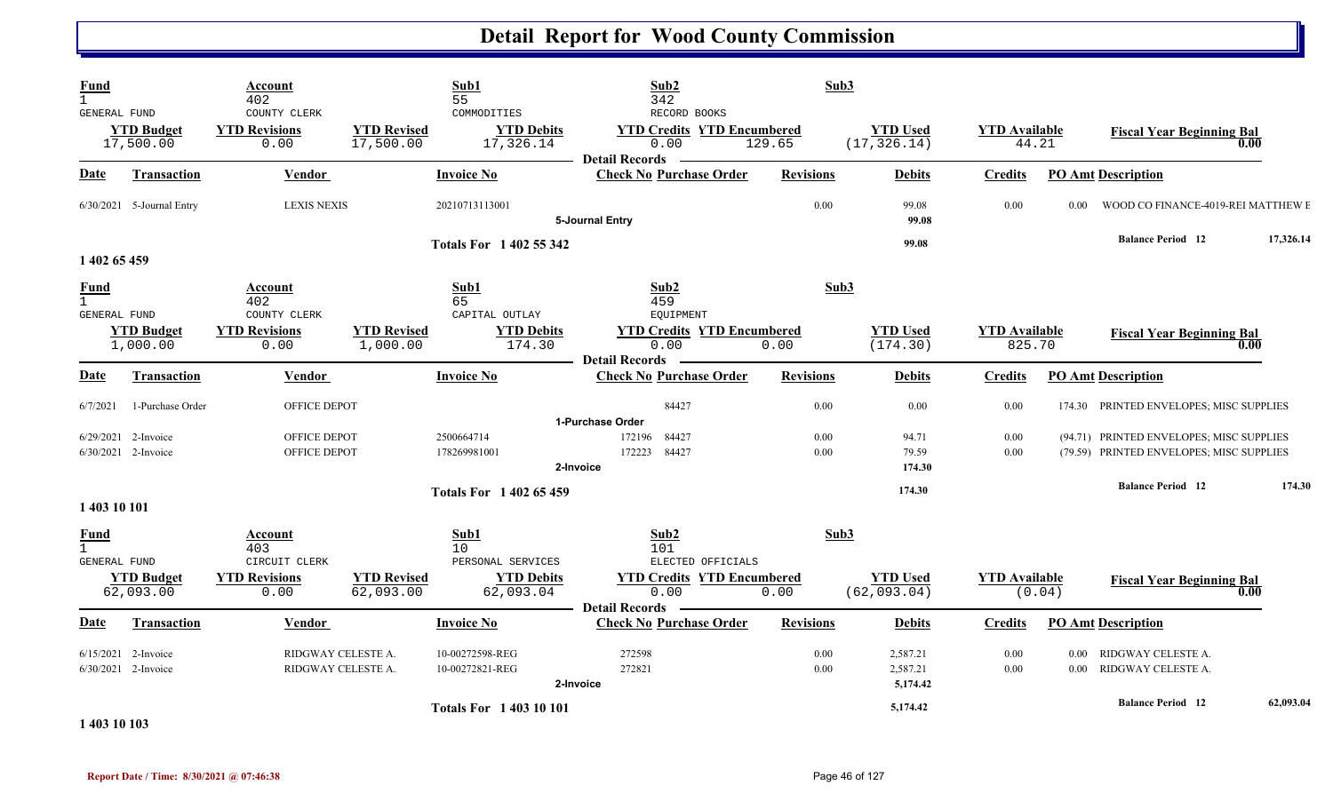| <b>Fund</b><br>$\mathbf{1}$<br><b>GENERAL FUND</b> |                                                | Account<br>402<br>COUNTY CLERK  |                                          | Sub1<br>55<br>COMMODITIES          | Sub2<br>342<br>RECORD BOOKS                                        | Sub3             |                                  |                                |                   |                                                                                      |           |
|----------------------------------------------------|------------------------------------------------|---------------------------------|------------------------------------------|------------------------------------|--------------------------------------------------------------------|------------------|----------------------------------|--------------------------------|-------------------|--------------------------------------------------------------------------------------|-----------|
|                                                    | <b>YTD Budget</b><br>17,500.00                 | <b>YTD Revisions</b><br>0.00    | <b>YTD Revised</b><br>17,500.00          | <b>YTD Debits</b><br>17,326.14     | <b>YTD Credits YTD Encumbered</b><br>0.00<br><b>Detail Records</b> | 129.65           | <b>YTD Used</b><br>(17, 326.14)  | <b>YTD</b> Available<br>44.21  |                   | <b>Fiscal Year Beginning Bal</b>                                                     | 0.00      |
| Date                                               | <b>Transaction</b>                             | <b>Vendor</b>                   |                                          | <b>Invoice No</b>                  | <b>Check No Purchase Order</b>                                     | <b>Revisions</b> | <b>Debits</b>                    | <b>Credits</b>                 |                   | <b>PO Amt Description</b>                                                            |           |
|                                                    | 6/30/2021 5-Journal Entry                      | <b>LEXIS NEXIS</b>              |                                          | 20210713113001                     | 5-Journal Entry                                                    | 0.00             | 99.08<br>99.08                   | 0.00                           | 0.00 <sub>1</sub> | WOOD CO FINANCE-4019-REI MATTHEW E                                                   |           |
| 1 402 65 459                                       |                                                |                                 |                                          | <b>Totals For 1 402 55 342</b>     |                                                                    |                  | 99.08                            |                                |                   | <b>Balance Period</b> 12                                                             | 17,326.14 |
| <b>Fund</b><br>$\mathbf{1}$<br>GENERAL FUND        |                                                | Account<br>402<br>COUNTY CLERK  |                                          | Sub1<br>65<br>CAPITAL OUTLAY       | Sub <sub>2</sub><br>459<br><b>EQUIPMENT</b>                        | Sub3             |                                  |                                |                   |                                                                                      |           |
|                                                    | <b>YTD Budget</b><br>1,000.00                  | <b>YTD Revisions</b><br>0.00    | <b>YTD Revised</b><br>1,000.00           | <b>YTD Debits</b><br>174.30        | <b>YTD Credits YTD Encumbered</b><br>0.00<br><b>Detail Records</b> | 0.00             | <b>YTD Used</b><br>(174.30)      | <b>YTD</b> Available<br>825.70 |                   | <b>Fiscal Year Beginning Bal</b>                                                     |           |
| Date                                               | Transaction                                    | Vendor                          |                                          | <b>Invoice No</b>                  | <b>Check No Purchase Order</b>                                     | <b>Revisions</b> | <b>Debits</b>                    | <b>Credits</b>                 |                   | <b>PO Amt Description</b>                                                            |           |
| 6/7/2021                                           | 1-Purchase Order                               | OFFICE DEPOT                    |                                          |                                    | 84427<br>1-Purchase Order                                          | 0.00             | 0.00                             | 0.00                           |                   | 174.30 PRINTED ENVELOPES; MISC SUPPLIES                                              |           |
|                                                    | $6/29/2021$ 2-Invoice<br>6/30/2021 2-Invoice   | OFFICE DEPOT<br>OFFICE DEPOT    |                                          | 2500664714<br>178269981001         | 84427<br>172196<br>84427<br>172223<br>2-Invoice                    | 0.00<br>0.00     | 94.71<br>79.59<br>174.30         | 0.00<br>0.00                   |                   | (94.71) PRINTED ENVELOPES; MISC SUPPLIES<br>(79.59) PRINTED ENVELOPES; MISC SUPPLIES |           |
| 1 403 10 101                                       |                                                |                                 |                                          | <b>Totals For 140265459</b>        |                                                                    |                  | 174.30                           |                                |                   | <b>Balance Period 12</b>                                                             | 174.30    |
| <b>Fund</b><br>$\mathbf{1}$<br>GENERAL FUND        |                                                | Account<br>403<br>CIRCUIT CLERK |                                          | Sub1<br>10<br>PERSONAL SERVICES    | Sub2<br>101<br>ELECTED OFFICIALS                                   | Sub3             |                                  |                                |                   |                                                                                      |           |
|                                                    | <b>YTD Budget</b><br>62,093.00                 | <b>YTD Revisions</b><br>0.00    | <b>YTD Revised</b><br>62,093.00          | <b>YTD Debits</b><br>62,093.04     | <b>YTD Credits YTD Encumbered</b><br>0.00<br><b>Detail Records</b> | 0.00             | <b>YTD Used</b><br>(62, 093.04)  | <b>YTD</b> Available           | (0.04)            | <b>Fiscal Year Beginning Bal</b>                                                     | 0.00      |
| Date                                               | Transaction                                    | Vendor                          |                                          | <b>Invoice No</b>                  | <b>Check No Purchase Order</b>                                     | <b>Revisions</b> | <b>Debits</b>                    | <b>Credits</b>                 |                   | <b>PO Amt Description</b>                                                            |           |
|                                                    | $6/15/2021$ 2-Invoice<br>$6/30/2021$ 2-Invoice |                                 | RIDGWAY CELESTE A.<br>RIDGWAY CELESTE A. | 10-00272598-REG<br>10-00272821-REG | 272598<br>272821<br>2-Invoice                                      | 0.00<br>0.00     | 2,587.21<br>2,587.21<br>5,174.42 | 0.00<br>0.00                   | 0.00              | RIDGWAY CELESTE A.<br>0.00 RIDGWAY CELESTE A.                                        |           |
| 1 403 10 103                                       |                                                |                                 |                                          | <b>Totals For 1 403 10 101</b>     |                                                                    |                  | 5,174.42                         |                                |                   | <b>Balance Period</b> 12                                                             | 62,093.04 |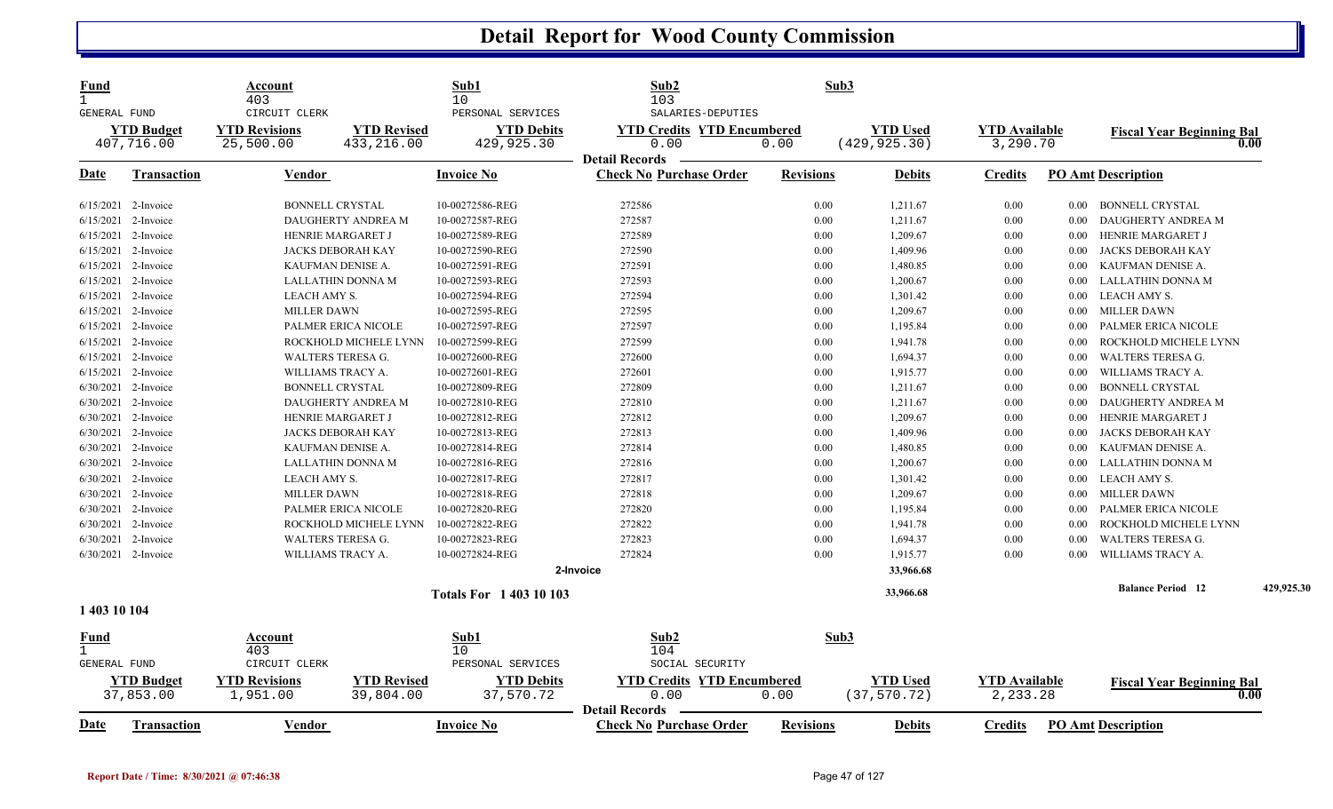| <b>Fund</b><br>$\mathbf{1}$ |                                | Account<br>403                   |                                 | Sub1<br>10                     | Sub2<br>103                                             |                  | Sub3                            |                                  |          |                                  |            |
|-----------------------------|--------------------------------|----------------------------------|---------------------------------|--------------------------------|---------------------------------------------------------|------------------|---------------------------------|----------------------------------|----------|----------------------------------|------------|
| <b>GENERAL FUND</b>         |                                | CIRCUIT CLERK                    |                                 | PERSONAL SERVICES              | SALARIES-DEPUTIES                                       |                  |                                 |                                  |          |                                  |            |
|                             | <b>YTD Budget</b>              | <b>YTD Revisions</b>             | <b>YTD Revised</b>              | <b>YTD Debits</b>              | <b>YTD Credits YTD Encumbered</b>                       |                  | <b>YTD Used</b>                 | <b>YTD Available</b>             |          | <b>Fiscal Year Beginning Bal</b> |            |
|                             | 407,716.00                     | 25,500.00                        | 433, 216.00                     | 429,925.30                     | 0.00                                                    | 0.00             | (429, 925.30)                   | 3,290.70                         |          |                                  | 0.00       |
|                             |                                |                                  |                                 |                                | <b>Detail Records</b>                                   |                  |                                 |                                  |          |                                  |            |
| Date                        | Transaction                    | Vendor                           |                                 | <b>Invoice No</b>              | <b>Check No Purchase Order</b>                          | <b>Revisions</b> | <b>Debits</b>                   | <b>Credits</b>                   |          | <b>PO Amt Description</b>        |            |
|                             | 6/15/2021 2-Invoice            | <b>BONNELL CRYSTAL</b>           |                                 | 10-00272586-REG                | 272586                                                  | 0.00             | 1,211.67                        | 0.00                             | $0.00\,$ | <b>BONNELL CRYSTAL</b>           |            |
|                             | 6/15/2021 2-Invoice            |                                  | DAUGHERTY ANDREA M              | 10-00272587-REG                | 272587                                                  | 0.00             | 1,211.67                        | 0.00                             | 0.00     | DAUGHERTY ANDREA M               |            |
| 6/15/2021                   | 2-Invoice                      | HENRIE MARGARET J                |                                 | 10-00272589-REG                | 272589                                                  | 0.00             | 1,209.67                        | 0.00                             | 0.00     | HENRIE MARGARET J                |            |
|                             | 6/15/2021 2-Invoice            | <b>JACKS DEBORAH KAY</b>         |                                 | 10-00272590-REG                | 272590                                                  | 0.00             | 1,409.96                        | 0.00                             | 0.00     | JACKS DEBORAH KAY                |            |
|                             | 6/15/2021 2-Invoice            | KAUFMAN DENISE A.                |                                 | 10-00272591-REG                | 272591                                                  | 0.00             | 1,480.85                        | 0.00                             | 0.00     | KAUFMAN DENISE A.                |            |
|                             | 6/15/2021 2-Invoice            |                                  | LALLATHIN DONNA M               | 10-00272593-REG                | 272593                                                  | 0.00             | 1,200.67                        | 0.00                             | 0.00     | LALLATHIN DONNA M                |            |
|                             | 6/15/2021 2-Invoice            | LEACH AMY S.                     |                                 | 10-00272594-REG                | 272594                                                  | 0.00             | 1,301.42                        | 0.00                             | $0.00\,$ | LEACH AMY S.                     |            |
|                             | 6/15/2021 2-Invoice            | <b>MILLER DAWN</b>               |                                 | 10-00272595-REG                | 272595                                                  | 0.00             | 1,209.67                        | 0.00                             | $0.00\,$ | <b>MILLER DAWN</b>               |            |
|                             | 6/15/2021 2-Invoice            |                                  | PALMER ERICA NICOLE             | 10-00272597-REG                | 272597                                                  | 0.00             | 1,195.84                        | 0.00                             | 0.00     | PALMER ERICA NICOLE              |            |
|                             | 6/15/2021 2-Invoice            |                                  | ROCKHOLD MICHELE LYNN           | 10-00272599-REG                | 272599                                                  | 0.00             | 1,941.78                        | 0.00                             | 0.00     | ROCKHOLD MICHELE LYNN            |            |
|                             | 6/15/2021 2-Invoice            | <b>WALTERS TERESA G.</b>         |                                 | 10-00272600-REG                | 272600                                                  | 0.00             | 1,694.37                        | 0.00                             | 0.00     | <b>WALTERS TERESA G.</b>         |            |
|                             | 6/15/2021 2-Invoice            | WILLIAMS TRACY A.                |                                 | 10-00272601-REG                | 272601                                                  | 0.00             | 1,915.77                        | 0.00                             | 0.00     | WILLIAMS TRACY A.                |            |
| 6/30/2021                   | 2-Invoice                      | <b>BONNELL CRYSTAL</b>           |                                 | 10-00272809-REG                | 272809                                                  | 0.00             | 1,211.67                        | 0.00                             | 0.00     | <b>BONNELL CRYSTAL</b>           |            |
|                             | 6/30/2021 2-Invoice            |                                  | DAUGHERTY ANDREA M              | 10-00272810-REG                | 272810                                                  | 0.00             | 1,211.67                        | 0.00                             | 0.00     | DAUGHERTY ANDREA M               |            |
|                             | 6/30/2021 2-Invoice            | HENRIE MARGARET J                |                                 | 10-00272812-REG                | 272812                                                  | 0.00             | 1,209.67                        | 0.00                             | 0.00     | HENRIE MARGARET J                |            |
|                             | 6/30/2021 2-Invoice            | JACKS DEBORAH KAY                |                                 | 10-00272813-REG                | 272813                                                  | 0.00             | 1,409.96                        | 0.00                             | 0.00     | JACKS DEBORAH KAY                |            |
|                             | 6/30/2021 2-Invoice            | KAUFMAN DENISE A.                |                                 | 10-00272814-REG                | 272814                                                  | 0.00             | 1,480.85                        | 0.00                             | 0.00     | KAUFMAN DENISE A.                |            |
|                             | 6/30/2021 2-Invoice            |                                  | LALLATHIN DONNA M               | 10-00272816-REG                | 272816                                                  | 0.00             | 1,200.67                        | 0.00                             | $0.00\,$ | LALLATHIN DONNA M                |            |
|                             | 6/30/2021 2-Invoice            | LEACH AMY S.                     |                                 | 10-00272817-REG                | 272817                                                  | 0.00             | 1,301.42                        | 0.00                             | $0.00\,$ | LEACH AMY S.                     |            |
| 6/30/2021                   | 2-Invoice                      | <b>MILLER DAWN</b>               |                                 | 10-00272818-REG                | 272818                                                  | 0.00             | 1,209.67                        | 0.00                             | 0.00     | <b>MILLER DAWN</b>               |            |
|                             | 6/30/2021 2-Invoice            |                                  | <b>PALMER ERICA NICOLE</b>      | 10-00272820-REG                | 272820                                                  | 0.00             | 1,195.84                        | 0.00                             | 0.00     | PALMER ERICA NICOLE              |            |
|                             | 6/30/2021 2-Invoice            |                                  | ROCKHOLD MICHELE LYNN           | 10-00272822-REG                | 272822                                                  | 0.00             | 1,941.78                        | 0.00                             | 0.00     | ROCKHOLD MICHELE LYNN            |            |
|                             | 6/30/2021 2-Invoice            | <b>WALTERS TERESA G.</b>         |                                 | 10-00272823-REG                | 272823                                                  | 0.00             | 1,694.37                        | 0.00                             | 0.00     | <b>WALTERS TERESA G.</b>         |            |
|                             | 6/30/2021 2-Invoice            | WILLIAMS TRACY A.                |                                 | 10-00272824-REG                | 272824                                                  | 0.00             | 1,915.77                        | 0.00                             | 0.00     | WILLIAMS TRACY A.                |            |
|                             |                                |                                  |                                 |                                | 2-Invoice                                               |                  | 33,966.68                       |                                  |          |                                  |            |
|                             |                                |                                  |                                 | <b>Totals For 140310103</b>    |                                                         |                  | 33,966.68                       |                                  |          | <b>Balance Period 12</b>         | 429,925.30 |
| 1 403 10 104                |                                |                                  |                                 |                                |                                                         |                  |                                 |                                  |          |                                  |            |
| Fund                        |                                | Account                          |                                 | Sub1                           | Sub2                                                    |                  | Sub3                            |                                  |          |                                  |            |
| $\mathbf{1}$                |                                | 403                              |                                 | 10                             | 104                                                     |                  |                                 |                                  |          |                                  |            |
| GENERAL FUND                |                                | CIRCUIT CLERK                    |                                 | PERSONAL SERVICES              | SOCIAL SECURITY                                         |                  |                                 |                                  |          |                                  |            |
|                             | <b>YTD Budget</b><br>37,853.00 | <b>YTD Revisions</b><br>1,951.00 | <b>YTD Revised</b><br>39,804.00 | <b>YTD Debits</b><br>37,570.72 | <b>YTD Credits YTD Encumbered</b><br>0.00               | 0.00             | <b>YTD Used</b><br>(37, 570.72) | <b>YTD</b> Available<br>2,233.28 |          | <b>Fiscal Year Beginning Bal</b> | 0.00       |
| <b>Date</b>                 | <b>Transaction</b>             | Vendor                           |                                 | <b>Invoice No</b>              | <b>Detail Records</b><br><b>Check No Purchase Order</b> | <b>Revisions</b> | <b>Debits</b>                   | <b>Credits</b>                   |          | <b>PO Amt Description</b>        |            |
|                             |                                |                                  |                                 |                                |                                                         |                  |                                 |                                  |          |                                  |            |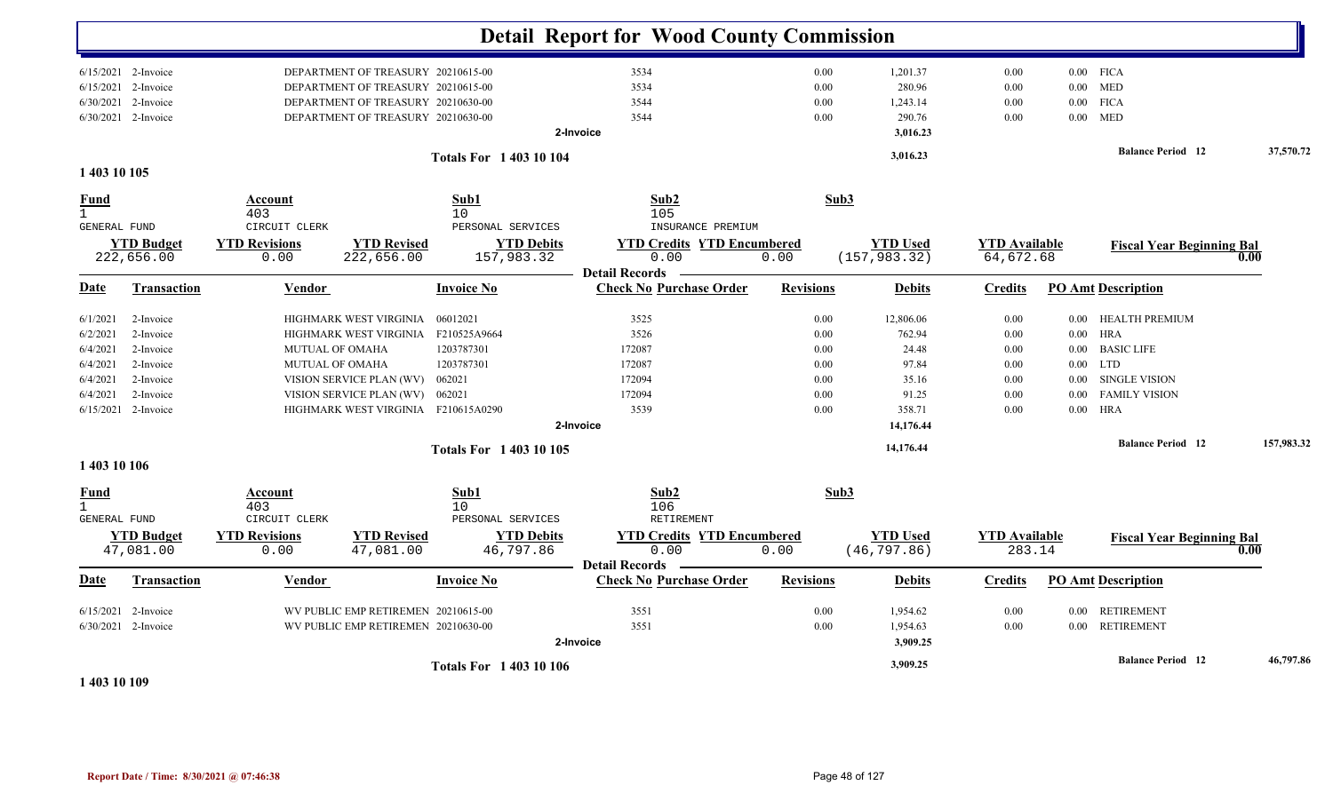|                                             |                                |                                               |                                     |                                                     | <b>Detail Report for Wood County Commission</b>         |                  |                                 |                                |          |                                  |            |
|---------------------------------------------|--------------------------------|-----------------------------------------------|-------------------------------------|-----------------------------------------------------|---------------------------------------------------------|------------------|---------------------------------|--------------------------------|----------|----------------------------------|------------|
|                                             | $6/15/2021$ 2-Invoice          |                                               | DEPARTMENT OF TREASURY 20210615-00  |                                                     | 3534                                                    | $0.00\,$         | 1,201.37                        | 0.00                           |          | $0.00$ FICA                      |            |
|                                             | $6/15/2021$ 2-Invoice          |                                               | DEPARTMENT OF TREASURY 20210615-00  |                                                     | 3534                                                    | 0.00             | 280.96                          | 0.00                           |          | $0.00$ MED                       |            |
|                                             | 6/30/2021 2-Invoice            |                                               | DEPARTMENT OF TREASURY 20210630-00  |                                                     | 3544                                                    | 0.00             | 1,243.14                        | 0.00                           | $0.00\,$ | <b>FICA</b>                      |            |
|                                             | 6/30/2021 2-Invoice            |                                               | DEPARTMENT OF TREASURY 20210630-00  |                                                     | 3544                                                    | 0.00             | 290.76                          | 0.00                           | $0.00\,$ | <b>MED</b>                       |            |
|                                             |                                |                                               |                                     |                                                     | 2-Invoice                                               |                  | 3,016.23                        |                                |          |                                  |            |
|                                             |                                |                                               |                                     | <b>Totals For 140310104</b>                         |                                                         |                  | 3,016.23                        |                                |          | <b>Balance Period 12</b>         | 37,570.72  |
| 1 403 10 105                                |                                |                                               |                                     |                                                     |                                                         |                  |                                 |                                |          |                                  |            |
| Fund<br>$\mathbf{1}$<br><b>GENERAL FUND</b> |                                | Account<br>403<br>CIRCUIT CLERK               |                                     | Sub1<br>10<br>PERSONAL SERVICES                     | Sub2<br>105<br>INSURANCE PREMIUM                        | Sub3             |                                 |                                |          |                                  |            |
|                                             | <b>YTD Budget</b>              | <b>YTD Revisions</b>                          | <b>YTD Revised</b>                  | <b>YTD Debits</b>                                   | <b>YTD Credits YTD Encumbered</b>                       |                  | <b>YTD Used</b>                 | <b>YTD Available</b>           |          | <b>Fiscal Year Beginning Bal</b> |            |
|                                             | 222,656.00                     | 0.00                                          | 222,656.00                          | 157,983.32                                          | 0.00                                                    | 0.00             | (157, 983.32)                   | 64,672.68                      |          |                                  | 0.00       |
|                                             |                                |                                               |                                     |                                                     | <b>Detail Records</b>                                   |                  |                                 |                                |          |                                  |            |
| Date                                        | <b>Transaction</b>             | Vendor                                        |                                     | <b>Invoice No</b>                                   | <b>Check No Purchase Order</b>                          | <b>Revisions</b> | <b>Debits</b>                   | <b>Credits</b>                 |          | <b>PO Amt Description</b>        |            |
| 6/1/2021                                    | 2-Invoice                      |                                               | HIGHMARK WEST VIRGINIA              | 06012021                                            | 3525                                                    | 0.00             | 12,806.06                       | 0.00                           |          | 0.00 HEALTH PREMIUM              |            |
| 6/2/2021                                    | 2-Invoice                      |                                               | HIGHMARK WEST VIRGINIA              | F210525A9664                                        | 3526                                                    | 0.00             | 762.94                          | 0.00                           | $0.00\,$ | HRA                              |            |
| 6/4/2021                                    | 2-Invoice                      | <b>MUTUAL OF OMAHA</b>                        |                                     | 1203787301                                          | 172087                                                  | 0.00             | 24.48                           | 0.00                           | $0.00\,$ | <b>BASIC LIFE</b>                |            |
| 6/4/2021                                    | 2-Invoice                      | <b>MUTUAL OF OMAHA</b>                        |                                     | 1203787301                                          | 172087                                                  | 0.00             | 97.84                           | 0.00                           | $0.00\,$ | <b>LTD</b>                       |            |
| 6/4/2021                                    | 2-Invoice                      |                                               | VISION SERVICE PLAN (WV)            | 062021                                              | 172094                                                  | 0.00             | 35.16                           | $0.00\,$                       | $0.00\,$ | SINGLE VISION                    |            |
| 6/4/2021                                    | 2-Invoice                      |                                               | VISION SERVICE PLAN (WV)            | 062021                                              | 172094                                                  | 0.00             | 91.25                           | 0.00                           | 0.00     | <b>FAMILY VISION</b>             |            |
| 6/15/2021                                   | 2-Invoice                      |                                               | HIGHMARK WEST VIRGINIA F210615A0290 |                                                     | 3539                                                    | 0.00             | 358.71                          | 0.00                           | $0.00\,$ | HRA                              |            |
|                                             |                                |                                               |                                     |                                                     | 2-Invoice                                               |                  | 14,176.44                       |                                |          |                                  |            |
|                                             |                                |                                               |                                     | <b>Totals For 140310105</b>                         |                                                         |                  | 14,176.44                       |                                |          | <b>Balance Period</b> 12         | 157,983.32 |
| 1 403 10 106                                |                                |                                               |                                     |                                                     |                                                         |                  |                                 |                                |          |                                  |            |
| Fund<br>$\mathbf{1}$                        |                                | Account<br>403                                |                                     | Sub1<br>10                                          | Sub2<br>106                                             | Sub3             |                                 |                                |          |                                  |            |
| GENERAL FUND                                | <b>YTD Budget</b><br>47,081.00 | CIRCUIT CLERK<br><b>YTD Revisions</b><br>0.00 | <b>YTD Revised</b><br>47,081.00     | PERSONAL SERVICES<br><b>YTD Debits</b><br>46,797.86 | RETIREMENT<br><b>YTD Credits YTD Encumbered</b><br>0.00 | 0.00             | <b>YTD Used</b><br>(46, 797.86) | <b>YTD Available</b><br>283.14 |          | <b>Fiscal Year Beginning Bal</b> | 0.00       |
| Date                                        | <b>Transaction</b>             | Vendor                                        |                                     | <b>Invoice No</b>                                   | <b>Detail Records</b><br><b>Check No Purchase Order</b> | <b>Revisions</b> | <b>Debits</b>                   | <b>Credits</b>                 |          | <b>PO Amt Description</b>        |            |
|                                             | $6/15/2021$ 2-Invoice          |                                               | WV PUBLIC EMP RETIREMEN 20210615-00 |                                                     | 3551                                                    | 0.00             | 1,954.62                        | 0.00                           |          | 0.00 RETIREMENT                  |            |
|                                             | 6/30/2021 2-Invoice            |                                               | WV PUBLIC EMP RETIREMEN 20210630-00 |                                                     | 3551                                                    | 0.00             | 1,954.63                        | 0.00                           |          | 0.00 RETIREMENT                  |            |
|                                             |                                |                                               |                                     |                                                     | 2-Invoice                                               |                  | 3,909.25                        |                                |          |                                  |            |
|                                             |                                |                                               |                                     |                                                     |                                                         |                  | 3,909.25                        |                                |          | <b>Balance Period 12</b>         | 46,797.86  |
|                                             |                                |                                               |                                     | <b>Totals For 1 403 10 106</b>                      |                                                         |                  |                                 |                                |          |                                  |            |

**1 403 10 109**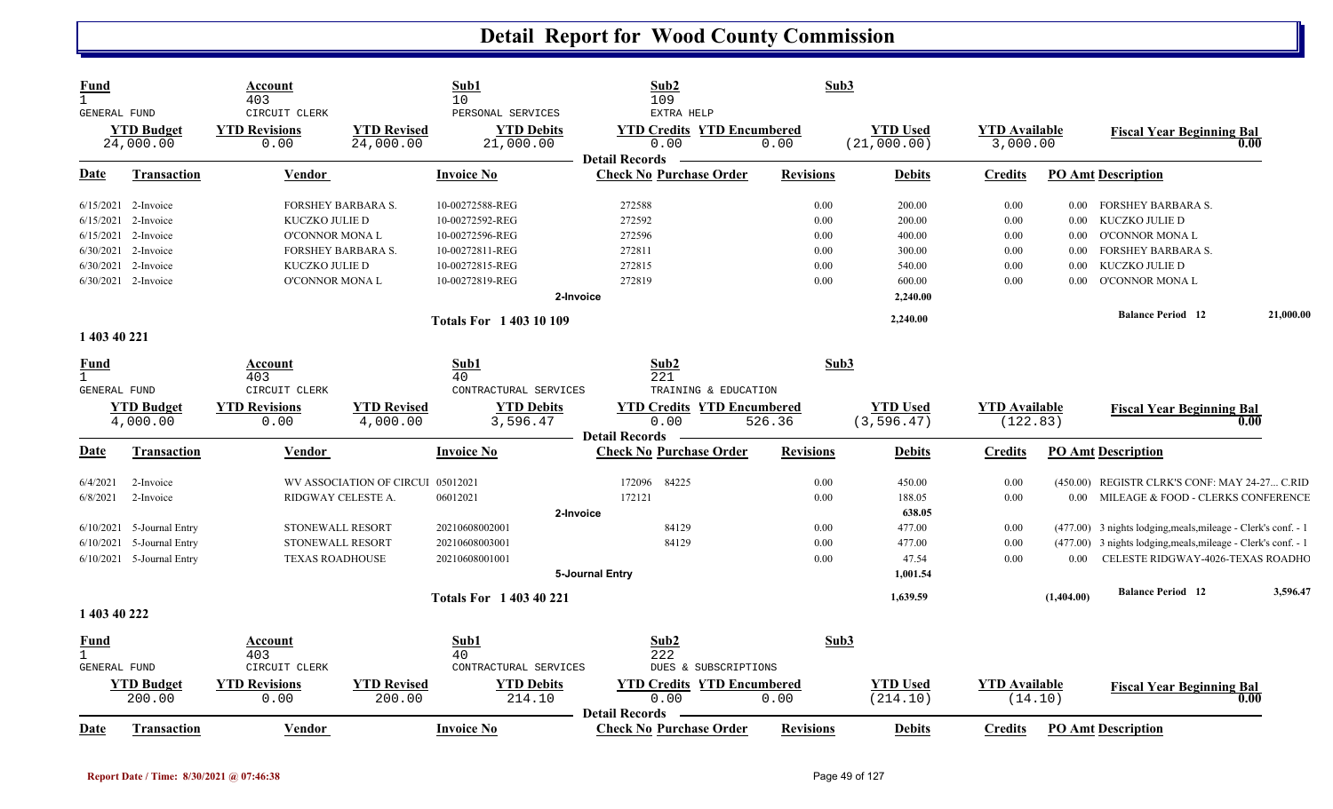| <b>Fund</b><br>$\mathbf{1}$<br>GENERAL FUND |                                | Account<br>403<br>CIRCUIT CLERK |                                   | Sub1<br>10<br>PERSONAL SERVICES | Sub2<br>109<br>EXTRA HELP                               | Sub3             |                                |                                  |            |                                                               |           |
|---------------------------------------------|--------------------------------|---------------------------------|-----------------------------------|---------------------------------|---------------------------------------------------------|------------------|--------------------------------|----------------------------------|------------|---------------------------------------------------------------|-----------|
|                                             | <b>YTD Budget</b><br>24,000.00 | <b>YTD Revisions</b><br>0.00    | <b>YTD Revised</b><br>24,000.00   | <b>YTD Debits</b><br>21,000.00  | <b>YTD Credits YTD Encumbered</b><br>0.00               | 0.00             | <b>YTD Used</b><br>(21,000.00) | <b>YTD Available</b><br>3,000.00 |            | <b>Fiscal Year Beginning Bal</b>                              | 0.00      |
| Date                                        | <b>Transaction</b>             | <b>Vendor</b>                   |                                   | <b>Invoice No</b>               | <b>Detail Records</b><br><b>Check No Purchase Order</b> | <b>Revisions</b> | <b>Debits</b>                  | <u>Credits</u>                   |            | <b>PO Amt Description</b>                                     |           |
|                                             | 6/15/2021 2-Invoice            |                                 | <b>FORSHEY BARBARA S.</b>         | 10-00272588-REG                 | 272588                                                  | 0.00             | 200.00                         | 0.00                             | 0.00       | FORSHEY BARBARA S.                                            |           |
|                                             | 6/15/2021 2-Invoice            | KUCZKO JULIE D                  |                                   | 10-00272592-REG                 | 272592                                                  | 0.00             | 200.00                         | 0.00                             | $0.00\,$   | KUCZKO JULIE D                                                |           |
|                                             | 6/15/2021 2-Invoice            | O'CONNOR MONA L                 |                                   | 10-00272596-REG                 | 272596                                                  | 0.00             | 400.00                         | 0.00                             | $0.00\,$   | O'CONNOR MONA L                                               |           |
|                                             | 6/30/2021 2-Invoice            |                                 | <b>FORSHEY BARBARA S.</b>         | 10-00272811-REG                 | 272811                                                  | 0.00             | 300.00                         | 0.00                             | 0.00       | <b>FORSHEY BARBARA S.</b>                                     |           |
|                                             | 6/30/2021 2-Invoice            | KUCZKO JULIE D                  |                                   | 10-00272815-REG                 | 272815                                                  | 0.00             | 540.00                         | 0.00                             | $0.00\,$   | KUCZKO JULIE D                                                |           |
|                                             | 6/30/2021 2-Invoice            | O'CONNOR MONA L                 |                                   | 10-00272819-REG                 | 272819                                                  | 0.00             | 600.00                         | 0.00                             | 0.00       | O'CONNOR MONA L                                               |           |
|                                             |                                |                                 |                                   | 2-Invoice                       |                                                         |                  | 2,240.00                       |                                  |            |                                                               |           |
|                                             |                                |                                 |                                   | <b>Totals For 1 403 10 109</b>  |                                                         |                  | 2,240.00                       |                                  |            | <b>Balance Period</b> 12                                      | 21,000.00 |
| 1 403 40 221                                |                                |                                 |                                   |                                 |                                                         |                  |                                |                                  |            |                                                               |           |
| <u>Fund</u><br>$\mathbf{1}$                 |                                | Account<br>403                  |                                   | Sub1<br>40                      | Sub2                                                    | Sub3             |                                |                                  |            |                                                               |           |
| GENERAL FUND                                |                                | CIRCUIT CLERK                   |                                   | CONTRACTURAL SERVICES           | 221<br>TRAINING & EDUCATION                             |                  |                                |                                  |            |                                                               |           |
|                                             | <b>YTD Budget</b>              | <b>YTD Revisions</b>            | <b>YTD Revised</b>                | <b>YTD Debits</b>               | <b>YTD Credits YTD Encumbered</b>                       |                  | <b>YTD Used</b>                | <b>YTD Available</b>             |            |                                                               |           |
|                                             | 4,000.00                       | 0.00                            | 4,000.00                          | 3,596.47                        | 0.00                                                    | 526.36           | (3, 596.47)                    | (122.83)                         |            | <b>Fiscal Year Beginning Bal</b>                              | 0.00      |
|                                             |                                |                                 |                                   |                                 | <b>Detail Records</b>                                   |                  |                                |                                  |            |                                                               |           |
| <u>Date</u>                                 | <b>Transaction</b>             | Vendor                          |                                   | <b>Invoice No</b>               | <b>Check No Purchase Order</b>                          | <b>Revisions</b> | <b>Debits</b>                  | <b>Credits</b>                   |            | <b>PO Amt Description</b>                                     |           |
| 6/4/2021                                    | 2-Invoice                      |                                 | WV ASSOCIATION OF CIRCUI 05012021 |                                 | 172096<br>84225                                         | 0.00             | 450.00                         | 0.00                             |            | (450.00) REGISTR CLRK'S CONF: MAY 24-27 C.RID                 |           |
| 6/8/2021                                    | 2-Invoice                      |                                 | RIDGWAY CELESTE A.                | 06012021                        | 172121                                                  | 0.00             | 188.05                         | 0.00                             |            | 0.00 MILEAGE & FOOD - CLERKS CONFERENCE                       |           |
|                                             |                                |                                 |                                   | 2-Invoice                       |                                                         |                  | 638.05                         |                                  |            |                                                               |           |
|                                             | $6/10/2021$ 5-Journal Entry    | STONEWALL RESORT                |                                   | 20210608002001                  | 84129                                                   | 0.00             | 477.00                         | 0.00                             |            | (477.00) 3 nights lodging, meals, mileage - Clerk's conf. - 1 |           |
| 6/10/2021                                   | 5-Journal Entry                | STONEWALL RESORT                |                                   | 20210608003001                  | 84129                                                   | 0.00             | 477.00                         | 0.00                             |            | (477.00) 3 nights lodging, meals, mileage - Clerk's conf. - 1 |           |
|                                             | 6/10/2021 5-Journal Entry      | <b>TEXAS ROADHOUSE</b>          |                                   | 20210608001001                  |                                                         | 0.00             | 47.54                          | 0.00                             | 0.00       | CELESTE RIDGWAY-4026-TEXAS ROADHC                             |           |
|                                             |                                |                                 |                                   |                                 | 5-Journal Entry                                         |                  | 1,001.54                       |                                  |            |                                                               |           |
|                                             |                                |                                 |                                   | <b>Totals For 140340221</b>     |                                                         |                  | 1,639.59                       |                                  | (1,404.00) | <b>Balance Period</b> 12                                      | 3,596.47  |
| 1 403 40 222                                |                                |                                 |                                   |                                 |                                                         |                  |                                |                                  |            |                                                               |           |
| <b>Fund</b><br>$\mathbf{1}$                 |                                | Account<br>403                  |                                   | Sub1<br>40                      | Sub2<br>222                                             | Sub3             |                                |                                  |            |                                                               |           |
| <b>GENERAL FUND</b>                         |                                | CIRCUIT CLERK                   |                                   | CONTRACTURAL SERVICES           | DUES & SUBSCRIPTIONS                                    |                  |                                |                                  |            |                                                               |           |
|                                             | <b>YTD</b> Budget              | <b>YTD Revisions</b>            | <b>YTD Revised</b>                | <b>YTD Debits</b>               | <b>YTD Credits YTD Encumbered</b>                       |                  | <b>YTD Used</b>                | <b>YTD Available</b>             |            | <b>Fiscal Year Beginning Bal</b>                              |           |
|                                             | 200.00                         | 0.00                            | 200.00                            | 214.10                          | 0.00<br><b>Detail Records</b>                           | 0.00             | (214.10)                       |                                  | (14.10)    |                                                               | 0.00      |
| Date                                        | <b>Transaction</b>             | Vendor                          |                                   | <b>Invoice No</b>               | <b>Check No Purchase Order</b>                          | <b>Revisions</b> | <b>Debits</b>                  | <b>Credits</b>                   |            | <b>PO Amt Description</b>                                     |           |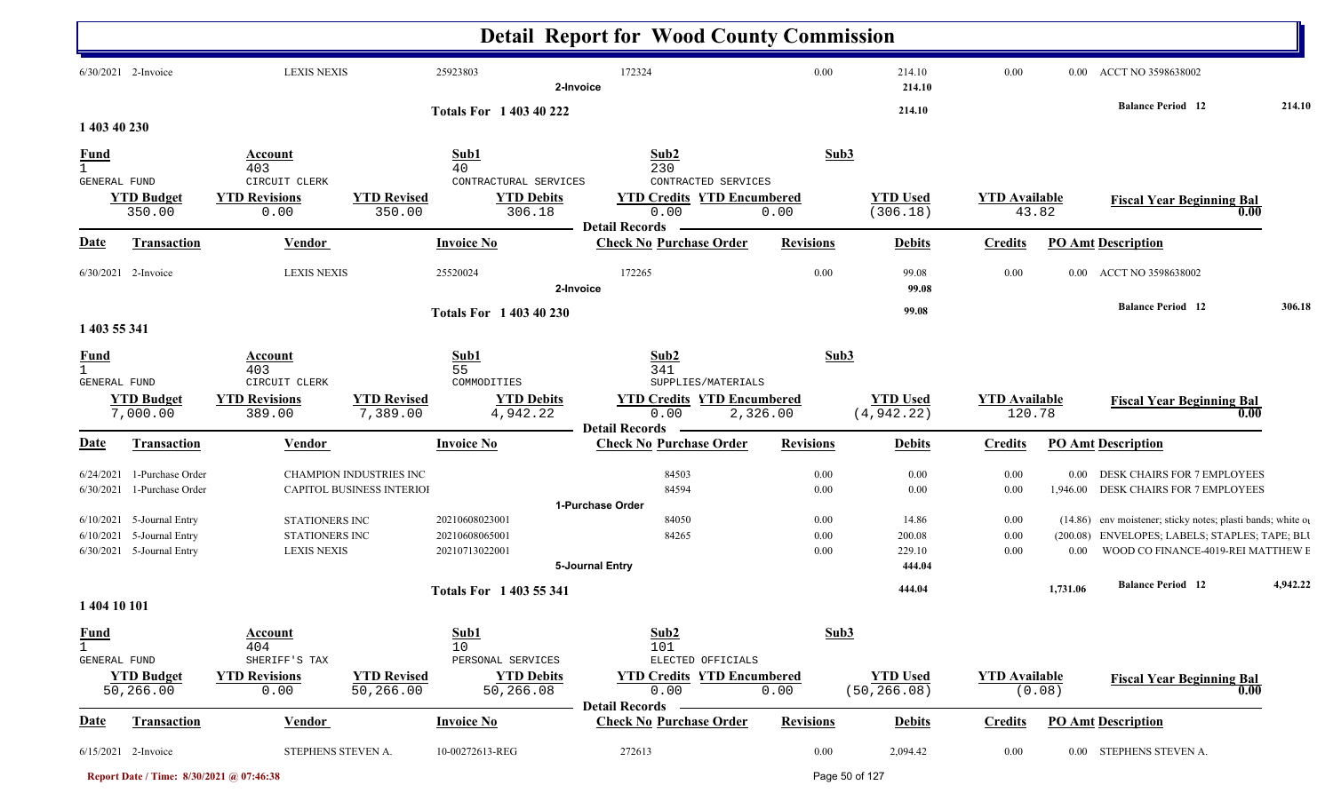|                                             |                                                          |                                               |                                                             |                                                      | <b>Detail Report for Wood County Commission</b>                                           |                  |                                 |                                |                  |                                                                                      |          |
|---------------------------------------------|----------------------------------------------------------|-----------------------------------------------|-------------------------------------------------------------|------------------------------------------------------|-------------------------------------------------------------------------------------------|------------------|---------------------------------|--------------------------------|------------------|--------------------------------------------------------------------------------------|----------|
|                                             | 6/30/2021 2-Invoice                                      | <b>LEXIS NEXIS</b>                            |                                                             | 25923803                                             | 172324<br>2-Invoice                                                                       | 0.00             | 214.10<br>214.10                | 0.00                           |                  | 0.00 ACCT NO 3598638002                                                              |          |
| 1 403 40 230                                |                                                          |                                               |                                                             | <b>Totals For 1 403 40 222</b>                       |                                                                                           |                  | 214.10                          |                                |                  | <b>Balance Period 12</b>                                                             | 214.10   |
| $\frac{Fund}{1}$                            |                                                          | Account<br>403                                |                                                             | Sub1<br>40                                           | Sub2<br>230                                                                               | Sub3             |                                 |                                |                  |                                                                                      |          |
| GENERAL FUND                                | <b>YTD Budget</b><br>350.00                              | CIRCUIT CLERK<br><b>YTD Revisions</b><br>0.00 | <b>YTD Revised</b><br>350.00                                | CONTRACTURAL SERVICES<br><b>YTD Debits</b><br>306.18 | CONTRACTED SERVICES<br><b>YTD Credits YTD Encumbered</b><br>0.00<br><b>Detail Records</b> | 0.00             | <b>YTD Used</b><br>(306.18)     | <b>YTD</b> Available<br>43.82  |                  | <b>Fiscal Year Beginning Bal</b><br>0.00                                             |          |
| <u>Date</u>                                 | <b>Transaction</b>                                       | Vendor                                        |                                                             | <b>Invoice No</b>                                    | <b>Check No Purchase Order</b>                                                            | <b>Revisions</b> | <b>Debits</b>                   | <b>Credits</b>                 |                  | <b>PO Amt Description</b>                                                            |          |
|                                             | 6/30/2021 2-Invoice                                      | <b>LEXIS NEXIS</b>                            |                                                             | 25520024                                             | 172265<br>2-Invoice                                                                       | 0.00             | 99.08<br>99.08                  | 0.00                           | $0.00\,$         | ACCT NO 3598638002                                                                   |          |
| 1 403 55 341                                |                                                          |                                               |                                                             | Totals For 1 403 40 230                              |                                                                                           |                  | 99.08                           |                                |                  | <b>Balance Period</b> 12                                                             | 306.18   |
| <u>Fund</u><br>$\mathbf{1}$<br>GENERAL FUND |                                                          | <b>Account</b><br>403<br>CIRCUIT CLERK        |                                                             | Sub1<br>55<br>COMMODITIES                            | Sub2<br>341<br>SUPPLIES/MATERIALS                                                         | Sub3             |                                 |                                |                  |                                                                                      |          |
|                                             | <b>YTD Budget</b><br>7,000.00                            | <b>YTD Revisions</b><br>389.00                | <b>YTD Revised</b><br>7,389.00                              | <b>YTD Debits</b><br>4,942.22                        | <b>YTD Credits YTD Encumbered</b><br>0.00<br>2,326.00<br><b>Detail Records</b>            |                  | <b>YTD Used</b><br>(4, 942.22)  | <b>YTD Available</b><br>120.78 |                  | <b>Fiscal Year Beginning Bal</b><br>$\overline{\phantom{0}0.00}$                     |          |
| <u>Date</u>                                 | <b>Transaction</b>                                       | <b>Vendor</b>                                 |                                                             | <b>Invoice No</b>                                    | <b>Check No Purchase Order</b>                                                            | <b>Revisions</b> | <b>Debits</b>                   | <b>Credits</b>                 |                  | <b>PO Amt Description</b>                                                            |          |
| 6/24/2021<br>6/30/2021                      | 1-Purchase Order<br>1-Purchase Order                     |                                               | <b>CHAMPION INDUSTRIES INC</b><br>CAPITOL BUSINESS INTERIOI |                                                      | 84503<br>84594                                                                            | 0.00<br>0.00     | 0.00<br>0.00                    | 0.00<br>0.00                   | 0.00<br>1,946.00 | DESK CHAIRS FOR 7 EMPLOYEES<br>DESK CHAIRS FOR 7 EMPLOYEES                           |          |
|                                             | 6/10/2021 5-Journal Entry                                | STATIONERS INC                                |                                                             | 20210608023001                                       | 1-Purchase Order<br>84050                                                                 | 0.00             | 14.86                           | 0.00                           |                  | (14.86) env moistener; sticky notes; plasti bands; white or                          |          |
|                                             | $6/10/2021$ 5-Journal Entry<br>6/30/2021 5-Journal Entry | STATIONERS INC<br><b>LEXIS NEXIS</b>          |                                                             | 20210608065001<br>20210713022001                     | 84265<br>5-Journal Entry                                                                  | 0.00<br>0.00     | 200.08<br>229.10<br>444.04      | 0.00<br>0.00                   | $0.00\,$         | (200.08) ENVELOPES; LABELS; STAPLES; TAPE; BLU<br>WOOD CO FINANCE-4019-REI MATTHEW E |          |
|                                             |                                                          |                                               |                                                             | Totals For 1 403 55 341                              |                                                                                           |                  | 444.04                          |                                | 1,731.06         | <b>Balance Period 12</b>                                                             | 4,942.22 |
| 1 404 10 101                                |                                                          |                                               |                                                             |                                                      |                                                                                           |                  |                                 |                                |                  |                                                                                      |          |
| <b>Fund</b><br>$\mathbf{1}$<br>GENERAL FUND |                                                          | Account<br>404<br>SHERIFF'S TAX               |                                                             | Sub1<br>10<br>PERSONAL SERVICES                      | Sub2<br>101<br>ELECTED OFFICIALS                                                          | Sub3             |                                 |                                |                  |                                                                                      |          |
|                                             | <b>YTD Budget</b><br>50,266.00                           | <b>YTD Revisions</b><br>0.00                  | <b>YTD Revised</b><br>50,266.00                             | <b>YTD Debits</b><br>50,266.08                       | <b>YTD Credits YTD Encumbered</b><br>0.00                                                 | 0.00             | <b>YTD Used</b><br>(50, 266.08) | <b>YTD</b> Available           | (0.08)           | <b>Fiscal Year Beginning Bal</b><br>0.00                                             |          |
| <u>Date</u>                                 | <b>Transaction</b>                                       | Vendor                                        |                                                             | <b>Invoice No</b>                                    | <b>Detail Records</b><br><b>Check No Purchase Order</b>                                   | <b>Revisions</b> | <b>Debits</b>                   | <b>Credits</b>                 |                  | <b>PO Amt Description</b>                                                            |          |
|                                             | 6/15/2021 2-Invoice                                      | STEPHENS STEVEN A.                            |                                                             | 10-00272613-REG                                      | 272613                                                                                    | 0.00             | 2,094.42                        | $0.00\,$                       |                  | 0.00 STEPHENS STEVEN A.                                                              |          |

**Report Date / Time: 8/30/2021 @ 07:46:38** Page 50 of 127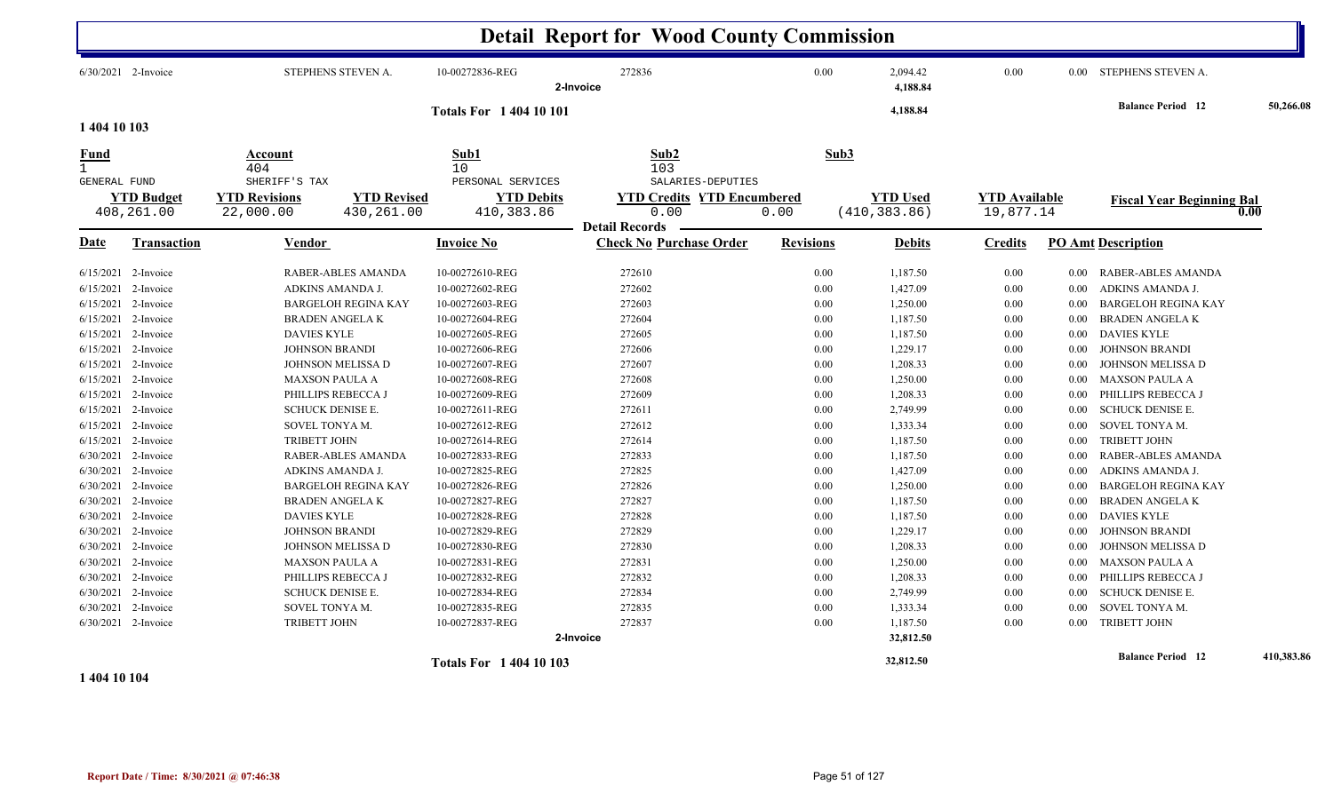|                                                                                                                                                                                                |                                                                                                                                                                       |                                                                                                                                                                                                                                                                                                                                 |                                                                                                                                                                                                                                                                        | <b>Detail Report for Wood County Commission</b>                                                                                          |                                                                                                              |                                                                                                                                                                      |                                                                                                              |                                                                                                                              |                                                                                                                                                                                                                                                                                                                               |            |
|------------------------------------------------------------------------------------------------------------------------------------------------------------------------------------------------|-----------------------------------------------------------------------------------------------------------------------------------------------------------------------|---------------------------------------------------------------------------------------------------------------------------------------------------------------------------------------------------------------------------------------------------------------------------------------------------------------------------------|------------------------------------------------------------------------------------------------------------------------------------------------------------------------------------------------------------------------------------------------------------------------|------------------------------------------------------------------------------------------------------------------------------------------|--------------------------------------------------------------------------------------------------------------|----------------------------------------------------------------------------------------------------------------------------------------------------------------------|--------------------------------------------------------------------------------------------------------------|------------------------------------------------------------------------------------------------------------------------------|-------------------------------------------------------------------------------------------------------------------------------------------------------------------------------------------------------------------------------------------------------------------------------------------------------------------------------|------------|
| 6/30/2021 2-Invoice                                                                                                                                                                            |                                                                                                                                                                       | STEPHENS STEVEN A.                                                                                                                                                                                                                                                                                                              | 10-00272836-REG                                                                                                                                                                                                                                                        | 272836<br>2-Invoice                                                                                                                      | 0.00                                                                                                         | 2,094.42<br>4,188.84                                                                                                                                                 | 0.00                                                                                                         |                                                                                                                              | 0.00 STEPHENS STEVEN A.                                                                                                                                                                                                                                                                                                       |            |
| 1 404 10 103                                                                                                                                                                                   |                                                                                                                                                                       |                                                                                                                                                                                                                                                                                                                                 | <b>Totals For 140410101</b>                                                                                                                                                                                                                                            |                                                                                                                                          |                                                                                                              | 4,188.84                                                                                                                                                             |                                                                                                              |                                                                                                                              | <b>Balance Period 12</b>                                                                                                                                                                                                                                                                                                      | 50,266.08  |
| Fund<br><b>GENERAL FUND</b>                                                                                                                                                                    |                                                                                                                                                                       | Account<br>404<br>SHERIFF'S TAX                                                                                                                                                                                                                                                                                                 | Sub1<br>10<br>PERSONAL SERVICES                                                                                                                                                                                                                                        | Sub2<br>103<br>SALARIES-DEPUTIES                                                                                                         |                                                                                                              | Sub3                                                                                                                                                                 |                                                                                                              |                                                                                                                              |                                                                                                                                                                                                                                                                                                                               |            |
| 408,261.00                                                                                                                                                                                     | <b>YTD Budget</b>                                                                                                                                                     | <b>YTD Revised</b><br><b>YTD Revisions</b><br>22,000.00<br>430,261.00                                                                                                                                                                                                                                                           | <b>YTD Debits</b><br>410,383.86                                                                                                                                                                                                                                        | <b>YTD Credits YTD Encumbered</b><br>0.00<br><b>Detail Records</b>                                                                       | 0.00                                                                                                         | <b>YTD Used</b><br>(410, 383.86)                                                                                                                                     | <b>YTD</b> Available<br>19,877.14                                                                            |                                                                                                                              | <b>Fiscal Year Beginning Bal</b><br>0.00                                                                                                                                                                                                                                                                                      |            |
| Date                                                                                                                                                                                           | <b>Transaction</b>                                                                                                                                                    | Vendor                                                                                                                                                                                                                                                                                                                          | <b>Invoice No</b>                                                                                                                                                                                                                                                      | <b>Check No Purchase Order</b>                                                                                                           | <b>Revisions</b>                                                                                             | <b>Debits</b>                                                                                                                                                        | <b>Credits</b>                                                                                               |                                                                                                                              | <b>PO Amt Description</b>                                                                                                                                                                                                                                                                                                     |            |
| $6/15/2021$ 2-Invoice<br>6/15/2021<br>6/15/2021<br>6/15/2021<br>6/15/2021<br>6/15/2021<br>6/15/2021<br>6/15/2021<br>6/15/2021<br>6/15/2021<br>6/15/2021<br>6/15/2021<br>6/30/2021<br>6/30/2021 | 2-Invoice<br>2-Invoice<br>2-Invoice<br>2-Invoice<br>2-Invoice<br>2-Invoice<br>2-Invoice<br>2-Invoice<br>2-Invoice<br>2-Invoice<br>2-Invoice<br>2-Invoice<br>2-Invoice | RABER-ABLES AMANDA<br>ADKINS AMANDA J.<br><b>BARGELOH REGINA KAY</b><br><b>BRADEN ANGELA K</b><br><b>DAVIES KYLE</b><br><b>JOHNSON BRANDI</b><br>JOHNSON MELISSA D<br><b>MAXSON PAULA A</b><br>PHILLIPS REBECCA J<br><b>SCHUCK DENISE E.</b><br>SOVEL TONYA M.<br><b>TRIBETT JOHN</b><br>RABER-ABLES AMANDA<br>ADKINS AMANDA J. | 10-00272610-REG<br>10-00272602-REG<br>10-00272603-REG<br>10-00272604-REG<br>10-00272605-REG<br>10-00272606-REG<br>10-00272607-REG<br>10-00272608-REG<br>10-00272609-REG<br>10-00272611-REG<br>10-00272612-REG<br>10-00272614-REG<br>10-00272833-REG<br>10-00272825-REG | 272610<br>272602<br>272603<br>272604<br>272605<br>272606<br>272607<br>272608<br>272609<br>272611<br>272612<br>272614<br>272833<br>272825 | 0.00<br>0.00<br>0.00<br>0.00<br>0.00<br>0.00<br>0.00<br>0.00<br>0.00<br>0.00<br>0.00<br>0.00<br>0.00<br>0.00 | 1,187.50<br>1,427.09<br>1,250.00<br>1,187.50<br>1,187.50<br>1,229.17<br>1,208.33<br>1,250.00<br>1,208.33<br>2,749.99<br>1,333.34<br>1,187.50<br>1,187.50<br>1,427.09 | 0.00<br>0.00<br>0.00<br>0.00<br>0.00<br>0.00<br>0.00<br>0.00<br>0.00<br>0.00<br>0.00<br>0.00<br>0.00<br>0.00 | $0.00\,$<br>0.00<br>0.00<br>0.00<br>$0.00\,$<br>$0.00\,$<br>0.00<br>0.00<br>0.00<br>$0.00\,$<br>0.00<br>0.00<br>0.00<br>0.00 | RABER-ABLES AMANDA<br>ADKINS AMANDA J.<br><b>BARGELOH REGINA KAY</b><br><b>BRADEN ANGELAK</b><br><b>DAVIES KYLE</b><br><b>JOHNSON BRANDI</b><br>JOHNSON MELISSA D<br><b>MAXSON PAULA A</b><br>PHILLIPS REBECCA J<br><b>SCHUCK DENISE E.</b><br>SOVEL TONYA M.<br><b>TRIBETT JOHN</b><br>RABER-ABLES AMANDA<br>ADKINS AMANDA J |            |
| 6/30/2021<br>6/30/2021<br>6/30/2021<br>6/30/2021<br>6/30/2021<br>6/30/2021 2-Invoice<br>6/30/2021<br>6/30/2021<br>6/30/2021<br>$6/30/2021$ 2-Invoice                                           | 2-Invoice<br>2-Invoice<br>2-Invoice<br>2-Invoice<br>2-Invoice<br>2-Invoice<br>2-Invoice<br>2-Invoice                                                                  | <b>BARGELOH REGINA KAY</b><br><b>BRADEN ANGELAK</b><br><b>DAVIES KYLE</b><br><b>JOHNSON BRANDI</b><br>JOHNSON MELISSA D<br><b>MAXSON PAULA A</b><br>PHILLIPS REBECCA J<br><b>SCHUCK DENISE E.</b><br>SOVEL TONYA M.<br>TRIBETT JOHN                                                                                             | 10-00272826-REG<br>10-00272827-REG<br>10-00272828-REG<br>10-00272829-REG<br>10-00272830-REG<br>10-00272831-REG<br>10-00272832-REG<br>10-00272834-REG<br>10-00272835-REG<br>10-00272837-REG                                                                             | 272826<br>272827<br>272828<br>272829<br>272830<br>272831<br>272832<br>272834<br>272835<br>272837<br>2-Invoice                            | 0.00<br>0.00<br>0.00<br>0.00<br>0.00<br>0.00<br>0.00<br>0.00<br>0.00<br>0.00                                 | 1,250.00<br>1,187.50<br>1,187.50<br>1,229.17<br>1,208.33<br>1,250.00<br>1,208.33<br>2,749.99<br>1,333.34<br>1,187.50<br>32,812.50                                    | 0.00<br>0.00<br>0.00<br>0.00<br>0.00<br>0.00<br>0.00<br>0.00<br>0.00<br>0.00                                 | 0.00<br>0.00<br>$0.00\,$<br>$0.00\,$<br>0.00<br>$0.00\,$<br>0.00<br>0.00<br>0.00<br>$0.00\,$                                 | <b>BARGELOH REGINA KAY</b><br><b>BRADEN ANGELAK</b><br><b>DAVIES KYLE</b><br><b>JOHNSON BRANDI</b><br>JOHNSON MELISSA D<br>MAXSON PAULA A<br>PHILLIPS REBECCA J<br><b>SCHUCK DENISE E.</b><br>SOVEL TONYA M.<br>TRIBETT JOHN                                                                                                  |            |
|                                                                                                                                                                                                |                                                                                                                                                                       |                                                                                                                                                                                                                                                                                                                                 | <b>Totals For 1 404 10 103</b>                                                                                                                                                                                                                                         |                                                                                                                                          |                                                                                                              | 32,812.50                                                                                                                                                            |                                                                                                              |                                                                                                                              | <b>Balance Period</b> 12                                                                                                                                                                                                                                                                                                      | 410.383.86 |

**1 404 10 104**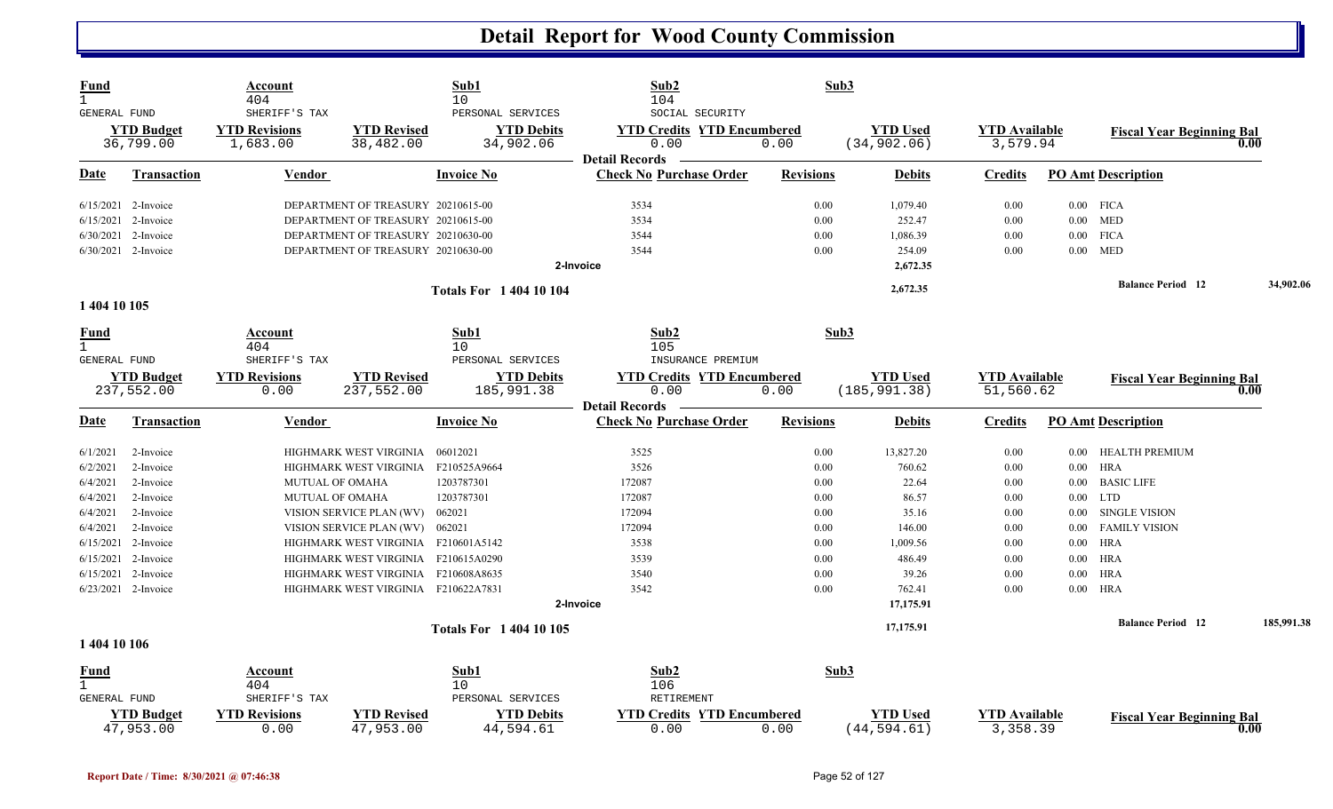| <b>Fund</b><br>$\mathbf{1}$ |                                | Account<br>404                                    |                                     | Sub1<br>10                                          | Sub2<br>104                                                                           | Sub3             |                                 |                                  |          |                                  |      |            |
|-----------------------------|--------------------------------|---------------------------------------------------|-------------------------------------|-----------------------------------------------------|---------------------------------------------------------------------------------------|------------------|---------------------------------|----------------------------------|----------|----------------------------------|------|------------|
| <b>GENERAL FUND</b>         | <b>YTD Budget</b><br>36,799.00 | SHERIFF'S TAX<br><b>YTD Revisions</b><br>1,683.00 | <b>YTD Revised</b><br>38,482.00     | PERSONAL SERVICES<br><b>YTD Debits</b><br>34,902.06 | SOCIAL SECURITY<br><b>YTD Credits YTD Encumbered</b><br>0.00<br><b>Detail Records</b> | 0.00             | <b>YTD</b> Used<br>(34, 902.06) | <b>YTD Available</b><br>3,579.94 |          | <b>Fiscal Year Beginning Bal</b> | 0.00 |            |
| Date                        | Transaction                    | Vendor                                            |                                     | <b>Invoice No</b>                                   | <b>Check No Purchase Order</b>                                                        | <b>Revisions</b> | <b>Debits</b>                   | Credits                          |          | <b>PO Amt Description</b>        |      |            |
|                             | $6/15/2021$ 2-Invoice          |                                                   | DEPARTMENT OF TREASURY 20210615-00  |                                                     | 3534                                                                                  | 0.00             | 1,079.40                        | 0.00                             |          | $0.00$ FICA                      |      |            |
| 6/15/2021                   | 2-Invoice                      |                                                   | DEPARTMENT OF TREASURY 20210615-00  |                                                     | 3534                                                                                  | 0.00             | 252.47                          | 0.00                             | $0.00\,$ | MED                              |      |            |
|                             | 6/30/2021 2-Invoice            |                                                   | DEPARTMENT OF TREASURY 20210630-00  |                                                     | 3544                                                                                  | 0.00             | 1,086.39                        | 0.00                             | $0.00\,$ | <b>FICA</b>                      |      |            |
|                             | 6/30/2021 2-Invoice            |                                                   | DEPARTMENT OF TREASURY 20210630-00  |                                                     | 3544                                                                                  | 0.00             | 254.09                          | 0.00                             | $0.00\,$ | <b>MED</b>                       |      |            |
|                             |                                |                                                   |                                     |                                                     | 2-Invoice                                                                             |                  | 2,672.35                        |                                  |          |                                  |      |            |
|                             |                                |                                                   |                                     | <b>Totals For 140410104</b>                         |                                                                                       |                  | 2,672.35                        |                                  |          | <b>Balance Period 12</b>         |      | 34,902.06  |
| 1 404 10 105                |                                |                                                   |                                     |                                                     |                                                                                       |                  |                                 |                                  |          |                                  |      |            |
| <b>Fund</b><br>$\mathbf{1}$ |                                | Account<br>404                                    |                                     | Sub1<br>10                                          | Sub2<br>105                                                                           | Sub3             |                                 |                                  |          |                                  |      |            |
| GENERAL FUND                |                                | SHERIFF'S TAX                                     |                                     | PERSONAL SERVICES                                   | INSURANCE PREMIUM                                                                     |                  |                                 |                                  |          |                                  |      |            |
|                             | <b>YTD Budget</b>              | <b>YTD Revisions</b>                              | <b>YTD Revised</b>                  | <b>YTD Debits</b>                                   | <b>YTD Credits YTD Encumbered</b>                                                     |                  | <b>YTD Used</b>                 | <b>YTD</b> Available             |          | <b>Fiscal Year Beginning Bal</b> |      |            |
|                             | 237,552.00                     | 0.00                                              | 237,552.00                          | 185,991.38                                          | 0.00<br><b>Detail Records</b>                                                         | 0.00             | (185, 991.38)                   | 51,560.62                        |          |                                  | 0.00 |            |
| Date                        | Transaction                    | Vendor                                            |                                     | <b>Invoice No</b>                                   | <b>Check No Purchase Order</b>                                                        | <b>Revisions</b> | <b>Debits</b>                   | Credits                          |          | <b>PO Amt Description</b>        |      |            |
| 6/1/2021                    | 2-Invoice                      |                                                   | HIGHMARK WEST VIRGINIA              | 06012021                                            | 3525                                                                                  | 0.00             | 13,827.20                       | 0.00                             | 0.00     | HEALTH PREMIUM                   |      |            |
| 6/2/2021                    | 2-Invoice                      |                                                   | HIGHMARK WEST VIRGINIA              | F210525A9664                                        | 3526                                                                                  | 0.00             | 760.62                          | 0.00                             | $0.00\,$ | <b>HRA</b>                       |      |            |
| 6/4/2021                    | 2-Invoice                      | <b>MUTUAL OF OMAHA</b>                            |                                     | 1203787301                                          | 172087                                                                                | 0.00             | 22.64                           | 0.00                             | $0.00\,$ | <b>BASIC LIFE</b>                |      |            |
| 6/4/2021                    | 2-Invoice                      | <b>MUTUAL OF OMAHA</b>                            |                                     | 1203787301                                          | 172087                                                                                | 0.00             | 86.57                           | 0.00                             | 0.00     | <b>LTD</b>                       |      |            |
| 6/4/2021                    | 2-Invoice                      |                                                   | VISION SERVICE PLAN (WV)            | 062021                                              | 172094                                                                                | 0.00             | 35.16                           | 0.00                             | 0.00     | <b>SINGLE VISION</b>             |      |            |
| 6/4/2021                    | 2-Invoice                      |                                                   | VISION SERVICE PLAN (WV)            | 062021                                              | 172094                                                                                | 0.00             | 146.00                          | 0.00                             | $0.00\,$ | <b>FAMILY VISION</b>             |      |            |
| 6/15/2021                   | 2-Invoice                      |                                                   | HIGHMARK WEST VIRGINIA F210601A5142 |                                                     | 3538                                                                                  | 0.00             | 1,009.56                        | 0.00                             | $0.00\,$ | <b>HRA</b>                       |      |            |
| 6/15/2021                   | 2-Invoice                      |                                                   | HIGHMARK WEST VIRGINIA              | F210615A0290                                        | 3539                                                                                  | 0.00             | 486.49                          | 0.00                             | 0.00     | <b>HRA</b>                       |      |            |
|                             | $6/15/2021$ 2-Invoice          |                                                   | HIGHMARK WEST VIRGINIA F210608A8635 |                                                     | 3540                                                                                  | 0.00             | 39.26                           | 0.00                             | $0.00\,$ | <b>HRA</b>                       |      |            |
|                             | 6/23/2021 2-Invoice            |                                                   | HIGHMARK WEST VIRGINIA F210622A7831 |                                                     | 3542                                                                                  | 0.00             | 762.41                          | 0.00                             | $0.00\,$ | HRA                              |      |            |
|                             |                                |                                                   |                                     |                                                     | 2-Invoice                                                                             |                  | 17,175.91                       |                                  |          |                                  |      |            |
|                             |                                |                                                   |                                     | <b>Totals For 1 404 10 105</b>                      |                                                                                       |                  | 17,175.91                       |                                  |          | <b>Balance Period</b> 12         |      | 185,991.38 |
| 1 404 10 106                |                                |                                                   |                                     |                                                     |                                                                                       |                  |                                 |                                  |          |                                  |      |            |
| <u>Fund</u>                 |                                | Account                                           |                                     | Sub1                                                | Sub2                                                                                  | Sub3             |                                 |                                  |          |                                  |      |            |
| $\overline{1}$              |                                | 404                                               |                                     | 10                                                  | 106                                                                                   |                  |                                 |                                  |          |                                  |      |            |
| <b>GENERAL FUND</b>         |                                | SHERIFF'S TAX                                     |                                     | PERSONAL SERVICES                                   | <b>RETIREMENT</b>                                                                     |                  |                                 |                                  |          |                                  |      |            |
|                             | <b>YTD Budget</b><br>47,953.00 | <b>YTD Revisions</b><br>0.00                      | <b>YTD Revised</b><br>47,953.00     | <b>YTD Debits</b><br>44,594.61                      | <b>YTD Credits YTD Encumbered</b><br>0.00                                             | 0.00             | <b>YTD Used</b><br>(44, 594.61) | <b>YTD Available</b><br>3,358.39 |          | <b>Fiscal Year Beginning Bal</b> | 0.00 |            |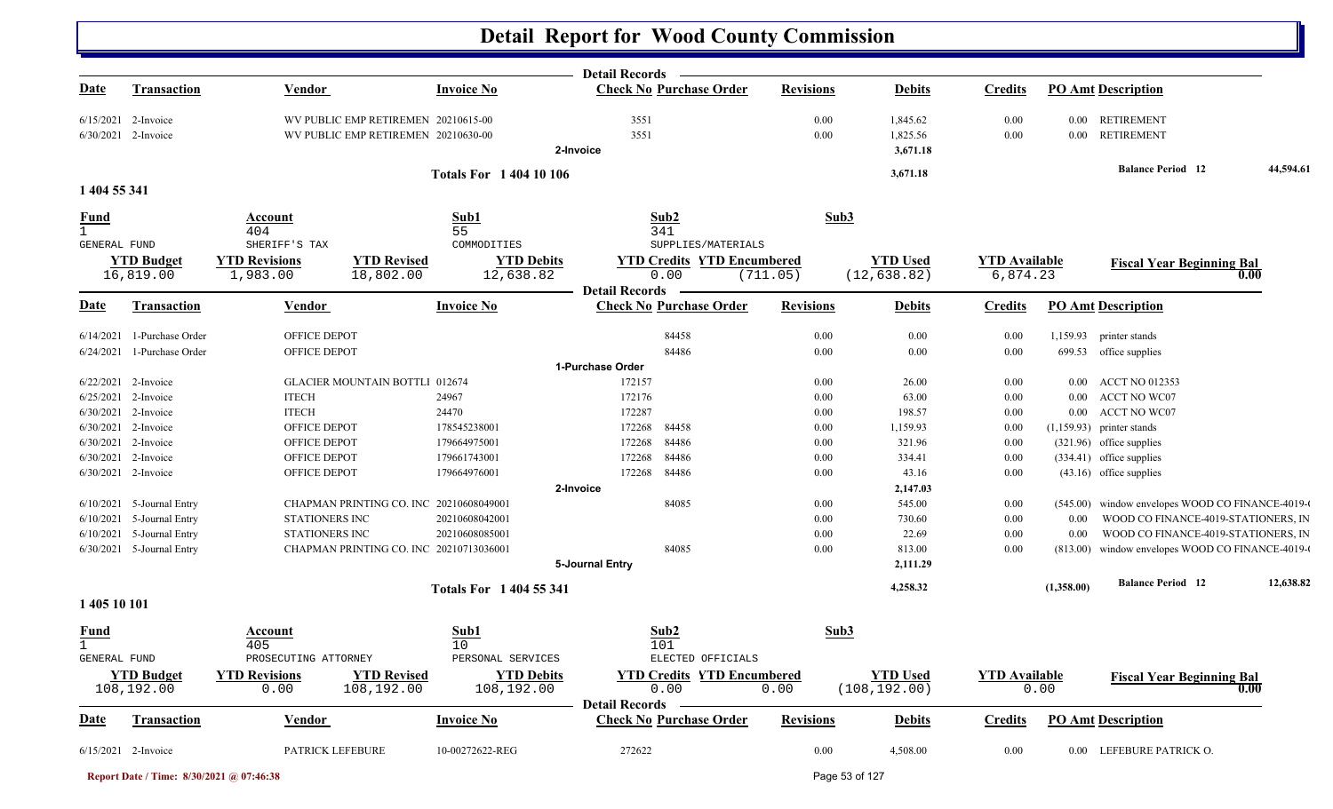|                                             |                           |                                               |                                 | <b>Detail Records</b>                                   |                  |                 |                      |            |                                                  |           |
|---------------------------------------------|---------------------------|-----------------------------------------------|---------------------------------|---------------------------------------------------------|------------------|-----------------|----------------------|------------|--------------------------------------------------|-----------|
| <u>Date</u>                                 | Transaction               | <b>Vendor</b>                                 | <b>Invoice No</b>               | <b>Check No Purchase Order</b>                          | <b>Revisions</b> | <b>Debits</b>   | <b>Credits</b>       |            | <b>PO Amt Description</b>                        |           |
|                                             | 6/15/2021 2-Invoice       | WV PUBLIC EMP RETIREMEN 20210615-00           |                                 | 3551                                                    | 0.00             | 1,845.62        | $0.00\,$             |            | 0.00 RETIREMENT                                  |           |
|                                             | 6/30/2021 2-Invoice       | WV PUBLIC EMP RETIREMEN 20210630-00           |                                 | 3551                                                    | 0.00             | 1,825.56        | $0.00\,$             |            | 0.00 RETIREMENT                                  |           |
|                                             |                           |                                               |                                 | 2-Invoice                                               |                  | 3,671.18        |                      |            |                                                  |           |
|                                             |                           |                                               | <b>Totals For 1 404 10 106</b>  |                                                         |                  | 3,671.18        |                      |            | <b>Balance Period</b> 12                         | 44,594.61 |
| 1 404 55 341                                |                           |                                               |                                 |                                                         |                  |                 |                      |            |                                                  |           |
| <b>Fund</b>                                 |                           | Account                                       | Sub1                            | Sub2                                                    | Sub3             |                 |                      |            |                                                  |           |
| $\mathbf{1}$                                |                           | 404                                           | 55                              | 341                                                     |                  |                 |                      |            |                                                  |           |
| GENERAL FUND                                |                           | SHERIFF'S TAX                                 | COMMODITIES                     | SUPPLIES/MATERIALS                                      |                  |                 |                      |            |                                                  |           |
|                                             | <b>YTD</b> Budget         | <b>YTD Revised</b><br><b>YTD Revisions</b>    | <b>YTD Debits</b>               | <b>YTD Credits YTD Encumbered</b>                       |                  | <b>YTD Used</b> | <b>YTD Available</b> |            | <b>Fiscal Year Beginning Bal</b>                 |           |
|                                             | 16,819.00                 | 1,983.00<br>18,802.00                         | 12,638.82                       | 0.00                                                    | (711.05)         | (12, 638.82)    | 6,874.23             |            | 0.00                                             |           |
| Date                                        | <b>Transaction</b>        | <b>Vendor</b>                                 | <b>Invoice No</b>               | <b>Detail Records</b><br><b>Check No Purchase Order</b> | <b>Revisions</b> | <b>Debits</b>   | <b>Credits</b>       |            | <b>PO Amt Description</b>                        |           |
|                                             | 1-Purchase Order          |                                               |                                 |                                                         |                  |                 |                      |            |                                                  |           |
| 6/14/2021                                   |                           | OFFICE DEPOT<br>OFFICE DEPOT                  |                                 | 84458<br>84486                                          | 0.00             | 0.00            | 0.00                 |            | 1,159.93 printer stands                          |           |
| 6/24/2021                                   | 1-Purchase Order          |                                               |                                 | 1-Purchase Order                                        | 0.00             | 0.00            | 0.00                 |            | 699.53 office supplies                           |           |
|                                             | 6/22/2021 2-Invoice       | <b>GLACIER MOUNTAIN BOTTL1 012674</b>         |                                 | 172157                                                  | 0.00             | 26.00           | $0.00\,$             |            | 0.00 ACCT NO 012353                              |           |
| 6/25/2021                                   | 2-Invoice                 | <b>ITECH</b>                                  | 24967                           | 172176                                                  | 0.00             | 63.00           | $0.00\,$             |            | 0.00 ACCT NO WC07                                |           |
|                                             | 6/30/2021 2-Invoice       | <b>ITECH</b>                                  | 24470                           | 172287                                                  | $0.00\,$         | 198.57          | $0.00\,$             |            | 0.00 ACCT NO WC07                                |           |
|                                             | 6/30/2021 2-Invoice       | OFFICE DEPOT                                  | 178545238001                    | 172268<br>84458                                         | $0.00\,$         | 1,159.93        | 0.00                 |            | $(1,159.93)$ printer stands                      |           |
| 6/30/2021                                   | 2-Invoice                 | OFFICE DEPOT                                  | 179664975001                    | 172268<br>84486                                         | 0.00             | 321.96          | 0.00                 |            | (321.96) office supplies                         |           |
|                                             | 6/30/2021 2-Invoice       | OFFICE DEPOT                                  | 179661743001                    | 172268<br>84486                                         | 0.00             | 334.41          | 0.00                 |            | (334.41) office supplies                         |           |
|                                             | 6/30/2021 2-Invoice       | OFFICE DEPOT                                  | 179664976001                    | 172268<br>84486                                         | 0.00             | 43.16           | $0.00\,$             |            | $(43.16)$ office supplies                        |           |
|                                             |                           |                                               |                                 | 2-Invoice                                               |                  | 2,147.03        |                      |            |                                                  |           |
|                                             | 6/10/2021 5-Journal Entry | CHAPMAN PRINTING CO. INC 20210608049001       |                                 | 84085                                                   | $0.00\,$         | 545.00          | $0.00\,$             |            | (545.00) window envelopes WOOD CO FINANCE-4019-0 |           |
|                                             | 6/10/2021 5-Journal Entry | STATIONERS INC                                | 20210608042001                  |                                                         | 0.00             | 730.60          | $0.00\,$             | 0.00       | WOOD CO FINANCE-4019-STATIONERS, IN              |           |
|                                             | 6/10/2021 5-Journal Entry | STATIONERS INC                                | 20210608085001                  |                                                         | 0.00             | 22.69           | 0.00                 | 0.00       | WOOD CO FINANCE-4019-STATIONERS, IN              |           |
|                                             | 6/30/2021 5-Journal Entry | CHAPMAN PRINTING CO. INC 20210713036001       |                                 | 84085                                                   | 0.00             | 813.00          | 0.00                 |            | (813.00) window envelopes WOOD CO FINANCE-4019-0 |           |
|                                             |                           |                                               |                                 | 5-Journal Entry                                         |                  | 2,111.29        |                      |            |                                                  |           |
|                                             |                           |                                               | <b>Totals For 1404 55 341</b>   |                                                         |                  | 4,258.32        |                      | (1,358.00) | <b>Balance Period 12</b>                         | 12,638.82 |
| 1 405 10 101                                |                           |                                               |                                 |                                                         |                  |                 |                      |            |                                                  |           |
| <b>Fund</b><br>$\mathbf{1}$<br>GENERAL FUND |                           | <b>Account</b><br>405<br>PROSECUTING ATTORNEY | Sub1<br>10<br>PERSONAL SERVICES | Sub2<br>101<br>ELECTED OFFICIALS                        | Sub3             |                 |                      |            |                                                  |           |
|                                             | <b>YTD Budget</b>         | <b>YTD Revisions</b><br><b>YTD Revised</b>    | <b>YTD Debits</b>               | <b>YTD Credits YTD Encumbered</b>                       |                  | <b>YTD Used</b> | <b>YTD Available</b> |            | <b>Fiscal Year Beginning Bal</b>                 |           |
|                                             | 108,192.00                | 108,192.00<br>0.00                            | 108,192.00                      | 0.00<br><b>Detail Records</b>                           | 0.00             | (108, 192.00)   |                      | 0.00       | 0.00                                             |           |
| <b>Date</b>                                 | Transaction               | Vendor                                        | <b>Invoice No</b>               | <b>Check No Purchase Order</b>                          | <b>Revisions</b> | <b>Debits</b>   | <b>Credits</b>       |            | <b>PO Amt Description</b>                        |           |
|                                             | 6/15/2021 2-Invoice       | PATRICK LEFEBURE                              | 10-00272622-REG                 | 272622                                                  | $0.00\,$         | 4,508.00        | $0.00\,$             |            | 0.00 LEFEBURE PATRICK O.                         |           |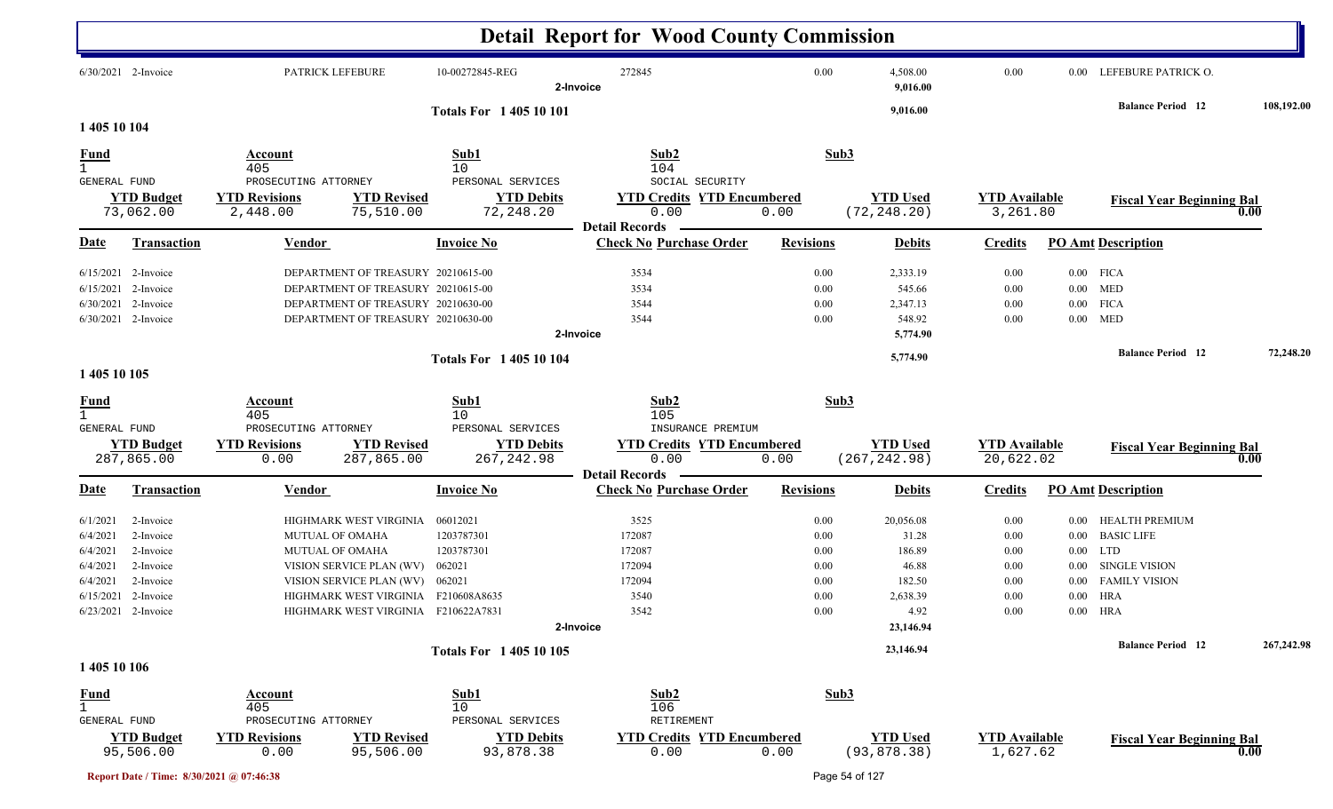|                    |                                                                                                                                                                                                                                                                                                                                                                                          |                                                                         | 10-00272845-REG                                                                                                                                                                                                                                     | 272845<br>2-Invoice                                                                                                                                                                                                                                                                               |                                                                                                                                                                                                                                                                                                                                                 | 4,508.00<br>9,016.00                                                                                                                                                                                                                    | 0.00                                                                                                                                                                                                                                                                                                                                                                       |                              |                                                                                                           |                                                                                                                                                                                                                                                                                                                                                                                                                                                 |
|--------------------|------------------------------------------------------------------------------------------------------------------------------------------------------------------------------------------------------------------------------------------------------------------------------------------------------------------------------------------------------------------------------------------|-------------------------------------------------------------------------|-----------------------------------------------------------------------------------------------------------------------------------------------------------------------------------------------------------------------------------------------------|---------------------------------------------------------------------------------------------------------------------------------------------------------------------------------------------------------------------------------------------------------------------------------------------------|-------------------------------------------------------------------------------------------------------------------------------------------------------------------------------------------------------------------------------------------------------------------------------------------------------------------------------------------------|-----------------------------------------------------------------------------------------------------------------------------------------------------------------------------------------------------------------------------------------|----------------------------------------------------------------------------------------------------------------------------------------------------------------------------------------------------------------------------------------------------------------------------------------------------------------------------------------------------------------------------|------------------------------|-----------------------------------------------------------------------------------------------------------|-------------------------------------------------------------------------------------------------------------------------------------------------------------------------------------------------------------------------------------------------------------------------------------------------------------------------------------------------------------------------------------------------------------------------------------------------|
|                    |                                                                                                                                                                                                                                                                                                                                                                                          |                                                                         |                                                                                                                                                                                                                                                     |                                                                                                                                                                                                                                                                                                   |                                                                                                                                                                                                                                                                                                                                                 | 9,016.00                                                                                                                                                                                                                                |                                                                                                                                                                                                                                                                                                                                                                            |                              | <b>Balance Period</b> 12                                                                                  | 108,192.00                                                                                                                                                                                                                                                                                                                                                                                                                                      |
|                    | Account                                                                                                                                                                                                                                                                                                                                                                                  |                                                                         | Sub1                                                                                                                                                                                                                                                |                                                                                                                                                                                                                                                                                                   |                                                                                                                                                                                                                                                                                                                                                 |                                                                                                                                                                                                                                         |                                                                                                                                                                                                                                                                                                                                                                            |                              |                                                                                                           |                                                                                                                                                                                                                                                                                                                                                                                                                                                 |
|                    | 405                                                                                                                                                                                                                                                                                                                                                                                      |                                                                         | 10                                                                                                                                                                                                                                                  | 104                                                                                                                                                                                                                                                                                               |                                                                                                                                                                                                                                                                                                                                                 |                                                                                                                                                                                                                                         |                                                                                                                                                                                                                                                                                                                                                                            |                              |                                                                                                           |                                                                                                                                                                                                                                                                                                                                                                                                                                                 |
|                    |                                                                                                                                                                                                                                                                                                                                                                                          |                                                                         |                                                                                                                                                                                                                                                     |                                                                                                                                                                                                                                                                                                   |                                                                                                                                                                                                                                                                                                                                                 |                                                                                                                                                                                                                                         |                                                                                                                                                                                                                                                                                                                                                                            |                              |                                                                                                           |                                                                                                                                                                                                                                                                                                                                                                                                                                                 |
|                    |                                                                                                                                                                                                                                                                                                                                                                                          |                                                                         |                                                                                                                                                                                                                                                     |                                                                                                                                                                                                                                                                                                   |                                                                                                                                                                                                                                                                                                                                                 |                                                                                                                                                                                                                                         |                                                                                                                                                                                                                                                                                                                                                                            |                              |                                                                                                           | 0.00                                                                                                                                                                                                                                                                                                                                                                                                                                            |
|                    |                                                                                                                                                                                                                                                                                                                                                                                          |                                                                         |                                                                                                                                                                                                                                                     | <b>Detail Records</b>                                                                                                                                                                                                                                                                             |                                                                                                                                                                                                                                                                                                                                                 |                                                                                                                                                                                                                                         |                                                                                                                                                                                                                                                                                                                                                                            |                              |                                                                                                           |                                                                                                                                                                                                                                                                                                                                                                                                                                                 |
| <b>Transaction</b> | Vendor                                                                                                                                                                                                                                                                                                                                                                                   |                                                                         | <b>Invoice No</b>                                                                                                                                                                                                                                   |                                                                                                                                                                                                                                                                                                   |                                                                                                                                                                                                                                                                                                                                                 | <b>Debits</b>                                                                                                                                                                                                                           | <b>Credits</b>                                                                                                                                                                                                                                                                                                                                                             |                              |                                                                                                           |                                                                                                                                                                                                                                                                                                                                                                                                                                                 |
|                    |                                                                                                                                                                                                                                                                                                                                                                                          |                                                                         |                                                                                                                                                                                                                                                     |                                                                                                                                                                                                                                                                                                   |                                                                                                                                                                                                                                                                                                                                                 |                                                                                                                                                                                                                                         |                                                                                                                                                                                                                                                                                                                                                                            |                              |                                                                                                           |                                                                                                                                                                                                                                                                                                                                                                                                                                                 |
|                    |                                                                                                                                                                                                                                                                                                                                                                                          |                                                                         |                                                                                                                                                                                                                                                     | 3534                                                                                                                                                                                                                                                                                              |                                                                                                                                                                                                                                                                                                                                                 | 545.66                                                                                                                                                                                                                                  | 0.00                                                                                                                                                                                                                                                                                                                                                                       |                              |                                                                                                           |                                                                                                                                                                                                                                                                                                                                                                                                                                                 |
|                    |                                                                                                                                                                                                                                                                                                                                                                                          |                                                                         |                                                                                                                                                                                                                                                     | 3544                                                                                                                                                                                                                                                                                              |                                                                                                                                                                                                                                                                                                                                                 | 2,347.13                                                                                                                                                                                                                                | 0.00                                                                                                                                                                                                                                                                                                                                                                       |                              |                                                                                                           |                                                                                                                                                                                                                                                                                                                                                                                                                                                 |
|                    |                                                                                                                                                                                                                                                                                                                                                                                          |                                                                         |                                                                                                                                                                                                                                                     | 3544                                                                                                                                                                                                                                                                                              |                                                                                                                                                                                                                                                                                                                                                 | 548.92                                                                                                                                                                                                                                  | 0.00                                                                                                                                                                                                                                                                                                                                                                       |                              |                                                                                                           |                                                                                                                                                                                                                                                                                                                                                                                                                                                 |
|                    |                                                                                                                                                                                                                                                                                                                                                                                          |                                                                         |                                                                                                                                                                                                                                                     | 2-Invoice                                                                                                                                                                                                                                                                                         |                                                                                                                                                                                                                                                                                                                                                 | 5,774.90                                                                                                                                                                                                                                |                                                                                                                                                                                                                                                                                                                                                                            |                              |                                                                                                           |                                                                                                                                                                                                                                                                                                                                                                                                                                                 |
|                    |                                                                                                                                                                                                                                                                                                                                                                                          |                                                                         |                                                                                                                                                                                                                                                     |                                                                                                                                                                                                                                                                                                   |                                                                                                                                                                                                                                                                                                                                                 | 5,774.90                                                                                                                                                                                                                                |                                                                                                                                                                                                                                                                                                                                                                            |                              |                                                                                                           | 72,248.20                                                                                                                                                                                                                                                                                                                                                                                                                                       |
|                    |                                                                                                                                                                                                                                                                                                                                                                                          |                                                                         |                                                                                                                                                                                                                                                     |                                                                                                                                                                                                                                                                                                   |                                                                                                                                                                                                                                                                                                                                                 |                                                                                                                                                                                                                                         |                                                                                                                                                                                                                                                                                                                                                                            |                              |                                                                                                           |                                                                                                                                                                                                                                                                                                                                                                                                                                                 |
|                    | Account<br>405                                                                                                                                                                                                                                                                                                                                                                           |                                                                         | Sub1<br>10                                                                                                                                                                                                                                          | Sub2<br>105                                                                                                                                                                                                                                                                                       |                                                                                                                                                                                                                                                                                                                                                 |                                                                                                                                                                                                                                         |                                                                                                                                                                                                                                                                                                                                                                            |                              |                                                                                                           |                                                                                                                                                                                                                                                                                                                                                                                                                                                 |
|                    |                                                                                                                                                                                                                                                                                                                                                                                          |                                                                         |                                                                                                                                                                                                                                                     |                                                                                                                                                                                                                                                                                                   |                                                                                                                                                                                                                                                                                                                                                 |                                                                                                                                                                                                                                         |                                                                                                                                                                                                                                                                                                                                                                            |                              |                                                                                                           |                                                                                                                                                                                                                                                                                                                                                                                                                                                 |
|                    |                                                                                                                                                                                                                                                                                                                                                                                          |                                                                         |                                                                                                                                                                                                                                                     |                                                                                                                                                                                                                                                                                                   |                                                                                                                                                                                                                                                                                                                                                 |                                                                                                                                                                                                                                         |                                                                                                                                                                                                                                                                                                                                                                            |                              |                                                                                                           | 0.00                                                                                                                                                                                                                                                                                                                                                                                                                                            |
|                    |                                                                                                                                                                                                                                                                                                                                                                                          |                                                                         |                                                                                                                                                                                                                                                     | <b>Detail Records</b>                                                                                                                                                                                                                                                                             |                                                                                                                                                                                                                                                                                                                                                 |                                                                                                                                                                                                                                         |                                                                                                                                                                                                                                                                                                                                                                            |                              |                                                                                                           |                                                                                                                                                                                                                                                                                                                                                                                                                                                 |
| <b>Transaction</b> | <b>Vendor</b>                                                                                                                                                                                                                                                                                                                                                                            |                                                                         | <b>Invoice No</b>                                                                                                                                                                                                                                   |                                                                                                                                                                                                                                                                                                   |                                                                                                                                                                                                                                                                                                                                                 | <b>Debits</b>                                                                                                                                                                                                                           | <b>Credits</b>                                                                                                                                                                                                                                                                                                                                                             |                              |                                                                                                           |                                                                                                                                                                                                                                                                                                                                                                                                                                                 |
| 2-Invoice          |                                                                                                                                                                                                                                                                                                                                                                                          |                                                                         | 06012021                                                                                                                                                                                                                                            | 3525                                                                                                                                                                                                                                                                                              |                                                                                                                                                                                                                                                                                                                                                 | 20,056.08                                                                                                                                                                                                                               | 0.00                                                                                                                                                                                                                                                                                                                                                                       |                              |                                                                                                           |                                                                                                                                                                                                                                                                                                                                                                                                                                                 |
| 2-Invoice          |                                                                                                                                                                                                                                                                                                                                                                                          |                                                                         | 1203787301                                                                                                                                                                                                                                          | 172087                                                                                                                                                                                                                                                                                            |                                                                                                                                                                                                                                                                                                                                                 | 31.28                                                                                                                                                                                                                                   | 0.00                                                                                                                                                                                                                                                                                                                                                                       |                              |                                                                                                           |                                                                                                                                                                                                                                                                                                                                                                                                                                                 |
| 2-Invoice          |                                                                                                                                                                                                                                                                                                                                                                                          |                                                                         | 1203787301                                                                                                                                                                                                                                          | 172087                                                                                                                                                                                                                                                                                            |                                                                                                                                                                                                                                                                                                                                                 | 186.89                                                                                                                                                                                                                                  | $0.00\,$                                                                                                                                                                                                                                                                                                                                                                   |                              |                                                                                                           |                                                                                                                                                                                                                                                                                                                                                                                                                                                 |
| 2-Invoice          |                                                                                                                                                                                                                                                                                                                                                                                          |                                                                         | 062021                                                                                                                                                                                                                                              | 172094                                                                                                                                                                                                                                                                                            |                                                                                                                                                                                                                                                                                                                                                 | 46.88                                                                                                                                                                                                                                   | 0.00                                                                                                                                                                                                                                                                                                                                                                       |                              |                                                                                                           |                                                                                                                                                                                                                                                                                                                                                                                                                                                 |
|                    |                                                                                                                                                                                                                                                                                                                                                                                          |                                                                         |                                                                                                                                                                                                                                                     |                                                                                                                                                                                                                                                                                                   |                                                                                                                                                                                                                                                                                                                                                 |                                                                                                                                                                                                                                         |                                                                                                                                                                                                                                                                                                                                                                            |                              |                                                                                                           |                                                                                                                                                                                                                                                                                                                                                                                                                                                 |
|                    |                                                                                                                                                                                                                                                                                                                                                                                          |                                                                         |                                                                                                                                                                                                                                                     |                                                                                                                                                                                                                                                                                                   |                                                                                                                                                                                                                                                                                                                                                 |                                                                                                                                                                                                                                         |                                                                                                                                                                                                                                                                                                                                                                            |                              |                                                                                                           |                                                                                                                                                                                                                                                                                                                                                                                                                                                 |
|                    |                                                                                                                                                                                                                                                                                                                                                                                          |                                                                         |                                                                                                                                                                                                                                                     |                                                                                                                                                                                                                                                                                                   |                                                                                                                                                                                                                                                                                                                                                 |                                                                                                                                                                                                                                         |                                                                                                                                                                                                                                                                                                                                                                            |                              |                                                                                                           |                                                                                                                                                                                                                                                                                                                                                                                                                                                 |
|                    |                                                                                                                                                                                                                                                                                                                                                                                          |                                                                         |                                                                                                                                                                                                                                                     |                                                                                                                                                                                                                                                                                                   |                                                                                                                                                                                                                                                                                                                                                 |                                                                                                                                                                                                                                         |                                                                                                                                                                                                                                                                                                                                                                            |                              |                                                                                                           |                                                                                                                                                                                                                                                                                                                                                                                                                                                 |
|                    |                                                                                                                                                                                                                                                                                                                                                                                          |                                                                         |                                                                                                                                                                                                                                                     |                                                                                                                                                                                                                                                                                                   |                                                                                                                                                                                                                                                                                                                                                 |                                                                                                                                                                                                                                         |                                                                                                                                                                                                                                                                                                                                                                            |                              |                                                                                                           | 267,242.98                                                                                                                                                                                                                                                                                                                                                                                                                                      |
|                    |                                                                                                                                                                                                                                                                                                                                                                                          |                                                                         |                                                                                                                                                                                                                                                     |                                                                                                                                                                                                                                                                                                   |                                                                                                                                                                                                                                                                                                                                                 |                                                                                                                                                                                                                                         |                                                                                                                                                                                                                                                                                                                                                                            |                              |                                                                                                           |                                                                                                                                                                                                                                                                                                                                                                                                                                                 |
|                    | Account                                                                                                                                                                                                                                                                                                                                                                                  |                                                                         | Sub1                                                                                                                                                                                                                                                | Sub2                                                                                                                                                                                                                                                                                              |                                                                                                                                                                                                                                                                                                                                                 |                                                                                                                                                                                                                                         |                                                                                                                                                                                                                                                                                                                                                                            |                              |                                                                                                           |                                                                                                                                                                                                                                                                                                                                                                                                                                                 |
|                    |                                                                                                                                                                                                                                                                                                                                                                                          |                                                                         |                                                                                                                                                                                                                                                     |                                                                                                                                                                                                                                                                                                   |                                                                                                                                                                                                                                                                                                                                                 |                                                                                                                                                                                                                                         |                                                                                                                                                                                                                                                                                                                                                                            |                              |                                                                                                           |                                                                                                                                                                                                                                                                                                                                                                                                                                                 |
| 95,506.00          | <b>YTD Revisions</b><br>0.00                                                                                                                                                                                                                                                                                                                                                             | <b>YTD Revised</b><br>95,506.00                                         | 93,878.38                                                                                                                                                                                                                                           | 0.00                                                                                                                                                                                                                                                                                              | 0.00                                                                                                                                                                                                                                                                                                                                            | <b>YTD Used</b><br>(93, 878.38)                                                                                                                                                                                                         |                                                                                                                                                                                                                                                                                                                                                                            |                              | <b>Fiscal Year Beginning Bal</b>                                                                          | 0.00                                                                                                                                                                                                                                                                                                                                                                                                                                            |
|                    | 6/30/2021 2-Invoice<br>1 405 10 104<br><b>GENERAL FUND</b><br><b>YTD Budget</b><br>73,062.00<br>$6/15/2021$ 2-Invoice<br>$6/15/2021$ 2-Invoice<br>6/30/2021 2-Invoice<br>6/30/2021 2-Invoice<br>1 405 10 105<br><b>GENERAL FUND</b><br><b>YTD Budget</b><br>287,865.00<br>2-Invoice<br>$6/15/2021$ 2-Invoice<br>6/23/2021 2-Invoice<br>1 405 10 106<br>GENERAL FUND<br><b>YTD Budget</b> | <b>YTD Revisions</b><br>2,448.00<br><b>YTD Revisions</b><br>0.00<br>405 | PATRICK LEFEBURE<br>PROSECUTING ATTORNEY<br><b>YTD Revised</b><br>75,510.00<br>PROSECUTING ATTORNEY<br>287,865.00<br>HIGHMARK WEST VIRGINIA<br><b>MUTUAL OF OMAHA</b><br><b>MUTUAL OF OMAHA</b><br>VISION SERVICE PLAN (WV)<br>PROSECUTING ATTORNEY | DEPARTMENT OF TREASURY 20210615-00<br>DEPARTMENT OF TREASURY 20210615-00<br>DEPARTMENT OF TREASURY 20210630-00<br>DEPARTMENT OF TREASURY 20210630-00<br><b>YTD Revised</b><br>VISION SERVICE PLAN (WV) 062021<br>HIGHMARK WEST VIRGINIA F210608A8635<br>HIGHMARK WEST VIRGINIA F210622A7831<br>10 | <b>Totals For 140510101</b><br>Sub2<br>PERSONAL SERVICES<br><b>YTD Debits</b><br>72,248.20<br>0.00<br>3534<br><b>Totals For 140510104</b><br>PERSONAL SERVICES<br><b>YTD Debits</b><br>267, 242.98<br>0.00<br>172094<br>3540<br>3542<br>2-Invoice<br><b>Totals For 140510105</b><br>106<br>RETIREMENT<br>PERSONAL SERVICES<br><b>YTD Debits</b> | SOCIAL SECURITY<br><b>YTD Credits YTD Encumbered</b><br>0.00<br><b>Check No Purchase Order</b><br>INSURANCE PREMIUM<br><b>YTD Credits YTD Encumbered</b><br>0.00<br><b>Check No Purchase Order</b><br><b>YTD Credits YTD Encumbered</b> | <b>Detail Report for Wood County Commission</b><br>0.00<br>Sub3<br><b>YTD Used</b><br>(72, 248.20)<br><b>Revisions</b><br>0.00<br>2,333.19<br>0.00<br>0.00<br>0.00<br>Sub3<br><b>YTD Used</b><br>(267, 242.98)<br><b>Revisions</b><br>0.00<br>0.00<br>0.00<br>0.00<br>182.50<br>0.00<br>2,638.39<br>0.00<br>$0.00\,$<br>4.92<br>23,146.94<br>23,146.94<br>Sub <sub>3</sub> | 0.00<br>0.00<br>0.00<br>0.00 | <b>YTD Available</b><br>3,261.80<br><b>YTD Available</b><br>20,622.02<br><b>YTD Available</b><br>1,627.62 | 0.00 LEFEBURE PATRICK O.<br><b>Fiscal Year Beginning Bal</b><br><b>PO Amt Description</b><br>$0.00$ FICA<br>$0.00$ MED<br>$0.00$ FICA<br>$0.00$ MED<br><b>Balance Period</b> 12<br><b>Fiscal Year Beginning Bal</b><br><b>PO Amt Description</b><br>0.00 HEALTH PREMIUM<br><b>BASIC LIFE</b><br>$0.00\,$<br>$0.00$ LTD<br>SINGLE VISION<br>$0.00\,$<br><b>FAMILY VISION</b><br>$0.00\,$<br>$0.00$ HRA<br>$0.00$ HRA<br><b>Balance Period 12</b> |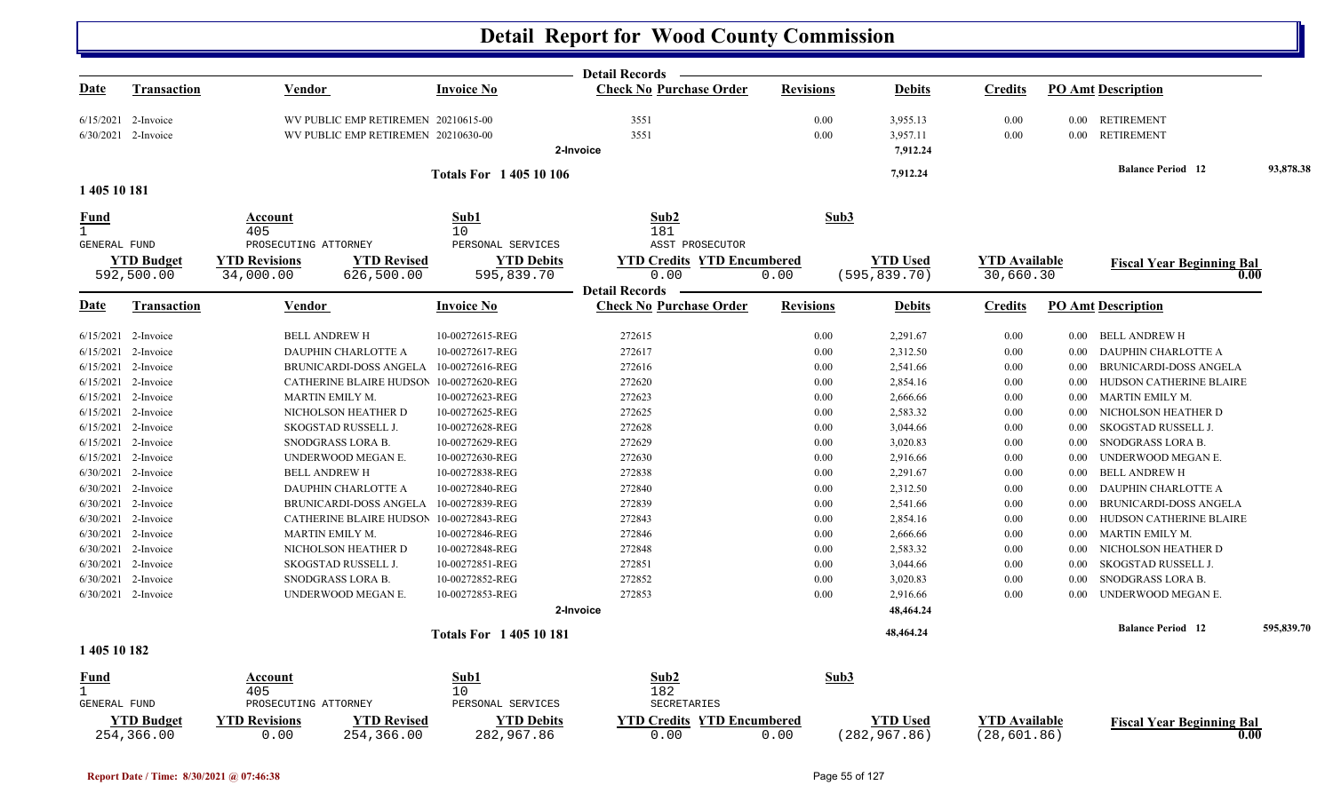|              |                                 |                                                                  |                                         | <b>Detail Records</b>                     |                  |                                  |                                      |          |                                          |            |
|--------------|---------------------------------|------------------------------------------------------------------|-----------------------------------------|-------------------------------------------|------------------|----------------------------------|--------------------------------------|----------|------------------------------------------|------------|
| <u>Date</u>  | <b>Transaction</b>              | <b>Vendor</b>                                                    | <b>Invoice No</b>                       | <b>Check No Purchase Order</b>            | <b>Revisions</b> | <b>Debits</b>                    | <b>Credits</b>                       |          | <b>PO Amt Description</b>                |            |
|              | $6/15/2021$ 2-Invoice           | WV PUBLIC EMP RETIREMEN 20210615-00                              |                                         | 3551                                      | 0.00             | 3,955.13                         | 0.00                                 |          | 0.00 RETIREMENT                          |            |
|              | 6/30/2021 2-Invoice             | WV PUBLIC EMP RETIREMEN 20210630-00                              |                                         | 3551                                      | 0.00             | 3,957.11                         | 0.00                                 | $0.00\,$ | <b>RETIREMENT</b>                        |            |
|              |                                 |                                                                  |                                         | 2-Invoice                                 |                  | 7,912.24                         |                                      |          |                                          |            |
| 1 405 10 181 |                                 |                                                                  | <b>Totals For 140510106</b>             |                                           |                  | 7,912.24                         |                                      |          | <b>Balance Period 12</b>                 | 93,878.38  |
|              |                                 |                                                                  |                                         |                                           |                  |                                  |                                      |          |                                          |            |
| Fund         |                                 | Account<br>405                                                   | Sub1                                    | Sub2                                      | Sub3             |                                  |                                      |          |                                          |            |
| GENERAL FUND |                                 | PROSECUTING ATTORNEY                                             | 10 <sup>°</sup><br>PERSONAL SERVICES    | 181<br>ASST PROSECUTOR                    |                  |                                  |                                      |          |                                          |            |
|              | <b>YTD Budget</b>               | <b>YTD Revisions</b><br><b>YTD Revised</b>                       | <b>YTD Debits</b>                       | <b>YTD Credits YTD Encumbered</b>         |                  | <b>YTD</b> Used                  | <b>YTD</b> Available                 |          | <b>Fiscal Year Beginning Bal</b>         |            |
|              | 592,500.00                      | 34,000.00<br>626,500.00                                          | 595,839.70                              | 0.00                                      | 0.00             | (595, 839.70)                    | 30,660.30                            |          | 0.00                                     |            |
|              |                                 |                                                                  |                                         | <b>Detail Records</b>                     |                  |                                  |                                      |          |                                          |            |
| <u>Date</u>  | Transaction                     | <b>Vendor</b>                                                    | <b>Invoice No</b>                       | <b>Check No Purchase Order</b>            | <b>Revisions</b> | <b>Debits</b>                    | <b>Credits</b>                       |          | <b>PO Amt Description</b>                |            |
|              | $6/15/2021$ 2-Invoice           | <b>BELL ANDREW H</b>                                             | 10-00272615-REG                         | 272615                                    | 0.00             | 2,291.67                         | 0.00                                 | $0.00\,$ | BELL ANDREW H                            |            |
|              | $6/15/2021$ 2-Invoice           | DAUPHIN CHARLOTTE A                                              | 10-00272617-REG                         | 272617                                    | 0.00             | 2,312.50                         | 0.00                                 | 0.00     | DAUPHIN CHARLOTTE A                      |            |
|              | 6/15/2021 2-Invoice             | <b>BRUNICARDI-DOSS ANGELA</b>                                    | 10-00272616-REG                         | 272616                                    | 0.00             | 2,541.66                         | 0.00                                 | 0.00     | BRUNICARDI-DOSS ANGELA                   |            |
|              | 6/15/2021 2-Invoice             | CATHERINE BLAIRE HUDSON                                          | 10-00272620-REG                         | 272620                                    | 0.00             | 2,854.16                         | 0.00                                 | 0.00     | HUDSON CATHERINE BLAIRE                  |            |
|              | 6/15/2021 2-Invoice             | MARTIN EMILY M.                                                  | 10-00272623-REG                         | 272623                                    | 0.00             | 2,666.66                         | 0.00                                 | 0.00     | MARTIN EMILY M.                          |            |
|              | 6/15/2021 2-Invoice             | NICHOLSON HEATHER D                                              | 10-00272625-REG                         | 272625                                    | 0.00             | 2,583.32                         | 0.00                                 | 0.00     | NICHOLSON HEATHER D                      |            |
|              | $6/15/2021$ 2-Invoice           | SKOGSTAD RUSSELL J.                                              | 10-00272628-REG                         | 272628                                    | 0.00             | 3,044.66                         | 0.00                                 | 0.00     | SKOGSTAD RUSSELL J.                      |            |
|              | 6/15/2021 2-Invoice             | SNODGRASS LORA B.                                                | 10-00272629-REG                         | 272629                                    | 0.00             | 3,020.83                         | 0.00                                 | 0.00     | SNODGRASS LORA B.                        |            |
|              | 6/15/2021 2-Invoice             | UNDERWOOD MEGAN E.                                               | 10-00272630-REG                         | 272630                                    | 0.00             | 2,916.66                         | 0.00                                 | 0.00     | UNDERWOOD MEGAN E.                       |            |
|              | 6/30/2021 2-Invoice             | <b>BELL ANDREW H</b>                                             | 10-00272838-REG                         | 272838                                    | 0.00             | 2,291.67                         | 0.00                                 | 0.00     | <b>BELL ANDREW H</b>                     |            |
|              | 6/30/2021 2-Invoice             | DAUPHIN CHARLOTTE A                                              | 10-00272840-REG                         | 272840                                    | 0.00             | 2,312.50                         | 0.00                                 | 0.00     | <b>DAUPHIN CHARLOTTE A</b>               |            |
|              | 6/30/2021 2-Invoice             | <b>BRUNICARDI-DOSS ANGELA</b>                                    | 10-00272839-REG                         | 272839                                    | 0.00             | 2,541.66                         | 0.00                                 | 0.00     | <b>BRUNICARDI-DOSS ANGELA</b>            |            |
|              | 6/30/2021 2-Invoice             |                                                                  | CATHERINE BLAIRE HUDSON 10-00272843-REG | 272843                                    | 0.00             | 2,854.16                         | 0.00                                 | 0.00     | HUDSON CATHERINE BLAIRE                  |            |
|              | 6/30/2021 2-Invoice             | MARTIN EMILY M.                                                  | 10-00272846-REG                         | 272846                                    | 0.00             | 2,666.66                         | 0.00                                 | 0.00     | MARTIN EMILY M.                          |            |
|              | 6/30/2021 2-Invoice             | NICHOLSON HEATHER D                                              | 10-00272848-REG                         | 272848                                    | 0.00             | 2,583.32                         | 0.00                                 | 0.00     | NICHOLSON HEATHER D                      |            |
|              | 6/30/2021 2-Invoice             | SKOGSTAD RUSSELL J.                                              | 10-00272851-REG                         | 272851                                    | 0.00             | 3,044.66                         | 0.00                                 | 0.00     | SKOGSTAD RUSSELL J.                      |            |
|              | 6/30/2021 2-Invoice             | SNODGRASS LORA B.                                                | 10-00272852-REG                         | 272852                                    | 0.00             | 3,020.83                         | 0.00                                 | 0.00     | SNODGRASS LORA B.                        |            |
|              | 6/30/2021 2-Invoice             | UNDERWOOD MEGAN E.                                               | 10-00272853-REG                         | 272853                                    | 0.00             | 2,916.66                         | 0.00                                 | 0.00     | UNDERWOOD MEGAN E.                       |            |
|              |                                 |                                                                  |                                         | 2-Invoice                                 |                  | 48,464.24                        |                                      |          |                                          |            |
|              |                                 |                                                                  | <b>Totals For 140510181</b>             |                                           |                  | 48,464.24                        |                                      |          | <b>Balance Period</b> 12                 | 595,839.70 |
| 1 405 10 182 |                                 |                                                                  |                                         |                                           |                  |                                  |                                      |          |                                          |            |
| Fund         |                                 | Account                                                          | Sub1                                    | Sub2                                      | Sub3             |                                  |                                      |          |                                          |            |
| $\mathbf{1}$ |                                 | 405                                                              | 10                                      | 182                                       |                  |                                  |                                      |          |                                          |            |
| GENERAL FUND |                                 | PROSECUTING ATTORNEY                                             | PERSONAL SERVICES                       | SECRETARIES                               |                  |                                  |                                      |          |                                          |            |
|              | <b>YTD Budget</b><br>254,366.00 | <b>YTD Revisions</b><br><b>YTD Revised</b><br>0.00<br>254,366.00 | <b>YTD Debits</b><br>282,967.86         | <b>YTD Credits YTD Encumbered</b><br>0.00 | 0.00             | <b>YTD</b> Used<br>(282, 967.86) | <b>YTD Available</b><br>(28, 601.86) |          | <b>Fiscal Year Beginning Bal</b><br>0.00 |            |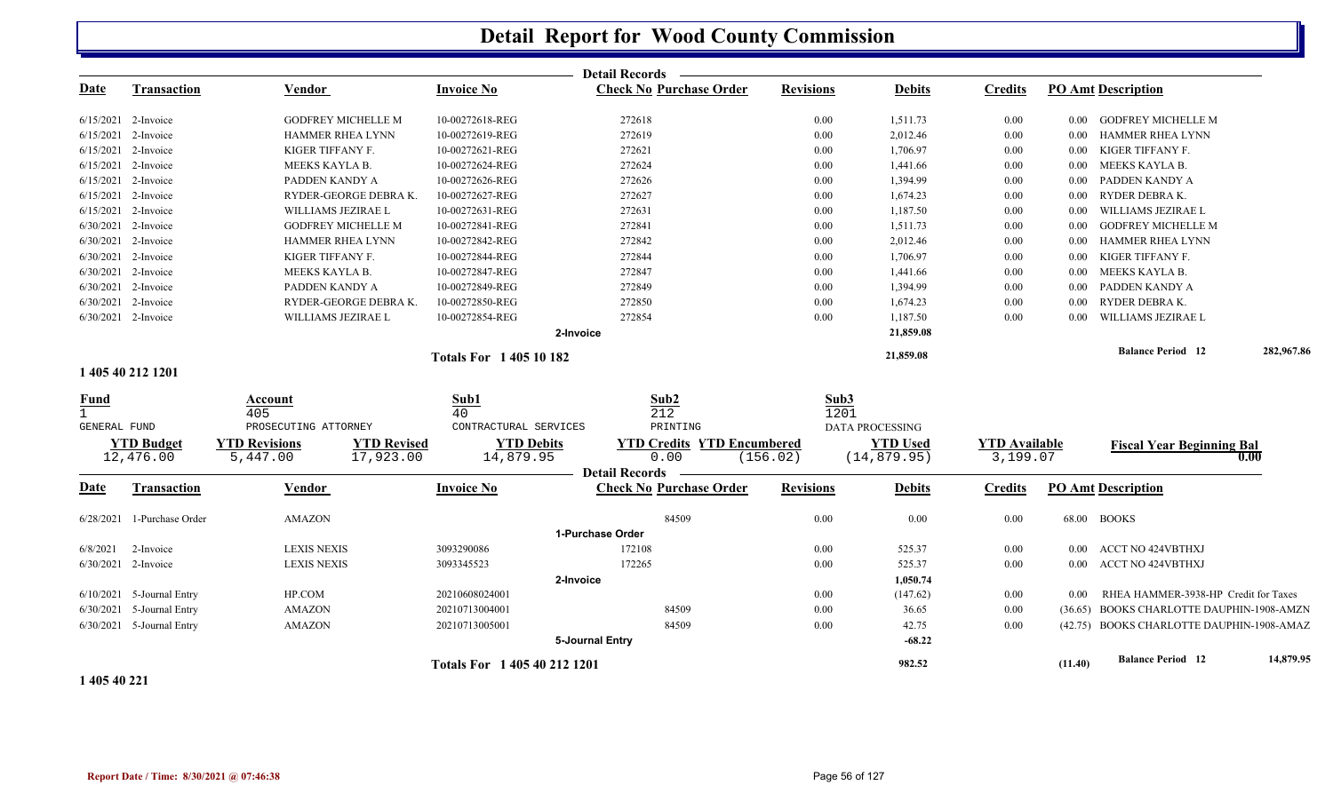|                       |                             |                           |                      |                              | <b>Detail Records</b>             |                  |                        |                      |          |                                           |            |
|-----------------------|-----------------------------|---------------------------|----------------------|------------------------------|-----------------------------------|------------------|------------------------|----------------------|----------|-------------------------------------------|------------|
| Date                  | <b>Transaction</b>          | Vendor                    |                      | <b>Invoice No</b>            | <b>Check No Purchase Order</b>    | <b>Revisions</b> | <b>Debits</b>          | <b>Credits</b>       |          | <b>PO Amt Description</b>                 |            |
| 6/15/2021 2-Invoice   |                             | <b>GODFREY MICHELLE M</b> |                      | 10-00272618-REG              | 272618                            | 0.00             | 1,511.73               | 0.00                 | $0.00\,$ | <b>GODFREY MICHELLE M</b>                 |            |
| 6/15/2021 2-Invoice   |                             | <b>HAMMER RHEA LYNN</b>   |                      | 10-00272619-REG              | 272619                            | 0.00             | 2,012.46               | 0.00                 | $0.00\,$ | <b>HAMMER RHEA LYNN</b>                   |            |
| 6/15/2021 2-Invoice   |                             | KIGER TIFFANY F.          |                      | 10-00272621-REG              | 272621                            | 0.00             | 1,706.97               | 0.00                 | $0.00\,$ | KIGER TIFFANY F.                          |            |
|                       | 6/15/2021 2-Invoice         | MEEKS KAYLA B.            |                      | 10-00272624-REG              | 272624                            | 0.00             | 1,441.66               | 0.00                 | $0.00\,$ | MEEKS KAYLA B.                            |            |
| $6/15/2021$ 2-Invoice |                             | PADDEN KANDY A            |                      | 10-00272626-REG              | 272626                            | 0.00             | 1,394.99               | 0.00                 | $0.00\,$ | PADDEN KANDY A                            |            |
| $6/15/2021$ 2-Invoice |                             |                           | RYDER-GEORGE DEBRAK. | 10-00272627-REG              | 272627                            | 0.00             | 1,674.23               | 0.00                 | 0.00     | RYDER DEBRA K.                            |            |
| 6/15/2021 2-Invoice   |                             | WILLIAMS JEZIRAE L        |                      | 10-00272631-REG              | 272631                            | 0.00             | 1,187.50               | 0.00                 | $0.00\,$ | WILLIAMS JEZIRAE L                        |            |
| 6/30/2021 2-Invoice   |                             | <b>GODFREY MICHELLE M</b> |                      | 10-00272841-REG              | 272841                            | 0.00             | 1,511.73               | 0.00                 | $0.00\,$ | <b>GODFREY MICHELLE M</b>                 |            |
| 6/30/2021 2-Invoice   |                             | <b>HAMMER RHEA LYNN</b>   |                      | 10-00272842-REG              | 272842                            | 0.00             | 2,012.46               | 0.00                 | $0.00\,$ | <b>HAMMER RHEA LYNN</b>                   |            |
| 6/30/2021 2-Invoice   |                             | KIGER TIFFANY F.          |                      | 10-00272844-REG              | 272844                            | 0.00             | 1,706.97               | 0.00                 | $0.00\,$ | KIGER TIFFANY F.                          |            |
| 6/30/2021 2-Invoice   |                             | MEEKS KAYLA B.            |                      | 10-00272847-REG              | 272847                            | 0.00             | 1,441.66               | 0.00                 | $0.00\,$ | MEEKS KAYLA B.                            |            |
|                       | 6/30/2021 2-Invoice         | PADDEN KANDY A            |                      | 10-00272849-REG              | 272849                            | 0.00             | 1,394.99               | 0.00                 | 0.00     | PADDEN KANDY A                            |            |
| 6/30/2021 2-Invoice   |                             |                           | RYDER-GEORGE DEBRAK. | 10-00272850-REG              | 272850                            | 0.00             | 1,674.23               | 0.00                 | 0.00     | RYDER DEBRA K.                            |            |
|                       | 6/30/2021 2-Invoice         | WILLIAMS JEZIRAE L        |                      | 10-00272854-REG              | 272854                            | 0.00             | 1,187.50               | 0.00                 | 0.00     | WILLIAMS JEZIRAE L                        |            |
|                       |                             |                           |                      |                              | 2-Invoice                         |                  | 21,859.08              |                      |          |                                           |            |
|                       |                             |                           |                      | <b>Totals For 140510182</b>  |                                   |                  | 21,859.08              |                      |          | <b>Balance Period 12</b>                  | 282,967.86 |
|                       | 1 405 40 212 1201           |                           |                      |                              |                                   |                  |                        |                      |          |                                           |            |
| $\frac{Fund}{1}$      |                             | Account                   |                      | Sub1                         | Sub2                              | Sub3             |                        |                      |          |                                           |            |
|                       |                             | 405                       |                      | 40                           | 212                               | 1201             |                        |                      |          |                                           |            |
| GENERAL FUND          |                             | PROSECUTING ATTORNEY      |                      | CONTRACTURAL SERVICES        | PRINTING                          |                  | <b>DATA PROCESSING</b> |                      |          |                                           |            |
|                       | <b>YTD Budget</b>           | <b>YTD Revisions</b>      | <b>YTD Revised</b>   | <b>YTD Debits</b>            | <b>YTD Credits YTD Encumbered</b> |                  | <b>YTD</b> Used        | <b>YTD Available</b> |          | <b>Fiscal Year Beginning Bal</b>          |            |
|                       | 12,476.00                   | 5,447.00                  | 17,923.00            | 14,879.95                    | 0.00<br><b>Detail Records</b>     | (156.02)         | (14, 879.95)           | 3,199.07             |          |                                           | 0.00       |
| <b>Date</b>           | <b>Transaction</b>          | Vendor                    |                      | <b>Invoice No</b>            | <b>Check No Purchase Order</b>    | <b>Revisions</b> | <b>Debits</b>          | <b>Credits</b>       |          | <b>PO Amt Description</b>                 |            |
|                       | 6/28/2021 1-Purchase Order  | <b>AMAZON</b>             |                      |                              | 84509                             | 0.00             | 0.00                   | 0.00                 |          | 68.00 BOOKS                               |            |
|                       |                             |                           |                      |                              | 1-Purchase Order                  |                  |                        |                      |          |                                           |            |
| 6/8/2021              | 2-Invoice                   | <b>LEXIS NEXIS</b>        |                      | 3093290086                   | 172108                            | 0.00             | 525.37                 | $0.00\,$             |          | 0.00 ACCT NO 424VBTHXJ                    |            |
|                       | 6/30/2021 2-Invoice         | <b>LEXIS NEXIS</b>        |                      | 3093345523                   | 172265                            | 0.00             | 525.37                 | 0.00                 |          | 0.00 ACCT NO 424VBTHXJ                    |            |
|                       |                             |                           |                      |                              | 2-Invoice                         |                  | 1,050.74               |                      |          |                                           |            |
|                       | $6/10/2021$ 5-Journal Entry | HP.COM                    |                      | 20210608024001               |                                   | 0.00             | (147.62)               | $0.00\,$             | 0.00     | RHEA HAMMER-3938-HP Credit for Taxes      |            |
|                       | 6/30/2021 5-Journal Entry   | <b>AMAZON</b>             |                      | 20210713004001               | 84509                             | 0.00             | 36.65                  | 0.00                 |          | (36.65) BOOKS CHARLOTTE DAUPHIN-1908-AMZN |            |
|                       | 6/30/2021 5-Journal Entry   | <b>AMAZON</b>             |                      | 20210713005001               | 84509                             | 0.00             | 42.75                  | 0.00                 |          | (42.75) BOOKS CHARLOTTE DAUPHIN-1908-AMAZ |            |
|                       |                             |                           |                      |                              | 5-Journal Entry                   |                  | $-68.22$               |                      |          |                                           |            |
|                       |                             |                           |                      | Totals For 1 405 40 212 1201 |                                   |                  | 982.52                 |                      | (11.40)  | <b>Balance Period 12</b>                  | 14,879.95  |
|                       |                             |                           |                      |                              |                                   |                  |                        |                      |          |                                           |            |

**1 405 40 221**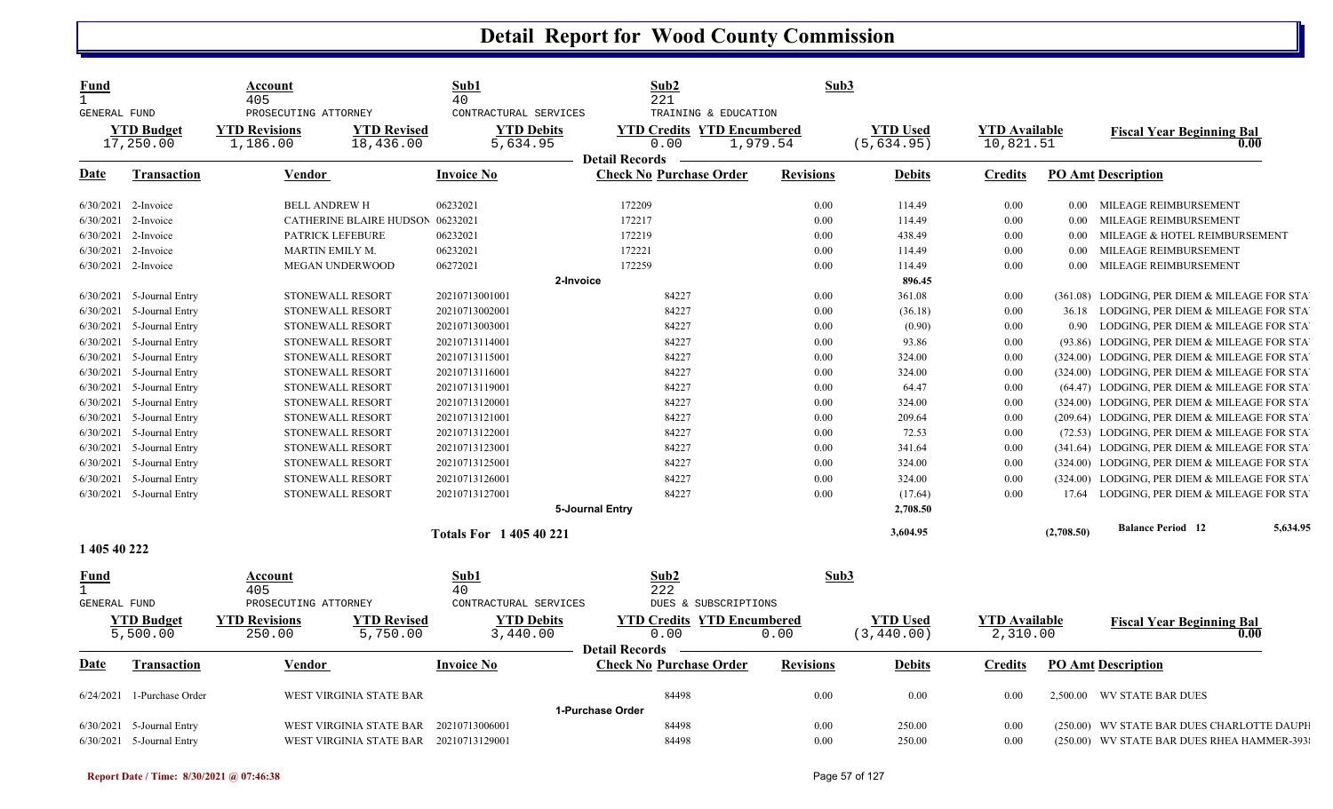| <b>Fund</b><br>$\mathbf{1}$ |                            | Account<br>405          |                                        | Sub1<br>40                  | Sub2<br>221                       | Sub3             |                 |                      |            |                                              |          |
|-----------------------------|----------------------------|-------------------------|----------------------------------------|-----------------------------|-----------------------------------|------------------|-----------------|----------------------|------------|----------------------------------------------|----------|
| <b>GENERAL FUND</b>         |                            | PROSECUTING ATTORNEY    |                                        | CONTRACTURAL SERVICES       | TRAINING & EDUCATION              |                  |                 |                      |            |                                              |          |
|                             | <b>YTD Budget</b>          | <b>YTD Revisions</b>    | <b>YTD Revised</b>                     | <b>YTD Debits</b>           | <b>YTD Credits YTD Encumbered</b> |                  | <b>YTD</b> Used | <b>YTD Available</b> |            | <b>Fiscal Year Beginning Bal</b>             |          |
|                             | 17,250.00                  | 1,186.00                | 18,436.00                              | 5,634.95                    | 0.00<br>1,979.54                  |                  | (5,634.95)      | 10,821.51            |            |                                              | 0.00     |
|                             |                            |                         |                                        |                             | <b>Detail Records</b>             |                  |                 |                      |            |                                              |          |
| Date                        | <b>Transaction</b>         | <b>Vendor</b>           |                                        | <b>Invoice No</b>           | <b>Check No Purchase Order</b>    | <b>Revisions</b> | <b>Debits</b>   | <b>Credits</b>       |            | <b>PO Amt Description</b>                    |          |
|                             | $6/30/2021$ 2-Invoice      | <b>BELL ANDREW H</b>    |                                        | 06232021                    | 172209                            | 0.00             | 114.49          | $0.00\,$             |            | 0.00 MILEAGE REIMBURSEMENT                   |          |
| 6/30/2021                   | 2-Invoice                  |                         | CATHERINE BLAIRE HUDSON 06232021       |                             | 172217                            | 0.00             | 114.49          | $0.00\,$             | $0.00\,$   | MILEAGE REIMBURSEMENT                        |          |
| 6/30/2021                   | 2-Invoice                  | PATRICK LEFEBURE        |                                        | 06232021                    | 172219                            | 0.00             | 438.49          | 0.00                 | 0.00       | MILEAGE & HOTEL REIMBURSEMENT                |          |
|                             | 6/30/2021 2-Invoice        | MARTIN EMILY M.         |                                        | 06232021                    | 172221                            | 0.00             | 114.49          | 0.00                 | 0.00       | MILEAGE REIMBURSEMENT                        |          |
|                             | 6/30/2021 2-Invoice        | <b>MEGAN UNDERWOOD</b>  |                                        | 06272021                    | 172259                            | 0.00             | 114.49          | $0.00\,$             | 0.00       | MILEAGE REIMBURSEMENT                        |          |
|                             |                            |                         |                                        | 2-Invoice                   |                                   |                  | 896.45          |                      |            |                                              |          |
|                             | 6/30/2021 5-Journal Entry  | STONEWALL RESORT        |                                        | 20210713001001              | 84227                             | 0.00             | 361.08          | 0.00                 |            | (361.08) LODGING, PER DIEM & MILEAGE FOR STA |          |
| 6/30/2021                   | 5-Journal Entry            | STONEWALL RESORT        |                                        | 20210713002001              | 84227                             | 0.00             | (36.18)         | 0.00                 |            | 36.18 LODGING, PER DIEM & MILEAGE FOR STA    |          |
| 6/30/2021                   | 5-Journal Entry            | STONEWALL RESORT        |                                        | 20210713003001              | 84227                             | 0.00             | (0.90)          | 0.00                 |            | 0.90 LODGING, PER DIEM & MILEAGE FOR STA     |          |
| 6/30/2021                   | 5-Journal Entry            | STONEWALL RESORT        |                                        | 20210713114001              | 84227                             | 0.00             | 93.86           | 0.00                 |            | (93.86) LODGING, PER DIEM & MILEAGE FOR STA  |          |
| 6/30/2021                   | 5-Journal Entry            | <b>STONEWALL RESORT</b> |                                        | 20210713115001              | 84227                             | 0.00             | 324.00          | 0.00                 |            | (324.00) LODGING, PER DIEM & MILEAGE FOR STA |          |
| 6/30/2021                   | 5-Journal Entry            | STONEWALL RESORT        |                                        | 20210713116001              | 84227                             | 0.00             | 324.00          | 0.00                 |            | (324.00) LODGING, PER DIEM & MILEAGE FOR STA |          |
| 6/30/2021                   | 5-Journal Entry            | STONEWALL RESORT        |                                        | 20210713119001              | 84227                             | 0.00             | 64.47           | 0.00                 |            | (64.47) LODGING, PER DIEM & MILEAGE FOR STA  |          |
| 6/30/2021                   | 5-Journal Entry            | STONEWALL RESORT        |                                        | 20210713120001              | 84227                             | 0.00             | 324.00          | 0.00                 |            | (324.00) LODGING, PER DIEM & MILEAGE FOR STA |          |
| 6/30/2021                   | 5-Journal Entry            | STONEWALL RESORT        |                                        | 20210713121001              | 84227                             | 0.00             | 209.64          | 0.00                 |            | (209.64) LODGING, PER DIEM & MILEAGE FOR STA |          |
| 6/30/2021                   | 5-Journal Entry            | STONEWALL RESORT        |                                        | 20210713122001              | 84227                             | 0.00             | 72.53           | 0.00                 |            | (72.53) LODGING, PER DIEM & MILEAGE FOR STA  |          |
| 6/30/2021                   | 5-Journal Entry            | STONEWALL RESORT        |                                        | 20210713123001              | 84227                             | 0.00             | 341.64          | 0.00                 |            | (341.64) LODGING, PER DIEM & MILEAGE FOR STA |          |
| 6/30/2021                   | 5-Journal Entry            | STONEWALL RESORT        |                                        | 20210713125001              | 84227                             | 0.00             | 324.00          | 0.00                 |            | (324.00) LODGING, PER DIEM & MILEAGE FOR STA |          |
| 6/30/2021                   | 5-Journal Entry            | STONEWALL RESORT        |                                        | 20210713126001              | 84227                             | 0.00             | 324.00          | 0.00                 |            | (324.00) LODGING, PER DIEM & MILEAGE FOR STA |          |
|                             | 6/30/2021 5-Journal Entry  | STONEWALL RESORT        |                                        | 20210713127001              | 84227                             | 0.00             | (17.64)         | 0.00                 |            | 17.64 LODGING, PER DIEM & MILEAGE FOR STA    |          |
|                             |                            |                         |                                        |                             | 5-Journal Entry                   |                  | 2,708.50        |                      |            |                                              |          |
|                             |                            |                         |                                        | <b>Totals For 140540221</b> |                                   |                  | 3,604.95        |                      | (2,708.50) | <b>Balance Period 12</b>                     | 5,634.95 |
| 1 405 40 222                |                            |                         |                                        |                             |                                   |                  |                 |                      |            |                                              |          |
| Fund                        |                            | <b>Account</b>          |                                        | Sub1                        | Sub2                              | Sub3             |                 |                      |            |                                              |          |
| $\mathbf{1}$                |                            | 405                     |                                        | 40                          | 222                               |                  |                 |                      |            |                                              |          |
| <b>GENERAL FUND</b>         |                            | PROSECUTING ATTORNEY    |                                        | CONTRACTURAL SERVICES       | DUES & SUBSCRIPTIONS              |                  |                 |                      |            |                                              |          |
|                             | <b>YTD Budget</b>          | <b>YTD Revisions</b>    | <b>YTD Revised</b>                     | <b>YTD Debits</b>           | <b>YTD Credits YTD Encumbered</b> |                  | <b>YTD Used</b> | <b>YTD Available</b> |            | <b>Fiscal Year Beginning Bal</b>             |          |
|                             | 5,500.00                   | 250.00                  | 5,750.00                               | 3,440.00                    | 0.00                              | 0.00             | (3, 440.00)     | 2,310.00             |            |                                              | 0.00     |
|                             |                            |                         |                                        |                             | <b>Detail Records</b>             |                  |                 |                      |            |                                              |          |
| Date                        | <b>Transaction</b>         | <b>Vendor</b>           |                                        | <b>Invoice No</b>           | <b>Check No Purchase Order</b>    | <b>Revisions</b> | <b>Debits</b>   | <b>Credits</b>       |            | <b>PO Amt Description</b>                    |          |
|                             | 6/24/2021 1-Purchase Order |                         | WEST VIRGINIA STATE BAR                |                             | 84498                             | 0.00             | 0.00            | 0.00                 |            | 2,500.00 WV STATE BAR DUES                   |          |
|                             |                            |                         |                                        |                             | 1-Purchase Order                  |                  |                 |                      |            |                                              |          |
| 6/30/2021                   | 5-Journal Entry            |                         | WEST VIRGINIA STATE BAR                | 20210713006001              | 84498                             | 0.00             | 250.00          | 0.00                 |            | (250.00) WV STATE BAR DUES CHARLOTTE DAUPH   |          |
|                             | 6/30/2021 5-Journal Entry  |                         | WEST VIRGINIA STATE BAR 20210713129001 |                             | 84498                             | 0.00             | 250.00          | 0.00                 |            | (250.00) WV STATE BAR DUES RHEA HAMMER-393   |          |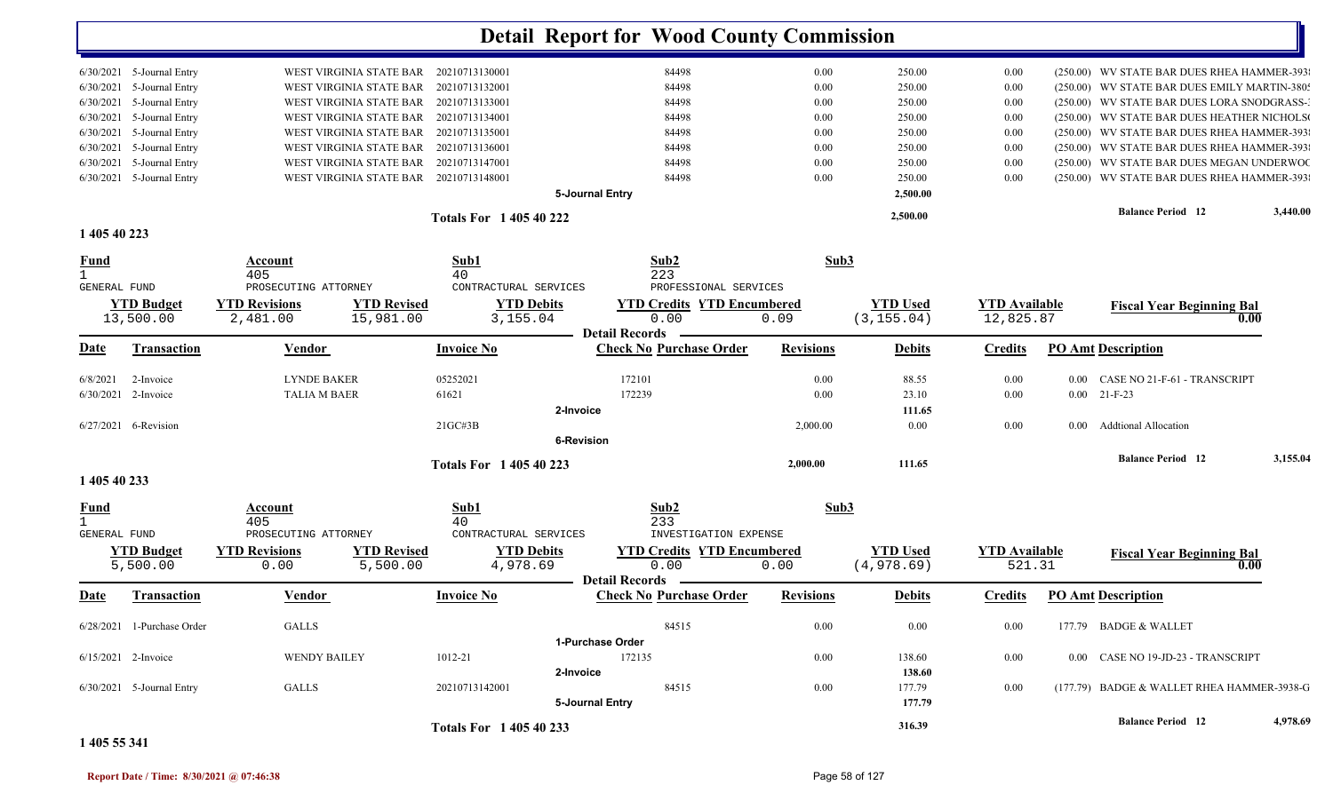|                       | 6/30/2021 5-Journal Entry  |                         | WEST VIRGINIA STATE BAR 20210713130001 |                             |                   | 84498                             | 0.00             | 250.00          | 0.00                 |          | (250.00) WV STATE BAR DUES RHEA HAMMER-393   |          |
|-----------------------|----------------------------|-------------------------|----------------------------------------|-----------------------------|-------------------|-----------------------------------|------------------|-----------------|----------------------|----------|----------------------------------------------|----------|
| 6/30/2021             | 5-Journal Entry            | WEST VIRGINIA STATE BAR |                                        | 20210713132001              |                   | 84498                             | 0.00             | 250.00          | 0.00                 |          | (250.00) WV STATE BAR DUES EMILY MARTIN-380: |          |
| 6/30/2021             | 5-Journal Entry            | WEST VIRGINIA STATE BAR |                                        | 20210713133001              |                   | 84498                             | 0.00             | 250.00          | 0.00                 |          | (250.00) WV STATE BAR DUES LORA SNODGRASS-   |          |
| 6/30/2021             | 5-Journal Entry            | WEST VIRGINIA STATE BAR |                                        | 20210713134001              |                   | 84498                             | 0.00             | 250.00          | 0.00                 |          | (250.00) WV STATE BAR DUES HEATHER NICHOLS   |          |
| 6/30/2021             | 5-Journal Entry            | WEST VIRGINIA STATE BAR |                                        | 20210713135001              |                   | 84498                             | 0.00             | 250.00          | 0.00                 |          | (250.00) WV STATE BAR DUES RHEA HAMMER-393   |          |
| 6/30/2021             | 5-Journal Entry            |                         | WEST VIRGINIA STATE BAR 20210713136001 |                             |                   | 84498                             | 0.00             | 250.00          | 0.00                 |          | (250.00) WV STATE BAR DUES RHEA HAMMER-393   |          |
| 6/30/2021             | 5-Journal Entry            | WEST VIRGINIA STATE BAR |                                        | 20210713147001              |                   | 84498                             | 0.00             | 250.00          | 0.00                 |          | (250.00) WV STATE BAR DUES MEGAN UNDERWOO    |          |
|                       | 6/30/2021 5-Journal Entry  |                         | WEST VIRGINIA STATE BAR 20210713148001 |                             |                   | 84498                             | 0.00             | 250.00          | 0.00                 |          | (250.00) WV STATE BAR DUES RHEA HAMMER-393   |          |
|                       |                            |                         |                                        |                             | 5-Journal Entry   |                                   |                  | 2,500.00        |                      |          |                                              |          |
|                       |                            |                         |                                        | <b>Totals For 140540222</b> |                   |                                   |                  | 2,500.00        |                      |          | <b>Balance Period</b> 12                     | 3,440.00 |
| 1 405 40 223          |                            |                         |                                        |                             |                   |                                   |                  |                 |                      |          |                                              |          |
| <u>Fund</u>           |                            | Account                 |                                        | Sub1                        |                   | Sub2                              | Sub3             |                 |                      |          |                                              |          |
| $\mathbf{1}$          |                            | 405                     |                                        | 40                          |                   | 223                               |                  |                 |                      |          |                                              |          |
| GENERAL FUND          |                            | PROSECUTING ATTORNEY    |                                        | CONTRACTURAL SERVICES       |                   | PROFESSIONAL SERVICES             |                  |                 |                      |          |                                              |          |
|                       | <b>YTD Budget</b>          | <b>YTD Revisions</b>    | <b>YTD Revised</b>                     |                             | <b>YTD Debits</b> | <b>YTD Credits YTD Encumbered</b> |                  | <b>YTD Used</b> | <b>YTD Available</b> |          | <b>Fiscal Year Beginning Bal</b>             |          |
|                       | 13,500.00                  | 2,481.00                | 15,981.00                              | 3,155.04                    |                   | 0.00                              | 0.09             | (3, 155.04)     | 12,825.87            |          | 0.00                                         |          |
|                       |                            |                         |                                        |                             |                   | <b>Detail Records</b>             |                  |                 |                      |          |                                              |          |
| <u>Date</u>           | Transaction                | Vendor                  |                                        | <b>Invoice No</b>           |                   | <b>Check No Purchase Order</b>    | <b>Revisions</b> | <b>Debits</b>   | <b>Credits</b>       |          | <b>PO Amt Description</b>                    |          |
| 6/8/2021              | 2-Invoice                  | <b>LYNDE BAKER</b>      |                                        | 05252021                    |                   | 172101                            | 0.00             | 88.55           | 0.00                 | $0.00\,$ | CASE NO 21-F-61 - TRANSCRIPT                 |          |
| 6/30/2021 2-Invoice   |                            | <b>TALIA M BAER</b>     |                                        | 61621                       |                   | 172239                            | 0.00             | 23.10           | 0.00                 |          | $0.00$ 21-F-23                               |          |
|                       |                            |                         |                                        |                             | 2-Invoice         |                                   |                  | 111.65          |                      |          |                                              |          |
|                       | 6/27/2021 6-Revision       |                         |                                        | $21G$ C#3B                  |                   |                                   | 2,000.00         | 0.00            | 0.00                 | $0.00 -$ | <b>Addtional Allocation</b>                  |          |
|                       |                            |                         |                                        |                             | <b>6-Revision</b> |                                   |                  |                 |                      |          |                                              |          |
|                       |                            |                         |                                        | <b>Totals For 140540223</b> |                   |                                   | 2.000.00         | 111.65          |                      |          | <b>Balance Period 12</b>                     | 3,155.04 |
| 1 405 40 233          |                            |                         |                                        |                             |                   |                                   |                  |                 |                      |          |                                              |          |
| <u>Fund</u>           |                            | <b>Account</b>          |                                        | Sub1                        |                   | Sub2                              | Sub3             |                 |                      |          |                                              |          |
| $\mathbf{1}$          |                            | 405                     |                                        | 40                          |                   | 233                               |                  |                 |                      |          |                                              |          |
| GENERAL FUND          |                            | PROSECUTING ATTORNEY    |                                        | CONTRACTURAL SERVICES       |                   | INVESTIGATION EXPENSE             |                  |                 |                      |          |                                              |          |
|                       | <b>YTD Budget</b>          | <b>YTD Revisions</b>    | <b>YTD Revised</b>                     |                             | <b>YTD Debits</b> | <b>YTD Credits YTD Encumbered</b> |                  | <b>YTD Used</b> | <b>YTD</b> Available |          | <b>Fiscal Year Beginning Bal</b>             |          |
|                       | 5,500.00                   | 0.00                    | 5,500.00                               | 4,978.69                    |                   | 0.00                              | 0.00             | (4,978.69)      | 521.31               |          | 0.00                                         |          |
|                       |                            |                         |                                        |                             |                   | - Detail Records                  |                  |                 |                      |          |                                              |          |
| Date                  | Transaction                | Vendor                  |                                        | <b>Invoice No</b>           |                   | <b>Check No Purchase Order</b>    | <b>Revisions</b> | <b>Debits</b>   | <b>Credits</b>       |          | <b>PO Amt Description</b>                    |          |
|                       | 6/28/2021 1-Purchase Order | <b>GALLS</b>            |                                        |                             |                   | 84515                             | 0.00             | 0.00            | 0.00                 | 177.79   | BADGE & WALLET                               |          |
|                       |                            |                         |                                        |                             | 1-Purchase Order  |                                   |                  |                 |                      |          |                                              |          |
| $6/15/2021$ 2-Invoice |                            | <b>WENDY BAILEY</b>     |                                        | 1012-21                     |                   | 172135                            | 0.00             | 138.60          | 0.00                 | $0.00\,$ | CASE NO 19-JD-23 - TRANSCRIPT                |          |
|                       |                            |                         |                                        |                             | 2-Invoice         |                                   |                  | 138.60          |                      |          |                                              |          |
|                       | 6/30/2021 5-Journal Entry  | <b>GALLS</b>            |                                        | 20210713142001              |                   | 84515                             | 0.00             | 177.79          | 0.00                 |          | (177.79) BADGE & WALLET RHEA HAMMER-3938-G   |          |
|                       |                            |                         |                                        |                             | 5-Journal Entry   |                                   |                  | 177.79          |                      |          |                                              |          |
|                       |                            |                         |                                        |                             |                   |                                   |                  |                 |                      |          | <b>Balance Period 12</b>                     | 4,978.69 |
|                       |                            |                         |                                        | <b>Totals For 140540233</b> |                   |                                   |                  | 316.39          |                      |          |                                              |          |

**1 405 55 341**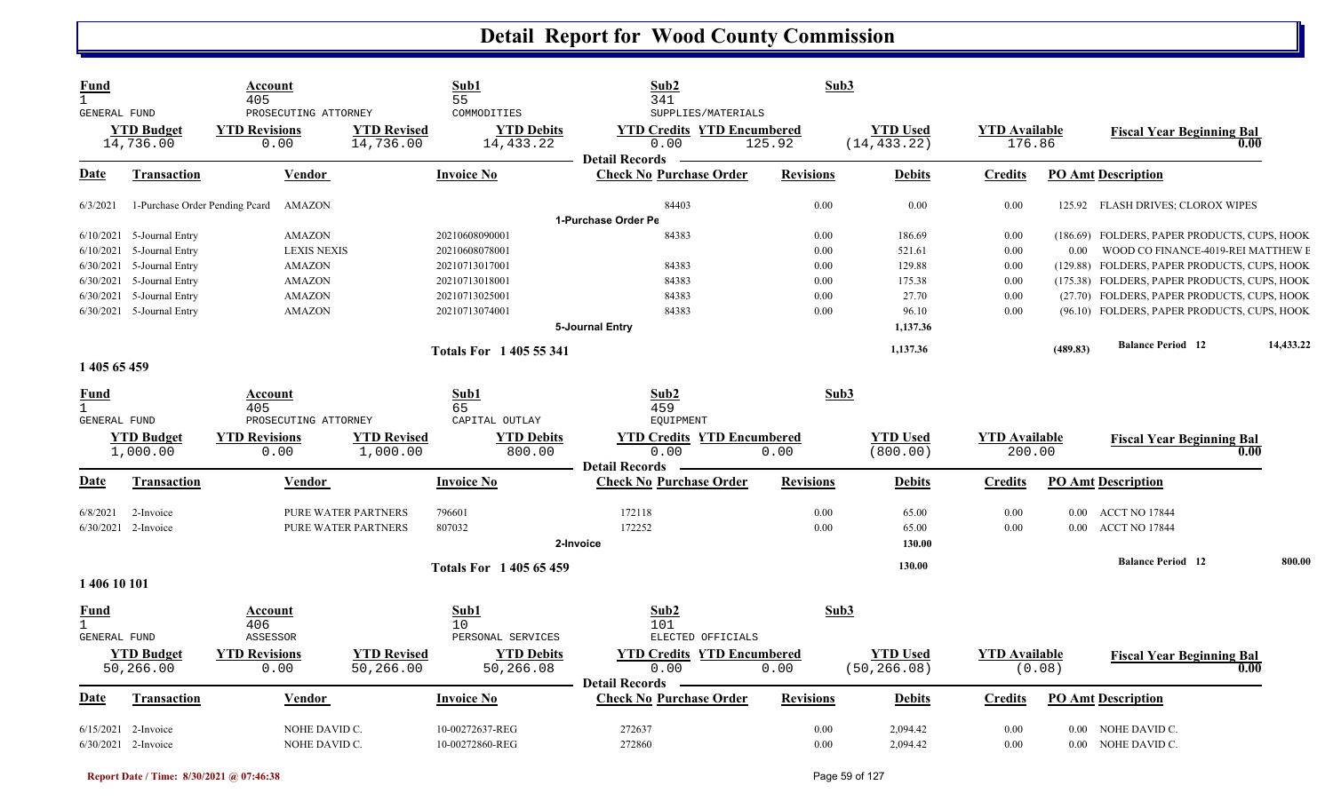| <b>YTD Used</b><br><b>YTD Budget</b><br><b>YTD Revisions</b><br><b>YTD Revised</b><br><b>YTD Debits</b><br><b>YTD Credits YTD Encumbered</b><br><b>YTD</b> Available<br><b>Fiscal Year Beginning Bal</b><br>14,736.00<br>14,433.22<br>125.92<br>(14, 433.22)<br>14,736.00<br>0.00<br>0.00<br>176.86<br>0.00<br><b>Detail Records</b><br><b>Check No Purchase Order</b><br><b>PO Amt Description</b><br>Date<br><b>Vendor</b><br>Invoice No<br><b>Revisions</b><br><b>Debits</b><br>Transaction<br>Credits<br>84403<br>0.00<br>1-Purchase Order Pending Peard<br>AMAZON<br>0.00<br>0.00<br>125.92 FLASH DRIVES; CLOROX WIPES<br>6/3/2021<br>1-Purchase Order Pe<br><b>AMAZON</b><br>20210608090001<br>84383<br>0.00<br>$6/10/2021$ 5-Journal Entry<br>186.69<br>0.00<br>(186.69) FOLDERS, PAPER PRODUCTS, CUPS, HOOK<br>$6/10/2021$ 5-Journal Entry<br><b>LEXIS NEXIS</b><br>20210608078001<br>0.00<br>521.61<br>0.00<br>WOOD CO FINANCE-4019-REI MATTHEW E<br>$0.00\,$<br>84383<br>$6/30/2021$ 5-Journal Entry<br><b>AMAZON</b><br>0.00<br>129.88<br>0.00<br>(129.88) FOLDERS, PAPER PRODUCTS, CUPS, HOOK<br>20210713017001<br>6/30/2021 5-Journal Entry<br><b>AMAZON</b><br>84383<br>0.00<br>175.38<br>(175.38) FOLDERS, PAPER PRODUCTS, CUPS, HOOK<br>20210713018001<br>0.00<br>6/30/2021 5-Journal Entry<br><b>AMAZON</b><br>20210713025001<br>84383<br>0.00<br>27.70<br>0.00<br>(27.70) FOLDERS, PAPER PRODUCTS, CUPS, HOOK<br><b>AMAZON</b><br>84383<br>0.00<br>0.00<br>6/30/2021 5-Journal Entry<br>20210713074001<br>96.10<br>(96.10) FOLDERS, PAPER PRODUCTS, CUPS, HOOK<br>5-Journal Entry<br>1,137.36<br><b>Balance Period 12</b><br>1,137.36<br>(489.83)<br><b>Totals For 1405 55 341</b><br>1 405 65 459<br>Sub2<br>Sub3<br>Sub1<br><b>Fund</b><br>Account<br>$\mathbf{1}$<br>65<br>459<br>405<br>GENERAL FUND<br>PROSECUTING ATTORNEY<br>CAPITAL OUTLAY<br>EQUIPMENT<br><b>YTD Debits</b><br><b>YTD Budget</b><br><b>YTD Revisions</b><br><b>YTD Revised</b><br><b>YTD Credits YTD Encumbered</b><br><b>YTD</b> Used<br><b>YTD Available</b><br><b>Fiscal Year Beginning Bal</b><br>1,000.00<br>0.00<br>0.00<br>200.00<br>1,000.00<br>0.00<br>800.00<br>(800.00)<br>0.00<br><b>Detail Records</b><br>Date<br><b>Transaction</b><br><b>Invoice No</b><br><b>Check No Purchase Order</b><br><b>Revisions</b><br><b>Debits</b><br><b>PO Amt Description</b><br>Vendor<br><b>Credits</b><br>PURE WATER PARTNERS<br>172118<br>0.00<br>65.00<br>0.00<br>6/8/2021<br>2-Invoice<br>796601<br>0.00 ACCT NO 17844<br>6/30/2021 2-Invoice<br>807032<br>172252<br>0.00<br>PURE WATER PARTNERS<br>65.00<br>0.00<br>0.00 ACCT NO 17844<br>2-Invoice<br>130.00<br><b>Balance Period 12</b><br>800.00<br>130.00<br><b>Totals For 140565459</b><br>1 406 10 101<br>Sub1<br>Sub2<br>Sub3<br>Fund<br>Account<br>$\mathbf{1}$<br>406<br>10<br>101<br>ASSESSOR<br>PERSONAL SERVICES<br>ELECTED OFFICIALS<br>GENERAL FUND<br><b>YTD Revised</b><br><b>YTD Budget</b><br><b>YTD Revisions</b><br><b>YTD Debits</b><br><b>YTD Credits YTD Encumbered</b><br><b>YTD Used</b><br><b>YTD</b> Available<br><b>Fiscal Year Beginning Bal</b><br>50,266.00<br>50,266.00<br>50,266.08<br>0.00<br>0.00<br>0.00<br>(50, 266.08)<br>(0.08)<br>0.00<br><b>Detail Records</b><br><b>Check No Purchase Order</b><br><b>PO Amt Description</b><br>Date<br><b>Transaction</b><br>Vendor<br><b>Invoice No</b><br><b>Revisions</b><br><b>Debits</b><br><b>Credits</b><br>272637<br>6/15/2021<br>NOHE DAVID C.<br>10-00272637-REG<br>0.00<br>2,094.42<br>0.00<br>NOHE DAVID C.<br>2-Invoice<br>$0.00\,$<br>6/30/2021 2-Invoice<br>NOHE DAVID C.<br>10-00272860-REG<br>272860<br>0.00<br>2.094.42<br>0.00<br>0.00 NOHE DAVID C. | Fund<br>$\mathbf{1}$<br>GENERAL FUND | Account<br>405<br>PROSECUTING ATTORNEY | Sub1<br>55<br>COMMODITIES | Sub2<br>341<br>SUPPLIES/MATERIALS | Sub3 |  |           |
|---------------------------------------------------------------------------------------------------------------------------------------------------------------------------------------------------------------------------------------------------------------------------------------------------------------------------------------------------------------------------------------------------------------------------------------------------------------------------------------------------------------------------------------------------------------------------------------------------------------------------------------------------------------------------------------------------------------------------------------------------------------------------------------------------------------------------------------------------------------------------------------------------------------------------------------------------------------------------------------------------------------------------------------------------------------------------------------------------------------------------------------------------------------------------------------------------------------------------------------------------------------------------------------------------------------------------------------------------------------------------------------------------------------------------------------------------------------------------------------------------------------------------------------------------------------------------------------------------------------------------------------------------------------------------------------------------------------------------------------------------------------------------------------------------------------------------------------------------------------------------------------------------------------------------------------------------------------------------------------------------------------------------------------------------------------------------------------------------------------------------------------------------------------------------------------------------------------------------------------------------------------------------------------------------------------------------------------------------------------------------------------------------------------------------------------------------------------------------------------------------------------------------------------------------------------------------------------------------------------------------------------------------------------------------------------------------------------------------------------------------------------------------------------------------------------------------------------------------------------------------------------------------------------------------------------------------------------------------------------------------------------------------------------------------------------------------------------------------------------------------------------------------------------------------------------------------------------------------------------------------------------------------------------------------------------------------------------------------------------------------------------------------------------------------------------------------------------------------------------------------------------------------------------------------------------------------------------------------------------------------------------------------------------------------------------------------|--------------------------------------|----------------------------------------|---------------------------|-----------------------------------|------|--|-----------|
|                                                                                                                                                                                                                                                                                                                                                                                                                                                                                                                                                                                                                                                                                                                                                                                                                                                                                                                                                                                                                                                                                                                                                                                                                                                                                                                                                                                                                                                                                                                                                                                                                                                                                                                                                                                                                                                                                                                                                                                                                                                                                                                                                                                                                                                                                                                                                                                                                                                                                                                                                                                                                                                                                                                                                                                                                                                                                                                                                                                                                                                                                                                                                                                                                                                                                                                                                                                                                                                                                                                                                                                                                                                                                                   |                                      |                                        |                           |                                   |      |  |           |
|                                                                                                                                                                                                                                                                                                                                                                                                                                                                                                                                                                                                                                                                                                                                                                                                                                                                                                                                                                                                                                                                                                                                                                                                                                                                                                                                                                                                                                                                                                                                                                                                                                                                                                                                                                                                                                                                                                                                                                                                                                                                                                                                                                                                                                                                                                                                                                                                                                                                                                                                                                                                                                                                                                                                                                                                                                                                                                                                                                                                                                                                                                                                                                                                                                                                                                                                                                                                                                                                                                                                                                                                                                                                                                   |                                      |                                        |                           |                                   |      |  |           |
|                                                                                                                                                                                                                                                                                                                                                                                                                                                                                                                                                                                                                                                                                                                                                                                                                                                                                                                                                                                                                                                                                                                                                                                                                                                                                                                                                                                                                                                                                                                                                                                                                                                                                                                                                                                                                                                                                                                                                                                                                                                                                                                                                                                                                                                                                                                                                                                                                                                                                                                                                                                                                                                                                                                                                                                                                                                                                                                                                                                                                                                                                                                                                                                                                                                                                                                                                                                                                                                                                                                                                                                                                                                                                                   |                                      |                                        |                           |                                   |      |  |           |
|                                                                                                                                                                                                                                                                                                                                                                                                                                                                                                                                                                                                                                                                                                                                                                                                                                                                                                                                                                                                                                                                                                                                                                                                                                                                                                                                                                                                                                                                                                                                                                                                                                                                                                                                                                                                                                                                                                                                                                                                                                                                                                                                                                                                                                                                                                                                                                                                                                                                                                                                                                                                                                                                                                                                                                                                                                                                                                                                                                                                                                                                                                                                                                                                                                                                                                                                                                                                                                                                                                                                                                                                                                                                                                   |                                      |                                        |                           |                                   |      |  |           |
|                                                                                                                                                                                                                                                                                                                                                                                                                                                                                                                                                                                                                                                                                                                                                                                                                                                                                                                                                                                                                                                                                                                                                                                                                                                                                                                                                                                                                                                                                                                                                                                                                                                                                                                                                                                                                                                                                                                                                                                                                                                                                                                                                                                                                                                                                                                                                                                                                                                                                                                                                                                                                                                                                                                                                                                                                                                                                                                                                                                                                                                                                                                                                                                                                                                                                                                                                                                                                                                                                                                                                                                                                                                                                                   |                                      |                                        |                           |                                   |      |  |           |
|                                                                                                                                                                                                                                                                                                                                                                                                                                                                                                                                                                                                                                                                                                                                                                                                                                                                                                                                                                                                                                                                                                                                                                                                                                                                                                                                                                                                                                                                                                                                                                                                                                                                                                                                                                                                                                                                                                                                                                                                                                                                                                                                                                                                                                                                                                                                                                                                                                                                                                                                                                                                                                                                                                                                                                                                                                                                                                                                                                                                                                                                                                                                                                                                                                                                                                                                                                                                                                                                                                                                                                                                                                                                                                   |                                      |                                        |                           |                                   |      |  |           |
|                                                                                                                                                                                                                                                                                                                                                                                                                                                                                                                                                                                                                                                                                                                                                                                                                                                                                                                                                                                                                                                                                                                                                                                                                                                                                                                                                                                                                                                                                                                                                                                                                                                                                                                                                                                                                                                                                                                                                                                                                                                                                                                                                                                                                                                                                                                                                                                                                                                                                                                                                                                                                                                                                                                                                                                                                                                                                                                                                                                                                                                                                                                                                                                                                                                                                                                                                                                                                                                                                                                                                                                                                                                                                                   |                                      |                                        |                           |                                   |      |  |           |
|                                                                                                                                                                                                                                                                                                                                                                                                                                                                                                                                                                                                                                                                                                                                                                                                                                                                                                                                                                                                                                                                                                                                                                                                                                                                                                                                                                                                                                                                                                                                                                                                                                                                                                                                                                                                                                                                                                                                                                                                                                                                                                                                                                                                                                                                                                                                                                                                                                                                                                                                                                                                                                                                                                                                                                                                                                                                                                                                                                                                                                                                                                                                                                                                                                                                                                                                                                                                                                                                                                                                                                                                                                                                                                   |                                      |                                        |                           |                                   |      |  |           |
|                                                                                                                                                                                                                                                                                                                                                                                                                                                                                                                                                                                                                                                                                                                                                                                                                                                                                                                                                                                                                                                                                                                                                                                                                                                                                                                                                                                                                                                                                                                                                                                                                                                                                                                                                                                                                                                                                                                                                                                                                                                                                                                                                                                                                                                                                                                                                                                                                                                                                                                                                                                                                                                                                                                                                                                                                                                                                                                                                                                                                                                                                                                                                                                                                                                                                                                                                                                                                                                                                                                                                                                                                                                                                                   |                                      |                                        |                           |                                   |      |  |           |
|                                                                                                                                                                                                                                                                                                                                                                                                                                                                                                                                                                                                                                                                                                                                                                                                                                                                                                                                                                                                                                                                                                                                                                                                                                                                                                                                                                                                                                                                                                                                                                                                                                                                                                                                                                                                                                                                                                                                                                                                                                                                                                                                                                                                                                                                                                                                                                                                                                                                                                                                                                                                                                                                                                                                                                                                                                                                                                                                                                                                                                                                                                                                                                                                                                                                                                                                                                                                                                                                                                                                                                                                                                                                                                   |                                      |                                        |                           |                                   |      |  |           |
|                                                                                                                                                                                                                                                                                                                                                                                                                                                                                                                                                                                                                                                                                                                                                                                                                                                                                                                                                                                                                                                                                                                                                                                                                                                                                                                                                                                                                                                                                                                                                                                                                                                                                                                                                                                                                                                                                                                                                                                                                                                                                                                                                                                                                                                                                                                                                                                                                                                                                                                                                                                                                                                                                                                                                                                                                                                                                                                                                                                                                                                                                                                                                                                                                                                                                                                                                                                                                                                                                                                                                                                                                                                                                                   |                                      |                                        |                           |                                   |      |  |           |
|                                                                                                                                                                                                                                                                                                                                                                                                                                                                                                                                                                                                                                                                                                                                                                                                                                                                                                                                                                                                                                                                                                                                                                                                                                                                                                                                                                                                                                                                                                                                                                                                                                                                                                                                                                                                                                                                                                                                                                                                                                                                                                                                                                                                                                                                                                                                                                                                                                                                                                                                                                                                                                                                                                                                                                                                                                                                                                                                                                                                                                                                                                                                                                                                                                                                                                                                                                                                                                                                                                                                                                                                                                                                                                   |                                      |                                        |                           |                                   |      |  | 14,433.22 |
|                                                                                                                                                                                                                                                                                                                                                                                                                                                                                                                                                                                                                                                                                                                                                                                                                                                                                                                                                                                                                                                                                                                                                                                                                                                                                                                                                                                                                                                                                                                                                                                                                                                                                                                                                                                                                                                                                                                                                                                                                                                                                                                                                                                                                                                                                                                                                                                                                                                                                                                                                                                                                                                                                                                                                                                                                                                                                                                                                                                                                                                                                                                                                                                                                                                                                                                                                                                                                                                                                                                                                                                                                                                                                                   |                                      |                                        |                           |                                   |      |  |           |
|                                                                                                                                                                                                                                                                                                                                                                                                                                                                                                                                                                                                                                                                                                                                                                                                                                                                                                                                                                                                                                                                                                                                                                                                                                                                                                                                                                                                                                                                                                                                                                                                                                                                                                                                                                                                                                                                                                                                                                                                                                                                                                                                                                                                                                                                                                                                                                                                                                                                                                                                                                                                                                                                                                                                                                                                                                                                                                                                                                                                                                                                                                                                                                                                                                                                                                                                                                                                                                                                                                                                                                                                                                                                                                   |                                      |                                        |                           |                                   |      |  |           |
|                                                                                                                                                                                                                                                                                                                                                                                                                                                                                                                                                                                                                                                                                                                                                                                                                                                                                                                                                                                                                                                                                                                                                                                                                                                                                                                                                                                                                                                                                                                                                                                                                                                                                                                                                                                                                                                                                                                                                                                                                                                                                                                                                                                                                                                                                                                                                                                                                                                                                                                                                                                                                                                                                                                                                                                                                                                                                                                                                                                                                                                                                                                                                                                                                                                                                                                                                                                                                                                                                                                                                                                                                                                                                                   |                                      |                                        |                           |                                   |      |  |           |
|                                                                                                                                                                                                                                                                                                                                                                                                                                                                                                                                                                                                                                                                                                                                                                                                                                                                                                                                                                                                                                                                                                                                                                                                                                                                                                                                                                                                                                                                                                                                                                                                                                                                                                                                                                                                                                                                                                                                                                                                                                                                                                                                                                                                                                                                                                                                                                                                                                                                                                                                                                                                                                                                                                                                                                                                                                                                                                                                                                                                                                                                                                                                                                                                                                                                                                                                                                                                                                                                                                                                                                                                                                                                                                   |                                      |                                        |                           |                                   |      |  |           |
|                                                                                                                                                                                                                                                                                                                                                                                                                                                                                                                                                                                                                                                                                                                                                                                                                                                                                                                                                                                                                                                                                                                                                                                                                                                                                                                                                                                                                                                                                                                                                                                                                                                                                                                                                                                                                                                                                                                                                                                                                                                                                                                                                                                                                                                                                                                                                                                                                                                                                                                                                                                                                                                                                                                                                                                                                                                                                                                                                                                                                                                                                                                                                                                                                                                                                                                                                                                                                                                                                                                                                                                                                                                                                                   |                                      |                                        |                           |                                   |      |  |           |
|                                                                                                                                                                                                                                                                                                                                                                                                                                                                                                                                                                                                                                                                                                                                                                                                                                                                                                                                                                                                                                                                                                                                                                                                                                                                                                                                                                                                                                                                                                                                                                                                                                                                                                                                                                                                                                                                                                                                                                                                                                                                                                                                                                                                                                                                                                                                                                                                                                                                                                                                                                                                                                                                                                                                                                                                                                                                                                                                                                                                                                                                                                                                                                                                                                                                                                                                                                                                                                                                                                                                                                                                                                                                                                   |                                      |                                        |                           |                                   |      |  |           |
|                                                                                                                                                                                                                                                                                                                                                                                                                                                                                                                                                                                                                                                                                                                                                                                                                                                                                                                                                                                                                                                                                                                                                                                                                                                                                                                                                                                                                                                                                                                                                                                                                                                                                                                                                                                                                                                                                                                                                                                                                                                                                                                                                                                                                                                                                                                                                                                                                                                                                                                                                                                                                                                                                                                                                                                                                                                                                                                                                                                                                                                                                                                                                                                                                                                                                                                                                                                                                                                                                                                                                                                                                                                                                                   |                                      |                                        |                           |                                   |      |  |           |
|                                                                                                                                                                                                                                                                                                                                                                                                                                                                                                                                                                                                                                                                                                                                                                                                                                                                                                                                                                                                                                                                                                                                                                                                                                                                                                                                                                                                                                                                                                                                                                                                                                                                                                                                                                                                                                                                                                                                                                                                                                                                                                                                                                                                                                                                                                                                                                                                                                                                                                                                                                                                                                                                                                                                                                                                                                                                                                                                                                                                                                                                                                                                                                                                                                                                                                                                                                                                                                                                                                                                                                                                                                                                                                   |                                      |                                        |                           |                                   |      |  |           |
|                                                                                                                                                                                                                                                                                                                                                                                                                                                                                                                                                                                                                                                                                                                                                                                                                                                                                                                                                                                                                                                                                                                                                                                                                                                                                                                                                                                                                                                                                                                                                                                                                                                                                                                                                                                                                                                                                                                                                                                                                                                                                                                                                                                                                                                                                                                                                                                                                                                                                                                                                                                                                                                                                                                                                                                                                                                                                                                                                                                                                                                                                                                                                                                                                                                                                                                                                                                                                                                                                                                                                                                                                                                                                                   |                                      |                                        |                           |                                   |      |  |           |
|                                                                                                                                                                                                                                                                                                                                                                                                                                                                                                                                                                                                                                                                                                                                                                                                                                                                                                                                                                                                                                                                                                                                                                                                                                                                                                                                                                                                                                                                                                                                                                                                                                                                                                                                                                                                                                                                                                                                                                                                                                                                                                                                                                                                                                                                                                                                                                                                                                                                                                                                                                                                                                                                                                                                                                                                                                                                                                                                                                                                                                                                                                                                                                                                                                                                                                                                                                                                                                                                                                                                                                                                                                                                                                   |                                      |                                        |                           |                                   |      |  |           |
|                                                                                                                                                                                                                                                                                                                                                                                                                                                                                                                                                                                                                                                                                                                                                                                                                                                                                                                                                                                                                                                                                                                                                                                                                                                                                                                                                                                                                                                                                                                                                                                                                                                                                                                                                                                                                                                                                                                                                                                                                                                                                                                                                                                                                                                                                                                                                                                                                                                                                                                                                                                                                                                                                                                                                                                                                                                                                                                                                                                                                                                                                                                                                                                                                                                                                                                                                                                                                                                                                                                                                                                                                                                                                                   |                                      |                                        |                           |                                   |      |  |           |
|                                                                                                                                                                                                                                                                                                                                                                                                                                                                                                                                                                                                                                                                                                                                                                                                                                                                                                                                                                                                                                                                                                                                                                                                                                                                                                                                                                                                                                                                                                                                                                                                                                                                                                                                                                                                                                                                                                                                                                                                                                                                                                                                                                                                                                                                                                                                                                                                                                                                                                                                                                                                                                                                                                                                                                                                                                                                                                                                                                                                                                                                                                                                                                                                                                                                                                                                                                                                                                                                                                                                                                                                                                                                                                   |                                      |                                        |                           |                                   |      |  |           |
|                                                                                                                                                                                                                                                                                                                                                                                                                                                                                                                                                                                                                                                                                                                                                                                                                                                                                                                                                                                                                                                                                                                                                                                                                                                                                                                                                                                                                                                                                                                                                                                                                                                                                                                                                                                                                                                                                                                                                                                                                                                                                                                                                                                                                                                                                                                                                                                                                                                                                                                                                                                                                                                                                                                                                                                                                                                                                                                                                                                                                                                                                                                                                                                                                                                                                                                                                                                                                                                                                                                                                                                                                                                                                                   |                                      |                                        |                           |                                   |      |  |           |
|                                                                                                                                                                                                                                                                                                                                                                                                                                                                                                                                                                                                                                                                                                                                                                                                                                                                                                                                                                                                                                                                                                                                                                                                                                                                                                                                                                                                                                                                                                                                                                                                                                                                                                                                                                                                                                                                                                                                                                                                                                                                                                                                                                                                                                                                                                                                                                                                                                                                                                                                                                                                                                                                                                                                                                                                                                                                                                                                                                                                                                                                                                                                                                                                                                                                                                                                                                                                                                                                                                                                                                                                                                                                                                   |                                      |                                        |                           |                                   |      |  |           |
|                                                                                                                                                                                                                                                                                                                                                                                                                                                                                                                                                                                                                                                                                                                                                                                                                                                                                                                                                                                                                                                                                                                                                                                                                                                                                                                                                                                                                                                                                                                                                                                                                                                                                                                                                                                                                                                                                                                                                                                                                                                                                                                                                                                                                                                                                                                                                                                                                                                                                                                                                                                                                                                                                                                                                                                                                                                                                                                                                                                                                                                                                                                                                                                                                                                                                                                                                                                                                                                                                                                                                                                                                                                                                                   |                                      |                                        |                           |                                   |      |  |           |
|                                                                                                                                                                                                                                                                                                                                                                                                                                                                                                                                                                                                                                                                                                                                                                                                                                                                                                                                                                                                                                                                                                                                                                                                                                                                                                                                                                                                                                                                                                                                                                                                                                                                                                                                                                                                                                                                                                                                                                                                                                                                                                                                                                                                                                                                                                                                                                                                                                                                                                                                                                                                                                                                                                                                                                                                                                                                                                                                                                                                                                                                                                                                                                                                                                                                                                                                                                                                                                                                                                                                                                                                                                                                                                   |                                      |                                        |                           |                                   |      |  |           |
|                                                                                                                                                                                                                                                                                                                                                                                                                                                                                                                                                                                                                                                                                                                                                                                                                                                                                                                                                                                                                                                                                                                                                                                                                                                                                                                                                                                                                                                                                                                                                                                                                                                                                                                                                                                                                                                                                                                                                                                                                                                                                                                                                                                                                                                                                                                                                                                                                                                                                                                                                                                                                                                                                                                                                                                                                                                                                                                                                                                                                                                                                                                                                                                                                                                                                                                                                                                                                                                                                                                                                                                                                                                                                                   |                                      |                                        |                           |                                   |      |  |           |
|                                                                                                                                                                                                                                                                                                                                                                                                                                                                                                                                                                                                                                                                                                                                                                                                                                                                                                                                                                                                                                                                                                                                                                                                                                                                                                                                                                                                                                                                                                                                                                                                                                                                                                                                                                                                                                                                                                                                                                                                                                                                                                                                                                                                                                                                                                                                                                                                                                                                                                                                                                                                                                                                                                                                                                                                                                                                                                                                                                                                                                                                                                                                                                                                                                                                                                                                                                                                                                                                                                                                                                                                                                                                                                   |                                      |                                        |                           |                                   |      |  |           |
|                                                                                                                                                                                                                                                                                                                                                                                                                                                                                                                                                                                                                                                                                                                                                                                                                                                                                                                                                                                                                                                                                                                                                                                                                                                                                                                                                                                                                                                                                                                                                                                                                                                                                                                                                                                                                                                                                                                                                                                                                                                                                                                                                                                                                                                                                                                                                                                                                                                                                                                                                                                                                                                                                                                                                                                                                                                                                                                                                                                                                                                                                                                                                                                                                                                                                                                                                                                                                                                                                                                                                                                                                                                                                                   |                                      |                                        |                           |                                   |      |  |           |
|                                                                                                                                                                                                                                                                                                                                                                                                                                                                                                                                                                                                                                                                                                                                                                                                                                                                                                                                                                                                                                                                                                                                                                                                                                                                                                                                                                                                                                                                                                                                                                                                                                                                                                                                                                                                                                                                                                                                                                                                                                                                                                                                                                                                                                                                                                                                                                                                                                                                                                                                                                                                                                                                                                                                                                                                                                                                                                                                                                                                                                                                                                                                                                                                                                                                                                                                                                                                                                                                                                                                                                                                                                                                                                   |                                      |                                        |                           |                                   |      |  |           |
|                                                                                                                                                                                                                                                                                                                                                                                                                                                                                                                                                                                                                                                                                                                                                                                                                                                                                                                                                                                                                                                                                                                                                                                                                                                                                                                                                                                                                                                                                                                                                                                                                                                                                                                                                                                                                                                                                                                                                                                                                                                                                                                                                                                                                                                                                                                                                                                                                                                                                                                                                                                                                                                                                                                                                                                                                                                                                                                                                                                                                                                                                                                                                                                                                                                                                                                                                                                                                                                                                                                                                                                                                                                                                                   |                                      |                                        |                           |                                   |      |  |           |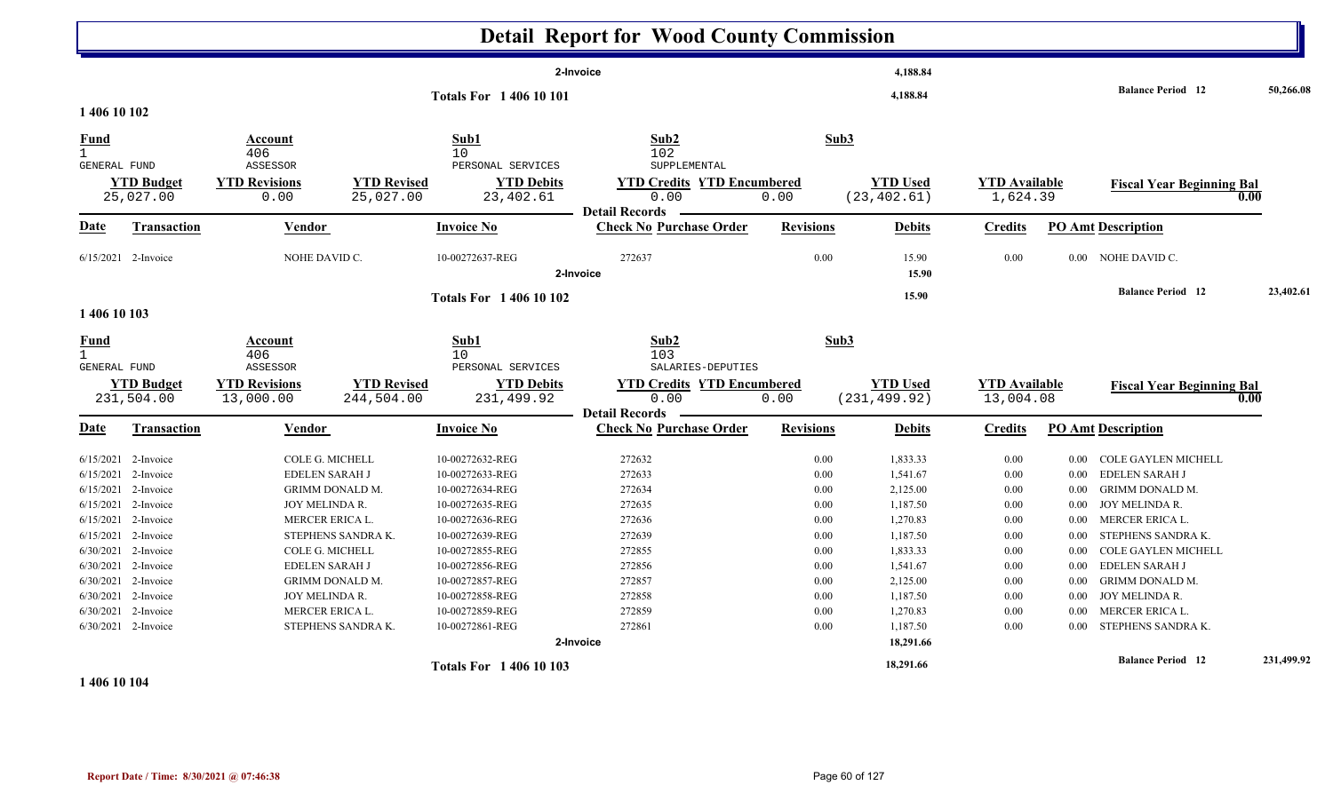|                                                               |                                                                                                                                                                                        |                                                                                                                                             |                                                          |                                                                                                                                                                                            | <b>Detail Report for Wood County Commission</b>                                                  |                                                                              |                                                                                                                      |                                                                                      |                                                                                                  |                                                                                                                                                                                                                        |            |
|---------------------------------------------------------------|----------------------------------------------------------------------------------------------------------------------------------------------------------------------------------------|---------------------------------------------------------------------------------------------------------------------------------------------|----------------------------------------------------------|--------------------------------------------------------------------------------------------------------------------------------------------------------------------------------------------|--------------------------------------------------------------------------------------------------|------------------------------------------------------------------------------|----------------------------------------------------------------------------------------------------------------------|--------------------------------------------------------------------------------------|--------------------------------------------------------------------------------------------------|------------------------------------------------------------------------------------------------------------------------------------------------------------------------------------------------------------------------|------------|
|                                                               |                                                                                                                                                                                        |                                                                                                                                             |                                                          | 2-Invoice<br><b>Totals For 140610101</b>                                                                                                                                                   | 4,188.84<br>4,188.84                                                                             |                                                                              |                                                                                                                      | <b>Balance Period 12</b>                                                             | 50,266.08                                                                                        |                                                                                                                                                                                                                        |            |
| 1 406 10 102                                                  |                                                                                                                                                                                        |                                                                                                                                             |                                                          |                                                                                                                                                                                            |                                                                                                  |                                                                              |                                                                                                                      |                                                                                      |                                                                                                  |                                                                                                                                                                                                                        |            |
| <b>Fund</b><br>$\mathbf{1}$<br>GENERAL FUND                   | <b>YTD Budget</b>                                                                                                                                                                      | Account<br>406<br>ASSESSOR<br><b>YTD Revisions</b>                                                                                          | <b>YTD Revised</b>                                       | Sub1<br>10<br>PERSONAL SERVICES<br><b>YTD Debits</b>                                                                                                                                       | Sub2<br>102<br>SUPPLEMENTAL<br><b>YTD Credits YTD Encumbered</b>                                 | Sub3                                                                         | <b>YTD Used</b>                                                                                                      | <b>YTD Available</b>                                                                 |                                                                                                  |                                                                                                                                                                                                                        |            |
|                                                               | 25,027.00                                                                                                                                                                              | 0.00                                                                                                                                        | 25,027.00                                                | 23,402.61                                                                                                                                                                                  | 0.00                                                                                             | 0.00                                                                         | (23, 402.61)                                                                                                         | 1,624.39                                                                             |                                                                                                  | <b>Fiscal Year Beginning Bal</b><br>0.00                                                                                                                                                                               |            |
| Date                                                          | <b>Transaction</b>                                                                                                                                                                     | <b>Vendor</b>                                                                                                                               |                                                          | <b>Invoice No</b>                                                                                                                                                                          | <b>Detail Records</b><br><b>Check No Purchase Order</b>                                          | <b>Revisions</b>                                                             | <b>Debits</b>                                                                                                        | <b>Credits</b>                                                                       |                                                                                                  | <b>PO Amt Description</b>                                                                                                                                                                                              |            |
|                                                               | $6/15/2021$ 2-Invoice                                                                                                                                                                  | NOHE DAVID C.                                                                                                                               |                                                          | 10-00272637-REG                                                                                                                                                                            | 272637<br>2-Invoice                                                                              | 0.00                                                                         | 15.90<br>15.90                                                                                                       | 0.00                                                                                 |                                                                                                  | 0.00 NOHE DAVID C.                                                                                                                                                                                                     |            |
|                                                               |                                                                                                                                                                                        |                                                                                                                                             |                                                          | <b>Totals For 140610102</b>                                                                                                                                                                |                                                                                                  |                                                                              | 15.90                                                                                                                |                                                                                      |                                                                                                  | <b>Balance Period 12</b>                                                                                                                                                                                               | 23,402.61  |
| 1 406 10 103                                                  |                                                                                                                                                                                        |                                                                                                                                             |                                                          |                                                                                                                                                                                            |                                                                                                  |                                                                              |                                                                                                                      |                                                                                      |                                                                                                  |                                                                                                                                                                                                                        |            |
| <b>Fund</b><br>$\mathbf{1}$<br><b>GENERAL FUND</b>            |                                                                                                                                                                                        | Account<br>406<br>ASSESSOR                                                                                                                  |                                                          | Sub1<br>10<br>PERSONAL SERVICES                                                                                                                                                            | Sub2<br>103<br>SALARIES-DEPUTIES                                                                 | Sub3                                                                         |                                                                                                                      |                                                                                      |                                                                                                  |                                                                                                                                                                                                                        |            |
|                                                               | <b>YTD Budget</b><br>231,504.00                                                                                                                                                        | <b>YTD Revisions</b><br>13,000.00                                                                                                           | <b>YTD Revised</b><br>244,504.00                         | <b>YTD Debits</b><br>231,499.92                                                                                                                                                            | <b>YTD Credits YTD Encumbered</b><br>0.00                                                        | 0.00                                                                         | <b>YTD Used</b><br>(231, 499.92)                                                                                     | <b>YTD Available</b><br>13,004.08                                                    |                                                                                                  | <b>Fiscal Year Beginning Bal</b><br>0.00                                                                                                                                                                               |            |
| Date                                                          | Transaction                                                                                                                                                                            | <b>Vendor</b>                                                                                                                               |                                                          | <b>Invoice No</b>                                                                                                                                                                          | <b>Detail Records</b><br><b>Check No Purchase Order</b>                                          | <b>Revisions</b>                                                             | <b>Debits</b>                                                                                                        | <b>Credits</b>                                                                       |                                                                                                  | <b>PO Amt Description</b>                                                                                                                                                                                              |            |
| 6/15/2021<br>6/15/2021<br>6/15/2021<br>6/30/2021<br>6/30/2021 | $6/15/2021$ 2-Invoice<br>2-Invoice<br>2-Invoice<br>$6/15/2021$ 2-Invoice<br>$6/15/2021$ 2-Invoice<br>2-Invoice<br>2-Invoice<br>6/30/2021 2-Invoice<br>6/30/2021 2-Invoice<br>2-Invoice | COLE G. MICHELL<br><b>EDELEN SARAH J</b><br>JOY MELINDA R.<br><b>MERCER ERICA L.</b><br>COLE G. MICHELL<br>EDELEN SARAH J<br>JOY MELINDA R. | GRIMM DONALD M.<br>STEPHENS SANDRA K.<br>GRIMM DONALD M. | 10-00272632-REG<br>10-00272633-REG<br>10-00272634-REG<br>10-00272635-REG<br>10-00272636-REG<br>10-00272639-REG<br>10-00272855-REG<br>10-00272856-REG<br>10-00272857-REG<br>10-00272858-REG | 272632<br>272633<br>272634<br>272635<br>272636<br>272639<br>272855<br>272856<br>272857<br>272858 | 0.00<br>0.00<br>0.00<br>0.00<br>0.00<br>0.00<br>0.00<br>0.00<br>0.00<br>0.00 | 1,833.33<br>1,541.67<br>2,125.00<br>1,187.50<br>1,270.83<br>1,187.50<br>1,833.33<br>1,541.67<br>2,125.00<br>1,187.50 | 0.00<br>0.00<br>0.00<br>0.00<br>$0.00\,$<br>$0.00\,$<br>0.00<br>0.00<br>0.00<br>0.00 | $0.00\,$<br>$0.00\,$<br>$0.00\,$<br>$0.00\,$<br>$0.00\,$<br>0.00<br>0.00<br>0.00<br>0.00<br>0.00 | COLE GAYLEN MICHELL<br><b>EDELEN SARAH J</b><br><b>GRIMM DONALD M.</b><br>JOY MELINDA R.<br>MERCER ERICA L.<br>STEPHENS SANDRA K.<br>COLE GAYLEN MICHELL<br>EDELEN SARAH J<br><b>GRIMM DONALD M.</b><br>JOY MELINDA R. |            |
|                                                               | 6/30/2021 2-Invoice<br>$6/30/2021$ 2-Invoice                                                                                                                                           | MERCER ERICA L.                                                                                                                             | STEPHENS SANDRA K.                                       | 10-00272859-REG<br>10-00272861-REG                                                                                                                                                         | 272859<br>272861                                                                                 | 0.00<br>0.00                                                                 | 1,270.83<br>1,187.50                                                                                                 | 0.00<br>0.00                                                                         | 0.00                                                                                             | MERCER ERICA L.<br>0.00 STEPHENS SANDRA K.                                                                                                                                                                             |            |
|                                                               |                                                                                                                                                                                        |                                                                                                                                             |                                                          |                                                                                                                                                                                            | 2-Invoice                                                                                        |                                                                              | 18,291.66                                                                                                            |                                                                                      |                                                                                                  | <b>Balance Period</b> 12                                                                                                                                                                                               | 231,499.92 |
|                                                               |                                                                                                                                                                                        |                                                                                                                                             |                                                          | <b>Totals For 1 406 10 103</b>                                                                                                                                                             |                                                                                                  |                                                                              | 18,291.66                                                                                                            |                                                                                      |                                                                                                  |                                                                                                                                                                                                                        |            |

#### **1 406 10 104**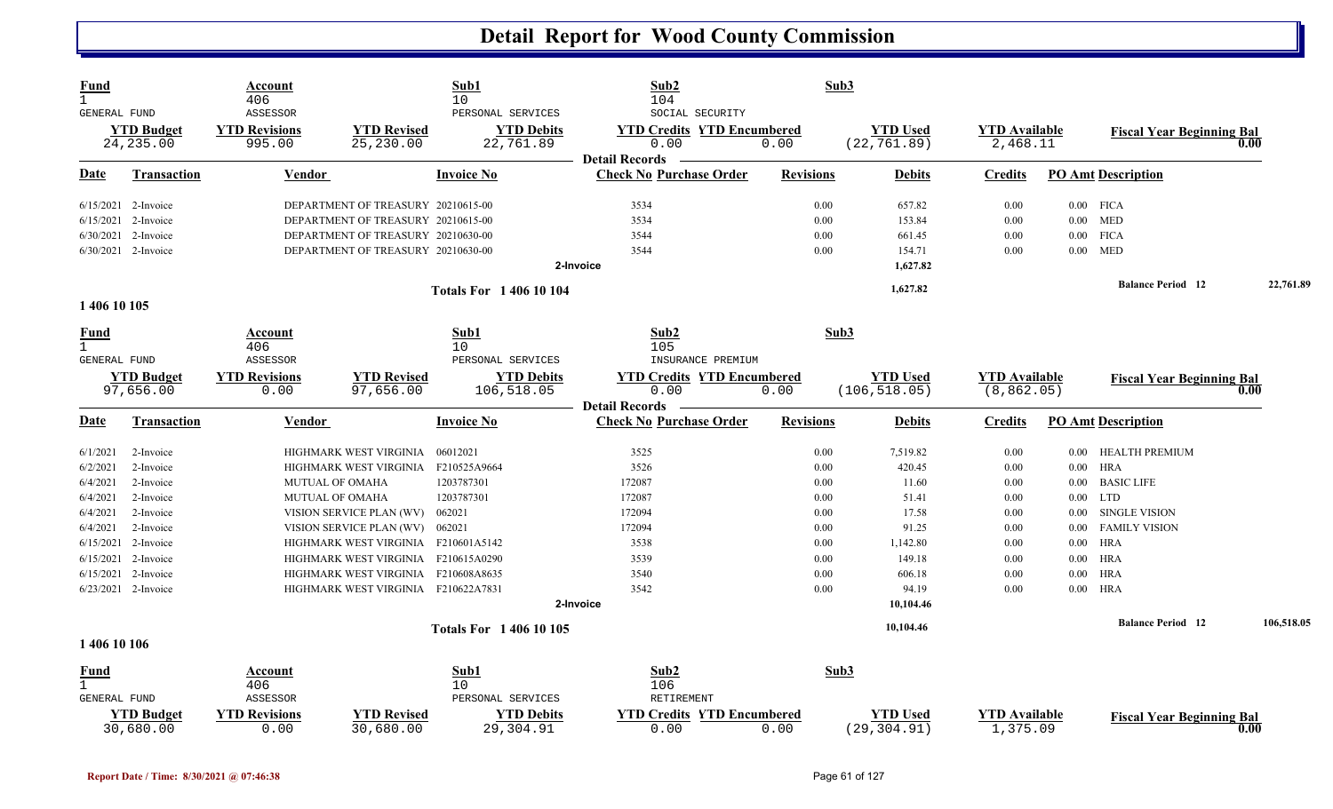| <b>Fund</b><br>$\mathbf{1}$<br><b>GENERAL FUND</b> |                                 | Account<br>406<br>ASSESSOR     |                                     | Sub1<br>10<br>PERSONAL SERVICES | Sub2<br>104<br>SOCIAL SECURITY                                     | Sub3             |                                 |                                  |          |                                  |            |
|----------------------------------------------------|---------------------------------|--------------------------------|-------------------------------------|---------------------------------|--------------------------------------------------------------------|------------------|---------------------------------|----------------------------------|----------|----------------------------------|------------|
|                                                    | <b>YTD Budget</b><br>24, 235.00 | <b>YTD Revisions</b><br>995.00 | <b>YTD Revised</b><br>25,230.00     | <b>YTD Debits</b><br>22,761.89  | <b>YTD Credits YTD Encumbered</b><br>0.00<br><b>Detail Records</b> | 0.00             | <b>YTD Used</b><br>(22, 761.89) | <b>YTD Available</b><br>2,468.11 |          | <b>Fiscal Year Beginning Bal</b> | 0.00       |
| Date                                               | <b>Transaction</b>              | Vendor                         |                                     | <b>Invoice No</b>               | <b>Check No Purchase Order</b>                                     | <b>Revisions</b> | <b>Debits</b>                   | <b>Credits</b>                   |          | <b>PO Amt Description</b>        |            |
|                                                    | $6/15/2021$ 2-Invoice           |                                | DEPARTMENT OF TREASURY 20210615-00  |                                 | 3534                                                               | 0.00             | 657.82                          | 0.00                             |          | $0.00$ FICA                      |            |
| 6/15/2021                                          | 2-Invoice                       |                                | DEPARTMENT OF TREASURY 20210615-00  |                                 | 3534                                                               | 0.00             | 153.84                          | 0.00                             |          | $0.00$ MED                       |            |
|                                                    | 6/30/2021 2-Invoice             |                                | DEPARTMENT OF TREASURY 20210630-00  |                                 | 3544                                                               | 0.00             | 661.45                          | 0.00                             |          | $0.00$ FICA                      |            |
|                                                    | 6/30/2021 2-Invoice             |                                | DEPARTMENT OF TREASURY 20210630-00  |                                 | 3544                                                               | 0.00             | 154.71                          | 0.00                             | 0.00     | <b>MED</b>                       |            |
|                                                    |                                 |                                |                                     |                                 | 2-Invoice                                                          |                  | 1,627.82                        |                                  |          |                                  |            |
|                                                    |                                 |                                |                                     | <b>Totals For 140610104</b>     |                                                                    |                  | 1,627.82                        |                                  |          | <b>Balance Period 12</b>         | 22,761.89  |
| 1 406 10 105                                       |                                 |                                |                                     |                                 |                                                                    |                  |                                 |                                  |          |                                  |            |
| <u>Fund</u><br>$\mathbf{1}$                        |                                 | Account<br>406                 |                                     | Sub1<br>$10 \,$                 | Sub2<br>105                                                        | Sub3             |                                 |                                  |          |                                  |            |
| GENERAL FUND                                       |                                 | ASSESSOR                       |                                     | PERSONAL SERVICES               | INSURANCE PREMIUM                                                  |                  |                                 |                                  |          |                                  |            |
|                                                    | <b>YTD Budget</b>               | <b>YTD Revisions</b>           | <b>YTD Revised</b>                  | <b>YTD Debits</b>               | <b>YTD Credits YTD Encumbered</b>                                  |                  | <b>YTD Used</b>                 | <b>YTD</b> Available             |          | <b>Fiscal Year Beginning Bal</b> |            |
|                                                    | 97,656.00                       | 0.00                           | 97,656.00                           | 106,518.05                      | 0.00                                                               | 0.00             | (106, 518.05)                   | (8, 862.05)                      |          |                                  | 0.00       |
|                                                    |                                 |                                |                                     |                                 | <b>Detail Records</b>                                              |                  |                                 |                                  |          |                                  |            |
| <b>Date</b>                                        | <b>Transaction</b>              | <b>Vendor</b>                  |                                     | <b>Invoice No</b>               | <b>Check No Purchase Order</b>                                     | <b>Revisions</b> | <b>Debits</b>                   | <b>Credits</b>                   |          | <b>PO Amt Description</b>        |            |
| 6/1/2021                                           | 2-Invoice                       |                                | HIGHMARK WEST VIRGINIA              | 06012021                        | 3525                                                               | 0.00             | 7,519.82                        | 0.00                             | $0.00\,$ | HEALTH PREMIUM                   |            |
| 6/2/2021                                           | 2-Invoice                       |                                | HIGHMARK WEST VIRGINIA              | F210525A9664                    | 3526                                                               | 0.00             | 420.45                          | 0.00                             | $0.00\,$ | <b>HRA</b>                       |            |
| 6/4/2021                                           | 2-Invoice                       |                                | MUTUAL OF OMAHA                     | 1203787301                      | 172087                                                             | 0.00             | 11.60                           | 0.00                             | $0.00\,$ | <b>BASIC LIFE</b>                |            |
| 6/4/2021                                           | 2-Invoice                       |                                | <b>MUTUAL OF OMAHA</b>              | 1203787301                      | 172087                                                             | 0.00             | 51.41                           | 0.00                             |          | $0.00$ LTD                       |            |
| 6/4/2021                                           | 2-Invoice                       |                                | VISION SERVICE PLAN (WV)            | 062021                          | 172094                                                             | 0.00             | 17.58                           | 0.00                             | $0.00\,$ | <b>SINGLE VISION</b>             |            |
| 6/4/2021                                           | 2-Invoice                       |                                | VISION SERVICE PLAN (WV)            | 062021                          | 172094                                                             | 0.00             | 91.25                           | 0.00                             | $0.00\,$ | <b>FAMILY VISION</b>             |            |
| 6/15/2021                                          | 2-Invoice                       |                                | HIGHMARK WEST VIRGINIA F210601A5142 |                                 | 3538                                                               | 0.00             | 1,142.80                        | 0.00                             | $0.00\,$ | HRA                              |            |
| 6/15/2021                                          | 2-Invoice                       |                                | HIGHMARK WEST VIRGINIA F210615A0290 |                                 | 3539                                                               | 0.00             | 149.18                          | 0.00                             | $0.00\,$ | HRA                              |            |
|                                                    | 6/15/2021 2-Invoice             |                                | HIGHMARK WEST VIRGINIA F210608A8635 |                                 | 3540                                                               | 0.00             | 606.18                          | 0.00                             | $0.00\,$ | HRA                              |            |
|                                                    | $6/23/2021$ 2-Invoice           |                                | HIGHMARK WEST VIRGINIA F210622A7831 |                                 | 3542                                                               | 0.00             | 94.19                           | 0.00                             |          | $0.00$ HRA                       |            |
|                                                    |                                 |                                |                                     |                                 | 2-Invoice                                                          |                  | 10,104.46                       |                                  |          |                                  |            |
|                                                    |                                 |                                |                                     | <b>Totals For 140610105</b>     |                                                                    |                  | 10,104.46                       |                                  |          | <b>Balance Period</b> 12         | 106,518.05 |
| 1 406 10 106                                       |                                 |                                |                                     |                                 |                                                                    |                  |                                 |                                  |          |                                  |            |
| <u>Fund</u>                                        |                                 | Account                        |                                     | Sub1                            | Sub2                                                               | Sub3             |                                 |                                  |          |                                  |            |
| 1.                                                 |                                 | 406                            |                                     | $10 \,$                         | 106                                                                |                  |                                 |                                  |          |                                  |            |
| <b>GENERAL FUND</b>                                |                                 | ASSESSOR                       |                                     | PERSONAL SERVICES               | RETIREMENT                                                         |                  |                                 |                                  |          |                                  |            |
|                                                    | <b>YTD Budget</b><br>30,680.00  | <b>YTD Revisions</b><br>0.00   | <b>YTD Revised</b><br>30,680.00     | <b>YTD Debits</b><br>29,304.91  | <b>YTD Credits YTD Encumbered</b><br>0.00                          | 0.00             | <b>YTD</b> Used<br>(29, 304.91) | <b>YTD Available</b><br>1,375.09 |          | <b>Fiscal Year Beginning Bal</b> | 0.00       |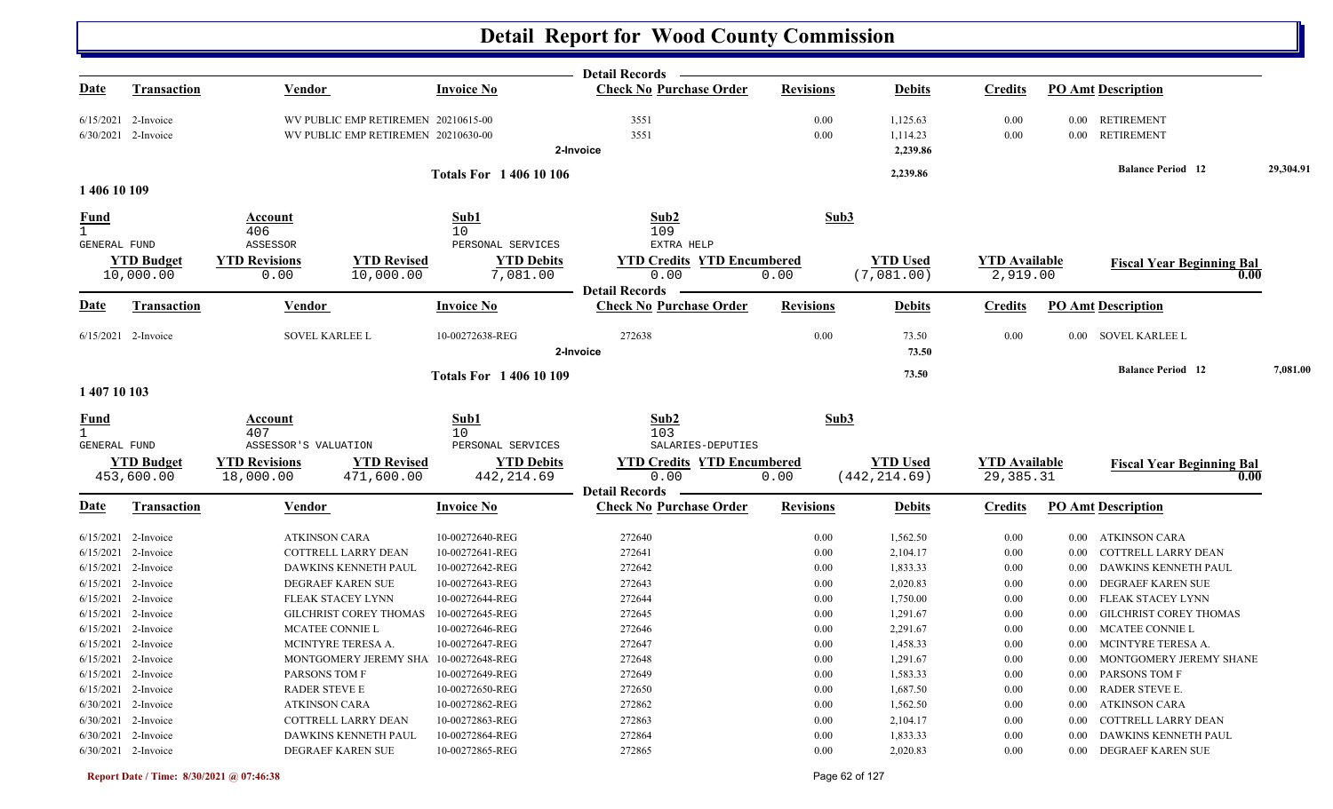|                     |                                 |                                   |                                                                      | <b>Detail Records</b>                     |                  |                                  |                                   |                                       |           |
|---------------------|---------------------------------|-----------------------------------|----------------------------------------------------------------------|-------------------------------------------|------------------|----------------------------------|-----------------------------------|---------------------------------------|-----------|
| <u>Date</u>         | <b>Transaction</b>              | <b>Vendor</b>                     | <b>Invoice No</b>                                                    | <b>Check No Purchase Order</b>            | <b>Revisions</b> | <b>Debits</b>                    | <b>Credits</b>                    | <b>PO Amt Description</b>             |           |
|                     | $6/15/2021$ 2-Invoice           |                                   | WV PUBLIC EMP RETIREMEN 20210615-00                                  | 3551                                      | 0.00             | 1,125.63                         | 0.00                              | <b>RETIREMENT</b><br>$0.00\,$         |           |
|                     | 6/30/2021 2-Invoice             |                                   | WV PUBLIC EMP RETIREMEN 20210630-00                                  | 3551                                      | 0.00             | 1,114.23                         | 0.00                              | <b>RETIREMENT</b><br>0.00             |           |
|                     |                                 |                                   |                                                                      | 2-Invoice                                 |                  | 2,239.86                         |                                   |                                       |           |
|                     |                                 |                                   | <b>Totals For 140610106</b>                                          |                                           |                  | 2,239.86                         |                                   | <b>Balance Period</b> 12              | 29,304.91 |
| 1 406 10 109        |                                 |                                   |                                                                      |                                           |                  |                                  |                                   |                                       |           |
| <b>Fund</b>         |                                 | Account<br>406                    | Sub1<br>10                                                           | Sub <sub>2</sub><br>109                   | Sub3             |                                  |                                   |                                       |           |
| GENERAL FUND        |                                 | ASSESSOR                          | PERSONAL SERVICES                                                    | EXTRA HELP                                |                  |                                  |                                   |                                       |           |
|                     | <b>YTD Budget</b>               | <b>YTD Revisions</b>              | <b>YTD Revised</b><br><b>YTD Debits</b>                              | <b>YTD Credits YTD Encumbered</b>         |                  | <b>YTD Used</b>                  | <b>YTD Available</b>              | <b>Fiscal Year Beginning Bal</b>      |           |
|                     | 10,000.00                       | 0.00                              | 10,000.00<br>7,081.00                                                | 0.00<br><b>Detail Records</b>             | 0.00             | (7,081.00)                       | 2,919.00                          |                                       | 0.00      |
| Date                | <b>Transaction</b>              | Vendor                            | <b>Invoice No</b>                                                    | <b>Check No Purchase Order</b>            | <b>Revisions</b> | <b>Debits</b>                    | <b>Credits</b>                    | <b>PO Amt Description</b>             |           |
|                     | $6/15/2021$ 2-Invoice           | SOVEL KARLEE L                    | 10-00272638-REG                                                      | 272638                                    | 0.00             | 73.50                            | 0.00                              | 0.00 SOVEL KARLEE L                   |           |
|                     |                                 |                                   |                                                                      | 2-Invoice                                 |                  | 73.50                            |                                   |                                       |           |
|                     |                                 |                                   | <b>Totals For 1 406 10 109</b>                                       |                                           |                  | 73.50                            |                                   | <b>Balance Period 12</b>              | 7,081.00  |
| 1 407 10 103        |                                 |                                   |                                                                      |                                           |                  |                                  |                                   |                                       |           |
| <u>Fund</u>         |                                 | Account                           | Sub1                                                                 | Sub2                                      | Sub3             |                                  |                                   |                                       |           |
| $\mathbf{1}$        |                                 | 407                               | 10                                                                   | 103                                       |                  |                                  |                                   |                                       |           |
| <b>GENERAL FUND</b> |                                 | ASSESSOR'S VALUATION              | PERSONAL SERVICES                                                    | SALARIES-DEPUTIES                         |                  |                                  |                                   |                                       |           |
|                     | <b>YTD Budget</b><br>453,600.00 | <b>YTD Revisions</b><br>18,000.00 | <b>YTD Revised</b><br><b>YTD Debits</b><br>471,600.00<br>442, 214.69 | <b>YTD Credits YTD Encumbered</b><br>0.00 | 0.00             | <b>YTD Used</b><br>(442, 214.69) | <b>YTD</b> Available<br>29,385.31 | <b>Fiscal Year Beginning Bal</b>      | 0.00      |
|                     |                                 |                                   |                                                                      | <b>Detail Records</b>                     |                  |                                  |                                   |                                       |           |
| <b>Date</b>         | <b>Transaction</b>              | Vendor                            | <b>Invoice No</b>                                                    | <b>Check No Purchase Order</b>            | <b>Revisions</b> | <b>Debits</b>                    | <b>Credits</b>                    | <b>PO Amt Description</b>             |           |
|                     | $6/15/2021$ 2-Invoice           | <b>ATKINSON CARA</b>              | 10-00272640-REG                                                      | 272640                                    | 0.00             | 1,562.50                         | 0.00                              | ATKINSON CARA<br>$0.00\,$             |           |
|                     | 6/15/2021 2-Invoice             | COTTRELL LARRY DEAN               | 10-00272641-REG                                                      | 272641                                    | 0.00             | 2,104.17                         | 0.00                              | COTTRELL LARRY DEAN<br>0.00           |           |
|                     | 6/15/2021 2-Invoice             | DAWKINS KENNETH PAUL              | 10-00272642-REG                                                      | 272642                                    | 0.00             | 1,833.33                         | 0.00                              | DAWKINS KENNETH PAUL<br>0.00          |           |
|                     | 6/15/2021 2-Invoice             | DEGRAEF KAREN SUE                 | 10-00272643-REG                                                      | 272643                                    | 0.00             | 2,020.83                         | 0.00                              | DEGRAEF KAREN SUE<br>0.00             |           |
|                     | 6/15/2021 2-Invoice             | FLEAK STACEY LYNN                 | 10-00272644-REG                                                      | 272644                                    | 0.00             | 1,750.00                         | 0.00                              | FLEAK STACEY LYNN<br>0.00             |           |
|                     | 6/15/2021 2-Invoice             | <b>GILCHRIST COREY THOMAS</b>     | 10-00272645-REG                                                      | 272645                                    | 0.00             | 1,291.67                         | 0.00                              | <b>GILCHRIST COREY THOMAS</b><br>0.00 |           |
|                     | 6/15/2021 2-Invoice             | MCATEE CONNIE L                   | 10-00272646-REG                                                      | 272646                                    | 0.00             | 2,291.67                         | 0.00                              | MCATEE CONNIE L<br>$0.00\,$           |           |
|                     | 6/15/2021 2-Invoice             | MCINTYRE TERESA A.                | 10-00272647-REG                                                      | 272647                                    | 0.00             | 1,458.33                         | 0.00                              | 0.00 MCINTYRE TERESA A.               |           |
|                     | 6/15/2021 2-Invoice             |                                   | MONTGOMERY JEREMY SHA 10-00272648-REG                                | 272648                                    | $0.00\,$         | 1,291.67                         | $0.00\,$                          | $0.00\quad$ MONTGOMERY JEREMY SHANE   |           |
|                     | $6/15/2021$ 2-Invoice           | PARSONS TOM F                     | 10-00272649-REG                                                      | 272649                                    | 0.00             | 1,583.33                         | 0.00                              | 0.00 PARSONS TOM F                    |           |
|                     | 6/15/2021 2-Invoice             | RADER STEVE E                     | 10-00272650-REG                                                      | 272650                                    | 0.00             | 1,687.50                         | 0.00                              | RADER STEVE E.<br>$0.00\,$            |           |
|                     | 6/30/2021 2-Invoice             | ATKINSON CARA                     | 10-00272862-REG                                                      | 272862                                    | 0.00             | 1,562.50                         | 0.00                              | ATKINSON CARA<br>$0.00\,$             |           |
|                     | 6/30/2021 2-Invoice             | COTTRELL LARRY DEAN               | 10-00272863-REG                                                      | 272863                                    | 0.00             | 2,104.17                         | 0.00                              | COTTRELL LARRY DEAN<br>$0.00\,$       |           |
|                     | 6/30/2021 2-Invoice             | DAWKINS KENNETH PAUL              | 10-00272864-REG                                                      | 272864                                    | 0.00             | 1,833.33                         | 0.00                              | DAWKINS KENNETH PAUL<br>0.00          |           |
|                     | 6/30/2021 2-Invoice             | DEGRAEF KAREN SUE                 | 10-00272865-REG                                                      | 272865                                    | 0.00             | 2,020.83                         | 0.00                              | 0.00 DEGRAEF KAREN SUE                |           |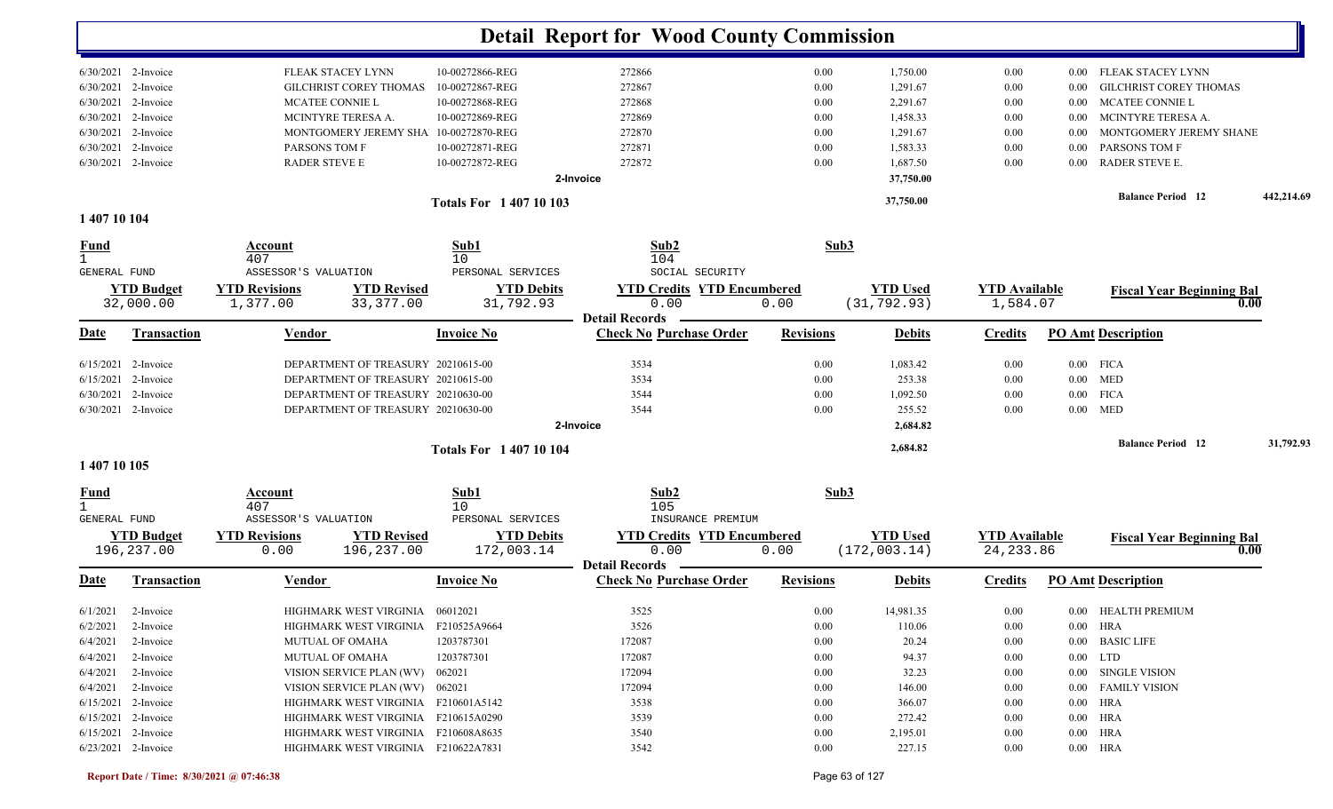|                             |                       |                       |                                       |                             | <b>Detail Report for Wood County Commission</b>         |                  |          |                 |                      |          |                                  |            |
|-----------------------------|-----------------------|-----------------------|---------------------------------------|-----------------------------|---------------------------------------------------------|------------------|----------|-----------------|----------------------|----------|----------------------------------|------------|
|                             | 6/30/2021 2-Invoice   |                       | FLEAK STACEY LYNN                     | 10-00272866-REG             | 272866                                                  |                  | 0.00     | 1,750.00        | 0.00                 | $0.00\,$ | FLEAK STACEY LYNN                |            |
| 6/30/2021                   | 2-Invoice             |                       | <b>GILCHRIST COREY THOMAS</b>         | 10-00272867-REG             | 272867                                                  |                  | 0.00     | 1,291.67        | 0.00                 | 0.00     | <b>GILCHRIST COREY THOMAS</b>    |            |
| 6/30/2021                   | 2-Invoice             |                       | MCATEE CONNIE L                       | 10-00272868-REG             | 272868                                                  |                  | 0.00     | 2,291.67        | 0.00                 | 0.00     | MCATEE CONNIE L                  |            |
| 6/30/2021                   | 2-Invoice             |                       | MCINTYRE TERESA A.                    | 10-00272869-REG             | 272869                                                  |                  | 0.00     | 1,458.33        | 0.00                 | $0.00\,$ | MCINTYRE TERESA A.               |            |
| 6/30/2021                   | 2-Invoice             |                       | MONTGOMERY JEREMY SHA 10-00272870-REG |                             | 272870                                                  |                  | 0.00     | 1,291.67        | 0.00                 | $0.00\,$ | MONTGOMERY JEREMY SHANE          |            |
| 6/30/2021                   | 2-Invoice             | PARSONS TOM F         |                                       | 10-00272871-REG             | 272871                                                  |                  | 0.00     | 1,583.33        | 0.00                 | 0.00     | PARSONS TOM F                    |            |
|                             | 6/30/2021 2-Invoice   | <b>RADER STEVE E</b>  |                                       | 10-00272872-REG             | 272872                                                  |                  | 0.00     | 1,687.50        | 0.00                 | 0.00     | RADER STEVE E.                   |            |
|                             |                       |                       |                                       |                             | 2-Invoice                                               |                  |          | 37,750.00       |                      |          |                                  |            |
|                             |                       |                       |                                       | <b>Totals For 140710103</b> |                                                         |                  |          | 37,750.00       |                      |          | <b>Balance Period 12</b>         | 442,214.69 |
| 1 407 10 104                |                       |                       |                                       |                             |                                                         |                  |          |                 |                      |          |                                  |            |
| <u>Fund</u><br>$\mathbf{1}$ |                       | Account<br>407        |                                       | Sub1<br>10                  | Sub2<br>104                                             |                  | Sub3     |                 |                      |          |                                  |            |
| GENERAL FUND                |                       | ASSESSOR'S VALUATION  |                                       | PERSONAL SERVICES           | SOCIAL SECURITY                                         |                  |          |                 |                      |          |                                  |            |
|                             | <b>YTD Budget</b>     | <b>YTD Revisions</b>  | <b>YTD Revised</b>                    | <b>YTD Debits</b>           | <b>YTD Credits YTD Encumbered</b>                       |                  |          | <b>YTD Used</b> | <b>YTD Available</b> |          | <b>Fiscal Year Beginning Bal</b> |            |
|                             | 32,000.00             | 1,377.00              | 33, 377.00                            | 31,792.93                   | 0.00                                                    | 0.00             |          | (31, 792.93)    | 1,584.07             |          |                                  | 0.00       |
| Date                        | <b>Transaction</b>    | <u>Vendor</u>         |                                       | <b>Invoice No</b>           | <b>Detail Records</b><br><b>Check No Purchase Order</b> | <b>Revisions</b> |          | <b>Debits</b>   | <b>Credits</b>       |          | <b>PO Amt Description</b>        |            |
|                             | $6/15/2021$ 2-Invoice |                       | DEPARTMENT OF TREASURY 20210615-00    |                             | 3534                                                    |                  | 0.00     | 1,083.42        | 0.00                 |          | $0.00$ FICA                      |            |
| 6/15/2021                   | 2-Invoice             |                       | DEPARTMENT OF TREASURY 20210615-00    |                             | 3534                                                    |                  | 0.00     | 253.38          | 0.00                 |          | $0.00$ MED                       |            |
|                             | $6/30/2021$ 2-Invoice |                       | DEPARTMENT OF TREASURY 20210630-00    |                             | 3544                                                    |                  | 0.00     | 1,092.50        | 0.00                 |          | $0.00$ FICA                      |            |
|                             | 6/30/2021 2-Invoice   |                       | DEPARTMENT OF TREASURY 20210630-00    |                             | 3544                                                    |                  | 0.00     | 255.52          | 0.00                 |          | $0.00$ MED                       |            |
|                             |                       |                       |                                       |                             | 2-Invoice                                               |                  |          | 2,684.82        |                      |          |                                  |            |
|                             |                       |                       |                                       | <b>Totals For 140710104</b> |                                                         |                  |          | 2,684.82        |                      |          | <b>Balance Period</b> 12         | 31,792.93  |
| 1 407 10 105                |                       |                       |                                       |                             |                                                         |                  |          |                 |                      |          |                                  |            |
| <u>Fund</u><br>$\mathbf{1}$ |                       | <b>Account</b><br>407 |                                       | Sub1<br>10                  | Sub2<br>105                                             |                  | Sub3     |                 |                      |          |                                  |            |
| GENERAL FUND                |                       | ASSESSOR'S VALUATION  |                                       | PERSONAL SERVICES           | INSURANCE PREMIUM                                       |                  |          |                 |                      |          |                                  |            |
|                             | <b>YTD Budget</b>     | <b>YTD Revisions</b>  | <b>YTD Revised</b>                    | <b>YTD Debits</b>           | <b>YTD Credits YTD Encumbered</b>                       |                  |          | <b>YTD Used</b> | <b>YTD Available</b> |          | <b>Fiscal Year Beginning Bal</b> |            |
|                             | 196,237.00            | 0.00                  | 196,237.00                            | 172,003.14                  | 0.00<br><b>Detail Records</b>                           | 0.00             |          | (172, 003.14)   | 24, 233.86           |          |                                  | 0.00       |
| <u>Date</u>                 | <b>Transaction</b>    | <u>Vendor</u>         |                                       | <b>Invoice No</b>           | <b>Check No Purchase Order</b>                          | <b>Revisions</b> |          | <b>Debits</b>   | <b>Credits</b>       |          | <b>PO Amt Description</b>        |            |
|                             | $6/1/2021$ 2-Invoice  |                       | HIGHMARK WEST VIRGINIA 06012021       |                             | 3525                                                    |                  | $0.00\,$ | 14,981.35       | 0.00                 |          | 0.00 HEALTH PREMIUM              |            |
|                             | $6/2/2021$ 2-Invoice  |                       | HIGHMARK WEST VIRGINIA F210525A9664   |                             | 3526                                                    |                  | $0.00\,$ | 110.06          | 0.00                 |          | 0.00 HRA                         |            |
|                             | $6/4/2021$ 2-Invoice  |                       | MUTUAL OF OMAHA                       | 1203787301                  | 172087                                                  |                  | $0.00\,$ | 20.24           | $0.00\,$             |          | 0.00 BASIC LIFE                  |            |
|                             | $6/4/2021$ 2-Invoice  |                       | <b>MUTUAL OF OMAHA</b>                | 1203787301                  | 172087                                                  |                  | $0.00\,$ | 94.37           | $0.00\,$             |          | $0.00$ LTD                       |            |
|                             | $6/4/2021$ 2-Invoice  |                       | VISION SERVICE PLAN (WV) 062021       |                             | 172094                                                  |                  | $0.00\,$ | 32.23           | $0.00\,$             |          | 0.00 SINGLE VISION               |            |
|                             | $6/4/2021$ 2-Invoice  |                       | VISION SERVICE PLAN (WV) 062021       |                             | 172094                                                  |                  | $0.00\,$ | 146.00          | $0.00\,$             |          | 0.00 FAMILY VISION               |            |
|                             | 6/15/2021 2-Invoice   |                       | HIGHMARK WEST VIRGINIA F210601A5142   |                             | 3538                                                    |                  | $0.00\,$ | 366.07          | $0.00\,$             |          | $0.00$ HRA                       |            |
|                             | $6/15/2021$ 2-Invoice |                       | HIGHMARK WEST VIRGINIA F210615A0290   |                             | 3539                                                    |                  | $0.00\,$ | 272.42          | $0.00\,$             |          | $0.00$ HRA                       |            |
|                             | $6/15/2021$ 2-Invoice |                       | HIGHMARK WEST VIRGINIA F210608A8635   |                             | 3540                                                    |                  | $0.00\,$ | 2,195.01        | $0.00\,$             |          | $0.00$ HRA                       |            |
|                             | 6/23/2021 2-Invoice   |                       | HIGHMARK WEST VIRGINIA F210622A7831   |                             | 3542                                                    |                  | $0.00\,$ | 227.15          | $0.00\,$             |          | $0.00$ HRA                       |            |
|                             |                       |                       |                                       |                             |                                                         |                  |          |                 |                      |          |                                  |            |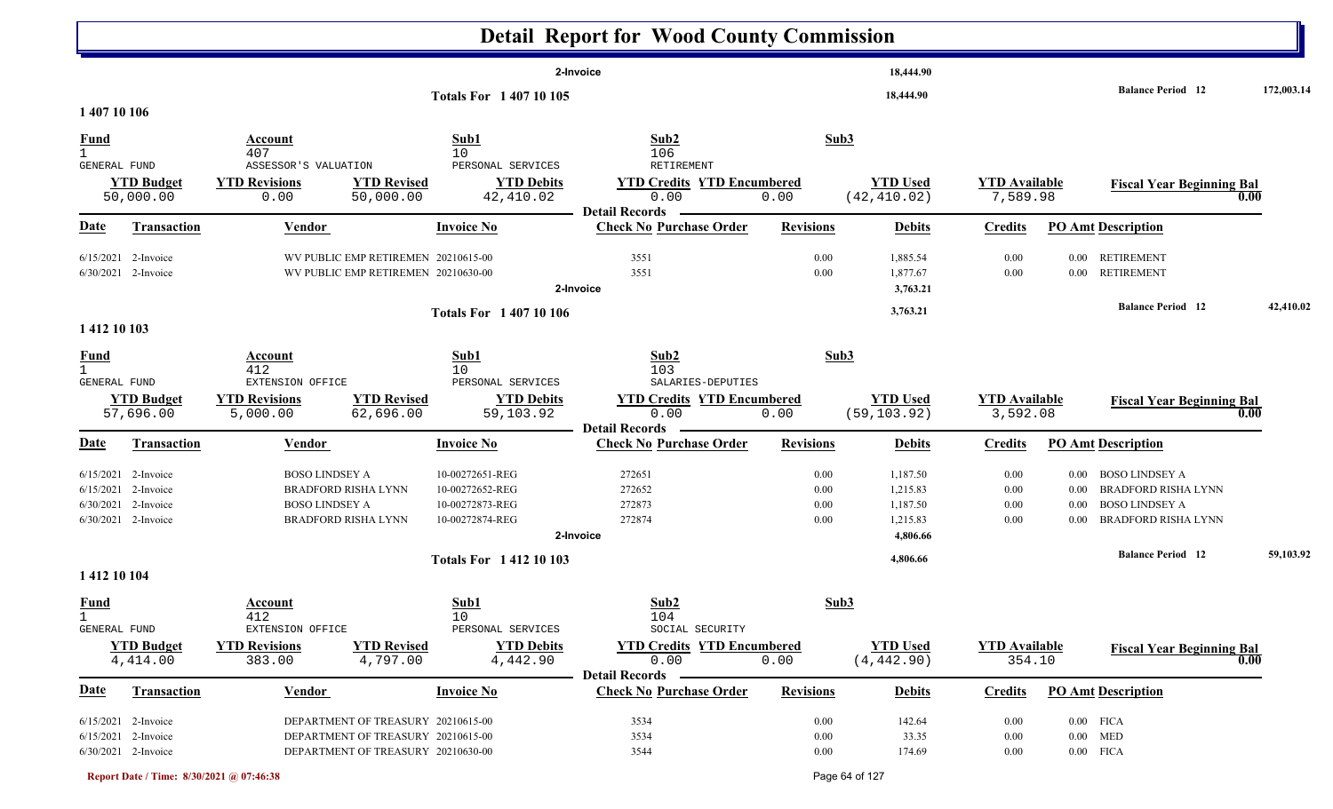|                              |                                              |                                                                            |                                | <b>Detail Report for Wood County Commission</b>                    |                  |                                  |                                  |          |                                          |            |
|------------------------------|----------------------------------------------|----------------------------------------------------------------------------|--------------------------------|--------------------------------------------------------------------|------------------|----------------------------------|----------------------------------|----------|------------------------------------------|------------|
|                              |                                              |                                                                            |                                | 2-Invoice                                                          |                  | 18,444.90                        |                                  |          |                                          |            |
| 1 407 10 106                 |                                              |                                                                            | <b>Totals For 140710105</b>    |                                                                    |                  | 18,444.90                        |                                  |          | <b>Balance Period</b> 12                 | 172,003.14 |
| <b>Fund</b>                  |                                              | Account                                                                    | Sub1                           | Sub2                                                               | Sub3             |                                  |                                  |          |                                          |            |
| GENERAL FUND                 |                                              | 407<br>ASSESSOR'S VALUATION                                                | 10<br>PERSONAL SERVICES        | 106<br>RETIREMENT                                                  |                  |                                  |                                  |          |                                          |            |
|                              | <b>YTD Budget</b><br>50,000.00               | <b>YTD Revisions</b><br><b>YTD Revised</b><br>0.00<br>50,000.00            | <b>YTD Debits</b><br>42,410.02 | <b>YTD Credits YTD Encumbered</b><br>0.00<br><b>Detail Records</b> | 0.00             | <b>YTD Used</b><br>(42, 410.02)  | <b>YTD Available</b><br>7,589.98 |          | <b>Fiscal Year Beginning Bal</b><br>0.00 |            |
| <b>Date</b>                  | <b>Transaction</b>                           | <b>Vendor</b>                                                              | <b>Invoice No</b>              | <b>Check No Purchase Order</b>                                     | <b>Revisions</b> | <b>Debits</b>                    | <b>Credits</b>                   |          | <b>PO Amt Description</b>                |            |
|                              | $6/15/2021$ 2-Invoice<br>6/30/2021 2-Invoice | WV PUBLIC EMP RETIREMEN 20210615-00<br>WV PUBLIC EMP RETIREMEN 20210630-00 |                                | 3551<br>3551<br>2-Invoice                                          | 0.00<br>0.00     | 1,885.54<br>1,877.67<br>3,763.21 | 0.00<br>0.00                     |          | 0.00 RETIREMENT<br>0.00 RETIREMENT       |            |
| 1 412 10 103                 |                                              |                                                                            | <b>Totals For 140710106</b>    |                                                                    |                  | 3,763.21                         |                                  |          | <b>Balance Period</b> 12                 | 42,410.02  |
| <u>Fund</u>                  |                                              | Account                                                                    | Sub1                           | Sub2                                                               | Sub3             |                                  |                                  |          |                                          |            |
| $\mathbf{1}$<br>GENERAL FUND |                                              | 412<br>EXTENSION OFFICE                                                    | 10<br>PERSONAL SERVICES        | 103<br>SALARIES-DEPUTIES                                           |                  |                                  |                                  |          |                                          |            |
|                              | <b>YTD Budget</b><br>57,696.00               | <b>YTD Revised</b><br><b>YTD Revisions</b><br>5,000.00<br>62,696.00        | <b>YTD Debits</b><br>59,103.92 | <b>YTD Credits YTD Encumbered</b><br>0.00                          | 0.00             | <b>YTD Used</b><br>(59, 103.92)  | <b>YTD Available</b><br>3,592.08 |          | <b>Fiscal Year Beginning Bal</b><br>0.00 |            |
| <u>Date</u>                  | <b>Transaction</b>                           | Vendor                                                                     | <b>Invoice No</b>              | <b>Detail Records</b><br><b>Check No Purchase Order</b>            | <b>Revisions</b> | <b>Debits</b>                    | <b>Credits</b>                   |          | <b>PO Amt Description</b>                |            |
|                              | 6/15/2021 2-Invoice                          | <b>BOSO LINDSEY A</b>                                                      | 10-00272651-REG                | 272651                                                             | 0.00             | 1,187.50                         | 0.00                             | 0.00     | <b>BOSO LINDSEY A</b>                    |            |
|                              | 6/15/2021 2-Invoice                          | <b>BRADFORD RISHA LYNN</b>                                                 | 10-00272652-REG                | 272652                                                             | 0.00             | 1,215.83                         | 0.00                             | $0.00\,$ | <b>BRADFORD RISHA LYNN</b>               |            |
|                              | 6/30/2021 2-Invoice                          | BOSO LINDSEY A                                                             | 10-00272873-REG                | 272873                                                             | 0.00             | 1,187.50                         | 0.00                             | 0.00     | <b>BOSO LINDSEY A</b>                    |            |
|                              | 6/30/2021 2-Invoice                          | <b>BRADFORD RISHA LYNN</b>                                                 | 10-00272874-REG                | 272874<br>2-Invoice                                                | 0.00             | 1,215.83<br>4,806.66             | 0.00                             | 0.00     | <b>BRADFORD RISHA LYNN</b>               |            |
| 1412 10 104                  |                                              |                                                                            | <b>Totals For 141210103</b>    |                                                                    |                  | 4,806.66                         |                                  |          | <b>Balance Period</b> 12                 | 59,103.92  |
| <b>Fund</b>                  |                                              | Account                                                                    | Sub1                           | Sub2                                                               | Sub3             |                                  |                                  |          |                                          |            |
| $\mathbf{1}$<br>GENERAL FUND |                                              | 412<br>EXTENSION OFFICE                                                    | 10<br>PERSONAL SERVICES        | 104<br>SOCIAL SECURITY                                             |                  |                                  |                                  |          |                                          |            |
|                              | <b>YTD Budget</b><br>4,414.00                | <b>YTD Revisions</b><br><b>YTD Revised</b><br>383.00<br>4,797.00           | <b>YTD Debits</b><br>4,442.90  | <b>YTD Credits YTD Encumbered</b><br>0.00<br><b>Detail Records</b> | 0.00             | <b>YTD Used</b><br>(4, 442.90)   | <b>YTD Available</b><br>354.10   |          | <b>Fiscal Year Beginning Bal</b><br>0.00 |            |
| <b>Date</b>                  | <b>Transaction</b>                           | Vendor                                                                     | <b>Invoice No</b>              | <b>Check No Purchase Order</b>                                     | <b>Revisions</b> | <b>Debits</b>                    | <b>Credits</b>                   |          | <b>PO Amt Description</b>                |            |
|                              | $6/15/2021$ 2-Invoice                        | DEPARTMENT OF TREASURY 20210615-00                                         |                                | 3534                                                               | 0.00             | 142.64                           | 0.00                             |          | $0.00$ FICA                              |            |
|                              | 6/15/2021 2-Invoice                          | DEPARTMENT OF TREASURY 20210615-00                                         |                                | 3534                                                               | 0.00             | 33.35                            | 0.00                             |          | $0.00$ MED                               |            |
|                              | 6/30/2021 2-Invoice                          | DEPARTMENT OF TREASURY 20210630-00                                         |                                | 3544                                                               | 0.00             | 174.69                           | 0.00                             |          | $0.00$ FICA                              |            |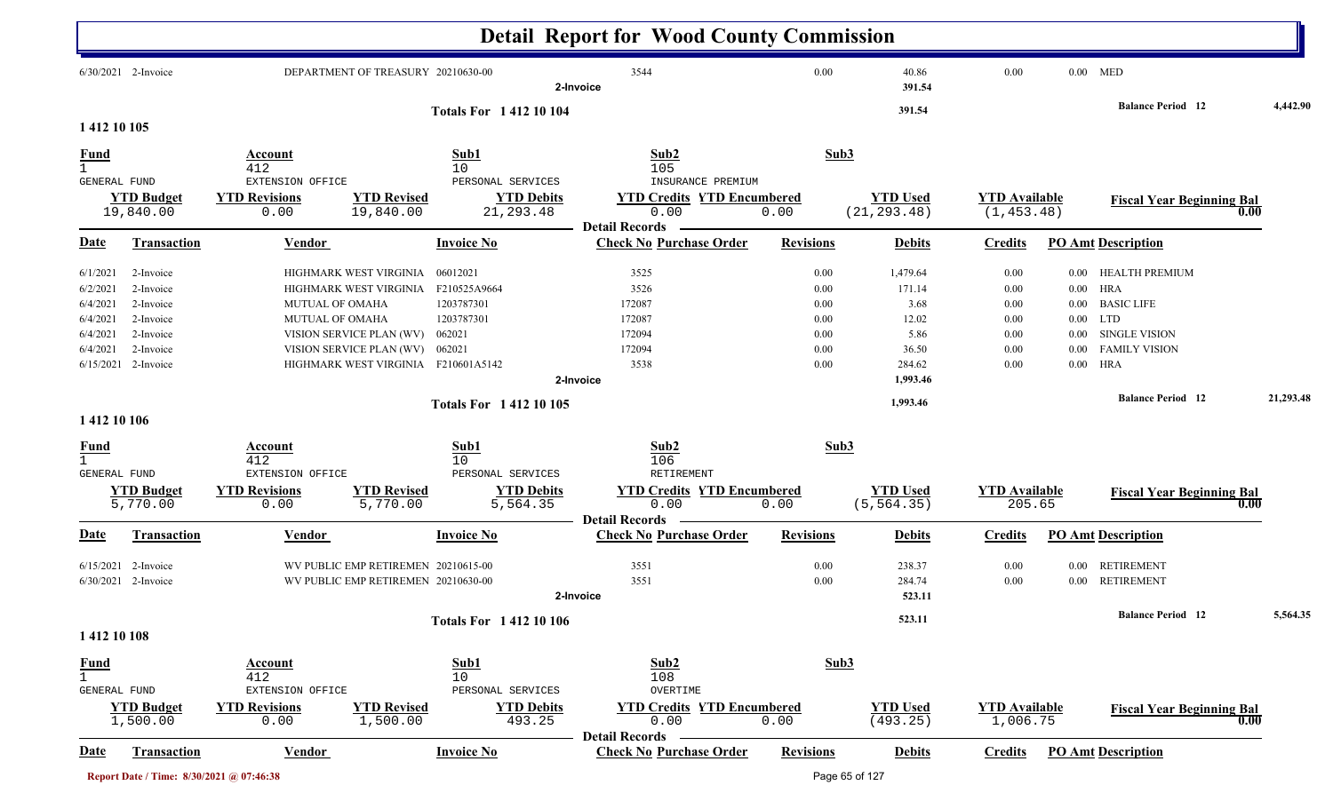|                                             |                                          |                                                            |                                     |                                                      | <b>Detail Report for Wood County Commission</b>                       |                  |                                |                                  |          |                                  |      |           |
|---------------------------------------------|------------------------------------------|------------------------------------------------------------|-------------------------------------|------------------------------------------------------|-----------------------------------------------------------------------|------------------|--------------------------------|----------------------------------|----------|----------------------------------|------|-----------|
|                                             | 6/30/2021 2-Invoice                      |                                                            | DEPARTMENT OF TREASURY 20210630-00  |                                                      | 3544<br>2-Invoice                                                     | 0.00             | 40.86<br>391.54                | 0.00                             |          | $0.00$ MED                       |      |           |
|                                             |                                          |                                                            |                                     | <b>Totals For 141210104</b>                          |                                                                       |                  | 391.54                         |                                  |          | <b>Balance Period</b> 12         |      | 4,442.90  |
| 1 412 10 105                                |                                          |                                                            |                                     |                                                      |                                                                       |                  |                                |                                  |          |                                  |      |           |
| <b>Fund</b><br>GENERAL FUND                 | <b>YTD Budget</b>                        | Account<br>412<br>EXTENSION OFFICE<br><b>YTD Revisions</b> | <b>YTD Revised</b>                  | Sub1<br>10<br>PERSONAL SERVICES<br><b>YTD Debits</b> | Sub2<br>105<br>INSURANCE PREMIUM<br><b>YTD Credits YTD Encumbered</b> |                  | Sub3<br><b>YTD Used</b>        | <b>YTD</b> Available             |          | <b>Fiscal Year Beginning Bal</b> |      |           |
|                                             | 19,840.00                                | 0.00                                                       | 19,840.00                           | 21, 293.48                                           | 0.00                                                                  | 0.00             | (21, 293.48)                   | (1, 453.48)                      |          |                                  | 0.00 |           |
| Date                                        | Transaction                              | <b>Vendor</b>                                              |                                     | <b>Invoice No</b>                                    | <b>Detail Records</b><br><b>Check No Purchase Order</b>               | <b>Revisions</b> | <b>Debits</b>                  | <b>Credits</b>                   |          | <b>PO Amt Description</b>        |      |           |
| 6/1/2021                                    | 2-Invoice                                |                                                            | HIGHMARK WEST VIRGINIA              | 06012021                                             | 3525                                                                  | 0.00             | 1,479.64                       | 0.00                             |          | 0.00 HEALTH PREMIUM              |      |           |
| 6/2/2021                                    | 2-Invoice                                |                                                            | HIGHMARK WEST VIRGINIA              | F210525A9664                                         | 3526                                                                  | 0.00             | 171.14                         | $0.00\,$                         |          | $0.00$ HRA                       |      |           |
| 6/4/2021                                    | 2-Invoice                                | <b>MUTUAL OF OMAHA</b>                                     |                                     | 1203787301                                           | 172087                                                                | 0.00             | 3.68                           | 0.00                             | $0.00\,$ | <b>BASIC LIFE</b>                |      |           |
| 6/4/2021                                    | 2-Invoice                                | MUTUAL OF OMAHA                                            |                                     | 1203787301                                           | 172087                                                                | 0.00             | 12.02                          | 0.00                             |          | $0.00$ LTD                       |      |           |
| 6/4/2021                                    | 2-Invoice                                |                                                            | VISION SERVICE PLAN (WV)            | 062021                                               | 172094                                                                | 0.00             | 5.86                           | 0.00                             | $0.00\,$ | <b>SINGLE VISION</b>             |      |           |
| 6/4/2021                                    | 2-Invoice                                |                                                            | VISION SERVICE PLAN (WV)            | 062021                                               | 172094                                                                | 0.00             | 36.50                          | 0.00                             | 0.00     | <b>FAMILY VISION</b>             |      |           |
| 6/15/2021                                   | 2-Invoice                                |                                                            | HIGHMARK WEST VIRGINIA F210601A5142 |                                                      | 3538                                                                  | 0.00             | 284.62                         | 0.00                             | $0.00\,$ | HRA                              |      |           |
|                                             |                                          |                                                            |                                     |                                                      | 2-Invoice                                                             |                  | 1,993.46                       |                                  |          |                                  |      |           |
|                                             |                                          |                                                            |                                     | <b>Totals For 141210105</b>                          |                                                                       |                  | 1,993.46                       |                                  |          | <b>Balance Period 12</b>         |      | 21,293.48 |
| 1412 10 106                                 |                                          |                                                            |                                     |                                                      |                                                                       |                  |                                |                                  |          |                                  |      |           |
| <b>Fund</b><br>$\mathbf{1}$                 |                                          | Account<br>412                                             |                                     | Sub1<br>10                                           | Sub2<br>106                                                           |                  | Sub3                           |                                  |          |                                  |      |           |
| GENERAL FUND                                |                                          | EXTENSION OFFICE                                           |                                     | PERSONAL SERVICES                                    | RETIREMENT                                                            |                  |                                |                                  |          |                                  |      |           |
|                                             | <b>YTD Budget</b><br>5,770.00            | <b>YTD Revisions</b><br>0.00                               | <b>YTD Revised</b><br>5,770.00      | <b>YTD Debits</b><br>5,564.35                        | <b>YTD Credits YTD Encumbered</b><br>0.00                             | 0.00             | <b>YTD Used</b><br>(5, 564.35) | <b>YTD</b> Available<br>205.65   |          | <b>Fiscal Year Beginning Bal</b> | 0.00 |           |
| Date                                        | <b>Transaction</b>                       | <b>Vendor</b>                                              |                                     | <b>Invoice No</b>                                    | <b>Detail Records</b><br><b>Check No Purchase Order</b>               | <b>Revisions</b> | <b>Debits</b>                  | <b>Credits</b>                   |          | <b>PO Amt Description</b>        |      |           |
|                                             |                                          |                                                            |                                     |                                                      |                                                                       |                  |                                |                                  |          |                                  |      |           |
| 6/15/2021                                   | 2-Invoice                                |                                                            | WV PUBLIC EMP RETIREMEN 20210615-00 |                                                      | 3551                                                                  | 0.00             | 238.37                         | 0.00                             |          | 0.00 RETIREMENT                  |      |           |
|                                             | 6/30/2021 2-Invoice                      |                                                            | WV PUBLIC EMP RETIREMEN 20210630-00 |                                                      | 3551                                                                  | 0.00             | 284.74                         | 0.00                             |          | 0.00 RETIREMENT                  |      |           |
|                                             |                                          |                                                            |                                     |                                                      | 2-Invoice                                                             |                  | 523.11                         |                                  |          |                                  |      |           |
|                                             |                                          |                                                            |                                     | <b>Totals For 141210106</b>                          |                                                                       |                  | 523.11                         |                                  |          | <b>Balance Period</b> 12         |      | 5,564.35  |
| 1412 10 108                                 |                                          |                                                            |                                     |                                                      |                                                                       |                  |                                |                                  |          |                                  |      |           |
| <u>Fund</u><br>$\mathbf{1}$<br>GENERAL FUND |                                          | <b>Account</b><br>412<br>EXTENSION OFFICE                  |                                     | Sub1<br>10<br>PERSONAL SERVICES                      | Sub2<br>108<br>OVERTIME                                               |                  | Sub3                           |                                  |          |                                  |      |           |
|                                             | <b>YTD Budget</b><br>1,500.00            | <b>YTD Revisions</b><br>0.00                               | <b>YTD Revised</b><br>1,500.00      | <b>YTD Debits</b><br>493.25                          | <b>YTD Credits YTD Encumbered</b><br>0.00                             | 0.00             | <b>YTD Used</b><br>(493.25)    | <b>YTD Available</b><br>1,006.75 |          | <b>Fiscal Year Beginning Bal</b> | 0.00 |           |
| <b>Date</b>                                 | <b>Transaction</b>                       | <b>Vendor</b>                                              |                                     | <b>Invoice No</b>                                    | <b>Detail Records</b><br><b>Check No Purchase Order</b>               | <b>Revisions</b> | <b>Debits</b>                  | <b>Credits</b>                   |          | <b>PO Amt Description</b>        |      |           |
|                                             | Report Date / Time: 8/30/2021 @ 07:46:38 |                                                            |                                     |                                                      |                                                                       |                  | Page 65 of 127                 |                                  |          |                                  |      |           |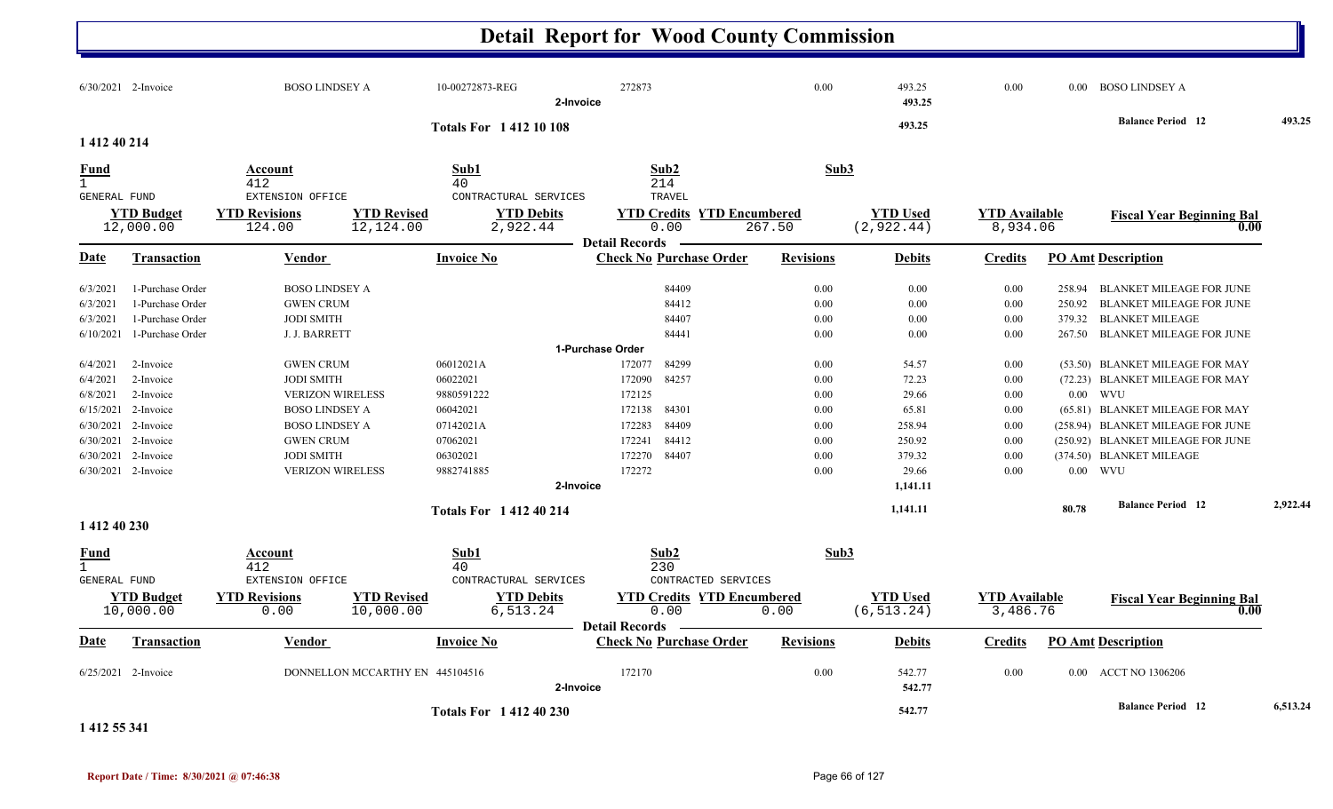|                                                |                                                                   |                                     | <b>Detail Report for Wood County Commission</b>                   |                  |                                |                                  |        |                                          |          |
|------------------------------------------------|-------------------------------------------------------------------|-------------------------------------|-------------------------------------------------------------------|------------------|--------------------------------|----------------------------------|--------|------------------------------------------|----------|
| 6/30/2021 2-Invoice                            | <b>BOSO LINDSEY A</b>                                             | 10-00272873-REG<br>2-Invoice        | 272873                                                            | 0.00             | 493.25<br>493.25               | 0.00                             | 0.00   | <b>BOSO LINDSEY A</b>                    |          |
|                                                |                                                                   | <b>Totals For 141210108</b>         |                                                                   |                  | 493.25                         |                                  |        | <b>Balance Period</b> 12                 | 493.25   |
| 1 412 40 214                                   |                                                                   |                                     |                                                                   |                  |                                |                                  |        |                                          |          |
| <b>Fund</b><br>$\mathbf{1}$<br>GENERAL FUND    | Account<br>412<br>EXTENSION OFFICE                                | Sub1<br>40<br>CONTRACTURAL SERVICES | Sub2<br>214<br>TRAVEL                                             | Sub3             |                                |                                  |        |                                          |          |
| <b>YTD Budget</b><br>12,000.00                 | <b>YTD Revised</b><br><b>YTD Revisions</b><br>12,124.00<br>124.00 | <b>YTD Debits</b><br>2,922.44       | <b>YTD Credits YTD Encumbered</b><br>0.00                         | 267.50           | <b>YTD Used</b><br>(2, 922.44) | <b>YTD Available</b><br>8,934.06 |        | <b>Fiscal Year Beginning Bal</b><br>0.00 |          |
| <u>Date</u><br><b>Transaction</b>              | <u>Vendor</u>                                                     | <b>Invoice No</b>                   | <b>Detail Records</b><br><b>Check No Purchase Order</b>           | <b>Revisions</b> | <b>Debits</b>                  | <b>Credits</b>                   |        | <b>PO Amt Description</b>                |          |
| 1-Purchase Order<br>6/3/2021                   | <b>BOSO LINDSEY A</b>                                             |                                     | 84409                                                             | 0.00             | 0.00                           | 0.00                             | 258.94 | BLANKET MILEAGE FOR JUNE                 |          |
| 1-Purchase Order<br>6/3/2021                   | <b>GWEN CRUM</b>                                                  |                                     | 84412                                                             | 0.00             | 0.00                           | 0.00                             | 250.92 | <b>BLANKET MILEAGE FOR JUNE</b>          |          |
| 1-Purchase Order<br>6/3/2021                   | <b>JODI SMITH</b>                                                 |                                     | 84407                                                             | 0.00             | 0.00                           | 0.00                             | 379.32 | <b>BLANKET MILEAGE</b>                   |          |
| 6/10/2021<br>1-Purchase Order                  | J. J. BARRETT                                                     |                                     | 84441                                                             | 0.00             | 0.00                           | 0.00                             | 267.50 | <b>BLANKET MILEAGE FOR JUNE</b>          |          |
|                                                |                                                                   |                                     | 1-Purchase Order                                                  |                  |                                |                                  |        |                                          |          |
| 6/4/2021<br>2-Invoice                          | <b>GWEN CRUM</b>                                                  | 06012021A                           | 84299<br>172077                                                   | 0.00             | 54.57                          | 0.00                             |        | (53.50) BLANKET MILEAGE FOR MAY          |          |
| 6/4/2021<br>2-Invoice                          | <b>JODI SMITH</b>                                                 | 06022021                            | 172090<br>84257                                                   | 0.00             | 72.23                          | 0.00                             |        | (72.23) BLANKET MILEAGE FOR MAY          |          |
| 2-Invoice<br>6/8/2021                          | <b>VERIZON WIRELESS</b>                                           | 9880591222                          | 172125                                                            | 0.00             | 29.66                          | 0.00                             |        | $0.00$ WVU                               |          |
| 6/15/2021 2-Invoice                            | <b>BOSO LINDSEY A</b>                                             | 06042021                            | 172138<br>84301                                                   | 0.00             | 65.81                          | 0.00                             |        | (65.81) BLANKET MILEAGE FOR MAY          |          |
| 6/30/2021 2-Invoice                            | <b>BOSO LINDSEY A</b>                                             | 07142021A                           | 84409<br>172283                                                   | 0.00             | 258.94                         | 0.00                             |        | (258.94) BLANKET MILEAGE FOR JUNE        |          |
| 6/30/2021 2-Invoice                            | <b>GWEN CRUM</b>                                                  | 07062021                            | 172241<br>84412                                                   | 0.00             | 250.92                         | 0.00                             |        | (250.92) BLANKET MILEAGE FOR JUNE        |          |
| 6/30/2021 2-Invoice                            | <b>JODI SMITH</b>                                                 | 06302021                            | 172270<br>84407                                                   | 0.00             | 379.32                         | 0.00                             |        | (374.50) BLANKET MILEAGE                 |          |
| 6/30/2021 2-Invoice                            | <b>VERIZON WIRELESS</b>                                           | 9882741885                          | 172272                                                            | 0.00             | 29.66                          | 0.00                             |        | $0.00$ WVU                               |          |
|                                                |                                                                   | 2-Invoice                           |                                                                   |                  | 1,141.11                       |                                  |        |                                          |          |
|                                                |                                                                   | <b>Totals For 141240214</b>         |                                                                   |                  | 1,141.11                       |                                  | 80.78  | <b>Balance Period</b> 12                 | 2,922.44 |
| 1 412 40 230                                   |                                                                   |                                     |                                                                   |                  |                                |                                  |        |                                          |          |
| $\frac{\text{Fund}}{1}$<br><b>GENERAL FUND</b> | <b>Account</b><br>412<br>EXTENSION OFFICE                         | Sub1<br>40<br>CONTRACTURAL SERVICES | Sub <sub>2</sub><br>230<br>CONTRACTED SERVICES                    | Sub3             |                                |                                  |        |                                          |          |
| <b>YTD Budget</b><br>10,000.00                 | <b>YTD Revisions</b><br><b>YTD Revised</b><br>10,000.00<br>0.00   | <b>YTD Debits</b><br>6,513.24       | <b>YTD Credits YTD Encumbered</b><br>0.00<br>Detail Records ————— | 0.00             | <b>YTD Used</b><br>(6, 513.24) | <b>YTD Available</b><br>3,486.76 |        | <b>Fiscal Year Beginning Bal</b>         |          |
| <u>Date</u><br><b>Transaction</b>              | Vendor                                                            | <b>Invoice No</b>                   | <b>Check No Purchase Order</b>                                    | <b>Revisions</b> | <b>Debits</b>                  | <b>Credits</b>                   |        | <b>PO Amt Description</b>                |          |
| $6/25/2021$ 2-Invoice                          | DONNELLON MCCARTHY EN 445104516                                   | 2-Invoice                           | 172170                                                            | $0.00\,$         | 542.77<br>542.77               | $0.00\,$                         |        | 0.00 ACCT NO 1306206                     |          |
|                                                |                                                                   | <b>Totals For 141240230</b>         |                                                                   |                  | 542.77                         |                                  |        | <b>Balance Period</b> 12                 | 6,513.24 |

**1 412 55 341**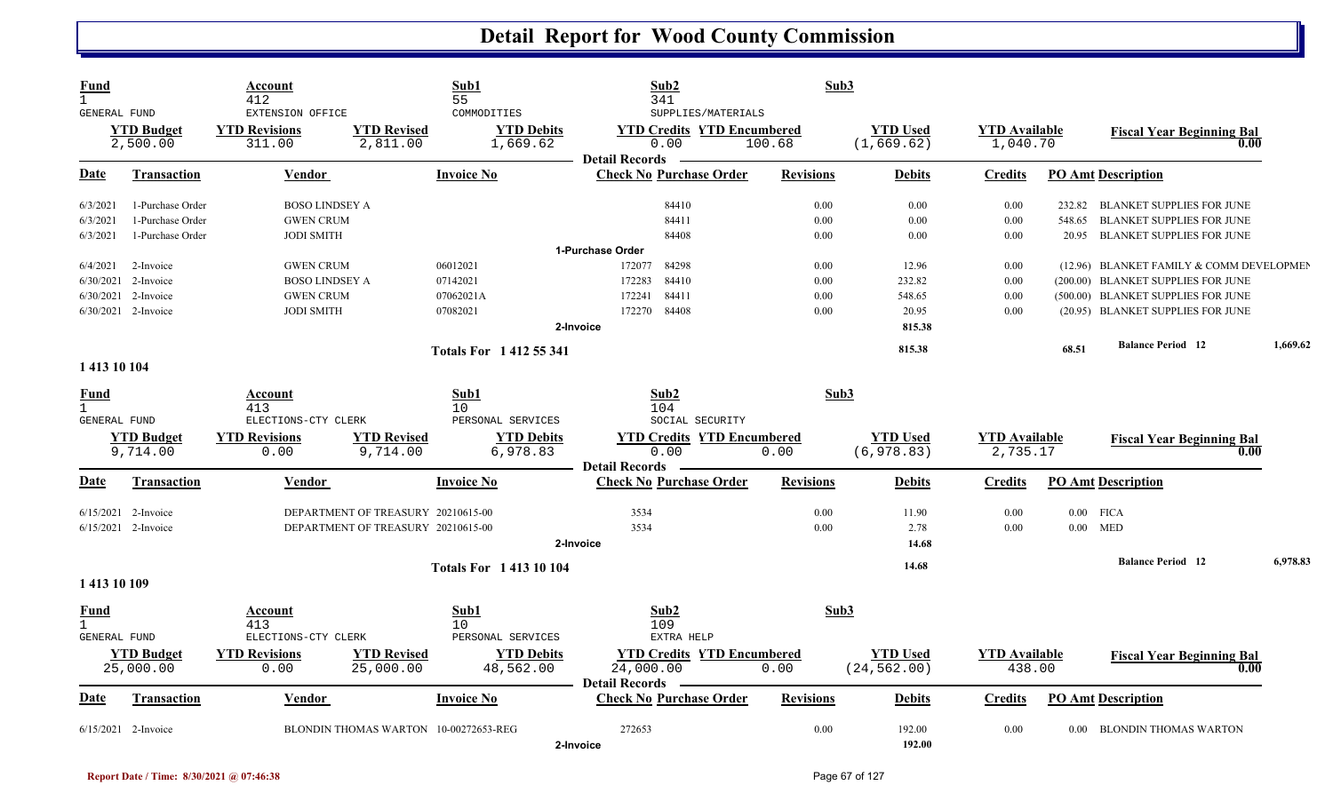| Fund<br>GENERAL FUND        |                                | Account<br>412<br>EXTENSION OFFICE |                                    | Sub1<br>55<br>COMMODITIES             | Sub2<br>341<br>SUPPLIES/MATERIALS                                  | Sub3             |                                 |                                  |        |                                          |          |
|-----------------------------|--------------------------------|------------------------------------|------------------------------------|---------------------------------------|--------------------------------------------------------------------|------------------|---------------------------------|----------------------------------|--------|------------------------------------------|----------|
|                             | <b>YTD Budget</b><br>2,500.00  | <b>YTD Revisions</b><br>311.00     | <b>YTD Revised</b><br>2,811.00     | <b>YTD Debits</b><br>1,669.62         | <b>YTD Credits YTD Encumbered</b><br>0.00<br><b>Detail Records</b> | 100.68           | <b>YTD Used</b><br>(1, 669.62)  | <b>YTD</b> Available<br>1,040.70 |        | <b>Fiscal Year Beginning Bal</b><br>0.00 |          |
| Date                        | <b>Transaction</b>             | <b>Vendor</b>                      |                                    | <b>Invoice No</b>                     | <b>Check No Purchase Order</b>                                     | <b>Revisions</b> | <b>Debits</b>                   | <b>Credits</b>                   |        | <b>PO Amt Description</b>                |          |
| 6/3/2021                    | 1-Purchase Order               | <b>BOSO LINDSEY A</b>              |                                    |                                       | 84410                                                              | 0.00             | 0.00                            | 0.00                             |        | 232.82 BLANKET SUPPLIES FOR JUNE         |          |
| 6/3/2021                    | 1-Purchase Order               | <b>GWEN CRUM</b>                   |                                    |                                       | 84411                                                              | 0.00             | 0.00                            | 0.00                             | 548.65 | BLANKET SUPPLIES FOR JUNE                |          |
| 6/3/2021                    | 1-Purchase Order               | <b>JODI SMITH</b>                  |                                    |                                       | 84408                                                              | 0.00             | 0.00                            | 0.00                             | 20.95  | BLANKET SUPPLIES FOR JUNE                |          |
|                             |                                |                                    |                                    |                                       | 1-Purchase Order                                                   |                  |                                 |                                  |        |                                          |          |
| 6/4/2021                    | 2-Invoice                      | <b>GWEN CRUM</b>                   |                                    | 06012021                              | 172077<br>84298                                                    | 0.00             | 12.96                           | 0.00                             |        | (12.96) BLANKET FAMILY & COMM DEVELOPMEN |          |
| 6/30/2021                   | 2-Invoice                      | <b>BOSO LINDSEY A</b>              |                                    | 07142021                              | 84410<br>172283                                                    | 0.00             | 232.82                          | 0.00                             |        | (200.00) BLANKET SUPPLIES FOR JUNE       |          |
| 6/30/2021                   | 2-Invoice                      | <b>GWEN CRUM</b>                   |                                    | 07062021A                             | 84411<br>172241                                                    | 0.00             | 548.65                          | 0.00                             |        | (500.00) BLANKET SUPPLIES FOR JUNE       |          |
|                             | 6/30/2021 2-Invoice            | <b>JODI SMITH</b>                  |                                    | 07082021                              | 84408<br>172270                                                    | 0.00             | 20.95                           | 0.00                             |        | (20.95) BLANKET SUPPLIES FOR JUNE        |          |
|                             |                                |                                    |                                    |                                       | 2-Invoice                                                          |                  | 815.38                          |                                  |        |                                          |          |
|                             |                                |                                    |                                    | <b>Totals For 1412 55 341</b>         |                                                                    |                  | 815.38                          |                                  | 68.51  | <b>Balance Period 12</b>                 | 1,669.62 |
| 1 413 10 104                |                                |                                    |                                    |                                       |                                                                    |                  |                                 |                                  |        |                                          |          |
| <b>Fund</b><br>$\mathbf{1}$ |                                | Account<br>413                     |                                    | Sub1<br>10 <sup>°</sup>               | Sub2<br>104                                                        | Sub3             |                                 |                                  |        |                                          |          |
| GENERAL FUND                |                                | ELECTIONS-CTY CLERK                |                                    | PERSONAL SERVICES                     | SOCIAL SECURITY                                                    |                  |                                 |                                  |        |                                          |          |
|                             | <b>YTD Budget</b>              | <b>YTD Revisions</b>               | <b>YTD Revised</b>                 | <b>YTD Debits</b>                     | <b>YTD Credits YTD Encumbered</b>                                  |                  | <b>YTD Used</b>                 | <b>YTD Available</b>             |        | <b>Fiscal Year Beginning Bal</b>         |          |
|                             | 9,714.00                       | 0.00                               | 9,714.00                           | 6,978.83                              | 0.00<br><b>Detail Records</b>                                      | 0.00             | (6, 978.83)                     | 2,735.17                         |        | 0.00                                     |          |
| Date                        | <b>Transaction</b>             | <b>Vendor</b>                      |                                    | <b>Invoice No</b>                     | <b>Check No Purchase Order</b>                                     | <b>Revisions</b> | <b>Debits</b>                   | <b>Credits</b>                   |        | <b>PO Amt Description</b>                |          |
|                             | $6/15/2021$ 2-Invoice          |                                    | DEPARTMENT OF TREASURY 20210615-00 |                                       | 3534                                                               | 0.00             | 11.90                           | 0.00                             |        | $0.00$ FICA                              |          |
|                             | 6/15/2021 2-Invoice            |                                    | DEPARTMENT OF TREASURY 20210615-00 |                                       | 3534                                                               | 0.00             | 2.78                            | 0.00                             |        | $0.00$ MED                               |          |
|                             |                                |                                    |                                    |                                       | 2-Invoice                                                          |                  | 14.68                           |                                  |        |                                          |          |
|                             |                                |                                    |                                    |                                       |                                                                    |                  |                                 |                                  |        | <b>Balance Period 12</b>                 | 6,978.83 |
| 1413 10 109                 |                                |                                    |                                    | <b>Totals For 141310104</b>           |                                                                    |                  | 14.68                           |                                  |        |                                          |          |
| <b>Fund</b>                 |                                | Account                            |                                    | Sub1                                  | Sub2                                                               | Sub3             |                                 |                                  |        |                                          |          |
| $\mathbf{1}$                |                                | 413                                |                                    | 10                                    | 109                                                                |                  |                                 |                                  |        |                                          |          |
| GENERAL FUND                |                                | ELECTIONS-CTY CLERK                |                                    | PERSONAL SERVICES                     | EXTRA HELP                                                         |                  |                                 |                                  |        |                                          |          |
|                             | <b>YTD</b> Budget<br>25,000.00 | <b>YTD Revisions</b><br>0.00       | <b>YTD Revised</b><br>25,000.00    | <b>YTD Debits</b><br>48,562.00        | <b>YTD Credits YTD Encumbered</b><br>24,000.00                     | 0.00             | <b>YTD Used</b><br>(24, 562.00) | <b>YTD Available</b><br>438.00   |        | <b>Fiscal Year Beginning Bal</b><br>0.00 |          |
| Date                        | <b>Transaction</b>             | <b>Vendor</b>                      |                                    | <b>Invoice No</b>                     | <b>Detail Records</b><br><b>Check No Purchase Order</b>            | <b>Revisions</b> | <b>Debits</b>                   | <b>Credits</b>                   |        | <b>PO Amt Description</b>                |          |
|                             | $6/15/2021$ 2-Invoice          |                                    |                                    | BLONDIN THOMAS WARTON 10-00272653-REG | 272653<br>2-Invoice                                                | 0.00             | 192.00<br>192.00                | 0.00                             |        | 0.00 BLONDIN THOMAS WARTON               |          |

N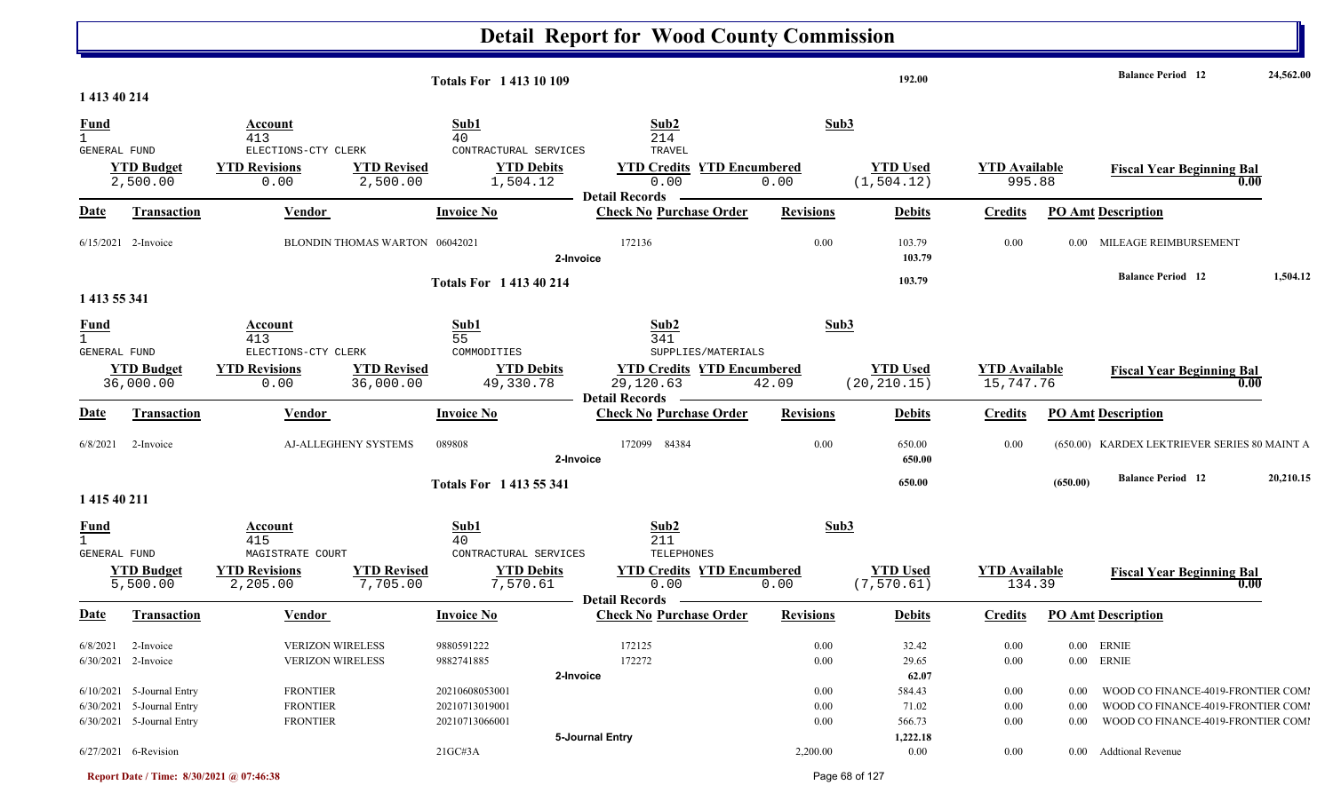|                                                    |                                                                                       |                                                       |                                 | <b>Totals For 141310109</b>                        |                                    |                                            | 192.00                             |                                   |                          | <b>Balance Period</b> 12                                                                                       | 24,562.00 |
|----------------------------------------------------|---------------------------------------------------------------------------------------|-------------------------------------------------------|---------------------------------|----------------------------------------------------|------------------------------------|--------------------------------------------|------------------------------------|-----------------------------------|--------------------------|----------------------------------------------------------------------------------------------------------------|-----------|
| 1 413 40 214                                       |                                                                                       |                                                       |                                 |                                                    |                                    |                                            |                                    |                                   |                          |                                                                                                                |           |
| <b>Fund</b><br>GENERAL FUND                        |                                                                                       | Account<br>413<br>ELECTIONS-CTY CLERK                 |                                 | Sub1<br>40<br>CONTRACTURAL SERVICES                | Sub2<br>214<br>TRAVEL              |                                            | Sub3                               |                                   |                          |                                                                                                                |           |
|                                                    | <b>YTD Budget</b><br>2,500.00                                                         | <b>YTD Revisions</b><br>0.00                          | <b>YTD Revised</b><br>2,500.00  | <b>YTD Debits</b><br>1,504.12                      | 0.00<br><b>Detail Records</b>      | <b>YTD Credits YTD Encumbered</b><br>0.00  | <b>YTD Used</b><br>(1, 504.12)     | <b>YTD</b> Available<br>995.88    |                          | <b>Fiscal Year Beginning Bal</b><br>0.00                                                                       |           |
| <b>Date</b>                                        | Transaction                                                                           | Vendor                                                |                                 | <b>Invoice No</b>                                  | <b>Check No Purchase Order</b>     | <b>Revisions</b>                           | <b>Debits</b>                      | <b>Credits</b>                    |                          | <b>PO Amt Description</b>                                                                                      |           |
|                                                    | 6/15/2021 2-Invoice                                                                   |                                                       | BLONDIN THOMAS WARTON 06042021  |                                                    | 172136<br>2-Invoice                | 0.00                                       | 103.79<br>103.79                   | 0.00                              | 0.00                     | MILEAGE REIMBURSEMENT                                                                                          |           |
| 1 413 55 341                                       |                                                                                       |                                                       |                                 | <b>Totals For 141340214</b>                        |                                    |                                            | 103.79                             |                                   |                          | <b>Balance Period</b> 12                                                                                       | 1,504.12  |
| <b>Fund</b><br>$\mathbf{1}$<br><b>GENERAL FUND</b> |                                                                                       | Account<br>413<br>ELECTIONS-CTY CLERK                 |                                 | Sub1<br>55<br>COMMODITIES                          | Sub2<br>341<br>SUPPLIES/MATERIALS  |                                            | Sub3                               |                                   |                          |                                                                                                                |           |
|                                                    | <b>YTD Budget</b><br>36,000.00                                                        | <b>YTD Revisions</b><br>0.00                          | <b>YTD Revised</b><br>36,000.00 | <b>YTD Debits</b><br>49,330.78                     | 29,120.63<br><b>Detail Records</b> | <b>YTD Credits YTD Encumbered</b><br>42.09 | <b>YTD Used</b><br>(20, 210.15)    | <b>YTD Available</b><br>15,747.76 |                          | <b>Fiscal Year Beginning Bal</b><br>0.00                                                                       |           |
| <b>Date</b>                                        | <b>Transaction</b>                                                                    | Vendor                                                |                                 | <b>Invoice No</b>                                  | <b>Check No Purchase Order</b>     | <b>Revisions</b>                           | <b>Debits</b>                      | <b>Credits</b>                    |                          | <b>PO Amt Description</b>                                                                                      |           |
| 6/8/2021                                           | 2-Invoice                                                                             |                                                       | <b>AJ-ALLEGHENY SYSTEMS</b>     | 089808                                             | 172099 84384<br>2-Invoice          | 0.00                                       | 650.00<br>650.00                   | 0.00                              |                          | (650.00) KARDEX LEKTRIEVER SERIES 80 MAINT A                                                                   |           |
| 1 415 40 211                                       |                                                                                       |                                                       |                                 | <b>Totals For 1413 55 341</b>                      |                                    |                                            | 650.00                             |                                   | (650.00)                 | <b>Balance Period</b> 12                                                                                       | 20,210.15 |
| <b>Fund</b><br>$\mathbf{1}$<br>GENERAL FUND        |                                                                                       | Account<br>415<br>MAGISTRATE COURT                    |                                 | Sub1<br>40<br>CONTRACTURAL SERVICES                | Sub2<br>211<br>TELEPHONES          |                                            | Sub3                               |                                   |                          |                                                                                                                |           |
|                                                    | <b>YTD Budget</b><br>5,500.00                                                         | <b>YTD Revisions</b><br>2,205.00                      | <b>YTD Revised</b><br>7,705.00  | <b>YTD Debits</b><br>7,570.61                      | 0.00<br><b>Detail Records</b>      | <b>YTD Credits YTD Encumbered</b><br>0.00  | <b>YTD Used</b><br>(7, 570.61)     | <b>YTD Available</b><br>134.39    |                          | <b>Fiscal Year Beginning Bal</b><br>0.00                                                                       |           |
| Date                                               | <b>Transaction</b>                                                                    | <b>Vendor</b>                                         |                                 | <b>Invoice No</b>                                  | <b>Check No Purchase Order</b>     | <b>Revisions</b>                           | <b>Debits</b>                      | <b>Credits</b>                    |                          | <b>PO Amt Description</b>                                                                                      |           |
| 6/8/2021                                           | 2-Invoice<br>6/30/2021 2-Invoice                                                      | <b>VERIZON WIRELESS</b><br><b>VERIZON WIRELESS</b>    |                                 | 9880591222<br>9882741885                           | 172125<br>172272                   | 0.00<br>$0.00\,$                           | 32.42<br>29.65                     | 0.00<br>0.00                      |                          | 0.00 ERNIE<br>0.00 ERNIE                                                                                       |           |
|                                                    | $6/10/2021$ 5-Journal Entry<br>6/30/2021 5-Journal Entry<br>6/30/2021 5-Journal Entry | <b>FRONTIER</b><br><b>FRONTIER</b><br><b>FRONTIER</b> |                                 | 20210608053001<br>20210713019001<br>20210713066001 | 2-Invoice                          | $0.00\,$<br>$0.00\,$<br>$0.00\,$           | 62.07<br>584.43<br>71.02<br>566.73 | $0.00\,$<br>$0.00\,$<br>$0.00\,$  | 0.00<br>0.00<br>$0.00\,$ | WOOD CO FINANCE-4019-FRONTIER COMI<br>WOOD CO FINANCE-4019-FRONTIER COMI<br>WOOD CO FINANCE-4019-FRONTIER COMI |           |
|                                                    | 6/27/2021 6-Revision                                                                  |                                                       |                                 | 21GC#3A                                            | 5-Journal Entry                    | 2,200.00                                   | 1,222.18<br>$0.00\,$               | $0.00\,$                          |                          | 0.00 Addtional Revenue                                                                                         |           |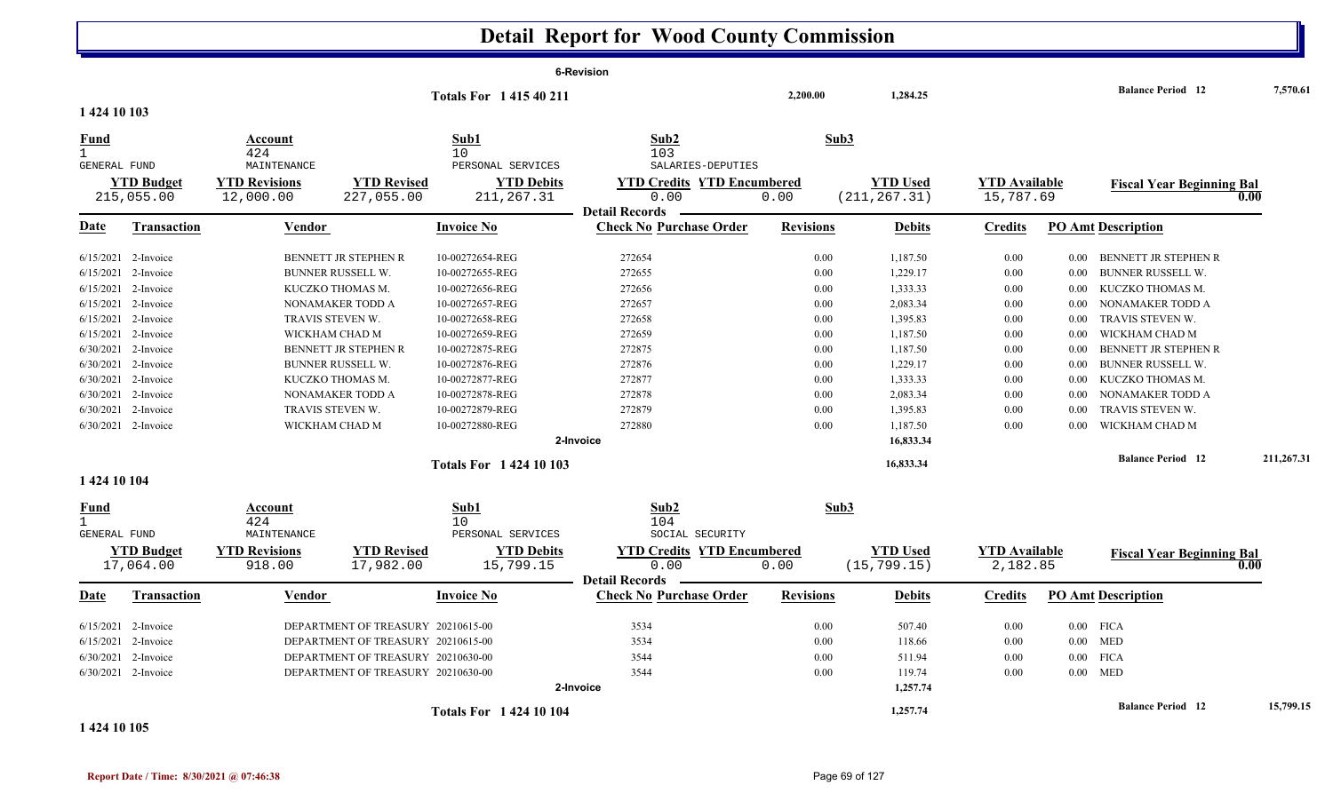|                                             |                                |                                |                                    |                                              | <b>6-Revision</b>                                                  |                  |                                 |                                  |          |                                  |            |
|---------------------------------------------|--------------------------------|--------------------------------|------------------------------------|----------------------------------------------|--------------------------------------------------------------------|------------------|---------------------------------|----------------------------------|----------|----------------------------------|------------|
|                                             |                                |                                |                                    | <b>Totals For 141540211</b>                  |                                                                    | 2,200.00         | 1,284.25                        |                                  |          | <b>Balance Period 12</b>         | 7,570.61   |
| 1 424 10 103                                |                                |                                |                                    |                                              |                                                                    |                  |                                 |                                  |          |                                  |            |
| <u>Fund</u><br>$\mathbf{1}$                 |                                | Account<br>424                 |                                    | Sub1<br>10                                   | Sub2<br>103                                                        | Sub3             |                                 |                                  |          |                                  |            |
| GENERAL FUND                                |                                | MAINTENANCE                    |                                    | PERSONAL SERVICES                            | SALARIES-DEPUTIES                                                  |                  |                                 |                                  |          |                                  |            |
|                                             | <b>YTD</b> Budget              | <b>YTD Revisions</b>           | <b>YTD Revised</b>                 | <b>YTD Debits</b>                            | <b>YTD Credits YTD Encumbered</b>                                  |                  | <b>YTD Used</b>                 | <b>YTD Available</b>             |          | <b>Fiscal Year Beginning Bal</b> |            |
|                                             | 215,055.00                     | 12,000.00                      | 227,055.00                         | 211, 267.31                                  | 0.00                                                               | 0.00             | (211, 267.31)                   | 15,787.69                        |          |                                  | 0.00       |
| Date                                        | <b>Transaction</b>             | Vendor                         |                                    | <b>Invoice No</b>                            | <b>Detail Records</b><br><b>Check No Purchase Order</b>            | <b>Revisions</b> | <b>Debits</b>                   | <b>Credits</b>                   |          | <b>PO Amt Description</b>        |            |
|                                             | $6/15/2021$ 2-Invoice          |                                | BENNETT JR STEPHEN R               | 10-00272654-REG                              | 272654                                                             | 0.00             | 1,187.50                        | 0.00                             | $0.00\,$ | BENNETT JR STEPHEN R             |            |
|                                             | $6/15/2021$ 2-Invoice          |                                | BUNNER RUSSELL W.                  | 10-00272655-REG                              | 272655                                                             | 0.00             | 1,229.17                        | 0.00                             | $0.00\,$ | BUNNER RUSSELL W.                |            |
| 6/15/2021                                   | 2-Invoice                      |                                | KUCZKO THOMAS M.                   | 10-00272656-REG                              | 272656                                                             | 0.00             | 1,333.33                        | 0.00                             | $0.00\,$ | KUCZKO THOMAS M.                 |            |
|                                             | 6/15/2021 2-Invoice            |                                | NONAMAKER TODD A                   | 10-00272657-REG                              | 272657                                                             | 0.00             | 2,083.34                        | 0.00                             | 0.00     | NONAMAKER TODD A                 |            |
|                                             | 6/15/2021 2-Invoice            |                                | TRAVIS STEVEN W.                   | 10-00272658-REG                              | 272658                                                             | 0.00             | 1,395.83                        | 0.00                             | $0.00\,$ | TRAVIS STEVEN W.                 |            |
| 6/15/2021                                   | 2-Invoice                      |                                | WICKHAM CHAD M                     | 10-00272659-REG                              | 272659                                                             | 0.00             | 1,187.50                        | 0.00                             | 0.00     | WICKHAM CHAD M                   |            |
|                                             | 6/30/2021 2-Invoice            |                                | BENNETT JR STEPHEN R               | 10-00272875-REG                              | 272875                                                             | 0.00             | 1,187.50                        | 0.00                             | 0.00     | <b>BENNETT JR STEPHEN R</b>      |            |
|                                             | 6/30/2021 2-Invoice            |                                | BUNNER RUSSELL W.                  | 10-00272876-REG                              | 272876                                                             | 0.00             | 1,229.17                        | 0.00                             | $0.00\,$ | BUNNER RUSSELL W.                |            |
|                                             | 6/30/2021 2-Invoice            |                                | KUCZKO THOMAS M.                   | 10-00272877-REG                              | 272877                                                             | 0.00             | 1,333.33                        | 0.00                             | $0.00\,$ | KUCZKO THOMAS M.                 |            |
|                                             | 6/30/2021 2-Invoice            |                                | NONAMAKER TODD A                   | 10-00272878-REG                              | 272878                                                             | 0.00             | 2,083.34                        | 0.00                             | $0.00\,$ | NONAMAKER TODD A                 |            |
|                                             | 6/30/2021 2-Invoice            |                                | TRAVIS STEVEN W.                   | 10-00272879-REG                              | 272879                                                             | 0.00             | 1,395.83                        | 0.00                             | 0.00     | TRAVIS STEVEN W.                 |            |
|                                             | 6/30/2021 2-Invoice            |                                | WICKHAM CHAD M                     | 10-00272880-REG                              | 272880                                                             | 0.00             | 1,187.50                        | 0.00                             | $0.00\,$ | WICKHAM CHAD M                   |            |
|                                             |                                |                                |                                    |                                              | 2-Invoice                                                          |                  | 16,833.34                       |                                  |          |                                  |            |
|                                             |                                |                                |                                    | <b>Totals For 142410103</b>                  |                                                                    |                  | 16,833.34                       |                                  |          | <b>Balance Period 12</b>         | 211,267.31 |
| 1 424 10 104                                |                                |                                |                                    |                                              |                                                                    |                  |                                 |                                  |          |                                  |            |
| <u>Fund</u><br>$\mathbf{1}$<br>GENERAL FUND |                                | Account<br>424<br>MAINTENANCE  |                                    | Sub1<br>10 <sup>°</sup><br>PERSONAL SERVICES | Sub2<br>104<br>SOCIAL SECURITY                                     | Sub3             |                                 |                                  |          |                                  |            |
|                                             | <b>YTD</b> Budget<br>17,064.00 | <b>YTD Revisions</b><br>918.00 | <b>YTD Revised</b><br>17,982.00    | <b>YTD Debits</b><br>15,799.15               | <b>YTD Credits YTD Encumbered</b><br>0.00<br><b>Detail Records</b> | 0.00             | <b>YTD</b> Used<br>(15, 799.15) | <b>YTD Available</b><br>2,182.85 |          | <b>Fiscal Year Beginning Bal</b> | 0.00       |
| Date                                        | <b>Transaction</b>             | Vendor                         |                                    | <b>Invoice No</b>                            | <b>Check No Purchase Order</b>                                     | <b>Revisions</b> | <b>Debits</b>                   | <b>Credits</b>                   |          | <b>PO Amt Description</b>        |            |
|                                             | 6/15/2021 2-Invoice            |                                | DEPARTMENT OF TREASURY 20210615-00 |                                              | 3534                                                               | 0.00             | 507.40                          | 0.00                             |          | $0.00$ FICA                      |            |
|                                             | 6/15/2021 2-Invoice            |                                | DEPARTMENT OF TREASURY 20210615-00 |                                              | 3534                                                               | 0.00             | 118.66                          | 0.00                             |          | $0.00$ MED                       |            |
|                                             | 6/30/2021 2-Invoice            |                                | DEPARTMENT OF TREASURY 20210630-00 |                                              | 3544                                                               | 0.00             | 511.94                          | 0.00                             |          | $0.00$ FICA                      |            |
|                                             | 6/30/2021 2-Invoice            |                                | DEPARTMENT OF TREASURY 20210630-00 |                                              | 3544                                                               | 0.00             | 119.74                          | 0.00                             |          | $0.00$ MED                       |            |
|                                             |                                |                                |                                    |                                              | 2-Invoice                                                          |                  | 1,257.74                        |                                  |          |                                  |            |
|                                             |                                |                                |                                    | <b>Totals For 142410104</b>                  |                                                                    |                  | 1,257.74                        |                                  |          | <b>Balance Period 12</b>         | 15,799.15  |

**1 424 10 105**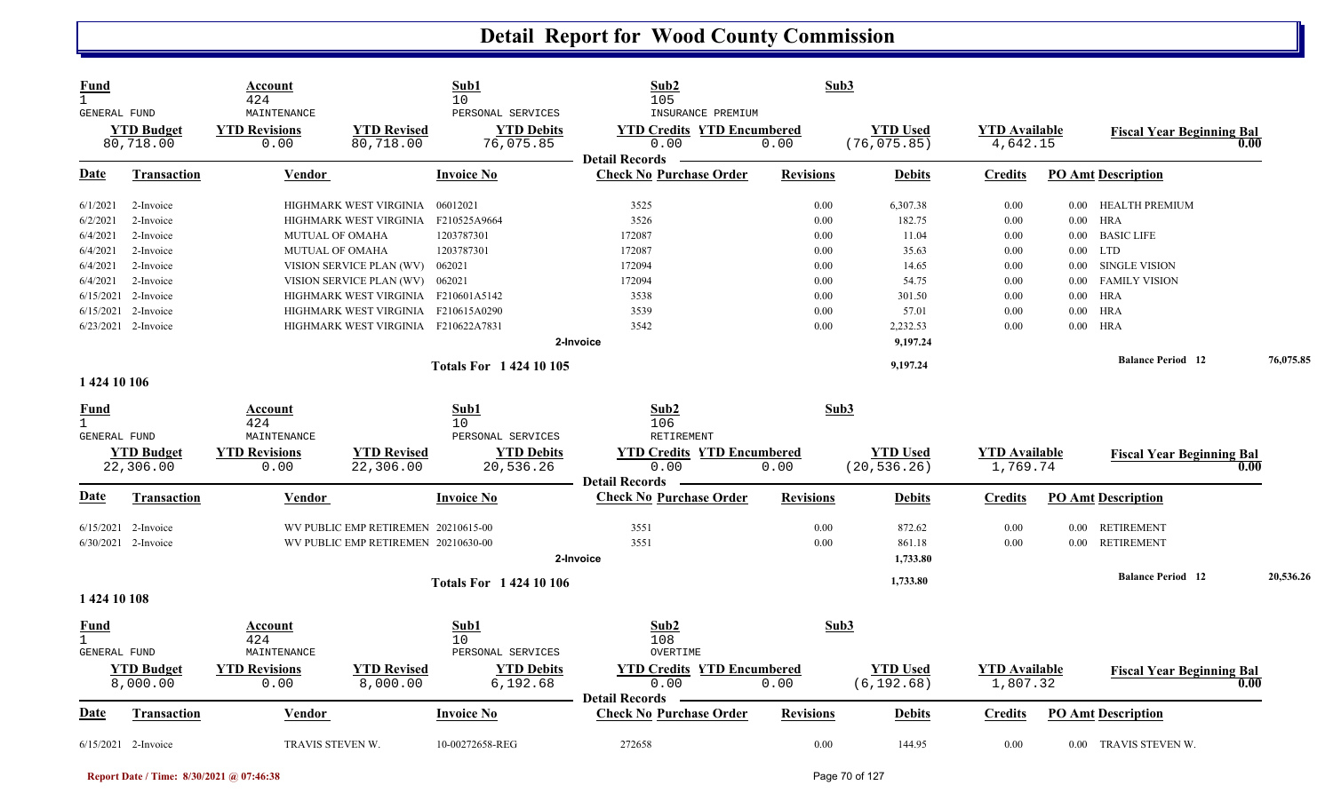| Fund<br>$\mathbf{1}$<br><b>GENERAL FUND</b> |                                | Account<br>424<br>MAINTENANCE |                                     | Sub1<br>10<br>PERSONAL SERVICES | Sub2<br>105<br>INSURANCE PREMIUM                        | Sub3             |                                 |                                  |          |                                  |           |
|---------------------------------------------|--------------------------------|-------------------------------|-------------------------------------|---------------------------------|---------------------------------------------------------|------------------|---------------------------------|----------------------------------|----------|----------------------------------|-----------|
|                                             | <b>YTD</b> Budget<br>80,718.00 | <b>YTD Revisions</b><br>0.00  | <b>YTD Revised</b><br>80,718.00     | <b>YTD Debits</b><br>76,075.85  | <b>YTD Credits YTD Encumbered</b><br>0.00               | 0.00             | <b>YTD Used</b><br>(76, 075.85) | <b>YTD Available</b><br>4,642.15 |          | <b>Fiscal Year Beginning Bal</b> | 0.00      |
| <b>Date</b>                                 | <b>Transaction</b>             | Vendor                        |                                     | Invoice No                      | <b>Detail Records</b><br><b>Check No Purchase Order</b> | <b>Revisions</b> | <b>Debits</b>                   | <b>Credits</b>                   |          | <b>PO Amt Description</b>        |           |
| 6/1/2021                                    | 2-Invoice                      |                               | HIGHMARK WEST VIRGINIA              | 06012021                        | 3525                                                    | 0.00             | 6,307.38                        | 0.00                             | $0.00\,$ | HEALTH PREMIUM                   |           |
| 6/2/2021                                    | 2-Invoice                      |                               | HIGHMARK WEST VIRGINIA              | F210525A9664                    | 3526                                                    | 0.00             | 182.75                          | 0.00                             |          | $0.00$ HRA                       |           |
| 6/4/2021                                    | 2-Invoice                      | MUTUAL OF OMAHA               |                                     | 1203787301                      | 172087                                                  | 0.00             | 11.04                           | 0.00                             | $0.00\,$ | <b>BASIC LIFE</b>                |           |
| 6/4/2021                                    | 2-Invoice                      | MUTUAL OF OMAHA               |                                     | 1203787301                      | 172087                                                  | 0.00             | 35.63                           | 0.00                             | 0.00     | LTD                              |           |
| 6/4/2021                                    | 2-Invoice                      |                               | VISION SERVICE PLAN (WV)            | 062021                          | 172094                                                  | 0.00             | 14.65                           | 0.00                             | $0.00\,$ | <b>SINGLE VISION</b>             |           |
| 6/4/2021                                    | 2-Invoice                      |                               | VISION SERVICE PLAN (WV) 062021     |                                 | 172094                                                  | 0.00             | 54.75                           | 0.00                             | 0.00     | <b>FAMILY VISION</b>             |           |
| 6/15/2021                                   | 2-Invoice                      |                               | HIGHMARK WEST VIRGINIA F210601A5142 |                                 | 3538                                                    | 0.00             | 301.50                          | 0.00                             | 0.00     | <b>HRA</b>                       |           |
| 6/15/2021                                   | 2-Invoice                      |                               | HIGHMARK WEST VIRGINIA F210615A0290 |                                 | 3539                                                    | 0.00             | 57.01                           | 0.00                             | $0.00\,$ | <b>HRA</b>                       |           |
|                                             | 6/23/2021 2-Invoice            |                               | HIGHMARK WEST VIRGINIA F210622A7831 |                                 | 3542                                                    | 0.00             | 2,232.53                        | 0.00                             | $0.00\,$ | HRA                              |           |
|                                             |                                |                               |                                     |                                 | 2-Invoice                                               |                  | 9,197.24                        |                                  |          |                                  |           |
|                                             |                                |                               |                                     | <b>Totals For 142410105</b>     |                                                         |                  | 9,197.24                        |                                  |          | <b>Balance Period 12</b>         | 76,075.85 |
| 1 424 10 106                                |                                |                               |                                     |                                 |                                                         |                  |                                 |                                  |          |                                  |           |
| <u>Fund</u>                                 |                                | Account                       |                                     | Sub1                            | Sub2                                                    | Sub3             |                                 |                                  |          |                                  |           |
| $\mathbf{1}$                                |                                | 424                           |                                     | 10                              | 106                                                     |                  |                                 |                                  |          |                                  |           |
| GENERAL FUND                                |                                | MAINTENANCE                   |                                     | PERSONAL SERVICES               | RETIREMENT                                              |                  |                                 |                                  |          |                                  |           |
|                                             | <b>YTD Budget</b><br>22,306.00 | <b>YTD Revisions</b><br>0.00  | <b>YTD Revised</b><br>22,306.00     | <b>YTD Debits</b><br>20,536.26  | <b>YTD Credits YTD Encumbered</b><br>0.00               | 0.00             | <b>YTD</b> Used<br>(20, 536.26) | <b>YTD Available</b><br>1,769.74 |          | <b>Fiscal Year Beginning Bal</b> | 0.00      |
|                                             |                                |                               |                                     |                                 | <b>Detail Records</b>                                   |                  |                                 |                                  |          |                                  |           |
| Date                                        | <b>Transaction</b>             | Vendor                        |                                     | <b>Invoice No</b>               | <b>Check No Purchase Order</b>                          | <b>Revisions</b> | <b>Debits</b>                   | <b>Credits</b>                   |          | <b>PO Amt Description</b>        |           |
|                                             | $6/15/2021$ 2-Invoice          |                               | WV PUBLIC EMP RETIREMEN 20210615-00 |                                 | 3551                                                    | 0.00             | 872.62                          | 0.00                             | $0.00\,$ | <b>RETIREMENT</b>                |           |
|                                             | 6/30/2021 2-Invoice            |                               | WV PUBLIC EMP RETIREMEN 20210630-00 |                                 | 3551                                                    | 0.00             | 861.18                          | 0.00                             | 0.00     | <b>RETIREMENT</b>                |           |
|                                             |                                |                               |                                     |                                 | 2-Invoice                                               |                  | 1,733.80                        |                                  |          |                                  |           |
|                                             |                                |                               |                                     | <b>Totals For 1 424 10 106</b>  |                                                         |                  | 1,733.80                        |                                  |          | <b>Balance Period 12</b>         | 20,536.26 |
| 1 424 10 108                                |                                |                               |                                     |                                 |                                                         |                  |                                 |                                  |          |                                  |           |
| <u>Fund</u><br>$\mathbf{1}$<br>GENERAL FUND |                                | Account<br>424<br>MAINTENANCE |                                     | Sub1<br>10<br>PERSONAL SERVICES | Sub2<br>108<br>OVERTIME                                 | Sub3             |                                 |                                  |          |                                  |           |
|                                             | <b>YTD</b> Budget              | <b>YTD Revisions</b>          | <b>YTD Revised</b>                  | <b>YTD Debits</b>               | <b>YTD Credits YTD Encumbered</b>                       |                  | <b>YTD</b> Used                 | <b>YTD Available</b>             |          |                                  |           |
|                                             | 8,000.00                       | 0.00                          | 8,000.00                            | 6,192.68                        | 0.00                                                    | 0.00             | (6, 192.68)                     | 1,807.32                         |          | <b>Fiscal Year Beginning Bal</b> | 0.00      |
| Date                                        | <b>Transaction</b>             | <b>Vendor</b>                 |                                     | <b>Invoice No</b>               | <b>Detail Records</b><br><b>Check No Purchase Order</b> | <b>Revisions</b> | <b>Debits</b>                   | <b>Credits</b>                   |          | <b>PO Amt Description</b>        |           |
|                                             |                                |                               |                                     |                                 |                                                         |                  |                                 |                                  |          |                                  |           |
|                                             | $6/15/2021$ 2-Invoice          | TRAVIS STEVEN W.              |                                     | 10-00272658-REG                 | 272658                                                  | 0.00             | 144.95                          | 0.00                             |          | 0.00 TRAVIS STEVEN W.            |           |

**Report Date / Time: 8/30/2021 @ 07:46:38** Page 70 of 127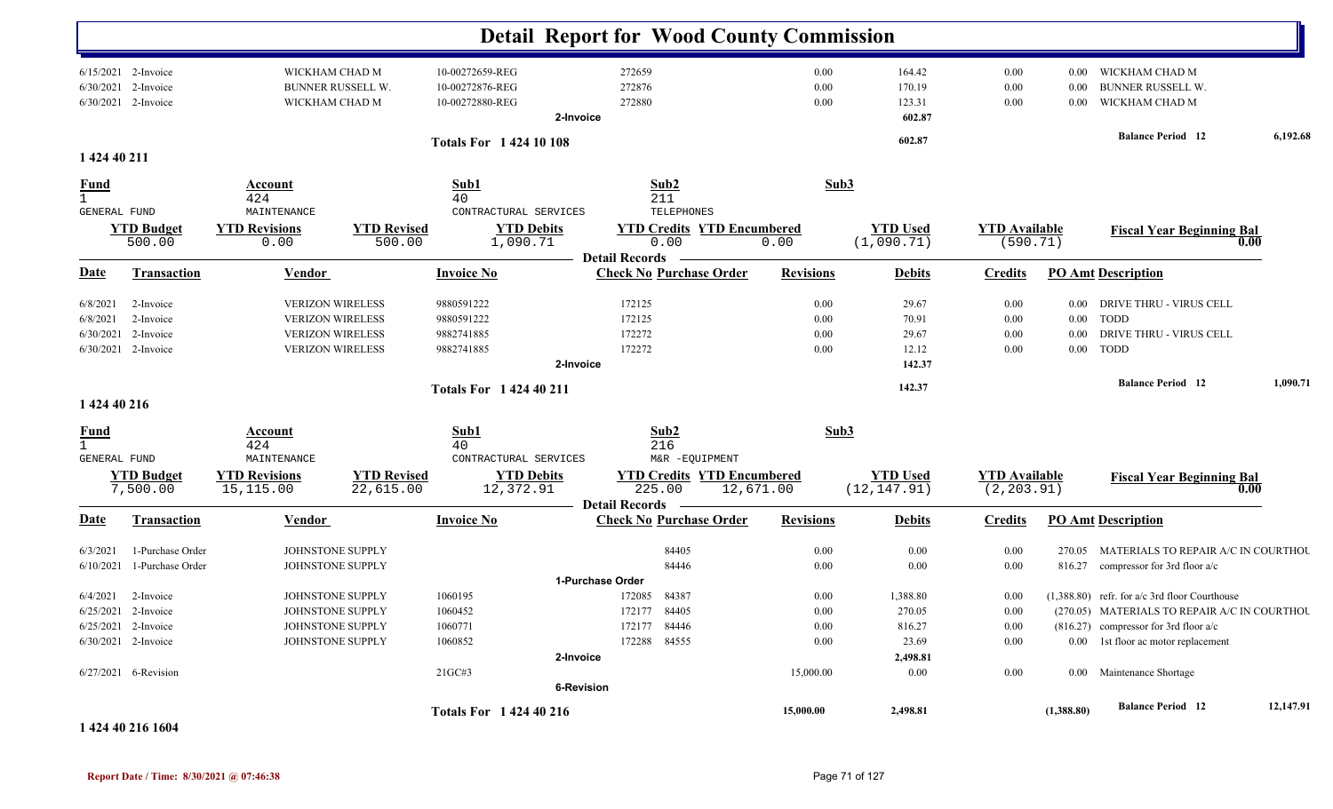|                                                    |                                                                                                          |                                                                                                          |                                 |                                                                    | <b>Detail Report for Wood County Commission</b>                                                |                                               |                                                               |                                                  |                                  |                                                                                                                                                                                                                |           |
|----------------------------------------------------|----------------------------------------------------------------------------------------------------------|----------------------------------------------------------------------------------------------------------|---------------------------------|--------------------------------------------------------------------|------------------------------------------------------------------------------------------------|-----------------------------------------------|---------------------------------------------------------------|--------------------------------------------------|----------------------------------|----------------------------------------------------------------------------------------------------------------------------------------------------------------------------------------------------------------|-----------|
| 6/30/2021                                          | 6/15/2021 2-Invoice<br>2-Invoice<br>6/30/2021 2-Invoice                                                  | WICKHAM CHAD M<br><b>BUNNER RUSSELL W.</b><br>WICKHAM CHAD M                                             |                                 | 10-00272659-REG<br>10-00272876-REG<br>10-00272880-REG<br>2-Invoice | 272659<br>272876<br>272880                                                                     | 0.00<br>0.00<br>0.00                          | 164.42<br>170.19<br>123.31<br>602.87                          | $0.00\,$<br>0.00<br>0.00                         | $0.00\,$<br>0.00<br>$0.00\,$     | WICKHAM CHAD M<br><b>BUNNER RUSSELL W.</b><br>WICKHAM CHAD M<br><b>Balance Period</b> 12                                                                                                                       | 6,192.68  |
| 1 424 40 211                                       |                                                                                                          |                                                                                                          |                                 | <b>Totals For 142410108</b>                                        |                                                                                                |                                               | 602.87                                                        |                                                  |                                  |                                                                                                                                                                                                                |           |
| <u>Fund</u><br>$\mathbf{1}$                        |                                                                                                          | Account<br>424                                                                                           |                                 | Sub1<br>40                                                         | Sub2<br>211                                                                                    | Sub3                                          |                                                               |                                                  |                                  |                                                                                                                                                                                                                |           |
| <b>GENERAL FUND</b>                                | <b>YTD Budget</b><br>500.00                                                                              | MAINTENANCE<br><b>YTD Revisions</b><br>0.00                                                              | <b>YTD Revised</b><br>500.00    | CONTRACTURAL SERVICES<br><b>YTD Debits</b><br>1,090.71             | TELEPHONES<br><b>YTD Credits YTD Encumbered</b><br>0.00                                        | 0.00                                          | <b>YTD Used</b><br>(1,090.71)                                 | <b>YTD</b> Available<br>(590.71)                 |                                  | <b>Fiscal Year Beginning Bal</b><br>0.00                                                                                                                                                                       |           |
| <b>Date</b>                                        | <b>Transaction</b>                                                                                       | <b>Vendor</b>                                                                                            |                                 | <b>Invoice No</b>                                                  | <b>Detail Records</b><br><b>Check No Purchase Order</b>                                        | <b>Revisions</b>                              | <b>Debits</b>                                                 | <b>Credits</b>                                   |                                  | <b>PO Amt Description</b>                                                                                                                                                                                      |           |
| 6/8/2021<br>6/8/2021<br>6/30/2021                  | 2-Invoice<br>2-Invoice<br>2-Invoice<br>6/30/2021 2-Invoice                                               | <b>VERIZON WIRELESS</b><br><b>VERIZON WIRELESS</b><br><b>VERIZON WIRELESS</b><br><b>VERIZON WIRELESS</b> |                                 | 9880591222<br>9880591222<br>9882741885<br>9882741885<br>2-Invoice  | 172125<br>172125<br>172272<br>172272                                                           | 0.00<br>0.00<br>0.00<br>0.00                  | 29.67<br>70.91<br>29.67<br>12.12<br>142.37                    | 0.00<br>$0.00\,$<br>$0.00\,$<br>0.00             | $0.00\,$<br>$0.00\,$<br>$0.00\,$ | DRIVE THRU - VIRUS CELL<br>$0.00$ TODD<br>DRIVE THRU - VIRUS CELL<br><b>TODD</b>                                                                                                                               |           |
| 1 424 40 216                                       |                                                                                                          |                                                                                                          |                                 | <b>Totals For 142440211</b>                                        |                                                                                                |                                               | 142.37                                                        |                                                  |                                  | <b>Balance Period</b> 12                                                                                                                                                                                       | 1,090.71  |
| <u>Fund</u><br>$\mathbf{1}$<br><b>GENERAL FUND</b> |                                                                                                          | Account<br>424<br>MAINTENANCE                                                                            |                                 | Sub1<br>40<br>CONTRACTURAL SERVICES                                | Sub2<br>216<br>M&R -EQUIPMENT                                                                  | Sub3                                          |                                                               |                                                  |                                  |                                                                                                                                                                                                                |           |
|                                                    | <b>YTD Budget</b><br>7,500.00                                                                            | <b>YTD Revisions</b><br>15,115.00                                                                        | <b>YTD Revised</b><br>22,615.00 | <b>YTD Debits</b><br>12,372.91                                     | <b>YTD Credits YTD Encumbered</b><br>225.00<br>12,671.00<br><b>Detail Records</b>              |                                               | <b>YTD Used</b><br>(12, 147.91)                               | <b>YTD Available</b><br>(2, 203.91)              |                                  | <b>Fiscal Year Beginning Bal</b><br>0.00                                                                                                                                                                       |           |
| <b>Date</b>                                        | <b>Transaction</b>                                                                                       | <b>Vendor</b>                                                                                            |                                 | <b>Invoice No</b>                                                  | <b>Check No Purchase Order</b>                                                                 | <b>Revisions</b>                              | <b>Debits</b>                                                 | <b>Credits</b>                                   |                                  | <b>PO Amt Description</b>                                                                                                                                                                                      |           |
| 6/3/2021<br>6/10/2021                              | 1-Purchase Order<br>1-Purchase Order                                                                     | JOHNSTONE SUPPLY<br>JOHNSTONE SUPPLY                                                                     |                                 |                                                                    | 84405<br>84446                                                                                 | 0.00<br>0.00                                  | 0.00<br>0.00                                                  | 0.00<br>$0.00\,$                                 | 816.27                           | 270.05 MATERIALS TO REPAIR A/C IN COURTHOU<br>compressor for 3rd floor a/c                                                                                                                                     |           |
| 6/4/2021                                           | 2-Invoice<br>6/25/2021 2-Invoice<br>$6/25/2021$ 2-Invoice<br>6/30/2021 2-Invoice<br>6/27/2021 6-Revision | JOHNSTONE SUPPLY<br>JOHNSTONE SUPPLY<br>JOHNSTONE SUPPLY<br>JOHNSTONE SUPPLY                             |                                 | 1060195<br>1060452<br>1060771<br>1060852<br>2-Invoice<br>21GC#3    | 1-Purchase Order<br>172085 84387<br>172177 84405<br>172177 84446<br>172288 84555<br>6-Revision | 0.00<br>$0.00\,$<br>0.00<br>0.00<br>15,000.00 | 1,388.80<br>270.05<br>816.27<br>23.69<br>2,498.81<br>$0.00\,$ | $0.00\,$<br>0.00<br>0.00<br>$0.00\,$<br>$0.00\,$ |                                  | $(1,388.80)$ refr. for a/c 3rd floor Courthouse<br>(270.05) MATERIALS TO REPAIR A/C IN COURTHOU<br>$(816.27)$ compressor for 3rd floor a/c<br>0.00 1st floor ac motor replacement<br>0.00 Maintenance Shortage |           |
|                                                    | 1 424 40 216 1604                                                                                        |                                                                                                          |                                 | <b>Totals For 1 424 40 216</b>                                     |                                                                                                | 15,000.00                                     | 2,498.81                                                      |                                                  | (1,388.80)                       | <b>Balance Period</b> 12                                                                                                                                                                                       | 12,147.91 |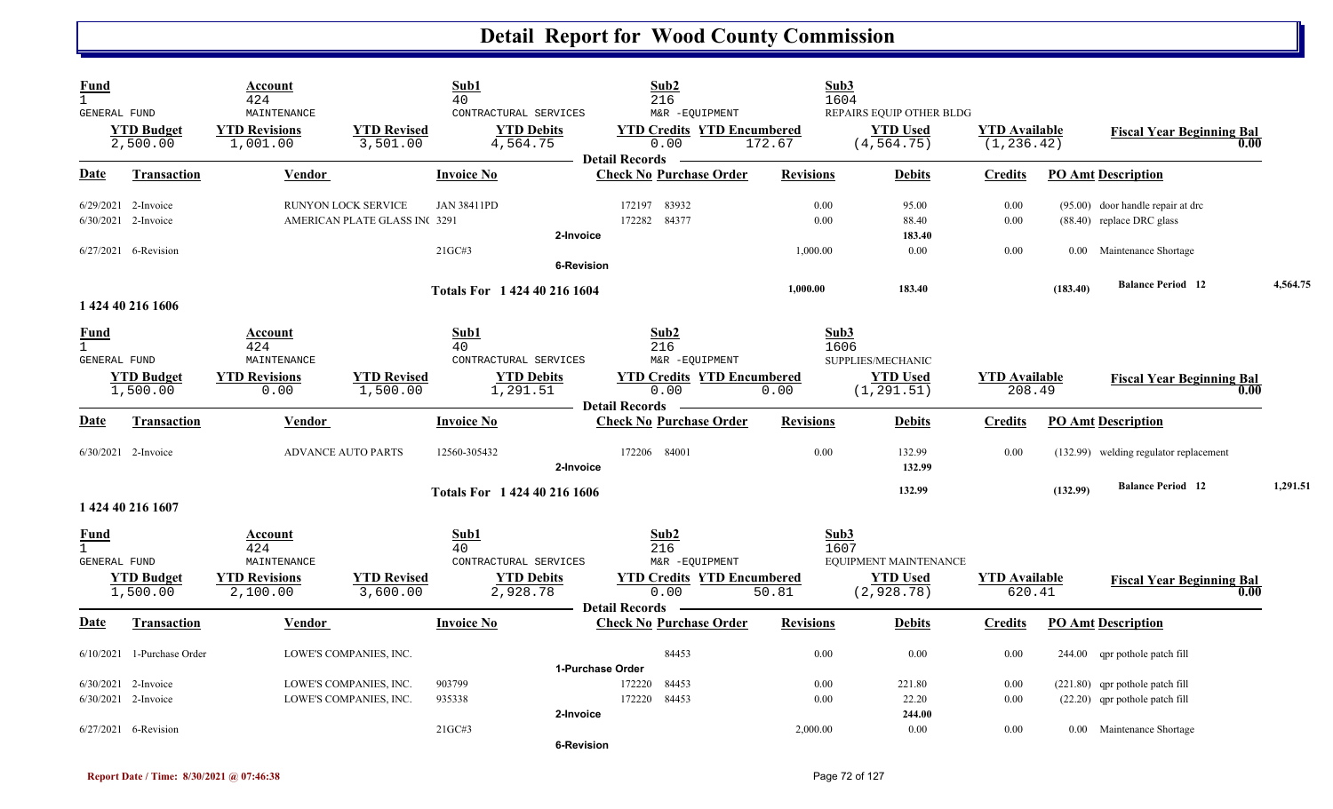| <b>Fund</b><br>$\mathbf{1}$<br>GENERAL FUND |                                            | Account<br>424<br>MAINTENANCE                                     |                                                      | Sub1<br>40<br>CONTRACTURAL SERVICES                                  | Sub2<br>216<br>M&R -EQUIPMENT                                                                       | Sub3<br>1604             | REPAIRS EQUIP OTHER BLDG                               |                                     |          |                                                                     |          |
|---------------------------------------------|--------------------------------------------|-------------------------------------------------------------------|------------------------------------------------------|----------------------------------------------------------------------|-----------------------------------------------------------------------------------------------------|--------------------------|--------------------------------------------------------|-------------------------------------|----------|---------------------------------------------------------------------|----------|
|                                             | <b>YTD Budget</b><br>2,500.00              | <b>YTD Revisions</b><br>1,001.00                                  | <b>YTD Revised</b><br>3,501.00                       | <b>YTD Debits</b><br>4,564.75                                        | <b>YTD Credits YTD Encumbered</b><br>0.00<br><b>Detail Records</b>                                  | 172.67                   | <b>YTD Used</b><br>(4, 564.75)                         | <b>YTD</b> Available<br>(1, 236.42) |          | <b>Fiscal Year Beginning Bal</b><br>0.00                            |          |
| Date                                        | <b>Transaction</b>                         | Vendor                                                            |                                                      | <b>Invoice No</b>                                                    | <b>Check No Purchase Order</b>                                                                      | <b>Revisions</b>         | <b>Debits</b>                                          | <b>Credits</b>                      |          | <b>PO Amt Description</b>                                           |          |
|                                             | 6/29/2021 2-Invoice<br>6/30/2021 2-Invoice |                                                                   | RUNYON LOCK SERVICE<br>AMERICAN PLATE GLASS INC 3291 | <b>JAN 38411PD</b><br>2-Invoice                                      | 172197 83932<br>172282 84377                                                                        | 0.00<br>0.00             | 95.00<br>88.40<br>183.40                               | 0.00<br>0.00                        |          | $(95.00)$ door handle repair at drc<br>$(88.40)$ replace DRC glass  |          |
|                                             | $6/27/2021$ 6-Revision                     |                                                                   |                                                      | 21GC#3                                                               | <b>6-Revision</b>                                                                                   | 1,000.00                 | 0.00                                                   | 0.00                                |          | 0.00 Maintenance Shortage                                           |          |
|                                             | 1 424 40 216 1606                          |                                                                   |                                                      | Totals For 1 424 40 216 1604                                         |                                                                                                     | 1,000.00                 | 183.40                                                 |                                     | (183.40) | <b>Balance Period 12</b>                                            | 4,564.75 |
| <b>Fund</b><br>$\mathbf{1}$<br>GENERAL FUND | <b>YTD Budget</b>                          | Account<br>424<br>MAINTENANCE<br><b>YTD Revisions</b>             | <b>YTD Revised</b>                                   | Sub1<br>40<br>CONTRACTURAL SERVICES<br><b>YTD Debits</b>             | Sub2<br>216<br>M&R -EQUIPMENT<br><b>YTD Credits YTD Encumbered</b>                                  | Sub3<br>1606             | SUPPLIES/MECHANIC<br><b>YTD</b> Used                   | <b>YTD Available</b>                |          | <b>Fiscal Year Beginning Bal</b>                                    |          |
| Date                                        | 1,500.00<br><b>Transaction</b>             | 0.00<br>Vendor                                                    | 1,500.00                                             | 1,291.51<br><b>Invoice No</b>                                        | 0.00<br><b>Detail Records</b><br><b>Check No Purchase Order</b>                                     | 0.00<br><b>Revisions</b> | (1, 291.51)<br><b>Debits</b>                           | 208.49<br><b>Credits</b>            |          | 0.00<br><b>PO Amt Description</b>                                   |          |
|                                             | 6/30/2021 2-Invoice                        |                                                                   | ADVANCE AUTO PARTS                                   | 12560-305432<br>2-Invoice                                            | 172206 84001                                                                                        | 0.00                     | 132.99<br>132.99                                       | 0.00                                |          | (132.99) welding regulator replacement                              |          |
|                                             | 1 424 40 216 1607                          |                                                                   |                                                      | Totals For 1 424 40 216 1606                                         |                                                                                                     |                          | 132.99                                                 |                                     | (132.99) | <b>Balance Period</b> 12                                            | 1,291.51 |
| <b>Fund</b><br>$\mathbf{1}$<br>GENERAL FUND | <b>YTD Budget</b><br>1,500.00              | Account<br>424<br>MAINTENANCE<br><b>YTD Revisions</b><br>2,100.00 | <b>YTD Revised</b><br>3,600.00                       | Sub1<br>40<br>CONTRACTURAL SERVICES<br><b>YTD Debits</b><br>2,928.78 | Sub2<br>216<br>M&R -EQUIPMENT<br><b>YTD Credits YTD Encumbered</b><br>0.00<br><b>Detail Records</b> | Sub3<br>1607<br>50.81    | EQUIPMENT MAINTENANCE<br><b>YTD Used</b><br>(2,928.78) | <b>YTD Available</b><br>620.41      |          | <b>Fiscal Year Beginning Bal</b><br>0.00                            |          |
| Date                                        | <b>Transaction</b>                         | <b>Vendor</b>                                                     |                                                      | <b>Invoice No</b>                                                    | <b>Check No Purchase Order</b>                                                                      | <b>Revisions</b>         | <b>Debits</b>                                          | <u>Credits</u>                      |          | <b>PO Amt Description</b>                                           |          |
|                                             | $6/10/2021$ 1-Purchase Order               |                                                                   | LOWE'S COMPANIES, INC.                               |                                                                      | 84453<br>1-Purchase Order                                                                           | 0.00                     | $0.00\,$                                               | 0.00                                |          | 244.00 qpr pothole patch fill                                       |          |
|                                             | 6/30/2021 2-Invoice<br>6/30/2021 2-Invoice |                                                                   | LOWE'S COMPANIES, INC.<br>LOWE'S COMPANIES, INC.     | 903799<br>935338<br>2-Invoice                                        | 172220<br>84453<br>172220<br>84453                                                                  | 0.00<br>0.00             | 221.80<br>22.20<br>244.00                              | 0.00<br>0.00                        |          | (221.80) qpr pothole patch fill<br>$(22.20)$ qpr pothole patch fill |          |
|                                             | 6/27/2021 6-Revision                       |                                                                   |                                                      | 21GC#3                                                               | <b>6-Revision</b>                                                                                   | 2,000.00                 | 0.00                                                   | 0.00                                |          | 0.00 Maintenance Shortage                                           |          |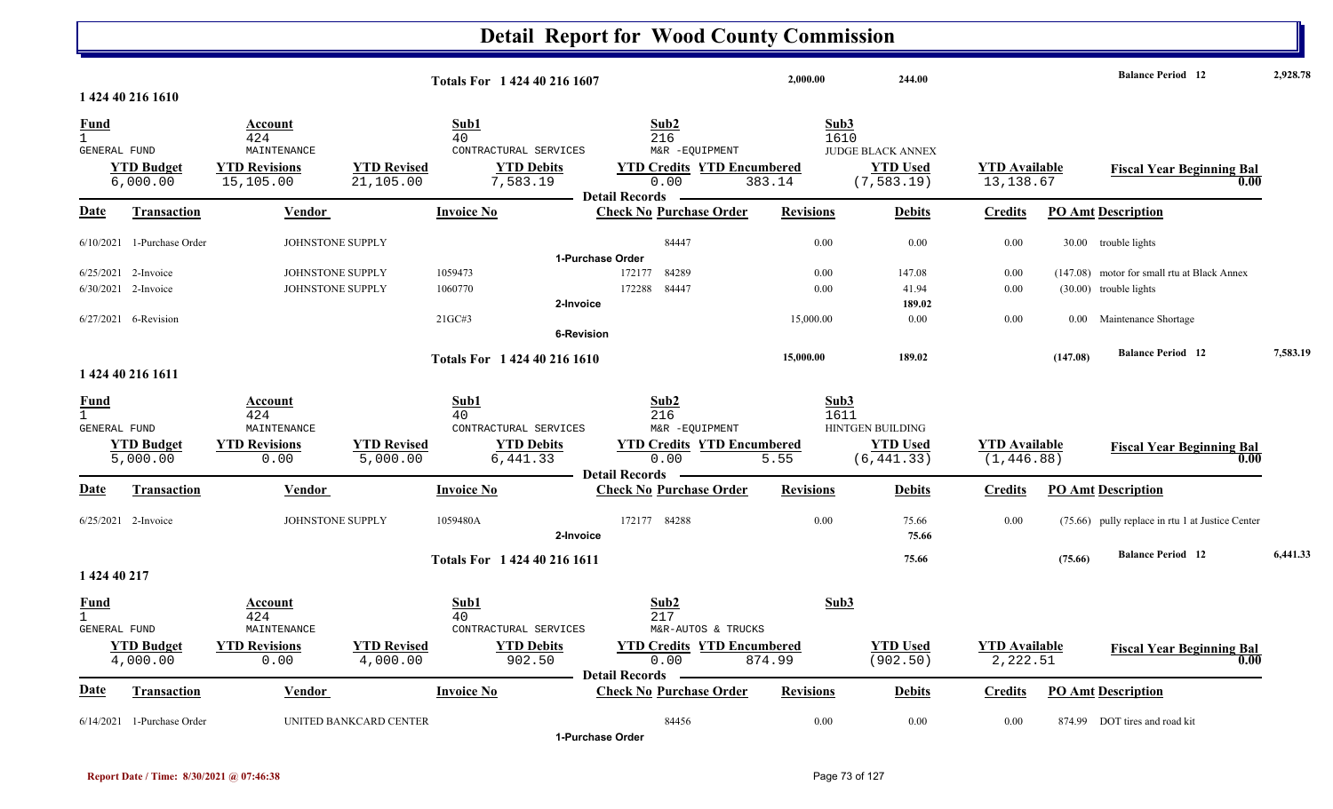#### **Detail Report for Wood County Commission 2,000.00 244.00 Balance Period 2,928.78 <sup>12</sup> Totals For 1 424 40 216 16071 424 40 216 1610**1 424 40 216 1610 **Fund Account Sub1 Sub2 Sub3** GENERAL FUND MAINTENANCE CONTRACTURAL SERVICES M&R -EQUIPMENT 6,000.00 15,105.00 21,105.00 7,583.19 0.00 383.14 (7,583.19) 13,138.67 **YTD Budget YTD Revisions YTD Revised YTD Debits YTD Credits YTD Encumbered YTD Used YTD Available Fiscal Year Beginning Bal 0.00**JUDGE BLACK ANNEX**Date Vendor Invoice NoTransaction Purchase Order Revisions Debits Credits PO Amt Description Detail Records**Vendor **Invoice No** 6/10/2021 1-Purchase Order JOHNSTONE SUPPLY 84447 0.00 0.00 0.00 0.00 30.00 trouble lights **1-Purchase Order**6/25/2021 2-Invoice 2-INVOICE SUPPLY 1059473 12177 84289 122177 84289 0.00 147.08 0.00 147.08 motor for small rtu at Black Annex 6/30/2021 2-Invoice 1 2-Invoice 106070 1060770 1060770 122288 84447 0.00 41.94 0.00 (30.00) trouble lights **2-Invoice 189.02** 6/27/2021 6-Revision 1 6-Revision 21GC#3 21GC#3 21GC#3 21GC#3 226C#3 15,000.00 0.00 0.00 0.00 0.00 0.00 0.000 0.000 0.000 0.000 0.00 **6-Revision15,000.00 189.02 (147.08) Balance Period 7,583.19 <sup>12</sup> Totals For 1 424 40 216 16101 424 40 216 1611** $\overline{1}$   $\overline{424}$  40 216 1611 **Fund Account Sub1 Sub2 Sub3** GENERAL FUND MAINTENANCE CONTRACTURAL SERVICES M&R -EQUIPMENT 5,000.00 0.00 5,000.00 6,441.33 0.00 5.55 ) (6,441.33) (1,446.88 **YTD Budget YTD Revisions YTD Revised YTD Debits YTD Credits YTD Encumbered<u>TD Used</u> <b>YTD** Available **Fiscal Year Beginning Bal** 5.55 (6,441.33) (1,446.88) HINTGEN BUILDING**Date Vendor Invoice NoTransaction Purchase Order Revisions Debits Credits PO Amt Description Detail Records**Vendor **Invoice No** 6/25/2021 2-Invoice 2-IOHNSTONE SUPPLY 1059480A 172177 84288 0.00 75.66 0.00 (75.66 pully replace in rtu 1 at Justice Center **2-Invoice 75.66 75.66 (75.66) Balance Period 6,441.33 <sup>12</sup> Totals For 1 424 40 216 16111 424 40 217**  1 424 40 217 **Fund Account Sub1 Sub2 Sub3** GENERAL FUND MAINTENANCE CONTRACTURAL SERVICES M&R-AUTOS & TRUCKS

|             | <b>YTD Budget</b><br>4,000.00 | <b>YTD Revisions</b><br>0.00 | <b>YTD Revised</b><br>4,000.00 | <b>TD Debits</b><br>902.50 | YTD Credits YTD Encumbered<br>,.00               | 874.99           | YTD Used<br>(902.50) | <b>YTD Available</b><br>2,222.51 | <b>Fiscal Year Beginning Bal</b><br>0.00 |
|-------------|-------------------------------|------------------------------|--------------------------------|----------------------------|--------------------------------------------------|------------------|----------------------|----------------------------------|------------------------------------------|
| <b>Date</b> | <b>Transaction</b>            | <u>Vendor</u>                |                                | <b>Invoice No</b>          | <b>Detail Records</b><br>Check No Purchase Order | <b>Revisions</b> | <u>Debits</u>        | <b>Tredits</b>                   | <b>PO Amt Description</b>                |
|             | $6/14/2021$ 1-Purchase Order  |                              | UNITED BANKCARD CENTER         |                            | 84456<br>1-Purchase Order                        | 0.00             | 0.00                 | 0.00                             | DOT tires and road kit<br>874.99         |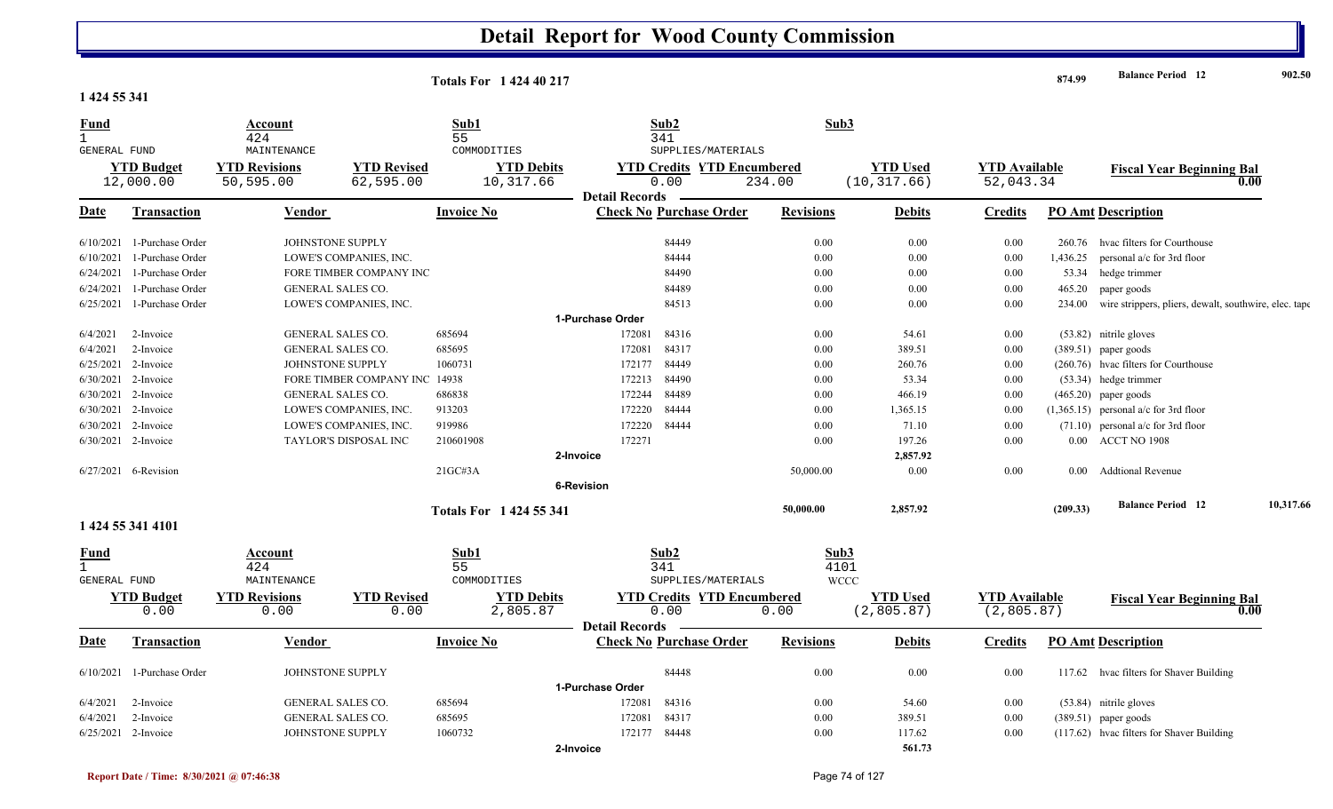| 1 424 55 341                         |                                |                                   |                                 | <b>Totals For 142440217</b>    |                                                                    |                  |                                 |                                     | 874.99   | <b>Balance Period</b> 12                              | 902.50    |
|--------------------------------------|--------------------------------|-----------------------------------|---------------------------------|--------------------------------|--------------------------------------------------------------------|------------------|---------------------------------|-------------------------------------|----------|-------------------------------------------------------|-----------|
| Fund<br>$\mathbf{1}$<br>GENERAL FUND |                                | Account<br>424<br>MAINTENANCE     |                                 | Sub1<br>55<br>COMMODITIES      | Sub2<br>341<br>SUPPLIES/MATERIALS                                  | Sub3             |                                 |                                     |          |                                                       |           |
|                                      | <b>YTD Budget</b><br>12,000.00 | <b>YTD Revisions</b><br>50,595.00 | <b>YTD Revised</b><br>62,595.00 | <b>YTD Debits</b><br>10,317.66 | <b>YTD Credits YTD Encumbered</b><br>0.00<br><b>Detail Records</b> | 234.00           | <b>YTD Used</b><br>(10, 317.66) | <b>YTD Available</b><br>52,043.34   |          | <b>Fiscal Year Beginning Bal</b><br>0.00              |           |
| Date                                 | Transaction                    | Vendor                            |                                 | <b>Invoice No</b>              | <b>Check No Purchase Order</b>                                     | <b>Revisions</b> | <b>Debits</b>                   | <b>Credits</b>                      |          | <b>PO Amt Description</b>                             |           |
| 6/10/2021                            | 1-Purchase Order               | JOHNSTONE SUPPLY                  |                                 |                                | 84449                                                              | 0.00             | 0.00                            | 0.00                                |          | 260.76 hyac filters for Courthouse                    |           |
| 6/10/2021                            | 1-Purchase Order               |                                   | LOWE'S COMPANIES, INC.          |                                | 84444                                                              | 0.00             | 0.00                            | 0.00                                | 1,436.25 | personal a/c for 3rd floor                            |           |
| 6/24/2021                            | 1-Purchase Order               |                                   | FORE TIMBER COMPANY INC         |                                | 84490                                                              | 0.00             | 0.00                            | 0.00                                |          | 53.34 hedge trimmer                                   |           |
| 6/24/2021                            | 1-Purchase Order               | GENERAL SALES CO.                 |                                 |                                | 84489                                                              | 0.00             | 0.00                            | 0.00                                | 465.20   | paper goods                                           |           |
| 6/25/2021                            | 1-Purchase Order               |                                   | LOWE'S COMPANIES, INC.          |                                | 84513                                                              | 0.00             | 0.00                            | 0.00                                | 234.00   | wire strippers, pliers, dewalt, southwire, elec. tape |           |
|                                      |                                |                                   |                                 |                                | 1-Purchase Order                                                   |                  |                                 |                                     |          |                                                       |           |
| 6/4/2021                             | 2-Invoice                      | GENERAL SALES CO.                 |                                 | 685694                         | 172081<br>84316                                                    | 0.00             | 54.61                           | 0.00                                |          | $(53.82)$ nitrile gloves                              |           |
| 6/4/2021                             | 2-Invoice                      | GENERAL SALES CO.                 |                                 | 685695                         | 84317<br>172081                                                    | 0.00             | 389.51                          | 0.00                                |          | $(389.51)$ paper goods                                |           |
|                                      | 6/25/2021 2-Invoice            | JOHNSTONE SUPPLY                  |                                 | 1060731                        | 84449<br>172177                                                    | 0.00             | 260.76                          | 0.00                                |          | (260.76) hvac filters for Courthouse                  |           |
|                                      | 6/30/2021 2-Invoice            |                                   | FORE TIMBER COMPANY INC         | 14938                          | 172213<br>84490                                                    | 0.00             | 53.34                           | 0.00                                |          | $(53.34)$ hedge trimmer                               |           |
| 6/30/2021                            | 2-Invoice                      | GENERAL SALES CO.                 |                                 | 686838                         | 172244<br>84489                                                    | 0.00             | 466.19                          | 0.00                                |          | $(465.20)$ paper goods                                |           |
|                                      | 6/30/2021 2-Invoice            |                                   | LOWE'S COMPANIES, INC.          | 913203                         | 172220<br>84444                                                    | 0.00             | 1,365.15                        | 0.00                                |          | $(1,365.15)$ personal a/c for 3rd floor               |           |
|                                      | 6/30/2021 2-Invoice            |                                   | LOWE'S COMPANIES, INC.          | 919986                         | 84444<br>172220                                                    | 0.00             | 71.10                           | 0.00                                |          | $(71.10)$ personal a/c for 3rd floor                  |           |
|                                      | 6/30/2021 2-Invoice            |                                   | TAYLOR'S DISPOSAL INC           | 210601908                      | 172271                                                             | 0.00             | 197.26                          | 0.00                                |          | 0.00 ACCT NO 1908                                     |           |
|                                      |                                |                                   |                                 |                                | 2-Invoice                                                          |                  | 2,857.92                        |                                     |          |                                                       |           |
|                                      | 6/27/2021 6-Revision           |                                   |                                 | 21GC#3A                        |                                                                    | 50,000.00        | 0.00                            | 0.00                                |          | 0.00 Addtional Revenue                                |           |
|                                      |                                |                                   |                                 |                                | 6-Revision                                                         |                  |                                 |                                     |          |                                                       |           |
|                                      |                                |                                   |                                 | <b>Totals For 1424 55 341</b>  |                                                                    | 50,000.00        | 2,857.92                        |                                     | (209.33) | <b>Balance Period 12</b>                              | 10,317.66 |
|                                      | 1 424 55 341 4101              |                                   |                                 |                                |                                                                    |                  |                                 |                                     |          |                                                       |           |
| <u>Fund</u><br>$\mathbf{1}$          |                                | Account<br>424                    |                                 | Sub1<br>55                     | Sub2<br>341                                                        | Sub3<br>4101     |                                 |                                     |          |                                                       |           |
| <b>GENERAL FUND</b>                  |                                | MAINTENANCE                       |                                 | COMMODITIES                    | SUPPLIES/MATERIALS                                                 |                  | <b>WCCC</b>                     |                                     |          |                                                       |           |
|                                      | <b>YTD Budget</b><br>0.00      | <b>YTD Revisions</b><br>0.00      | <b>YTD Revised</b><br>0.00      | <b>YTD Debits</b><br>2,805.87  | <b>YTD Credits YTD Encumbered</b><br>0.00                          | 0.00             | <b>YTD</b> Used<br>(2,805.87)   | <b>YTD</b> Available<br>(2, 805.87) |          | <b>Fiscal Year Beginning Bal</b><br>0.00              |           |
| <u>Date</u>                          | <b>Transaction</b>             | <b>Vendor</b>                     |                                 | <b>Invoice No</b>              | <b>Detail Records</b><br><b>Check No Purchase Order</b>            | <b>Revisions</b> | <b>Debits</b>                   | <b>Credits</b>                      |          | <b>PO Amt Description</b>                             |           |
|                                      | 6/10/2021 1-Purchase Order     | JOHNSTONE SUPPLY                  |                                 |                                | 84448                                                              | 0.00             |                                 | 0.00                                |          | 117.62 hvac filters for Shaver Building               |           |
|                                      |                                |                                   |                                 |                                | 1-Purchase Order                                                   |                  | 0.00                            |                                     |          |                                                       |           |
| 6/4/2021                             | 2-Invoice                      | GENERAL SALES CO.                 |                                 | 685694                         | 172081<br>84316                                                    | 0.00             | 54.60                           | 0.00                                |          | $(53.84)$ nitrile gloves                              |           |
| 6/4/2021                             | 2-Invoice                      | GENERAL SALES CO.                 |                                 | 685695                         | 84317<br>172081                                                    | 0.00             | 389.51                          | 0.00                                |          | $(389.51)$ paper goods                                |           |
|                                      | 6/25/2021 2-Invoice            | JOHNSTONE SUPPLY                  |                                 | 1060732                        | 172177 84448                                                       | 0.00             | 117.62                          | 0.00                                |          | (117.62) hvac filters for Shaver Building             |           |

**2-Invoice**

**561.73**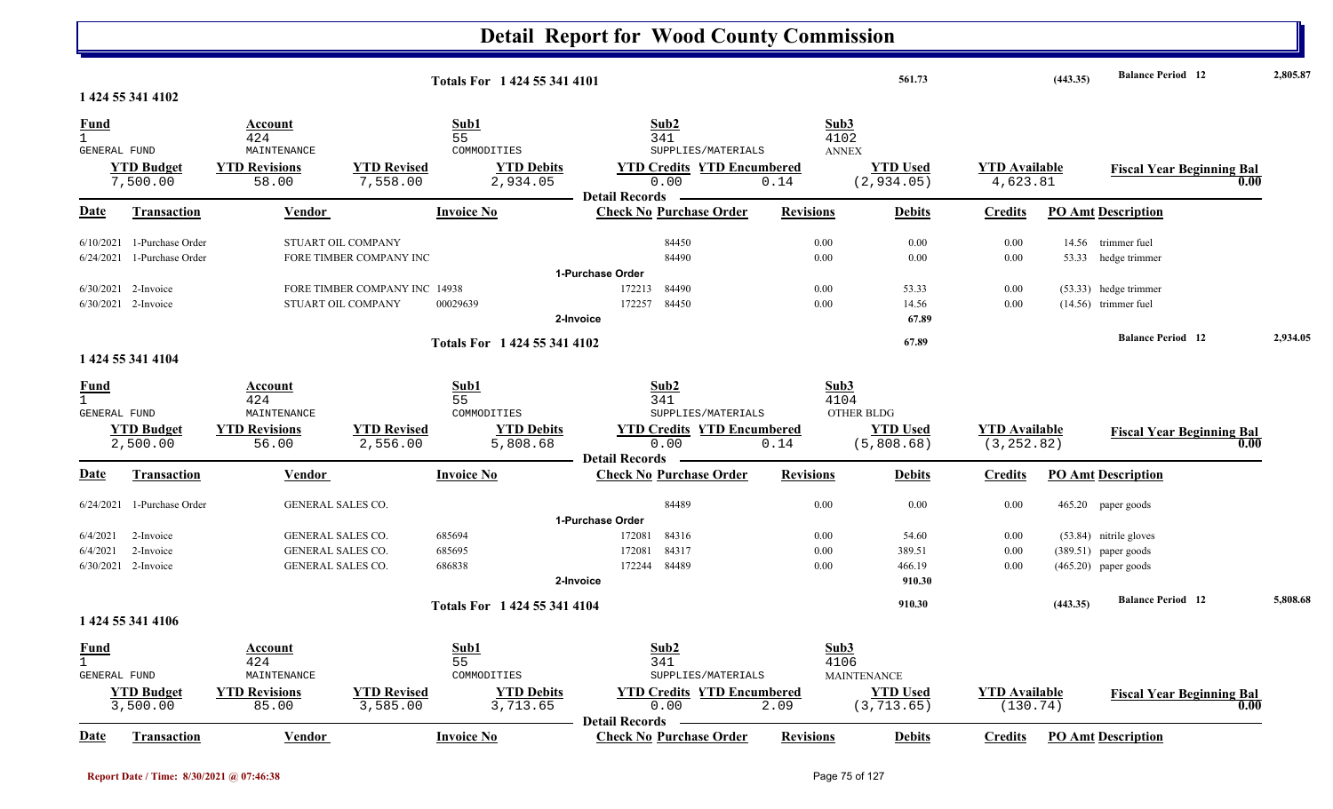|                             |                              |                          |                               |                              | <b>Detail Report for Wood County Commission</b>         |                  |                    |                      |          |                                  |          |
|-----------------------------|------------------------------|--------------------------|-------------------------------|------------------------------|---------------------------------------------------------|------------------|--------------------|----------------------|----------|----------------------------------|----------|
|                             | 1 424 55 341 4102            |                          |                               | Totals For 1 424 55 341 4101 |                                                         |                  | 561.73             |                      | (443.35) | <b>Balance Period</b> 12         | 2,805.87 |
|                             |                              |                          |                               |                              |                                                         |                  |                    |                      |          |                                  |          |
| <u>Fund</u><br>$\mathbf{1}$ |                              | Account<br>424           |                               | Sub1<br>55                   | Sub <sub>2</sub><br>341                                 | Sub3<br>4102     |                    |                      |          |                                  |          |
| <b>GENERAL FUND</b>         |                              | MAINTENANCE              |                               | COMMODITIES                  | SUPPLIES/MATERIALS                                      | <b>ANNEX</b>     |                    |                      |          |                                  |          |
|                             | <b>YTD Budget</b>            | <b>YTD Revisions</b>     | <b>YTD Revised</b>            | <b>YTD Debits</b>            | <b>YTD Credits YTD Encumbered</b>                       |                  | <b>YTD Used</b>    | <b>YTD Available</b> |          | <b>Fiscal Year Beginning Bal</b> |          |
|                             | 7,500.00                     | 58.00                    | 7,558.00                      | 2,934.05                     | 0.00                                                    | 0.14             | (2, 934.05)        | 4,623.81             |          | 0.00                             |          |
|                             |                              |                          |                               |                              | <b>Detail Records</b>                                   |                  |                    |                      |          |                                  |          |
| <b>Date</b>                 | <b>Transaction</b>           | <b>Vendor</b>            |                               | <b>Invoice No</b>            | <b>Check No Purchase Order</b>                          | <b>Revisions</b> | <b>Debits</b>      | <b>Credits</b>       |          | <b>PO Amt Description</b>        |          |
|                             | $6/10/2021$ 1-Purchase Order |                          | STUART OIL COMPANY            |                              | 84450                                                   | 0.00             | 0.00               | 0.00                 |          | 14.56 trimmer fuel               |          |
|                             | 6/24/2021 1-Purchase Order   |                          | FORE TIMBER COMPANY INC       |                              | 84490                                                   | 0.00             | 0.00               | 0.00                 |          | 53.33 hedge trimmer              |          |
|                             |                              |                          |                               |                              | 1-Purchase Order                                        |                  |                    |                      |          |                                  |          |
|                             | 6/30/2021 2-Invoice          |                          | FORE TIMBER COMPANY INC 14938 |                              | 172213<br>84490                                         | 0.00             | 53.33              | $0.00\,$             |          | (53.33) hedge trimmer            |          |
|                             | 6/30/2021 2-Invoice          |                          | STUART OIL COMPANY            | 00029639                     | 172257<br>84450                                         | 0.00             | 14.56              | 0.00                 |          | $(14.56)$ trimmer fuel           |          |
|                             |                              |                          |                               |                              | 2-Invoice                                               |                  | 67.89              |                      |          |                                  |          |
|                             |                              |                          |                               | Totals For 1 424 55 341 4102 |                                                         |                  | 67.89              |                      |          | <b>Balance Period</b> 12         | 2,934.05 |
|                             | 1 424 55 341 4104            |                          |                               |                              |                                                         |                  |                    |                      |          |                                  |          |
| <b>Fund</b>                 |                              | Account                  |                               | Sub1                         | Sub2                                                    | Sub3             |                    |                      |          |                                  |          |
| $\mathbf{1}$                |                              | 424                      |                               | 55                           | 341                                                     | 4104             |                    |                      |          |                                  |          |
| <b>GENERAL FUND</b>         |                              | MAINTENANCE              |                               | COMMODITIES                  | SUPPLIES/MATERIALS                                      |                  | OTHER BLDG         |                      |          |                                  |          |
|                             | <b>YTD Budget</b>            | <b>YTD Revisions</b>     | <b>YTD Revised</b>            | <b>YTD Debits</b>            | <b>YTD Credits YTD Encumbered</b>                       |                  | <b>YTD Used</b>    | <b>YTD</b> Available |          | <b>Fiscal Year Beginning Bal</b> |          |
|                             | 2,500.00                     | 56.00                    | 2,556.00                      | 5,808.68                     | 0.00                                                    | 0.14             | (5,808.68)         | (3, 252.82)          |          | 0.00                             |          |
| Date                        | Transaction                  | <b>Vendor</b>            |                               | <b>Invoice No</b>            | <b>Detail Records</b><br><b>Check No Purchase Order</b> | <b>Revisions</b> | <b>Debits</b>      | <b>Credits</b>       |          | <b>PO Amt Description</b>        |          |
|                             | 1-Purchase Order             | <b>GENERAL SALES CO.</b> |                               |                              | 84489                                                   | 0.00             | 0.00               |                      |          |                                  |          |
| 6/24/2021                   |                              |                          |                               |                              | 1-Purchase Order                                        |                  |                    | 0.00                 |          | 465.20 paper goods               |          |
| 6/4/2021                    | 2-Invoice                    | <b>GENERAL SALES CO.</b> |                               | 685694                       | 84316<br>172081                                         | 0.00             | 54.60              | $0.00\,$             |          | (53.84) nitrile gloves           |          |
| 6/4/2021                    | 2-Invoice                    | <b>GENERAL SALES CO.</b> |                               | 685695                       | 84317<br>172081                                         | 0.00             | 389.51             | 0.00                 |          | $(389.51)$ paper goods           |          |
|                             | 6/30/2021 2-Invoice          | <b>GENERAL SALES CO.</b> |                               | 686838                       | 84489<br>172244                                         | 0.00             | 466.19             | 0.00                 |          | $(465.20)$ paper goods           |          |
|                             |                              |                          |                               |                              | 2-Invoice                                               |                  | 910.30             |                      |          |                                  |          |
|                             |                              |                          |                               |                              |                                                         |                  | 910.30             |                      | (443.35) | <b>Balance Period 12</b>         | 5,808.68 |
|                             | 1 424 55 341 4106            |                          |                               | Totals For 1 424 55 341 4104 |                                                         |                  |                    |                      |          |                                  |          |
|                             |                              |                          |                               |                              |                                                         |                  |                    |                      |          |                                  |          |
| <b>Fund</b><br>$\mathbf{1}$ |                              | Account<br>424           |                               | Sub1<br>55                   | Sub2<br>341                                             | Sub3<br>4106     |                    |                      |          |                                  |          |
| GENERAL FUND                |                              | MAINTENANCE              |                               | COMMODITIES                  | SUPPLIES/MATERIALS                                      |                  | <b>MAINTENANCE</b> |                      |          |                                  |          |
|                             | <b>YTD Budget</b>            | <b>YTD Revisions</b>     | <b>YTD Revised</b>            | <b>YTD Debits</b>            | <b>YTD Credits YTD Encumbered</b>                       |                  | <b>YTD Used</b>    | <b>YTD Available</b> |          | <b>Fiscal Year Beginning Bal</b> |          |
|                             | 3,500.00                     | 85.00                    | 3,585.00                      | 3,713.65                     | 0.00                                                    | 2.09             | (3, 713.65)        | (130.74)             |          | 0.00                             |          |
|                             |                              |                          |                               |                              | <b>Detail Records</b>                                   |                  |                    |                      |          |                                  |          |
| Date                        | Transaction                  | <b>Vendor</b>            |                               | <b>Invoice No</b>            | <b>Check No Purchase Order</b>                          | <b>Revisions</b> | <b>Debits</b>      | <b>Credits</b>       |          | <b>PO Amt Description</b>        |          |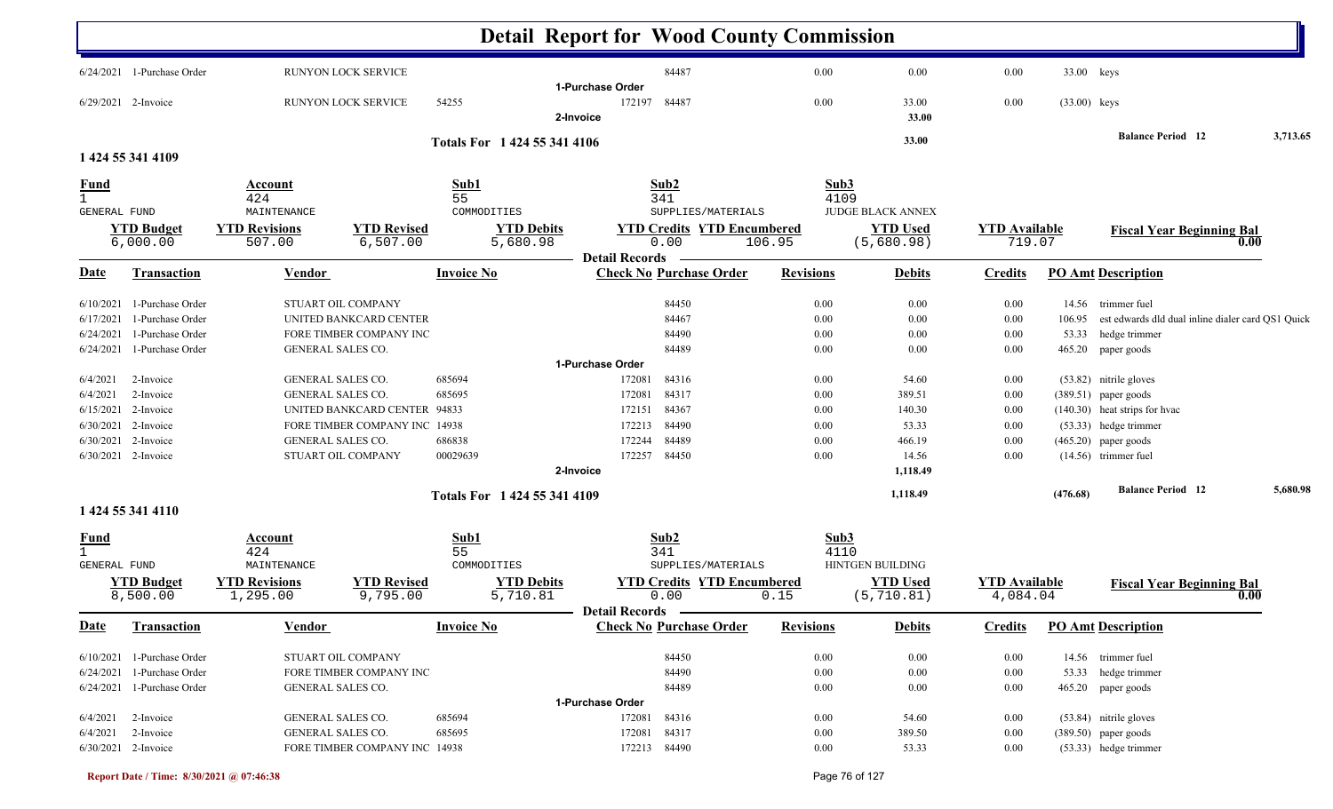|                                                             |                                                                                      |                                                                          |                                                                                                                                                                         |                                                            | <b>Detail Report for Wood County Commission</b>                                                                             |                                              |                                                                   |                                              |                 |                                                                                                                                                              |          |
|-------------------------------------------------------------|--------------------------------------------------------------------------------------|--------------------------------------------------------------------------|-------------------------------------------------------------------------------------------------------------------------------------------------------------------------|------------------------------------------------------------|-----------------------------------------------------------------------------------------------------------------------------|----------------------------------------------|-------------------------------------------------------------------|----------------------------------------------|-----------------|--------------------------------------------------------------------------------------------------------------------------------------------------------------|----------|
|                                                             | 6/24/2021 1-Purchase Order                                                           |                                                                          | <b>RUNYON LOCK SERVICE</b>                                                                                                                                              |                                                            | 84487                                                                                                                       | 0.00                                         | 0.00                                                              | 0.00                                         | 33.00 keys      |                                                                                                                                                              |          |
|                                                             | 6/29/2021 2-Invoice                                                                  |                                                                          | <b>RUNYON LOCK SERVICE</b>                                                                                                                                              | 54255                                                      | 1-Purchase Order<br>84487<br>172197<br>2-Invoice                                                                            | 0.00                                         | 33.00<br>33.00                                                    | 0.00                                         | $(33.00)$ keys  |                                                                                                                                                              |          |
|                                                             | 1 424 55 341 4109                                                                    |                                                                          |                                                                                                                                                                         | Totals For 1 424 55 341 4106                               |                                                                                                                             |                                              | 33.00                                                             |                                              |                 | <b>Balance Period 12</b>                                                                                                                                     | 3,713.65 |
| <u>Fund</u><br>$\mathbf{1}$                                 |                                                                                      | Account<br>424                                                           |                                                                                                                                                                         | Sub1<br>55                                                 | Sub2<br>341                                                                                                                 | Sub3<br>4109                                 |                                                                   |                                              |                 |                                                                                                                                                              |          |
| <b>GENERAL FUND</b>                                         | <b>YTD Budget</b><br>6,000.00                                                        | MAINTENANCE<br><b>YTD Revisions</b><br>507.00                            | <b>YTD Revised</b><br>6,507.00                                                                                                                                          | COMMODITIES<br><b>YTD Debits</b><br>5,680.98               | SUPPLIES/MATERIALS<br><b>YTD Credits YTD Encumbered</b><br>0.00                                                             | 106.95                                       | <b>JUDGE BLACK ANNEX</b><br><b>YTD Used</b><br>(5,680.98)         | <b>YTD Available</b><br>719.07               |                 | <b>Fiscal Year Beginning Bal</b>                                                                                                                             | 0.00     |
| <u>Date</u>                                                 | <b>Transaction</b>                                                                   | <b>Vendor</b>                                                            |                                                                                                                                                                         | <b>Invoice No</b>                                          | <b>Detail Records</b><br><b>Check No Purchase Order</b>                                                                     | <b>Revisions</b>                             | <b>Debits</b>                                                     | <b>Credits</b>                               |                 | <b>PO Amt Description</b>                                                                                                                                    |          |
| 6/10/2021<br>6/17/2021<br>6/24/2021                         | 1-Purchase Order<br>1-Purchase Order<br>1-Purchase Order                             |                                                                          | STUART OIL COMPANY<br>UNITED BANKCARD CENTER<br>FORE TIMBER COMPANY INC                                                                                                 |                                                            | 84450<br>84467<br>84490                                                                                                     | 0.00<br>0.00<br>0.00                         | 0.00<br>0.00<br>0.00                                              | 0.00<br>0.00<br>0.00                         | 106.95<br>53.33 | 14.56 trimmer fuel<br>est edwards dld dual inline dialer card QS1 Quick<br>hedge trimmer                                                                     |          |
| 6/24/2021                                                   | 1-Purchase Order                                                                     |                                                                          | <b>GENERAL SALES CO.</b>                                                                                                                                                |                                                            | 84489<br>1-Purchase Order                                                                                                   | 0.00                                         | 0.00                                                              | 0.00                                         | 465.20          | paper goods                                                                                                                                                  |          |
| 6/4/2021<br>6/4/2021<br>6/15/2021<br>6/30/2021<br>6/30/2021 | 2-Invoice<br>2-Invoice<br>2-Invoice<br>2-Invoice<br>2-Invoice<br>6/30/2021 2-Invoice |                                                                          | <b>GENERAL SALES CO.</b><br><b>GENERAL SALES CO.</b><br>UNITED BANKCARD CENTER 94833<br>FORE TIMBER COMPANY INC 14938<br><b>GENERAL SALES CO.</b><br>STUART OIL COMPANY | 685694<br>685695<br>686838<br>00029639                     | 172081<br>84316<br>84317<br>172081<br>84367<br>172151<br>84490<br>172213<br>84489<br>172244<br>84450<br>172257<br>2-Invoice | 0.00<br>0.00<br>0.00<br>0.00<br>0.00<br>0.00 | 54.60<br>389.51<br>140.30<br>53.33<br>466.19<br>14.56<br>1,118.49 | 0.00<br>0.00<br>0.00<br>0.00<br>0.00<br>0.00 |                 | (53.82) nitrile gloves<br>$(389.51)$ paper goods<br>(140.30) heat strips for hvac<br>(53.33) hedge trimmer<br>$(465.20)$ paper goods<br>(14.56) trimmer fuel |          |
|                                                             |                                                                                      |                                                                          |                                                                                                                                                                         | Totals For 1 424 55 341 4109                               |                                                                                                                             |                                              | 1,118.49                                                          |                                              | (476.68)        | <b>Balance Period 12</b>                                                                                                                                     | 5,680.98 |
| <u>Fund</u><br>$\mathbf{1}$<br><b>GENERAL FUND</b>          | 1 424 55 341 4110<br><b>YTD Budget</b><br>8,500.00                                   | <b>Account</b><br>424<br>MAINTENANCE<br><b>YTD Revisions</b><br>1,295.00 | <b>YTD Revised</b><br>9,795.00                                                                                                                                          | Sub1<br>55<br>COMMODITIES<br><b>YTD Debits</b><br>5,710.81 | Sub2<br>341<br>SUPPLIES/MATERIALS<br><b>YTD Credits YTD Encumbered</b><br>0.00                                              | Sub3<br>4110<br>0.15                         | <b>HINTGEN BUILDING</b><br><b>YTD Used</b><br>(5, 710.81)         | <b>YTD Available</b><br>4,084.04             |                 | <b>Fiscal Year Beginning Bal</b>                                                                                                                             | 0.00     |
| <b>Date</b>                                                 | <b>Transaction</b>                                                                   | <b>Vendor</b>                                                            |                                                                                                                                                                         | <b>Invoice No</b>                                          | <b>Detail Records</b><br><b>Check No Purchase Order</b>                                                                     | <b>Revisions</b>                             | <b>Debits</b>                                                     | <b>Credits</b>                               |                 | <b>PO Amt Description</b>                                                                                                                                    |          |
| 6/24/2021                                                   | 6/10/2021 1-Purchase Order<br>1-Purchase Order<br>6/24/2021 1-Purchase Order         |                                                                          | STUART OIL COMPANY<br>FORE TIMBER COMPANY INC<br>GENERAL SALES CO.                                                                                                      |                                                            | 84450<br>84490<br>84489                                                                                                     | $0.00\,$<br>0.00<br>$0.00\,$                 | $0.00\,$<br>0.00<br>0.00                                          | $0.00\,$<br>$0.00\,$<br>$0.00\,$             |                 | 14.56 trimmer fuel<br>53.33 hedge trimmer<br>465.20 paper goods                                                                                              |          |
| 6/4/2021<br>6/4/2021                                        | 2-Invoice<br>2-Invoice<br>6/30/2021 2-Invoice                                        |                                                                          | GENERAL SALES CO.<br>GENERAL SALES CO.<br>FORE TIMBER COMPANY INC 14938                                                                                                 | 685694<br>685695                                           | 1-Purchase Order<br>172081<br>84316<br>172081<br>84317<br>172213 84490                                                      | 0.00<br>0.00<br>$0.00\,$                     | 54.60<br>389.50<br>53.33                                          | $0.00\,$<br>0.00<br>0.00                     |                 | (53.84) nitrile gloves<br>$(389.50)$ paper goods<br>(53.33) hedge trimmer                                                                                    |          |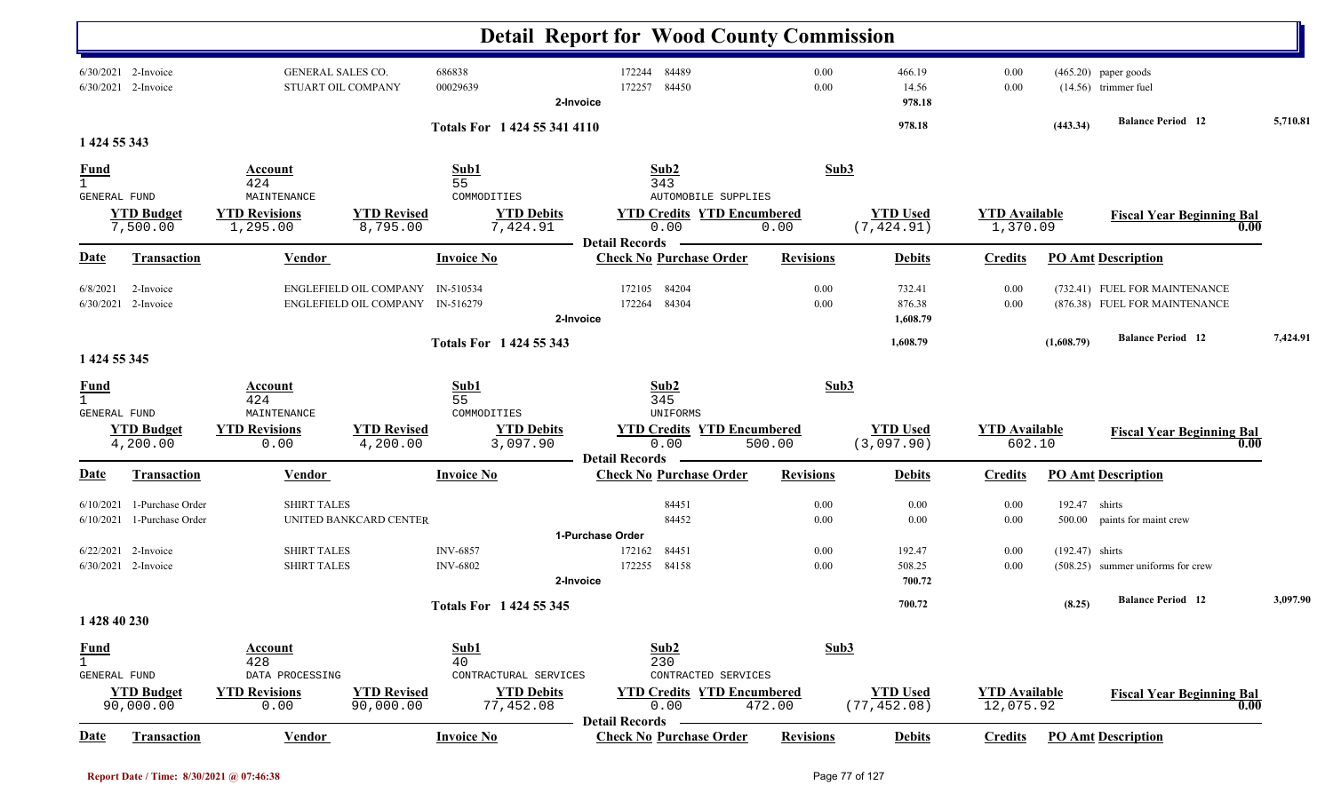|                                                    |                                              |                                                |                                                                      |                                     | <b>Detail Report for Wood County Commission</b>                    |                  |                                 |                                   |                   |                                                                |          |
|----------------------------------------------------|----------------------------------------------|------------------------------------------------|----------------------------------------------------------------------|-------------------------------------|--------------------------------------------------------------------|------------------|---------------------------------|-----------------------------------|-------------------|----------------------------------------------------------------|----------|
|                                                    | 6/30/2021 2-Invoice<br>6/30/2021 2-Invoice   | <b>GENERAL SALES CO.</b><br>STUART OIL COMPANY |                                                                      | 686838<br>00029639                  | 84489<br>172244<br>84450<br>172257<br>2-Invoice                    | 0.00<br>0.00     | 466.19<br>14.56<br>978.18       | 0.00<br>0.00                      |                   | $(465.20)$ paper goods<br>$(14.56)$ trimmer fuel               |          |
|                                                    |                                              |                                                |                                                                      | Totals For 1 424 55 341 4110        |                                                                    |                  | 978.18                          |                                   | (443.34)          | <b>Balance Period</b> 12                                       | 5,710.81 |
| 1 424 55 343                                       |                                              |                                                |                                                                      | Sub1                                | Sub2                                                               | Sub3             |                                 |                                   |                   |                                                                |          |
| <u>Fund</u><br>$\mathbf{1}$<br>GENERAL FUND        |                                              | Account<br>424<br>MAINTENANCE                  |                                                                      | 55<br>COMMODITIES                   | 343<br><b>AUTOMOBILE SUPPLIES</b>                                  |                  |                                 |                                   |                   |                                                                |          |
|                                                    | <b>YTD Budget</b><br>7,500.00                | <b>YTD Revisions</b><br>1,295.00               | <b>YTD Revised</b><br>8,795.00                                       | <b>YTD Debits</b><br>7,424.91       | <b>YTD Credits YTD Encumbered</b><br>0.00                          | 0.00             | <b>YTD Used</b><br>(7, 424.91)  | <b>YTD</b> Available<br>1,370.09  |                   | <b>Fiscal Year Beginning Bal</b><br>0.00                       |          |
| Date                                               | <b>Transaction</b>                           | <b>Vendor</b>                                  |                                                                      | <b>Invoice No</b>                   | <b>Detail Records</b><br><b>Check No Purchase Order</b>            | <b>Revisions</b> | <b>Debits</b>                   | <b>Credits</b>                    |                   | <b>PO Amt Description</b>                                      |          |
| 6/8/2021<br>6/30/2021                              | 2-Invoice<br>2-Invoice                       |                                                | ENGLEFIELD OIL COMPANY IN-510534<br>ENGLEFIELD OIL COMPANY IN-516279 |                                     | 84204<br>172105<br>84304<br>172264<br>2-Invoice                    | 0.00<br>0.00     | 732.41<br>876.38<br>1,608.79    | 0.00<br>0.00                      |                   | (732.41) FUEL FOR MAINTENANCE<br>(876.38) FUEL FOR MAINTENANCE |          |
|                                                    |                                              |                                                |                                                                      | Totals For 1 424 55 343             |                                                                    |                  | 1,608.79                        |                                   | (1,608.79)        | <b>Balance Period</b> 12                                       | 7,424.91 |
| 1 424 55 345                                       |                                              |                                                |                                                                      |                                     |                                                                    |                  |                                 |                                   |                   |                                                                |          |
| <b>Fund</b><br>$\mathbf{1}$<br><b>GENERAL FUND</b> |                                              | Account<br>424<br>MAINTENANCE                  |                                                                      | Sub1<br>55<br>COMMODITIES           | Sub2<br>345<br>UNIFORMS                                            | Sub3             |                                 |                                   |                   |                                                                |          |
|                                                    | <b>YTD Budget</b><br>4,200.00                | <b>YTD Revisions</b><br>0.00                   | <b>YTD Revised</b><br>4,200.00                                       | <b>YTD Debits</b><br>3,097.90       | <b>YTD Credits YTD Encumbered</b><br>0.00<br><b>Detail Records</b> | 500.00           | <b>YTD Used</b><br>(3,097.90)   | <b>YTD</b> Available<br>602.10    |                   | <b>Fiscal Year Beginning Bal</b><br>0.00                       |          |
| <b>Date</b>                                        | <b>Transaction</b>                           | Vendor                                         |                                                                      | <b>Invoice No</b>                   | <b>Check No Purchase Order</b>                                     | <b>Revisions</b> | <b>Debits</b>                   | <b>Credits</b>                    |                   | <b>PO Amt Description</b>                                      |          |
| 6/10/2021<br>6/10/2021                             | 1-Purchase Order<br>1-Purchase Order         | <b>SHIRT TALES</b>                             | UNITED BANKCARD CENTER                                               |                                     | 84451<br>84452<br>1-Purchase Order                                 | 0.00<br>0.00     | 0.00<br>0.00                    | 0.00<br>0.00                      | 192.47<br>500.00  | shirts<br>paints for maint crew                                |          |
|                                                    | $6/22/2021$ 2-Invoice<br>6/30/2021 2-Invoice | <b>SHIRT TALES</b><br><b>SHIRT TALES</b>       |                                                                      | <b>INV-6857</b><br><b>INV-6802</b>  | 84451<br>172162<br>172255 84158<br>2-Invoice                       | 0.00<br>0.00     | 192.47<br>508.25<br>700.72      | 0.00<br>0.00                      | $(192.47)$ shirts | (508.25) summer uniforms for crew                              |          |
|                                                    |                                              |                                                |                                                                      | <b>Totals For 1424 55 345</b>       |                                                                    |                  | 700.72                          |                                   | (8.25)            | <b>Balance Period</b> 12                                       | 3,097.90 |
| 1 428 40 230                                       |                                              |                                                |                                                                      |                                     |                                                                    |                  |                                 |                                   |                   |                                                                |          |
| <b>Fund</b><br>$\mathbf{1}$<br>GENERAL FUND        |                                              | <b>Account</b><br>428<br>DATA PROCESSING       |                                                                      | Sub1<br>40<br>CONTRACTURAL SERVICES | Sub2<br>230<br>CONTRACTED SERVICES                                 | Sub3             |                                 |                                   |                   |                                                                |          |
|                                                    | <b>YTD Budget</b><br>90,000.00               | <b>YTD Revisions</b><br>0.00                   | <b>YTD Revised</b><br>90,000.00                                      | <b>YTD Debits</b><br>77,452.08      | <b>YTD Credits YTD Encumbered</b><br>0.00<br><b>Detail Records</b> | 472.00           | <b>YTD Used</b><br>(77, 452.08) | <b>YTD Available</b><br>12,075.92 |                   | <b>Fiscal Year Beginning Bal</b><br>0.00                       |          |
| <u>Date</u>                                        | <b>Transaction</b>                           | <b>Vendor</b>                                  |                                                                      | <b>Invoice No</b>                   | <b>Check No Purchase Order</b>                                     | <b>Revisions</b> | <b>Debits</b>                   | <b>Credits</b>                    |                   | <b>PO</b> Amt Description                                      |          |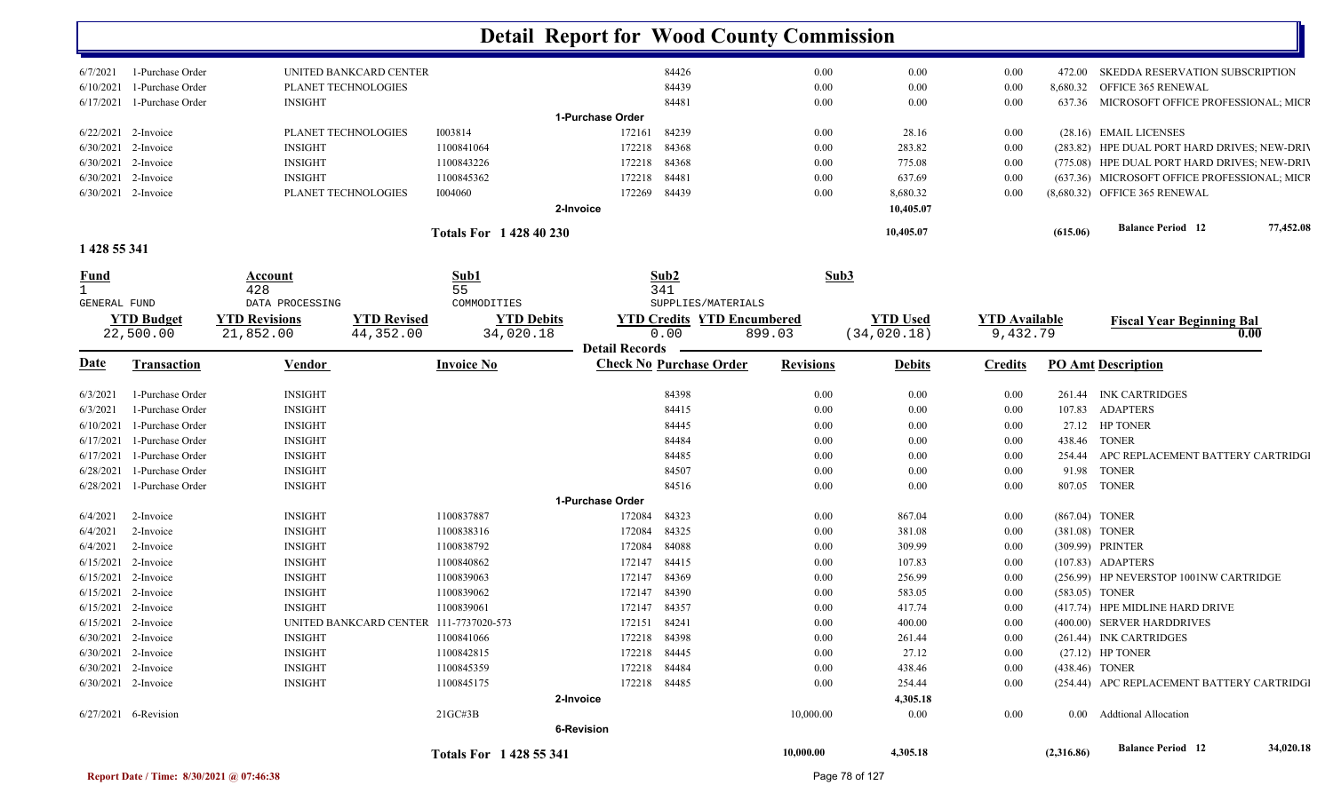|                                   |                                                         |                               | <b>Detail Report for Wood County Commission</b> |                  |                                 |                                  |            |                                              |
|-----------------------------------|---------------------------------------------------------|-------------------------------|-------------------------------------------------|------------------|---------------------------------|----------------------------------|------------|----------------------------------------------|
| 1-Purchase Order<br>6/7/2021      | UNITED BANKCARD CENTER                                  |                               | 84426                                           | 0.00             | 0.00                            | 0.00                             | 472.00     | SKEDDA RESERVATION SUBSCRIPTION              |
| 1-Purchase Order<br>6/10/2021     | PLANET TECHNOLOGIES                                     |                               | 84439                                           | 0.00             | 0.00                            | 0.00                             | 8,680.32   | OFFICE 365 RENEWAL                           |
| 1-Purchase Order<br>6/17/2021     | <b>INSIGHT</b>                                          |                               | 84481                                           | 0.00             | 0.00                            | 0.00                             |            | 637.36 MICROSOFT OFFICE PROFESSIONAL; MICR   |
|                                   |                                                         |                               | 1-Purchase Order                                |                  |                                 |                                  |            |                                              |
| 6/22/2021 2-Invoice               | PLANET TECHNOLOGIES                                     | 1003814                       | 84239<br>172161                                 | 0.00             | 28.16                           | 0.00                             |            | (28.16) EMAIL LICENSES                       |
| 2-Invoice<br>6/30/2021            | <b>INSIGHT</b>                                          | 1100841064                    | 84368<br>172218                                 | 0.00             | 283.82                          | 0.00                             |            | (283.82) HPE DUAL PORT HARD DRIVES; NEW-DRIV |
| 6/30/2021<br>2-Invoice            | <b>INSIGHT</b>                                          | 1100843226                    | 172218<br>84368                                 | 0.00             | 775.08                          | 0.00                             |            | (775.08) HPE DUAL PORT HARD DRIVES; NEW-DRIV |
| 2-Invoice<br>6/30/2021            | <b>INSIGHT</b>                                          | 1100845362                    | 84481<br>172218                                 | 0.00             | 637.69                          | 0.00                             |            | (637.36) MICROSOFT OFFICE PROFESSIONAL; MICF |
| 6/30/2021 2-Invoice               | PLANET TECHNOLOGIES                                     | 1004060                       | 84439<br>172269                                 | 0.00             | 8,680.32                        | 0.00                             |            | (8,680.32) OFFICE 365 RENEWAL                |
|                                   |                                                         |                               | 2-Invoice                                       |                  | 10,405.07                       |                                  |            |                                              |
|                                   |                                                         | <b>Totals For 142840230</b>   |                                                 |                  | 10,405.07                       |                                  | (615.06)   | 77,452.08<br><b>Balance Period</b> 12        |
| 1 428 55 341                      |                                                         |                               |                                                 |                  |                                 |                                  |            |                                              |
| <u>Fund</u>                       | Account                                                 | Sub1                          | Sub2                                            | Sub3             |                                 |                                  |            |                                              |
|                                   | 428                                                     | 55                            | 341                                             |                  |                                 |                                  |            |                                              |
| GENERAL FUND                      | DATA PROCESSING                                         | COMMODITIES                   | SUPPLIES/MATERIALS                              |                  |                                 |                                  |            |                                              |
| <b>YTD Budget</b>                 | <b>YTD Revised</b><br><b>YTD Revisions</b><br>44,352.00 | <b>YTD Debits</b>             | <b>YTD Credits YTD Encumbered</b><br>0.00       |                  | <b>YTD Used</b><br>(34, 020.18) | <b>YTD Available</b><br>9,432.79 |            | <b>Fiscal Year Beginning Bal</b><br>0.00     |
| 22,500.00                         | 21,852.00                                               | 34,020.18                     | <b>Detail Records</b>                           | 899.03           |                                 |                                  |            |                                              |
| <b>Date</b><br><b>Transaction</b> | <b>Vendor</b>                                           | <b>Invoice No</b>             | <b>Check No Purchase Order</b>                  | <b>Revisions</b> | <b>Debits</b>                   | <b>Credits</b>                   |            | <b>PO Amt Description</b>                    |
| 1-Purchase Order<br>6/3/2021      | <b>INSIGHT</b>                                          |                               | 84398                                           | 0.00             | 0.00                            | 0.00                             |            | 261.44 INK CARTRIDGES                        |
| 1-Purchase Order<br>6/3/2021      | <b>INSIGHT</b>                                          |                               | 84415                                           | 0.00             | 0.00                            | 0.00                             | 107.83     | <b>ADAPTERS</b>                              |
| 1-Purchase Order<br>6/10/2021     | <b>INSIGHT</b>                                          |                               | 84445                                           | 0.00             | 0.00                            | $0.00\,$                         |            | 27.12 HP TONER                               |
| 1-Purchase Order<br>6/17/2021     | <b>INSIGHT</b>                                          |                               | 84484                                           | 0.00             | 0.00                            | 0.00                             | 438.46     | <b>TONER</b>                                 |
| 1-Purchase Order<br>6/17/2021     | <b>INSIGHT</b>                                          |                               | 84485                                           | 0.00             | 0.00                            | $0.00\,$                         | 254.44     | APC REPLACEMENT BATTERY CARTRIDGI            |
| 6/28/2021<br>1-Purchase Order     | <b>INSIGHT</b>                                          |                               | 84507                                           | 0.00             | 0.00                            | $0.00\,$                         | 91.98      | <b>TONER</b>                                 |
| 6/28/2021<br>1-Purchase Order     | <b>INSIGHT</b>                                          |                               | 84516                                           | 0.00             | 0.00                            | 0.00                             |            | 807.05 TONER                                 |
|                                   |                                                         |                               | 1-Purchase Order                                |                  |                                 |                                  |            |                                              |
| 6/4/2021<br>2-Invoice             | <b>INSIGHT</b>                                          | 1100837887                    | 84323<br>172084                                 | 0.00             | 867.04                          | 0.00                             |            | (867.04) TONER                               |
| 6/4/2021<br>2-Invoice             | <b>INSIGHT</b>                                          | 1100838316                    | 172084<br>84325                                 | 0.00             | 381.08                          | 0.00                             |            | (381.08) TONER                               |
| 6/4/2021<br>2-Invoice             | <b>INSIGHT</b>                                          | 1100838792                    | 84088<br>172084                                 | 0.00             | 309.99                          | 0.00                             |            | (309.99) PRINTER                             |
| 2-Invoice<br>6/15/2021            | <b>INSIGHT</b>                                          | 1100840862                    | 84415<br>172147                                 | 0.00             | 107.83                          | 0.00                             |            | (107.83) ADAPTERS                            |
| 2-Invoice<br>6/15/2021            | <b>INSIGHT</b>                                          | 1100839063                    | 84369<br>172147                                 | 0.00             | 256.99                          | 0.00                             |            | (256.99) HP NEVERSTOP 1001NW CARTRIDGE       |
| $6/15/2021$ 2-Invoice             | <b>INSIGHT</b>                                          | 1100839062                    | 84390<br>172147                                 | 0.00             | 583.05                          | 0.00                             |            | (583.05) TONER                               |
| $6/15/2021$ 2-Invoice             | <b>INSIGHT</b>                                          | 1100839061                    | 172147 84357                                    | $0.00\,$         | 417.74                          | $0.00\,$                         |            | (417.74) HPE MIDLINE HARD DRIVE              |
| $6/15/2021$ 2-Invoice             | UNITED BANKCARD CENTER 111-7737020-573                  |                               | 172151 84241                                    | $0.00\,$         | 400.00                          | $0.00\,$                         |            | (400.00) SERVER HARDDRIVES                   |
| 6/30/2021 2-Invoice               | INSIGHT                                                 | 1100841066                    | 172218 84398                                    | $0.00\,$         | 261.44                          | $0.00\,$                         |            | (261.44) INK CARTRIDGES                      |
| 6/30/2021 2-Invoice               | INSIGHT                                                 | 1100842815                    | 172218 84445                                    | $0.00\,$         | 27.12                           | $0.00\,$                         |            | $(27.12)$ HP TONER                           |
| 6/30/2021 2-Invoice               | <b>INSIGHT</b>                                          | 1100845359                    | 172218 84484                                    | $0.00\,$         | 438.46                          | $0.00\,$                         |            | (438.46) TONER                               |
| $6/30/2021$ 2-Invoice             | <b>INSIGHT</b>                                          | 1100845175                    | 172218 84485                                    | $0.00\,$         | 254.44                          | $0.00\,$                         |            | (254.44) APC REPLACEMENT BATTERY CARTRIDGI   |
|                                   |                                                         |                               | 2-Invoice                                       |                  | 4,305.18                        |                                  |            |                                              |
| 6/27/2021 6-Revision              |                                                         | $21G$ C#3B                    |                                                 | 10,000.00        | $0.00\,$                        | 0.00                             |            | 0.00 Addtional Allocation                    |
|                                   |                                                         |                               | 6-Revision                                      |                  |                                 |                                  |            |                                              |
|                                   |                                                         | <b>Totals For 1428 55 341</b> |                                                 | 10,000.00        | 4,305.18                        |                                  | (2,316.86) | <b>Balance Period 12</b><br>34,020.18        |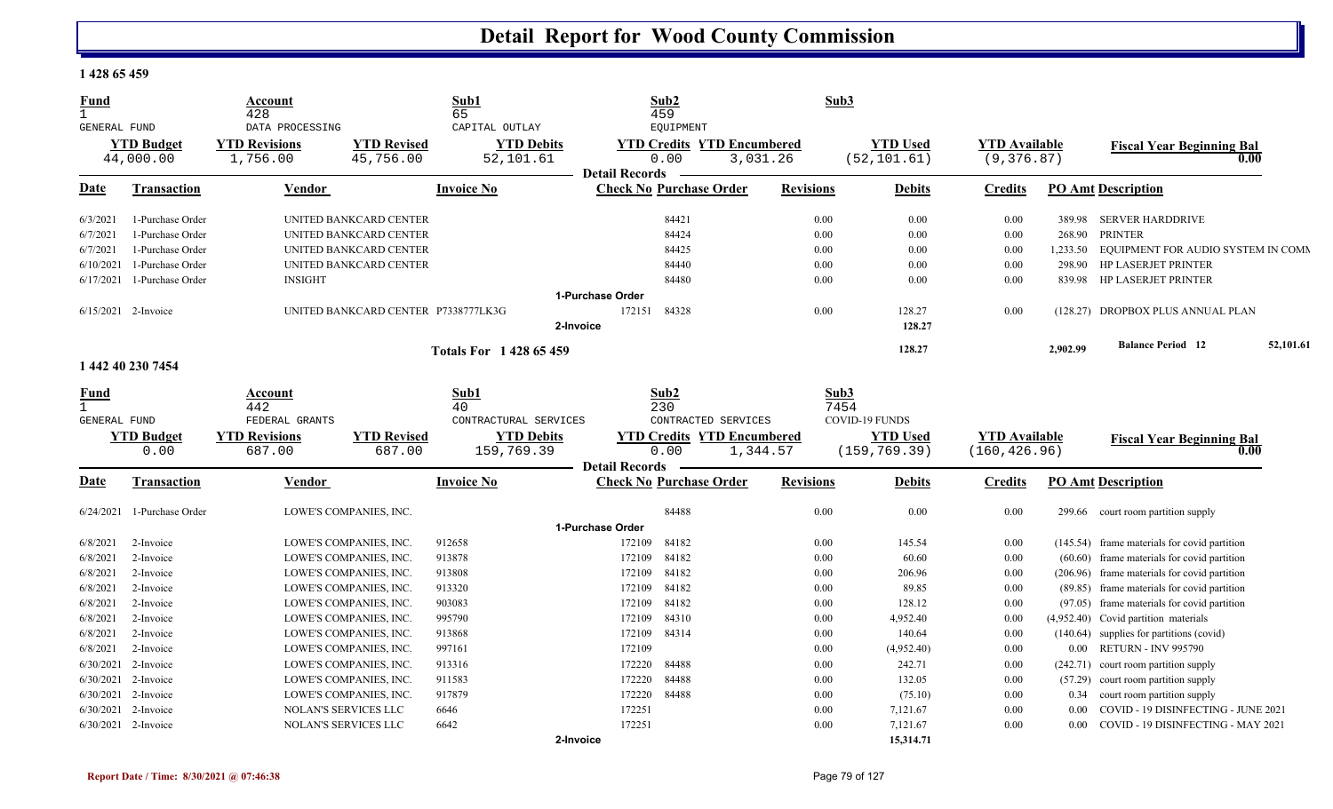#### **1 428 65 459**

| <b>Fund</b><br>$\mathbf{1}$ |                     | Account<br>428              |                                     | Sub1<br>65                  | Sub2<br>459                       | Sub3             |                       |                      |            |                                              |           |
|-----------------------------|---------------------|-----------------------------|-------------------------------------|-----------------------------|-----------------------------------|------------------|-----------------------|----------------------|------------|----------------------------------------------|-----------|
| GENERAL FUND                |                     | DATA PROCESSING             |                                     | CAPITAL OUTLAY              | EQUIPMENT                         |                  |                       |                      |            |                                              |           |
|                             | <b>YTD Budget</b>   | <b>YTD Revisions</b>        | <b>YTD Revised</b>                  | <b>YTD Debits</b>           | <b>YTD Credits YTD Encumbered</b> |                  | <b>YTD Used</b>       | <b>YTD Available</b> |            | <b>Fiscal Year Beginning Bal</b>             |           |
|                             | 44,000.00           | 1,756.00                    | 45,756.00                           | 52,101.61                   | 0.00                              | 3,031.26         | (52, 101.61)          | (9, 376.87)          |            | 0.00                                         |           |
|                             |                     |                             |                                     |                             | <b>Detail Records</b>             |                  |                       |                      |            |                                              |           |
| Date                        | Transaction         | Vendor                      |                                     | <b>Invoice No</b>           | <b>Check No Purchase Order</b>    | <b>Revisions</b> | <b>Debits</b>         | <b>Credits</b>       |            | <b>PO Amt Description</b>                    |           |
| 6/3/2021                    | 1-Purchase Order    |                             | UNITED BANKCARD CENTER              |                             | 84421                             | 0.00             | 0.00                  | 0.00                 | 389.98     | <b>SERVER HARDDRIVE</b>                      |           |
| 6/7/2021                    | 1-Purchase Order    |                             | UNITED BANKCARD CENTER              |                             | 84424                             | 0.00             | 0.00                  | 0.00                 | 268.90     | <b>PRINTER</b>                               |           |
| 6/7/2021                    | 1-Purchase Order    |                             | UNITED BANKCARD CENTER              |                             | 84425                             | 0.00             | 0.00                  | 0.00                 | 1,233.50   | EQUIPMENT FOR AUDIO SYSTEM IN COMN           |           |
| 6/10/2021                   | 1-Purchase Order    |                             | UNITED BANKCARD CENTER              |                             | 84440                             | 0.00             | 0.00                  | 0.00                 | 298.90     | <b>HP LASERJET PRINTER</b>                   |           |
| 6/17/2021                   | 1-Purchase Order    | <b>INSIGHT</b>              |                                     |                             | 84480                             | 0.00             | 0.00                  | 0.00                 | 839.98     | <b>HP LASERJET PRINTER</b>                   |           |
|                             |                     |                             |                                     |                             | 1-Purchase Order                  |                  |                       |                      |            |                                              |           |
|                             | 6/15/2021 2-Invoice |                             | UNITED BANKCARD CENTER P7338777LK3G |                             | 84328<br>172151                   | 0.00             | 128.27                | 0.00                 |            | (128.27) DROPBOX PLUS ANNUAL PLAN            |           |
|                             |                     |                             |                                     |                             | 2-Invoice                         |                  | 128.27                |                      |            |                                              |           |
|                             |                     |                             |                                     | <b>Totals For 142865459</b> |                                   |                  | 128.27                |                      | 2,902.99   | <b>Balance Period 12</b>                     | 52,101.61 |
|                             | 1 442 40 230 7454   |                             |                                     |                             |                                   |                  |                       |                      |            |                                              |           |
| Fund                        |                     | Account                     |                                     | Sub1                        | Sub2                              | Sub3             |                       |                      |            |                                              |           |
| $\mathbf{1}$                |                     | 442                         |                                     | 40                          | 230                               | 7454             |                       |                      |            |                                              |           |
|                             |                     |                             |                                     |                             |                                   |                  |                       |                      |            |                                              |           |
| <b>GENERAL FUND</b>         |                     | FEDERAL GRANTS              |                                     | CONTRACTURAL SERVICES       | CONTRACTED SERVICES               |                  | <b>COVID-19 FUNDS</b> |                      |            |                                              |           |
|                             | <b>YTD Budget</b>   | <b>YTD Revisions</b>        | <b>YTD Revised</b>                  | <b>YTD Debits</b>           | <b>YTD Credits YTD Encumbered</b> |                  | <b>YTD Used</b>       | <b>YTD Available</b> |            |                                              |           |
|                             | 0.00                | 687.00                      | 687.00                              | 159,769.39                  | 0.00                              | 1,344.57         | (159, 769.39)         | (160, 426.96)        |            | <b>Fiscal Year Beginning Bal</b><br>0.00     |           |
|                             |                     |                             |                                     |                             | <b>Detail Records</b>             |                  |                       |                      |            |                                              |           |
| <b>Date</b>                 | Transaction         | Vendor                      |                                     | <b>Invoice No</b>           | <b>Check No Purchase Order</b>    | <b>Revisions</b> | <b>Debits</b>         | <b>Credits</b>       |            | <b>PO Amt Description</b>                    |           |
| 6/24/2021                   | 1-Purchase Order    |                             | LOWE'S COMPANIES, INC.              |                             | 84488                             | 0.00             | 0.00                  | 0.00                 | 299.66     | court room partition supply                  |           |
|                             |                     |                             |                                     |                             | 1-Purchase Order                  |                  |                       |                      |            |                                              |           |
| 6/8/2021                    | 2-Invoice           |                             | LOWE'S COMPANIES, INC.              | 912658                      | 84182<br>172109                   | 0.00             | 145.54                | 0.00                 |            | (145.54) frame materials for covid partition |           |
| 6/8/2021                    | 2-Invoice           |                             | LOWE'S COMPANIES, INC.              | 913878                      | 172109<br>84182                   | 0.00             | 60.60                 | 0.00                 | (60.60)    | frame materials for covid partition          |           |
| 6/8/2021                    | 2-Invoice           |                             | LOWE'S COMPANIES, INC.              | 913808                      | 84182<br>172109                   | 0.00             | 206.96                | 0.00                 | (206.96)   | frame materials for covid partition          |           |
| 6/8/2021                    | 2-Invoice           |                             | LOWE'S COMPANIES, INC.              | 913320                      | 84182<br>172109                   | 0.00             | 89.85                 | 0.00                 | (89.85)    | frame materials for covid partition          |           |
| 6/8/2021                    | 2-Invoice           |                             | LOWE'S COMPANIES, INC.              | 903083                      | 84182<br>172109                   | 0.00             | 128.12                | 0.00                 | (97.05)    | frame materials for covid partition          |           |
| 6/8/2021                    | 2-Invoice           |                             | LOWE'S COMPANIES, INC.              | 995790                      | 84310<br>172109                   | 0.00             | 4,952.40              | 0.00                 | (4,952.40) | Covid partition materials                    |           |
| 6/8/2021                    | 2-Invoice           |                             | LOWE'S COMPANIES, INC.              | 913868                      | 84314<br>172109                   | 0.00             | 140.64                | 0.00                 | (140.64)   | supplies for partitions (covid)              |           |
| 6/8/2021                    | 2-Invoice           |                             | LOWE'S COMPANIES, INC.              | 997161                      | 172109                            | 0.00             | (4,952.40)            | 0.00                 | $0.00\,$   | <b>RETURN - INV 995790</b>                   |           |
| 6/30/2021                   | 2-Invoice           |                             | LOWE'S COMPANIES, INC.              | 913316                      | 172220<br>84488                   | 0.00             | 242.71                | 0.00                 | (242.71)   | court room partition supply                  |           |
| 6/30/2021                   | 2-Invoice           |                             | LOWE'S COMPANIES, INC.              | 911583                      | 172220<br>84488                   | 0.00             | 132.05                | 0.00                 | (57.29)    | court room partition supply                  |           |
| 6/30/2021                   | 2-Invoice           |                             | LOWE'S COMPANIES, INC.              | 917879                      | 172220<br>84488                   | 0.00             | (75.10)               | 0.00                 | 0.34       | court room partition supply                  |           |
| 6/30/2021                   | 2-Invoice           | <b>NOLAN'S SERVICES LLC</b> |                                     | 6646                        | 172251                            | 0.00             | 7,121.67              | 0.00                 | 0.00       | COVID - 19 DISINFECTING - JUNE 2021          |           |
|                             | 6/30/2021 2-Invoice | NOLAN'S SERVICES LLC        |                                     | 6642                        | 172251                            | 0.00             | 7,121.67              | 0.00                 | 0.00       | COVID - 19 DISINFECTING - MAY 2021           |           |

M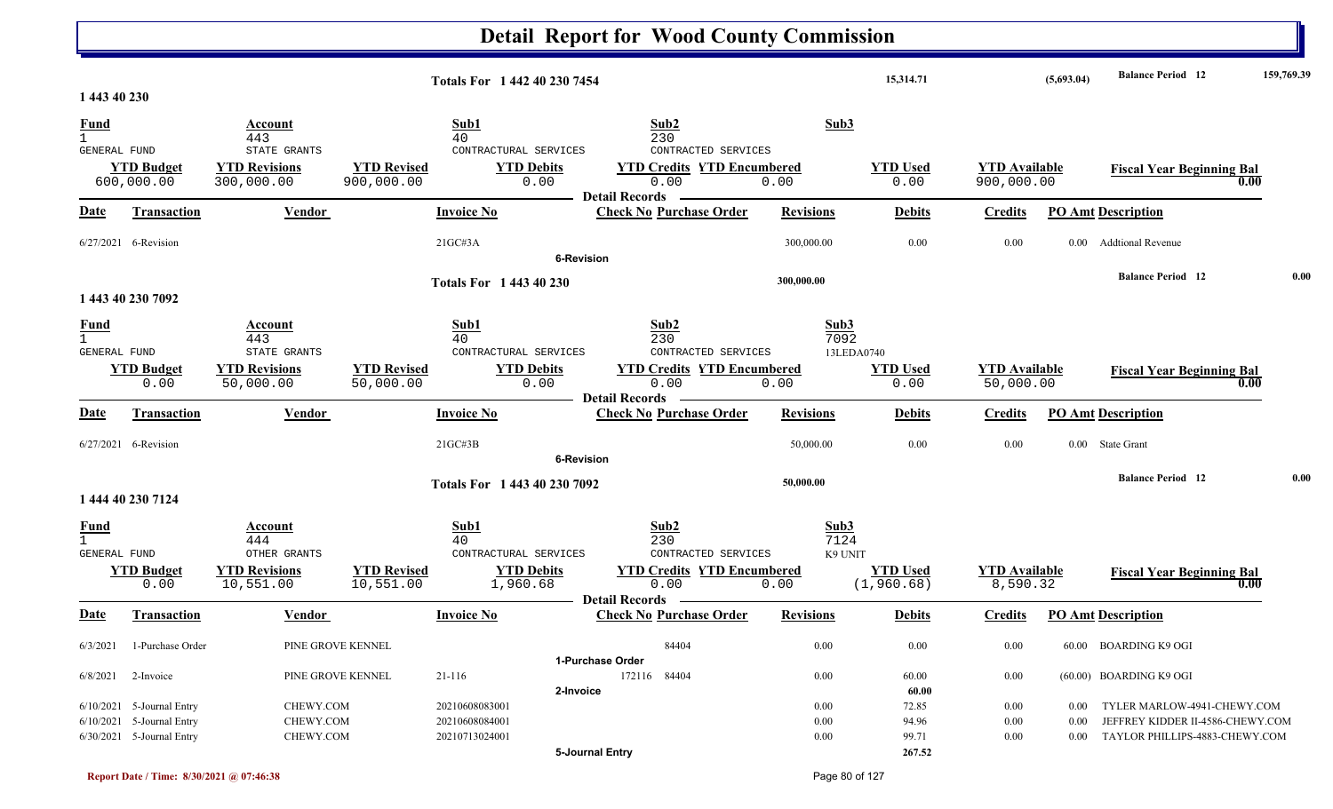|                              |                             |                                   |                                 |                                | <b>Detail Report for Wood County Commission</b> |                  |                         |                                   |                  |                                   |            |
|------------------------------|-----------------------------|-----------------------------------|---------------------------------|--------------------------------|-------------------------------------------------|------------------|-------------------------|-----------------------------------|------------------|-----------------------------------|------------|
|                              |                             |                                   |                                 | Totals For 1 442 40 230 7454   |                                                 |                  | 15,314.71               |                                   | (5,693.04)       | <b>Balance Period</b> 12          | 159,769.39 |
| 1 443 40 230                 |                             |                                   |                                 |                                |                                                 |                  |                         |                                   |                  |                                   |            |
| <b>Fund</b>                  |                             | Account                           |                                 | Sub1                           | Sub2                                            | Sub3             |                         |                                   |                  |                                   |            |
| $\mathbf{1}$<br>GENERAL FUND |                             | 443<br>STATE GRANTS               |                                 | 40<br>CONTRACTURAL SERVICES    | 230<br>CONTRACTED SERVICES                      |                  |                         |                                   |                  |                                   |            |
|                              | <b>YTD Budget</b>           | <b>YTD Revisions</b>              | <b>YTD Revised</b>              | <b>YTD Debits</b>              | <b>YTD Credits YTD Encumbered</b>               |                  | <b>YTD Used</b>         | <b>YTD Available</b>              |                  | <b>Fiscal Year Beginning Bal</b>  |            |
|                              | 600,000.00                  | 300,000.00                        | 900,000.00                      | 0.00                           | 0.00                                            | 0.00             | 0.00                    | 900,000.00                        |                  |                                   | 0.00       |
|                              |                             |                                   |                                 |                                | <b>Detail Records</b>                           |                  |                         |                                   |                  |                                   |            |
| <u>Date</u>                  | <b>Transaction</b>          | <b>Vendor</b>                     |                                 | <b>Invoice No</b>              | <b>Check No Purchase Order</b>                  | <b>Revisions</b> | <b>Debits</b>           | <b>Credits</b>                    |                  | <b>PO Amt Description</b>         |            |
|                              | $6/27/2021$ 6-Revision      |                                   |                                 | 21GC#3A                        | <b>6-Revision</b>                               | 300,000.00       | 0.00                    | 0.00                              | 0.00             | <b>Addtional Revenue</b>          |            |
|                              |                             |                                   |                                 |                                |                                                 | 300,000.00       |                         |                                   |                  | <b>Balance Period</b> 12          | 0.00       |
|                              | 1 443 40 230 7092           |                                   |                                 | <b>Totals For 1 443 40 230</b> |                                                 |                  |                         |                                   |                  |                                   |            |
| <u>Fund</u>                  |                             | Account                           |                                 | Sub1                           | Sub2                                            | Sub3             |                         |                                   |                  |                                   |            |
| $\mathbf{1}$                 |                             | 443                               |                                 | 40                             | 230                                             | 7092             |                         |                                   |                  |                                   |            |
| <b>GENERAL FUND</b>          |                             | STATE GRANTS                      |                                 | CONTRACTURAL SERVICES          | CONTRACTED SERVICES                             |                  | 13LEDA0740              |                                   |                  |                                   |            |
|                              | <b>YTD Budget</b><br>0.00   | <b>YTD Revisions</b><br>50,000.00 | <b>YTD Revised</b><br>50,000.00 | <b>YTD Debits</b><br>0.00      | <b>YTD Credits YTD Encumbered</b><br>0.00       | 0.00             | <b>YTD</b> Used<br>0.00 | <b>YTD Available</b><br>50,000.00 |                  | <b>Fiscal Year Beginning Bal</b>  | 0.00       |
|                              |                             |                                   |                                 |                                | <b>Detail Records</b>                           |                  |                         |                                   |                  |                                   |            |
| Date                         | <b>Transaction</b>          | Vendor                            |                                 | <b>Invoice No</b>              | <b>Check No Purchase Order</b>                  | <b>Revisions</b> | <b>Debits</b>           | <b>Credits</b>                    |                  | <b>PO Amt Description</b>         |            |
|                              | 6/27/2021 6-Revision        |                                   |                                 | 21GC#3B                        |                                                 | 50,000.00        | 0.00                    | 0.00                              |                  | 0.00 State Grant                  |            |
|                              |                             |                                   |                                 |                                | <b>6-Revision</b>                               |                  |                         |                                   |                  |                                   |            |
|                              |                             |                                   |                                 | Totals For 1 443 40 230 7092   |                                                 | 50,000.00        |                         |                                   |                  | <b>Balance Period 12</b>          | 0.00       |
|                              | 1 444 40 230 7124           |                                   |                                 |                                |                                                 |                  |                         |                                   |                  |                                   |            |
| <u>Fund</u>                  |                             | <b>Account</b>                    |                                 | Sub1                           | Sub2                                            | Sub3             |                         |                                   |                  |                                   |            |
| GENERAL FUND                 |                             | 444<br>OTHER GRANTS               |                                 | 40<br>CONTRACTURAL SERVICES    | 230<br>CONTRACTED SERVICES                      | 7124<br>K9 UNIT  |                         |                                   |                  |                                   |            |
|                              | <b>YTD Budget</b>           | <b>YTD Revisions</b>              | <b>YTD Revised</b>              | <b>YTD Debits</b>              | <b>YTD Credits YTD Encumbered</b>               |                  | <b>YTD Used</b>         | <b>YTD Available</b>              |                  | <b>Fiscal Year Beginning Bal</b>  |            |
|                              | 0.00                        | 10,551.00                         | 10,551.00                       | 1,960.68                       | 0.00                                            | 0.00             | (1,960.68)              | 8,590.32                          |                  |                                   | 0.00       |
|                              |                             |                                   |                                 |                                | <b>Detail Records</b>                           |                  |                         |                                   |                  |                                   |            |
|                              | Date Transaction            | <b>Vendor</b>                     |                                 | <b>Invoice No</b>              | <b>Check No Purchase Order Revisions</b>        |                  | <b>Debits</b>           |                                   |                  | <b>Credits</b> PO Amt Description |            |
| 6/3/2021                     | 1-Purchase Order            |                                   | PINE GROVE KENNEL               |                                | 84404                                           | 0.00             | $0.00\,$                | 0.00                              |                  | 60.00 BOARDING K9 OGI             |            |
|                              |                             |                                   |                                 |                                | 1-Purchase Order                                |                  |                         |                                   |                  |                                   |            |
| 6/8/2021                     | 2-Invoice                   |                                   | PINE GROVE KENNEL               | 21-116                         | 172116 84404                                    | 0.00             | 60.00                   | $0.00\,$                          |                  | (60.00) BOARDING K9 OGI           |            |
|                              |                             |                                   |                                 |                                | 2-Invoice                                       |                  | 60.00                   |                                   |                  |                                   |            |
|                              | $6/10/2021$ 5-Journal Entry | CHEWY.COM                         |                                 | 20210608083001                 |                                                 | 0.00             | 72.85                   | $0.00\,$                          | 0.00             | TYLER MARLOW-4941-CHEWY.COM       |            |
|                              | 6/10/2021 5-Journal Entry   | CHEWY.COM<br>CHEWY.COM            |                                 | 20210608084001                 |                                                 | 0.00             | 94.96                   | $0.00\,$                          | 0.00<br>$0.00\,$ | JEFFREY KIDDER II-4586-CHEWY.COM  |            |
|                              | 6/30/2021 5-Journal Entry   |                                   |                                 | 20210713024001                 | 5-Journal Entry                                 | 0.00             | 99.71<br>267.52         | $0.00\,$                          |                  | TAYLOR PHILLIPS-4883-CHEWY.COM    |            |
|                              |                             |                                   |                                 |                                |                                                 |                  |                         |                                   |                  |                                   |            |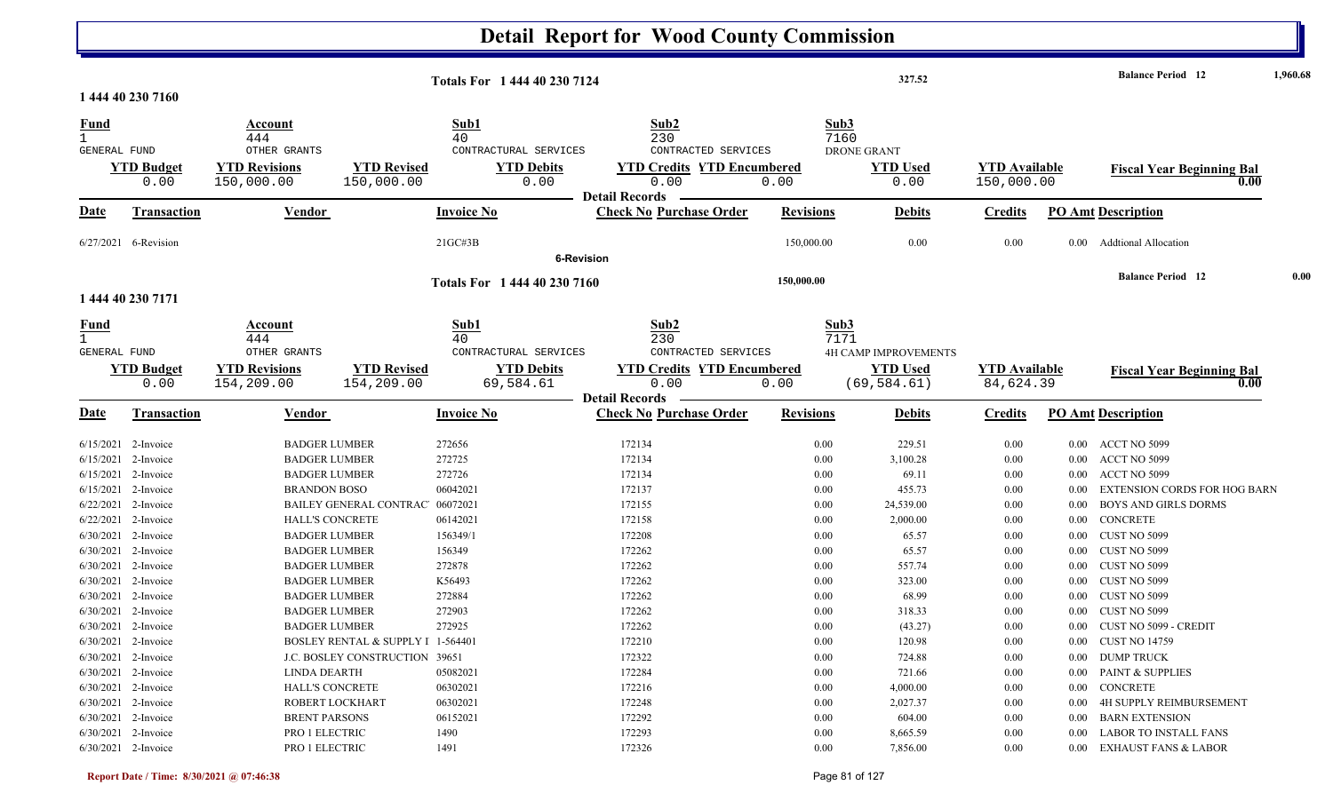|                        |                           |                                              |                                   |                                            | <b>Detail Report for Wood County Commission</b>         |                  |                                    |                                 |                                   |                      |                                          |          |
|------------------------|---------------------------|----------------------------------------------|-----------------------------------|--------------------------------------------|---------------------------------------------------------|------------------|------------------------------------|---------------------------------|-----------------------------------|----------------------|------------------------------------------|----------|
|                        |                           |                                              |                                   | Totals For 1 444 40 230 7124               |                                                         |                  |                                    | 327.52                          |                                   |                      | <b>Balance Period</b> 12                 | 1,960.68 |
|                        | 1 444 40 230 7160         |                                              |                                   |                                            |                                                         |                  |                                    |                                 |                                   |                      |                                          |          |
| $\frac{Fund}{1}$       |                           | Account<br>444<br>OTHER GRANTS               |                                   | Sub1<br>40                                 | Sub2<br>230<br>CONTRACTED SERVICES                      |                  | Sub3<br>7160<br><b>DRONE GRANT</b> |                                 |                                   |                      |                                          |          |
| GENERAL FUND           | <b>YTD Budget</b>         | <b>YTD Revisions</b>                         | <b>YTD Revised</b>                | CONTRACTURAL SERVICES<br><b>YTD Debits</b> | <b>YTD Credits YTD Encumbered</b>                       |                  |                                    | <b>YTD Used</b>                 | <b>YTD</b> Available              |                      | <b>Fiscal Year Beginning Bal</b>         |          |
|                        | 0.00                      | 150,000.00                                   | 150,000.00                        | 0.00                                       | 0.00                                                    | 0.00             |                                    | 0.00                            | 150,000.00                        |                      | 0.00                                     |          |
|                        |                           |                                              |                                   |                                            | <b>Detail Records</b>                                   |                  |                                    |                                 |                                   |                      |                                          |          |
| Date                   | <b>Transaction</b>        | Vendor                                       |                                   | <b>Invoice No</b>                          | <b>Check No Purchase Order</b>                          | <b>Revisions</b> |                                    | <b>Debits</b>                   | <b>Credits</b>                    |                      | <b>PO Amt Description</b>                |          |
|                        | 6/27/2021 6-Revision      |                                              |                                   | $21G$ C#3B                                 | <b>6-Revision</b>                                       | 150,000.00       |                                    | 0.00                            | 0.00                              | $0.00\,$             | <b>Addtional Allocation</b>              |          |
|                        |                           |                                              |                                   |                                            |                                                         |                  |                                    |                                 |                                   |                      | <b>Balance Period</b> 12                 | 0.00     |
|                        | 1 444 40 230 7171         |                                              |                                   | Totals For 1 444 40 230 7160               |                                                         | 150,000.00       |                                    |                                 |                                   |                      |                                          |          |
| $\frac{Fund}{1}$       |                           | <b>Account</b><br>444                        |                                   | Sub1<br>40                                 | Sub2<br>230                                             |                  | Sub3<br>7171                       |                                 |                                   |                      |                                          |          |
| GENERAL FUND           |                           | OTHER GRANTS                                 |                                   | CONTRACTURAL SERVICES                      | CONTRACTED SERVICES                                     |                  |                                    | <b>4H CAMP IMPROVEMENTS</b>     |                                   |                      |                                          |          |
|                        | <b>YTD Budget</b><br>0.00 | <b>YTD Revisions</b><br>154,209.00           | <b>YTD Revised</b><br>154,209.00  | <b>YTD Debits</b><br>69,584.61             | <b>YTD Credits YTD Encumbered</b><br>0.00               | 0.00             |                                    | <b>YTD Used</b><br>(69, 584.61) | <b>YTD Available</b><br>84,624.39 |                      | <b>Fiscal Year Beginning Bal</b><br>0.00 |          |
| <b>Date</b>            | <b>Transaction</b>        | <b>Vendor</b>                                |                                   | <b>Invoice No</b>                          | <b>Detail Records</b><br><b>Check No Purchase Order</b> | <b>Revisions</b> |                                    | <b>Debits</b>                   | <b>Credits</b>                    |                      | <b>PO Amt Description</b>                |          |
|                        |                           |                                              |                                   |                                            |                                                         |                  |                                    |                                 |                                   |                      |                                          |          |
| 6/15/2021<br>6/15/2021 | 2-Invoice<br>2-Invoice    | <b>BADGER LUMBER</b><br><b>BADGER LUMBER</b> |                                   | 272656<br>272725                           | 172134<br>172134                                        |                  | 0.00<br>0.00                       | 229.51<br>3,100.28              | 0.00<br>0.00                      | $0.00\,$<br>$0.00\,$ | ACCT NO 5099<br>ACCT NO 5099             |          |
| 6/15/2021              | 2-Invoice                 | <b>BADGER LUMBER</b>                         |                                   | 272726                                     | 172134                                                  |                  | 0.00                               | 69.11                           | 0.00                              | 0.00                 | ACCT NO 5099                             |          |
| 6/15/2021              | 2-Invoice                 | <b>BRANDON BOSO</b>                          |                                   | 06042021                                   | 172137                                                  |                  | 0.00                               | 455.73                          | 0.00                              | 0.00                 | <b>EXTENSION CORDS FOR HOG BARN</b>      |          |
| 6/22/2021              | 2-Invoice                 |                                              | <b>BAILEY GENERAL CONTRAC</b>     | 06072021                                   | 172155                                                  |                  | 0.00                               | 24,539.00                       | 0.00                              | 0.00                 | <b>BOYS AND GIRLS DORMS</b>              |          |
| 6/22/2021              | 2-Invoice                 | <b>HALL'S CONCRETE</b>                       |                                   | 06142021                                   | 172158                                                  |                  | 0.00                               | 2,000.00                        | 0.00                              | $0.00\,$             | CONCRETE                                 |          |
|                        | 6/30/2021 2-Invoice       | <b>BADGER LUMBER</b>                         |                                   | 156349/1                                   | 172208                                                  |                  | 0.00                               | 65.57                           | 0.00                              | 0.00                 | CUST NO 5099                             |          |
|                        | 6/30/2021 2-Invoice       | <b>BADGER LUMBER</b>                         |                                   | 156349                                     | 172262                                                  |                  | 0.00                               | 65.57                           | 0.00                              | $0.00\,$             | CUST NO 5099                             |          |
|                        | 6/30/2021 2-Invoice       | <b>BADGER LUMBER</b>                         |                                   | 272878                                     | 172262                                                  |                  | 0.00                               | 557.74                          | 0.00                              | $0.00\,$             | CUST NO 5099                             |          |
|                        | 6/30/2021 2-Invoice       | <b>BADGER LUMBER</b>                         |                                   | K56493                                     | 172262                                                  |                  | 0.00                               | 323.00                          | 0.00                              | $0.00\,$             | CUST NO 5099                             |          |
|                        | 6/30/2021 2-Invoice       | <b>BADGER LUMBER</b>                         |                                   | 272884                                     | 172262                                                  |                  | 0.00                               | 68.99                           | 0.00                              | $0.00\,$             | CUST NO 5099                             |          |
|                        | 6/30/2021 2-Invoice       | <b>BADGER LUMBER</b>                         |                                   | 272903                                     | 172262                                                  |                  | 0.00                               | 318.33                          | 0.00                              | 0.00                 | CUST NO 5099                             |          |
|                        | 6/30/2021 2-Invoice       | <b>BADGER LUMBER</b>                         |                                   | 272925                                     | 172262                                                  |                  | 0.00                               | (43.27)                         | 0.00                              |                      | 0.00 CUST NO 5099 - CREDIT               |          |
|                        | 6/30/2021 2-Invoice       |                                              | BOSLEY RENTAL & SUPPLY I 1-564401 |                                            | 172210                                                  |                  | 0.00                               | 120.98                          | 0.00                              | $0.00\,$             | <b>CUST NO 14759</b>                     |          |
|                        | 6/30/2021 2-Invoice       |                                              | J.C. BOSLEY CONSTRUCTION 39651    |                                            | 172322                                                  |                  | 0.00                               | 724.88                          | 0.00                              | $0.00\,$             | <b>DUMP TRUCK</b>                        |          |
|                        | 6/30/2021 2-Invoice       | <b>LINDA DEARTH</b>                          |                                   | 05082021                                   | 172284                                                  |                  | 0.00                               | 721.66                          | 0.00                              | $0.00\,$             | <b>PAINT &amp; SUPPLIES</b>              |          |
|                        | 6/30/2021 2-Invoice       | HALL'S CONCRETE                              |                                   | 06302021                                   | 172216                                                  |                  | 0.00                               | 4,000.00                        | 0.00                              |                      | 0.00 CONCRETE                            |          |
|                        | 6/30/2021 2-Invoice       | ROBERT LOCKHART                              |                                   | 06302021                                   | 172248                                                  |                  | 0.00                               | 2,027.37                        | 0.00                              | $0.00\,$             | 4H SUPPLY REIMBURSEMENT                  |          |
|                        | 6/30/2021 2-Invoice       | <b>BRENT PARSONS</b>                         |                                   | 06152021                                   | 172292                                                  |                  | 0.00                               | 604.00                          | 0.00                              | $0.00\,$             | <b>BARN EXTENSION</b>                    |          |
|                        | 6/30/2021 2-Invoice       | PRO 1 ELECTRIC                               |                                   | 1490                                       | 172293                                                  |                  | 0.00                               | 8,665.59                        | 0.00                              | 0.00                 | LABOR TO INSTALL FANS                    |          |
| 6/30/2021 2-Invoice    |                           | PRO 1 ELECTRIC                               |                                   | 1491                                       | 172326                                                  |                  | 0.00                               | 7,856.00                        | 0.00                              |                      | 0.00 EXHAUST FANS & LABOR                |          |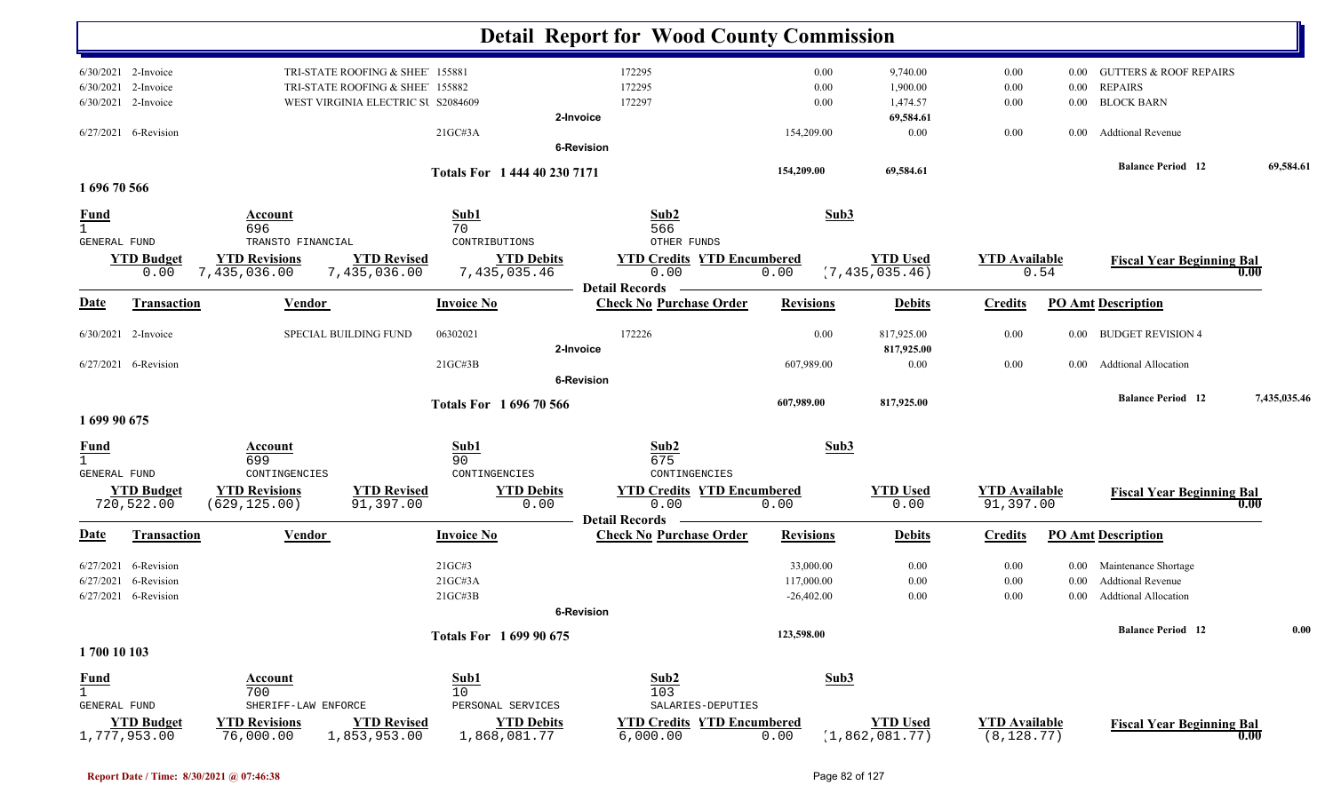|                     |                                   |                                   |                                    |                                   | <b>Detail Report for Wood County Commission</b>         |                  |                                   |                                     |          |                                   |              |
|---------------------|-----------------------------------|-----------------------------------|------------------------------------|-----------------------------------|---------------------------------------------------------|------------------|-----------------------------------|-------------------------------------|----------|-----------------------------------|--------------|
|                     | 6/30/2021 2-Invoice               |                                   | TRI-STATE ROOFING & SHEE' 155881   |                                   | 172295                                                  | 0.00             | 9,740.00                          | 0.00                                | 0.00     | <b>GUTTERS &amp; ROOF REPAIRS</b> |              |
| 6/30/2021           | 2-Invoice                         |                                   | TRI-STATE ROOFING & SHEE' 155882   |                                   | 172295                                                  | 0.00             | 1,900.00                          | 0.00                                | $0.00\,$ | <b>REPAIRS</b>                    |              |
|                     | 6/30/2021 2-Invoice               |                                   | WEST VIRGINIA ELECTRIC SU S2084609 |                                   | 172297                                                  | 0.00             | 1,474.57                          | 0.00                                | $0.00\,$ | <b>BLOCK BARN</b>                 |              |
|                     |                                   |                                   |                                    | 2-Invoice                         |                                                         |                  | 69,584.61                         |                                     |          |                                   |              |
|                     | 6/27/2021 6-Revision              |                                   | 21GCH3A                            |                                   |                                                         | 154,209.00       | 0.00                              | 0.00                                | 0.00     | <b>Addtional Revenue</b>          |              |
|                     |                                   |                                   |                                    | <b>6-Revision</b>                 |                                                         |                  |                                   |                                     |          |                                   |              |
|                     |                                   |                                   |                                    | Totals For 1 444 40 230 7171      |                                                         | 154,209.00       | 69,584.61                         |                                     |          | <b>Balance Period 12</b>          | 69,584.61    |
| 1696 70 566         |                                   |                                   |                                    |                                   |                                                         |                  |                                   |                                     |          |                                   |              |
| <b>Fund</b>         |                                   | Account<br>696                    | Sub1<br>70                         |                                   | Sub2<br>566                                             |                  | Sub3                              |                                     |          |                                   |              |
| <b>GENERAL FUND</b> |                                   | TRANSTO FINANCIAL                 |                                    | CONTRIBUTIONS                     | OTHER FUNDS                                             |                  |                                   |                                     |          |                                   |              |
|                     | <b>YTD Budget</b>                 | <b>YTD Revisions</b>              | <b>YTD Revised</b>                 | <b>YTD Debits</b>                 | <b>YTD Credits YTD Encumbered</b>                       |                  | <b>YTD</b> Used                   | <b>YTD</b> Available                |          | <b>Fiscal Year Beginning Bal</b>  |              |
|                     | 0.00                              | 7,435,036.00                      | 7,435,036.00                       | 7,435,035.46                      | 0.00                                                    | 0.00             | (7, 435, 035.46)                  |                                     | 0.54     |                                   | 0.00         |
| <b>Date</b>         | <b>Transaction</b>                | <b>Vendor</b>                     | <b>Invoice No</b>                  |                                   | <b>Detail Records</b><br><b>Check No Purchase Order</b> | <b>Revisions</b> | <b>Debits</b>                     | <b>Credits</b>                      |          | <b>PO Amt Description</b>         |              |
|                     |                                   |                                   |                                    |                                   |                                                         |                  |                                   |                                     |          |                                   |              |
|                     | 6/30/2021 2-Invoice               | SPECIAL BUILDING FUND             | 06302021                           |                                   | 172226                                                  | 0.00             | 817,925.00                        | 0.00                                | $0.00\,$ | <b>BUDGET REVISION 4</b>          |              |
|                     |                                   |                                   |                                    | 2-Invoice                         |                                                         |                  | 817,925.00                        |                                     |          |                                   |              |
|                     | $6/27/2021$ 6-Revision            |                                   | $21G$ C#3B                         |                                   |                                                         | 607,989.00       | 0.00                              | 0.00                                | $0.00\,$ | <b>Addtional Allocation</b>       |              |
|                     |                                   |                                   |                                    | <b>6-Revision</b>                 |                                                         |                  |                                   |                                     |          |                                   |              |
|                     |                                   |                                   |                                    | Totals For 1696 70 566            |                                                         | 607,989.00       | 817,925.00                        |                                     |          | <b>Balance Period</b> 12          | 7,435,035.46 |
| 1 699 90 675        |                                   |                                   |                                    |                                   |                                                         |                  |                                   |                                     |          |                                   |              |
|                     |                                   |                                   |                                    |                                   |                                                         |                  |                                   |                                     |          |                                   |              |
| $\frac{Fund}{1}$    |                                   | Account<br>699                    | Sub1<br>90                         |                                   | Sub2<br>675                                             |                  | Sub3                              |                                     |          |                                   |              |
| <b>GENERAL FUND</b> |                                   | CONTINGENCIES                     |                                    | CONTINGENCIES                     | CONTINGENCIES                                           |                  |                                   |                                     |          |                                   |              |
|                     | <b>YTD Budget</b>                 | <b>YTD Revisions</b>              | <b>YTD Revised</b>                 | <b>YTD Debits</b>                 | <b>YTD Credits YTD Encumbered</b>                       |                  | <b>YTD</b> Used                   | <b>YTD Available</b>                |          | <b>Fiscal Year Beginning Bal</b>  |              |
|                     | 720,522.00                        | (629, 125.00)                     | 91,397.00                          | 0.00                              | 0.00                                                    | 0.00             | 0.00                              | 91,397.00                           |          |                                   | 0.00         |
|                     |                                   |                                   |                                    |                                   | <b>Detail Records</b>                                   |                  |                                   |                                     |          |                                   |              |
| <u>Date</u>         | <b>Transaction</b>                | Vendor                            | <b>Invoice No</b>                  |                                   | <b>Check No Purchase Order</b>                          | <b>Revisions</b> | <b>Debits</b>                     | <b>Credits</b>                      |          | <b>PO Amt Description</b>         |              |
| 6/27/2021           | 6-Revision                        |                                   | 21GC#3                             |                                   |                                                         | 33,000.00        | 0.00                              | 0.00                                | $0.00\,$ | Maintenance Shortage              |              |
| 6/27/2021           | 6-Revision                        |                                   | 21GC#3A                            |                                   |                                                         | 117,000.00       | 0.00                              | 0.00                                | 0.00     | <b>Addtional Revenue</b>          |              |
|                     | 6/27/2021 6-Revision              |                                   | 21GC#3B                            |                                   |                                                         | $-26,402.00$     | 0.00                              | 0.00                                | 0.00     | Addtional Allocation              |              |
|                     |                                   |                                   |                                    | 6-Revision                        |                                                         |                  |                                   |                                     |          |                                   |              |
|                     |                                   |                                   |                                    |                                   |                                                         | 123,598.00       |                                   |                                     |          | <b>Balance Period</b> 12          | 0.00         |
| 1700 10 103         |                                   |                                   |                                    | Totals For 1699 90 675            |                                                         |                  |                                   |                                     |          |                                   |              |
|                     |                                   |                                   |                                    |                                   |                                                         |                  |                                   |                                     |          |                                   |              |
| <b>Fund</b>         |                                   | Account                           | Sub1                               |                                   | Sub2                                                    |                  | Sub3                              |                                     |          |                                   |              |
| $\mathbf{1}$        |                                   | 700                               | 10                                 |                                   | 103                                                     |                  |                                   |                                     |          |                                   |              |
| GENERAL FUND        |                                   | SHERIFF-LAW ENFORCE               |                                    | PERSONAL SERVICES                 | SALARIES-DEPUTIES                                       |                  |                                   |                                     |          |                                   |              |
|                     | <b>YTD Budget</b><br>1,777,953.00 | <b>YTD Revisions</b><br>76,000.00 | <b>YTD Revised</b><br>1,853,953.00 | <b>YTD Debits</b><br>1,868,081.77 | <b>YTD Credits YTD Encumbered</b><br>6,000.00           | 0.00             | <b>YTD Used</b><br>(1,862,081.77) | <b>YTD Available</b><br>(8, 128.77) |          | <b>Fiscal Year Beginning Bal</b>  | 0.00         |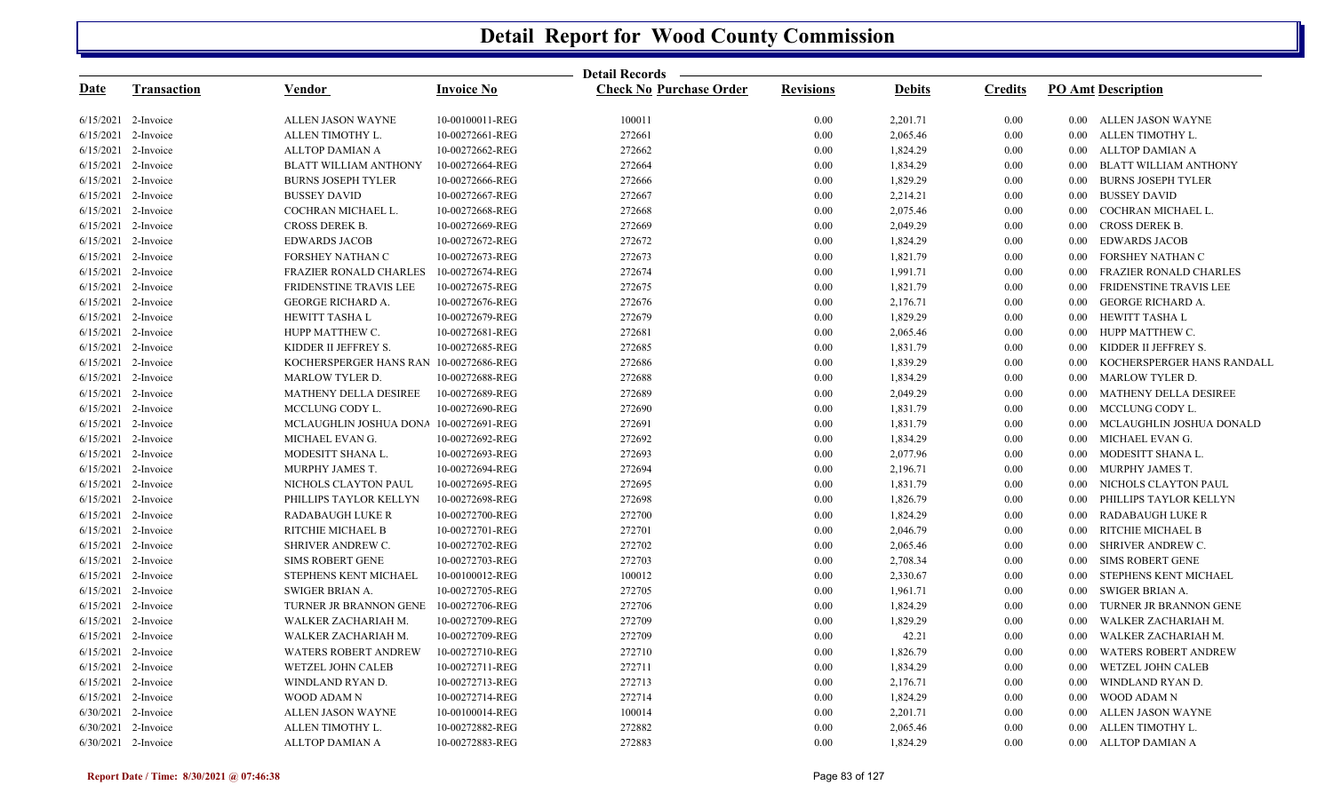|             |                       |                                        |                   | Detail Records —               |                  |               |                |                                             |
|-------------|-----------------------|----------------------------------------|-------------------|--------------------------------|------------------|---------------|----------------|---------------------------------------------|
| <u>Date</u> | <b>Transaction</b>    | Vendor                                 | <b>Invoice No</b> | <b>Check No Purchase Order</b> | <b>Revisions</b> | <b>Debits</b> | <b>Credits</b> | <b>PO Amt Description</b>                   |
|             | 6/15/2021 2-Invoice   | ALLEN JASON WAYNE                      | 10-00100011-REG   | 100011                         | 0.00             | 2,201.71      | 0.00           | 0.00 ALLEN JASON WAYNE                      |
|             | 6/15/2021 2-Invoice   | ALLEN TIMOTHY L.                       | 10-00272661-REG   | 272661                         | 0.00             | 2,065.46      | 0.00           | 0.00 ALLEN TIMOTHY L.                       |
|             | 6/15/2021 2-Invoice   | ALLTOP DAMIAN A                        | 10-00272662-REG   | 272662                         | 0.00             | 1,824.29      | 0.00           | ALLTOP DAMIAN A<br>$0.00\,$                 |
|             | 6/15/2021 2-Invoice   | <b>BLATT WILLIAM ANTHONY</b>           | 10-00272664-REG   | 272664                         | 0.00             | 1,834.29      | $0.00\,$       | BLATT WILLIAM ANTHONY<br>$0.00\,$           |
|             | 6/15/2021 2-Invoice   | <b>BURNS JOSEPH TYLER</b>              | 10-00272666-REG   | 272666                         | 0.00             | 1,829.29      | 0.00           | <b>BURNS JOSEPH TYLER</b><br>$0.00\,$       |
|             | $6/15/2021$ 2-Invoice | <b>BUSSEY DAVID</b>                    | 10-00272667-REG   | 272667                         | 0.00             | 2,214.21      | 0.00           | <b>BUSSEY DAVID</b><br>$0.00\,$             |
|             | $6/15/2021$ 2-Invoice | COCHRAN MICHAEL L.                     | 10-00272668-REG   | 272668                         | 0.00             | 2,075.46      | $0.00\,$       | COCHRAN MICHAEL L.<br>$0.00\,$              |
|             | $6/15/2021$ 2-Invoice | CROSS DEREK B.                         | 10-00272669-REG   | 272669                         | 0.00             | 2,049.29      | 0.00           | CROSS DEREK B.<br>$0.00\,$                  |
|             | $6/15/2021$ 2-Invoice | <b>EDWARDS JACOB</b>                   | 10-00272672-REG   | 272672                         | 0.00             | 1,824.29      | 0.00           | <b>EDWARDS JACOB</b><br>$0.00\,$            |
|             | 6/15/2021 2-Invoice   | FORSHEY NATHAN C                       | 10-00272673-REG   | 272673                         | 0.00             | 1,821.79      | $0.00\,$       | FORSHEY NATHAN C<br>$0.00\,$                |
|             | $6/15/2021$ 2-Invoice | FRAZIER RONALD CHARLES                 | 10-00272674-REG   | 272674                         | 0.00             | 1,991.71      | 0.00           | FRAZIER RONALD CHARLES<br>$0.00\,$          |
|             | $6/15/2021$ 2-Invoice | FRIDENSTINE TRAVIS LEE                 | 10-00272675-REG   | 272675                         | 0.00             | 1,821.79      | 0.00           | <b>FRIDENSTINE TRAVIS LEE</b><br>$0.00\,$   |
|             | 6/15/2021 2-Invoice   | <b>GEORGE RICHARD A.</b>               | 10-00272676-REG   | 272676                         | 0.00             | 2,176.71      | $0.00\,$       | <b>GEORGE RICHARD A.</b><br>$0.00\,$        |
|             | $6/15/2021$ 2-Invoice | HEWITT TASHA L                         | 10-00272679-REG   | 272679                         | 0.00             | 1,829.29      | 0.00           | 0.00 HEWITT TASHA L                         |
|             | $6/15/2021$ 2-Invoice | HUPP MATTHEW C.                        | 10-00272681-REG   | 272681                         | 0.00             | 2,065.46      | 0.00           | HUPP MATTHEW C.<br>$0.00\,$                 |
|             | 6/15/2021 2-Invoice   | KIDDER II JEFFREY S.                   | 10-00272685-REG   | 272685                         | 0.00             | 1,831.79      | $0.00\,$       | KIDDER II JEFFREY S.<br>$0.00\,$            |
|             | 6/15/2021 2-Invoice   | KOCHERSPERGER HANS RAN 10-00272686-REG |                   | 272686                         | 0.00             | 1,839.29      | 0.00           | KOCHERSPERGER HANS RANDALL<br>$0.00\,$      |
|             | $6/15/2021$ 2-Invoice | <b>MARLOW TYLER D.</b>                 | 10-00272688-REG   | 272688                         | 0.00             | 1,834.29      | 0.00           | <b>MARLOW TYLER D.</b><br>$0.00\,$          |
|             | 6/15/2021 2-Invoice   | <b>MATHENY DELLA DESIREE</b>           | 10-00272689-REG   | 272689                         | 0.00             | 2,049.29      | 0.00           | MATHENY DELLA DESIREE<br>$0.00\,$           |
|             | 6/15/2021 2-Invoice   | MCCLUNG CODY L.                        | 10-00272690-REG   | 272690                         | 0.00             | 1,831.79      | 0.00           | MCCLUNG CODY L.<br>$0.00\,$                 |
|             | 6/15/2021 2-Invoice   | MCLAUGHLIN JOSHUA DONA 10-00272691-REG |                   | 272691                         | 0.00             | 1,831.79      | 0.00           | MCLAUGHLIN JOSHUA DONALD<br>$0.00\,$        |
|             | 6/15/2021 2-Invoice   | MICHAEL EVAN G.                        | 10-00272692-REG   | 272692                         | 0.00             | 1,834.29      | 0.00           | MICHAEL EVAN G.<br>$0.00\,$                 |
|             | 6/15/2021 2-Invoice   | MODESITT SHANA L.                      | 10-00272693-REG   | 272693                         | 0.00             | 2,077.96      | 0.00           | MODESITT SHANA L.<br>$0.00\,$               |
|             | 6/15/2021 2-Invoice   | MURPHY JAMES T.                        | 10-00272694-REG   | 272694                         | 0.00             | 2,196.71      | 0.00           | MURPHY JAMES T.<br>$0.00\,$                 |
|             | 6/15/2021 2-Invoice   | NICHOLS CLAYTON PAUL                   | 10-00272695-REG   | 272695                         | 0.00             | 1,831.79      | 0.00           | NICHOLS CLAYTON PAUL<br>$0.00\,$            |
|             | 6/15/2021 2-Invoice   | PHILLIPS TAYLOR KELLYN                 | 10-00272698-REG   | 272698                         | 0.00             | 1,826.79      | 0.00           | PHILLIPS TAYLOR KELLYN<br>0.00 <sub>1</sub> |
|             | 6/15/2021 2-Invoice   | <b>RADABAUGH LUKE R</b>                | 10-00272700-REG   | 272700                         | 0.00             | 1,824.29      | 0.00           | <b>RADABAUGH LUKE R</b><br>$0.00\,$         |
|             | 6/15/2021 2-Invoice   | RITCHIE MICHAEL B                      | 10-00272701-REG   | 272701                         | 0.00             | 2,046.79      | 0.00           | RITCHIE MICHAEL B<br>$0.00\,$               |
|             | 6/15/2021 2-Invoice   | SHRIVER ANDREW C.                      | 10-00272702-REG   | 272702                         | 0.00             | 2,065.46      | $0.00\,$       | SHRIVER ANDREW C.<br>$0.00\,$               |
|             | 6/15/2021 2-Invoice   | <b>SIMS ROBERT GENE</b>                | 10-00272703-REG   | 272703                         | 0.00             | 2,708.34      | $0.00\,$       | <b>SIMS ROBERT GENE</b><br>$0.00\,$         |
|             | 6/15/2021 2-Invoice   | STEPHENS KENT MICHAEL                  | 10-00100012-REG   | 100012                         | 0.00             | 2,330.67      | $0.00\,$       | STEPHENS KENT MICHAEL<br>$0.00\,$           |
|             | $6/15/2021$ 2-Invoice | SWIGER BRIAN A.                        | 10-00272705-REG   | 272705                         | 0.00             | 1,961.71      | 0.00           | SWIGER BRIAN A.<br>$0.00\,$                 |
|             | $6/15/2021$ 2-Invoice | TURNER JR BRANNON GENE                 | 10-00272706-REG   | 272706                         | 0.00             | 1,824.29      | $0.00\,$       | TURNER JR BRANNON GENE<br>$0.00\,$          |
|             | $6/15/2021$ 2-Invoice | WALKER ZACHARIAH M.                    | 10-00272709-REG   | 272709                         | 0.00             | 1,829.29      | $0.00\,$       | WALKER ZACHARIAH M.<br>$0.00\,$             |
|             | $6/15/2021$ 2-Invoice | WALKER ZACHARIAH M.                    | 10-00272709-REG   | 272709                         | 0.00             | 42.21         | 0.00           | WALKER ZACHARIAH M.<br>$0.00\,$             |
|             | $6/15/2021$ 2-Invoice | <b>WATERS ROBERT ANDREW</b>            | 10-00272710-REG   | 272710                         | 0.00             | 1,826.79      | $0.00\,$       | <b>WATERS ROBERT ANDREW</b><br>$0.00\,$     |
|             | $6/15/2021$ 2-Invoice | WETZEL JOHN CALEB                      | 10-00272711-REG   | 272711                         | 0.00             | 1,834.29      | 0.00           | WETZEL JOHN CALEB<br>$0.00\,$               |
|             | $6/15/2021$ 2-Invoice | WINDLAND RYAN D.                       | 10-00272713-REG   | 272713                         | 0.00             | 2,176.71      | 0.00           | WINDLAND RYAN D.<br>$0.00\,$                |
|             | $6/15/2021$ 2-Invoice | WOOD ADAM N                            | 10-00272714-REG   | 272714                         | 0.00             | 1,824.29      | 0.00           | <b>WOOD ADAM N</b><br>$0.00\,$              |
|             | 6/30/2021 2-Invoice   | ALLEN JASON WAYNE                      | 10-00100014-REG   | 100014                         | 0.00             | 2,201.71      | 0.00           | ALLEN JASON WAYNE<br>$0.00\,$               |
|             | $6/30/2021$ 2-Invoice | ALLEN TIMOTHY L.                       | 10-00272882-REG   | 272882                         | 0.00             | 2,065.46      | 0.00           | ALLEN TIMOTHY L.<br>$0.00\,$                |
|             | 6/30/2021 2-Invoice   | <b>ALLTOP DAMIAN A</b>                 | 10-00272883-REG   | 272883                         | 0.00             | 1,824.29      | 0.00           | ALLTOP DAMIAN A<br>$0.00\,$                 |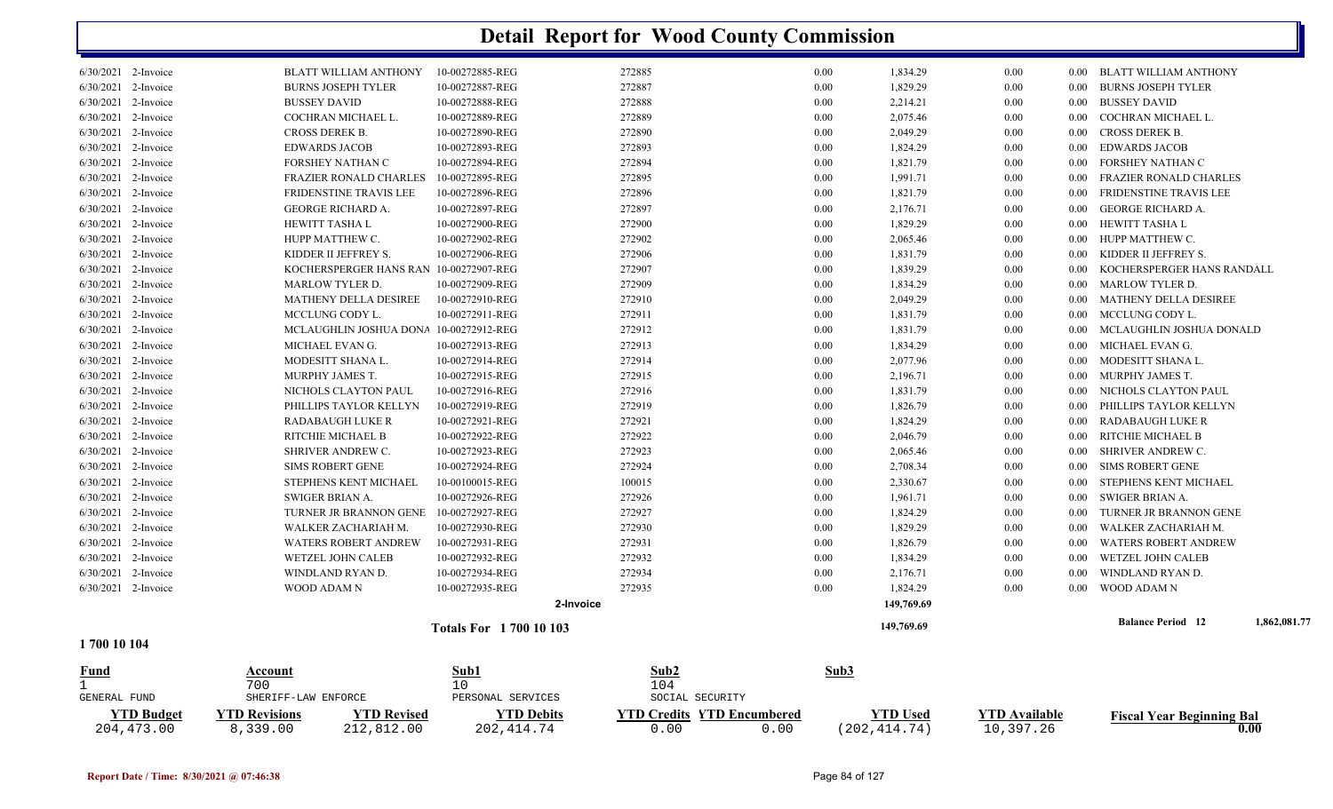| 6/30/2021 2-Invoice<br>1700 10 104         | WOOD ADAM N                               | 10-00272935-REG<br><b>Totals For 1700 10 103</b> | 272935<br>2-Invoice | 0.00         | 1,824.29<br>149,769.69<br>149,769.69 | 0.00         | 0.00                 | WOOD ADAM N<br><b>Balance Period</b> 12   | 1,862,081.77 |
|--------------------------------------------|-------------------------------------------|--------------------------------------------------|---------------------|--------------|--------------------------------------|--------------|----------------------|-------------------------------------------|--------------|
|                                            |                                           |                                                  |                     |              |                                      |              |                      |                                           |              |
|                                            |                                           |                                                  |                     |              |                                      |              |                      |                                           |              |
|                                            |                                           |                                                  |                     |              |                                      |              |                      |                                           |              |
|                                            |                                           |                                                  |                     |              |                                      |              |                      |                                           |              |
| 6/30/2021 2-Invoice                        | WINDLAND RYAN D.                          | 10-00272934-REG                                  | 272934              | 0.00         | 2,176.71                             | 0.00         | 0.00                 | WINDLAND RYAN D.                          |              |
| 6/30/2021 2-Invoice                        | <b>WETZEL JOHN CALEB</b>                  | 10-00272932-REG                                  | 272932              | 0.00         | 1,834.29                             | 0.00         | 0.00                 | WETZEL JOHN CALEB                         |              |
| 6/30/2021 2-Invoice                        | <b>WATERS ROBERT ANDREW</b>               | 10-00272931-REG                                  | 272931              | 0.00         | 1,826.79                             | 0.00         | 0.00                 | <b>WATERS ROBERT ANDREW</b>               |              |
| 6/30/2021 2-Invoice                        | WALKER ZACHARIAH M.                       | 10-00272930-REG                                  | 272930              | 0.00         | 1,829.29                             | 0.00         | 0.00                 | WALKER ZACHARIAH M.                       |              |
| 6/30/2021 2-Invoice                        | TURNER JR BRANNON GENE                    | 10-00272927-REG                                  | 272927              | 0.00         | 1,824.29                             | 0.00         | 0.00                 | TURNER JR BRANNON GENE                    |              |
| $6/30/2021$ 2-Invoice                      | SWIGER BRIAN A.                           | 10-00272926-REG                                  | 272926              | 0.00         | 1,961.71                             | 0.00         | 0.00                 | SWIGER BRIAN A.                           |              |
| 6/30/2021 2-Invoice                        | STEPHENS KENT MICHAEL                     | 10-00100015-REG                                  | 100015              | 0.00         | 2,330.67                             | 0.00         | 0.00                 | STEPHENS KENT MICHAEL                     |              |
| 6/30/2021 2-Invoice                        | <b>SIMS ROBERT GENE</b>                   | 10-00272924-REG                                  | 272924              | 0.00         | 2,708.34                             | 0.00         | 0.00                 | SIMS ROBERT GENE                          |              |
| 6/30/2021 2-Invoice                        | SHRIVER ANDREW C.                         | 10-00272923-REG                                  | 272923              | 0.00         | 2,065.46                             | 0.00         | $0.00\,$             | SHRIVER ANDREW C.                         |              |
| 6/30/2021 2-Invoice                        | RITCHIE MICHAEL B                         | 10-00272922-REG                                  | 272922              | 0.00         | 2,046.79                             | 0.00         | 0.00                 | RITCHIE MICHAEL B                         |              |
| 6/30/2021 2-Invoice                        | <b>RADABAUGH LUKE R</b>                   | 10-00272921-REG                                  | 272921              | 0.00         | 1,824.29                             | 0.00         | 0.00                 | RADABAUGH LUKE R                          |              |
| 6/30/2021 2-Invoice                        | PHILLIPS TAYLOR KELLYN                    | 10-00272919-REG                                  | 272919              | 0.00         | 1,826.79                             | 0.00         | 0.00                 | PHILLIPS TAYLOR KELLYN                    |              |
| 6/30/2021 2-Invoice                        | NICHOLS CLAYTON PAUL                      | 10-00272916-REG                                  | 272916              | 0.00         | 1,831.79                             | 0.00         | 0.00                 | NICHOLS CLAYTON PAUL                      |              |
| 6/30/2021 2-Invoice                        | MURPHY JAMES T.                           | 10-00272915-REG                                  | 272915              | 0.00         | 2,196.71                             | 0.00         | 0.00                 | MURPHY JAMES T.                           |              |
| $6/30/2021$ 2-Invoice                      | MODESITT SHANA L.                         | 10-00272914-REG                                  | 272914              | 0.00         | 2,077.96                             | 0.00         | 0.00                 | MODESITT SHANA L.                         |              |
| 6/30/2021 2-Invoice                        | MICHAEL EVAN G.                           | 10-00272913-REG                                  | 272913              | 0.00         | 1,834.29                             | 0.00         | 0.00                 | MICHAEL EVAN G.                           |              |
| 6/30/2021 2-Invoice                        | MCLAUGHLIN JOSHUA DONA 10-00272912-REG    |                                                  | 272912              | 0.00         | 1,831.79                             | 0.00         | $0.00\,$             | MCLAUGHLIN JOSHUA DONALD                  |              |
| 6/30/2021 2-Invoice                        | MCCLUNG CODY L.                           | 10-00272911-REG                                  | 272911              | 0.00         | 1,831.79                             | 0.00         | $0.00\,$             | MCCLUNG CODY L.                           |              |
| 6/30/2021 2-Invoice                        | <b>MATHENY DELLA DESIREE</b>              | 10-00272910-REG                                  | 272910              | 0.00         | 2,049.29                             | 0.00         | $0.00\,$             | MATHENY DELLA DESIREE                     |              |
| 6/30/2021 2-Invoice                        | <b>MARLOW TYLER D.</b>                    | 10-00272909-REG                                  | 272909              | 0.00         | 1,834.29                             | 0.00         | 0.00                 | <b>MARLOW TYLER D.</b>                    |              |
| 6/30/2021 2-Invoice                        | KOCHERSPERGER HANS RAN 10-00272907-REG    |                                                  | 272907              | 0.00         | 1,839.29                             | 0.00         | 0.00                 | KOCHERSPERGER HANS RANDALL                |              |
| 6/30/2021 2-Invoice                        | KIDDER II JEFFREY S.                      | 10-00272906-REG                                  | 272906              | 0.00         | 1,831.79                             | 0.00         | $0.00\,$             | KIDDER II JEFFREY S.                      |              |
| 6/30/2021 2-Invoice                        | HUPP MATTHEW C.                           | 10-00272902-REG                                  | 272902              | 0.00         | 2,065.46                             | 0.00         | 0.00                 | HUPP MATTHEW C.                           |              |
| 6/30/2021 2-Invoice                        | <b>HEWITT TASHA L</b>                     | 10-00272900-REG                                  | 272900              | 0.00         | 1,829.29                             | 0.00         | $0.00\,$             | HEWITT TASHA L                            |              |
| 6/30/2021 2-Invoice                        | <b>GEORGE RICHARD A.</b>                  | 10-00272897-REG                                  | 272897              | 0.00         | 2,176.71                             | 0.00         | $0.00\,$             | GEORGE RICHARD A.                         |              |
| 6/30/2021 2-Invoice                        | FRIDENSTINE TRAVIS LEE                    | 10-00272896-REG                                  | 272896              | 0.00         | 1,821.79                             | 0.00         | 0.00                 | FRIDENSTINE TRAVIS LEE                    |              |
| 6/30/2021 2-Invoice                        | <b>FRAZIER RONALD CHARLES</b>             | 10-00272895-REG                                  | 272895              | 0.00         | 1,991.71                             | 0.00         | 0.00                 | <b>FRAZIER RONALD CHARLES</b>             |              |
| $6/30/2021$ 2-Invoice                      | <b>FORSHEY NATHAN C</b>                   | 10-00272894-REG                                  | 272894              | 0.00         | 1,821.79                             | 0.00         | 0.00                 | FORSHEY NATHAN C                          |              |
| 6/30/2021 2-Invoice                        | <b>EDWARDS JACOB</b>                      | 10-00272893-REG                                  | 272893              | 0.00         | 1,824.29                             | 0.00         | 0.00                 | <b>EDWARDS JACOB</b>                      |              |
| 6/30/2021 2-Invoice                        | CROSS DEREK B.                            | 10-00272890-REG                                  | 272890              | 0.00         | 2,049.29                             | 0.00         | $0.00\,$             | <b>CROSS DEREK B.</b>                     |              |
| 6/30/2021 2-Invoice<br>6/30/2021 2-Invoice | <b>BUSSEY DAVID</b><br>COCHRAN MICHAEL L. | 10-00272888-REG<br>10-00272889-REG               | 272888<br>272889    | 0.00<br>0.00 | 2,214.21<br>2,075.46                 | 0.00<br>0.00 | $0.00\,$<br>$0.00\,$ | <b>BUSSEY DAVID</b><br>COCHRAN MICHAEL L. |              |
| 6/30/2021 2-Invoice                        | <b>BURNS JOSEPH TYLER</b>                 | 10-00272887-REG                                  | 272887              | 0.00         | 1,829.29                             | 0.00         | 0.00                 | <b>BURNS JOSEPH TYLER</b>                 |              |
| 6/30/2021 2-Invoice                        | <b>BLATT WILLIAM ANTHONY</b>              | 10-00272885-REG                                  | 272885              | 0.00         | 1,834.29                             | 0.00         |                      | 0.00 BLATT WILLIAM ANTHONY                |              |

|                   | 700                  |            |                   | 104                               |                      |              |               |                                  |
|-------------------|----------------------|------------|-------------------|-----------------------------------|----------------------|--------------|---------------|----------------------------------|
| GENERAL FUND      | SHERIFF-LAW ENFORCE  |            | PERSONAL SERVICES | SOCIAL SECURITY                   |                      |              |               |                                  |
| <b>YTD Budget</b> | <b>VTD Revisions</b> | TD Revised | $\rm vTD$ Debits  | <b>YTD Credits YTD Encumbered</b> |                      | 'TD Used     | VTD Available | <b>Fiscal Year Beginning Bal</b> |
| 204, 473, 00      | .339.00              | 212,812.00 | 202, 414, 74      | 0.00                              | $\cdot$ . 00 $\cdot$ | (202,414.74) | 10,397.26     |                                  |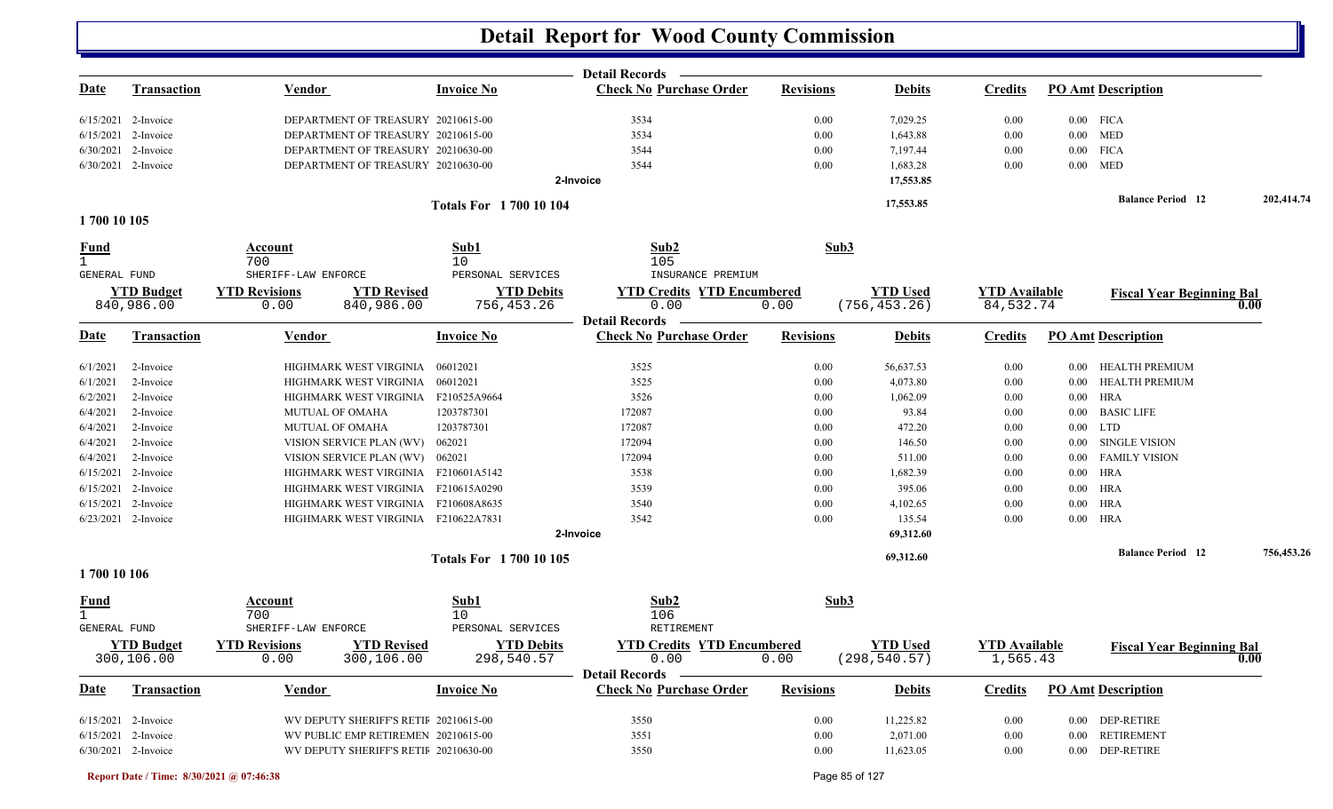|                             |                       |                                            |                               | <b>Detail Records</b>             |                  |                 |                      |             |                                  |            |
|-----------------------------|-----------------------|--------------------------------------------|-------------------------------|-----------------------------------|------------------|-----------------|----------------------|-------------|----------------------------------|------------|
| <u>Date</u>                 | <b>Transaction</b>    | <b>Vendor</b>                              | <b>Invoice No</b>             | <b>Check No Purchase Order</b>    | <b>Revisions</b> | <b>Debits</b>   | <b>Credits</b>       |             | <b>PO Amt Description</b>        |            |
|                             | $6/15/2021$ 2-Invoice | DEPARTMENT OF TREASURY 20210615-00         |                               | 3534                              | 0.00             | 7,029.25        | 0.00                 | $0.00$ FICA |                                  |            |
|                             | $6/15/2021$ 2-Invoice | DEPARTMENT OF TREASURY 20210615-00         |                               | 3534                              | 0.00             | 1,643.88        | 0.00                 | $0.00$ MED  |                                  |            |
|                             | 6/30/2021 2-Invoice   | DEPARTMENT OF TREASURY 20210630-00         |                               | 3544                              | 0.00             | 7,197.44        | 0.00                 | $0.00$ FICA |                                  |            |
|                             | 6/30/2021 2-Invoice   | DEPARTMENT OF TREASURY 20210630-00         |                               | 3544                              | 0.00             | 1,683.28        | 0.00                 | $0.00$ MED  |                                  |            |
|                             |                       |                                            |                               | 2-Invoice                         |                  | 17,553.85       |                      |             |                                  |            |
|                             |                       |                                            | <b>Totals For 170010104</b>   |                                   |                  | 17,553.85       |                      |             | <b>Balance Period</b> 12         | 202,414.74 |
| 1700 10 105                 |                       |                                            |                               |                                   |                  |                 |                      |             |                                  |            |
| <u>Fund</u><br>1            |                       | Account<br>700                             | Sub1<br>10                    | Sub2<br>105                       | Sub3             |                 |                      |             |                                  |            |
| <b>GENERAL FUND</b>         |                       | SHERIFF-LAW ENFORCE                        | PERSONAL SERVICES             | INSURANCE PREMIUM                 |                  |                 |                      |             |                                  |            |
|                             | <b>YTD Budget</b>     | <b>YTD Revised</b><br><b>YTD Revisions</b> | <b>YTD Debits</b>             | <b>YTD Credits YTD Encumbered</b> |                  | <b>YTD Used</b> | <b>YTD</b> Available |             | <b>Fiscal Year Beginning Bal</b> | 0.00       |
|                             | 840,986.00            | 0.00<br>840,986.00                         | 756,453.26                    | 0.00<br><b>Detail Records</b>     | 0.00             | (756, 453.26)   | 84,532.74            |             |                                  |            |
| Date                        | <b>Transaction</b>    | Vendor                                     | <b>Invoice No</b>             | <b>Check No Purchase Order</b>    | <b>Revisions</b> | <b>Debits</b>   | <b>Credits</b>       |             | <b>PO Amt Description</b>        |            |
| 6/1/2021                    | 2-Invoice             | HIGHMARK WEST VIRGINIA                     | 06012021                      | 3525                              | 0.00             | 56,637.53       | 0.00                 |             | 0.00 HEALTH PREMIUM              |            |
| 6/1/2021                    | 2-Invoice             | HIGHMARK WEST VIRGINIA                     | 06012021                      | 3525                              | 0.00             | 4,073.80        | 0.00                 |             | 0.00 HEALTH PREMIUM              |            |
| 6/2/2021                    | 2-Invoice             | HIGHMARK WEST VIRGINIA                     | F210525A9664                  | 3526                              | 0.00             | 1,062.09        | 0.00                 | $0.00$ HRA  |                                  |            |
| 6/4/2021                    | 2-Invoice             | MUTUAL OF OMAHA                            | 1203787301                    | 172087                            | 0.00             | 93.84           | 0.00                 | $0.00\,$    | <b>BASIC LIFE</b>                |            |
| 6/4/2021                    | 2-Invoice             | <b>MUTUAL OF OMAHA</b>                     | 1203787301                    | 172087                            | 0.00             | 472.20          | 0.00                 | $0.00$ LTD  |                                  |            |
| 6/4/2021                    | 2-Invoice             | VISION SERVICE PLAN (WV)                   | 062021                        | 172094                            | 0.00             | 146.50          | 0.00                 | $0.00\,$    | SINGLE VISION                    |            |
| 6/4/2021                    | 2-Invoice             | VISION SERVICE PLAN (WV)                   | 062021                        | 172094                            | 0.00             | 511.00          | 0.00                 | $0.00\,$    | <b>FAMILY VISION</b>             |            |
|                             | $6/15/2021$ 2-Invoice | HIGHMARK WEST VIRGINIA F210601A5142        |                               | 3538                              | 0.00             | 1,682.39        | 0.00                 | 0.00 HRA    |                                  |            |
|                             | $6/15/2021$ 2-Invoice | HIGHMARK WEST VIRGINIA                     | F210615A0290                  | 3539                              | 0.00             | 395.06          | 0.00                 | $0.00$ HRA  |                                  |            |
|                             | 6/15/2021 2-Invoice   | HIGHMARK WEST VIRGINIA F210608A8635        |                               | 3540                              | 0.00             | 4,102.65        | 0.00                 | $0.00$ HRA  |                                  |            |
|                             | $6/23/2021$ 2-Invoice | HIGHMARK WEST VIRGINIA F210622A7831        |                               | 3542                              | 0.00             | 135.54          | 0.00                 | $0.00$ HRA  |                                  |            |
|                             |                       |                                            |                               | 2-Invoice                         |                  | 69,312.60       |                      |             |                                  |            |
|                             |                       |                                            | <b>Totals For 1700 10 105</b> |                                   |                  | 69,312.60       |                      |             | <b>Balance Period 12</b>         | 756,453.26 |
| 1700 10 106                 |                       |                                            |                               |                                   |                  |                 |                      |             |                                  |            |
| <b>Fund</b><br>$\mathbf{1}$ |                       | Account<br>700                             | Sub1<br>10                    | Sub2<br>106                       | Sub3             |                 |                      |             |                                  |            |
| <b>GENERAL FUND</b>         |                       | SHERIFF-LAW ENFORCE                        | PERSONAL SERVICES             | RETIREMENT                        |                  |                 |                      |             |                                  |            |
|                             | <b>YTD Budget</b>     | <b>YTD Revised</b><br><b>YTD Revisions</b> | <b>YTD Debits</b>             | <b>YTD Credits YTD Encumbered</b> |                  | <b>YTD</b> Used | <b>YTD</b> Available |             |                                  |            |
|                             | 300,106.00            | 300,106.00<br>0.00                         | 298,540.57                    | 0.00                              | 0.00             | (298, 540.57)   | 1,565.43             |             | <b>Fiscal Year Beginning Bal</b> | 0.00       |
|                             |                       |                                            |                               | Detail Records —                  |                  |                 |                      |             |                                  |            |
| Date                        | Transaction           | <b>Vendor</b>                              | <b>Invoice No</b>             | <b>Check No Purchase Order</b>    | <b>Revisions</b> | <b>Debits</b>   | <b>Credits</b>       |             | <b>PO Amt Description</b>        |            |
|                             | $6/15/2021$ 2-Invoice | WV DEPUTY SHERIFF'S RETIF 20210615-00      |                               | 3550                              | 0.00             | 11,225.82       | 0.00                 |             | 0.00 DEP-RETIRE                  |            |
|                             | 6/15/2021 2-Invoice   | WV PUBLIC EMP RETIREMEN 20210615-00        |                               | 3551                              | 0.00             | 2,071.00        | 0.00                 |             | 0.00 RETIREMENT                  |            |
|                             | 6/30/2021 2-Invoice   | WV DEPUTY SHERIFF'S RETII 20210630-00      |                               | 3550                              | $0.00\,$         | 11,623.05       | $0.00\,$             |             | 0.00 DEP-RETIRE                  |            |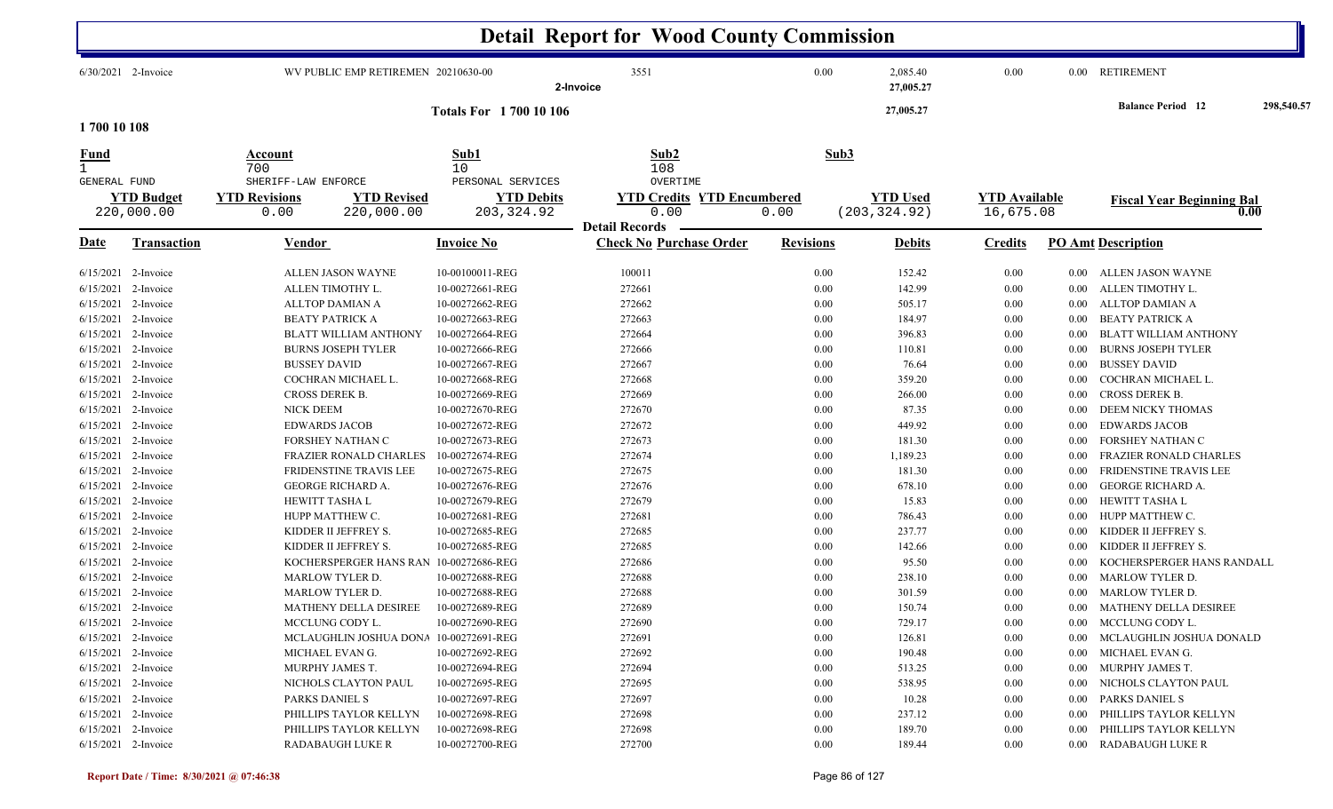|                                                                                                                                                                                                 |                                                                                                                                                                                                                        |                                                                                                                                                                                                                                                                                                                                                                           |                                                                                                                                                                                                                                                                                                              | <b>Detail Report for Wood County Commission</b>                                                                                                              |                                                                                                                                                  |                                                                                                                                                             |                                                                                                                              |                                                                                                                                          |                                                                                                                                                                                                                                                                                                                                                                                   |            |
|-------------------------------------------------------------------------------------------------------------------------------------------------------------------------------------------------|------------------------------------------------------------------------------------------------------------------------------------------------------------------------------------------------------------------------|---------------------------------------------------------------------------------------------------------------------------------------------------------------------------------------------------------------------------------------------------------------------------------------------------------------------------------------------------------------------------|--------------------------------------------------------------------------------------------------------------------------------------------------------------------------------------------------------------------------------------------------------------------------------------------------------------|--------------------------------------------------------------------------------------------------------------------------------------------------------------|--------------------------------------------------------------------------------------------------------------------------------------------------|-------------------------------------------------------------------------------------------------------------------------------------------------------------|------------------------------------------------------------------------------------------------------------------------------|------------------------------------------------------------------------------------------------------------------------------------------|-----------------------------------------------------------------------------------------------------------------------------------------------------------------------------------------------------------------------------------------------------------------------------------------------------------------------------------------------------------------------------------|------------|
|                                                                                                                                                                                                 | $6/30/2021$ 2-Invoice                                                                                                                                                                                                  |                                                                                                                                                                                                                                                                                                                                                                           | WV PUBLIC EMP RETIREMEN 20210630-00                                                                                                                                                                                                                                                                          | 3551<br>2-Invoice                                                                                                                                            | 0.00                                                                                                                                             | 2,085.40<br>27,005.27                                                                                                                                       | 0.00                                                                                                                         |                                                                                                                                          | 0.00 RETIREMENT                                                                                                                                                                                                                                                                                                                                                                   |            |
| 1700 10 108                                                                                                                                                                                     |                                                                                                                                                                                                                        |                                                                                                                                                                                                                                                                                                                                                                           | <b>Totals For 1700 10 106</b>                                                                                                                                                                                                                                                                                |                                                                                                                                                              |                                                                                                                                                  | 27,005.27                                                                                                                                                   |                                                                                                                              |                                                                                                                                          | <b>Balance Period</b> 12                                                                                                                                                                                                                                                                                                                                                          | 298,540.57 |
| Fund                                                                                                                                                                                            |                                                                                                                                                                                                                        | Account<br>700                                                                                                                                                                                                                                                                                                                                                            | Sub1<br>10                                                                                                                                                                                                                                                                                                   | Sub2<br>108                                                                                                                                                  | Sub3                                                                                                                                             |                                                                                                                                                             |                                                                                                                              |                                                                                                                                          |                                                                                                                                                                                                                                                                                                                                                                                   |            |
| GENERAL FUND                                                                                                                                                                                    | <b>YTD Budget</b><br>220,000.00                                                                                                                                                                                        | SHERIFF-LAW ENFORCE<br><b>YTD Revisions</b><br>0.00                                                                                                                                                                                                                                                                                                                       | PERSONAL SERVICES<br><b>YTD Revised</b><br><b>YTD Debits</b><br>220,000.00<br>203, 324.92                                                                                                                                                                                                                    | OVERTIME<br><b>YTD Credits YTD Encumbered</b><br>0.00                                                                                                        | 0.00                                                                                                                                             | <b>YTD Used</b><br>(203, 324.92)                                                                                                                            | <b>YTD</b> Available<br>16,675.08                                                                                            |                                                                                                                                          | <b>Fiscal Year Beginning Bal</b>                                                                                                                                                                                                                                                                                                                                                  | 0.00       |
| <u>Date</u>                                                                                                                                                                                     | <b>Transaction</b>                                                                                                                                                                                                     | Vendor                                                                                                                                                                                                                                                                                                                                                                    | <b>Invoice No</b>                                                                                                                                                                                                                                                                                            | <b>Detail Records</b><br><b>Check No Purchase Order</b>                                                                                                      | <b>Revisions</b>                                                                                                                                 | <b>Debits</b>                                                                                                                                               | <b>Credits</b>                                                                                                               |                                                                                                                                          | <b>PO Amt Description</b>                                                                                                                                                                                                                                                                                                                                                         |            |
| 6/15/2021<br>6/15/2021<br>6/15/2021<br>6/15/2021<br>6/15/2021<br>6/15/2021<br>6/15/2021<br>6/15/2021<br>6/15/2021<br>6/15/2021<br>6/15/2021<br>6/15/2021<br>6/15/2021<br>6/15/2021<br>6/15/2021 | 2-Invoice<br>2-Invoice<br>2-Invoice<br>2-Invoice<br>2-Invoice<br>2-Invoice<br>2-Invoice<br>2-Invoice<br>2-Invoice<br>2-Invoice<br>2-Invoice<br>6/15/2021 2-Invoice<br>2-Invoice<br>2-Invoice<br>2-Invoice<br>2-Invoice | ALLEN JASON WAYNE<br>ALLEN TIMOTHY L.<br>ALLTOP DAMIAN A<br><b>BEATY PATRICK A</b><br><b>BLATT WILLIAM ANTHONY</b><br><b>BURNS JOSEPH TYLER</b><br><b>BUSSEY DAVID</b><br>COCHRAN MICHAEL L.<br>CROSS DEREK B.<br><b>NICK DEEM</b><br><b>EDWARDS JACOB</b><br>FORSHEY NATHAN C<br>FRAZIER RONALD CHARLES<br>FRIDENSTINE TRAVIS LEE<br>GEORGE RICHARD A.<br>HEWITT TASHA L | 10-00100011-REG<br>10-00272661-REG<br>10-00272662-REG<br>10-00272663-REG<br>10-00272664-REG<br>10-00272666-REG<br>10-00272667-REG<br>10-00272668-REG<br>10-00272669-REG<br>10-00272670-REG<br>10-00272672-REG<br>10-00272673-REG<br>10-00272674-REG<br>10-00272675-REG<br>10-00272676-REG<br>10-00272679-REG | 100011<br>272661<br>272662<br>272663<br>272664<br>272666<br>272667<br>272668<br>272669<br>272670<br>272672<br>272673<br>272674<br>272675<br>272676<br>272679 | 0.00<br>0.00<br>$0.00\,$<br>0.00<br>0.00<br>$0.00\,$<br>0.00<br>0.00<br>$0.00\,$<br>0.00<br>0.00<br>0.00<br>0.00<br>0.00<br>$0.00\,$<br>$0.00\,$ | 152.42<br>142.99<br>505.17<br>184.97<br>396.83<br>110.81<br>76.64<br>359.20<br>266.00<br>87.35<br>449.92<br>181.30<br>1,189.23<br>181.30<br>678.10<br>15.83 | 0.00<br>0.00<br>0.00<br>0.00<br>0.00<br>0.00<br>0.00<br>0.00<br>0.00<br>0.00<br>0.00<br>0.00<br>0.00<br>0.00<br>0.00<br>0.00 | $0.00\,$<br>$0.00\,$<br>0.00<br>0.00<br>0.00<br>0.00<br>0.00<br>0.00<br>0.00<br>0.00<br>0.00<br>0.00<br>0.00<br>$0.00\,$<br>0.00<br>0.00 | ALLEN JASON WAYNE<br>ALLEN TIMOTHY L.<br>ALLTOP DAMIAN A<br><b>BEATY PATRICK A</b><br><b>BLATT WILLIAM ANTHONY</b><br><b>BURNS JOSEPH TYLER</b><br><b>BUSSEY DAVID</b><br>COCHRAN MICHAEL L.<br>CROSS DEREK B.<br>DEEM NICKY THOMAS<br><b>EDWARDS JACOB</b><br>FORSHEY NATHAN C<br>FRAZIER RONALD CHARLES<br>FRIDENSTINE TRAVIS LEE<br><b>GEORGE RICHARD A.</b><br>HEWITT TASHA L |            |
| 6/15/2021<br>6/15/2021<br>6/15/2021<br>6/15/2021<br>6/15/2021                                                                                                                                   | 2-Invoice<br>2-Invoice<br>2-Invoice<br>2-Invoice<br>2-Invoice<br>6/15/2021 2-Invoice                                                                                                                                   | HUPP MATTHEW C.<br>KIDDER II JEFFREY S.<br>KIDDER II JEFFREY S.<br>KOCHERSPERGER HANS RAN<br>MARLOW TYLER D.<br><b>MARLOW TYLER D.</b>                                                                                                                                                                                                                                    | 10-00272681-REG<br>10-00272685-REG<br>10-00272685-REG<br>10-00272686-REG<br>10-00272688-REG<br>10-00272688-REG                                                                                                                                                                                               | 272681<br>272685<br>272685<br>272686<br>272688<br>272688                                                                                                     | 0.00<br>0.00<br>0.00<br>0.00<br>$0.00\,$<br>0.00                                                                                                 | 786.43<br>237.77<br>142.66<br>95.50<br>238.10<br>301.59                                                                                                     | 0.00<br>0.00<br>0.00<br>0.00<br>0.00<br>0.00                                                                                 | 0.00<br>0.00<br>0.00<br>0.00<br>0.00<br>$0.00\,$                                                                                         | HUPP MATTHEW C.<br>KIDDER II JEFFREY S.<br>KIDDER II JEFFREY S.<br>KOCHERSPERGER HANS RANDALL<br><b>MARLOW TYLER D.</b><br>MARLOW TYLER D.                                                                                                                                                                                                                                        |            |
|                                                                                                                                                                                                 | 6/15/2021 2-Invoice<br>$6/15/2021$ 2-Invoice<br>$6/15/2021$ 2-Invoice<br>6/15/2021 2-Invoice<br>$6/15/2021$ 2-Invoice                                                                                                  | <b>MATHENY DELLA DESIREE</b><br>MCCLUNG CODY L.<br>MICHAEL EVAN G.<br>MURPHY JAMES T.                                                                                                                                                                                                                                                                                     | 10-00272689-REG<br>10-00272690-REG<br>MCLAUGHLIN JOSHUA DONA 10-00272691-REG<br>10-00272692-REG<br>10-00272694-REG                                                                                                                                                                                           | 272689<br>272690<br>272691<br>272692<br>272694                                                                                                               | 0.00<br>0.00<br>$0.00\,$<br>0.00<br>$0.00\,$                                                                                                     | 150.74<br>729.17<br>126.81<br>190.48<br>513.25                                                                                                              | 0.00<br>$0.00\,$<br>$0.00\,$<br>$0.00\,$<br>$0.00\,$                                                                         |                                                                                                                                          | 0.00 MATHENY DELLA DESIREE<br>0.00 MCCLUNG CODY L.<br>0.00 MCLAUGHLIN JOSHUA DONALD<br>0.00 MICHAEL EVAN G.<br>0.00 MURPHY JAMES T.                                                                                                                                                                                                                                               |            |
|                                                                                                                                                                                                 | 6/15/2021 2-Invoice<br>6/15/2021 2-Invoice<br>$6/15/2021$ 2-Invoice<br>$6/15/2021$ 2-Invoice<br>6/15/2021 2-Invoice                                                                                                    | NICHOLS CLAYTON PAUL<br>PARKS DANIEL S<br>PHILLIPS TAYLOR KELLYN<br>PHILLIPS TAYLOR KELLYN<br><b>RADABAUGH LUKE R</b>                                                                                                                                                                                                                                                     | 10-00272695-REG<br>10-00272697-REG<br>10-00272698-REG<br>10-00272698-REG<br>10-00272700-REG                                                                                                                                                                                                                  | 272695<br>272697<br>272698<br>272698<br>272700                                                                                                               | $0.00\,$<br>$0.00\,$<br>$0.00\,$<br>$0.00\,$<br>$0.00\,$                                                                                         | 538.95<br>10.28<br>237.12<br>189.70<br>189.44                                                                                                               | 0.00<br>0.00<br>0.00<br>0.00<br>0.00                                                                                         | $0.00\,$<br>$0.00\,$<br>$0.00\,$<br>$0.00\,$                                                                                             | NICHOLS CLAYTON PAUL<br>PARKS DANIEL S<br>PHILLIPS TAYLOR KELLYN<br>PHILLIPS TAYLOR KELLYN<br>0.00 RADABAUGH LUKE R                                                                                                                                                                                                                                                               |            |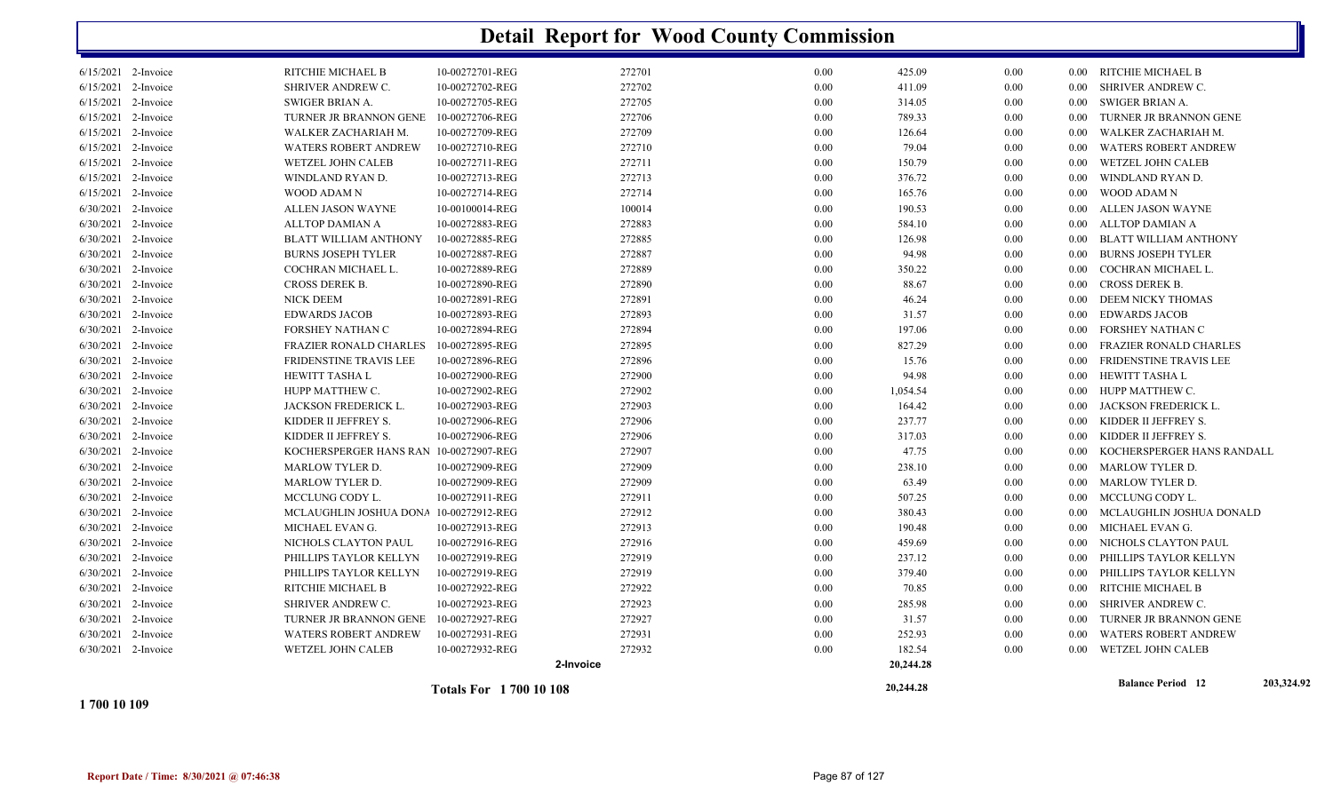|                                            |                                                   |                                    |                  |              | 20,244.28        |              |              | <b>Balance Period 12</b>                          | 203,324.92 |
|--------------------------------------------|---------------------------------------------------|------------------------------------|------------------|--------------|------------------|--------------|--------------|---------------------------------------------------|------------|
|                                            |                                                   | 2-Invoice                          |                  |              | 20,244.28        |              |              |                                                   |            |
| 6/30/2021 2-Invoice                        | WETZEL JOHN CALEB                                 | 10-00272932-REG                    | 272932           | 0.00         | 182.54           | 0.00         | 0.00         | WETZEL JOHN CALEB                                 |            |
| 6/30/2021 2-Invoice                        | <b>WATERS ROBERT ANDREW</b>                       | 10-00272931-REG                    | 272931           | 0.00         | 252.93           | 0.00         | 0.00         | <b>WATERS ROBERT ANDREW</b>                       |            |
| 6/30/2021 2-Invoice                        | TURNER JR BRANNON GENE                            | 10-00272927-REG                    | 272927           | 0.00         | 31.57            | 0.00         | 0.00         | TURNER JR BRANNON GENE                            |            |
| 6/30/2021 2-Invoice                        | SHRIVER ANDREW C.                                 | 10-00272923-REG                    | 272923           | 0.00         | 285.98           | 0.00         | 0.00         | SHRIVER ANDREW C.                                 |            |
| 6/30/2021 2-Invoice                        | RITCHIE MICHAEL B                                 | 10-00272922-REG                    | 272922           | 0.00         | 70.85            | 0.00         | 0.00         | RITCHIE MICHAEL B                                 |            |
| 6/30/2021 2-Invoice                        | PHILLIPS TAYLOR KELLYN                            | 10-00272919-REG                    | 272919           | 0.00         | 379.40           | 0.00         | $0.00\,$     | PHILLIPS TAYLOR KELLYN                            |            |
| 6/30/2021 2-Invoice                        | PHILLIPS TAYLOR KELLYN                            | 10-00272919-REG                    | 272919           | 0.00         | 237.12           | 0.00         | 0.00         | PHILLIPS TAYLOR KELLYN                            |            |
| 6/30/2021 2-Invoice                        | NICHOLS CLAYTON PAUL                              | 10-00272916-REG                    | 272916           | 0.00         | 459.69           | 0.00         | $0.00\,$     | NICHOLS CLAYTON PAUL                              |            |
| 6/30/2021 2-Invoice                        | MICHAEL EVAN G.                                   | 10-00272913-REG                    | 272913           | 0.00         | 190.48           | 0.00         | 0.00         | MICHAEL EVAN G.                                   |            |
| 6/30/2021 2-Invoice                        | MCLAUGHLIN JOSHUA DONA 10-00272912-REG            |                                    | 272912           | 0.00         | 380.43           | 0.00         | $0.00\,$     | MCLAUGHLIN JOSHUA DONALD                          |            |
| 6/30/2021 2-Invoice                        | MCCLUNG CODY L.                                   | 10-00272911-REG                    | 272911           | 0.00         | 507.25           | 0.00         | $0.00\,$     | MCCLUNG CODY L.                                   |            |
| 6/30/2021 2-Invoice                        | <b>MARLOW TYLER D.</b>                            | 10-00272909-REG                    | 272909           | 0.00         | 63.49            | 0.00         | $0.00\,$     | MARLOW TYLER D.                                   |            |
| 6/30/2021 2-Invoice                        | <b>MARLOW TYLER D.</b>                            | 10-00272909-REG                    | 272909           | 0.00         | 238.10           | 0.00         | 0.00         | MARLOW TYLER D.                                   |            |
| 6/30/2021 2-Invoice                        | KOCHERSPERGER HANS RAN 10-00272907-REG            |                                    | 272907           | 0.00         | 47.75            | 0.00         | 0.00         | KOCHERSPERGER HANS RANDALL                        |            |
| 6/30/2021 2-Invoice<br>6/30/2021 2-Invoice | KIDDER II JEFFREY S.<br>KIDDER II JEFFREY S.      | 10-00272906-REG<br>10-00272906-REG | 272906<br>272906 | 0.00         | 237.77<br>317.03 | 0.00<br>0.00 | $0.00\,$     | KIDDER II JEFFREY S.<br>KIDDER II JEFFREY S.      |            |
| 6/30/2021 2-Invoice                        | <b>JACKSON FREDERICK L.</b>                       | 10-00272903-REG                    | 272903           | 0.00<br>0.00 | 164.42           | 0.00         | 0.00<br>0.00 | JACKSON FREDERICK L.                              |            |
| 6/30/2021 2-Invoice                        | HUPP MATTHEW C.                                   | 10-00272902-REG                    | 272902           | 0.00         | 1,054.54         | 0.00         | 0.00         | HUPP MATTHEW C.                                   |            |
| 6/30/2021 2-Invoice                        | <b>HEWITT TASHA L</b>                             | 10-00272900-REG                    | 272900           | 0.00         | 94.98            | 0.00         | $0.00\,$     | HEWITT TASHA L                                    |            |
| 6/30/2021 2-Invoice                        | FRIDENSTINE TRAVIS LEE                            | 10-00272896-REG                    |                  | 0.00         | 15.76            | 0.00         | 0.00         | FRIDENSTINE TRAVIS LEE                            |            |
|                                            |                                                   |                                    | 272896           |              |                  |              |              |                                                   |            |
| 6/30/2021 2-Invoice<br>6/30/2021 2-Invoice | FORSHEY NATHAN C<br><b>FRAZIER RONALD CHARLES</b> | 10-00272894-REG<br>10-00272895-REG | 272895           | 0.00<br>0.00 | 197.06<br>827.29 | 0.00<br>0.00 | 0.00         | FORSHEY NATHAN C<br><b>FRAZIER RONALD CHARLES</b> |            |
| 6/30/2021 2-Invoice                        | <b>EDWARDS JACOB</b>                              | 10-00272893-REG                    | 272893<br>272894 | 0.00         | 31.57            | 0.00         | 0.00<br>0.00 | <b>EDWARDS JACOB</b>                              |            |
| 6/30/2021 2-Invoice                        | NICK DEEM                                         | 10-00272891-REG                    | 272891           | 0.00         | 46.24            | 0.00         | $0.00\,$     | DEEM NICKY THOMAS                                 |            |
| 6/30/2021 2-Invoice                        | CROSS DEREK B.                                    | 10-00272890-REG                    | 272890           | 0.00         | 88.67            | 0.00         | 0.00         | <b>CROSS DEREK B.</b>                             |            |
| 6/30/2021 2-Invoice                        | COCHRAN MICHAEL L.                                | 10-00272889-REG                    | 272889           | 0.00         | 350.22           | 0.00         | 0.00         | COCHRAN MICHAEL L.                                |            |
| 6/30/2021 2-Invoice                        | <b>BURNS JOSEPH TYLER</b>                         | 10-00272887-REG                    | 272887           | 0.00         | 94.98            | 0.00         | 0.00         | <b>BURNS JOSEPH TYLER</b>                         |            |
| 6/30/2021 2-Invoice                        | BLATT WILLIAM ANTHONY                             | 10-00272885-REG                    | 272885           | 0.00         | 126.98           | 0.00         | $0.00\,$     | BLATT WILLIAM ANTHONY                             |            |
| 6/30/2021 2-Invoice                        | <b>ALLTOP DAMIAN A</b>                            | 10-00272883-REG                    | 272883           | 0.00         | 584.10           | 0.00         | 0.00         | ALLTOP DAMIAN A                                   |            |
| 6/30/2021 2-Invoice                        | <b>ALLEN JASON WAYNE</b>                          | 10-00100014-REG                    | 100014           | 0.00         | 190.53           | 0.00         | 0.00         | ALLEN JASON WAYNE                                 |            |
| $6/15/2021$ 2-Invoice                      | WOOD ADAM N                                       | 10-00272714-REG                    | 272714           | 0.00         | 165.76           | 0.00         | 0.00         | WOOD ADAM N                                       |            |
| $6/15/2021$ 2-Invoice                      | WINDLAND RYAN D.                                  | 10-00272713-REG                    | 272713           | 0.00         | 376.72           | 0.00         | 0.00         | WINDLAND RYAN D.                                  |            |
| 6/15/2021 2-Invoice                        | WETZEL JOHN CALEB                                 | 10-00272711-REG                    | 272711           | 0.00         | 150.79           | 0.00         | 0.00         | WETZEL JOHN CALEB                                 |            |
| $6/15/2021$ 2-Invoice                      | <b>WATERS ROBERT ANDREW</b>                       | 10-00272710-REG                    | 272710           | 0.00         | 79.04            | 0.00         | 0.00         | <b>WATERS ROBERT ANDREW</b>                       |            |
| 6/15/2021 2-Invoice                        | WALKER ZACHARIAH M.                               | 10-00272709-REG                    | 272709           | 0.00         | 126.64           | 0.00         | 0.00         | WALKER ZACHARIAH M.                               |            |
| 6/15/2021 2-Invoice                        | TURNER JR BRANNON GENE                            | 10-00272706-REG                    | 272706           | 0.00         | 789.33           | 0.00         | 0.00         | TURNER JR BRANNON GENE                            |            |
| $6/15/2021$ 2-Invoice                      | SWIGER BRIAN A.                                   | 10-00272705-REG                    | 272705           | 0.00         | 314.05           | 0.00         | $0.00\,$     | SWIGER BRIAN A.                                   |            |
| 6/15/2021 2-Invoice                        | SHRIVER ANDREW C.                                 | 10-00272702-REG                    | 272702           | 0.00         | 411.09           | 0.00         | 0.00         | SHRIVER ANDREW C.                                 |            |
| 6/15/2021 2-Invoice                        | RITCHIE MICHAEL B                                 | 10-00272701-REG                    | 272701           | 0.00         | 425.09           | 0.00         |              | 0.00 RITCHIE MICHAEL B                            |            |

**1 700 10 109**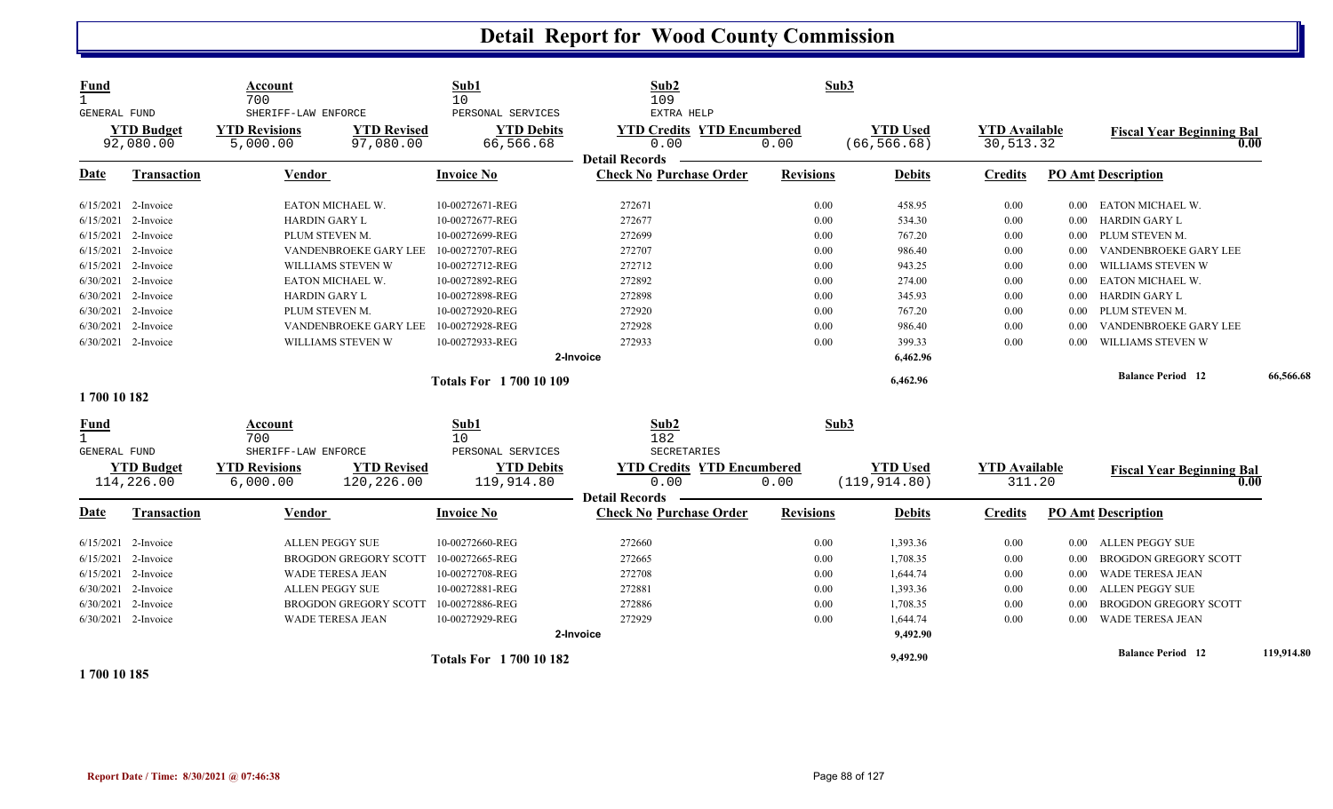| <b>Fund</b><br>GENERAL FUND                 | <b>YTD Budget</b><br>92,080.00  | Account<br>700<br>SHERIFF-LAW ENFORCE<br><b>YTD Revisions</b><br>5,000.00 | <b>YTD Revised</b><br>97,080.00  | Sub1<br>10<br>PERSONAL SERVICES<br><b>YTD Debits</b><br>66,566.68 | Sub2<br>109<br>EXTRA HELP<br><b>YTD Credits YTD Encumbered</b><br>0.00 | 0.00             | Sub3<br><b>YTD Used</b><br>(66, 566.68) | <b>YTD Available</b><br>30,513.32 |          | <b>Fiscal Year Beginning Bal</b><br>0.00 |            |
|---------------------------------------------|---------------------------------|---------------------------------------------------------------------------|----------------------------------|-------------------------------------------------------------------|------------------------------------------------------------------------|------------------|-----------------------------------------|-----------------------------------|----------|------------------------------------------|------------|
| Date                                        | <b>Transaction</b>              | Vendor                                                                    |                                  | <b>Invoice No</b>                                                 | <b>Detail Records</b><br><b>Check No Purchase Order</b>                | <b>Revisions</b> | <b>Debits</b>                           | <b>Credits</b>                    |          | <b>PO Amt Description</b>                |            |
|                                             | 6/15/2021 2-Invoice             | EATON MICHAEL W.                                                          |                                  | 10-00272671-REG                                                   | 272671                                                                 | 0.00             | 458.95                                  | 0.00                              | $0.00\,$ | EATON MICHAEL W.                         |            |
|                                             | $6/15/2021$ 2-Invoice           | <b>HARDIN GARY L</b>                                                      |                                  | 10-00272677-REG                                                   | 272677                                                                 | 0.00             | 534.30                                  | 0.00                              | 0.00     | <b>HARDIN GARY L</b>                     |            |
|                                             | 6/15/2021 2-Invoice             | PLUM STEVEN M.                                                            |                                  | 10-00272699-REG                                                   | 272699                                                                 | 0.00             | 767.20                                  | 0.00                              | $0.00\,$ | PLUM STEVEN M.                           |            |
|                                             | 6/15/2021 2-Invoice             |                                                                           | VANDENBROEKE GARY LEE            | 10-00272707-REG                                                   | 272707                                                                 | 0.00             | 986.40                                  | 0.00                              | 0.00     | VANDENBROEKE GARY LEE                    |            |
|                                             | 6/15/2021 2-Invoice             |                                                                           | WILLIAMS STEVEN W                | 10-00272712-REG                                                   | 272712                                                                 | 0.00             | 943.25                                  | $0.00\,$                          | 0.00     | WILLIAMS STEVEN W                        |            |
|                                             | 6/30/2021 2-Invoice             | EATON MICHAEL W.                                                          |                                  | 10-00272892-REG                                                   | 272892                                                                 | 0.00             | 274.00                                  | 0.00                              | $0.00\,$ | EATON MICHAEL W.                         |            |
|                                             | $6/30/2021$ 2-Invoice           | <b>HARDIN GARY L</b>                                                      |                                  | 10-00272898-REG                                                   | 272898                                                                 | 0.00             | 345.93                                  | 0.00                              | $0.00\,$ | HARDIN GARY L                            |            |
|                                             | 6/30/2021 2-Invoice             | PLUM STEVEN M.                                                            |                                  | 10-00272920-REG                                                   | 272920                                                                 | 0.00             | 767.20                                  | 0.00                              | $0.00\,$ | PLUM STEVEN M.                           |            |
|                                             | 6/30/2021 2-Invoice             |                                                                           | VANDENBROEKE GARY LEE            | 10-00272928-REG                                                   | 272928                                                                 | 0.00             | 986.40                                  | 0.00                              | 0.00     | VANDENBROEKE GARY LEE                    |            |
|                                             | 6/30/2021 2-Invoice             |                                                                           | WILLIAMS STEVEN W                | 10-00272933-REG                                                   | 272933                                                                 | 0.00             | 399.33                                  | 0.00                              | 0.00     | WILLIAMS STEVEN W                        |            |
|                                             |                                 |                                                                           |                                  |                                                                   | 2-Invoice                                                              |                  | 6,462.96                                |                                   |          |                                          |            |
|                                             |                                 |                                                                           |                                  | <b>Totals For 1700 10 109</b>                                     |                                                                        |                  | 6,462.96                                |                                   |          | <b>Balance Period 12</b>                 | 66,566.68  |
| 1700 10 182                                 |                                 |                                                                           |                                  |                                                                   |                                                                        |                  |                                         |                                   |          |                                          |            |
| <u>Fund</u><br>$\mathbf{1}$<br>GENERAL FUND |                                 | Account<br>700<br>SHERIFF-LAW ENFORCE                                     |                                  | Sub1<br>10<br>PERSONAL SERVICES                                   | Sub2<br>182<br>SECRETARIES                                             |                  | Sub3                                    |                                   |          |                                          |            |
|                                             | <b>YTD Budget</b><br>114,226.00 | <b>YTD Revisions</b><br>6,000.00                                          | <b>YTD Revised</b><br>120,226.00 | <b>YTD Debits</b><br>119,914.80                                   | <b>YTD Credits YTD Encumbered</b><br>0.00                              | 0.00             | <b>YTD</b> Used<br>(119, 914.80)        | <b>YTD</b> Available<br>311.20    |          | <b>Fiscal Year Beginning Bal</b><br>0.00 |            |
|                                             |                                 |                                                                           |                                  |                                                                   | <b>Detail Records</b>                                                  |                  |                                         |                                   |          |                                          |            |
| Date                                        | <b>Transaction</b>              | Vendor                                                                    |                                  | <b>Invoice No</b>                                                 | <b>Check No Purchase Order</b>                                         | <b>Revisions</b> | <b>Debits</b>                           | <b>Credits</b>                    |          | <b>PO Amt Description</b>                |            |
|                                             | $6/15/2021$ 2-Invoice           | <b>ALLEN PEGGY SUE</b>                                                    |                                  | 10-00272660-REG                                                   | 272660                                                                 | 0.00             | 1,393.36                                | 0.00                              | $0.00\,$ | ALLEN PEGGY SUE                          |            |
| 6/15/2021                                   | 2-Invoice                       |                                                                           | <b>BROGDON GREGORY SCOTT</b>     | 10-00272665-REG                                                   | 272665                                                                 | 0.00             | 1,708.35                                | 0.00                              | $0.00\,$ | <b>BROGDON GREGORY SCOTT</b>             |            |
|                                             | 6/15/2021 2-Invoice             | <b>WADE TERESA JEAN</b>                                                   |                                  | 10-00272708-REG                                                   | 272708                                                                 | 0.00             | 1,644.74                                | 0.00                              | $0.00\,$ | <b>WADE TERESA JEAN</b>                  |            |
|                                             | $6/30/2021$ 2-Invoice           | <b>ALLEN PEGGY SUE</b>                                                    |                                  | 10-00272881-REG                                                   | 272881                                                                 | 0.00             | 1,393.36                                | 0.00                              | 0.00     | <b>ALLEN PEGGY SUE</b>                   |            |
|                                             | 6/30/2021 2-Invoice             |                                                                           | <b>BROGDON GREGORY SCOTT</b>     | 10-00272886-REG                                                   | 272886                                                                 | 0.00             | 1,708.35                                | 0.00                              | 0.00     | <b>BROGDON GREGORY SCOTT</b>             |            |
|                                             | 6/30/2021 2-Invoice             | WADE TERESA JEAN                                                          |                                  | 10-00272929-REG                                                   | 272929                                                                 | 0.00             | 1,644.74                                | 0.00                              | 0.00     | <b>WADE TERESA JEAN</b>                  |            |
|                                             |                                 |                                                                           |                                  |                                                                   | 2-Invoice                                                              |                  | 9,492.90                                |                                   |          |                                          |            |
|                                             |                                 |                                                                           |                                  | <b>Totals For 1700 10 182</b>                                     |                                                                        |                  | 9,492.90                                |                                   |          | <b>Balance Period 12</b>                 | 119,914.80 |

**1 700 10 185**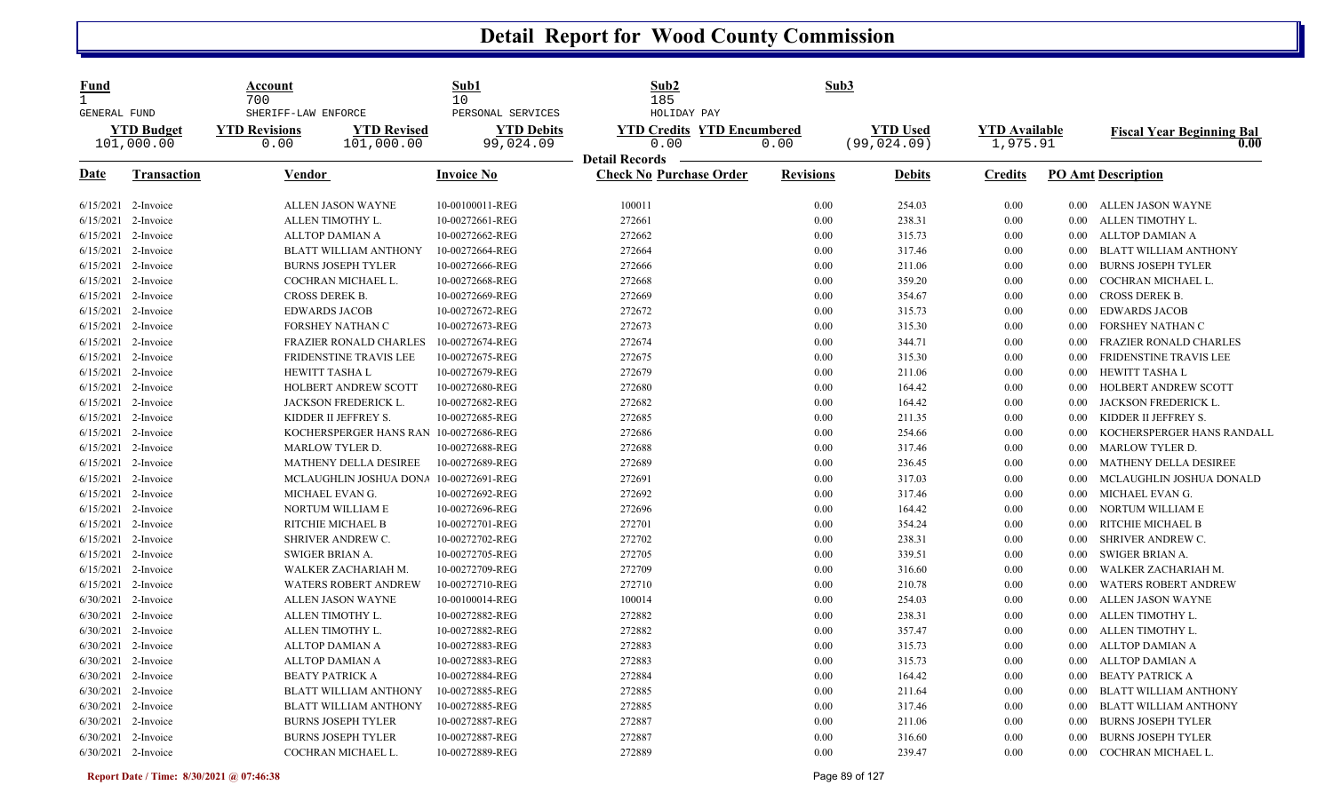| Fund<br>1<br>GENERAL FUND |                                 | Account<br>700<br>SHERIFF-LAW ENFORCE |                                        | Sub1<br>10<br>PERSONAL SERVICES | Sub <sub>2</sub><br>185<br>HOLIDAY PAY                  | Sub3             |                                 |                                  |          |                                          |
|---------------------------|---------------------------------|---------------------------------------|----------------------------------------|---------------------------------|---------------------------------------------------------|------------------|---------------------------------|----------------------------------|----------|------------------------------------------|
|                           | <b>YTD Budget</b><br>101,000.00 | <b>YTD Revisions</b><br>0.00          | <b>YTD Revised</b><br>101,000.00       | <b>YTD Debits</b><br>99,024.09  | <b>YTD Credits YTD Encumbered</b><br>0.00               | 0.00             | <b>YTD Used</b><br>(99, 024.09) | <b>YTD Available</b><br>1,975.91 |          | <b>Fiscal Year Beginning Bal</b><br>0.00 |
| Date                      | <b>Transaction</b>              | <b>Vendor</b>                         |                                        | <b>Invoice No</b>               | <b>Detail Records</b><br><b>Check No Purchase Order</b> | <b>Revisions</b> | <u>Debits</u>                   | <b>Credits</b>                   |          | <b>PO Amt Description</b>                |
|                           | 6/15/2021 2-Invoice             |                                       | ALLEN JASON WAYNE                      | 10-00100011-REG                 | 100011                                                  | 0.00             | 254.03                          | 0.00                             |          | 0.00 ALLEN JASON WAYNE                   |
| 6/15/2021                 | 2-Invoice                       |                                       | ALLEN TIMOTHY L.                       | 10-00272661-REG                 | 272661                                                  | 0.00             | 238.31                          | 0.00                             | $0.00\,$ | ALLEN TIMOTHY L.                         |
| 6/15/2021                 | 2-Invoice                       |                                       | <b>ALLTOP DAMIAN A</b>                 | 10-00272662-REG                 | 272662                                                  | 0.00             | 315.73                          | 0.00                             | $0.00\,$ | <b>ALLTOP DAMIAN A</b>                   |
| 6/15/2021                 | 2-Invoice                       |                                       | BLATT WILLIAM ANTHONY                  | 10-00272664-REG                 | 272664                                                  | 0.00             | 317.46                          | 0.00                             | $0.00\,$ | BLATT WILLIAM ANTHONY                    |
| 6/15/2021                 | 2-Invoice                       |                                       | <b>BURNS JOSEPH TYLER</b>              | 10-00272666-REG                 | 272666                                                  | 0.00             | 211.06                          | 0.00                             | 0.00     | <b>BURNS JOSEPH TYLER</b>                |
| 6/15/2021                 | 2-Invoice                       |                                       | COCHRAN MICHAEL L.                     | 10-00272668-REG                 | 272668                                                  | 0.00             | 359.20                          | $0.00\,$                         | 0.00     | COCHRAN MICHAEL L.                       |
| 6/15/2021                 | 2-Invoice                       |                                       | CROSS DEREK B.                         | 10-00272669-REG                 | 272669                                                  | 0.00             | 354.67                          | 0.00                             | 0.00     | <b>CROSS DEREK B.</b>                    |
| 6/15/2021                 | 2-Invoice                       |                                       | <b>EDWARDS JACOB</b>                   | 10-00272672-REG                 | 272672                                                  | 0.00             | 315.73                          | 0.00                             | 0.00     | <b>EDWARDS JACOB</b>                     |
| 6/15/2021                 | 2-Invoice                       |                                       | FORSHEY NATHAN C                       | 10-00272673-REG                 | 272673                                                  | 0.00             | 315.30                          | $0.00\,$                         | 0.00     | FORSHEY NATHAN C                         |
| 6/15/2021                 | 2-Invoice                       |                                       | <b>FRAZIER RONALD CHARLES</b>          | 10-00272674-REG                 | 272674                                                  | 0.00             | 344.71                          | 0.00                             | 0.00     | FRAZIER RONALD CHARLES                   |
| 6/15/2021                 | 2-Invoice                       |                                       | FRIDENSTINE TRAVIS LEE                 | 10-00272675-REG                 | 272675                                                  | 0.00             | 315.30                          | 0.00                             | 0.00     | FRIDENSTINE TRAVIS LEE                   |
| 6/15/2021                 | 2-Invoice                       |                                       | <b>HEWITT TASHAL</b>                   | 10-00272679-REG                 | 272679                                                  | 0.00             | 211.06                          | 0.00                             | $0.00\,$ | HEWITT TASHA L                           |
| 6/15/2021                 | 2-Invoice                       |                                       | HOLBERT ANDREW SCOTT                   | 10-00272680-REG                 | 272680                                                  | 0.00             | 164.42                          | $0.00\,$                         | 0.00     | HOLBERT ANDREW SCOTT                     |
| 6/15/2021                 | 2-Invoice                       |                                       | JACKSON FREDERICK L.                   | 10-00272682-REG                 | 272682                                                  | 0.00             | 164.42                          | 0.00                             | 0.00     | JACKSON FREDERICK L.                     |
| 6/15/2021                 | 2-Invoice                       |                                       | KIDDER II JEFFREY S.                   | 10-00272685-REG                 | 272685                                                  | 0.00             | 211.35                          | 0.00                             | $0.00\,$ | KIDDER II JEFFREY S.                     |
| 6/15/2021                 | 2-Invoice                       |                                       | KOCHERSPERGER HANS RAN 10-00272686-REG |                                 | 272686                                                  | 0.00             | 254.66                          | $0.00\,$                         | $0.00\,$ | KOCHERSPERGER HANS RANDALL               |
| 6/15/2021                 | 2-Invoice                       |                                       | <b>MARLOW TYLER D.</b>                 | 10-00272688-REG                 | 272688                                                  | 0.00             | 317.46                          | 0.00                             | 0.00     | MARLOW TYLER D.                          |
| 6/15/2021                 | 2-Invoice                       |                                       | MATHENY DELLA DESIREE                  | 10-00272689-REG                 | 272689                                                  | 0.00             | 236.45                          | $0.00\,$                         | 0.00     | MATHENY DELLA DESIREE                    |
| 6/15/2021                 | 2-Invoice                       |                                       | MCLAUGHLIN JOSHUA DONA                 | 10-00272691-REG                 | 272691                                                  | 0.00             | 317.03                          | $0.00\,$                         | 0.00     | MCLAUGHLIN JOSHUA DONALD                 |
| 6/15/2021                 | 2-Invoice                       |                                       | MICHAEL EVAN G.                        | 10-00272692-REG                 | 272692                                                  | 0.00             | 317.46                          | 0.00                             | 0.00     | MICHAEL EVAN G.                          |
| 6/15/2021                 | 2-Invoice                       |                                       | NORTUM WILLIAM E                       | 10-00272696-REG                 | 272696                                                  | 0.00             | 164.42                          | $0.00\,$                         | 0.00     | NORTUM WILLIAM E                         |
| 6/15/2021                 | 2-Invoice                       |                                       | RITCHIE MICHAEL B                      | 10-00272701-REG                 | 272701                                                  | 0.00             | 354.24                          | 0.00                             | 0.00     | RITCHIE MICHAEL B                        |
| 6/15/2021                 | 2-Invoice                       |                                       | SHRIVER ANDREW C.                      | 10-00272702-REG                 | 272702                                                  | 0.00             | 238.31                          | 0.00                             | 0.00     | SHRIVER ANDREW C.                        |
| 6/15/2021                 | 2-Invoice                       |                                       | <b>SWIGER BRIAN A.</b>                 | 10-00272705-REG                 | 272705                                                  | 0.00             | 339.51                          | $0.00\,$                         | $0.00\,$ | <b>SWIGER BRIAN A.</b>                   |
| 6/15/2021                 | 2-Invoice                       |                                       | WALKER ZACHARIAH M.                    | 10-00272709-REG                 | 272709                                                  | 0.00             | 316.60                          | 0.00                             | 0.00     | WALKER ZACHARIAH M.                      |
| 6/15/2021                 | 2-Invoice                       |                                       | WATERS ROBERT ANDREW                   | 10-00272710-REG                 | 272710                                                  | 0.00             | 210.78                          | $0.00\,$                         | 0.00     | <b>WATERS ROBERT ANDREW</b>              |
| 6/30/2021                 | 2-Invoice                       |                                       | ALLEN JASON WAYNE                      | 10-00100014-REG                 | 100014                                                  | 0.00             | 254.03                          | 0.00                             | $0.00\,$ | ALLEN JASON WAYNE                        |
| 6/30/2021                 | 2-Invoice                       |                                       | ALLEN TIMOTHY L.                       | 10-00272882-REG                 | 272882                                                  | 0.00             | 238.31                          | 0.00                             | $0.00\,$ | ALLEN TIMOTHY L.                         |
| 6/30/2021                 | 2-Invoice                       |                                       | ALLEN TIMOTHY L.                       | 10-00272882-REG                 | 272882                                                  | 0.00             | 357.47                          | $0.00\,$                         | 0.00     | ALLEN TIMOTHY L.                         |
| 6/30/2021                 | 2-Invoice                       |                                       | <b>ALLTOP DAMIAN A</b>                 | 10-00272883-REG                 | 272883                                                  | 0.00             | 315.73                          | 0.00                             | 0.00     | ALLTOP DAMIAN A                          |
| 6/30/2021                 | 2-Invoice                       |                                       | ALLTOP DAMIAN A                        | 10-00272883-REG                 | 272883                                                  | 0.00             | 315.73                          | 0.00                             | 0.00     | ALLTOP DAMIAN A                          |
| 6/30/2021                 | 2-Invoice                       |                                       | <b>BEATY PATRICK A</b>                 | 10-00272884-REG                 | 272884                                                  | 0.00             | 164.42                          | 0.00                             | $0.00\,$ | BEATY PATRICK A                          |
| 6/30/2021                 | 2-Invoice                       |                                       | <b>BLATT WILLIAM ANTHONY</b>           | 10-00272885-REG                 | 272885                                                  | 0.00             | 211.64                          | 0.00                             | 0.00     | <b>BLATT WILLIAM ANTHONY</b>             |
| 6/30/2021                 | 2-Invoice                       |                                       | BLATT WILLIAM ANTHONY                  | 10-00272885-REG                 | 272885                                                  | 0.00             | 317.46                          | 0.00                             | 0.00     | <b>BLATT WILLIAM ANTHONY</b>             |
| 6/30/2021                 | 2-Invoice                       |                                       | <b>BURNS JOSEPH TYLER</b>              | 10-00272887-REG                 | 272887                                                  | 0.00             | 211.06                          | 0.00                             | 0.00     | <b>BURNS JOSEPH TYLER</b>                |
| 6/30/2021                 | 2-Invoice                       |                                       | <b>BURNS JOSEPH TYLER</b>              | 10-00272887-REG                 | 272887                                                  | 0.00             | 316.60                          | 0.00                             | $0.00\,$ | <b>BURNS JOSEPH TYLER</b>                |
| 6/30/2021 2-Invoice       |                                 |                                       | COCHRAN MICHAEL L.                     | 10-00272889-REG                 | 272889                                                  | 0.00             | 239.47                          | 0.00                             | 0.00     | COCHRAN MICHAEL L.                       |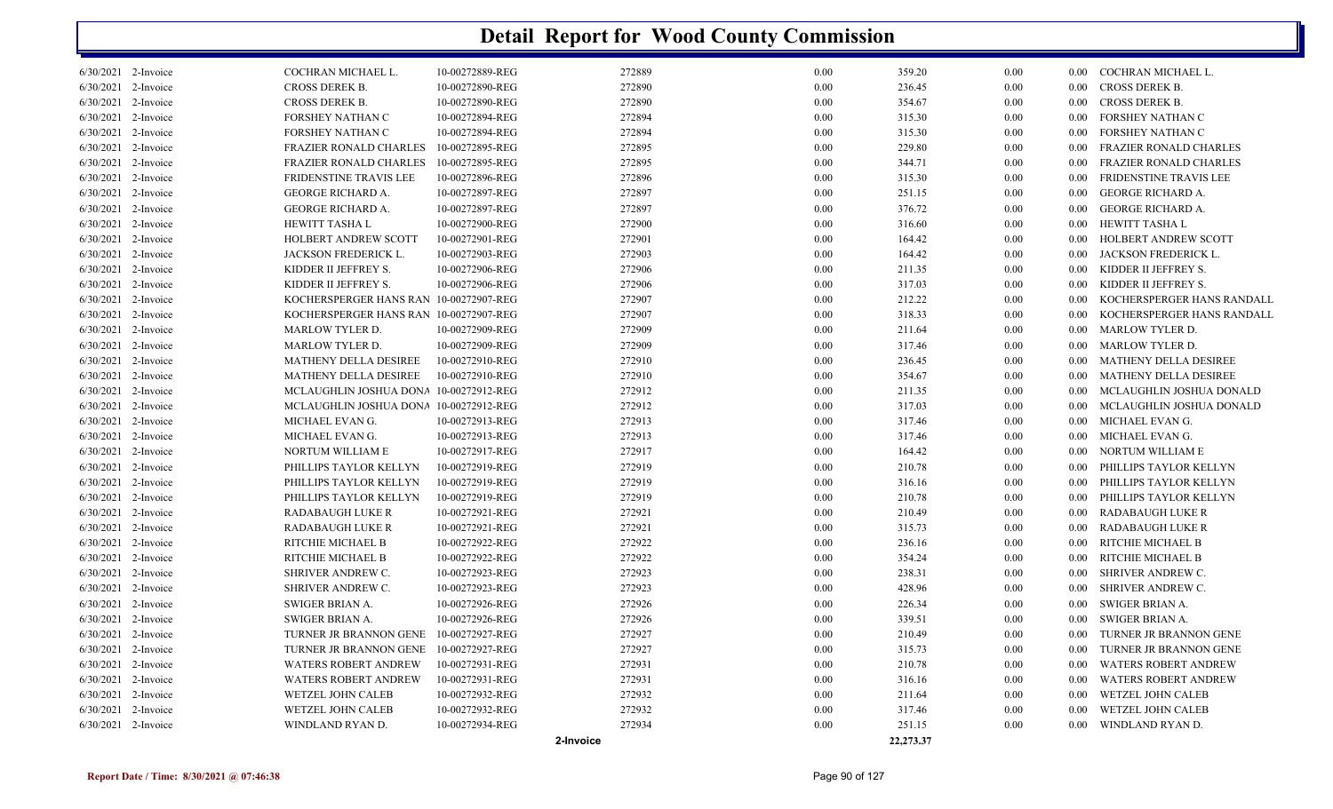|                     |                                        | 2-Invoice       |        |          | 22,273.37 |      |                   |                               |
|---------------------|----------------------------------------|-----------------|--------|----------|-----------|------|-------------------|-------------------------------|
| 6/30/2021 2-Invoice | WINDLAND RYAN D.                       | 10-00272934-REG | 272934 | 0.00     | 251.15    | 0.00 |                   | 0.00 WINDLAND RYAN D.         |
| 6/30/2021 2-Invoice | WETZEL JOHN CALEB                      | 10-00272932-REG | 272932 | 0.00     | 317.46    | 0.00 | $0.00 -$          | WETZEL JOHN CALEB             |
| 6/30/2021 2-Invoice | WETZEL JOHN CALEB                      | 10-00272932-REG | 272932 | $0.00\,$ | 211.64    | 0.00 | 0.00              | WETZEL JOHN CALEB             |
| 6/30/2021 2-Invoice | <b>WATERS ROBERT ANDREW</b>            | 10-00272931-REG | 272931 | 0.00     | 316.16    | 0.00 | $0.00\,$          | WATERS ROBERT ANDREW          |
| 6/30/2021 2-Invoice | <b>WATERS ROBERT ANDREW</b>            | 10-00272931-REG | 272931 | 0.00     | 210.78    | 0.00 | $0.00\,$          | <b>WATERS ROBERT ANDREW</b>   |
| 6/30/2021 2-Invoice | TURNER JR BRANNON GENE                 | 10-00272927-REG | 272927 | $0.00\,$ | 315.73    | 0.00 |                   | 0.00 TURNER JR BRANNON GENE   |
| 6/30/2021 2-Invoice | TURNER JR BRANNON GENE 10-00272927-REG |                 | 272927 | 0.00     | 210.49    | 0.00 | $0.00\,$          | TURNER JR BRANNON GENE        |
| 6/30/2021 2-Invoice | SWIGER BRIAN A.                        | 10-00272926-REG | 272926 | 0.00     | 339.51    | 0.00 | $0.00\,$          | SWIGER BRIAN A.               |
| 6/30/2021 2-Invoice | SWIGER BRIAN A.                        | 10-00272926-REG | 272926 | $0.00\,$ | 226.34    | 0.00 |                   | 0.00 SWIGER BRIAN A.          |
| 6/30/2021 2-Invoice | <b>SHRIVER ANDREW C.</b>               | 10-00272923-REG | 272923 | $0.00\,$ | 428.96    | 0.00 | $0.00^{\circ}$    | SHRIVER ANDREW C.             |
| 6/30/2021 2-Invoice | <b>SHRIVER ANDREW C.</b>               | 10-00272923-REG | 272923 | 0.00     | 238.31    | 0.00 | $0.00\,$          | SHRIVER ANDREW C.             |
| 6/30/2021 2-Invoice | RITCHIE MICHAEL B                      | 10-00272922-REG | 272922 | $0.00\,$ | 354.24    | 0.00 | $0.00\,$          | RITCHIE MICHAEL B             |
| 6/30/2021 2-Invoice | RITCHIE MICHAEL B                      | 10-00272922-REG | 272922 | 0.00     | 236.16    | 0.00 | 0.00              | RITCHIE MICHAEL B             |
| 6/30/2021 2-Invoice | <b>RADABAUGH LUKE R</b>                | 10-00272921-REG | 272921 | 0.00     | 315.73    | 0.00 | $0.00\,$          | RADABAUGH LUKE R              |
| 6/30/2021 2-Invoice | <b>RADABAUGH LUKE R</b>                | 10-00272921-REG | 272921 | 0.00     | 210.49    | 0.00 |                   | 0.00 RADABAUGH LUKE R         |
| 6/30/2021 2-Invoice | PHILLIPS TAYLOR KELLYN                 | 10-00272919-REG | 272919 | $0.00\,$ | 210.78    | 0.00 | 0.00 <sub>1</sub> | PHILLIPS TAYLOR KELLYN        |
| 6/30/2021 2-Invoice | PHILLIPS TAYLOR KELLYN                 | 10-00272919-REG | 272919 | 0.00     | 316.16    | 0.00 |                   | 0.00 PHILLIPS TAYLOR KELLYN   |
| 6/30/2021 2-Invoice | PHILLIPS TAYLOR KELLYN                 | 10-00272919-REG | 272919 | 0.00     | 210.78    | 0.00 | $0.00\,$          | PHILLIPS TAYLOR KELLYN        |
| 6/30/2021 2-Invoice | NORTUM WILLIAM E                       | 10-00272917-REG | 272917 | $0.00\,$ | 164.42    | 0.00 | $0.00\,$          | NORTUM WILLIAM E              |
| 6/30/2021 2-Invoice | MICHAEL EVAN G.                        | 10-00272913-REG | 272913 | 0.00     | 317.46    | 0.00 |                   | 0.00 MICHAEL EVAN G.          |
| 6/30/2021 2-Invoice | MICHAEL EVAN G.                        | 10-00272913-REG | 272913 | 0.00     | 317.46    | 0.00 |                   | 0.00 MICHAEL EVAN G.          |
| 6/30/2021 2-Invoice | MCLAUGHLIN JOSHUA DONA 10-00272912-REG |                 | 272912 | 0.00     | 317.03    | 0.00 | $0.00 -$          | MCLAUGHLIN JOSHUA DONALD      |
| 6/30/2021 2-Invoice | MCLAUGHLIN JOSHUA DONA 10-00272912-REG |                 | 272912 | 0.00     | 211.35    | 0.00 |                   | 0.00 MCLAUGHLIN JOSHUA DONALD |
| 6/30/2021 2-Invoice | MATHENY DELLA DESIREE                  | 10-00272910-REG | 272910 | 0.00     | 354.67    | 0.00 |                   | 0.00 MATHENY DELLA DESIREE    |
| 6/30/2021 2-Invoice | MATHENY DELLA DESIREE                  | 10-00272910-REG | 272910 | 0.00     | 236.45    | 0.00 | $0.00\,$          | MATHENY DELLA DESIREE         |
| 6/30/2021 2-Invoice | MARLOW TYLER D.                        | 10-00272909-REG | 272909 | $0.00\,$ | 317.46    | 0.00 | $0.00\,$          | MARLOW TYLER D.               |
| 6/30/2021 2-Invoice | MARLOW TYLER D.                        | 10-00272909-REG | 272909 | $0.00\,$ | 211.64    | 0.00 |                   | 0.00 MARLOW TYLER D.          |
| 6/30/2021 2-Invoice | KOCHERSPERGER HANS RAN 10-00272907-REG |                 | 272907 | $0.00\,$ | 318.33    | 0.00 | 0.00 <sub>1</sub> | KOCHERSPERGER HANS RANDALL    |
| 6/30/2021 2-Invoice | KOCHERSPERGER HANS RAN 10-00272907-REG |                 | 272907 | $0.00\,$ | 212.22    | 0.00 | 0.00              | KOCHERSPERGER HANS RANDALL    |
| 6/30/2021 2-Invoice | KIDDER II JEFFREY S.                   | 10-00272906-REG | 272906 | 0.00     | 317.03    | 0.00 | $0.00\,$          | KIDDER II JEFFREY S.          |
| 6/30/2021 2-Invoice | KIDDER II JEFFREY S.                   | 10-00272906-REG | 272906 | $0.00\,$ | 211.35    | 0.00 |                   | 0.00 KIDDER II JEFFREY S.     |
| 6/30/2021 2-Invoice | JACKSON FREDERICK L.                   | 10-00272903-REG | 272903 | $0.00\,$ | 164.42    | 0.00 | $0.00\,$          | JACKSON FREDERICK L.          |
| 6/30/2021 2-Invoice | HOLBERT ANDREW SCOTT                   | 10-00272901-REG | 272901 | $0.00\,$ | 164.42    | 0.00 | $0.00\,$          | HOLBERT ANDREW SCOTT          |
| 6/30/2021 2-Invoice | HEWITT TASHA L                         | 10-00272900-REG | 272900 | 0.00     | 316.60    | 0.00 | $0.00\,$          | HEWITT TASHA L                |
| 6/30/2021 2-Invoice | <b>GEORGE RICHARD A.</b>               | 10-00272897-REG | 272897 | $0.00\,$ | 376.72    | 0.00 | 0.00              | GEORGE RICHARD A.             |
| 6/30/2021 2-Invoice | <b>GEORGE RICHARD A.</b>               | 10-00272897-REG | 272897 | 0.00     | 251.15    | 0.00 | $0.00\,$          | GEORGE RICHARD A.             |
| 6/30/2021 2-Invoice | FRIDENSTINE TRAVIS LEE                 | 10-00272896-REG | 272896 | 0.00     | 315.30    | 0.00 | $0.00\,$          | FRIDENSTINE TRAVIS LEE        |
| 6/30/2021 2-Invoice | FRAZIER RONALD CHARLES                 | 10-00272895-REG | 272895 | $0.00\,$ | 344.71    | 0.00 | $0.00\,$          | FRAZIER RONALD CHARLES        |
| 6/30/2021 2-Invoice | <b>FRAZIER RONALD CHARLES</b>          | 10-00272895-REG | 272895 | $0.00\,$ | 229.80    | 0.00 | $0.00\,$          | FRAZIER RONALD CHARLES        |
| 6/30/2021 2-Invoice | FORSHEY NATHAN C                       | 10-00272894-REG | 272894 | 0.00     | 315.30    | 0.00 | 0.00              | FORSHEY NATHAN C              |
| 6/30/2021 2-Invoice | FORSHEY NATHAN C                       | 10-00272894-REG | 272894 | $0.00\,$ | 315.30    | 0.00 | 0.00              | FORSHEY NATHAN C              |
| 6/30/2021 2-Invoice | <b>CROSS DEREK B.</b>                  | 10-00272890-REG | 272890 | 0.00     | 354.67    | 0.00 |                   | 0.00 CROSS DEREK B.           |
| 6/30/2021 2-Invoice | CROSS DEREK B.                         | 10-00272890-REG | 272890 | 0.00     | 236.45    | 0.00 | $0.00\,$          | CROSS DEREK B.                |
| 6/30/2021 2-Invoice | COCHRAN MICHAEL L.                     | 10-00272889-REG | 272889 | $0.00\,$ | 359.20    | 0.00 |                   | 0.00 COCHRAN MICHAEL L.       |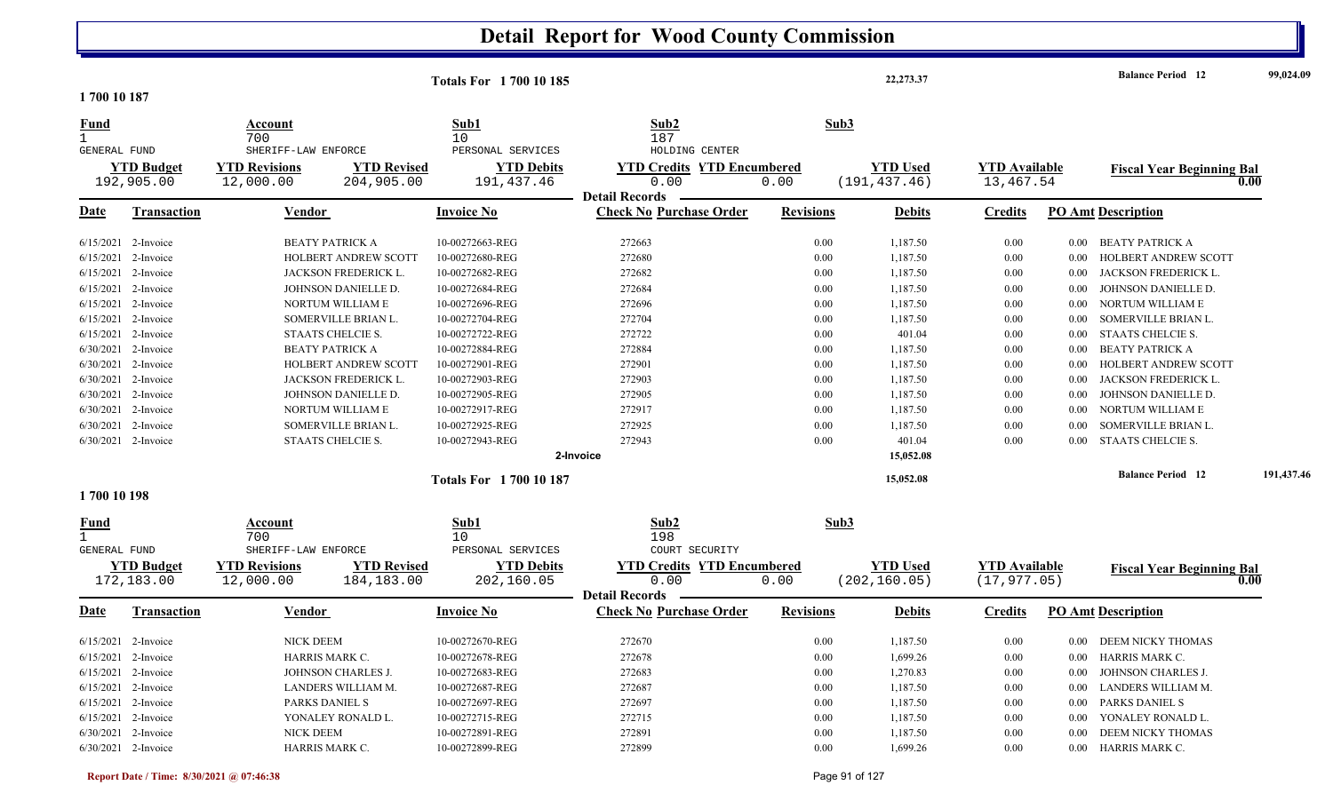| 1700 10 187                 |                                 |                                                          |                                  | <b>Totals For 1700 10 185</b>                        |                                                                    |                  | 22,273.37                        |                                      |          | <b>Balance Period 12</b>         | 99,024.09  |
|-----------------------------|---------------------------------|----------------------------------------------------------|----------------------------------|------------------------------------------------------|--------------------------------------------------------------------|------------------|----------------------------------|--------------------------------------|----------|----------------------------------|------------|
| Fund                        |                                 | Account<br>700                                           |                                  | Sub1<br>10                                           | Sub2<br>187                                                        | Sub3             |                                  |                                      |          |                                  |            |
| GENERAL FUND                | <b>YTD Budget</b><br>192,905.00 | SHERIFF-LAW ENFORCE<br><b>YTD Revisions</b><br>12,000.00 | <b>YTD Revised</b><br>204,905.00 | PERSONAL SERVICES<br><b>YTD Debits</b><br>191,437.46 | HOLDING CENTER<br><b>YTD Credits YTD Encumbered</b><br>0.00        | 0.00             | <b>YTD Used</b><br>(191, 437.46) | <b>YTD Available</b><br>13,467.54    |          | <b>Fiscal Year Beginning Bal</b> | 0.00       |
| <u>Date</u>                 | <b>Transaction</b>              | Vendor                                                   |                                  | <b>Invoice No</b>                                    | <b>Detail Records</b><br><b>Check No Purchase Order</b>            | <b>Revisions</b> | <b>Debits</b>                    | <b>Credits</b>                       |          | <b>PO Amt Description</b>        |            |
|                             | $6/15/2021$ 2-Invoice           | <b>BEATY PATRICK A</b>                                   |                                  | 10-00272663-REG                                      | 272663                                                             | 0.00             | 1,187.50                         | 0.00                                 | 0.00     | <b>BEATY PATRICK A</b>           |            |
| 6/15/2021                   | 2-Invoice                       |                                                          | HOLBERT ANDREW SCOTT             | 10-00272680-REG                                      | 272680                                                             | 0.00             | 1,187.50                         | 0.00                                 | 0.00     | HOLBERT ANDREW SCOTT             |            |
|                             | 6/15/2021 2-Invoice             |                                                          | JACKSON FREDERICK L.             | 10-00272682-REG                                      | 272682                                                             | 0.00             | 1,187.50                         | 0.00                                 | 0.00     | JACKSON FREDERICK L.             |            |
| 6/15/2021                   | 2-Invoice                       |                                                          | JOHNSON DANIELLE D.              | 10-00272684-REG                                      | 272684                                                             | 0.00             | 1,187.50                         | 0.00                                 | 0.00     | JOHNSON DANIELLE D.              |            |
| 6/15/2021                   | 2-Invoice                       |                                                          | NORTUM WILLIAM E                 | 10-00272696-REG                                      | 272696                                                             | 0.00             | 1,187.50                         | 0.00                                 | 0.00     | NORTUM WILLIAM E                 |            |
| 6/15/2021                   | 2-Invoice                       |                                                          | SOMERVILLE BRIAN L.              | 10-00272704-REG                                      | 272704                                                             | 0.00             | 1,187.50                         | 0.00                                 | 0.00     | SOMERVILLE BRIAN L.              |            |
| 6/15/2021                   | 2-Invoice                       |                                                          | <b>STAATS CHELCIE S.</b>         | 10-00272722-REG                                      | 272722                                                             | 0.00             | 401.04                           | 0.00                                 | 0.00     | STAATS CHELCIE S.                |            |
|                             | 6/30/2021 2-Invoice             | <b>BEATY PATRICK A</b>                                   |                                  | 10-00272884-REG                                      | 272884                                                             | 0.00             | 1,187.50                         | 0.00                                 | 0.00     | <b>BEATY PATRICK A</b>           |            |
| 6/30/2021                   | 2-Invoice                       |                                                          | <b>HOLBERT ANDREW SCOTT</b>      | 10-00272901-REG                                      | 272901                                                             | 0.00             | 1,187.50                         | 0.00                                 | 0.00     | HOLBERT ANDREW SCOTT             |            |
| 6/30/2021                   | 2-Invoice                       |                                                          | <b>JACKSON FREDERICK L.</b>      | 10-00272903-REG                                      | 272903                                                             | 0.00             | 1,187.50                         | 0.00                                 | 0.00     | JACKSON FREDERICK L.             |            |
| 6/30/2021                   | 2-Invoice                       |                                                          | JOHNSON DANIELLE D.              | 10-00272905-REG                                      | 272905                                                             | 0.00             | 1,187.50                         | 0.00                                 | 0.00     | JOHNSON DANIELLE D.              |            |
| 6/30/2021                   | 2-Invoice                       |                                                          | NORTUM WILLIAM E                 | 10-00272917-REG                                      | 272917                                                             | 0.00             | 1,187.50                         | 0.00                                 | 0.00     | NORTUM WILLIAM E                 |            |
|                             | 6/30/2021 2-Invoice             |                                                          | SOMERVILLE BRIAN L.              | 10-00272925-REG                                      | 272925                                                             | 0.00             | 1,187.50                         | 0.00                                 | 0.00     | SOMERVILLE BRIAN L.              |            |
|                             | 6/30/2021 2-Invoice             |                                                          | STAATS CHELCIE S.                | 10-00272943-REG                                      | 272943                                                             | 0.00             | 401.04                           | 0.00                                 | 0.00     | <b>STAATS CHELCIE S.</b>         |            |
|                             |                                 |                                                          |                                  |                                                      | 2-Invoice                                                          |                  | 15,052.08                        |                                      |          |                                  |            |
|                             |                                 |                                                          |                                  | <b>Totals For 170010187</b>                          |                                                                    |                  | 15,052.08                        |                                      |          | <b>Balance Period</b> 12         | 191,437.46 |
| 1700 10 198                 |                                 |                                                          |                                  |                                                      |                                                                    |                  |                                  |                                      |          |                                  |            |
| <u>Fund</u><br>GENERAL FUND |                                 | Account<br>700<br>SHERIFF-LAW ENFORCE                    |                                  | Sub1<br>10<br>PERSONAL SERVICES                      | Sub2<br>198<br>COURT SECURITY                                      | Sub3             |                                  |                                      |          |                                  |            |
|                             | <b>YTD Budget</b><br>172,183.00 | <b>YTD Revisions</b><br>12,000.00                        | <b>YTD Revised</b><br>184,183.00 | <b>YTD Debits</b><br>202,160.05                      | <b>YTD Credits YTD Encumbered</b><br>0.00<br><b>Detail Records</b> | 0.00             | <b>YTD</b> Used<br>(202, 160.05) | <b>YTD Available</b><br>(17, 977.05) |          | <b>Fiscal Year Beginning Bal</b> | 0.00       |
| Date                        | Transaction                     | Vendor                                                   |                                  | <b>Invoice No</b>                                    | <b>Check No Purchase Order</b>                                     | <b>Revisions</b> | <b>Debits</b>                    | <b>Credits</b>                       |          | <b>PO Amt Description</b>        |            |
|                             | $6/15/2021$ 2-Invoice           | NICK DEEM                                                |                                  | 10-00272670-REG                                      | 272670                                                             | 0.00             | 1,187.50                         | 0.00                                 |          | 0.00 DEEM NICKY THOMAS           |            |
|                             | 6/15/2021 2-Invoice             | HARRIS MARK C.                                           |                                  | 10-00272678-REG                                      | 272678                                                             | $0.00\,$         | 1,699.26                         | $0.00\,$                             |          | 0.00 HARRIS MARK C.              |            |
|                             | $6/15/2021$ 2-Invoice           |                                                          | JOHNSON CHARLES J.               | 10-00272683-REG                                      | 272683                                                             | $0.00\,$         | 1,270.83                         | $0.00\,$                             |          | 0.00 JOHNSON CHARLES J.          |            |
|                             | $6/15/2021$ 2-Invoice           |                                                          | LANDERS WILLIAM M.               | 10-00272687-REG                                      | 272687                                                             | $0.00\,$         | 1,187.50                         | 0.00                                 | $0.00\,$ | LANDERS WILLIAM M.               |            |
|                             | $6/15/2021$ 2-Invoice           | PARKS DANIEL S                                           |                                  | 10-00272697-REG                                      | 272697                                                             | $0.00\,$         | 1,187.50                         | 0.00                                 |          | 0.00 PARKS DANIEL S              |            |
|                             | $6/15/2021$ 2-Invoice           |                                                          | YONALEY RONALD L.                | 10-00272715-REG                                      | 272715                                                             | 0.00             | 1,187.50                         | $0.00\,$                             | $0.00\,$ | YONALEY RONALD L.                |            |
|                             | 6/30/2021 2-Invoice             | NICK DEEM                                                |                                  | 10-00272891-REG                                      | 272891                                                             | 0.00             | 1,187.50                         | 0.00                                 |          | 0.00 DEEM NICKY THOMAS           |            |
|                             | $6/30/2021$ 2-Invoice           | HARRIS MARK C.                                           |                                  | 10-00272899-REG                                      | 272899                                                             | $0.00\,$         | 1,699.26                         | $0.00\,$                             |          | 0.00 HARRIS MARK C.              |            |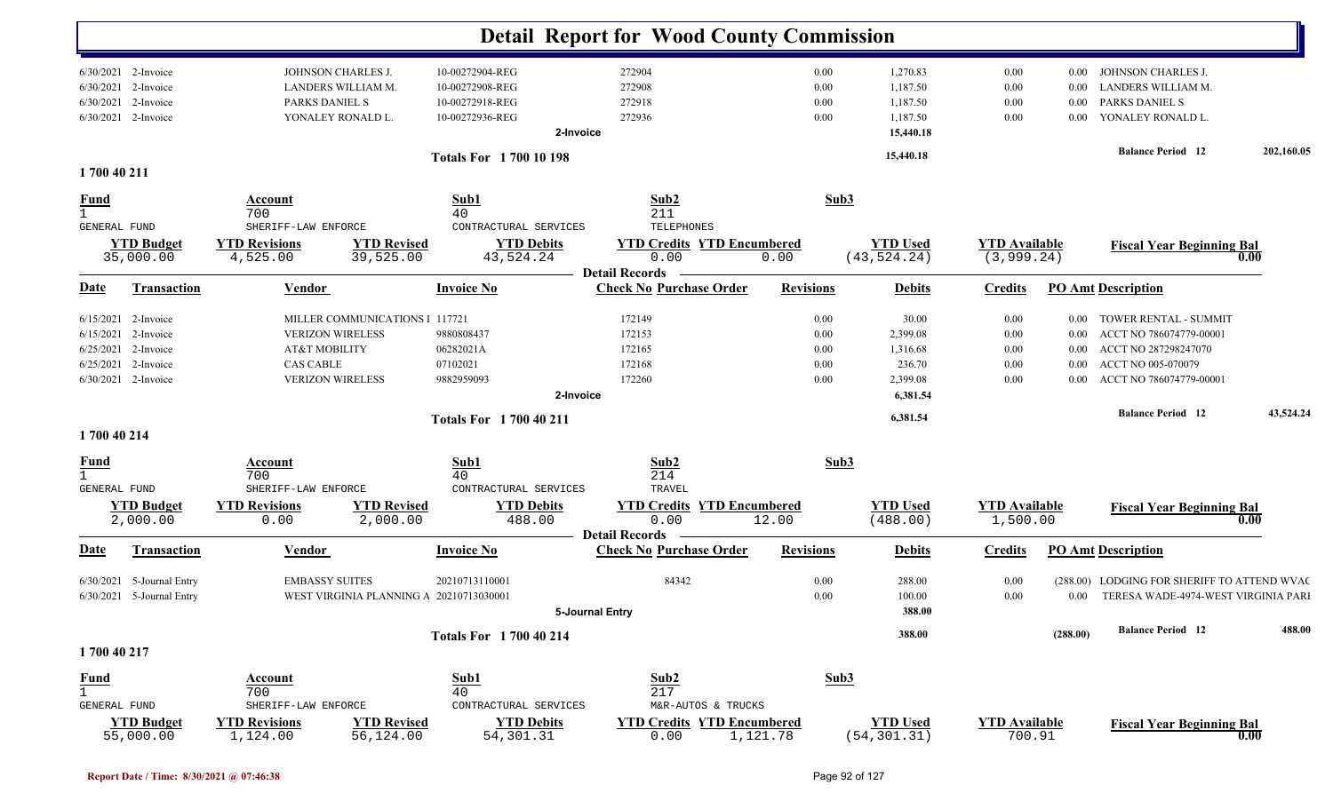|                                                                                                                               |                                                                                         |                                                                                     | <b>Detail Report for Wood County Commission</b>         |                                                                        |                                      |                                                           |                                              |                                                          |                                                                                                                           |            |
|-------------------------------------------------------------------------------------------------------------------------------|-----------------------------------------------------------------------------------------|-------------------------------------------------------------------------------------|---------------------------------------------------------|------------------------------------------------------------------------|--------------------------------------|-----------------------------------------------------------|----------------------------------------------|----------------------------------------------------------|---------------------------------------------------------------------------------------------------------------------------|------------|
| $6/30/2021$ 2-Invoice<br>2-Invoice<br>6/30/2021<br>2-Invoice<br>6/30/2021<br>6/30/2021<br>2-Invoice                           | JOHNSON CHARLES J.<br>LANDERS WILLIAM M.<br>PARKS DANIEL S<br>YONALEY RONALD L.         | 10-00272904-REG<br>10-00272908-REG<br>10-00272918-REG<br>10-00272936-REG            | 2-Invoice                                               | 272904<br>272908<br>272918<br>272936                                   | $0.00\,$<br>$0.00\,$<br>0.00<br>0.00 | 1,270.83<br>1,187.50<br>1,187.50<br>1,187.50<br>15,440.18 | $0.00\,$<br>0.00<br>$0.00\,$<br>0.00         | $0.00\,$<br>0.00<br>$0.00\,$<br>$0.00\,$                 | JOHNSON CHARLES J.<br>LANDERS WILLIAM M.<br>PARKS DANIEL S<br>YONALEY RONALD L.                                           |            |
|                                                                                                                               |                                                                                         |                                                                                     | <b>Totals For 170010198</b>                             |                                                                        |                                      | 15,440.18                                                 |                                              |                                                          | <b>Balance Period</b> 12                                                                                                  | 202,160.05 |
| 1700 40 211<br><u>Fund</u><br>$\mathbf{1}$                                                                                    | Account<br>700                                                                          | Sub1<br>40                                                                          |                                                         | Sub2<br>211                                                            | Sub3                                 |                                                           |                                              |                                                          |                                                                                                                           |            |
| GENERAL FUND<br><b>YTD Budget</b><br>35,000.00                                                                                | SHERIFF-LAW ENFORCE<br><b>YTD Revisions</b><br>4,525.00                                 | <b>YTD Revised</b><br>39,525.00                                                     | CONTRACTURAL SERVICES<br><b>YTD Debits</b><br>43,524.24 | TELEPHONES<br><b>YTD Credits YTD Encumbered</b><br>0.00                | 0.00                                 | <b>YTD Used</b><br>(43, 524.24)                           | <b>YTD</b> Available<br>(3, 999.24)          |                                                          | <b>Fiscal Year Beginning Bal</b>                                                                                          | 0.00       |
| <b>Transaction</b><br><u>Date</u>                                                                                             | <b>Vendor</b>                                                                           | <b>Invoice No</b>                                                                   |                                                         | <b>Detail Records</b><br><b>Check No Purchase Order</b>                | <b>Revisions</b>                     | <b>Debits</b>                                             | <b>Credits</b>                               |                                                          | <b>PO Amt Description</b>                                                                                                 |            |
| 2-Invoice<br>6/15/2021<br>2-Invoice<br>6/15/2021<br>6/25/2021<br>2-Invoice<br>6/25/2021<br>2-Invoice<br>$6/30/2021$ 2-Invoice | <b>VERIZON WIRELESS</b><br>AT&T MOBILITY<br><b>CAS CABLE</b><br><b>VERIZON WIRELESS</b> | MILLER COMMUNICATIONS   117721<br>9880808437<br>06282021A<br>07102021<br>9882959093 |                                                         | 172149<br>172153<br>172165<br>172168<br>172260                         | 0.00<br>0.00<br>0.00<br>0.00<br>0.00 | 30.00<br>2,399.08<br>1,316.68<br>236.70<br>2,399.08       | 0.00<br>$0.00\,$<br>$0.00\,$<br>0.00<br>0.00 | $0.00\,$<br>$0.00\,$<br>$0.00\,$<br>$0.00\,$<br>$0.00\,$ | TOWER RENTAL - SUMMIT<br>ACCT NO 786074779-00001<br>ACCT NO 287298247070<br>ACCT NO 005-070079<br>ACCT NO 786074779-00001 |            |
|                                                                                                                               |                                                                                         |                                                                                     | 2-Invoice<br><b>Totals For 1700 40 211</b>              |                                                                        |                                      | 6,381.54<br>6,381.54                                      |                                              |                                                          | <b>Balance Period 12</b>                                                                                                  | 43,524.24  |
| 1700 40 214<br><u>Fund</u><br>$\mathbf{1}$<br>GENERAL FUND                                                                    | <b>Account</b><br>700<br>SHERIFF-LAW ENFORCE                                            | Sub1<br>40                                                                          | CONTRACTURAL SERVICES                                   | Sub2<br>214<br>TRAVEL                                                  | Sub3                                 |                                                           |                                              |                                                          |                                                                                                                           |            |
| <b>YTD Budget</b><br>2,000.00                                                                                                 | <b>YTD Revisions</b><br>0.00                                                            | <b>YTD Revised</b><br>2,000.00                                                      | <b>YTD Debits</b><br>488.00                             | <b>YTD Encumbered</b><br><b>YTD Credits</b><br>0.00                    | 12.00                                | <b>YTD Used</b><br>(488.00)                               | <b>YTD Available</b><br>1,500.00             |                                                          | <b>Fiscal Year Beginning Bal</b>                                                                                          | 0.00       |
| Transaction<br><u>Date</u>                                                                                                    | <b>Vendor</b>                                                                           | <b>Invoice No</b>                                                                   |                                                         | <b>Detail Records</b><br><b>Check No Purchase Order</b>                | <b>Revisions</b>                     | <b>Debits</b>                                             | <b>Credits</b>                               |                                                          | <b>PO Amt Description</b>                                                                                                 |            |
| 5-Journal Entry<br>6/30/2021<br>6/30/2021 5-Journal Entry                                                                     | <b>EMBASSY SUITES</b>                                                                   | 20210713110001<br>WEST VIRGINIA PLANNING A 20210713030001                           | 5-Journal Entry                                         | 84342                                                                  | 0.00<br>0.00                         | 288.00<br>100.00<br>388.00                                | 0.00<br>$0.00\,$                             | $0.00\,$                                                 | (288.00) LODGING FOR SHERIFF TO ATTEND WVAC<br>TERESA WADE-4974-WEST VIRGINIA PARI                                        |            |
| 1700 40 217                                                                                                                   |                                                                                         |                                                                                     | <b>Totals For 1700 40 214</b>                           |                                                                        |                                      | 388.00                                                    |                                              | (288.00)                                                 | <b>Balance Period 12</b>                                                                                                  | 488.00     |
| <b>Fund</b><br>$\mathbf{1}$<br>GENERAL FUND<br><b>YTD Budget</b>                                                              | Account<br>700<br>SHERIFF-LAW ENFORCE<br><b>YTD Revisions</b>                           | Sub1<br>40<br><b>YTD Revised</b>                                                    | CONTRACTURAL SERVICES<br><b>YTD Debits</b>              | Sub2<br>217<br>M&R-AUTOS & TRUCKS<br><b>YTD Credits YTD Encumbered</b> | Sub3                                 | <b>YTD Used</b>                                           | <b>YTD</b> Available                         |                                                          | <b>Fiscal Year Beginning Bal</b>                                                                                          |            |
| 55,000.00                                                                                                                     | 1,124.00                                                                                | 56,124.00                                                                           | 54, 301.31                                              | 0.00                                                                   | 1,121.78                             | (54, 301.31)                                              | 700.91                                       |                                                          |                                                                                                                           | 0.00       |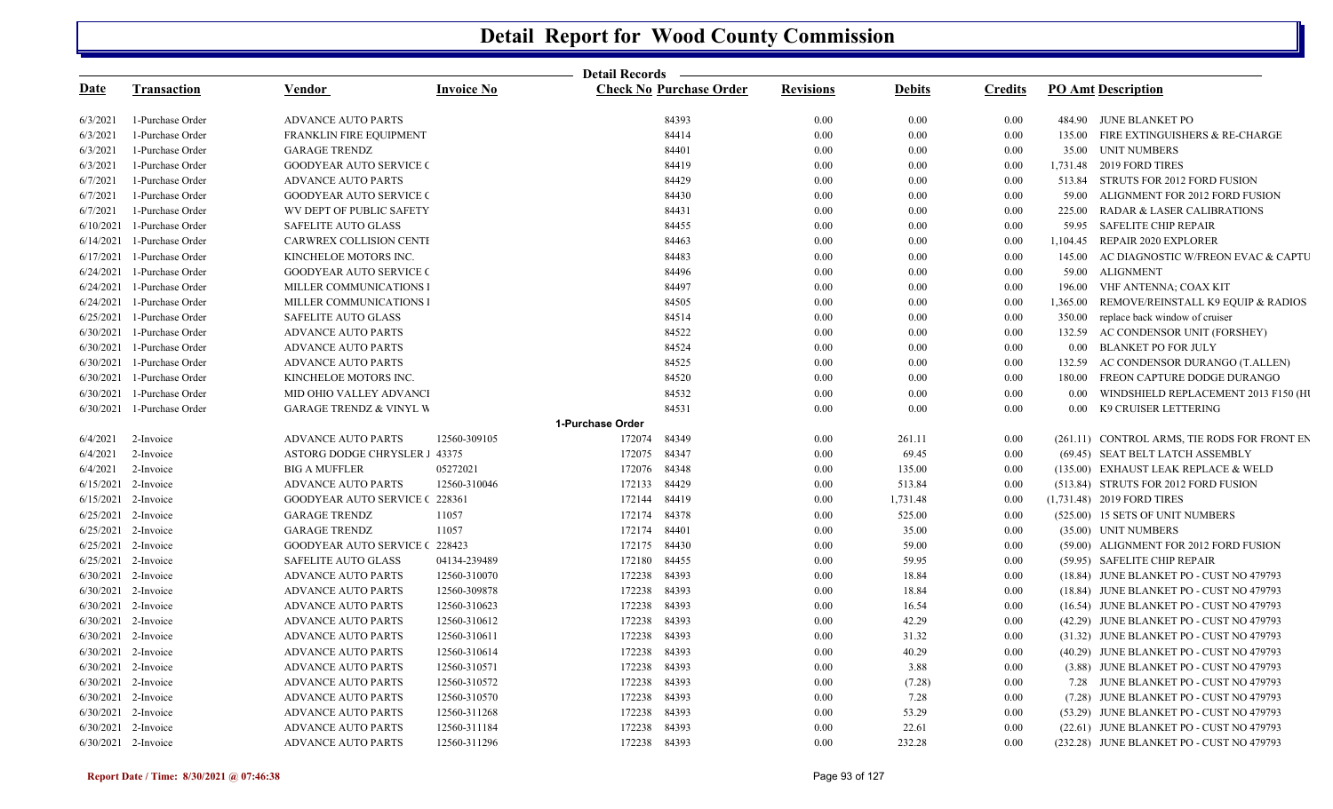|             |                              |                                       |                   |                  | Detail Records ————            |                  |               |                |                |                                              |
|-------------|------------------------------|---------------------------------------|-------------------|------------------|--------------------------------|------------------|---------------|----------------|----------------|----------------------------------------------|
| <u>Date</u> | <b>Transaction</b>           | <b>Vendor</b>                         | <b>Invoice No</b> |                  | <b>Check No Purchase Order</b> | <b>Revisions</b> | <b>Debits</b> | <b>Credits</b> |                | <b>PO Amt Description</b>                    |
| 6/3/2021    | 1-Purchase Order             | <b>ADVANCE AUTO PARTS</b>             |                   |                  | 84393                          | 0.00             | 0.00          | 0.00           |                | 484.90 JUNE BLANKET PO                       |
| 6/3/2021    | 1-Purchase Order             | <b>FRANKLIN FIRE EQUIPMENT</b>        |                   |                  | 84414                          | 0.00             | 0.00          | 0.00           |                | 135.00 FIRE EXTINGUISHERS & RE-CHARGE        |
| 6/3/2021    | 1-Purchase Order             | <b>GARAGE TRENDZ</b>                  |                   |                  | 84401                          | 0.00             | 0.00          | 0.00           |                | 35.00 UNIT NUMBERS                           |
| 6/3/2021    | 1-Purchase Order             | <b>GOODYEAR AUTO SERVICE C</b>        |                   |                  | 84419                          | 0.00             | 0.00          | 0.00           |                | 1,731.48 2019 FORD TIRES                     |
| 6/7/2021    | 1-Purchase Order             | <b>ADVANCE AUTO PARTS</b>             |                   |                  | 84429                          | 0.00             | 0.00          | 0.00           |                | 513.84 STRUTS FOR 2012 FORD FUSION           |
| 6/7/2021    | 1-Purchase Order             | <b>GOODYEAR AUTO SERVICE (</b>        |                   |                  | 84430                          | 0.00             | 0.00          | 0.00           | 59.00          | ALIGNMENT FOR 2012 FORD FUSION               |
| 6/7/2021    | 1-Purchase Order             | WV DEPT OF PUBLIC SAFETY              |                   |                  | 84431                          | 0.00             | 0.00          | 0.00           | 225.00         | <b>RADAR &amp; LASER CALIBRATIONS</b>        |
| 6/10/2021   | 1-Purchase Order             | <b>SAFELITE AUTO GLASS</b>            |                   |                  | 84455                          | 0.00             | 0.00          | 0.00           |                | 59.95 SAFELITE CHIP REPAIR                   |
| 6/14/2021   | 1-Purchase Order             | CARWREX COLLISION CENTI               |                   |                  | 84463                          | 0.00             | 0.00          | 0.00           | 1.104.45       | REPAIR 2020 EXPLORER                         |
|             | 6/17/2021 1-Purchase Order   | KINCHELOE MOTORS INC.                 |                   |                  | 84483                          | 0.00             | 0.00          | 0.00           | 145.00         | AC DIAGNOSTIC W/FREON EVAC & CAPTU           |
| 6/24/2021   | 1-Purchase Order             | <b>GOODYEAR AUTO SERVICE C</b>        |                   |                  | 84496                          | 0.00             | 0.00          | 0.00           |                | 59.00 ALIGNMENT                              |
| 6/24/2021   | 1-Purchase Order             | MILLER COMMUNICATIONS I               |                   |                  | 84497                          | 0.00             | 0.00          | 0.00           |                | 196.00 VHF ANTENNA; COAX KIT                 |
|             | 6/24/2021 1-Purchase Order   | MILLER COMMUNICATIONS I               |                   |                  | 84505                          | 0.00             | 0.00          | 0.00           | 1,365.00       | REMOVE/REINSTALL K9 EQUIP & RADIOS           |
|             | 6/25/2021 1-Purchase Order   | SAFELITE AUTO GLASS                   |                   |                  | 84514                          | 0.00             | 0.00          | 0.00           | 350.00         | replace back window of cruiser               |
| 6/30/2021   | 1-Purchase Order             | <b>ADVANCE AUTO PARTS</b>             |                   |                  | 84522                          | 0.00             | 0.00          | 0.00           | 132.59         | AC CONDENSOR UNIT (FORSHEY)                  |
|             | 6/30/2021 1-Purchase Order   | <b>ADVANCE AUTO PARTS</b>             |                   |                  | 84524                          | 0.00             | 0.00          | 0.00           |                | 0.00 BLANKET PO FOR JULY                     |
|             | 6/30/2021 1-Purchase Order   | <b>ADVANCE AUTO PARTS</b>             |                   |                  | 84525                          | 0.00             | 0.00          | 0.00           |                | 132.59 AC CONDENSOR DURANGO (T.ALLEN)        |
| 6/30/2021   | 1-Purchase Order             | KINCHELOE MOTORS INC.                 |                   |                  | 84520                          | 0.00             | 0.00          | 0.00           | 180.00         | FREON CAPTURE DODGE DURANGO                  |
|             | 6/30/2021 1-Purchase Order   | MID OHIO VALLEY ADVANCI               |                   |                  | 84532                          | 0.00             | 0.00          | 0.00           | 0.00           | WINDSHIELD REPLACEMENT 2013 F150 (HI         |
|             | $6/30/2021$ 1-Purchase Order | <b>GARAGE TRENDZ &amp; VINYL W</b>    |                   |                  | 84531                          | 0.00             | 0.00          | 0.00           | $0.00^{\circ}$ | K9 CRUISER LETTERING                         |
|             |                              |                                       |                   | 1-Purchase Order |                                |                  |               |                |                |                                              |
|             | $6/4/2021$ 2-Invoice         | <b>ADVANCE AUTO PARTS</b>             | 12560-309105      | 172074           | 84349                          | 0.00             | 261.11        | 0.00           |                | (261.11) CONTROL ARMS, TIE RODS FOR FRONT EN |
| 6/4/2021    | 2-Invoice                    | ASTORG DODGE CHRYSLER 1 43375         |                   | 172075 84347     |                                | 0.00             | 69.45         | 0.00           |                | (69.45) SEAT BELT LATCH ASSEMBLY             |
| 6/4/2021    | 2-Invoice                    | <b>BIG A MUFFLER</b>                  | 05272021          | 172076 84348     |                                | 0.00             | 135.00        | 0.00           |                | (135.00) EXHAUST LEAK REPLACE & WELD         |
|             | 6/15/2021 2-Invoice          | <b>ADVANCE AUTO PARTS</b>             | 12560-310046      | 172133           | 84429                          | 0.00             | 513.84        | 0.00           |                | (513.84) STRUTS FOR 2012 FORD FUSION         |
|             | $6/15/2021$ 2-Invoice        | <b>GOODYEAR AUTO SERVICE (228361)</b> |                   | 172144           | 84419                          | 0.00             | 1,731.48      | 0.00           |                | (1,731.48) 2019 FORD TIRES                   |
|             | 6/25/2021 2-Invoice          | <b>GARAGE TRENDZ</b>                  | 11057             | 172174 84378     |                                | 0.00             | 525.00        | 0.00           |                | (525.00) 15 SETS OF UNIT NUMBERS             |
|             | 6/25/2021 2-Invoice          | <b>GARAGE TRENDZ</b>                  | 11057             | 172174 84401     |                                | 0.00             | 35.00         | 0.00           |                | (35.00) UNIT NUMBERS                         |
|             | 6/25/2021 2-Invoice          | <b>GOODYEAR AUTO SERVICE (228423)</b> |                   | 172175 84430     |                                | 0.00             | 59.00         | 0.00           |                | (59.00) ALIGNMENT FOR 2012 FORD FUSION       |
|             | 6/25/2021 2-Invoice          | SAFELITE AUTO GLASS                   | 04134-239489      | 172180           | 84455                          | 0.00             | 59.95         | 0.00           |                | (59.95) SAFELITE CHIP REPAIR                 |
|             | 6/30/2021 2-Invoice          | <b>ADVANCE AUTO PARTS</b>             | 12560-310070      | 172238           | 84393                          | 0.00             | 18.84         | 0.00           |                | (18.84) JUNE BLANKET PO - CUST NO 479793     |
|             | 6/30/2021 2-Invoice          | <b>ADVANCE AUTO PARTS</b>             | 12560-309878      | 172238           | 84393                          | 0.00             | 18.84         | 0.00           |                | (18.84) JUNE BLANKET PO - CUST NO 479793     |
|             | 6/30/2021 2-Invoice          | <b>ADVANCE AUTO PARTS</b>             | 12560-310623      | 172238           | 84393                          | 0.00             | 16.54         | 0.00           |                | (16.54) JUNE BLANKET PO - CUST NO 479793     |
|             | 6/30/2021 2-Invoice          | <b>ADVANCE AUTO PARTS</b>             | 12560-310612      | 172238           | 84393                          | 0.00             | 42.29         | 0.00           |                | (42.29) JUNE BLANKET PO - CUST NO 479793     |
|             | 6/30/2021 2-Invoice          | <b>ADVANCE AUTO PARTS</b>             | 12560-310611      | 172238           | 84393                          | 0.00             | 31.32         | 0.00           |                | (31.32) JUNE BLANKET PO - CUST NO 479793     |
|             | 6/30/2021 2-Invoice          | <b>ADVANCE AUTO PARTS</b>             | 12560-310614      | 172238           | 84393                          | 0.00             | 40.29         | 0.00           |                | (40.29) JUNE BLANKET PO - CUST NO 479793     |
|             | 6/30/2021 2-Invoice          | <b>ADVANCE AUTO PARTS</b>             | 12560-310571      | 172238 84393     |                                | 0.00             | 3.88          | 0.00           |                | (3.88) JUNE BLANKET PO - CUST NO 479793      |
|             | 6/30/2021 2-Invoice          | <b>ADVANCE AUTO PARTS</b>             | 12560-310572      | 172238           | 84393                          | 0.00             | (7.28)        | $0.00\,$       |                | 7.28 JUNE BLANKET PO - CUST NO 479793        |
|             | 6/30/2021 2-Invoice          | <b>ADVANCE AUTO PARTS</b>             | 12560-310570      | 172238           | 84393                          | 0.00             | 7.28          | $0.00\,$       |                | (7.28) JUNE BLANKET PO - CUST NO 479793      |
|             | 6/30/2021 2-Invoice          | <b>ADVANCE AUTO PARTS</b>             | 12560-311268      | 172238           | 84393                          | 0.00             | 53.29         | 0.00           |                | (53.29) JUNE BLANKET PO - CUST NO 479793     |
|             | 6/30/2021 2-Invoice          | <b>ADVANCE AUTO PARTS</b>             | 12560-311184      | 172238           | 84393                          | 0.00             | 22.61         | 0.00           |                | (22.61) JUNE BLANKET PO - CUST NO 479793     |
|             | 6/30/2021 2-Invoice          | <b>ADVANCE AUTO PARTS</b>             | 12560-311296      | 172238 84393     |                                | 0.00             | 232.28        | 0.00           |                | (232.28) JUNE BLANKET PO - CUST NO 479793    |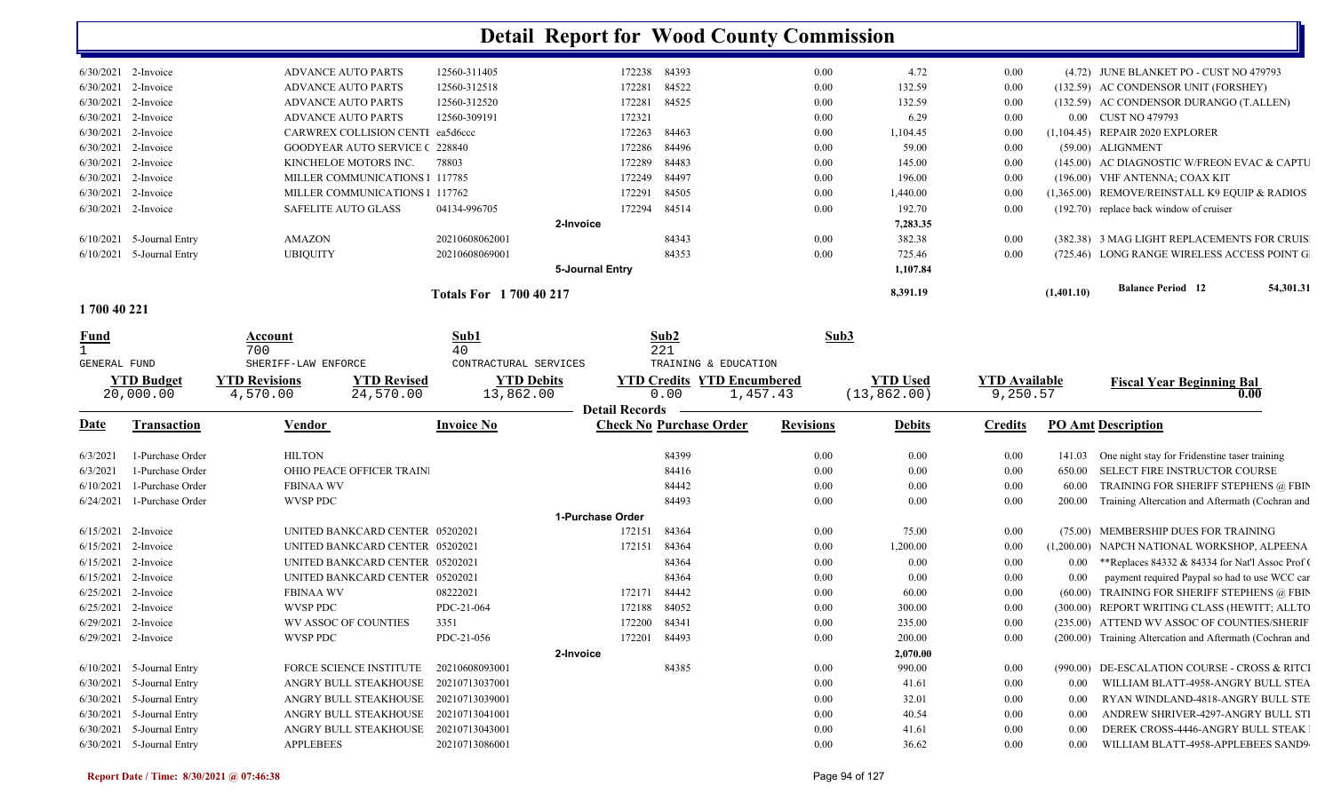| $6/30/2021$ 2-Invoice |                 | <b>ADVANCE AUTO PARTS</b>             | 12560-311405                   | 172238          | 84393 | 0.00 | 4.72     | 0.00     |            | (4.72) JUNE BLANKET PO - CUST NO 479793       |
|-----------------------|-----------------|---------------------------------------|--------------------------------|-----------------|-------|------|----------|----------|------------|-----------------------------------------------|
| 6/30/2021             | 2-Invoice       | <b>ADVANCE AUTO PARTS</b>             | 12560-312518                   | 172281          | 84522 | 0.00 | 132.59   | 0.00     |            | (132.59) AC CONDENSOR UNIT (FORSHEY)          |
| 6/30/2021 2-Invoice   |                 | <b>ADVANCE AUTO PARTS</b>             | 12560-312520                   | 172281          | 84525 | 0.00 | 132.59   | 0.00     |            | (132.59) AC CONDENSOR DURANGO (T.ALLEN)       |
| 6/30/2021             | 2-Invoice       | <b>ADVANCE AUTO PARTS</b>             | 12560-309191                   | 172321          |       | 0.00 | 6.29     | 0.00     |            | 0.00 CUST NO 479793                           |
| 6/30/2021             | 2-Invoice       | CARWREX COLLISION CENTI ea5d6ccc      |                                | 172263          | 84463 | 0.00 | 1,104.45 | 0.00     |            | (1,104.45) REPAIR 2020 EXPLORER               |
| $6/30/2021$ 2-Invoice |                 | <b>GOODYEAR AUTO SERVICE (228840)</b> |                                | 172286          | 84496 | 0.00 | 59.00    | 0.00     |            | (59.00) ALIGNMENT                             |
| 6/30/2021             | 2-Invoice       | KINCHELOE MOTORS INC.                 | 78803                          | 172289          | 84483 | 0.00 | 145.00   | $0.00\,$ |            | (145.00) AC DIAGNOSTIC W/FREON EVAC & CAPTU   |
| 6/30/2021             | 2-Invoice       | MILLER COMMUNICATIONS 1 117785        |                                | 172249          | 84497 | 0.00 | 196.00   | 0.00     |            | (196.00) VHF ANTENNA; COAX KIT                |
| $6/30/2021$ 2-Invoice |                 | MILLER COMMUNICATIONS 1 117762        |                                | 172291          | 84505 | 0.00 | 1,440.00 | 0.00     |            | (1,365.00) REMOVE/REINSTALL K9 EQUIP & RADIOS |
| 6/30/2021             | 2-Invoice       | SAFELITE AUTO GLASS                   | 04134-996705                   | 172294          | 84514 | 0.00 | 192.70   | 0.00     |            | $(192.70)$ replace back window of cruiser     |
|                       |                 |                                       |                                | 2-Invoice       |       |      | 7,283.35 |          |            |                                               |
| 6/10/2021             | 5-Journal Entry | AMAZON                                | 20210608062001                 |                 | 84343 | 0.00 | 382.38   | 0.00     |            | (382.38) 3 MAG LIGHT REPLACEMENTS FOR CRUIS   |
| 6/10/2021             | 5-Journal Entry | <b>UBIQUITY</b>                       | 20210608069001                 |                 | 84353 | 0.00 | 725.46   | 0.00     |            | (725.46) LONG RANGE WIRELESS ACCESS POINT G   |
|                       |                 |                                       |                                | 5-Journal Entry |       |      | 1,107.84 |          |            |                                               |
|                       |                 |                                       | <b>Totals For 1 700 40 217</b> |                 |       |      | 8,391.19 |          | (1,401.10) | <b>Balance Period</b> 12<br>54,301.31         |

| 1700 40 221 |  |  |  |  |
|-------------|--|--|--|--|
|-------------|--|--|--|--|

| <u>Fund</u>           |                                | Account                          |                                  | Sub1                           |                       | Sub2                                                  | Sub3             |                                 |                                  |         |                                                          |
|-----------------------|--------------------------------|----------------------------------|----------------------------------|--------------------------------|-----------------------|-------------------------------------------------------|------------------|---------------------------------|----------------------------------|---------|----------------------------------------------------------|
| <b>GENERAL FUND</b>   |                                | 700<br>SHERIFF-LAW ENFORCE       |                                  | 40<br>CONTRACTURAL SERVICES    |                       | 221<br>TRAINING & EDUCATION                           |                  |                                 |                                  |         |                                                          |
|                       | <b>YTD Budget</b><br>20,000.00 | <b>YTD Revisions</b><br>4,570.00 | <b>YTD Revised</b><br>24,570.00  | <b>YTD Debits</b><br>13,862.00 | <b>Detail Records</b> | <b>YTD Credits YTD Encumbered</b><br>0.00<br>1,457.43 |                  | <b>YTD Used</b><br>(13, 862.00) | <b>YTD Available</b><br>9,250.57 |         | <b>Fiscal Year Beginning Bal</b>                         |
| <u>Date</u>           | Transaction                    | <b>Vendor</b>                    |                                  | <b>Invoice No</b>              |                       | <b>Check No Purchase Order</b>                        | <b>Revisions</b> | <b>Debits</b>                   | <b>Credits</b>                   |         | <b>PO Amt Description</b>                                |
| 6/3/2021              | 1-Purchase Order               | <b>HILTON</b>                    |                                  |                                |                       | 84399                                                 | 0.00             | 0.00                            | $0.00\,$                         | 141.03  | One night stay for Fridenstine taser training            |
| 6/3/2021              | 1-Purchase Order               |                                  | <b>OHIO PEACE OFFICER TRAIN.</b> |                                |                       | 84416                                                 | 0.00             | 0.00                            | 0.00                             | 650.00  | <b>SELECT FIRE INSTRUCTOR COURSE</b>                     |
| 6/10/2021             | 1-Purchase Order               | <b>FBINAA WV</b>                 |                                  |                                |                       | 84442                                                 | 0.00             | 0.00                            | 0.00                             | 60.00   | TRAINING FOR SHERIFF STEPHENS @ FBIN                     |
| 6/24/2021             | 1-Purchase Order               | WVSP PDC                         |                                  |                                |                       | 84493                                                 | 0.00             | 0.00                            | 0.00                             | 200.00  | Training Altercation and Aftermath (Cochran and          |
|                       |                                |                                  |                                  |                                | 1-Purchase Order      |                                                       |                  |                                 |                                  |         |                                                          |
| 6/15/2021 2-Invoice   |                                |                                  | UNITED BANKCARD CENTER 05202021  |                                | 172151                | 84364                                                 | 0.00             | 75.00                           | 0.00                             |         | (75.00) MEMBERSHIP DUES FOR TRAINING                     |
| 6/15/2021             | 2-Invoice                      |                                  | UNITED BANKCARD CENTER 05202021  |                                | 172151                | 84364                                                 | 0.00             | 1,200.00                        | 0.00                             |         | (1,200.00) NAPCH NATIONAL WORKSHOP, ALPEENA              |
| 6/15/2021             | 2-Invoice                      |                                  | UNITED BANKCARD CENTER 05202021  |                                |                       | 84364                                                 | 0.00             | 0.00                            | 0.00                             | 0.00    | **Replaces 84332 & 84334 for Nat'l Assoc Prof (          |
| $6/15/2021$ 2-Invoice |                                |                                  | UNITED BANKCARD CENTER 05202021  |                                |                       | 84364                                                 | 0.00             | 0.00                            | 0.00                             | 0.00    | payment required Paypal so had to use WCC car            |
| 6/25/2021             | 2-Invoice                      | <b>FBINAA WV</b>                 |                                  | 08222021                       | 172171                | 84442                                                 | 0.00             | 60.00                           | 0.00                             | (60.00) | TRAINING FOR SHERIFF STEPHENS @ FBIN                     |
| 6/25/2021             | 2-Invoice                      | <b>WVSP PDC</b>                  |                                  | PDC-21-064                     | 172188                | 84052                                                 | 0.00             | 300.00                          | 0.00                             |         | (300.00) REPORT WRITING CLASS (HEWITT; ALLTO             |
| 6/29/2021             | 2-Invoice                      |                                  | <b>WV ASSOC OF COUNTIES</b>      | 3351                           | 172200                | 84341                                                 | 0.00             | 235.00                          | 0.00                             |         | (235.00) ATTEND WV ASSOC OF COUNTIES/SHERIF              |
| 6/29/2021 2-Invoice   |                                | WVSP PDC                         |                                  | PDC-21-056                     | 172201                | 84493                                                 | 0.00             | 200.00                          | 0.00                             |         | (200.00) Training Altercation and Aftermath (Cochran and |
|                       |                                |                                  |                                  |                                | 2-Invoice             |                                                       |                  | 2,070.00                        |                                  |         |                                                          |
| 6/10/2021             | 5-Journal Entry                |                                  | <b>FORCE SCIENCE INSTITUTE</b>   | 20210608093001                 |                       | 84385                                                 | 0.00             | 990.00                          | 0.00                             |         | (990.00) DE-ESCALATION COURSE - CROSS & RITCI            |
| 6/30/2021             | 5-Journal Entry                |                                  | ANGRY BULL STEAKHOUSE            | 20210713037001                 |                       |                                                       | 0.00             | 41.61                           | 0.00                             | 0.00    | WILLIAM BLATT-4958-ANGRY BULL STEA                       |
| 6/30/2021             | 5-Journal Entry                |                                  | ANGRY BULL STEAKHOUSE            | 20210713039001                 |                       |                                                       | 0.00             | 32.01                           | 0.00                             | 0.00    | RYAN WINDLAND-4818-ANGRY BULL STE                        |
| 6/30/2021             | 5-Journal Entry                |                                  | ANGRY BULL STEAKHOUSE            | 20210713041001                 |                       |                                                       | 0.00             | 40.54                           | 0.00                             | 0.00    | ANDREW SHRIVER-4297-ANGRY BULL STI                       |
| 6/30/2021             | 5-Journal Entry                |                                  | ANGRY BULL STEAKHOUSE            | 20210713043001                 |                       |                                                       | 0.00             | 41.61                           | 0.00                             | 0.00    | DEREK CROSS-4446-ANGRY BULL STEAK                        |
| 6/30/2021             | 5-Journal Entry                | <b>APPLEBEES</b>                 |                                  | 20210713086001                 |                       |                                                       | 0.00             | 36.62                           | 0.00                             | 0.00    | WILLIAM BLATT-4958-APPLEBEES SAND9                       |
|                       |                                |                                  |                                  |                                |                       |                                                       |                  |                                 |                                  |         |                                                          |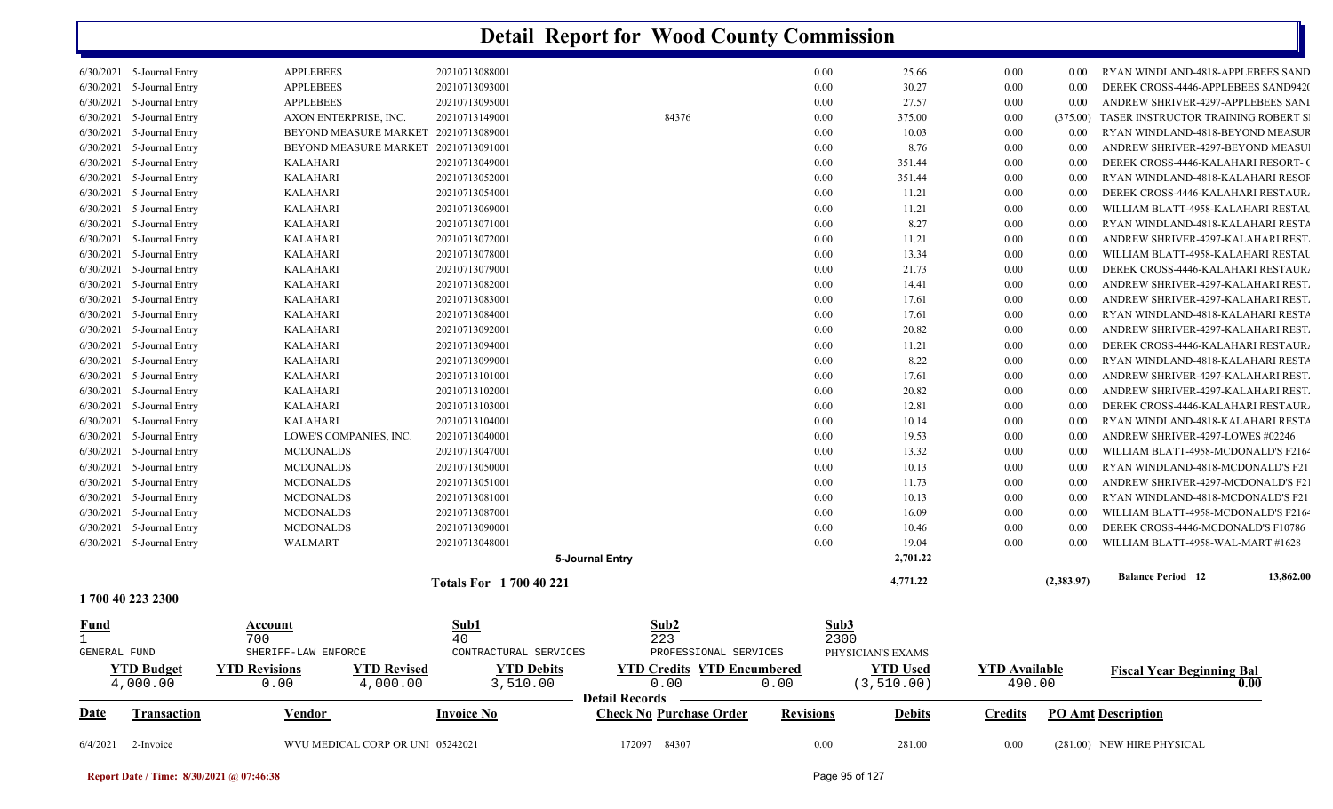| Date                          | Transaction                        | <b>Vendor</b>                                                  | <b>Invoice No</b>                | <b>Check No Purchase Order</b>                                     | <b>Revisions</b> | <b>Debits</b>                  | <b>Credits</b>                 |              | <b>PO Amt Description</b>                                               |
|-------------------------------|------------------------------------|----------------------------------------------------------------|----------------------------------|--------------------------------------------------------------------|------------------|--------------------------------|--------------------------------|--------------|-------------------------------------------------------------------------|
| <b>YTD Budget</b><br>4,000.00 |                                    | <b>YTD Revisions</b><br><b>YTD Revised</b><br>4,000.00<br>0.00 | <b>YTD Debits</b><br>3,510.00    | <b>YTD Credits YTD Encumbered</b><br>0.00<br><b>Detail Records</b> | 0.00             | <b>YTD Used</b><br>(3, 510.00) | <b>YTD Available</b><br>490.00 |              | <b>Fiscal Year Beginning Bal</b><br>0.00                                |
| GENERAL FUND                  |                                    | SHERIFF-LAW ENFORCE                                            | CONTRACTURAL SERVICES            | PROFESSIONAL SERVICES                                              |                  | PHYSICIAN'S EXAMS              |                                |              |                                                                         |
| $\mathbf{1}$                  |                                    | 700                                                            | 40                               | 223                                                                |                  | 2300                           |                                |              |                                                                         |
| <u>Fund</u>                   |                                    | Account                                                        | Sub1                             | Sub2                                                               |                  | Sub3                           |                                |              |                                                                         |
| 1 700 40 223 2300             |                                    |                                                                |                                  |                                                                    |                  |                                |                                |              |                                                                         |
|                               |                                    |                                                                | <b>Totals For 1700 40 221</b>    |                                                                    |                  | 4,771.22                       |                                | (2,383.97)   | 13,862.00<br><b>Balance Period</b> 12                                   |
|                               |                                    |                                                                |                                  | 5-Journal Entry                                                    |                  | 2,701.22                       |                                |              |                                                                         |
| 6/30/2021 5-Journal Entry     |                                    | <b>WALMART</b>                                                 | 20210713048001                   |                                                                    |                  | 0.00<br>19.04                  | 0.00                           | 0.00         | WILLIAM BLATT-4958-WAL-MART #1628                                       |
| 6/30/2021                     | 5-Journal Entry                    | <b>MCDONALDS</b>                                               | 20210713090001                   |                                                                    |                  | 0.00<br>10.46                  | $0.00\,$                       | 0.00         | DEREK CROSS-4446-MCDONALD'S F10786                                      |
| 6/30/2021                     | 5-Journal Entry                    | <b>MCDONALDS</b>                                               | 20210713087001                   |                                                                    |                  | 0.00<br>16.09                  | 0.00                           | 0.00         | WILLIAM BLATT-4958-MCDONALD'S F2164                                     |
| 6/30/2021                     | 5-Journal Entry                    | <b>MCDONALDS</b>                                               | 20210713081001                   |                                                                    |                  | 10.13<br>0.00                  | 0.00                           | 0.00         | RYAN WINDLAND-4818-MCDONALD'S F21                                       |
| 6/30/2021                     | 5-Journal Entry                    | <b>MCDONALDS</b>                                               | 20210713051001                   |                                                                    |                  | 0.00<br>11.73                  | 0.00                           | 0.00         | ANDREW SHRIVER-4297-MCDONALD'S F21                                      |
| 6/30/2021<br>6/30/2021        | 5-Journal Entry                    | <b>MCDONALDS</b>                                               | 20210713050001                   |                                                                    |                  | 0.00<br>10.13                  | 0.00                           | 0.00         | RYAN WINDLAND-4818-MCDONALD'S F21                                       |
| 6/30/2021                     | 5-Journal Entry<br>5-Journal Entry | LOWE'S COMPANIES, INC.<br><b>MCDONALDS</b>                     | 20210713040001<br>20210713047001 |                                                                    |                  | 0.00<br>19.53<br>0.00<br>13.32 | $0.00\,$<br>0.00               | 0.00<br>0.00 | ANDREW SHRIVER-4297-LOWES #02246<br>WILLIAM BLATT-4958-MCDONALD'S F2164 |
| 6/30/2021                     | 5-Journal Entry                    | <b>KALAHARI</b>                                                | 20210713104001                   |                                                                    |                  | 0.00<br>10.14                  | $0.00\,$                       | 0.00         | RYAN WINDLAND-4818-KALAHARI RESTA                                       |
| 6/30/2021                     | 5-Journal Entry                    | <b>KALAHARI</b>                                                | 20210713103001                   |                                                                    |                  | 0.00<br>12.81                  | 0.00                           | 0.00         | DEREK CROSS-4446-KALAHARI RESTAUR.                                      |
| 6/30/2021                     | 5-Journal Entry                    | KALAHARI                                                       | 20210713102001                   |                                                                    |                  | 0.00<br>20.82                  | 0.00                           | 0.00         | ANDREW SHRIVER-4297-KALAHARI REST                                       |
| 6/30/2021                     | 5-Journal Entry                    | <b>KALAHARI</b>                                                | 20210713101001                   |                                                                    |                  | 0.00<br>17.61                  | 0.00                           | 0.00         | ANDREW SHRIVER-4297-KALAHARI REST.                                      |
| 6/30/2021                     | 5-Journal Entry                    | <b>KALAHARI</b>                                                | 20210713099001                   |                                                                    |                  | 8.22<br>$0.00\,$               | 0.00                           | 0.00         | RYAN WINDLAND-4818-KALAHARI RESTA                                       |
| 6/30/2021                     | 5-Journal Entry                    | <b>KALAHARI</b>                                                | 20210713094001                   |                                                                    |                  | 0.00<br>11.21                  | 0.00                           | 0.00         | DEREK CROSS-4446-KALAHARI RESTAUR.                                      |
| 6/30/2021                     | 5-Journal Entry                    | <b>KALAHARI</b>                                                | 20210713092001                   |                                                                    |                  | 20.82<br>0.00                  | 0.00                           | 0.00         | ANDREW SHRIVER-4297-KALAHARI REST.                                      |
| 6/30/2021                     | 5-Journal Entry                    | <b>KALAHARI</b>                                                | 20210713084001                   |                                                                    |                  | 17.61<br>0.00                  | $0.00\,$                       | 0.00         | RYAN WINDLAND-4818-KALAHARI RESTA                                       |
| 6/30/2021                     | 5-Journal Entry                    | <b>KALAHARI</b>                                                | 20210713083001                   |                                                                    |                  | 0.00<br>17.61                  | 0.00                           | 0.00         | ANDREW SHRIVER-4297-KALAHARI REST.                                      |
| 6/30/2021                     | 5-Journal Entry                    | <b>KALAHARI</b>                                                | 20210713082001                   |                                                                    |                  | 0.00<br>14.41                  | 0.00                           | 0.00         | ANDREW SHRIVER-4297-KALAHARI REST.                                      |
| 6/30/2021                     | 5-Journal Entry                    | KALAHARI                                                       | 20210713079001                   |                                                                    |                  | 0.00<br>21.73                  | 0.00                           | 0.00         | DEREK CROSS-4446-KALAHARI RESTAUR.                                      |
| 6/30/2021                     | 5-Journal Entry                    | <b>KALAHARI</b>                                                | 20210713078001                   |                                                                    |                  | 0.00<br>13.34                  | 0.00                           | 0.00         | WILLIAM BLATT-4958-KALAHARI RESTAU                                      |
| 6/30/2021                     | 5-Journal Entry                    | <b>KALAHARI</b>                                                | 20210713072001                   |                                                                    |                  | 11.21<br>0.00                  | 0.00                           | 0.00         | ANDREW SHRIVER-4297-KALAHARI REST.                                      |
| 6/30/2021                     | 5-Journal Entry                    | <b>KALAHARI</b>                                                | 20210713071001                   |                                                                    |                  | 8.27<br>0.00                   | 0.00                           | 0.00         | RYAN WINDLAND-4818-KALAHARI RESTA                                       |
| 6/30/2021                     | 5-Journal Entry                    | KALAHARI                                                       | 20210713069001                   |                                                                    |                  | 0.00<br>11.21                  | $0.00\,$                       | 0.00         | WILLIAM BLATT-4958-KALAHARI RESTAU                                      |
| 6/30/2021                     | 5-Journal Entry                    | <b>KALAHARI</b>                                                | 20210713054001                   |                                                                    |                  | 0.00<br>11.21                  | 0.00                           | 0.00         | DEREK CROSS-4446-KALAHARI RESTAUR.                                      |
| 6/30/2021                     | 5-Journal Entry                    | <b>KALAHARI</b>                                                | 20210713052001                   |                                                                    |                  | 0.00<br>351.44                 | 0.00                           | 0.00         | RYAN WINDLAND-4818-KALAHARI RESOI                                       |
| 6/30/2021                     | 5-Journal Entry                    | KALAHARI                                                       | 20210713049001                   |                                                                    |                  | 0.00<br>351.44                 | 0.00                           | 0.00         | DEREK CROSS-4446-KALAHARI RESORT- (                                     |
| 6/30/2021                     | 5-Journal Entry                    | BEYOND MEASURE MARKET 20210713091001                           |                                  |                                                                    |                  | 0.00<br>8.76                   | 0.00                           | 0.00         | ANDREW SHRIVER-4297-BEYOND MEASU                                        |
| 6/30/2021                     | 5-Journal Entry                    | BEYOND MEASURE MARKET 20210713089001                           |                                  |                                                                    |                  | 0.00<br>10.03                  | 0.00                           | 0.00         | RYAN WINDLAND-4818-BEYOND MEASUR                                        |
| 6/30/2021                     | 5-Journal Entry                    | AXON ENTERPRISE, INC.                                          | 20210713149001                   | 84376                                                              |                  | 375.00<br>0.00                 | 0.00                           | (375.00)     | TASER INSTRUCTOR TRAINING ROBERT S                                      |
| 6/30/2021                     | 5-Journal Entry                    | <b>APPLEBEES</b>                                               | 20210713095001                   |                                                                    |                  | 0.00<br>27.57                  | $0.00\,$                       | 0.00         | ANDREW SHRIVER-4297-APPLEBEES SANI                                      |
| 6/30/2021 5-Journal Entry     |                                    | <b>APPLEBEES</b>                                               | 20210713093001                   |                                                                    |                  | 0.00<br>30.27                  | 0.00                           | 0.00         | DEREK CROSS-4446-APPLEBEES SAND9420                                     |
| 6/30/2021 5-Journal Entry     |                                    | <b>APPLEBEES</b>                                               | 20210713088001                   |                                                                    |                  | 0.00<br>25.66                  | 0.00                           | 0.00         | RYAN WINDLAND-4818-APPLEBEES SAND                                       |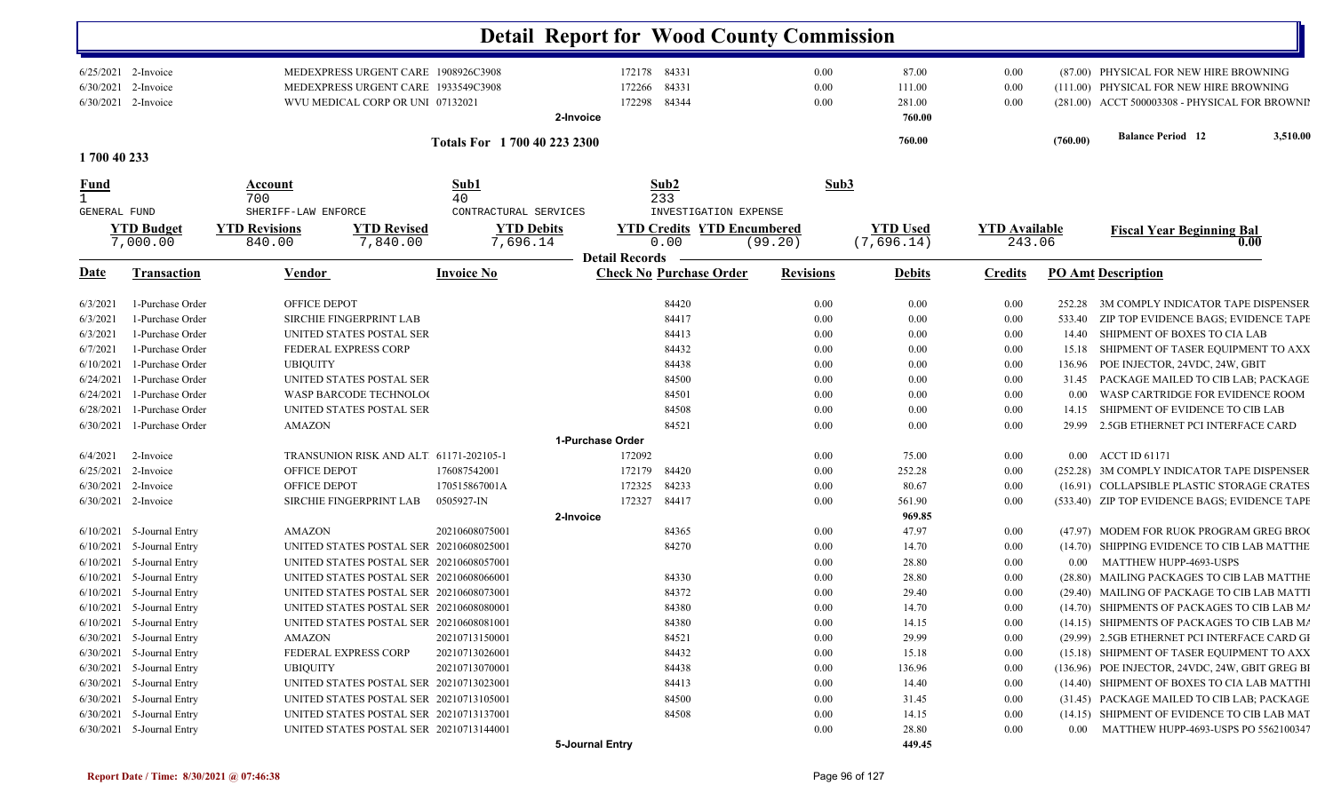|              |                                            |                              |                                         |                               |                   | <b>Detail Report for Wood County Commission</b> |         |                  |                 |                      |          |                                                                                           |
|--------------|--------------------------------------------|------------------------------|-----------------------------------------|-------------------------------|-------------------|-------------------------------------------------|---------|------------------|-----------------|----------------------|----------|-------------------------------------------------------------------------------------------|
|              | 6/25/2021 2-Invoice                        |                              | MEDEXPRESS URGENT CARE 1908926C3908     |                               |                   | 172178 84331                                    |         | $0.00\,$         | 87.00           | 0.00                 |          | (87.00) PHYSICAL FOR NEW HIRE BROWNING                                                    |
|              | 6/30/2021 2-Invoice                        |                              | MEDEXPRESS URGENT CARE 1933549C3908     |                               |                   | 84331<br>172266                                 |         | 0.00             | 111.00          | 0.00                 |          | (111.00) PHYSICAL FOR NEW HIRE BROWNING                                                   |
|              | 6/30/2021 2-Invoice                        |                              | WVU MEDICAL CORP OR UNI 07132021        |                               |                   | 84344<br>172298                                 |         | 0.00             | 281.00          | 0.00                 |          | (281.00) ACCT 500003308 - PHYSICAL FOR BROWNII                                            |
|              |                                            |                              |                                         |                               | 2-Invoice         |                                                 |         |                  | 760.00          |                      |          |                                                                                           |
| 1700 40 233  |                                            |                              |                                         | Totals For 1 700 40 223 2300  |                   |                                                 |         |                  | 760.00          |                      | (760.00) | <b>Balance Period</b> 12<br>3,510.00                                                      |
|              |                                            |                              |                                         |                               |                   |                                                 |         |                  |                 |                      |          |                                                                                           |
| <u>Fund</u>  |                                            | Account                      |                                         | Sub1                          |                   | Sub2                                            |         | Sub3             |                 |                      |          |                                                                                           |
| GENERAL FUND |                                            | 700<br>SHERIFF-LAW ENFORCE   |                                         | 40<br>CONTRACTURAL SERVICES   |                   | 233<br>INVESTIGATION EXPENSE                    |         |                  |                 |                      |          |                                                                                           |
|              | <b>YTD Budget</b>                          | <b>YTD Revisions</b>         | <b>YTD Revised</b>                      |                               | <b>YTD Debits</b> | <b>YTD Credits YTD Encumbered</b>               |         |                  | <b>YTD</b> Used | <b>YTD Available</b> |          | <b>Fiscal Year Beginning Bal</b>                                                          |
|              | 7,000.00                                   | 840.00                       | 7,840.00                                | 7,696.14                      |                   | 0.00                                            | (99.20) |                  | (7,696.14)      | 243.06               |          | 0.00                                                                                      |
|              |                                            |                              |                                         |                               |                   | <b>Detail Records</b>                           |         |                  |                 |                      |          |                                                                                           |
| <u>Date</u>  | <b>Transaction</b>                         | <b>Vendor</b>                |                                         | <b>Invoice No</b>             |                   | <b>Check No Purchase Order</b>                  |         | <b>Revisions</b> | <b>Debits</b>   | <b>Credits</b>       |          | <b>PO Amt Description</b>                                                                 |
| 6/3/2021     | 1-Purchase Order                           | OFFICE DEPOT                 |                                         |                               |                   | 84420                                           |         | 0.00             | 0.00            | 0.00                 | 252.28   | 3M COMPLY INDICATOR TAPE DISPENSER                                                        |
| 6/3/2021     | 1-Purchase Order                           |                              | <b>SIRCHIE FINGERPRINT LAB</b>          |                               |                   | 84417                                           |         | 0.00             | 0.00            | 0.00                 | 533.40   | ZIP TOP EVIDENCE BAGS; EVIDENCE TAPE                                                      |
| 6/3/2021     | 1-Purchase Order                           |                              | UNITED STATES POSTAL SER                |                               |                   | 84413                                           |         | 0.00             | 0.00            | 0.00                 | 14.40    | SHIPMENT OF BOXES TO CIA LAB                                                              |
| 6/7/2021     | 1-Purchase Order                           |                              | FEDERAL EXPRESS CORP                    |                               |                   | 84432                                           |         | 0.00             | 0.00            | 0.00                 | 15.18    | SHIPMENT OF TASER EQUIPMENT TO AXX                                                        |
| 6/10/2021    | 1-Purchase Order                           | <b>UBIQUITY</b>              |                                         |                               |                   | 84438                                           |         | 0.00             | 0.00            | 0.00                 | 136.96   | POE INJECTOR, 24VDC, 24W, GBIT                                                            |
| 6/24/2021    | 1-Purchase Order                           |                              | UNITED STATES POSTAL SER                |                               |                   | 84500                                           |         | 0.00             | 0.00            | 0.00                 | 31.45    | PACKAGE MAILED TO CIB LAB; PACKAGE                                                        |
| 6/24/2021    | 1-Purchase Order                           |                              | WASP BARCODE TECHNOLOG                  |                               |                   | 84501                                           |         | 0.00             | 0.00            | 0.00                 | 0.00     | WASP CARTRIDGE FOR EVIDENCE ROOM                                                          |
| 6/28/2021    | 1-Purchase Order                           |                              | UNITED STATES POSTAL SER                |                               |                   | 84508                                           |         | 0.00             | 0.00            | 0.00                 | 14.15    | SHIPMENT OF EVIDENCE TO CIB LAB                                                           |
| 6/30/2021    | 1-Purchase Order                           | <b>AMAZON</b>                |                                         |                               |                   | 84521                                           |         | 0.00             | 0.00            | 0.00                 | 29.99    | 2.5GB ETHERNET PCI INTERFACE CARD                                                         |
|              |                                            |                              |                                         |                               | 1-Purchase Order  |                                                 |         |                  |                 |                      |          |                                                                                           |
| 6/4/2021     | 2-Invoice                                  |                              | TRANSUNION RISK AND ALT 61171-202105-1  |                               |                   | 172092                                          |         | 0.00             | 75.00           | $0.00\,$             |          | 0.00 ACCT ID 61171                                                                        |
|              | 6/25/2021 2-Invoice<br>6/30/2021 2-Invoice | OFFICE DEPOT<br>OFFICE DEPOT |                                         | 176087542001<br>170515867001A |                   | 172179<br>84420<br>172325<br>84233              |         | 0.00<br>0.00     | 252.28<br>80.67 | 0.00<br>0.00         |          | (252.28) 3M COMPLY INDICATOR TAPE DISPENSER<br>(16.91) COLLAPSIBLE PLASTIC STORAGE CRATES |
|              | 6/30/2021 2-Invoice                        |                              | <b>SIRCHIE FINGERPRINT LAB</b>          | 0505927-IN                    |                   | 84417<br>172327                                 |         | 0.00             | 561.90          | 0.00                 |          | (533.40) ZIP TOP EVIDENCE BAGS; EVIDENCE TAPE                                             |
|              |                                            |                              |                                         |                               | 2-Invoice         |                                                 |         |                  | 969.85          |                      |          |                                                                                           |
|              | $6/10/2021$ 5-Journal Entry                | AMAZON                       |                                         | 20210608075001                |                   | 84365                                           |         | 0.00             | 47.97           | 0.00                 |          | (47.97) MODEM FOR RUOK PROGRAM GREG BRO                                                   |
| 6/10/2021    | 5-Journal Entry                            |                              | UNITED STATES POSTAL SER 20210608025001 |                               |                   | 84270                                           |         | 0.00             | 14.70           | 0.00                 |          | (14.70) SHIPPING EVIDENCE TO CIB LAB MATTHE                                               |
| 6/10/2021    | 5-Journal Entry                            |                              | UNITED STATES POSTAL SER 20210608057001 |                               |                   |                                                 |         | 0.00             | 28.80           | 0.00                 | $0.00\,$ | MATTHEW HUPP-4693-USPS                                                                    |
| 6/10/2021    | 5-Journal Entry                            |                              | UNITED STATES POSTAL SER 20210608066001 |                               |                   | 84330                                           |         | 0.00             | 28.80           | 0.00                 |          | (28.80) MAILING PACKAGES TO CIB LAB MATTHE                                                |
|              | $6/10/2021$ 5-Journal Entry                |                              | UNITED STATES POSTAL SER 20210608073001 |                               |                   | 84372                                           |         | 0.00             | 29.40           | 0.00                 |          | (29.40) MAILING OF PACKAGE TO CIB LAB MATTI                                               |
|              | $6/10/2021$ 5-Journal Entry                |                              | UNITED STATES POSTAL SER 20210608080001 |                               |                   | 84380                                           |         | $0.00\,$         | 14.70           | 0.00                 |          | (14.70) SHIPMENTS OF PACKAGES TO CIB LAB M/                                               |
|              | $6/10/2021$ 5-Journal Entry                |                              | UNITED STATES POSTAL SER 20210608081001 |                               |                   | 84380                                           |         | 0.00             | 14.15           | $0.00\,$             |          | (14.15) SHIPMENTS OF PACKAGES TO CIB LAB M/                                               |
|              | 6/30/2021 5-Journal Entry                  | AMAZON                       |                                         | 20210713150001                |                   | 84521                                           |         | 0.00             | 29.99           | $0.00\,$             |          | (29.99) 2.5GB ETHERNET PCI INTERFACE CARD GI                                              |
|              | 6/30/2021 5-Journal Entry                  |                              | FEDERAL EXPRESS CORP                    | 20210713026001                |                   | 84432                                           |         | 0.00             | 15.18           | $0.00\,$             |          | (15.18) SHIPMENT OF TASER EQUIPMENT TO AXX                                                |
|              | 6/30/2021 5-Journal Entry                  | <b>UBIQUITY</b>              |                                         | 20210713070001                |                   | 84438                                           |         | 0.00             | 136.96          | 0.00                 |          | (136.96) POE INJECTOR, 24VDC, 24W, GBIT GREG BI                                           |
|              | 6/30/2021 5-Journal Entry                  |                              | UNITED STATES POSTAL SER 20210713023001 |                               |                   | 84413                                           |         | 0.00             | 14.40           | 0.00                 |          | (14.40) SHIPMENT OF BOXES TO CIA LAB MATTHI                                               |
|              | 6/30/2021 5-Journal Entry                  |                              | UNITED STATES POSTAL SER 20210713105001 |                               |                   | 84500                                           |         | $0.00\,$         | 31.45           | $0.00\,$             |          | (31.45) PACKAGE MAILED TO CIB LAB; PACKAGE                                                |
|              | 6/30/2021 5-Journal Entry                  |                              | UNITED STATES POSTAL SER 20210713137001 |                               |                   | 84508                                           |         | 0.00             | 14.15           | 0.00                 |          | (14.15) SHIPMENT OF EVIDENCE TO CIB LAB MAT                                               |
|              | 6/30/2021 5-Journal Entry                  |                              | UNITED STATES POSTAL SER 20210713144001 |                               |                   |                                                 |         | $0.00\,$         | 28.80           | $0.00\,$             |          | 0.00 MATTHEW HUPP-4693-USPS PO 5562100347                                                 |
|              |                                            |                              |                                         |                               | 5-Journal Entry   |                                                 |         |                  | 449.45          |                      |          |                                                                                           |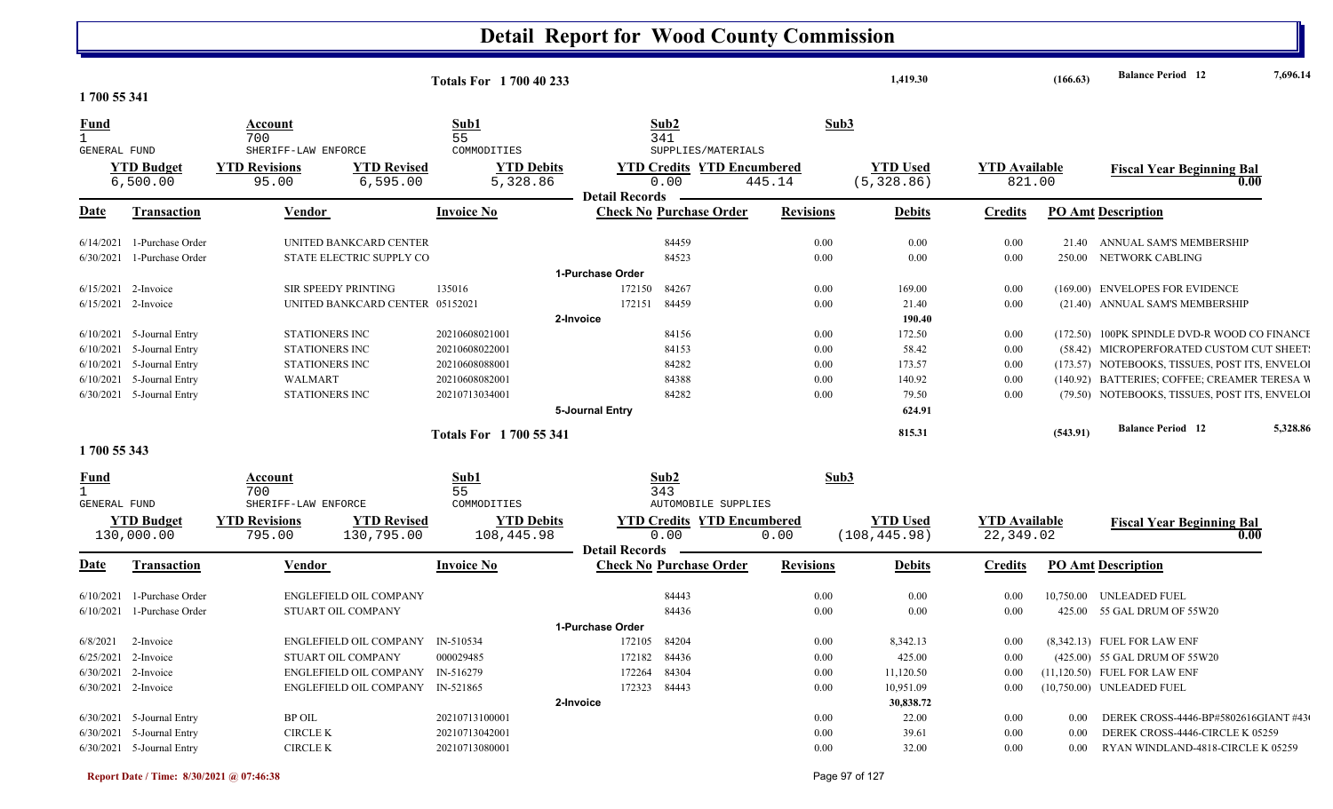|                              |                               |                                                                  | <b>Totals For 1700 40 233</b> |                                           |                  | 1,419.30                       |                                | (166.63) | <b>Balance Period 12</b>                       | 7,696.14 |
|------------------------------|-------------------------------|------------------------------------------------------------------|-------------------------------|-------------------------------------------|------------------|--------------------------------|--------------------------------|----------|------------------------------------------------|----------|
| 1700 55 341                  |                               |                                                                  |                               |                                           |                  |                                |                                |          |                                                |          |
| Fund<br>$\mathbf{1}$         |                               | Account<br>700                                                   | Sub1<br>55                    | Sub2<br>341                               | Sub3             |                                |                                |          |                                                |          |
| <b>GENERAL FUND</b>          |                               | SHERIFF-LAW ENFORCE                                              | COMMODITIES                   | SUPPLIES/MATERIALS                        |                  |                                |                                |          |                                                |          |
|                              | <b>YTD Budget</b><br>6,500.00 | <b>YTD Revisions</b><br><b>YTD Revised</b><br>6, 595.00<br>95.00 | <b>YTD Debits</b><br>5,328.86 | <b>YTD Credits YTD Encumbered</b><br>0.00 | 445.14           | <b>YTD Used</b><br>(5, 328.86) | <b>YTD Available</b><br>821.00 |          | <b>Fiscal Year Beginning Bal</b><br>0.00       |          |
|                              |                               |                                                                  |                               | <b>Detail Records</b>                     |                  |                                |                                |          |                                                |          |
| Date                         | <b>Transaction</b>            | Vendor                                                           | <b>Invoice No</b>             | <b>Check No Purchase Order</b>            | <b>Revisions</b> | <b>Debits</b>                  | <b>Credits</b>                 |          | <b>PO Amt Description</b>                      |          |
|                              | $6/14/2021$ 1-Purchase Order  | UNITED BANKCARD CENTER                                           |                               | 84459                                     | 0.00             | 0.00                           | 0.00                           | 21.40    | ANNUAL SAM'S MEMBERSHIP                        |          |
| 6/30/2021                    | 1-Purchase Order              | STATE ELECTRIC SUPPLY CO                                         |                               | 84523                                     | 0.00             | 0.00                           | $0.00\,$                       | 250.00   | NETWORK CABLING                                |          |
|                              |                               |                                                                  |                               | 1-Purchase Order                          |                  |                                |                                |          |                                                |          |
|                              | $6/15/2021$ 2-Invoice         | <b>SIR SPEEDY PRINTING</b>                                       | 135016                        | 84267<br>172150                           | 0.00             | 169.00                         | 0.00                           |          | (169.00) ENVELOPES FOR EVIDENCE                |          |
|                              | $6/15/2021$ 2-Invoice         | UNITED BANKCARD CENTER 05152021                                  |                               | 172151<br>84459                           | 0.00             | 21.40                          | 0.00                           |          | (21.40) ANNUAL SAM'S MEMBERSHIP                |          |
|                              |                               |                                                                  |                               | 2-Invoice                                 |                  | 190.40                         |                                |          |                                                |          |
|                              | $6/10/2021$ 5-Journal Entry   | STATIONERS INC                                                   | 20210608021001                | 84156                                     | 0.00             | 172.50                         | 0.00                           |          | (172.50) 100PK SPINDLE DVD-R WOOD CO FINANCH   |          |
|                              | $6/10/2021$ 5-Journal Entry   | STATIONERS INC                                                   | 20210608022001                | 84153                                     | 0.00             | 58.42                          | $0.00\,$                       |          | (58.42) MICROPERFORATED CUSTOM CUT SHEET:      |          |
|                              | 6/10/2021 5-Journal Entry     | STATIONERS INC                                                   | 20210608088001                | 84282                                     | 0.00             | 173.57                         | 0.00                           |          | (173.57) NOTEBOOKS, TISSUES, POST ITS, ENVELOI |          |
|                              | $6/10/2021$ 5-Journal Entry   | WALMART                                                          | 20210608082001                | 84388                                     | 0.00             | 140.92                         | 0.00                           |          | (140.92) BATTERIES; COFFEE; CREAMER TERESA W   |          |
|                              | 6/30/2021 5-Journal Entry     | <b>STATIONERS INC</b>                                            | 20210713034001                | 84282                                     | 0.00             | 79.50                          | 0.00                           |          | (79.50) NOTEBOOKS, TISSUES, POST ITS, ENVELOI  |          |
|                              |                               |                                                                  |                               | 5-Journal Entry                           |                  | 624.91                         |                                |          |                                                |          |
|                              |                               |                                                                  | Totals For 1700 55 341        |                                           |                  | 815.31                         |                                | (543.91) | <b>Balance Period 12</b>                       | 5,328.86 |
| 1700 55 343                  |                               |                                                                  |                               |                                           |                  |                                |                                |          |                                                |          |
| <b>Fund</b>                  |                               | Account                                                          | Sub1                          | Sub2                                      | Sub3             |                                |                                |          |                                                |          |
| $\mathbf{1}$<br>GENERAL FUND |                               | 700<br>SHERIFF-LAW ENFORCE                                       | 55<br>COMMODITIES             | 343<br>AUTOMOBILE SUPPLIES                |                  |                                |                                |          |                                                |          |
|                              | <b>YTD Budget</b>             | <b>YTD Revisions</b><br><b>YTD Revised</b>                       | <b>YTD Debits</b>             | <b>YTD Credits YTD Encumbered</b>         |                  | <b>YTD Used</b>                | <b>YTD Available</b>           |          | <b>Fiscal Year Beginning Bal</b>               |          |
|                              | 130,000.00                    | 130,795.00<br>795.00                                             | 108,445.98                    | 0.00                                      | 0.00             | (108, 445.98)                  | 22,349.02                      |          | 0.00                                           |          |
|                              |                               |                                                                  |                               | <b>Detail Records</b>                     |                  |                                |                                |          |                                                |          |
| Date                         | <b>Transaction</b>            | Vendor                                                           | <b>Invoice No</b>             | <b>Check No Purchase Order</b>            | <b>Revisions</b> | <b>Debits</b>                  | <b>Credits</b>                 |          | <b>PO Amt Description</b>                      |          |
|                              | $6/10/2021$ 1-Purchase Order  | <b>ENGLEFIELD OIL COMPANY</b>                                    |                               | 84443                                     | 0.00             | $0.00\,$                       | 0.00                           |          | 10,750.00 UNLEADED FUEL                        |          |
|                              | 6/10/2021 1-Purchase Order    | STUART OIL COMPANY                                               |                               | 84436                                     | 0.00             | 0.00                           | 0.00                           |          | 425.00 55 GAL DRUM OF 55W20                    |          |
|                              |                               |                                                                  |                               | 1-Purchase Order                          |                  |                                |                                |          |                                                |          |
|                              | $6/8/2021$ 2-Invoice          | ENGLEFIELD OIL COMPANY IN-510534                                 |                               | 172105 84204                              | 0.00             | 8,342.13                       | $0.00\,$                       |          | $(8,342.13)$ FUEL FOR LAW ENF                  |          |
|                              | 6/25/2021 2-Invoice           | STUART OIL COMPANY                                               | 000029485                     | 172182 84436                              | $0.00\,$         | 425.00                         | $0.00\,$                       |          | (425.00) 55 GAL DRUM OF 55W20                  |          |
|                              | $6/30/2021$ 2-Invoice         | ENGLEFIELD OIL COMPANY IN-516279                                 |                               | 172264 84304                              | 0.00             | 11,120.50                      | $0.00\,$                       |          | $(11,120.50)$ FUEL FOR LAW ENF                 |          |
|                              | 6/30/2021 2-Invoice           | ENGLEFIELD OIL COMPANY IN-521865                                 |                               | 172323 84443                              | 0.00             | 10,951.09                      | $0.00\,$                       |          | $(10,750.00)$ UNLEADED FUEL                    |          |
|                              |                               |                                                                  |                               | 2-Invoice                                 |                  | 30,838.72                      |                                |          |                                                |          |
|                              | 6/30/2021 5-Journal Entry     | <b>BP OIL</b>                                                    | 20210713100001                |                                           | 0.00             | 22.00                          | $0.00\,$                       | $0.00\,$ | DEREK CROSS-4446-BP#5802616GIANT #43           |          |
|                              | 6/30/2021 5-Journal Entry     | <b>CIRCLE K</b>                                                  | 20210713042001                |                                           | 0.00             | 39.61                          | $0.00\,$                       | 0.00     | DEREK CROSS-4446-CIRCLE K 05259                |          |
|                              | 6/30/2021 5-Journal Entry     | <b>CIRCLE K</b>                                                  | 20210713080001                |                                           | 0.00             | 32.00                          | $0.00\,$                       |          | 0.00 RYAN WINDLAND-4818-CIRCLE K 05259         |          |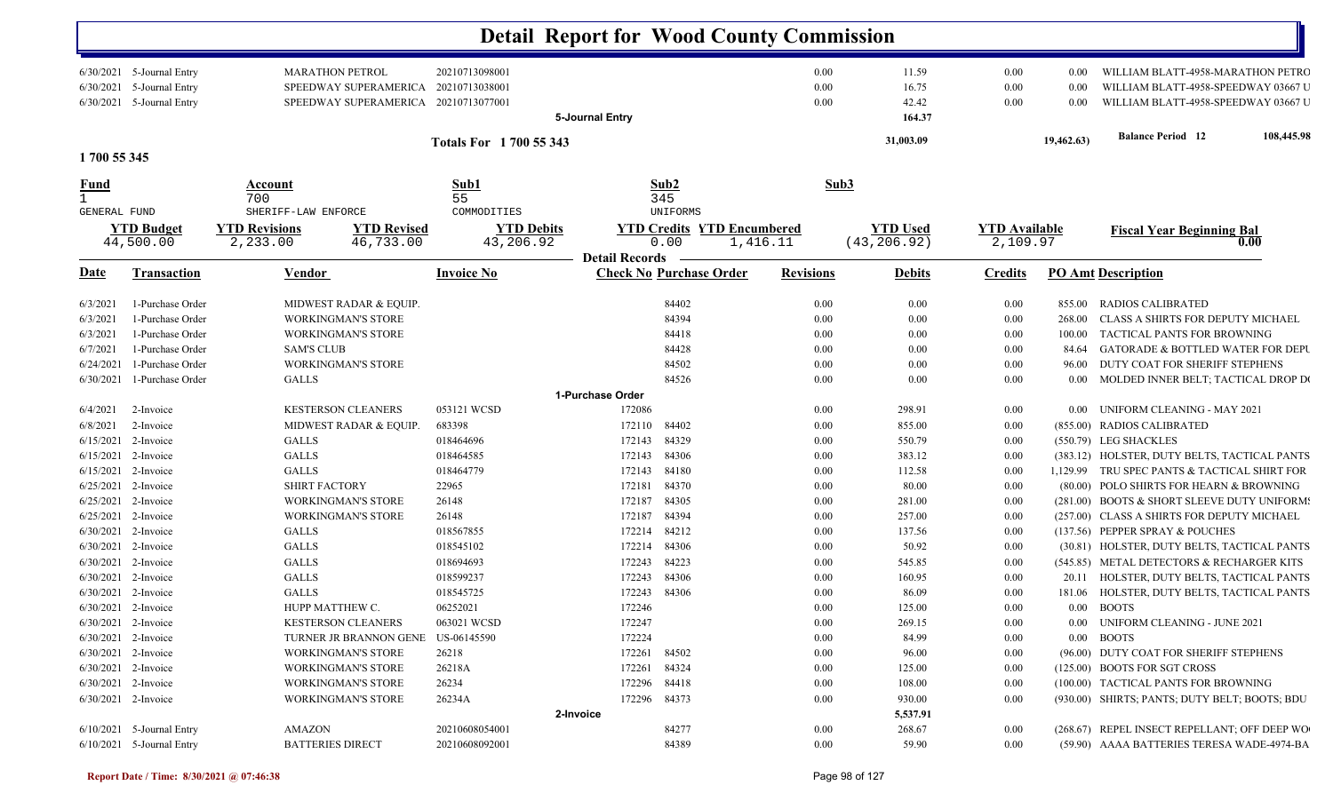|                                                           |                                                                                                  |                                                                                                                                    |                                                    |                                  | <b>Detail Report for Wood County Commission</b>                   |                                      |                                          |                                              |                                              |                                                                                                                                                                         |
|-----------------------------------------------------------|--------------------------------------------------------------------------------------------------|------------------------------------------------------------------------------------------------------------------------------------|----------------------------------------------------|----------------------------------|-------------------------------------------------------------------|--------------------------------------|------------------------------------------|----------------------------------------------|----------------------------------------------|-------------------------------------------------------------------------------------------------------------------------------------------------------------------------|
| 6/30/2021<br>6/30/2021                                    | $6/30/2021$ 5-Journal Entry<br>5-Journal Entry<br>5-Journal Entry                                | <b>MARATHON PETROL</b><br>SPEEDWAY SUPERAMERICA<br>SPEEDWAY SUPERAMERICA                                                           | 20210713098001<br>20210713038001<br>20210713077001 | 5-Journal Entry                  |                                                                   | 0.00<br>0.00<br>0.00                 | 11.59<br>16.75<br>42.42<br>164.37        | 0.00<br>$0.00\,$<br>$0.00\,$                 | 0.00<br>0.00<br>0.00                         | WILLIAM BLATT-4958-MARATHON PETRC<br>WILLIAM BLATT-4958-SPEEDWAY 03667 U<br>WILLIAM BLATT-4958-SPEEDWAY 03667 U                                                         |
| 1700 55 345                                               |                                                                                                  |                                                                                                                                    | Totals For 1700 55 343                             |                                  |                                                                   |                                      | 31,003.09                                |                                              | 19,462.63)                                   | <b>Balance Period 12</b><br>108,445.98                                                                                                                                  |
| <u>Fund</u><br>$\mathbf{1}$                               |                                                                                                  | Account<br>700                                                                                                                     | Sub1<br>55                                         |                                  | Sub2<br>345                                                       | Sub3                                 |                                          |                                              |                                              |                                                                                                                                                                         |
| GENERAL FUND                                              | <b>YTD Budget</b><br>44,500.00                                                                   | SHERIFF-LAW ENFORCE<br><b>YTD Revisions</b><br><b>YTD Revised</b><br>2,233.00<br>46,733.00                                         | COMMODITIES<br><b>YTD Debits</b><br>43,206.92      | <b>Detail Records</b>            | UNIFORMS<br><b>YTD Credits YTD Encumbered</b><br>0.00<br>1,416.11 |                                      | <b>YTD Used</b><br>(43, 206.92)          | <b>YTD</b> Available<br>2,109.97             |                                              | <b>Fiscal Year Beginning Bal</b><br>0.00                                                                                                                                |
| <u>Date</u>                                               | <b>Transaction</b>                                                                               | <b>Vendor</b>                                                                                                                      | <b>Invoice No</b>                                  |                                  | <b>Check No Purchase Order</b>                                    | <b>Revisions</b>                     | <b>Debits</b>                            | <b>Credits</b>                               |                                              | <b>PO Amt Description</b>                                                                                                                                               |
| 6/3/2021<br>6/3/2021<br>6/3/2021<br>6/7/2021<br>6/24/2021 | 1-Purchase Order<br>1-Purchase Order<br>1-Purchase Order<br>1-Purchase Order<br>1-Purchase Order | MIDWEST RADAR & EQUIP.<br><b>WORKINGMAN'S STORE</b><br><b>WORKINGMAN'S STORE</b><br><b>SAM'S CLUB</b><br><b>WORKINGMAN'S STORE</b> |                                                    |                                  | 84402<br>84394<br>84418<br>84428<br>84502                         | 0.00<br>0.00<br>0.00<br>0.00<br>0.00 | 0.00<br>$0.00\,$<br>0.00<br>0.00<br>0.00 | 0.00<br>0.00<br>0.00<br>$0.00\,$<br>$0.00\,$ | 855.00<br>268.00<br>100.00<br>84.64<br>96.00 | RADIOS CALIBRATED<br>CLASS A SHIRTS FOR DEPUTY MICHAEL<br>TACTICAL PANTS FOR BROWNING<br><b>GATORADE &amp; BOTTLED WATER FOR DEPU</b><br>DUTY COAT FOR SHERIFF STEPHENS |
| 6/30/2021                                                 | 1-Purchase Order                                                                                 | <b>GALLS</b>                                                                                                                       |                                                    | 1-Purchase Order                 | 84526                                                             | 0.00                                 | 0.00                                     | $0.00\,$                                     | 0.00                                         | MOLDED INNER BELT; TACTICAL DROP DO                                                                                                                                     |
| 6/4/2021<br>6/8/2021<br>6/15/2021                         | 2-Invoice<br>2-Invoice<br>2-Invoice                                                              | <b>KESTERSON CLEANERS</b><br>MIDWEST RADAR & EQUIP.<br><b>GALLS</b>                                                                | 053121 WCSD<br>683398<br>018464696                 | 172086<br>172110<br>172143       | 84402<br>84329                                                    | 0.00<br>0.00<br>0.00                 | 298.91<br>855.00<br>550.79               | $0.00\,$<br>0.00<br>0.00                     | $0.00\,$                                     | <b>UNIFORM CLEANING - MAY 2021</b><br>(855.00) RADIOS CALIBRATED<br>(550.79) LEG SHACKLES                                                                               |
| 6/15/2021<br>6/15/2021<br>6/25/2021                       | 2-Invoice<br>2-Invoice<br>2-Invoice                                                              | <b>GALLS</b><br><b>GALLS</b><br><b>SHIRT FACTORY</b>                                                                               | 018464585<br>018464779<br>22965                    | 172143<br>172143<br>172181       | 84306<br>84180<br>84370                                           | 0.00<br>0.00<br>0.00                 | 383.12<br>112.58<br>80.00                | 0.00<br>0.00<br>$0.00\,$                     |                                              | (383.12) HOLSTER, DUTY BELTS, TACTICAL PANTS<br>1,129.99 TRU SPEC PANTS & TACTICAL SHIRT FOR<br>(80.00) POLO SHIRTS FOR HEARN & BROWNING                                |
| 6/25/2021<br>6/25/2021                                    | 2-Invoice<br>2-Invoice                                                                           | <b>WORKINGMAN'S STORE</b><br><b>WORKINGMAN'S STORE</b>                                                                             | 26148<br>26148                                     | 172187<br>172187                 | 84305<br>84394<br>84212                                           | 0.00<br>0.00                         | 281.00<br>257.00                         | 0.00<br>0.00                                 |                                              | (281.00) BOOTS & SHORT SLEEVE DUTY UNIFORM:<br>(257.00) CLASS A SHIRTS FOR DEPUTY MICHAEL                                                                               |
| 6/30/2021<br>6/30/2021<br>6/30/2021                       | 2-Invoice<br>2-Invoice<br>2-Invoice                                                              | <b>GALLS</b><br><b>GALLS</b><br><b>GALLS</b>                                                                                       | 018567855<br>018545102<br>018694693                | 172214<br>172214<br>172243       | 84306<br>84223                                                    | 0.00<br>0.00<br>0.00                 | 137.56<br>50.92<br>545.85                | 0.00<br>0.00<br>0.00                         |                                              | (137.56) PEPPER SPRAY & POUCHES<br>(30.81) HOLSTER, DUTY BELTS, TACTICAL PANTS<br>(545.85) METAL DETECTORS & RECHARGER KITS                                             |
|                                                           | $6/30/2021$ 2-Invoice<br>6/30/2021 2-Invoice<br>6/30/2021 2-Invoice                              | <b>GALLS</b><br><b>GALLS</b><br>HUPP MATTHEW C.                                                                                    | 018599237<br>018545725<br>06252021                 | 172243<br>172243<br>172246       | 84306<br>84306                                                    | 0.00<br>0.00<br>0.00                 | 160.95<br>86.09<br>125.00                | $0.00\,$<br>0.00<br>$0.00\,$                 |                                              | 20.11 HOLSTER, DUTY BELTS, TACTICAL PANTS<br>181.06 HOLSTER, DUTY BELTS, TACTICAL PANTS<br>0.00 BOOTS                                                                   |
|                                                           | 6/30/2021 2-Invoice<br>6/30/2021 2-Invoice                                                       | <b>KESTERSON CLEANERS</b><br>TURNER JR BRANNON GENE                                                                                | 063021 WCSD<br>US-06145590                         | 172247<br>172224                 |                                                                   | 0.00<br>0.00                         | 269.15<br>84.99                          | $0.00\,$<br>$0.00\,$                         |                                              | 0.00 UNIFORM CLEANING - JUNE 2021<br>0.00 BOOTS                                                                                                                         |
|                                                           | 6/30/2021 2-Invoice<br>6/30/2021 2-Invoice<br>6/30/2021 2-Invoice                                | <b>WORKINGMAN'S STORE</b><br><b>WORKINGMAN'S STORE</b><br>WORKINGMAN'S STORE                                                       | 26218<br>26218A<br>26234                           | 172261<br>172261<br>172296 84418 | 84502<br>84324                                                    | 0.00<br>$0.00\,$<br>0.00             | 96.00<br>125.00<br>108.00                | $0.00\,$<br>$0.00\,$<br>$0.00\,$             |                                              | (96.00) DUTY COAT FOR SHERIFF STEPHENS<br>(125.00) BOOTS FOR SGT CROSS<br>(100.00) TACTICAL PANTS FOR BROWNING                                                          |
|                                                           | 6/30/2021 2-Invoice                                                                              | <b>WORKINGMAN'S STORE</b>                                                                                                          | 26234A                                             | 172296 84373<br>2-Invoice        |                                                                   | 0.00                                 | 930.00<br>5,537.91                       | $0.00\,$                                     |                                              | (930.00) SHIRTS; PANTS; DUTY BELT; BOOTS; BDU                                                                                                                           |
|                                                           | $6/10/2021$ 5-Journal Entry<br>$6/10/2021$ 5-Journal Entry                                       | AMAZON<br><b>BATTERIES DIRECT</b>                                                                                                  | 20210608054001<br>20210608092001                   |                                  | 84277<br>84389                                                    | $0.00\,$<br>$0.00\,$                 | 268.67<br>59.90                          | $0.00\,$<br>$0.00\,$                         |                                              | (268.67) REPEL INSECT REPELLANT; OFF DEEP WO<br>(59.90) AAAA BATTERIES TERESA WADE-4974-BA                                                                              |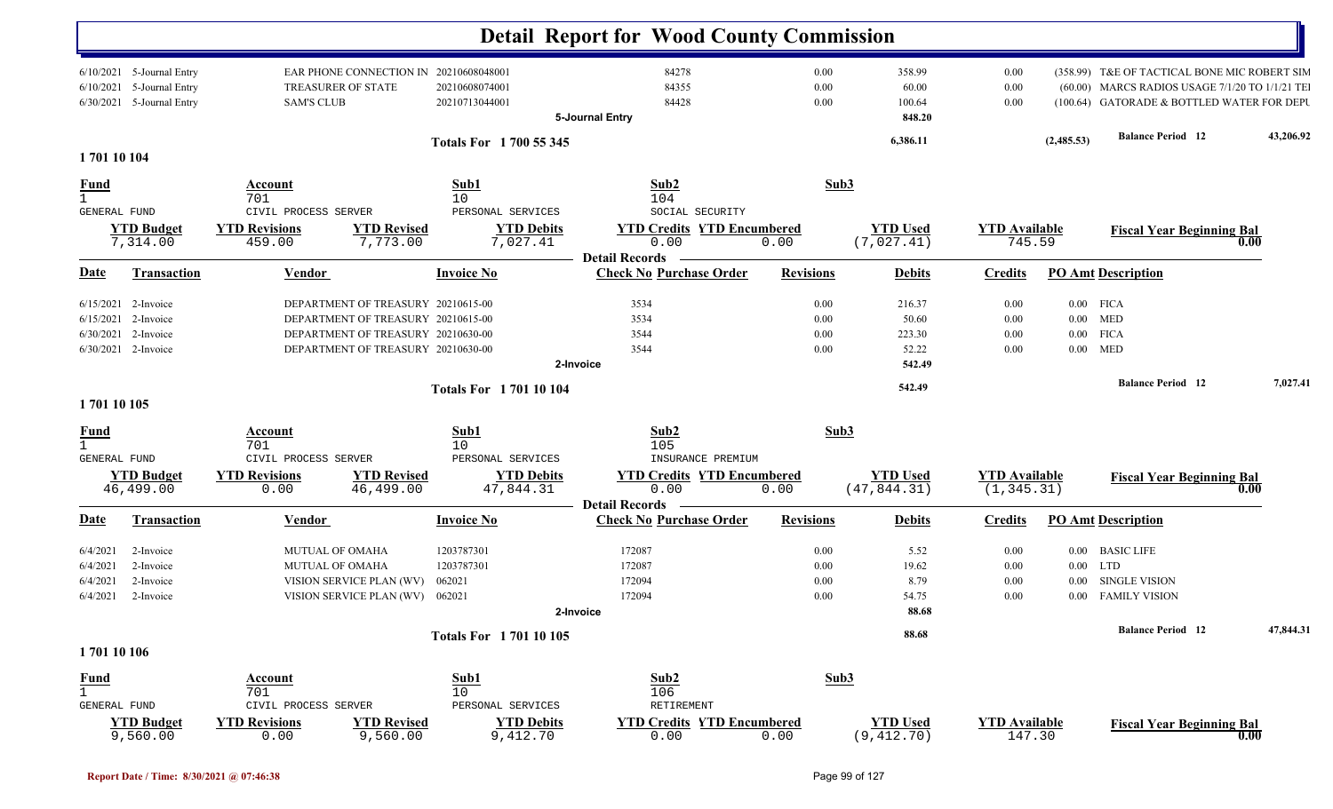|                                                                                     |                                                                                          |                                                    | <b>Detail Report for Wood County Commission</b>              |                      |                                |                                |             |                                                                                                                                              |           |
|-------------------------------------------------------------------------------------|------------------------------------------------------------------------------------------|----------------------------------------------------|--------------------------------------------------------------|----------------------|--------------------------------|--------------------------------|-------------|----------------------------------------------------------------------------------------------------------------------------------------------|-----------|
| 6/10/2021 5-Journal Entry<br>6/10/2021 5-Journal Entry<br>6/30/2021 5-Journal Entry | EAR PHONE CONNECTION IN 20210608048001<br>TREASURER OF STATE<br><b>SAM'S CLUB</b>        | 20210608074001<br>20210713044001                   | 84278<br>84355<br>84428                                      | 0.00<br>0.00<br>0.00 | 358.99<br>60.00<br>100.64      | 0.00<br>$0.00\,$<br>0.00       |             | (358.99) T&E OF TACTICAL BONE MIC ROBERT SIM<br>(60.00) MARCS RADIOS USAGE 7/1/20 TO 1/1/21 TE<br>(100.64) GATORADE & BOTTLED WATER FOR DEPU |           |
|                                                                                     |                                                                                          | Totals For 1700 55 345                             | 5-Journal Entry                                              |                      | 848.20<br>6,386.11             |                                | (2,485.53)  | <b>Balance Period</b> 12                                                                                                                     | 43,206.92 |
| 170110104                                                                           |                                                                                          |                                                    |                                                              |                      |                                |                                |             |                                                                                                                                              |           |
| <b>Fund</b><br>$\mathbf{1}$                                                         | Account<br>701                                                                           | Sub1<br>10                                         | Sub2<br>104                                                  | Sub3                 |                                |                                |             |                                                                                                                                              |           |
| GENERAL FUND<br><b>YTD Budget</b><br>7,314.00                                       | CIVIL PROCESS SERVER<br><b>YTD Revisions</b><br><b>YTD Revised</b><br>459.00<br>7,773.00 | PERSONAL SERVICES<br><b>YTD Debits</b><br>7,027.41 | SOCIAL SECURITY<br><b>YTD Credits YTD Encumbered</b><br>0.00 | 0.00                 | <b>YTD Used</b><br>(7,027.41)  | <b>YTD</b> Available<br>745.59 |             | <b>Fiscal Year Beginning Bal</b><br>0.00                                                                                                     |           |
|                                                                                     |                                                                                          |                                                    | <b>Detail Records</b>                                        |                      |                                |                                |             |                                                                                                                                              |           |
| <u>Date</u><br><b>Transaction</b>                                                   | <b>Vendor</b>                                                                            | <b>Invoice No</b>                                  | <b>Check No Purchase Order</b>                               | <b>Revisions</b>     | <b>Debits</b>                  | <b>Credits</b>                 |             | <b>PO Amt Description</b>                                                                                                                    |           |
| 2-Invoice<br>6/15/2021                                                              | DEPARTMENT OF TREASURY 20210615-00                                                       |                                                    | 3534                                                         | 0.00                 | 216.37                         | $0.00\,$                       | $0.00$ FICA |                                                                                                                                              |           |
| 6/15/2021 2-Invoice                                                                 | DEPARTMENT OF TREASURY 20210615-00                                                       |                                                    | 3534                                                         | 0.00                 | 50.60                          | 0.00                           | $0.00$ MED  |                                                                                                                                              |           |
| 6/30/2021<br>2-Invoice                                                              | DEPARTMENT OF TREASURY 20210630-00                                                       |                                                    | 3544                                                         | 0.00                 | 223.30                         | 0.00                           | $0.00$ FICA |                                                                                                                                              |           |
| 6/30/2021 2-Invoice                                                                 | DEPARTMENT OF TREASURY 20210630-00                                                       |                                                    | 3544<br>2-Invoice                                            | 0.00                 | 52.22<br>542.49                | 0.00                           | $0.00$ MED  |                                                                                                                                              |           |
|                                                                                     |                                                                                          |                                                    |                                                              |                      |                                |                                |             | <b>Balance Period 12</b>                                                                                                                     | 7,027.41  |
|                                                                                     |                                                                                          | <b>Totals For 170110104</b>                        |                                                              |                      | 542.49                         |                                |             |                                                                                                                                              |           |
| 1701 10 105                                                                         |                                                                                          |                                                    |                                                              |                      |                                |                                |             |                                                                                                                                              |           |
| <b>Fund</b>                                                                         | <b>Account</b>                                                                           | Sub1                                               | Sub2                                                         | Sub3                 |                                |                                |             |                                                                                                                                              |           |
| $\mathbf{1}$<br><b>GENERAL FUND</b>                                                 | 701<br>CIVIL PROCESS SERVER                                                              | 10<br>PERSONAL SERVICES                            | 105<br>INSURANCE PREMIUM                                     |                      |                                |                                |             |                                                                                                                                              |           |
| <b>YTD Budget</b>                                                                   | <b>YTD Revisions</b><br><b>YTD Revised</b>                                               | <b>YTD Debits</b>                                  | <b>YTD Credits YTD Encumbered</b>                            |                      | <b>YTD Used</b>                | <b>YTD Available</b>           |             |                                                                                                                                              |           |
| 46,499.00                                                                           | 46,499.00<br>0.00                                                                        | 47,844.31                                          | 0.00                                                         | 0.00                 | (47, 844.31)                   | (1, 345.31)                    |             | <b>Fiscal Year Beginning Bal</b><br>0.00                                                                                                     |           |
|                                                                                     |                                                                                          |                                                    | <b>Detail Records</b>                                        |                      |                                |                                |             |                                                                                                                                              |           |
| Transaction<br>Date                                                                 | Vendor                                                                                   | <b>Invoice No</b>                                  | <b>Check No Purchase Order</b>                               | <b>Revisions</b>     | <b>Debits</b>                  | <b>Credits</b>                 |             | <b>PO Amt Description</b>                                                                                                                    |           |
| 2-Invoice<br>6/4/2021                                                               | MUTUAL OF OMAHA                                                                          | 1203787301                                         | 172087                                                       | 0.00                 | 5.52                           | 0.00                           |             | 0.00 BASIC LIFE                                                                                                                              |           |
| 2-Invoice<br>6/4/2021                                                               | MUTUAL OF OMAHA                                                                          | 1203787301                                         | 172087                                                       | 0.00                 | 19.62                          | $0.00\,$                       | $0.00$ LTD  |                                                                                                                                              |           |
| 2-Invoice<br>6/4/2021                                                               | VISION SERVICE PLAN (WV)                                                                 | 062021                                             | 172094                                                       | 0.00                 | 8.79                           | 0.00                           | $0.00\,$    | <b>SINGLE VISION</b>                                                                                                                         |           |
| 6/4/2021<br>2-Invoice                                                               | VISION SERVICE PLAN (WV) 062021                                                          |                                                    | 172094                                                       | 0.00                 | 54.75                          | 0.00                           |             | 0.00 FAMILY VISION                                                                                                                           |           |
|                                                                                     |                                                                                          |                                                    | 2-Invoice                                                    |                      | 88.68                          |                                |             |                                                                                                                                              |           |
|                                                                                     |                                                                                          | <b>Totals For 170110105</b>                        |                                                              |                      | 88.68                          |                                |             | <b>Balance Period</b> 12                                                                                                                     | 47,844.31 |
| 170110106                                                                           |                                                                                          |                                                    |                                                              |                      |                                |                                |             |                                                                                                                                              |           |
| <b>Fund</b><br>GENERAL FUND                                                         | <b>Account</b><br>701<br>CIVIL PROCESS SERVER                                            | Sub1<br>10<br>PERSONAL SERVICES                    | Sub2<br>106<br>RETIREMENT                                    | Sub3                 |                                |                                |             |                                                                                                                                              |           |
| <b>YTD Budget</b><br>9,560.00                                                       | <b>YTD Revised</b><br><b>YTD Revisions</b><br>0.00<br>9,560.00                           | <b>YTD Debits</b><br>9,412.70                      | <b>YTD Credits YTD Encumbered</b><br>0.00                    | 0.00                 | <b>YTD Used</b><br>(9, 412.70) | <b>YTD Available</b><br>147.30 |             | <b>Fiscal Year Beginning Bal</b><br>0.00                                                                                                     |           |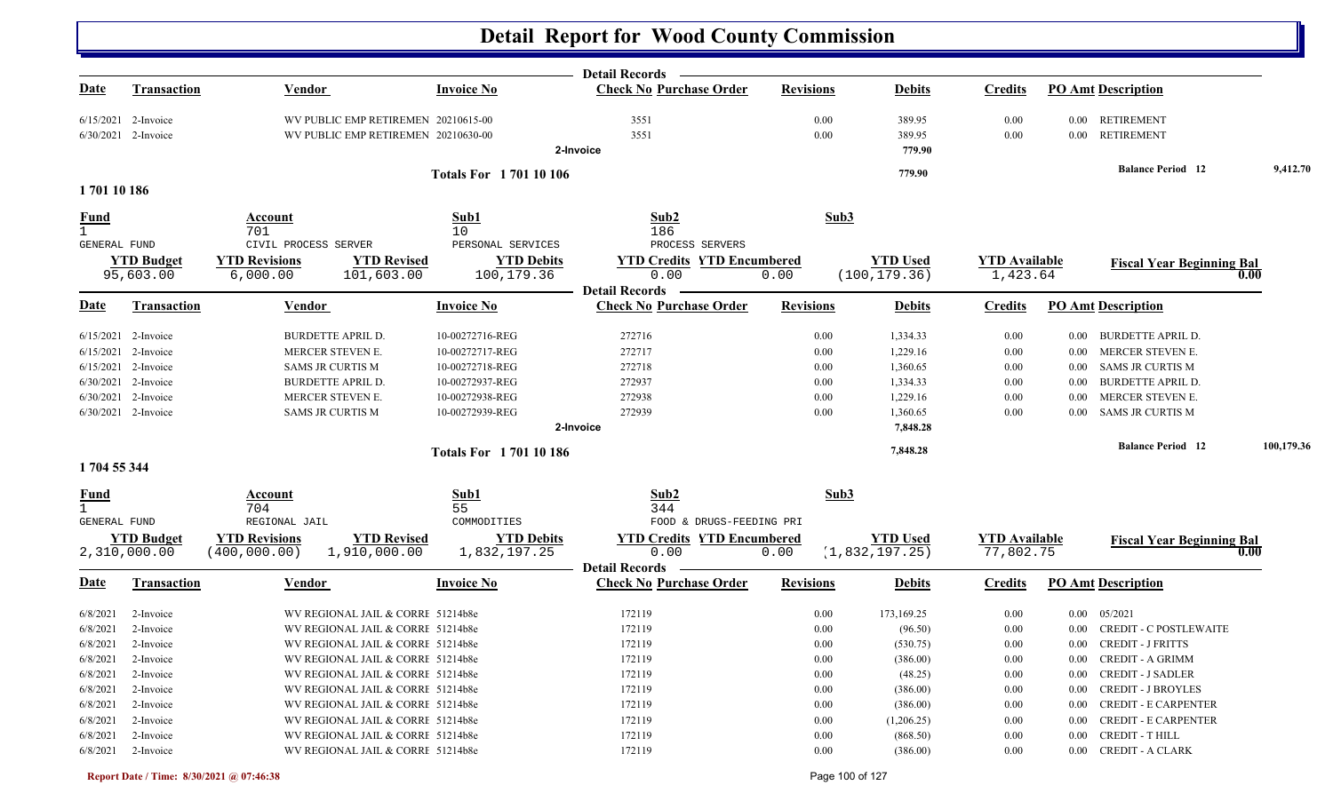|                              |                                |                                                                      |                                 | Detail Records —                          |                  |                                  |                                  |          |                                  |            |
|------------------------------|--------------------------------|----------------------------------------------------------------------|---------------------------------|-------------------------------------------|------------------|----------------------------------|----------------------------------|----------|----------------------------------|------------|
| <u>Date</u>                  | <b>Transaction</b>             | <b>Vendor</b>                                                        | <b>Invoice No</b>               | <b>Check No Purchase Order</b>            | <b>Revisions</b> | <b>Debits</b>                    | <b>Credits</b>                   |          | <b>PO Amt Description</b>        |            |
|                              | $6/15/2021$ 2-Invoice          | WV PUBLIC EMP RETIREMEN 20210615-00                                  |                                 | 3551                                      | 0.00             | 389.95                           | 0.00                             |          | 0.00 RETIREMENT                  |            |
|                              | 6/30/2021 2-Invoice            | WV PUBLIC EMP RETIREMEN 20210630-00                                  |                                 | 3551                                      | 0.00             | 389.95                           | 0.00                             |          | 0.00 RETIREMENT                  |            |
|                              |                                |                                                                      |                                 | 2-Invoice                                 |                  | 779.90                           |                                  |          |                                  |            |
|                              |                                |                                                                      | <b>Totals For 170110106</b>     |                                           |                  | 779.90                           |                                  |          | <b>Balance Period 12</b>         | 9,412.70   |
| 170110186                    |                                |                                                                      |                                 |                                           |                  |                                  |                                  |          |                                  |            |
| <b>Fund</b>                  |                                | Account                                                              | Sub1                            | Sub2                                      | Sub3             |                                  |                                  |          |                                  |            |
| $\mathbf{1}$                 |                                | 701                                                                  | 10                              | 186                                       |                  |                                  |                                  |          |                                  |            |
| GENERAL FUND                 |                                | CIVIL PROCESS SERVER                                                 | PERSONAL SERVICES               | PROCESS SERVERS                           |                  |                                  |                                  |          |                                  |            |
|                              | <b>YTD Budget</b><br>95,603.00 | <b>YTD</b> Revised<br><b>YTD Revisions</b><br>101,603.00<br>6,000.00 | <b>YTD Debits</b><br>100,179.36 | <b>YTD Credits YTD Encumbered</b><br>0.00 | 0.00             | <b>YTD</b> Used<br>(100, 179.36) | <b>YTD Available</b><br>1,423.64 |          | <b>Fiscal Year Beginning Bal</b> | 0.00       |
|                              |                                |                                                                      |                                 | <b>Detail Records</b>                     |                  |                                  |                                  |          |                                  |            |
| <b>Date</b>                  | <b>Transaction</b>             | <b>Vendor</b>                                                        | <b>Invoice No</b>               | <b>Check No Purchase Order</b>            | <b>Revisions</b> | <b>Debits</b>                    | <b>Credits</b>                   |          | <b>PO Amt Description</b>        |            |
|                              | $6/15/2021$ 2-Invoice          | <b>BURDETTE APRIL D.</b>                                             | 10-00272716-REG                 | 272716                                    | 0.00             | 1,334.33                         | 0.00                             | $0.00\,$ | <b>BURDETTE APRIL D.</b>         |            |
|                              | $6/15/2021$ 2-Invoice          | MERCER STEVEN E.                                                     | 10-00272717-REG                 | 272717                                    | 0.00             | 1,229.16                         | 0.00                             | $0.00\,$ | MERCER STEVEN E.                 |            |
|                              | 6/15/2021 2-Invoice            | <b>SAMS JR CURTIS M</b>                                              | 10-00272718-REG                 | 272718                                    | 0.00             | 1,360.65                         | 0.00                             | $0.00\,$ | SAMS JR CURTIS M                 |            |
|                              | 6/30/2021 2-Invoice            | <b>BURDETTE APRIL D.</b>                                             | 10-00272937-REG                 | 272937                                    | 0.00             | 1,334.33                         | 0.00                             | $0.00\,$ | <b>BURDETTE APRIL D.</b>         |            |
|                              | 6/30/2021 2-Invoice            | MERCER STEVEN E.                                                     | 10-00272938-REG                 | 272938                                    | 0.00             | 1,229.16                         | 0.00                             | 0.00     | MERCER STEVEN E.                 |            |
|                              | 6/30/2021 2-Invoice            | <b>SAMS JR CURTIS M</b>                                              | 10-00272939-REG                 | 272939                                    | 0.00             | 1,360.65                         | 0.00                             | $0.00\,$ | SAMS JR CURTIS M                 |            |
|                              |                                |                                                                      |                                 | 2-Invoice                                 |                  | 7,848.28                         |                                  |          |                                  |            |
|                              |                                |                                                                      | <b>Totals For 170110186</b>     |                                           |                  | 7,848.28                         |                                  |          | <b>Balance Period 12</b>         | 100,179.36 |
| 1704 55 344                  |                                |                                                                      |                                 |                                           |                  |                                  |                                  |          |                                  |            |
| <b>Fund</b>                  |                                | Account                                                              | Sub1                            | Sub2                                      | Sub3             |                                  |                                  |          |                                  |            |
| $\mathbf{1}$<br>GENERAL FUND |                                | 704<br>REGIONAL JAIL                                                 | 55<br>COMMODITIES               | 344<br>FOOD & DRUGS-FEEDING PRI           |                  |                                  |                                  |          |                                  |            |
|                              | <b>YTD Budget</b>              | <b>YTD Revisions</b><br><b>YTD Revised</b>                           | <b>YTD Debits</b>               | <b>YTD Credits YTD Encumbered</b>         |                  | <b>YTD Used</b>                  | <b>YTD</b> Available             |          | <b>Fiscal Year Beginning Bal</b> |            |
|                              | 2,310,000.00                   | 1,910,000.00<br>(400, 000.00)                                        | 1,832,197.25                    | 0.00                                      | 0.00             | (1, 832, 197.25)                 | 77,802.75                        |          |                                  | 0.00       |
|                              |                                |                                                                      |                                 | <b>Detail Records</b>                     |                  |                                  |                                  |          |                                  |            |
| <u>Date</u>                  | Transaction                    | <b>Vendor</b>                                                        | <b>Invoice No</b>               | <b>Check No Purchase Order</b>            | <b>Revisions</b> | <b>Debits</b>                    | <b>Credits</b>                   |          | <b>PO Amt Description</b>        |            |
| 6/8/2021                     | 2-Invoice                      | WV REGIONAL JAIL & CORRE 51214b8e                                    |                                 | 172119                                    | 0.00             | 173,169.25                       | 0.00                             | $0.00\,$ | 05/2021                          |            |
| 6/8/2021                     | 2-Invoice                      | WV REGIONAL JAIL & CORRE 51214b8e                                    |                                 | 172119                                    | 0.00             | (96.50)                          | 0.00                             | 0.00     | <b>CREDIT - C POSTLEWAITE</b>    |            |
| 6/8/2021                     | 2-Invoice                      | WV REGIONAL JAIL & CORRI 51214b8e                                    |                                 | 172119                                    | 0.00             | (530.75)                         | 0.00                             |          | 0.00 CREDIT - J FRITTS           |            |
| 6/8/2021                     | 2-Invoice                      | WV REGIONAL JAIL & CORRI 51214b8e                                    |                                 | 172119                                    | 0.00             | (386.00)                         | 0.00                             |          | 0.00 CREDIT - A GRIMM            |            |
| 6/8/2021                     | 2-Invoice                      | WV REGIONAL JAIL & CORRI 51214b8e                                    |                                 | 172119                                    | 0.00             | (48.25)                          | 0.00                             |          | 0.00 CREDIT - J SADLER           |            |
| 6/8/2021                     | 2-Invoice                      | WV REGIONAL JAIL & CORRI 51214b8e                                    |                                 | 172119                                    | $0.00\,$         | (386.00)                         | 0.00                             | $0.00\,$ | CREDIT - J BROYLES               |            |
|                              | $6/8/2021$ 2-Invoice           | WV REGIONAL JAIL & CORRI 51214b8e                                    |                                 | 172119                                    | $0.00\,$         | (386.00)                         | 0.00                             | $0.00\,$ | CREDIT - E CARPENTER             |            |
| 6/8/2021                     | 2-Invoice                      | WV REGIONAL JAIL & CORRI 51214b8e                                    |                                 | 172119                                    | $0.00\,$         | (1,206.25)                       | 0.00                             | 0.00     | <b>CREDIT - E CARPENTER</b>      |            |
| 6/8/2021                     | 2-Invoice                      | WV REGIONAL JAIL & CORRI 51214b8e                                    |                                 | 172119                                    | $0.00\,$         | (868.50)                         | 0.00                             | $0.00\,$ | CREDIT - T HILL                  |            |
| 6/8/2021                     | 2-Invoice                      | WV REGIONAL JAIL & CORRI 51214b8e                                    |                                 | 172119                                    | $0.00\,$         | (386.00)                         | $0.00\,$                         |          | 0.00 CREDIT - A CLARK            |            |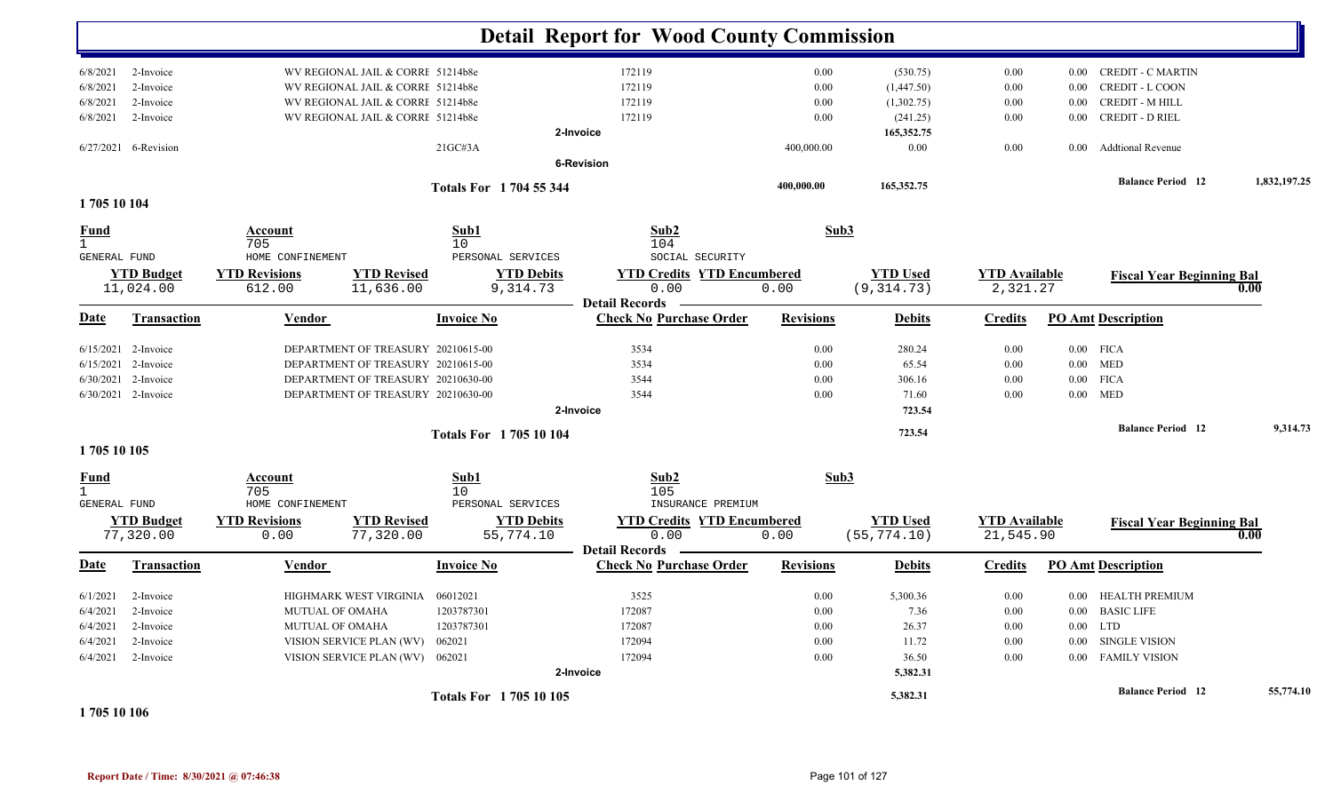|                                             |                                |                                    |                                    |                                 | <b>Detail Report for Wood County Commission</b>                    |                  |                                 |                                   |          |                                  |              |
|---------------------------------------------|--------------------------------|------------------------------------|------------------------------------|---------------------------------|--------------------------------------------------------------------|------------------|---------------------------------|-----------------------------------|----------|----------------------------------|--------------|
|                                             |                                |                                    |                                    |                                 |                                                                    |                  |                                 |                                   |          |                                  |              |
| 6/8/2021                                    | 2-Invoice                      |                                    | WV REGIONAL JAIL & CORRI 51214b8e  |                                 | 172119                                                             | 0.00             | (530.75)                        | 0.00                              | $0.00\,$ | <b>CREDIT - C MARTIN</b>         |              |
| 6/8/2021                                    | 2-Invoice                      |                                    | WV REGIONAL JAIL & CORRE 51214b8e  |                                 | 172119                                                             | 0.00             | (1,447.50)                      | 0.00                              | 0.00     | <b>CREDIT - L COON</b>           |              |
| 6/8/2021                                    | 2-Invoice                      |                                    | WV REGIONAL JAIL & CORRI 51214b8e  |                                 | 172119                                                             | 0.00             | (1,302.75)                      | 0.00                              | 0.00     | <b>CREDIT - M HILL</b>           |              |
| 6/8/2021                                    | 2-Invoice                      |                                    | WV REGIONAL JAIL & CORRI 51214b8e  |                                 | 172119                                                             | 0.00             | (241.25)                        | 0.00                              | 0.00     | <b>CREDIT - D RIEL</b>           |              |
|                                             |                                |                                    |                                    |                                 | 2-Invoice                                                          |                  | 165,352.75                      |                                   |          |                                  |              |
|                                             | 6/27/2021 6-Revision           |                                    |                                    | 21GCH3A                         | <b>6-Revision</b>                                                  | 400,000.00       | 0.00                            | 0.00                              | $0.00\,$ | <b>Addtional Revenue</b>         |              |
|                                             |                                |                                    |                                    |                                 |                                                                    | 400,000.00       | 165,352.75                      |                                   |          | <b>Balance Period 12</b>         | 1,832,197.25 |
| 1705 10 104                                 |                                |                                    |                                    | <b>Totals For 1704 55 344</b>   |                                                                    |                  |                                 |                                   |          |                                  |              |
| Fund<br>$\mathbf{1}$<br><b>GENERAL FUND</b> |                                | Account<br>705<br>HOME CONFINEMENT |                                    | Sub1<br>10<br>PERSONAL SERVICES | Sub2<br>104<br>SOCIAL SECURITY                                     | Sub3             |                                 |                                   |          |                                  |              |
|                                             | <b>YTD Budget</b><br>11,024.00 | <b>YTD Revisions</b><br>612.00     | <b>YTD Revised</b><br>11,636.00    | <b>YTD Debits</b><br>9,314.73   | <b>YTD Credits YTD Encumbered</b><br>0.00                          | 0.00             | <b>YTD Used</b><br>(9, 314.73)  | <b>YTD</b> Available<br>2,321.27  |          | <b>Fiscal Year Beginning Bal</b> | 0.00         |
|                                             |                                |                                    |                                    |                                 | <b>Detail Records</b>                                              |                  |                                 |                                   |          |                                  |              |
| <u>Date</u>                                 | <b>Transaction</b>             | <b>Vendor</b>                      |                                    | <b>Invoice No</b>               | <b>Check No Purchase Order</b>                                     | <b>Revisions</b> | <b>Debits</b>                   | <b>Credits</b>                    |          | <b>PO Amt Description</b>        |              |
| 6/15/2021                                   | 2-Invoice                      |                                    | DEPARTMENT OF TREASURY 20210615-00 |                                 | 3534                                                               | 0.00             | 280.24                          | 0.00                              |          | $0.00$ FICA                      |              |
| 6/15/2021                                   | 2-Invoice                      |                                    | DEPARTMENT OF TREASURY 20210615-00 |                                 | 3534                                                               | 0.00             | 65.54                           | 0.00                              |          | $0.00$ MED                       |              |
|                                             | 6/30/2021 2-Invoice            |                                    | DEPARTMENT OF TREASURY 20210630-00 |                                 | 3544                                                               | 0.00             | 306.16                          | 0.00                              |          | $0.00$ FICA                      |              |
|                                             | 6/30/2021 2-Invoice            |                                    | DEPARTMENT OF TREASURY 20210630-00 |                                 | 3544                                                               | 0.00             | 71.60                           | 0.00                              |          | $0.00$ MED                       |              |
|                                             |                                |                                    |                                    |                                 | 2-Invoice                                                          |                  | 723.54                          |                                   |          |                                  |              |
|                                             |                                |                                    |                                    | <b>Totals For 170510104</b>     |                                                                    |                  | 723.54                          |                                   |          | <b>Balance Period 12</b>         | 9,314.73     |
| 1705 10 105                                 |                                |                                    |                                    |                                 |                                                                    |                  |                                 |                                   |          |                                  |              |
| <u>Fund</u><br>$\mathbf{1}$<br>GENERAL FUND |                                | Account<br>705<br>HOME CONFINEMENT |                                    | Sub1<br>10<br>PERSONAL SERVICES | Sub2<br>105<br>INSURANCE PREMIUM                                   |                  | Sub3                            |                                   |          |                                  |              |
|                                             | <b>YTD Budget</b><br>77,320.00 | <b>YTD Revisions</b><br>0.00       | <b>YTD Revised</b><br>77,320.00    | <b>YTD Debits</b><br>55,774.10  | <b>YTD Credits YTD Encumbered</b><br>0.00<br><b>Detail Records</b> | 0.00             | <b>YTD Used</b><br>(55, 774.10) | <b>YTD Available</b><br>21,545.90 |          | <b>Fiscal Year Beginning Bal</b> | 0.00         |
| Date                                        | Transaction                    | Vendor                             |                                    | <b>Invoice No</b>               | <b>Check No Purchase Order</b>                                     | <b>Revisions</b> | <b>Debits</b>                   | <b>Credits</b>                    |          | <b>PO Amt Description</b>        |              |
| 6/1/2021                                    | 2-Invoice                      |                                    | HIGHMARK WEST VIRGINIA             | 06012021                        | 3525                                                               | 0.00             | 5,300.36                        | 0.00                              | $0.00\,$ | <b>HEALTH PREMIUM</b>            |              |
| 6/4/2021                                    | 2-Invoice                      | MUTUAL OF OMAHA                    |                                    | 1203787301                      | 172087                                                             | 0.00             | 7.36                            | 0.00                              | $0.00\,$ | <b>BASIC LIFE</b>                |              |
| 6/4/2021                                    | 2-Invoice                      | <b>MUTUAL OF OMAHA</b>             |                                    | 1203787301                      | 172087                                                             | 0.00             | 26.37                           | 0.00                              | $0.00\,$ | <b>LTD</b>                       |              |
| 6/4/2021                                    | 2-Invoice                      |                                    | VISION SERVICE PLAN (WV)           | 062021                          | 172094                                                             | 0.00             | 11.72                           | 0.00                              | 0.00     | <b>SINGLE VISION</b>             |              |
| 6/4/2021                                    | 2-Invoice                      |                                    | VISION SERVICE PLAN (WV) 062021    |                                 | 172094                                                             | 0.00             | 36.50                           | 0.00                              |          | 0.00 FAMILY VISION               |              |
|                                             |                                |                                    |                                    |                                 | 2-Invoice                                                          |                  | 5,382.31                        |                                   |          |                                  |              |
|                                             |                                |                                    |                                    | <b>Totals For 170510105</b>     |                                                                    |                  | 5,382.31                        |                                   |          | <b>Balance Period 12</b>         | 55,774.10    |

**1 705 10 106**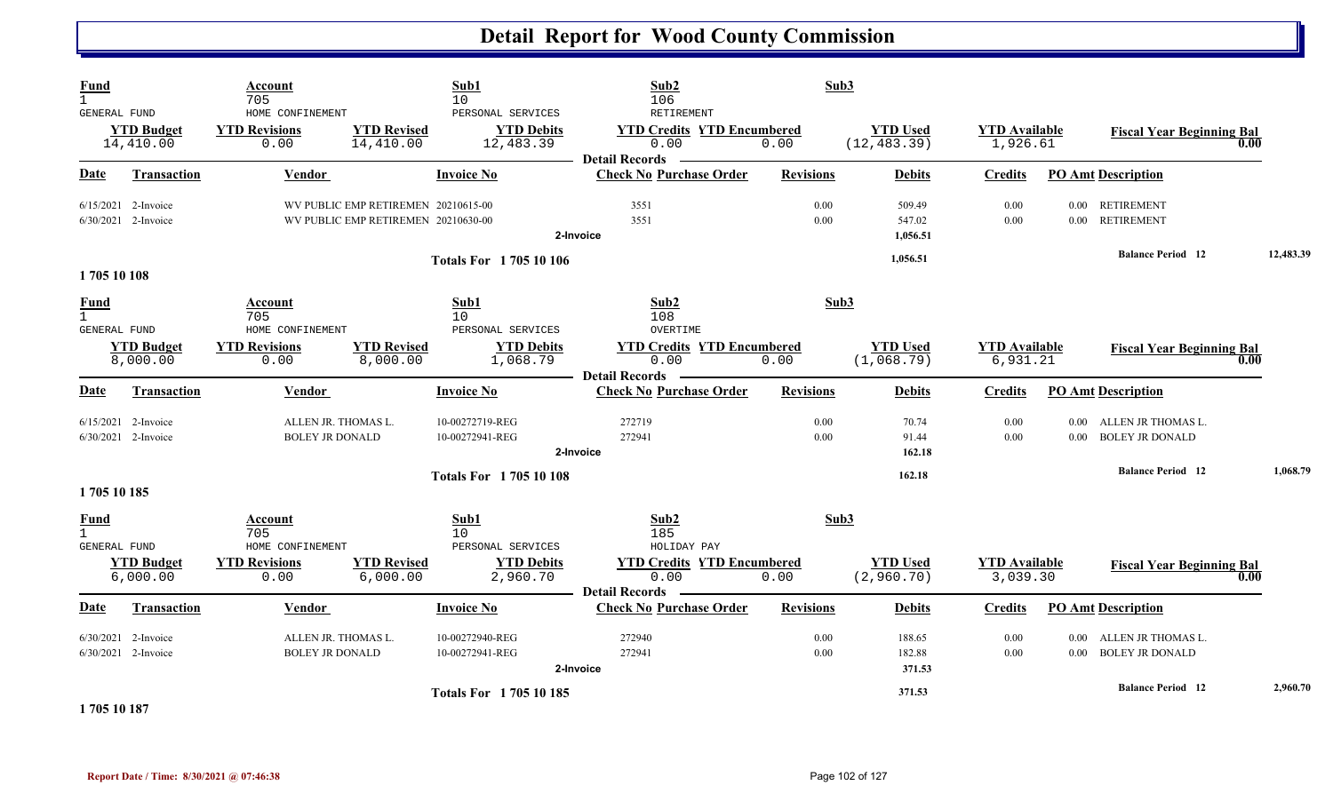| Fund<br>$\mathbf{1}$                               |                                                | Account<br>705                                   |                                                                            | Sub1<br>10                                          | Sub2<br>106                                                        | Sub3             |                                 |                                  |                               |                                                 |           |
|----------------------------------------------------|------------------------------------------------|--------------------------------------------------|----------------------------------------------------------------------------|-----------------------------------------------------|--------------------------------------------------------------------|------------------|---------------------------------|----------------------------------|-------------------------------|-------------------------------------------------|-----------|
| <b>GENERAL FUND</b>                                | <b>YTD Budget</b><br>14,410.00                 | HOME CONFINEMENT<br><b>YTD Revisions</b><br>0.00 | <b>YTD Revised</b><br>14,410.00                                            | PERSONAL SERVICES<br><b>YTD Debits</b><br>12,483.39 | RETIREMENT<br><b>YTD Credits YTD Encumbered</b><br>0.00            | 0.00             | <b>YTD Used</b><br>(12, 483.39) | <b>YTD Available</b><br>1,926.61 |                               | <b>Fiscal Year Beginning Bal</b><br>0.00        |           |
| Date                                               | <b>Transaction</b>                             | <b>Vendor</b>                                    |                                                                            | <b>Invoice No</b>                                   | <b>Detail Records</b><br><b>Check No Purchase Order</b>            | <b>Revisions</b> | <b>Debits</b>                   | <b>Credits</b>                   |                               | <b>PO Amt Description</b>                       |           |
|                                                    | $6/15/2021$ 2-Invoice<br>6/30/2021 2-Invoice   |                                                  | WV PUBLIC EMP RETIREMEN 20210615-00<br>WV PUBLIC EMP RETIREMEN 20210630-00 |                                                     | 3551<br>3551<br>2-Invoice                                          | 0.00<br>0.00     | 509.49<br>547.02<br>1,056.51    | 0.00<br>0.00                     | 0.00                          | 0.00 RETIREMENT<br><b>RETIREMENT</b>            |           |
| 1705 10 108                                        |                                                |                                                  |                                                                            | <b>Totals For 170510106</b>                         |                                                                    |                  | 1,056.51                        |                                  |                               | <b>Balance Period 12</b>                        | 12,483.39 |
| <b>Fund</b><br>$\mathbf{1}$<br><b>GENERAL FUND</b> |                                                | Account<br>705<br>HOME CONFINEMENT               |                                                                            | Sub1<br>10<br>PERSONAL SERVICES                     | Sub2<br>108<br>OVERTIME                                            | Sub3             |                                 |                                  |                               |                                                 |           |
|                                                    | <b>YTD Budget</b><br>8,000.00                  | <b>YTD Revisions</b><br>0.00                     | <b>YTD Revised</b><br>8,000.00                                             | <b>YTD Debits</b><br>1,068.79                       | <b>YTD Credits YTD Encumbered</b><br>0.00<br><b>Detail Records</b> | 0.00             | <b>YTD Used</b><br>(1,068.79)   | <b>YTD Available</b><br>6,931.21 |                               | <b>Fiscal Year Beginning Bal</b><br>0.00        |           |
| Date                                               | <b>Transaction</b>                             | Vendor                                           |                                                                            | <b>Invoice No</b>                                   | <b>Check No Purchase Order</b>                                     | <b>Revisions</b> | <b>Debits</b>                   | <b>Credits</b>                   |                               | <b>PO Amt Description</b>                       |           |
|                                                    | $6/15/2021$ 2-Invoice<br>6/30/2021 2-Invoice   | ALLEN JR. THOMAS L.<br><b>BOLEY JR DONALD</b>    |                                                                            | 10-00272719-REG<br>10-00272941-REG                  | 272719<br>272941<br>2-Invoice                                      | 0.00<br>0.00     | 70.74<br>91.44<br>162.18        | 0.00<br>0.00                     |                               | 0.00 ALLEN JR THOMAS L.<br>0.00 BOLEY JR DONALD |           |
| 1705 10 185                                        |                                                |                                                  |                                                                            | <b>Totals For 170510108</b>                         |                                                                    |                  | 162.18                          |                                  |                               | <b>Balance Period</b> 12                        | 1,068.79  |
| Fund<br>$\mathbf{1}$<br><b>GENERAL FUND</b>        |                                                | Account<br>705<br>HOME CONFINEMENT               |                                                                            | Sub1<br>10<br>PERSONAL SERVICES                     | Sub2<br>185<br>HOLIDAY PAY                                         | Sub3             |                                 |                                  |                               |                                                 |           |
|                                                    | <b>YTD Budget</b><br>6,000.00                  | <b>YTD Revisions</b><br>0.00                     | <b>YTD Revised</b><br>6,000.00                                             | <b>YTD Debits</b><br>2,960.70                       | <b>YTD Credits YTD Encumbered</b><br>0.00                          | 0.00             | <b>YTD Used</b><br>(2,960.70)   | <b>YTD Available</b><br>3,039.30 |                               | <b>Fiscal Year Beginning Bal</b><br>0.00        |           |
| Date                                               | <b>Transaction</b>                             | Vendor                                           |                                                                            | <b>Invoice No</b>                                   | <b>Detail Records</b><br><b>Check No Purchase Order</b>            | <b>Revisions</b> | <b>Debits</b>                   | <b>Credits</b>                   |                               | <b>PO Amt Description</b>                       |           |
|                                                    | $6/30/2021$ 2-Invoice<br>$6/30/2021$ 2-Invoice | ALLEN JR. THOMAS L.<br><b>BOLEY JR DONALD</b>    |                                                                            | 10-00272940-REG<br>10-00272941-REG                  | 272940<br>272941<br>2-Invoice                                      | 0.00<br>0.00     | 188.65<br>182.88<br>371.53      | 0.00<br>0.00                     | $0.00\,$<br>0.00 <sub>1</sub> | ALLEN JR THOMAS L.<br><b>BOLEY JR DONALD</b>    |           |
|                                                    | $\cdots$                                       |                                                  |                                                                            | <b>Totals For 170510185</b>                         |                                                                    |                  | 371.53                          |                                  |                               | <b>Balance Period</b> 12                        | 2,960.70  |

**1 705 10 187**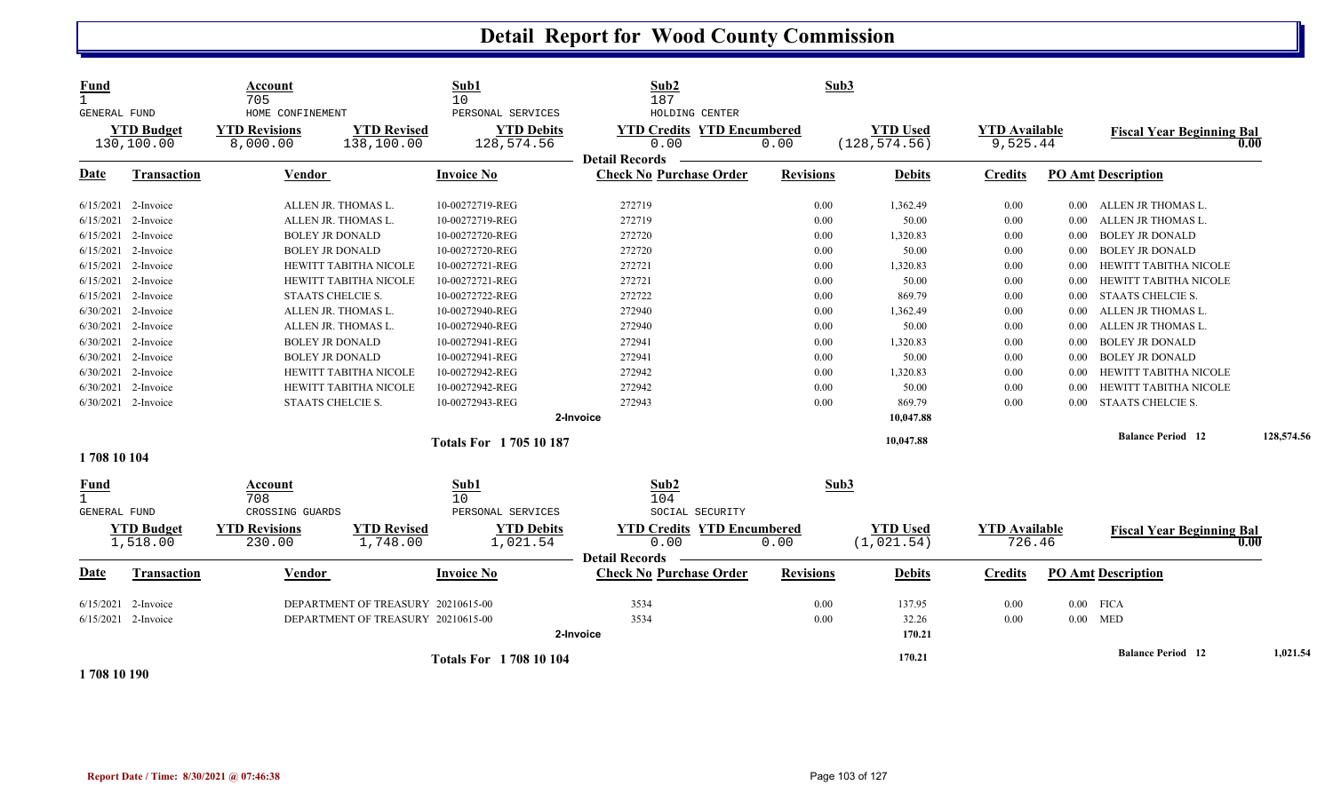| <b>Fund</b><br>$\mathbf{1}$<br>GENERAL FUND        | <b>YTD Budget</b>                | Account<br>705<br>HOME CONFINEMENT<br><b>YTD Revisions</b> | <b>YTD Revised</b>                                                       | Sub1<br>10<br>PERSONAL SERVICES<br><b>YTD Debits</b> | Sub2<br>187<br>HOLDING CENTER<br><b>YTD Credits YTD Encumbered</b> | Sub3             | <b>YTD</b> Used                | <b>YTD Available</b>           |          | <b>Fiscal Year Beginning Bal</b>         |            |
|----------------------------------------------------|----------------------------------|------------------------------------------------------------|--------------------------------------------------------------------------|------------------------------------------------------|--------------------------------------------------------------------|------------------|--------------------------------|--------------------------------|----------|------------------------------------------|------------|
|                                                    | 130,100.00                       | 8,000.00                                                   | 138,100.00                                                               | 128,574.56                                           | 0.00                                                               | 0.00             | (128, 574.56)                  | 9,525.44                       |          | 0.00                                     |            |
| Date                                               | <b>Transaction</b>               | Vendor                                                     |                                                                          | <b>Invoice No</b>                                    | <b>Detail Records</b><br><b>Check No Purchase Order</b>            | <b>Revisions</b> | <b>Debits</b>                  | <b>Credits</b>                 |          | <b>PO Amt Description</b>                |            |
|                                                    | 6/15/2021 2-Invoice              | ALLEN JR. THOMAS L.                                        |                                                                          | 10-00272719-REG                                      | 272719                                                             | 0.00             | 1,362.49                       | 0.00                           | $0.00\,$ | ALLEN JR THOMAS L.                       |            |
|                                                    | 6/15/2021 2-Invoice              | ALLEN JR. THOMAS L.                                        |                                                                          | 10-00272719-REG                                      | 272719                                                             | 0.00             | 50.00                          | 0.00                           | 0.00     | ALLEN JR THOMAS L.                       |            |
|                                                    | 6/15/2021 2-Invoice              | <b>BOLEY JR DONALD</b>                                     |                                                                          | 10-00272720-REG                                      | 272720                                                             | 0.00             | 1,320.83                       | 0.00                           | 0.00     | <b>BOLEY JR DONALD</b>                   |            |
|                                                    | 6/15/2021 2-Invoice              | <b>BOLEY JR DONALD</b>                                     |                                                                          | 10-00272720-REG                                      | 272720                                                             | 0.00             | 50.00                          | 0.00                           | 0.00     | <b>BOLEY JR DONALD</b>                   |            |
|                                                    | 6/15/2021 2-Invoice              |                                                            | <b>HEWITT TABITHA NICOLE</b>                                             | 10-00272721-REG                                      | 272721                                                             | 0.00             | 1,320.83                       | 0.00                           | 0.00     | HEWITT TABITHA NICOLE                    |            |
|                                                    | 6/15/2021 2-Invoice              |                                                            | HEWITT TABITHA NICOLE                                                    | 10-00272721-REG                                      | 272721                                                             | 0.00             | 50.00                          | 0.00                           | 0.00     | HEWITT TABITHA NICOLE                    |            |
|                                                    | 6/15/2021 2-Invoice              | STAATS CHELCIE S.                                          |                                                                          | 10-00272722-REG                                      | 272722                                                             | 0.00             | 869.79                         | 0.00                           | 0.00     | <b>STAATS CHELCIE S.</b>                 |            |
|                                                    | 6/30/2021 2-Invoice              | ALLEN JR. THOMAS L.                                        |                                                                          | 10-00272940-REG                                      | 272940                                                             | 0.00             | 1,362.49                       | 0.00                           | 0.00     | ALLEN JR THOMAS L.                       |            |
|                                                    | 6/30/2021 2-Invoice              | ALLEN JR. THOMAS L.                                        |                                                                          | 10-00272940-REG                                      | 272940                                                             | 0.00             | 50.00                          | 0.00                           | 0.00     | ALLEN JR THOMAS L.                       |            |
|                                                    | 6/30/2021 2-Invoice              | <b>BOLEY JR DONALD</b>                                     |                                                                          | 10-00272941-REG                                      | 272941                                                             | 0.00             | 1,320.83                       | 0.00                           | 0.00     | <b>BOLEY JR DONALD</b>                   |            |
|                                                    | 6/30/2021 2-Invoice              | <b>BOLEY JR DONALD</b>                                     |                                                                          | 10-00272941-REG                                      | 272941                                                             | 0.00             | 50.00                          | 0.00                           | 0.00     | <b>BOLEY JR DONALD</b>                   |            |
|                                                    | 6/30/2021 2-Invoice              |                                                            | <b>HEWITT TABITHA NICOLE</b>                                             | 10-00272942-REG                                      | 272942                                                             | 0.00             | 1,320.83                       | 0.00                           | 0.00     | HEWITT TABITHA NICOLE                    |            |
|                                                    | 6/30/2021 2-Invoice              |                                                            | HEWITT TABITHA NICOLE                                                    | 10-00272942-REG                                      | 272942                                                             | 0.00             | 50.00                          | 0.00                           | 0.00     | HEWITT TABITHA NICOLE                    |            |
|                                                    | 6/30/2021 2-Invoice              | STAATS CHELCIE S.                                          |                                                                          | 10-00272943-REG                                      | 272943                                                             | 0.00             | 869.79                         | 0.00                           | 0.00     | <b>STAATS CHELCIE S.</b>                 |            |
|                                                    |                                  |                                                            |                                                                          |                                                      | 2-Invoice                                                          |                  | 10,047.88                      |                                |          |                                          |            |
|                                                    |                                  |                                                            |                                                                          | <b>Totals For 170510187</b>                          |                                                                    |                  | 10,047.88                      |                                |          | <b>Balance Period 12</b>                 | 128,574.56 |
| 1708 10 104                                        |                                  |                                                            |                                                                          |                                                      |                                                                    |                  |                                |                                |          |                                          |            |
| <u>Fund</u><br>$\mathbf{1}$<br><b>GENERAL FUND</b> |                                  | Account<br>708<br>CROSSING GUARDS                          |                                                                          | Sub1<br>10<br>PERSONAL SERVICES                      | Sub2<br>104<br>SOCIAL SECURITY                                     | Sub3             |                                |                                |          |                                          |            |
|                                                    | <b>YTD Budget</b><br>1,518.00    | <b>YTD Revisions</b><br>230.00                             | <b>YTD Revised</b><br>1,748.00                                           | <b>YTD Debits</b><br>1,021.54                        | <b>YTD Credits YTD Encumbered</b><br>0.00<br><b>Detail Records</b> | 0.00             | <b>YTD Used</b><br>(1, 021.54) | <b>YTD Available</b><br>726.46 |          | <b>Fiscal Year Beginning Bal</b><br>0.00 |            |
| Date                                               | Transaction                      | <b>Vendor</b>                                              |                                                                          | <b>Invoice No</b>                                    | <b>Check No Purchase Order</b>                                     | <b>Revisions</b> | <b>Debits</b>                  | <b>Credits</b>                 |          | <b>PO Amt Description</b>                |            |
| 6/15/2021                                          | 2-Invoice<br>6/15/2021 2-Invoice |                                                            | DEPARTMENT OF TREASURY 20210615-00<br>DEPARTMENT OF TREASURY 20210615-00 |                                                      | 3534<br>3534<br>2-Invoice                                          | 0.00<br>0.00     | 137.95<br>32.26<br>170.21      | 0.00<br>0.00                   |          | $0.00$ FICA<br>$0.00$ MED                |            |
|                                                    |                                  |                                                            |                                                                          | <b>Totals For 1708 10 104</b>                        |                                                                    |                  | 170.21                         |                                |          | <b>Balance Period 12</b>                 | 1,021.54   |

**1 708 10 190**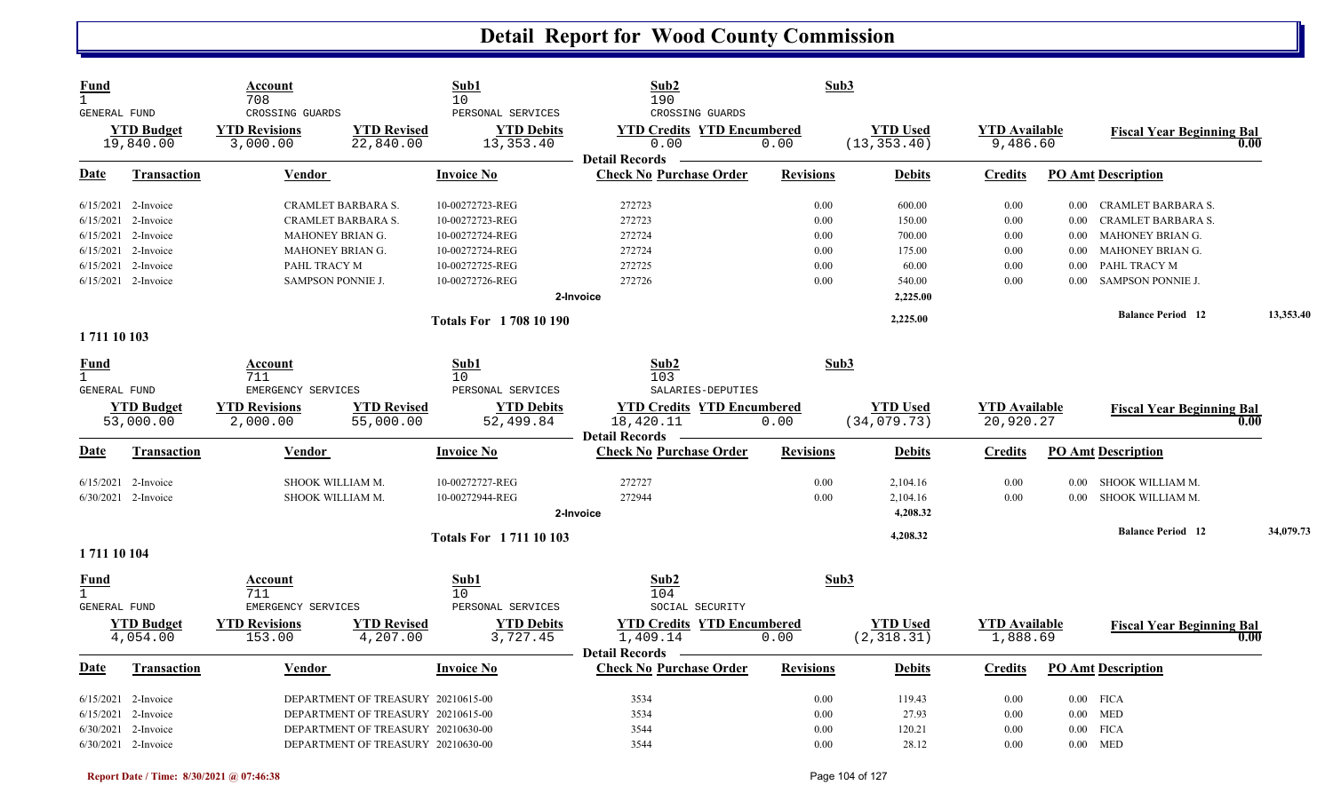| <b>Fund</b><br>$\mathbf{1}$<br>GENERAL FUND |                                | Account<br>708<br>CROSSING GUARDS |                                    | Sub1<br>10<br>PERSONAL SERVICES  | Sub2<br>190<br>CROSSING GUARDS                                     | Sub3             |                                 |                                  |          |                                  |           |
|---------------------------------------------|--------------------------------|-----------------------------------|------------------------------------|----------------------------------|--------------------------------------------------------------------|------------------|---------------------------------|----------------------------------|----------|----------------------------------|-----------|
|                                             | <b>YTD Budget</b><br>19,840.00 | <b>YTD Revisions</b><br>3,000.00  | <b>YTD Revised</b><br>22,840.00    | <b>YTD Debits</b><br>13, 353. 40 | <b>YTD Credits YTD Encumbered</b><br>0.00<br><b>Detail Records</b> | 0.00             | <b>YTD Used</b><br>(13, 353.40) | <b>YTD Available</b><br>9,486.60 |          | <b>Fiscal Year Beginning Bal</b> | 0.00      |
| Date                                        | <b>Transaction</b>             | Vendor                            |                                    | <b>Invoice No</b>                | <b>Check No Purchase Order</b>                                     | <b>Revisions</b> | <b>Debits</b>                   | <b>Credits</b>                   |          | <b>PO Amt Description</b>        |           |
|                                             | 6/15/2021 2-Invoice            | CRAMLET BARBARA S.                |                                    | 10-00272723-REG                  | 272723                                                             | 0.00             | 600.00                          | 0.00                             | $0.00\,$ | CRAMLET BARBARA S.               |           |
|                                             | 6/15/2021 2-Invoice            | CRAMLET BARBARA S.                |                                    | 10-00272723-REG                  | 272723                                                             | 0.00             | 150.00                          | 0.00                             | $0.00\,$ | CRAMLET BARBARA S.               |           |
|                                             | 6/15/2021 2-Invoice            | MAHONEY BRIAN G.                  |                                    | 10-00272724-REG                  | 272724                                                             | 0.00             | 700.00                          | 0.00                             | $0.00\,$ | MAHONEY BRIAN G.                 |           |
|                                             | 6/15/2021 2-Invoice            | MAHONEY BRIAN G.                  |                                    | 10-00272724-REG                  | 272724                                                             | 0.00             | 175.00                          | 0.00                             | $0.00\,$ | MAHONEY BRIAN G.                 |           |
|                                             | 6/15/2021 2-Invoice            | PAHL TRACY M                      |                                    | 10-00272725-REG                  | 272725                                                             | 0.00             | 60.00                           | 0.00                             | 0.00     | PAHL TRACY M                     |           |
|                                             | 6/15/2021 2-Invoice            | SAMPSON PONNIE J.                 |                                    | 10-00272726-REG                  | 272726                                                             | 0.00             | 540.00                          | 0.00                             | $0.00\,$ | <b>SAMPSON PONNIE J.</b>         |           |
|                                             |                                |                                   |                                    |                                  | 2-Invoice                                                          |                  | 2,225.00                        |                                  |          |                                  |           |
|                                             |                                |                                   |                                    | <b>Totals For 1708 10 190</b>    |                                                                    |                  | 2,225.00                        |                                  |          | <b>Balance Period</b> 12         | 13,353.40 |
| 1711 10 103                                 |                                |                                   |                                    |                                  |                                                                    |                  |                                 |                                  |          |                                  |           |
| Fund                                        |                                | Account                           |                                    | Sub1                             | Sub2                                                               | Sub3             |                                 |                                  |          |                                  |           |
| $\mathbf{1}$                                |                                | 711                               |                                    | 10                               | 103                                                                |                  |                                 |                                  |          |                                  |           |
| GENERAL FUND                                |                                | EMERGENCY SERVICES                |                                    | PERSONAL SERVICES                | SALARIES-DEPUTIES                                                  |                  |                                 |                                  |          |                                  |           |
|                                             | <b>YTD Budget</b>              | <b>YTD Revisions</b>              | <b>YTD Revised</b>                 | <b>YTD Debits</b>                | <b>YTD Credits YTD Encumbered</b>                                  |                  | <b>YTD Used</b>                 | <b>YTD Available</b>             |          | <b>Fiscal Year Beginning Bal</b> |           |
|                                             | 53,000.00                      | 2,000.00                          | 55,000.00                          | 52,499.84                        | 18,420.11<br><b>Detail Records</b>                                 | 0.00             | (34,079.73)                     | 20,920.27                        |          |                                  | 0.00      |
|                                             |                                |                                   |                                    |                                  | <b>Check No Purchase Order</b>                                     | <b>Revisions</b> |                                 |                                  |          | <b>PO Amt Description</b>        |           |
| Date                                        | <b>Transaction</b>             | Vendor                            |                                    | <b>Invoice No</b>                |                                                                    |                  | <b>Debits</b>                   | <b>Credits</b>                   |          |                                  |           |
|                                             | $6/15/2021$ 2-Invoice          | SHOOK WILLIAM M.                  |                                    | 10-00272727-REG                  | 272727                                                             | 0.00             | 2,104.16                        | 0.00                             | 0.00     | SHOOK WILLIAM M.                 |           |
|                                             | 6/30/2021 2-Invoice            | SHOOK WILLIAM M.                  |                                    | 10-00272944-REG                  | 272944                                                             | 0.00             | 2,104.16                        | 0.00                             | $0.00\,$ | SHOOK WILLIAM M.                 |           |
|                                             |                                |                                   |                                    |                                  | 2-Invoice                                                          |                  | 4,208.32                        |                                  |          |                                  |           |
|                                             |                                |                                   |                                    | Totals For 1711 10 103           |                                                                    |                  | 4,208.32                        |                                  |          | <b>Balance Period</b> 12         | 34,079.73 |
| 1711 10 104                                 |                                |                                   |                                    |                                  |                                                                    |                  |                                 |                                  |          |                                  |           |
| <b>Fund</b>                                 |                                | Account                           |                                    | Sub1                             | Sub2                                                               | Sub3             |                                 |                                  |          |                                  |           |
| $\mathbf{1}$                                |                                | 711                               |                                    | 10                               | 104                                                                |                  |                                 |                                  |          |                                  |           |
| <b>GENERAL FUND</b>                         |                                | EMERGENCY SERVICES                |                                    | PERSONAL SERVICES                | SOCIAL SECURITY                                                    |                  |                                 |                                  |          |                                  |           |
|                                             | <b>YTD Budget</b>              | <b>YTD Revisions</b>              | <b>YTD Revised</b>                 | <b>YTD Debits</b>                | <b>YTD Credits YTD Encumbered</b>                                  |                  | <b>YTD</b> Used                 | <b>YTD Available</b>             |          | <b>Fiscal Year Beginning Bal</b> |           |
|                                             | 4,054.00                       | 153.00                            | 4,207.00                           | 3,727.45                         | 1,409.14                                                           | 0.00             | (2, 318.31)                     | 1,888.69                         |          |                                  | 0.00      |
|                                             |                                |                                   |                                    |                                  | <b>Detail Records</b>                                              |                  |                                 |                                  |          |                                  |           |
| Date                                        | <b>Transaction</b>             | Vendor                            |                                    | <b>Invoice No</b>                | <b>Check No Purchase Order</b>                                     | <b>Revisions</b> | <b>Debits</b>                   | <b>Credits</b>                   |          | <b>PO Amt Description</b>        |           |
|                                             | 6/15/2021 2-Invoice            |                                   | DEPARTMENT OF TREASURY 20210615-00 |                                  | 3534                                                               | 0.00             | 119.43                          | 0.00                             |          | $0.00$ FICA                      |           |
|                                             | 6/15/2021 2-Invoice            |                                   | DEPARTMENT OF TREASURY 20210615-00 |                                  | 3534                                                               | 0.00             | 27.93                           | 0.00                             | $0.00\,$ | <b>MED</b>                       |           |
|                                             | 6/30/2021 2-Invoice            |                                   | DEPARTMENT OF TREASURY 20210630-00 |                                  | 3544                                                               | 0.00             | 120.21                          | 0.00                             | $0.00\,$ | <b>FICA</b>                      |           |
|                                             | 6/30/2021 2-Invoice            |                                   | DEPARTMENT OF TREASURY 20210630-00 |                                  | 3544                                                               | 0.00             | 28.12                           | 0.00                             |          | $0.00$ MED                       |           |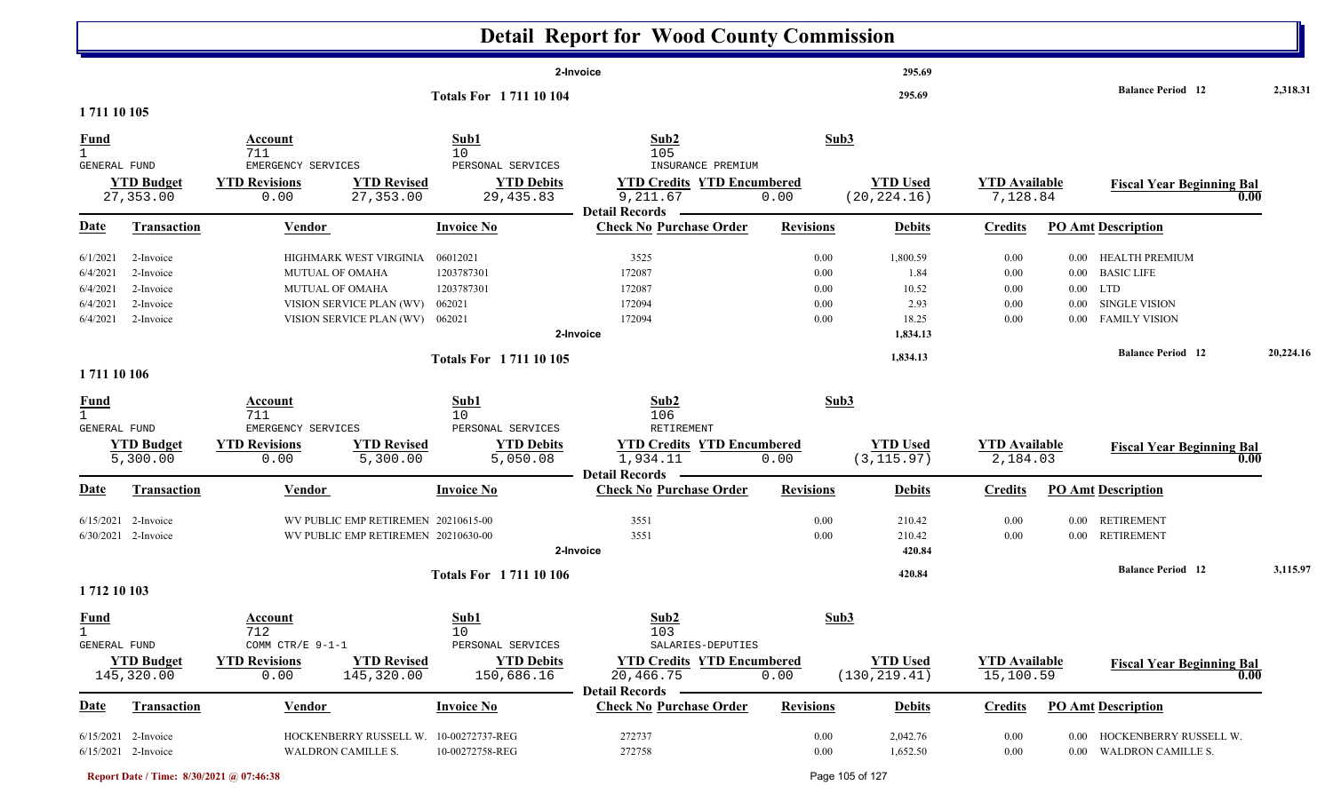|                                                          |                                                               |                                                                                                                             |                                                                    | <b>Detail Report for Wood County Commission</b>                                                     |                                      |                                                        |                                      |                      |                                                                                               |           |
|----------------------------------------------------------|---------------------------------------------------------------|-----------------------------------------------------------------------------------------------------------------------------|--------------------------------------------------------------------|-----------------------------------------------------------------------------------------------------|--------------------------------------|--------------------------------------------------------|--------------------------------------|----------------------|-----------------------------------------------------------------------------------------------|-----------|
| 1711 10 105                                              |                                                               |                                                                                                                             | <b>Totals For 171110104</b>                                        | 2-Invoice                                                                                           |                                      | 295.69<br>295.69                                       |                                      |                      | <b>Balance Period</b> 12                                                                      | 2,318.31  |
| <u>Fund</u><br>$\mathbf{1}$<br>GENERAL FUND              | <b>YTD Budget</b><br>27,353.00                                | Account<br>711<br>EMERGENCY SERVICES<br><b>YTD Revisions</b><br><b>YTD Revised</b><br>27,353.00<br>0.00                     | Sub1<br>10<br>PERSONAL SERVICES<br><b>YTD Debits</b><br>29, 435.83 | Sub2<br>105<br>INSURANCE PREMIUM<br><b>YTD Credits YTD Encumbered</b><br>9,211.67                   | Sub3<br>0.00                         | <b>YTD Used</b><br>(20, 224.16)                        | <b>YTD</b> Available<br>7,128.84     |                      | <b>Fiscal Year Beginning Bal</b><br>0.00                                                      |           |
| <u>Date</u>                                              | <b>Transaction</b>                                            | <b>Vendor</b>                                                                                                               | <b>Invoice No</b>                                                  | <b>Detail Records</b><br><b>Check No Purchase Order</b>                                             | <b>Revisions</b>                     | <b>Debits</b>                                          | <b>Credits</b>                       |                      | <b>PO Amt Description</b>                                                                     |           |
| 6/1/2021<br>6/4/2021<br>6/4/2021<br>6/4/2021<br>6/4/2021 | 2-Invoice<br>2-Invoice<br>2-Invoice<br>2-Invoice<br>2-Invoice | HIGHMARK WEST VIRGINIA<br>MUTUAL OF OMAHA<br><b>MUTUAL OF OMAHA</b><br>VISION SERVICE PLAN (WV)<br>VISION SERVICE PLAN (WV) | 06012021<br>1203787301<br>1203787301<br>062021<br>062021           | 3525<br>172087<br>172087<br>172094<br>172094<br>2-Invoice                                           | 0.00<br>0.00<br>0.00<br>0.00<br>0.00 | 1,800.59<br>1.84<br>10.52<br>2.93<br>18.25<br>1,834.13 | 0.00<br>0.00<br>0.00<br>0.00<br>0.00 | $0.00\,$<br>$0.00\,$ | HEALTH PREMIUM<br>0.00 BASIC LIFE<br>$0.00$ LTD<br><b>SINGLE VISION</b><br>0.00 FAMILY VISION |           |
| 1711 10 106                                              |                                                               |                                                                                                                             | <b>Totals For 171110105</b>                                        |                                                                                                     |                                      | 1,834.13                                               |                                      |                      | <b>Balance Period 12</b>                                                                      | 20,224.16 |
| <u>Fund</u><br>$\mathbf{1}$<br>GENERAL FUND              | <b>YTD Budget</b><br>5,300.00                                 | Account<br>711<br>EMERGENCY SERVICES<br><b>YTD Revisions</b><br><b>YTD Revised</b><br>0.00<br>5,300.00                      | Sub1<br>10<br>PERSONAL SERVICES<br><b>YTD Debits</b><br>5,050.08   | Sub2<br>106<br>RETIREMENT<br><b>YTD Credits YTD Encumbered</b><br>1,934.11<br><b>Detail Records</b> | Sub3<br>0.00                         | <b>YTD Used</b><br>(3, 115.97)                         | <b>YTD Available</b><br>2,184.03     |                      | <b>Fiscal Year Beginning Bal</b><br>0.00                                                      |           |
| Date                                                     | <b>Transaction</b>                                            | <b>Vendor</b>                                                                                                               | <b>Invoice No</b>                                                  | <b>Check No Purchase Order</b>                                                                      | <b>Revisions</b>                     | <b>Debits</b>                                          | <b>Credits</b>                       |                      | <b>PO Amt Description</b>                                                                     |           |
| 6/15/2021                                                | 2-Invoice<br>6/30/2021 2-Invoice                              | WV PUBLIC EMP RETIREMEN 20210615-00<br>WV PUBLIC EMP RETIREMEN 20210630-00                                                  |                                                                    | 3551<br>3551<br>2-Invoice                                                                           | 0.00<br>0.00                         | 210.42<br>210.42<br>420.84                             | 0.00<br>0.00                         | $0.00\,$             | <b>RETIREMENT</b><br>0.00 RETIREMENT<br><b>Balance Period</b> 12                              | 3,115.97  |
| 1712 10 103                                              |                                                               |                                                                                                                             | <b>Totals For 171110106</b>                                        |                                                                                                     |                                      | 420.84                                                 |                                      |                      |                                                                                               |           |
| <b>Fund</b><br>$\mathbf{1}$<br>GENERAL FUND              |                                                               | <b>Account</b><br>712<br>COMM CTR/E 9-1-1                                                                                   | Sub1<br>10<br>PERSONAL SERVICES                                    | Sub2<br>103<br>SALARIES-DEPUTIES                                                                    | Sub3                                 |                                                        |                                      |                      |                                                                                               |           |
|                                                          | <b>YTD Budget</b><br>145,320.00                               | <b>YTD Revisions</b><br><b>YTD Revised</b><br>145,320.00<br>0.00                                                            | <b>YTD Debits</b><br>150,686.16                                    | <b>YTD Credits YTD Encumbered</b><br>20,466.75<br><b>Detail Records</b>                             | 0.00                                 | <b>YTD Used</b><br>(130, 219.41)                       | <b>YTD Available</b><br>15,100.59    |                      | <b>Fiscal Year Beginning Bal</b><br>$\overline{0.00}$                                         |           |
| Date                                                     | <b>Transaction</b>                                            | <b>Vendor</b>                                                                                                               | <b>Invoice No</b>                                                  | <b>Check No Purchase Order</b>                                                                      | <b>Revisions</b>                     | <b>Debits</b>                                          | <b>Credits</b>                       |                      | <b>PO Amt Description</b>                                                                     |           |
|                                                          | 6/15/2021 2-Invoice<br>6/15/2021 2-Invoice                    | HOCKENBERRY RUSSELL W.<br><b>WALDRON CAMILLE S.</b>                                                                         | 10-00272737-REG<br>10-00272758-REG                                 | 272737<br>272758                                                                                    | 0.00<br>$0.00\,$                     | 2,042.76<br>1,652.50                                   | 0.00<br>0.00                         |                      | 0.00 HOCKENBERRY RUSSELL W.<br>0.00 WALDRON CAMILLE S.                                        |           |

**Report Date / Time: 8/30/2021 @ 07:46:38** Page 105 of 127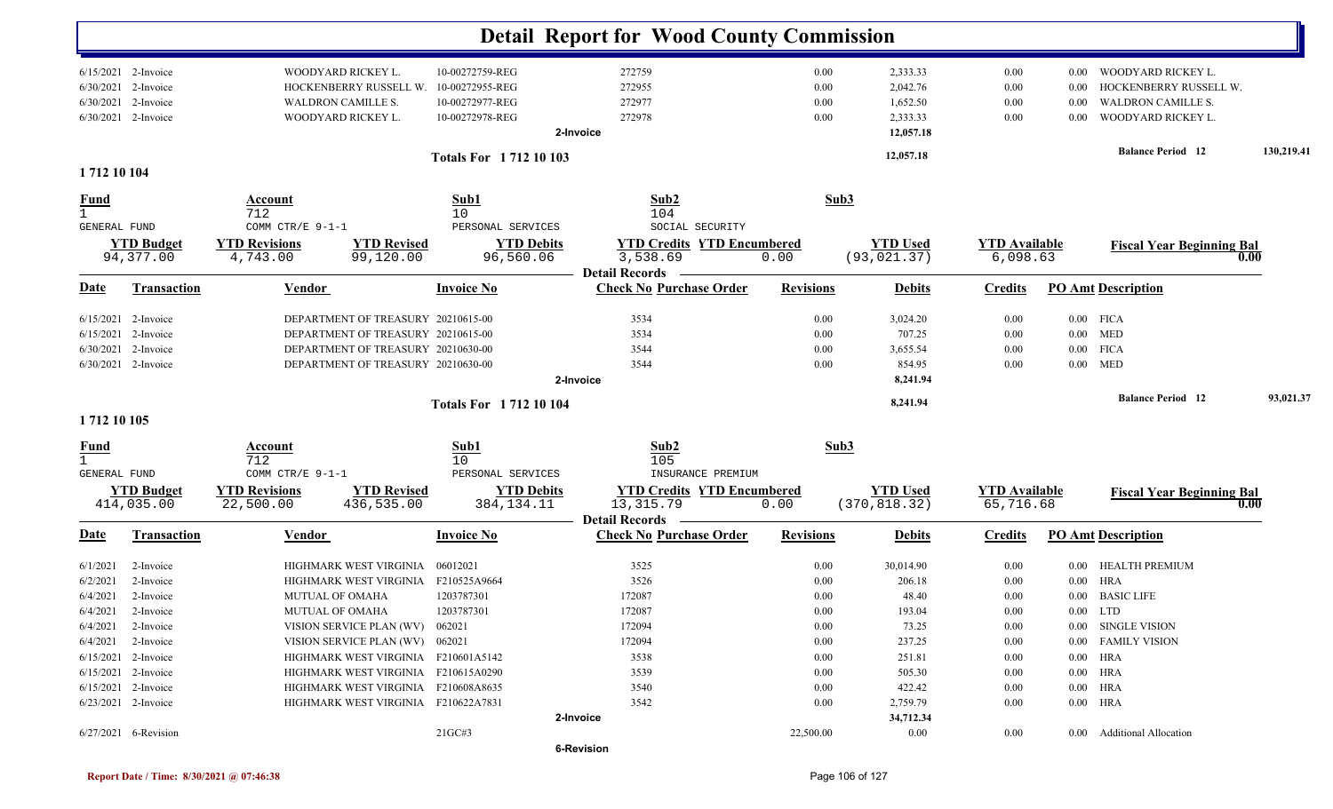|                                                                   |                        |                                                                                                                                    |                                     |                                        | <b>Detail Report for Wood County Commission</b>         |                      |                                  |                                  |                                   |                                                                           |            |
|-------------------------------------------------------------------|------------------------|------------------------------------------------------------------------------------------------------------------------------------|-------------------------------------|----------------------------------------|---------------------------------------------------------|----------------------|----------------------------------|----------------------------------|-----------------------------------|---------------------------------------------------------------------------|------------|
| 6/15/2021 2-Invoice<br>6/30/2021 2-Invoice<br>6/30/2021 2-Invoice |                        | WOODYARD RICKEY L.<br>10-00272759-REG<br>HOCKENBERRY RUSSELL W.<br>10-00272955-REG<br>10-00272977-REG<br><b>WALDRON CAMILLE S.</b> |                                     |                                        | 272759<br>272955<br>272977                              | 0.00<br>0.00<br>0.00 | 2,333.33<br>2,042.76<br>1,652.50 | 0.00<br>0.00<br>0.00             | 0.00<br>0.00<br>0.00              | WOODYARD RICKEY L.<br>HOCKENBERRY RUSSELL W.<br><b>WALDRON CAMILLE S.</b> |            |
|                                                                   | 6/30/2021 2-Invoice    |                                                                                                                                    | WOODYARD RICKEY L.                  | 10-00272978-REG                        | 272978<br>2-Invoice                                     | 0.00                 | 2,333.33<br>12,057.18            | 0.00                             | 0.00                              | WOODYARD RICKEY L.                                                        |            |
| 1712 10 104                                                       |                        | <b>Totals For 171210103</b>                                                                                                        |                                     |                                        |                                                         |                      | 12,057.18                        |                                  |                                   | <b>Balance Period</b> 12                                                  | 130,219.41 |
| <u>Fund</u><br>$\mathbf{1}$                                       |                        | Account<br>712                                                                                                                     |                                     | Sub1<br>10                             | Sub2<br>104                                             | Sub3                 |                                  |                                  |                                   |                                                                           |            |
| GENERAL FUND<br><b>YTD Budget</b>                                 |                        | COMM CTR/E 9-1-1<br><b>YTD Revisions</b><br><b>YTD Revised</b>                                                                     |                                     | PERSONAL SERVICES<br><b>YTD Debits</b> | SOCIAL SECURITY<br><b>YTD Credits YTD Encumbered</b>    |                      | <b>YTD Used</b>                  | <b>YTD</b> Available<br>6,098.63 |                                   | <b>Fiscal Year Beginning Bal</b>                                          |            |
|                                                                   | 94,377.00              | 4,743.00                                                                                                                           | 99,120.00                           | 96,560.06                              | 3,538.69<br><b>Detail Records</b>                       | 0.00                 | (93, 021.37)                     |                                  |                                   |                                                                           | 0.00       |
| <u>Date</u>                                                       | <b>Transaction</b>     | <b>Vendor</b>                                                                                                                      |                                     | <b>Invoice No</b>                      | <b>Check No Purchase Order</b>                          | <b>Revisions</b>     | <b>Debits</b>                    | <b>Credits</b>                   |                                   | <b>PO Amt Description</b>                                                 |            |
|                                                                   | $6/15/2021$ 2-Invoice  |                                                                                                                                    | DEPARTMENT OF TREASURY 20210615-00  |                                        | 3534                                                    | 0.00                 | 3,024.20                         | 0.00                             |                                   | $0.00$ FICA                                                               |            |
|                                                                   | 6/15/2021 2-Invoice    |                                                                                                                                    | DEPARTMENT OF TREASURY 20210615-00  |                                        | 3534                                                    | 0.00                 | 707.25                           | 0.00                             |                                   | $0.00$ MED                                                                |            |
|                                                                   | 6/30/2021 2-Invoice    |                                                                                                                                    | DEPARTMENT OF TREASURY 20210630-00  |                                        | 3544                                                    | 0.00                 | 3,655.54                         | 0.00                             |                                   | $0.00$ FICA                                                               |            |
|                                                                   | $6/30/2021$ 2-Invoice  |                                                                                                                                    | DEPARTMENT OF TREASURY 20210630-00  |                                        | 3544<br>2-Invoice                                       | 0.00                 | 854.95<br>8,241.94               | 0.00                             |                                   | $0.00$ MED                                                                |            |
| 1712 10 105                                                       |                        | <b>Totals For 171210104</b>                                                                                                        |                                     |                                        |                                                         |                      | 8,241.94                         |                                  |                                   | <b>Balance Period 12</b>                                                  | 93,021.37  |
|                                                                   |                        |                                                                                                                                    |                                     |                                        |                                                         |                      |                                  |                                  |                                   |                                                                           |            |
| $\frac{Fund}{1}$                                                  |                        | Account<br>712                                                                                                                     |                                     | Sub1<br>10                             | Sub2<br>105                                             |                      | Sub3                             |                                  |                                   |                                                                           |            |
| GENERAL FUND                                                      |                        | COMM CTR/E 9-1-1                                                                                                                   |                                     | PERSONAL SERVICES<br>INSURANCE PREMIUM |                                                         |                      |                                  |                                  |                                   |                                                                           |            |
| <b>YTD Budget</b><br>414,035.00                                   |                        | <b>YTD Revisions</b><br>22,500.00                                                                                                  | <b>YTD Revised</b><br>436,535.00    | <b>YTD Debits</b><br>384, 134. 11      | <b>YTD Credits YTD Encumbered</b><br>13, 315.79         | 0.00                 | <b>YTD Used</b><br>(370, 818.32) |                                  | <b>YTD Available</b><br>65,716.68 | <b>Fiscal Year Beginning Bal</b>                                          | 0.00       |
| <u>Date</u>                                                       | <b>Transaction</b>     | <b>Vendor</b>                                                                                                                      |                                     | <b>Invoice No</b>                      | <b>Detail Records</b><br><b>Check No Purchase Order</b> | <b>Revisions</b>     | <b>Debits</b>                    | <b>Credits</b>                   |                                   | <b>PO Amt Description</b>                                                 |            |
| 6/1/2021                                                          | 2-Invoice              |                                                                                                                                    | HIGHMARK WEST VIRGINIA              | 06012021                               | 3525                                                    | 0.00                 | 30,014.90                        | 0.00                             |                                   | 0.00 HEALTH PREMIUM                                                       |            |
| 6/2/2021                                                          | 2-Invoice              |                                                                                                                                    | HIGHMARK WEST VIRGINIA              | F210525A9664                           | 3526                                                    | 0.00                 | 206.18                           | 0.00                             |                                   | $0.00$ HRA                                                                |            |
|                                                                   | $6/4/2021$ 2-Invoice   | <b>MUTUAL OF OMAHA</b>                                                                                                             |                                     | 1203787301                             | 172087                                                  | 0.00                 | 48.40                            | 0.00                             |                                   | 0.00 BASIC LIFE                                                           |            |
|                                                                   | 6/4/2021 2-Invoice     | MUTUAL OF OMAHA                                                                                                                    |                                     | 1203787301                             | 172087                                                  | $0.00\,$             | 193.04                           | 0.00                             |                                   | $0.00$ LTD                                                                |            |
|                                                                   | $6/4/2021$ 2-Invoice   |                                                                                                                                    | VISION SERVICE PLAN (WV) 062021     |                                        | 172094                                                  | $0.00\,$             | 73.25                            | 0.00                             |                                   | 0.00 SINGLE VISION                                                        |            |
|                                                                   | $6/4/2021$ 2-Invoice   | VISION SERVICE PLAN (WV) 062021                                                                                                    |                                     |                                        | 172094                                                  | $0.00\,$             | 237.25                           | 0.00                             |                                   | 0.00 FAMILY VISION                                                        |            |
|                                                                   | $6/15/2021$ 2-Invoice  |                                                                                                                                    | HIGHMARK WEST VIRGINIA F210601A5142 |                                        | 3538                                                    | 0.00                 | 251.81                           | 0.00                             |                                   | 0.00 HRA                                                                  |            |
|                                                                   | $6/15/2021$ 2-Invoice  |                                                                                                                                    | HIGHMARK WEST VIRGINIA F210615A0290 |                                        | 3539                                                    | 0.00                 | 505.30                           | 0.00                             |                                   | $0.00$ HRA                                                                |            |
|                                                                   | $6/15/2021$ 2-Invoice  |                                                                                                                                    | HIGHMARK WEST VIRGINIA F210608A8635 |                                        | 3540                                                    | 0.00                 | 422.42                           | 0.00                             |                                   | $0.00$ HRA                                                                |            |
|                                                                   | 6/23/2021 2-Invoice    |                                                                                                                                    | HIGHMARK WEST VIRGINIA F210622A7831 |                                        | 3542                                                    | 0.00                 | 2,759.79                         | 0.00                             |                                   | $0.00$ HRA                                                                |            |
|                                                                   |                        |                                                                                                                                    |                                     |                                        | 2-Invoice                                               |                      | 34,712.34                        |                                  |                                   |                                                                           |            |
|                                                                   | $6/27/2021$ 6-Revision |                                                                                                                                    |                                     | 21GC#3                                 | <b>6-Revision</b>                                       | 22,500.00            | $0.00\,$                         | $0.00\,$                         |                                   | 0.00 Additional Allocation                                                |            |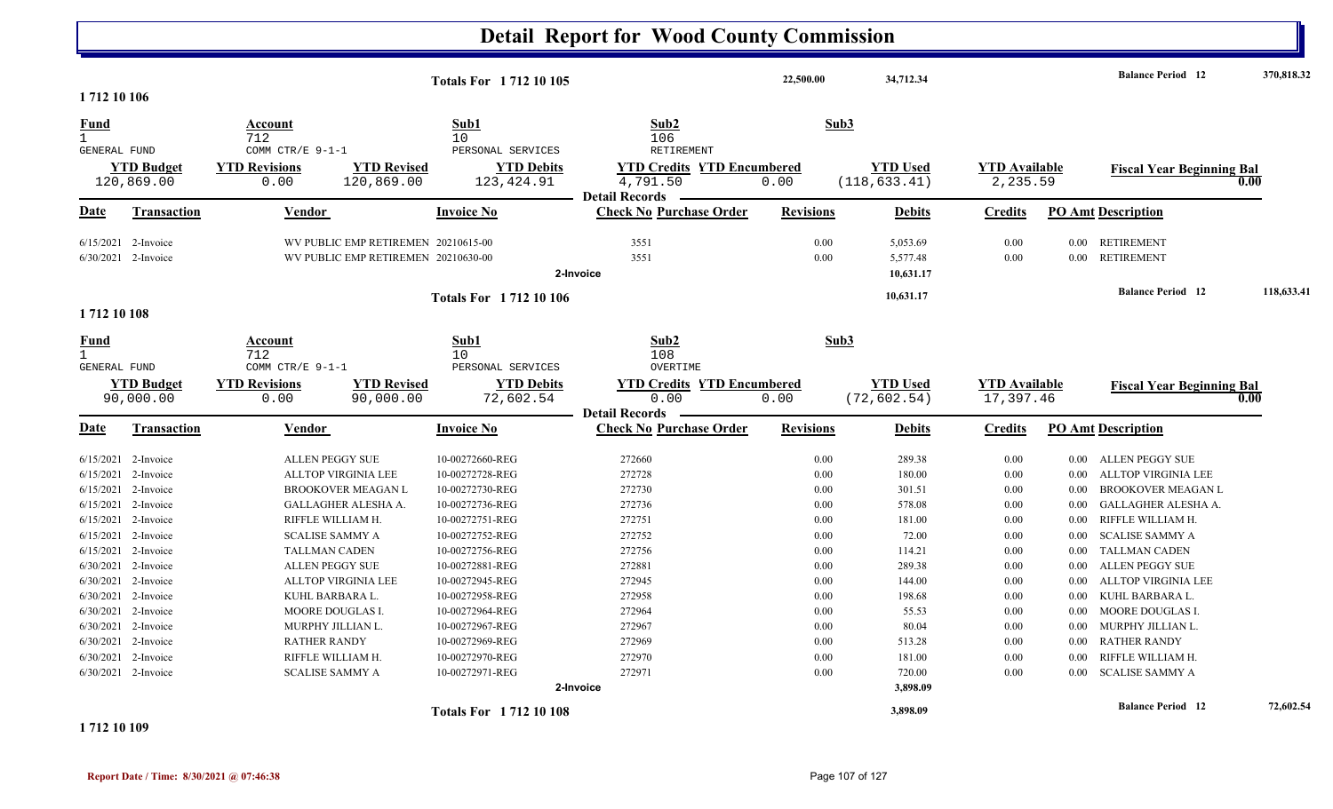#### **Detail Report for Wood County Commission 22,500.00 34,712.34 Balance Period 370,818.32 <sup>12</sup> Totals For 1 712 10 105 1 712 10 106** 1 7122 and 10 and 106 and 106 and 106 and 106 and 106 and 106 and 106 and 106 and 106 and 106 and 106 and 106 and 106 and 106 and 106 and 106 and 106 and 106 and 106 and 106 and 106 and 106 and 106 and 106 and 107 and 108 and **Fund Account Sub1 Sub2 Sub3** GENERAL FUND COMM CTR/E 9-1-1 PERSONAL SERVICES RETIREMENT 120,869.00 0.00 120,869.00 123,424.91 4,791.50 0.00 2,235.59 (118,633.41) **YTD Budget YTD Revisions YTD Revised YTD Debits YTD Credits YTD Encumbered<u>WTD Used</u> <b>Example 1** TD 1 **VTD** Available **Fiscal Year Beginning Bal** 0.00 (118,633.41) 2,235.59 **Date Vendor Invoice NoTransaction Purchase Order Revisions Debits Credits PO Amt Description Detail Records**Vendor **Invoice No** 6/15/2021 2-Invoice 1 2-Invoice WV PUBLIC EMP RETIREMEN 20210615-00 3551 3551 0.00 3551 5,053.69 0.00 0.00 RETIREMENT 6/30/2021 2-Invoice 1 2-Invoice WV PUBLIC EMP RETIREMEN 20210630-00 3551 3551 0.00 3551 5,577.48 0.00 0.00 RETIREMENT **2-Invoice 10,631.17 10,631.17 Balance Period 118,633.41 <sup>12</sup> Totals For 1 712 10 106 1 712 10 108** 1 712 $10$  and  $108$ **Fund Account Sub1 Sub2 Sub3** GENERAL FUND COMM CTR/E 9-1-1 PERSONAL SERVICES OVERTIME 90,000.00 0.00 90,000.00 72,602.54 0.00 0.00 (72,602.54) 17,397.46 **YTD Budget YTD Revisions YTD Revised YTD Debits YTD Credits YTD Encumbered<u>WID Used</u> <b>YTD** Available **Fiscal Year Beginning Bal** 0.00 (72,602.54) 17,397.46 **Fiscal Year Beginning Bal Date Vendor Invoice NoTransaction Purchase Order Revisions Debits Credits PO Amt Description Detail RecordsConductional Vendor Check Invoice No** 6/15/2021 2-Invoice 2-Invoice 10-00272660-REG 0.00 ALLEN PEGGY SUE 272660 289.38 0.00 0.00 ALLEN PEGGY SUE 6/15/20212-Invoice ALLTOP VIRGINIA LEE 10-00272728-REG 272728 272728 0.00 180.00 0.00 0.00 0.00 ALLTOP VIRGINIA LEE 6/15/20212-Invoice BROOKOVER MEAGAN L 10-00272730-REG 272730 272730 0.00 301.51 0.00 0.00 BROOKOVER MEAGAN L 6/15/2021 2-Invoice 2-Invoice 10-00272736-REG 0.00 GALLAGHER ALESHA A. 272736 578.08 0.00 0.00 GALLAGHER ALESHA A. 6/15/2021 2-Invoice 10-00272751-REG 0.00 RIFFLE WILLIAM H. 272751 181.00 0.00 0.00 RIFFLE WILLIAM H. 6/15/2021 2-Invoice 2-Invoice 10-00272752-REG 0.00 SCALISE SAMMY A 272752 72.00 0.00 0.00 SCALISE SAMMY A 6/15/2021 2-Invoice 10-00272756-REG 0.00 TALLMAN CADEN 272756 114.21 0.00 0.00 TALLMAN CADEN 6/30/2021 2-Invoice 10-00272881-REG 0.00 ALLEN PEGGY SUE 272881 289.38 0.00 0.00 ALLEN PEGGY SUE 6/30/2021 2-Invoice  $1$  2-Invoice the product and the 10-00272945-REG 272945 272945 144.00 0.00 0.00 0.00 0.00 ALLTOP VIRGINIA LEE 6/30/2021 2-Invoice 10-00272958-REG 0.00 KUHL BARBARA L. 272958 198.68 0.00 0.00 KUHL BARBARA L. 6/30/2021 2-Invoice 2-Invoice 10-00272964-REG 0.00 MOORE DOUGLAS I. 272964 55.53 0.00 0.00 MOORE DOUGLAS I. 6/30/2021 2-Invoice 2-Invoice 10-00272967-REG 0.00 MURPHY JILLIAN L. 272967 80.04 0.00 0.00 MURPHY JILLIAN L. 6/30/2021 2-Invoice 10-00272969-REG 0.00 RATHER RANDY 272969 513.28 0.00 0.00 RATHER RANDY 6/30/2021 2-Invoice 10-00272970-REG 0.00 RIFFLE WILLIAM H. 272970 181.00 0.00 0.00 RIFFLE WILLIAM H. 6/30/2021 2-Invoice 2-Invoice 10-00272971-REG 0.00 SCALISE SAMMY A 272971 720.00 0.00 0.00 SCALISE SAMMY A **2-Invoice 3,898.09 3,898.09 Balance Period 72,602.54 <sup>12</sup> Totals For 1 712 10 108**

**1 712 10 109**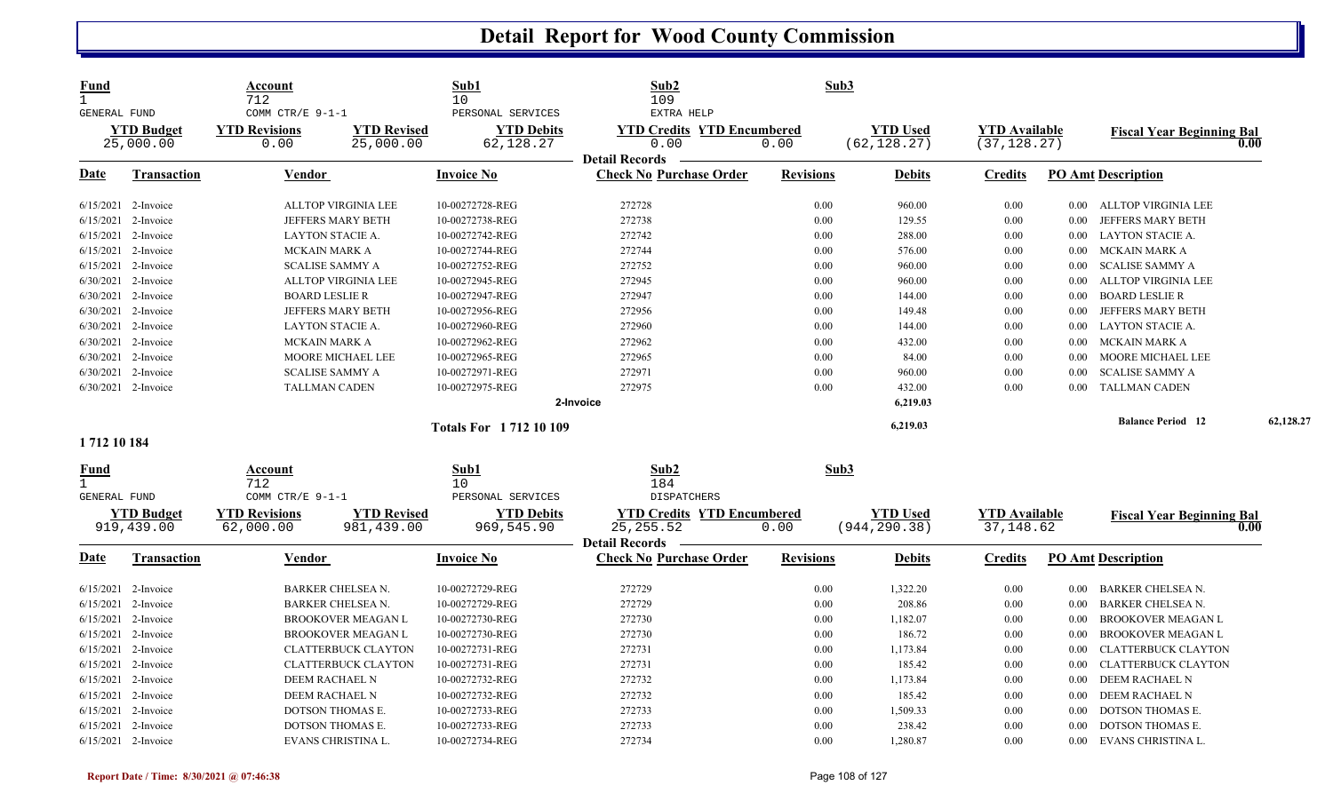| <b>Fund</b><br>$\mathbf{1}$<br><b>GENERAL FUND</b>     |                                         | Account<br>712<br>COMM CTR/E 9-1-1        |                                  | Sub1<br>10<br>PERSONAL SERVICES | Sub2<br>109<br>EXTRA HELP                               | Sub3                                     |                                 |                                      |                  |                                  |           |
|--------------------------------------------------------|-----------------------------------------|-------------------------------------------|----------------------------------|---------------------------------|---------------------------------------------------------|------------------------------------------|---------------------------------|--------------------------------------|------------------|----------------------------------|-----------|
|                                                        | <b>YTD Budget</b><br>25,000.00          | <b>YTD Revisions</b><br>0.00              | <b>YTD Revised</b><br>25,000.00  | <b>YTD Debits</b><br>62,128.27  | <b>YTD Credits YTD Encumbered</b><br>0.00               | 0.00                                     | <b>YTD Used</b><br>(62, 128.27) | <b>YTD Available</b><br>(37, 128.27) |                  | <b>Fiscal Year Beginning Bal</b> | 0.00      |
| <u>Date</u>                                            | <b>Transaction</b>                      | <b>Vendor</b>                             |                                  | <b>Invoice No</b>               | <b>Detail Records</b><br><b>Check No Purchase Order</b> | <b>Revisions</b>                         | <b>Debits</b>                   | <b>Credits</b>                       |                  | <b>PO Amt Description</b>        |           |
|                                                        | 6/15/2021 2-Invoice                     | <b>ALLTOP VIRGINIA LEE</b>                |                                  | 10-00272728-REG                 | 272728                                                  | 0.00                                     | 960.00                          | 0.00                                 |                  | 0.00 ALLTOP VIRGINIA LEE         |           |
|                                                        | 6/15/2021 2-Invoice                     |                                           | JEFFERS MARY BETH                | 10-00272738-REG                 | 272738                                                  | 0.00                                     | 129.55                          | 0.00                                 | $0.00\,$         | JEFFERS MARY BETH                |           |
| 6/15/2021                                              | 2-Invoice                               | <b>LAYTON STACIE A.</b>                   |                                  | 10-00272742-REG                 | 272742                                                  | 0.00                                     | 288.00                          | 0.00                                 | 0.00             | <b>LAYTON STACIE A.</b>          |           |
|                                                        | 6/15/2021 2-Invoice                     | <b>MCKAIN MARK A</b>                      |                                  | 10-00272744-REG                 | 272744                                                  | 0.00                                     | 576.00                          | 0.00                                 | 0.00             | MCKAIN MARK A                    |           |
|                                                        | 6/15/2021 2-Invoice                     |                                           | <b>SCALISE SAMMY A</b>           | 10-00272752-REG                 | 272752                                                  | 0.00                                     | 960.00                          | 0.00                                 | $0.00\,$         | <b>SCALISE SAMMY A</b>           |           |
| 6/30/2021                                              | 2-Invoice                               |                                           | <b>ALLTOP VIRGINIA LEE</b>       | 10-00272945-REG                 | 272945                                                  | 0.00                                     | 960.00                          | 0.00                                 | 0.00             | <b>ALLTOP VIRGINIA LEE</b>       |           |
|                                                        | 6/30/2021 2-Invoice                     | <b>BOARD LESLIE R</b>                     |                                  | 10-00272947-REG                 | 272947                                                  | 0.00                                     | 144.00                          | 0.00                                 | $0.00\,$         | <b>BOARD LESLIE R</b>            |           |
|                                                        | 6/30/2021 2-Invoice                     |                                           | JEFFERS MARY BETH                | 10-00272956-REG                 | 272956                                                  | 0.00                                     | 149.48                          | 0.00                                 | 0.00             | JEFFERS MARY BETH                |           |
|                                                        | 6/30/2021 2-Invoice                     |                                           | <b>LAYTON STACIE A.</b>          | 10-00272960-REG                 | 272960                                                  | 0.00                                     | 144.00                          | 0.00                                 | 0.00             | <b>LAYTON STACIE A.</b>          |           |
|                                                        | 6/30/2021 2-Invoice                     | <b>MCKAIN MARK A</b>                      |                                  | 10-00272962-REG                 | 272962                                                  | 0.00                                     | 432.00                          | 0.00                                 | 0.00             | MCKAIN MARK A                    |           |
|                                                        | 6/30/2021 2-Invoice                     |                                           | MOORE MICHAEL LEE                | 10-00272965-REG                 | 272965                                                  | 0.00                                     | 84.00                           | 0.00                                 | 0.00             | MOORE MICHAEL LEE                |           |
|                                                        | 6/30/2021 2-Invoice                     | <b>SCALISE SAMMY A</b>                    |                                  | 10-00272971-REG                 | 272971                                                  | 0.00                                     | 960.00                          | 0.00                                 | 0.00             | <b>SCALISE SAMMY A</b>           |           |
|                                                        | 6/30/2021 2-Invoice                     | <b>TALLMAN CADEN</b>                      |                                  | 10-00272975-REG                 | 272975                                                  | 0.00                                     | 432.00                          | 0.00                                 | 0.00             | <b>TALLMAN CADEN</b>             |           |
|                                                        |                                         |                                           |                                  |                                 | 2-Invoice                                               |                                          | 6,219.03                        |                                      |                  |                                  |           |
|                                                        |                                         | <b>Totals For 171210109</b>               |                                  |                                 |                                                         |                                          | 6,219.03                        |                                      |                  | <b>Balance Period 12</b>         | 62,128.27 |
| 1712 10 184                                            |                                         |                                           |                                  |                                 |                                                         |                                          |                                 |                                      |                  |                                  |           |
| <u>Fund</u><br>$\mathbf{1}$                            |                                         | <b>Account</b><br>712<br>COMM CTR/E 9-1-1 |                                  | Sub1<br>10<br>PERSONAL SERVICES | Sub2<br>184<br><b>DISPATCHERS</b>                       | Sub3                                     |                                 |                                      |                  |                                  |           |
| <b>GENERAL FUND</b><br><b>YTD Budget</b><br>919,439.00 |                                         | <b>YTD Revisions</b><br>62,000.00         | <b>YTD Revised</b><br>981,439.00 | <b>YTD Debits</b><br>969,545.90 | <b>YTD Credits YTD Encumbered</b><br>25, 255.52         | <b>YTD Used</b><br>0.00<br>(944, 290.38) |                                 | <b>YTD Available</b><br>37, 148.62   |                  | <b>Fiscal Year Beginning Bal</b> | 0.00      |
|                                                        |                                         |                                           |                                  |                                 | <b>Detail Records</b>                                   |                                          |                                 |                                      |                  |                                  |           |
| <b>Date</b>                                            | Transaction                             | Vendor                                    |                                  | <b>Invoice No</b>               | <b>Check No Purchase Order</b>                          | <b>Revisions</b>                         | <b>Debits</b>                   | <b>Credits</b>                       |                  | <b>PO Amt Description</b>        |           |
|                                                        | $6/15/2021$ 2-Invoice                   |                                           | <b>BARKER CHELSEA N.</b>         | 10-00272729-REG                 | 272729                                                  | 0.00                                     | 1,322.20                        | 0.00                                 | 0.00             | <b>BARKER CHELSEA N.</b>         |           |
|                                                        | 6/15/2021 2-Invoice                     | <b>BARKER CHELSEA N.</b>                  |                                  | 10-00272729-REG                 | 272729                                                  | 0.00                                     | 208.86                          | 0.00                                 | 0.00             | <b>BARKER CHELSEA N.</b>         |           |
|                                                        | $6/15/2021$ 2-Invoice                   | <b>BROOKOVER MEAGAN L</b>                 |                                  | 10-00272730-REG                 | 272730                                                  | 0.00                                     | 1,182.07                        | 0.00                                 | 0.00             | <b>BROOKOVER MEAGAN L</b>        |           |
| 6/15/2021                                              | 2-Invoice                               | <b>BROOKOVER MEAGAN L</b>                 |                                  | 10-00272730-REG                 | 272730                                                  | 0.00                                     | 186.72                          | 0.00                                 | 0.00             | <b>BROOKOVER MEAGAN L</b>        |           |
|                                                        | 6/15/2021 2-Invoice                     | <b>CLATTERBUCK CLAYTON</b>                |                                  | 10-00272731-REG                 | 272731                                                  | 0.00                                     | 1,173.84                        | 0.00                                 | 0.00             | <b>CLATTERBUCK CLAYTON</b>       |           |
|                                                        | 6/15/2021 2-Invoice                     | CLATTERBUCK CLAYTON                       |                                  | 10-00272731-REG                 | 272731                                                  | 0.00                                     | 185.42                          | 0.00                                 | 0.00             | <b>CLATTERBUCK CLAYTON</b>       |           |
| 6/15/2021                                              | 2-Invoice                               | DEEM RACHAEL N                            |                                  | 10-00272732-REG                 | 272732                                                  | 0.00                                     | 1,173.84                        | 0.00                                 | 0.00             | DEEM RACHAEL N                   |           |
|                                                        | 6/15/2021 2-Invoice                     | DEEM RACHAEL N                            |                                  | 10-00272732-REG                 | 272732                                                  | 0.00                                     | 185.42                          | 0.00                                 | 0.00             | DEEM RACHAEL N                   |           |
|                                                        | 6/15/2021 2-Invoice<br>DOTSON THOMAS E. |                                           | 10-00272733-REG                  | 272733                          | 0.00                                                    | 1,509.33                                 | 0.00                            | $0.00\,$                             | DOTSON THOMAS E. |                                  |           |
| 6/15/2021                                              | 2-Invoice                               |                                           | DOTSON THOMAS E.                 | 10-00272733-REG                 | 272733                                                  | 0.00                                     | 238.42                          | 0.00                                 | 0.00             | DOTSON THOMAS E.                 |           |
|                                                        | 6/15/2021 2-Invoice                     |                                           | EVANS CHRISTINA L.               | 10-00272734-REG                 | 272734                                                  | 0.00                                     | 1,280.87                        | 0.00                                 | $0.00\,$         | EVANS CHRISTINA L.               |           |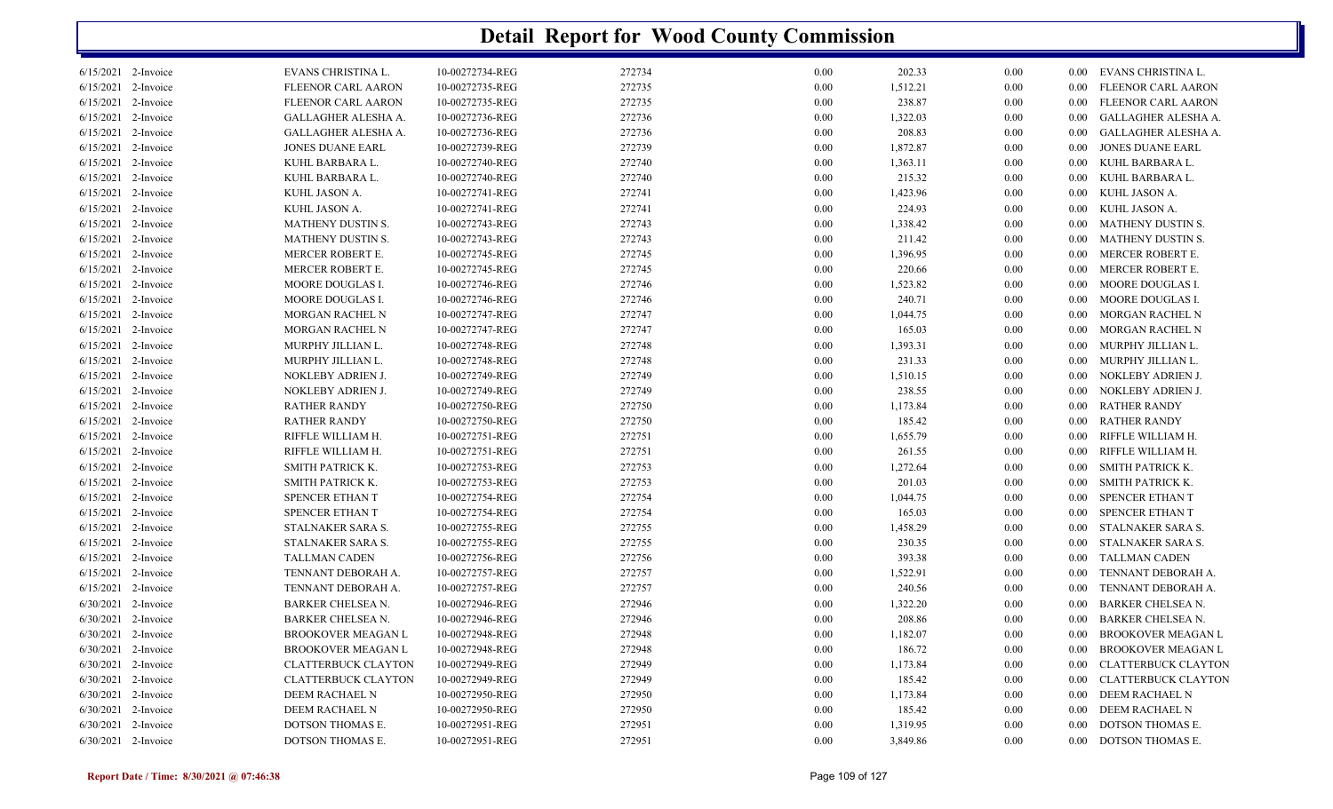|           | <b>Detail Report for Wood County Commission</b> |                            |                 |        |          |          |          |          |                           |  |  |
|-----------|-------------------------------------------------|----------------------------|-----------------|--------|----------|----------|----------|----------|---------------------------|--|--|
|           | $6/15/2021$ 2-Invoice                           | EVANS CHRISTINA L.         | 10-00272734-REG | 272734 | 0.00     | 202.33   | 0.00     | $0.00\,$ | EVANS CHRISTINA L.        |  |  |
|           | 6/15/2021 2-Invoice                             | <b>FLEENOR CARL AARON</b>  | 10-00272735-REG | 272735 | 0.00     | 1,512.21 | $0.00\,$ | 0.00     | FLEENOR CARL AARON        |  |  |
|           | 6/15/2021 2-Invoice                             | FLEENOR CARL AARON         | 10-00272735-REG | 272735 | 0.00     | 238.87   | 0.00     | 0.00     | FLEENOR CARL AARON        |  |  |
| 6/15/2021 | 2-Invoice                                       | GALLAGHER ALESHA A.        | 10-00272736-REG | 272736 | 0.00     | 1,322.03 | 0.00     | 0.00     | GALLAGHER ALESHA A.       |  |  |
| 6/15/2021 | 2-Invoice                                       | GALLAGHER ALESHA A.        | 10-00272736-REG | 272736 | 0.00     | 208.83   | 0.00     | 0.00     | GALLAGHER ALESHA A.       |  |  |
|           | 6/15/2021 2-Invoice                             | <b>JONES DUANE EARL</b>    | 10-00272739-REG | 272739 | 0.00     | 1,872.87 | 0.00     | 0.00     | <b>JONES DUANE EARL</b>   |  |  |
|           | 6/15/2021 2-Invoice                             | KUHL BARBARA L.            | 10-00272740-REG | 272740 | 0.00     | 1,363.11 | 0.00     | 0.00     | KUHL BARBARA L.           |  |  |
|           | 6/15/2021 2-Invoice                             | KUHL BARBARA L.            | 10-00272740-REG | 272740 | 0.00     | 215.32   | $0.00\,$ | 0.00     | KUHL BARBARA L.           |  |  |
|           | 6/15/2021 2-Invoice                             | KUHL JASON A.              | 10-00272741-REG | 272741 | 0.00     | 1,423.96 | $0.00\,$ | 0.00     | KUHL JASON A.             |  |  |
| 6/15/2021 | 2-Invoice                                       | KUHL JASON A.              | 10-00272741-REG | 272741 | 0.00     | 224.93   | 0.00     | 0.00     | KUHL JASON A.             |  |  |
| 6/15/2021 | 2-Invoice                                       | <b>MATHENY DUSTIN S.</b>   | 10-00272743-REG | 272743 | 0.00     | 1,338.42 | 0.00     | 0.00     | MATHENY DUSTIN S.         |  |  |
| 6/15/2021 | 2-Invoice                                       | MATHENY DUSTIN S.          | 10-00272743-REG | 272743 | 0.00     | 211.42   | 0.00     | 0.00     | MATHENY DUSTIN S.         |  |  |
| 6/15/2021 | 2-Invoice                                       | MERCER ROBERT E.           | 10-00272745-REG | 272745 | 0.00     | 1,396.95 | 0.00     | 0.00     | MERCER ROBERT E.          |  |  |
|           | 6/15/2021 2-Invoice                             | MERCER ROBERT E.           | 10-00272745-REG | 272745 | 0.00     | 220.66   | 0.00     | 0.00     | MERCER ROBERT E.          |  |  |
| 6/15/2021 | 2-Invoice                                       | MOORE DOUGLAS I.           | 10-00272746-REG | 272746 | 0.00     | 1,523.82 | 0.00     | $0.00\,$ | MOORE DOUGLAS I.          |  |  |
| 6/15/2021 | 2-Invoice                                       | MOORE DOUGLAS I.           | 10-00272746-REG | 272746 | 0.00     | 240.71   | 0.00     | 0.00     | MOORE DOUGLAS I.          |  |  |
|           | 6/15/2021 2-Invoice                             | MORGAN RACHEL N            | 10-00272747-REG | 272747 | 0.00     | 1,044.75 | 0.00     | 0.00     | <b>MORGAN RACHEL N</b>    |  |  |
|           | 6/15/2021 2-Invoice                             | MORGAN RACHEL N            | 10-00272747-REG | 272747 | 0.00     | 165.03   | 0.00     | 0.00     | <b>MORGAN RACHEL N</b>    |  |  |
|           | 6/15/2021 2-Invoice                             | MURPHY JILLIAN L.          | 10-00272748-REG | 272748 | 0.00     | 1,393.31 | $0.00\,$ | 0.00     | MURPHY JILLIAN L.         |  |  |
|           | 6/15/2021 2-Invoice                             | MURPHY JILLIAN L.          | 10-00272748-REG | 272748 | 0.00     | 231.33   | $0.00\,$ | 0.00     | MURPHY JILLIAN L.         |  |  |
|           | 6/15/2021 2-Invoice                             | NOKLEBY ADRIEN J.          | 10-00272749-REG | 272749 | 0.00     | 1,510.15 | $0.00\,$ | 0.00     | NOKLEBY ADRIEN J.         |  |  |
| 6/15/2021 | 2-Invoice                                       | NOKLEBY ADRIEN J.          | 10-00272749-REG | 272749 | 0.00     | 238.55   | $0.00\,$ | 0.00     | NOKLEBY ADRIEN J.         |  |  |
| 6/15/2021 | 2-Invoice                                       | <b>RATHER RANDY</b>        | 10-00272750-REG | 272750 | 0.00     | 1,173.84 | $0.00\,$ | 0.00     | <b>RATHER RANDY</b>       |  |  |
| 6/15/2021 | 2-Invoice                                       | <b>RATHER RANDY</b>        | 10-00272750-REG | 272750 | 0.00     | 185.42   | 0.00     | 0.00     | <b>RATHER RANDY</b>       |  |  |
| 6/15/2021 | 2-Invoice                                       | RIFFLE WILLIAM H.          | 10-00272751-REG | 272751 | 0.00     | 1,655.79 | 0.00     | 0.00     | RIFFLE WILLIAM H.         |  |  |
| 6/15/2021 | 2-Invoice                                       | RIFFLE WILLIAM H.          | 10-00272751-REG | 272751 | 0.00     | 261.55   | 0.00     | 0.00     | RIFFLE WILLIAM H.         |  |  |
| 6/15/2021 | 2-Invoice                                       | SMITH PATRICK K.           | 10-00272753-REG | 272753 | 0.00     | 1,272.64 | 0.00     | $0.00\,$ | <b>SMITH PATRICK K.</b>   |  |  |
| 6/15/2021 | 2-Invoice                                       | SMITH PATRICK K.           | 10-00272753-REG | 272753 | 0.00     | 201.03   | 0.00     | 0.00     | <b>SMITH PATRICK K.</b>   |  |  |
|           | 6/15/2021 2-Invoice                             | SPENCER ETHAN T            | 10-00272754-REG | 272754 | 0.00     | 1,044.75 | 0.00     | 0.00     | SPENCER ETHAN T           |  |  |
|           | 6/15/2021 2-Invoice                             | SPENCER ETHAN T            | 10-00272754-REG | 272754 | 0.00     | 165.03   | 0.00     | 0.00     | SPENCER ETHAN T           |  |  |
|           | 6/15/2021 2-Invoice                             | STALNAKER SARA S.          | 10-00272755-REG | 272755 | 0.00     | 1,458.29 | $0.00\,$ | 0.00     | STALNAKER SARA S.         |  |  |
|           | 6/15/2021 2-Invoice                             | STALNAKER SARA S.          | 10-00272755-REG | 272755 | 0.00     | 230.35   | $0.00\,$ | 0.00     | STALNAKER SARA S.         |  |  |
|           | 6/15/2021 2-Invoice                             |                            | 10-00272756-REG | 272756 |          | 393.38   |          |          | <b>TALLMAN CADEN</b>      |  |  |
|           | 6/15/2021 2-Invoice                             | <b>TALLMAN CADEN</b>       | 10-00272757-REG |        | 0.00     |          | $0.00\,$ | 0.00     | TENNANT DEBORAH A.        |  |  |
|           |                                                 | TENNANT DEBORAH A.         |                 | 272757 | 0.00     | 1,522.91 | 0.00     | 0.00     | TENNANT DEBORAH A.        |  |  |
|           | $6/15/2021$ 2-Invoice                           | TENNANT DEBORAH A.         | 10-00272757-REG | 272757 | 0.00     | 240.56   | 0.00     | 0.00     |                           |  |  |
|           | 6/30/2021 2-Invoice                             | <b>BARKER CHELSEA N.</b>   | 10-00272946-REG | 272946 | 0.00     | 1,322.20 | 0.00     | $0.00\,$ | <b>BARKER CHELSEA N.</b>  |  |  |
|           | 6/30/2021 2-Invoice                             | BARKER CHELSEA N.          | 10-00272946-REG | 272946 | 0.00     | 208.86   | 0.00     | $0.00\,$ | BARKER CHELSEA N.         |  |  |
|           | 6/30/2021 2-Invoice                             | BROOKOVER MEAGAN L         | 10-00272948-REG | 272948 | $0.00\,$ | 1,182.07 | 0.00     | $0.00\,$ | <b>BROOKOVER MEAGAN L</b> |  |  |
|           | 6/30/2021 2-Invoice                             | <b>BROOKOVER MEAGAN L</b>  | 10-00272948-REG | 272948 | $0.00\,$ | 186.72   | 0.00     | $0.00\,$ | BROOKOVER MEAGAN L        |  |  |
|           | 6/30/2021 2-Invoice                             | <b>CLATTERBUCK CLAYTON</b> | 10-00272949-REG | 272949 | $0.00\,$ | 1,173.84 | 0.00     | $0.00\,$ | CLATTERBUCK CLAYTON       |  |  |
|           | 6/30/2021 2-Invoice                             | <b>CLATTERBUCK CLAYTON</b> | 10-00272949-REG | 272949 | $0.00\,$ | 185.42   | 0.00     | $0.00\,$ | CLATTERBUCK CLAYTON       |  |  |
|           | 6/30/2021 2-Invoice                             | DEEM RACHAEL N             | 10-00272950-REG | 272950 | $0.00\,$ | 1,173.84 | 0.00     | $0.00\,$ | DEEM RACHAEL N            |  |  |
|           | 6/30/2021 2-Invoice                             | DEEM RACHAEL N             | 10-00272950-REG | 272950 | $0.00\,$ | 185.42   | 0.00     | $0.00\,$ | DEEM RACHAEL N            |  |  |
|           | 6/30/2021 2-Invoice                             | DOTSON THOMAS E.           | 10-00272951-REG | 272951 | $0.00\,$ | 1,319.95 | 0.00     | $0.00\,$ | DOTSON THOMAS E.          |  |  |
|           | 6/30/2021 2-Invoice                             | DOTSON THOMAS E.           | 10-00272951-REG | 272951 | $0.00\,$ | 3,849.86 | $0.00\,$ |          | 0.00 DOTSON THOMAS E.     |  |  |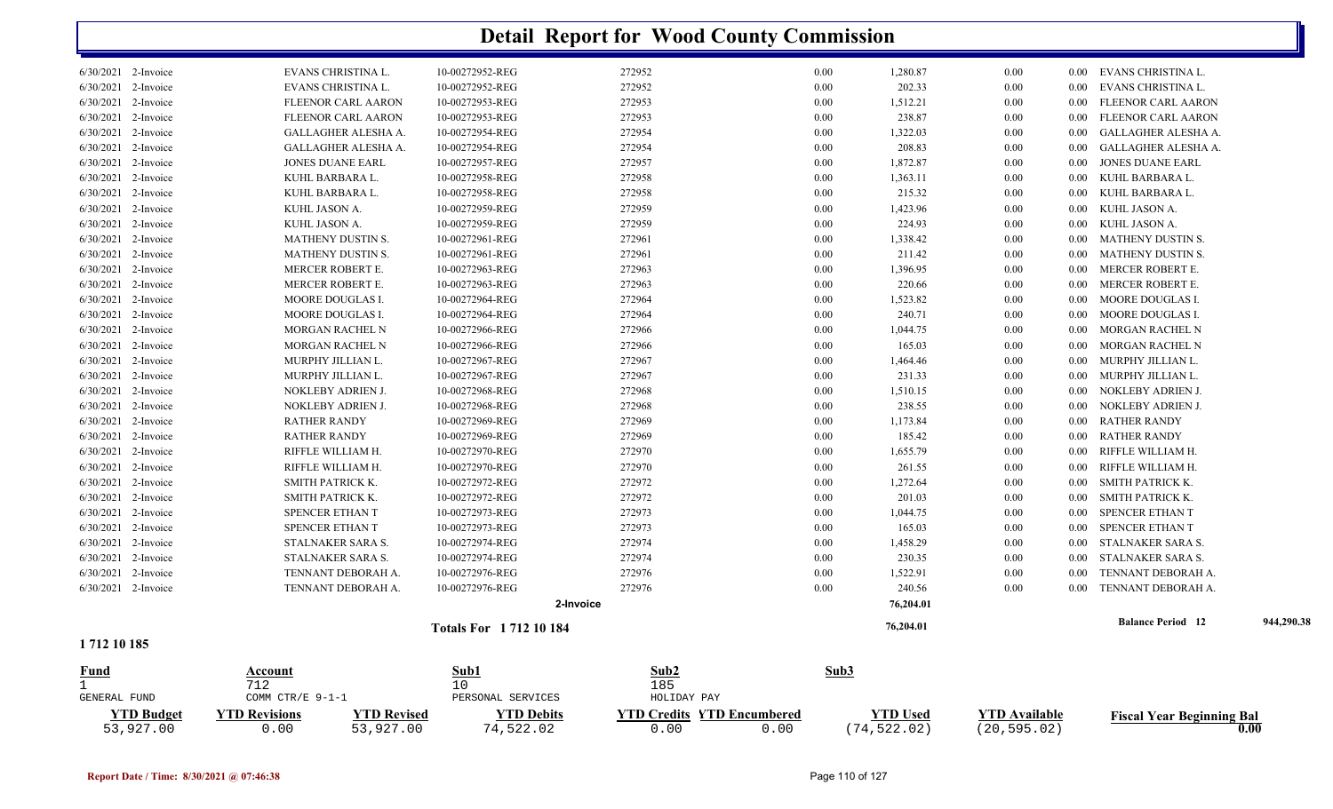|                        | <b>Detail Report for Wood County Commission</b> |                             |             |      |           |      |          |                          |            |  |  |  |
|------------------------|-------------------------------------------------|-----------------------------|-------------|------|-----------|------|----------|--------------------------|------------|--|--|--|
| 6/30/2021 2-Invoice    | EVANS CHRISTINA L.                              | 10-00272952-REG             | 272952      | 0.00 | 1,280.87  | 0.00 |          | 0.00 EVANS CHRISTINA L.  |            |  |  |  |
| 6/30/2021 2-Invoice    | EVANS CHRISTINA L.                              | 10-00272952-REG             | 272952      | 0.00 | 202.33    | 0.00 | 0.00     | EVANS CHRISTINA L.       |            |  |  |  |
| 6/30/2021 2-Invoice    | FLEENOR CARL AARON                              | 10-00272953-REG             | 272953      | 0.00 | 1,512.21  | 0.00 | $0.00\,$ | FLEENOR CARL AARON       |            |  |  |  |
| 6/30/2021 2-Invoice    | FLEENOR CARL AARON                              | 10-00272953-REG             | 272953      | 0.00 | 238.87    | 0.00 | $0.00\,$ | FLEENOR CARL AARON       |            |  |  |  |
| 6/30/2021<br>2-Invoice | GALLAGHER ALESHA A.                             | 10-00272954-REG             | 272954      | 0.00 | 1,322.03  | 0.00 | $0.00\,$ | GALLAGHER ALESHA A.      |            |  |  |  |
| $6/30/2021$ 2-Invoice  | GALLAGHER ALESHA A.                             | 10-00272954-REG             | 272954      | 0.00 | 208.83    | 0.00 | $0.00\,$ | GALLAGHER ALESHA A.      |            |  |  |  |
| 6/30/2021 2-Invoice    | <b>JONES DUANE EARL</b>                         | 10-00272957-REG             | 272957      | 0.00 | 1,872.87  | 0.00 | 0.00     | <b>JONES DUANE EARL</b>  |            |  |  |  |
| 6/30/2021<br>2-Invoice | KUHL BARBARA L.                                 | 10-00272958-REG             | 272958      | 0.00 | 1,363.11  | 0.00 | 0.00     | KUHL BARBARA L.          |            |  |  |  |
| 6/30/2021 2-Invoice    | KUHL BARBARA L.                                 | 10-00272958-REG             | 272958      | 0.00 | 215.32    | 0.00 | $0.00\,$ | KUHL BARBARA L.          |            |  |  |  |
| $6/30/2021$ 2-Invoice  | KUHL JASON A.                                   | 10-00272959-REG             | 272959      | 0.00 | 1,423.96  | 0.00 | $0.00\,$ | KUHL JASON A.            |            |  |  |  |
| 6/30/2021<br>2-Invoice | KUHL JASON A.                                   | 10-00272959-REG             | 272959      | 0.00 | 224.93    | 0.00 | 0.00     | KUHL JASON A.            |            |  |  |  |
| 6/30/2021 2-Invoice    | <b>MATHENY DUSTIN S.</b>                        | 10-00272961-REG             | 272961      | 0.00 | 1,338.42  | 0.00 | 0.00     | <b>MATHENY DUSTIN S.</b> |            |  |  |  |
| 6/30/2021 2-Invoice    | <b>MATHENY DUSTIN S.</b>                        | 10-00272961-REG             | 272961      | 0.00 | 211.42    | 0.00 | $0.00\,$ | <b>MATHENY DUSTIN S.</b> |            |  |  |  |
| 6/30/2021 2-Invoice    | MERCER ROBERT E.                                | 10-00272963-REG             | 272963      | 0.00 | 1,396.95  | 0.00 | 0.00     | MERCER ROBERT E.         |            |  |  |  |
| 6/30/2021 2-Invoice    | MERCER ROBERT E.                                | 10-00272963-REG             | 272963      | 0.00 | 220.66    | 0.00 | $0.00\,$ | MERCER ROBERT E.         |            |  |  |  |
| 6/30/2021 2-Invoice    | MOORE DOUGLAS I.                                | 10-00272964-REG             | 272964      | 0.00 | 1,523.82  | 0.00 | $0.00\,$ | MOORE DOUGLAS I.         |            |  |  |  |
| 6/30/2021<br>2-Invoice | MOORE DOUGLAS I.                                | 10-00272964-REG             | 272964      | 0.00 | 240.71    | 0.00 | 0.00     | MOORE DOUGLAS I.         |            |  |  |  |
| 6/30/2021 2-Invoice    | MORGAN RACHEL N                                 | 10-00272966-REG             | 272966      | 0.00 | 1,044.75  | 0.00 | 0.00     | <b>MORGAN RACHEL N</b>   |            |  |  |  |
| 6/30/2021 2-Invoice    | MORGAN RACHEL N                                 | 10-00272966-REG             | 272966      | 0.00 | 165.03    | 0.00 | $0.00\,$ | MORGAN RACHEL N          |            |  |  |  |
| $6/30/2021$ 2-Invoice  | MURPHY JILLIAN L.                               | 10-00272967-REG             | 272967      | 0.00 | 1,464.46  | 0.00 | $0.00\,$ | MURPHY JILLIAN L.        |            |  |  |  |
| 6/30/2021<br>2-Invoice | MURPHY JILLIAN L.                               | 10-00272967-REG             | 272967      | 0.00 | 231.33    | 0.00 | $0.00\,$ | MURPHY JILLIAN L.        |            |  |  |  |
| 6/30/2021 2-Invoice    | NOKLEBY ADRIEN J.                               | 10-00272968-REG             | 272968      | 0.00 | 1,510.15  | 0.00 | $0.00\,$ | NOKLEBY ADRIEN J.        |            |  |  |  |
| 6/30/2021 2-Invoice    | NOKLEBY ADRIEN J.                               | 10-00272968-REG             | 272968      | 0.00 | 238.55    | 0.00 | 0.00     | NOKLEBY ADRIEN J.        |            |  |  |  |
| 6/30/2021<br>2-Invoice | <b>RATHER RANDY</b>                             | 10-00272969-REG             | 272969      | 0.00 | 1,173.84  | 0.00 | $0.00\,$ | <b>RATHER RANDY</b>      |            |  |  |  |
| 6/30/2021 2-Invoice    | <b>RATHER RANDY</b>                             | 10-00272969-REG             | 272969      | 0.00 | 185.42    | 0.00 | $0.00\,$ | <b>RATHER RANDY</b>      |            |  |  |  |
| 6/30/2021 2-Invoice    | RIFFLE WILLIAM H.                               | 10-00272970-REG             | 272970      | 0.00 | 1,655.79  | 0.00 | $0.00\,$ | RIFFLE WILLIAM H         |            |  |  |  |
| 6/30/2021<br>2-Invoice | RIFFLE WILLIAM H.                               | 10-00272970-REG             | 272970      | 0.00 | 261.55    | 0.00 | 0.00     | RIFFLE WILLIAM H         |            |  |  |  |
| 6/30/2021 2-Invoice    | SMITH PATRICK K.                                | 10-00272972-REG             | 272972      | 0.00 | 1,272.64  | 0.00 | 0.00     | SMITH PATRICK K.         |            |  |  |  |
| 6/30/2021 2-Invoice    | SMITH PATRICK K.                                | 10-00272972-REG             | 272972      | 0.00 | 201.03    | 0.00 | $0.00\,$ | SMITH PATRICK K.         |            |  |  |  |
| 6/30/2021<br>2-Invoice | SPENCER ETHAN T                                 | 10-00272973-REG             | 272973      | 0.00 | 1,044.75  | 0.00 | $0.00\,$ | SPENCER ETHAN T          |            |  |  |  |
| 6/30/2021 2-Invoice    | SPENCER ETHAN T                                 | 10-00272973-REG             | 272973      | 0.00 | 165.03    | 0.00 | $0.00\,$ | SPENCER ETHAN T          |            |  |  |  |
| 6/30/2021 2-Invoice    | STALNAKER SARA S.                               | 10-00272974-REG             | 272974      | 0.00 | 1,458.29  | 0.00 | 0.00     | STALNAKER SARA S.        |            |  |  |  |
| 6/30/2021<br>2-Invoice | <b>STALNAKER SARA S.</b>                        | 10-00272974-REG             | 272974      | 0.00 | 230.35    | 0.00 | 0.00     | STALNAKER SARA S.        |            |  |  |  |
| 6/30/2021 2-Invoice    | TENNANT DEBORAH A.                              | 10-00272976-REG             | 272976      | 0.00 | 1,522.91  | 0.00 | 0.00     | TENNANT DEBORAH A.       |            |  |  |  |
| 6/30/2021 2-Invoice    | TENNANT DEBORAH A.                              | 10-00272976-REG             | 272976      | 0.00 | 240.56    | 0.00 | 0.00     | TENNANT DEBORAH A.       |            |  |  |  |
|                        |                                                 |                             | 2-Invoice   |      | 76,204.01 |      |          |                          |            |  |  |  |
| 1712 10 185            |                                                 | <b>Totals For 171210184</b> |             |      | 76,204.01 |      |          | <b>Balance Period 12</b> | 944,290.38 |  |  |  |
| Fund<br>$\mathbf{1}$   | Account<br>712                                  | Sub1<br>10                  | Sub2<br>185 | Sub3 |           |      |          |                          |            |  |  |  |

| GENERAL FUND                   | COMM CTR/E $9-1-1$          |             | PERSONAL SERVICES           | HOLIDAY PAY |                                           |                              |                                  |                                          |
|--------------------------------|-----------------------------|-------------|-----------------------------|-------------|-------------------------------------------|------------------------------|----------------------------------|------------------------------------------|
| <b>VTD Budget</b><br>53,927.00 | <b>TD Revisions</b><br>,.00 | 'TD Revised | <b>TD Debits</b><br>.522.02 |             | <b>YTD Credits YTD Encumbered</b><br>0.00 | <b>YTD Used</b><br>74.522.02 | $\vee$ TD Available<br>20,595.02 | <b>Fiscal Year Beginning Bal</b><br>0.00 |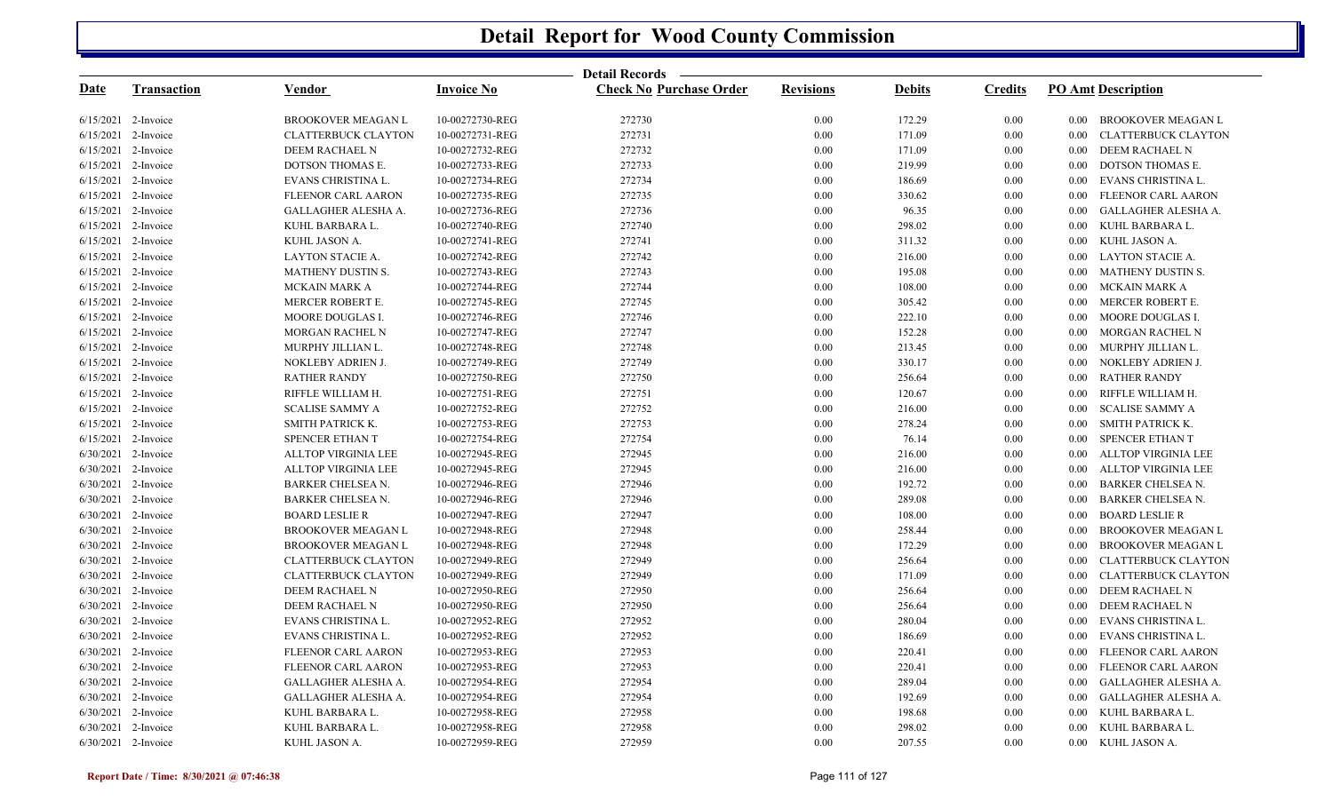|                       |                    |                            |                   | Detail Records —               |                  |               |                |                                       |
|-----------------------|--------------------|----------------------------|-------------------|--------------------------------|------------------|---------------|----------------|---------------------------------------|
| <u>Date</u>           | <b>Transaction</b> | <u>Vendor</u>              | <b>Invoice No</b> | <u>Check No Purchase Order</u> | <b>Revisions</b> | <b>Debits</b> | <b>Credits</b> | <b>PO Amt Description</b>             |
| $6/15/2021$ 2-Invoice |                    | <b>BROOKOVER MEAGAN L</b>  | 10-00272730-REG   | 272730                         | $0.00\,$         | 172.29        | 0.00           | <b>BROOKOVER MEAGAN L</b><br>$0.00\,$ |
| 6/15/2021             | 2-Invoice          | CLATTERBUCK CLAYTON        | 10-00272731-REG   | 272731                         | $0.00\,$         | 171.09        | 0.00           | CLATTERBUCK CLAYTON<br>$0.00\,$       |
| 6/15/2021             | 2-Invoice          | DEEM RACHAEL N             | 10-00272732-REG   | 272732                         | 0.00             | 171.09        | 0.00           | DEEM RACHAEL N<br>0.00                |
| 6/15/2021             | 2-Invoice          | DOTSON THOMAS E.           | 10-00272733-REG   | 272733                         | $0.00\,$         | 219.99        | $0.00\,$       | DOTSON THOMAS E.<br>0.00              |
| 6/15/2021             | 2-Invoice          | EVANS CHRISTINA L.         | 10-00272734-REG   | 272734                         | $0.00\,$         | 186.69        | $0.00\,$       | EVANS CHRISTINA L.<br>$0.00\,$        |
| 6/15/2021             | 2-Invoice          | <b>FLEENOR CARL AARON</b>  | 10-00272735-REG   | 272735                         | 0.00             | 330.62        | $0.00\,$       | FLEENOR CARL AARON<br>0.00            |
| 6/15/2021             | 2-Invoice          | GALLAGHER ALESHA A.        | 10-00272736-REG   | 272736                         | $0.00\,$         | 96.35         | $0.00\,$       | GALLAGHER ALESHA A.<br>0.00           |
| 6/15/2021             | 2-Invoice          | KUHL BARBARA L.            | 10-00272740-REG   | 272740                         | $0.00\,$         | 298.02        | 0.00           | KUHL BARBARA L.<br>$0.00\,$           |
| 6/15/2021             | 2-Invoice          | KUHL JASON A.              | 10-00272741-REG   | 272741                         | 0.00             | 311.32        | $0.00\,$       | KUHL JASON A.<br>0.00                 |
| 6/15/2021             | 2-Invoice          | LAYTON STACIE A.           | 10-00272742-REG   | 272742                         | $0.00\,$         | 216.00        | $0.00\,$       | <b>LAYTON STACIE A.</b><br>0.00       |
| 6/15/2021             | 2-Invoice          | MATHENY DUSTIN S.          | 10-00272743-REG   | 272743                         | $0.00\,$         | 195.08        | $0.00\,$       | <b>MATHENY DUSTIN S.</b><br>$0.00\,$  |
| 6/15/2021             | 2-Invoice          | <b>MCKAIN MARK A</b>       | 10-00272744-REG   | 272744                         | 0.00             | 108.00        | $0.00\,$       | <b>MCKAIN MARK A</b><br>0.00          |
| 6/15/2021             | 2-Invoice          | MERCER ROBERT E.           | 10-00272745-REG   | 272745                         | $0.00\,$         | 305.42        | $0.00\,$       | MERCER ROBERT E.<br>0.00              |
| 6/15/2021             | 2-Invoice          | MOORE DOUGLAS I.           | 10-00272746-REG   | 272746                         | $0.00\,$         | 222.10        | 0.00           | MOORE DOUGLAS I.<br>$0.00\,$          |
| 6/15/2021             | 2-Invoice          | MORGAN RACHEL N            | 10-00272747-REG   | 272747                         | 0.00             | 152.28        | $0.00\,$       | <b>MORGAN RACHEL N</b><br>0.00        |
| 6/15/2021             | 2-Invoice          | MURPHY JILLIAN L.          | 10-00272748-REG   | 272748                         | $0.00\,$         | 213.45        | $0.00\,$       | MURPHY JILLIAN L.<br>0.00             |
| 6/15/2021             | 2-Invoice          | NOKLEBY ADRIEN J.          | 10-00272749-REG   | 272749                         | $0.00\,$         | 330.17        | $0.00\,$       | NOKLEBY ADRIEN J.<br>$0.00\,$         |
| 6/15/2021             | 2-Invoice          | <b>RATHER RANDY</b>        | 10-00272750-REG   | 272750                         | 0.00             | 256.64        | $0.00\,$       | <b>RATHER RANDY</b><br>0.00           |
| 6/15/2021             | 2-Invoice          | RIFFLE WILLIAM H.          | 10-00272751-REG   | 272751                         | $0.00\,$         | 120.67        | $0.00\,$       | RIFFLE WILLIAM H.<br>0.00             |
| 6/15/2021             | 2-Invoice          | <b>SCALISE SAMMY A</b>     | 10-00272752-REG   | 272752                         | $0.00\,$         | 216.00        | 0.00           | <b>SCALISE SAMMY A</b><br>$0.00\,$    |
| 6/15/2021             | 2-Invoice          | SMITH PATRICK K.           | 10-00272753-REG   | 272753                         | 0.00             | 278.24        | $0.00\,$       | <b>SMITH PATRICK K.</b><br>0.00       |
| 6/15/2021             | 2-Invoice          | SPENCER ETHAN T            | 10-00272754-REG   | 272754                         | $0.00\,$         | 76.14         | $0.00\,$       | SPENCER ETHAN T<br>0.00               |
| 6/30/2021 2-Invoice   |                    | <b>ALLTOP VIRGINIA LEE</b> | 10-00272945-REG   | 272945                         | $0.00\,$         | 216.00        | $0.00\,$       | ALLTOP VIRGINIA LEE<br>0.00           |
| 6/30/2021             | 2-Invoice          | <b>ALLTOP VIRGINIA LEE</b> | 10-00272945-REG   | 272945                         | 0.00             | 216.00        | 0.00           | <b>ALLTOP VIRGINIA LEE</b><br>0.00    |
| 6/30/2021 2-Invoice   |                    | <b>BARKER CHELSEA N.</b>   | 10-00272946-REG   | 272946                         | $0.00\,$         | 192.72        | $0.00\,$       | <b>BARKER CHELSEA N.</b><br>0.00      |
| 6/30/2021 2-Invoice   |                    | BARKER CHELSEA N.          | 10-00272946-REG   | 272946                         | $0.00\,$         | 289.08        | 0.00           | <b>BARKER CHELSEA N.</b><br>$0.00\,$  |
| 6/30/2021             | 2-Invoice          | <b>BOARD LESLIE R</b>      | 10-00272947-REG   | 272947                         | 0.00             | 108.00        | $0.00\,$       | <b>BOARD LESLIE R</b><br>0.00         |
| 6/30/2021 2-Invoice   |                    | <b>BROOKOVER MEAGAN L</b>  | 10-00272948-REG   | 272948                         | $0.00\,$         | 258.44        | $0.00\,$       | <b>BROOKOVER MEAGAN L</b><br>0.00     |
| 6/30/2021 2-Invoice   |                    | <b>BROOKOVER MEAGAN L</b>  | 10-00272948-REG   | 272948                         | $0.00\,$         | 172.29        | $0.00\,$       | <b>BROOKOVER MEAGAN L</b><br>0.00     |
| 6/30/2021             | 2-Invoice          | <b>CLATTERBUCK CLAYTON</b> | 10-00272949-REG   | 272949                         | 0.00             | 256.64        | 0.00           | <b>CLATTERBUCK CLAYTON</b><br>0.00    |
| 6/30/2021 2-Invoice   |                    | <b>CLATTERBUCK CLAYTON</b> | 10-00272949-REG   | 272949                         | $0.00\,$         | 171.09        | $0.00\,$       | <b>CLATTERBUCK CLAYTON</b><br>0.00    |
| 6/30/2021             | 2-Invoice          | DEEM RACHAEL N             | 10-00272950-REG   | 272950                         | $0.00\,$         | 256.64        | $0.00\,$       | DEEM RACHAEL N<br>$0.00\,$            |
| 6/30/2021 2-Invoice   |                    | DEEM RACHAEL N             | 10-00272950-REG   | 272950                         | 0.00             | 256.64        | 0.00           | DEEM RACHAEL N<br>0.00                |
| 6/30/2021 2-Invoice   |                    | EVANS CHRISTINA L.         | 10-00272952-REG   | 272952                         | $0.00\,$         | 280.04        | $0.00\,$       | EVANS CHRISTINA L.<br>0.00            |
| 6/30/2021 2-Invoice   |                    | EVANS CHRISTINA L.         | 10-00272952-REG   | 272952                         | $0.00\,$         | 186.69        | $0.00\,$       | EVANS CHRISTINA L.<br>$0.00\,$        |
| 6/30/2021 2-Invoice   |                    | <b>FLEENOR CARL AARON</b>  | 10-00272953-REG   | 272953                         | 0.00             | 220.41        | 0.00           | <b>FLEENOR CARL AARON</b><br>0.00     |
| 6/30/2021 2-Invoice   |                    | FLEENOR CARL AARON         | 10-00272953-REG   | 272953                         | $0.00\,$         | 220.41        | 0.00           | FLEENOR CARL AARON<br>0.00            |
| 6/30/2021             | 2-Invoice          | GALLAGHER ALESHA A.        | 10-00272954-REG   | 272954                         | $0.00\,$         | 289.04        | $0.00\,$       | GALLAGHER ALESHA A.<br>$0.00\,$       |
| 6/30/2021 2-Invoice   |                    | GALLAGHER ALESHA A.        | 10-00272954-REG   | 272954                         | 0.00             | 192.69        | 0.00           | GALLAGHER ALESHA A.<br>0.00           |
| 6/30/2021 2-Invoice   |                    | KUHL BARBARA L.            | 10-00272958-REG   | 272958                         | 0.00             | 198.68        | $0.00\,$       | KUHL BARBARA L.<br>0.00               |
| 6/30/2021 2-Invoice   |                    | KUHL BARBARA L.            | 10-00272958-REG   | 272958                         | 0.00             | 298.02        | 0.00           | KUHL BARBARA L.<br>$0.00\,$           |
| 6/30/2021 2-Invoice   |                    | KUHL JASON A.              | 10-00272959-REG   | 272959                         | 0.00             | 207.55        | 0.00           | KUHL JASON A.<br>0.00                 |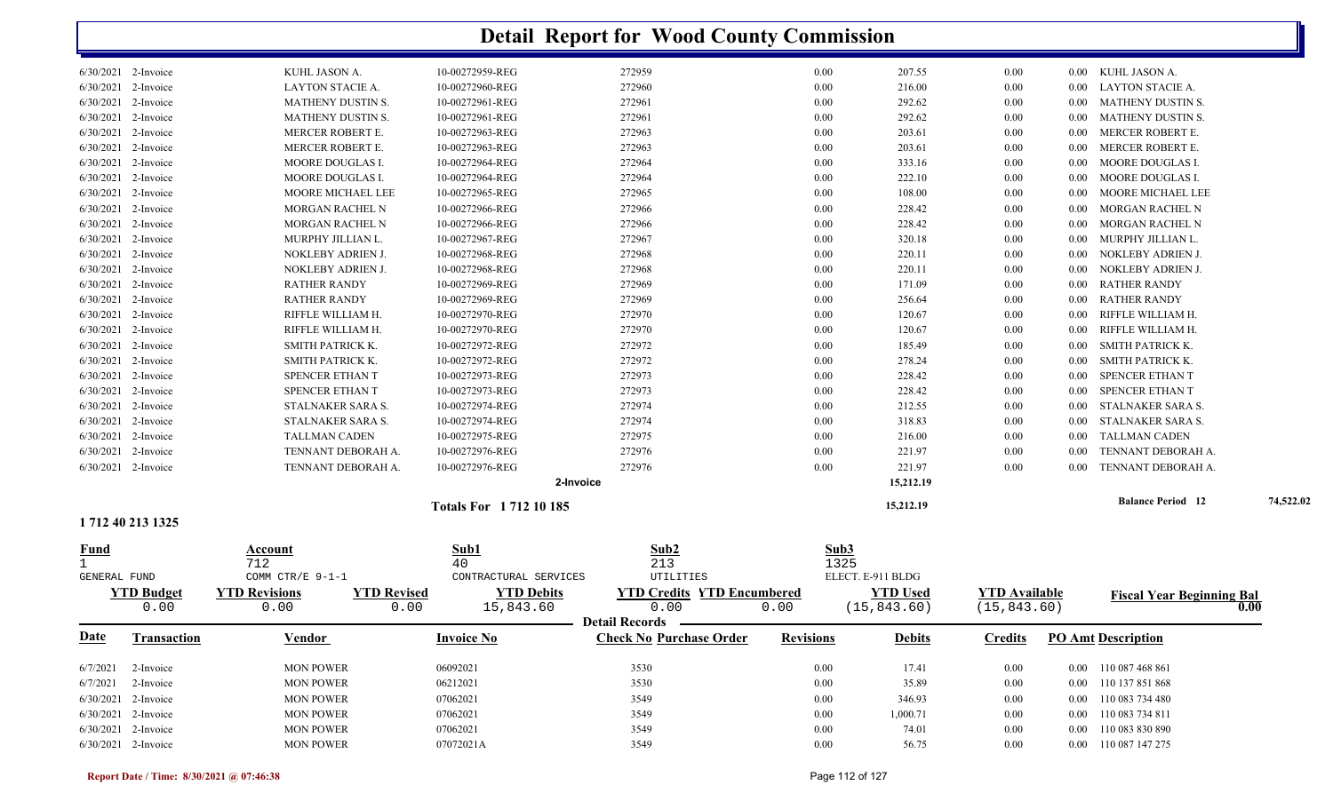|                                   |                        |                    | <b>Detail Report for Wood County Commission</b> |                                   |                  |                   |                 |                      |          |                                  |           |
|-----------------------------------|------------------------|--------------------|-------------------------------------------------|-----------------------------------|------------------|-------------------|-----------------|----------------------|----------|----------------------------------|-----------|
| 6/30/2021 2-Invoice               | KUHL JASON A.          | 10-00272959-REG    |                                                 | 272959                            | 0.00             |                   | 207.55          | $0.00\,$             | $0.00\,$ | KUHL JASON A.                    |           |
| 6/30/2021 2-Invoice               | LAYTON STACIE A.       | 10-00272960-REG    |                                                 | 272960                            | 0.00             |                   | 216.00          | 0.00                 | 0.00     | <b>LAYTON STACIE A.</b>          |           |
| 6/30/2021<br>2-Invoice            | MATHENY DUSTIN S.      | 10-00272961-REG    |                                                 | 272961                            | 0.00             |                   | 292.62          | 0.00                 | 0.00     | <b>MATHENY DUSTIN S.</b>         |           |
| 6/30/2021<br>2-Invoice            | MATHENY DUSTIN S.      | 10-00272961-REG    |                                                 | 272961                            | 0.00             |                   | 292.62          | 0.00                 | 0.00     | <b>MATHENY DUSTIN S.</b>         |           |
| 6/30/2021<br>2-Invoice            | MERCER ROBERT E.       | 10-00272963-REG    |                                                 | 272963                            | 0.00             |                   | 203.61          | 0.00                 | 0.00     | MERCER ROBERT E.                 |           |
| 6/30/2021<br>2-Invoice            | MERCER ROBERT E.       | 10-00272963-REG    |                                                 | 272963                            | 0.00             |                   | 203.61          | 0.00                 | 0.00     | MERCER ROBERT E.                 |           |
| 2-Invoice<br>6/30/2021            | MOORE DOUGLAS I.       | 10-00272964-REG    |                                                 | 272964                            | 0.00             |                   | 333.16          | 0.00                 | 0.00     | MOORE DOUGLAS I.                 |           |
| 6/30/2021 2-Invoice               | MOORE DOUGLAS I.       | 10-00272964-REG    |                                                 | 272964                            | 0.00             |                   | 222.10          | 0.00                 | 0.00     | MOORE DOUGLAS I.                 |           |
| 6/30/2021 2-Invoice               | MOORE MICHAEL LEE      | 10-00272965-REG    |                                                 | 272965                            | 0.00             |                   | 108.00          | 0.00                 | 0.00     | MOORE MICHAEL LEE                |           |
| 6/30/2021 2-Invoice               | <b>MORGAN RACHEL N</b> | 10-00272966-REG    |                                                 | 272966                            | 0.00             |                   | 228.42          | 0.00                 | 0.00     | MORGAN RACHEL N                  |           |
| 6/30/2021 2-Invoice               | <b>MORGAN RACHEL N</b> | 10-00272966-REG    |                                                 | 272966                            | 0.00             |                   | 228.42          | 0.00                 | 0.00     | MORGAN RACHEL N                  |           |
| 6/30/2021 2-Invoice               | MURPHY JILLIAN L.      | 10-00272967-REG    |                                                 | 272967                            | 0.00             |                   | 320.18          | 0.00                 | 0.00     | MURPHY JILLIAN L.                |           |
| 6/30/2021 2-Invoice               | NOKLEBY ADRIEN J.      | 10-00272968-REG    |                                                 | 272968                            | 0.00             |                   | 220.11          | 0.00                 | 0.00     | NOKLEBY ADRIEN J.                |           |
| 6/30/2021 2-Invoice               | NOKLEBY ADRIEN J.      | 10-00272968-REG    |                                                 | 272968                            | 0.00             |                   | 220.11          | 0.00                 | 0.00     | NOKLEBY ADRIEN J.                |           |
| 6/30/2021<br>2-Invoice            | <b>RATHER RANDY</b>    | 10-00272969-REG    |                                                 | 272969                            | 0.00             |                   | 171.09          | 0.00                 | 0.00     | <b>RATHER RANDY</b>              |           |
| 6/30/2021<br>2-Invoice            | <b>RATHER RANDY</b>    | 10-00272969-REG    |                                                 | 272969                            | 0.00             |                   | 256.64          | 0.00                 | 0.00     | <b>RATHER RANDY</b>              |           |
| 6/30/2021<br>2-Invoice            | RIFFLE WILLIAM H.      | 10-00272970-REG    |                                                 | 272970                            | 0.00             |                   | 120.67          | 0.00                 | 0.00     | RIFFLE WILLIAM H.                |           |
| 6/30/2021<br>2-Invoice            | RIFFLE WILLIAM H.      | 10-00272970-REG    |                                                 | 272970                            | 0.00             |                   | 120.67          | 0.00                 | 0.00     | RIFFLE WILLIAM H.                |           |
| 6/30/2021 2-Invoice               | SMITH PATRICK K.       | 10-00272972-REG    |                                                 | 272972                            | 0.00             |                   | 185.49          | 0.00                 | 0.00     | SMITH PATRICK K.                 |           |
| 6/30/2021 2-Invoice               | SMITH PATRICK K.       | 10-00272972-REG    |                                                 | 272972                            | 0.00             |                   | 278.24          | 0.00                 | 0.00     | <b>SMITH PATRICK K.</b>          |           |
| 6/30/2021 2-Invoice               | SPENCER ETHAN T        | 10-00272973-REG    |                                                 | 272973                            | 0.00             |                   | 228.42          | 0.00                 | $0.00\,$ | SPENCER ETHAN T                  |           |
| 6/30/2021 2-Invoice               | SPENCER ETHAN T        | 10-00272973-REG    |                                                 | 272973                            | 0.00             |                   | 228.42          | 0.00                 | 0.00     | SPENCER ETHAN T                  |           |
| 6/30/2021 2-Invoice               | STALNAKER SARA S.      | 10-00272974-REG    |                                                 | 272974                            | 0.00             |                   | 212.55          | 0.00                 | 0.00     | STALNAKER SARA S.                |           |
| 6/30/2021 2-Invoice               | STALNAKER SARA S.      | 10-00272974-REG    |                                                 | 272974                            | 0.00             |                   | 318.83          | 0.00                 | 0.00     | STALNAKER SARA S.                |           |
| 6/30/2021 2-Invoice               | <b>TALLMAN CADEN</b>   | 10-00272975-REG    |                                                 | 272975                            | 0.00             |                   | 216.00          | 0.00                 |          | <b>TALLMAN CADEN</b>             |           |
| 6/30/2021 2-Invoice               |                        | 10-00272976-REG    |                                                 | 272976                            | 0.00             |                   |                 |                      | 0.00     | TENNANT DEBORAH A.               |           |
|                                   | TENNANT DEBORAH A.     |                    |                                                 |                                   |                  |                   | 221.97          | 0.00                 | 0.00     |                                  |           |
| 6/30/2021 2-Invoice               | TENNANT DEBORAH A.     | 10-00272976-REG    |                                                 | 272976                            | 0.00             |                   | 221.97          | 0.00                 | 0.00     | TENNANT DEBORAH A.               |           |
|                                   |                        |                    | 2-Invoice                                       |                                   |                  |                   | 15,212.19       |                      |          |                                  |           |
| 1712 40 213 1325                  |                        |                    | Totals For 1712 10 185                          |                                   |                  |                   | 15,212.19       |                      |          | <b>Balance Period 12</b>         | 74,522.02 |
|                                   | Account                | Sub1               |                                                 | Sub <sub>2</sub>                  |                  | Sub3              |                 |                      |          |                                  |           |
| <u>Fund</u>                       | 712                    | 40                 |                                                 | 213                               |                  | 1325              |                 |                      |          |                                  |           |
| <b>GENERAL FUND</b>               | COMM CTR/E 9-1-1       |                    | CONTRACTURAL SERVICES                           | UTILITIES                         |                  | ELECT. E-911 BLDG |                 |                      |          |                                  |           |
| <b>YTD Budget</b>                 | <b>YTD Revisions</b>   | <b>YTD Revised</b> | <b>YTD Debits</b>                               | <b>YTD Credits YTD Encumbered</b> |                  |                   | <b>YTD Used</b> | <b>YTD Available</b> |          | <b>Fiscal Year Beginning Bal</b> |           |
| 0.00                              | 0.00                   | 0.00               | 15,843.60                                       | 0.00                              | 0.00             |                   | (15, 843.60)    | (15, 843.60)         |          |                                  | 0.00      |
|                                   |                        |                    |                                                 | Detail Records —————              |                  |                   |                 |                      |          |                                  |           |
| <b>Date</b><br><b>Transaction</b> | <b>Vendor</b>          | <b>Invoice No</b>  |                                                 | <b>Check No Purchase Order</b>    | <b>Revisions</b> |                   | <b>Debits</b>   | <b>Credits</b>       |          | <b>PO Amt Description</b>        |           |
| $6/7/2021$ 2-Invoice              | <b>MON POWER</b>       | 06092021           |                                                 | 3530                              | $0.00\,$         |                   | 17.41           | $0.00\,$             |          | 0.00 110 087 468 861             |           |
| $6/7/2021$ 2-Invoice              | <b>MON POWER</b>       | 06212021           |                                                 | 3530                              | $0.00\,$         |                   | 35.89           | $0.00\,$             |          | 0.00 110 137 851 868             |           |
| 6/30/2021 2-Invoice               | <b>MON POWER</b>       | 07062021           |                                                 | 3549                              | $0.00\,$         |                   | 346.93          | 0.00                 |          | 0.00 110 083 734 480             |           |
| 6/30/2021 2-Invoice               | <b>MON POWER</b>       | 07062021           |                                                 | 3549                              | $0.00\,$         |                   | 1,000.71        | $0.00\,$             |          | 0.00 110 083 734 811             |           |
| 6/30/2021 2-Invoice               | <b>MON POWER</b>       | 07062021           |                                                 | 3549                              | $0.00\,$         |                   | 74.01           | $0.00\,$             |          | 0.00 110 083 830 890             |           |
| 6/30/2021 2-Invoice               | <b>MON POWER</b>       | 07072021A          |                                                 | 3549                              | $0.00\,$         |                   | 56.75           | 0.00                 |          | 0.00 110 087 147 275             |           |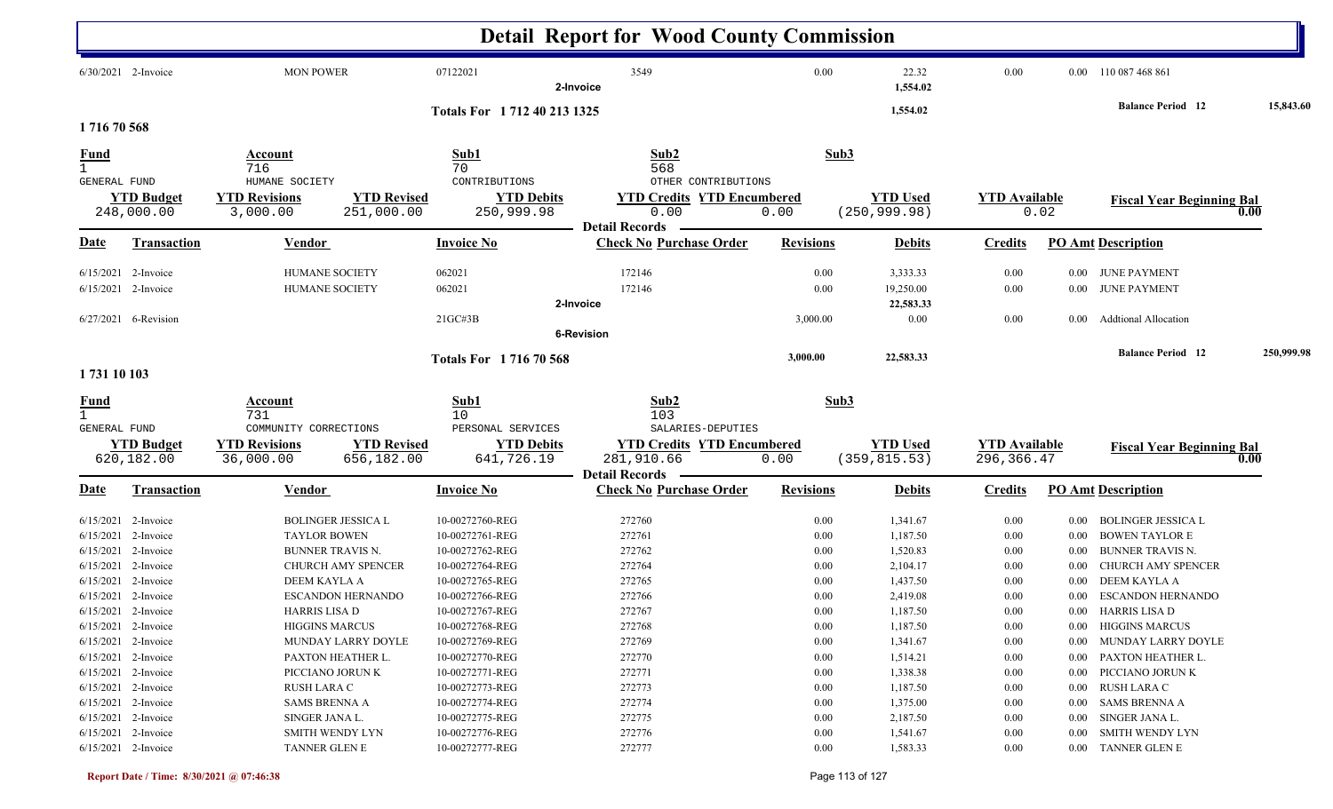|                                                    |                                                                                                |                                                                                        |                                                                                      | <b>Detail Report for Wood County Commission</b>                                           |                                  |                                              |                                    |                                  |                                                                                    |            |
|----------------------------------------------------|------------------------------------------------------------------------------------------------|----------------------------------------------------------------------------------------|--------------------------------------------------------------------------------------|-------------------------------------------------------------------------------------------|----------------------------------|----------------------------------------------|------------------------------------|----------------------------------|------------------------------------------------------------------------------------|------------|
|                                                    | $6/30/2021$ 2-Invoice                                                                          | <b>MON POWER</b>                                                                       | 07122021                                                                             | 3549<br>2-Invoice                                                                         | 0.00                             | 22.32<br>1,554.02                            | 0.00                               |                                  | 0.00 110 087 468 861                                                               |            |
| 171670568                                          |                                                                                                |                                                                                        | Totals For 1712 40 213 1325                                                          |                                                                                           |                                  | 1,554.02                                     |                                    |                                  | <b>Balance Period 12</b>                                                           | 15,843.60  |
| Fund                                               |                                                                                                | Account<br>716                                                                         | Sub1<br>70                                                                           | Sub2<br>568                                                                               | Sub3                             |                                              |                                    |                                  |                                                                                    |            |
| GENERAL FUND                                       | <b>YTD Budget</b><br>248,000.00                                                                | HUMANE SOCIETY<br><b>YTD Revisions</b><br>3,000.00                                     | CONTRIBUTIONS<br><b>YTD Revised</b><br><b>YTD Debits</b><br>251,000.00<br>250,999.98 | OTHER CONTRIBUTIONS<br><b>YTD Credits YTD Encumbered</b><br>0.00<br><b>Detail Records</b> | 0.00                             | <b>YTD Used</b><br>(250, 999.98)             | <b>YTD</b> Available               | 0.02                             | <b>Fiscal Year Beginning Bal</b>                                                   | 0.00       |
| Date                                               | <b>Transaction</b>                                                                             | <b>Vendor</b>                                                                          | <b>Invoice No</b>                                                                    | <b>Check No Purchase Order</b>                                                            | <b>Revisions</b>                 | <b>Debits</b>                                | <b>Credits</b>                     |                                  | <b>PO Amt Description</b>                                                          |            |
|                                                    | $6/15/2021$ 2-Invoice<br>$6/15/2021$ 2-Invoice                                                 | <b>HUMANE SOCIETY</b><br><b>HUMANE SOCIETY</b>                                         | 062021<br>062021                                                                     | 172146<br>172146<br>2-Invoice                                                             | 0.00<br>0.00                     | 3,333.33<br>19,250.00<br>22,583.33           | 0.00<br>0.00                       |                                  | 0.00 JUNE PAYMENT<br>0.00 JUNE PAYMENT                                             |            |
|                                                    | $6/27/2021$ 6-Revision                                                                         |                                                                                        | $21G$ C#3B                                                                           | <b>6-Revision</b>                                                                         | 3,000.00                         | 0.00                                         | 0.00                               | 0.00                             | <b>Addtional Allocation</b>                                                        |            |
| 1731 10 103                                        |                                                                                                |                                                                                        | <b>Totals For 171670568</b>                                                          |                                                                                           | 3,000.00                         | 22,583.33                                    |                                    |                                  | <b>Balance Period 12</b>                                                           | 250,999.98 |
| <u>Fund</u><br>$\mathbf{1}$<br><b>GENERAL FUND</b> |                                                                                                | Account<br>731<br>COMMUNITY CORRECTIONS                                                | Sub1<br>10<br>PERSONAL SERVICES                                                      | Sub2<br>103<br>SALARIES-DEPUTIES                                                          | Sub3                             |                                              |                                    |                                  |                                                                                    |            |
|                                                    | <b>YTD Budget</b><br>620,182.00                                                                | <b>YTD Revisions</b><br>36,000.00                                                      | <b>YTD Revised</b><br><b>YTD Debits</b><br>656,182.00<br>641,726.19                  | <b>YTD Credits YTD Encumbered</b><br>281,910.66<br><b>Detail Records</b>                  | 0.00                             | <b>YTD Used</b><br>(359, 815.53)             | <b>YTD Available</b><br>296,366.47 |                                  | <b>Fiscal Year Beginning Bal</b>                                                   | 0.00       |
| <u>Date</u>                                        | <b>Transaction</b>                                                                             | <b>Vendor</b>                                                                          | <b>Invoice No</b>                                                                    | <b>Check No Purchase Order</b>                                                            | <b>Revisions</b>                 | <b>Debits</b>                                | <b>Credits</b>                     |                                  | <b>PO Amt Description</b>                                                          |            |
|                                                    | $6/15/2021$ 2-Invoice<br>6/15/2021 2-Invoice<br>6/15/2021 2-Invoice                            | <b>BOLINGER JESSICA L</b><br><b>TAYLOR BOWEN</b><br>BUNNER TRAVIS N.                   | 10-00272760-REG<br>10-00272761-REG<br>10-00272762-REG                                | 272760<br>272761<br>272762                                                                | 0.00<br>0.00<br>0.00             | 1,341.67<br>1,187.50<br>1,520.83             | 0.00<br>0.00<br>0.00               | $0.00\,$<br>$0.00\,$<br>0.00     | BOLINGER JESSICA L<br><b>BOWEN TAYLOR E</b><br><b>BUNNER TRAVIS N.</b>             |            |
|                                                    | $6/15/2021$ 2-Invoice<br>$6/15/2021$ 2-Invoice<br>$6/15/2021$ 2-Invoice<br>6/15/2021 2-Invoice | <b>CHURCH AMY SPENCER</b><br>DEEM KAYLA A<br><b>ESCANDON HERNANDO</b><br>HARRIS LISA D | 10-00272764-REG<br>10-00272765-REG<br>10-00272766-REG<br>10-00272767-REG             | 272764<br>272765<br>272766<br>272767                                                      | 0.00<br>0.00<br>0.00<br>$0.00\,$ | 2,104.17<br>1,437.50<br>2,419.08<br>1,187.50 | 0.00<br>0.00<br>0.00<br>0.00       | $0.00\,$<br>$0.00\,$             | CHURCH AMY SPENCER<br>DEEM KAYLA A<br>0.00 ESCANDON HERNANDO<br>0.00 HARRIS LISA D |            |
|                                                    | $6/15/2021$ 2-Invoice<br>6/15/2021 2-Invoice<br>$6/15/2021$ 2-Invoice                          | <b>HIGGINS MARCUS</b><br>MUNDAY LARRY DOYLE<br>PAXTON HEATHER L.                       | 10-00272768-REG<br>10-00272769-REG<br>10-00272770-REG                                | 272768<br>272769<br>272770                                                                | 0.00<br>0.00<br>0.00             | 1,187.50<br>1,341.67<br>1,514.21             | 0.00<br>0.00<br>0.00               |                                  | 0.00 HIGGINS MARCUS<br>0.00 MUNDAY LARRY DOYLE<br>0.00 PAXTON HEATHER L.           |            |
|                                                    | $6/15/2021$ 2-Invoice<br>6/15/2021 2-Invoice<br>$6/15/2021$ 2-Invoice<br>$6/15/2021$ 2-Invoice | PICCIANO JORUN K<br>RUSH LARA C<br><b>SAMS BRENNA A</b><br>SINGER JANA L.              | 10-00272771-REG<br>10-00272773-REG<br>10-00272774-REG<br>10-00272775-REG             | 272771<br>272773<br>272774<br>272775                                                      | 0.00<br>0.00<br>0.00<br>0.00     | 1,338.38<br>1,187.50<br>1,375.00<br>2,187.50 | 0.00<br>0.00<br>0.00<br>0.00       | $0.00\,$<br>$0.00\,$<br>$0.00\,$ | PICCIANO JORUN K<br>RUSH LARA C<br>0.00 SAMS BRENNA A<br>SINGER JANA L.            |            |
|                                                    | 6/15/2021 2-Invoice<br>6/15/2021 2-Invoice                                                     | SMITH WENDY LYN<br>TANNER GLEN E                                                       | 10-00272776-REG<br>10-00272777-REG                                                   | 272776<br>272777                                                                          | 0.00<br>0.00                     | 1,541.67<br>1,583.33                         | 0.00<br>$0.00\,$                   | $0.00\,$                         | SMITH WENDY LYN<br>0.00 TANNER GLEN E                                              |            |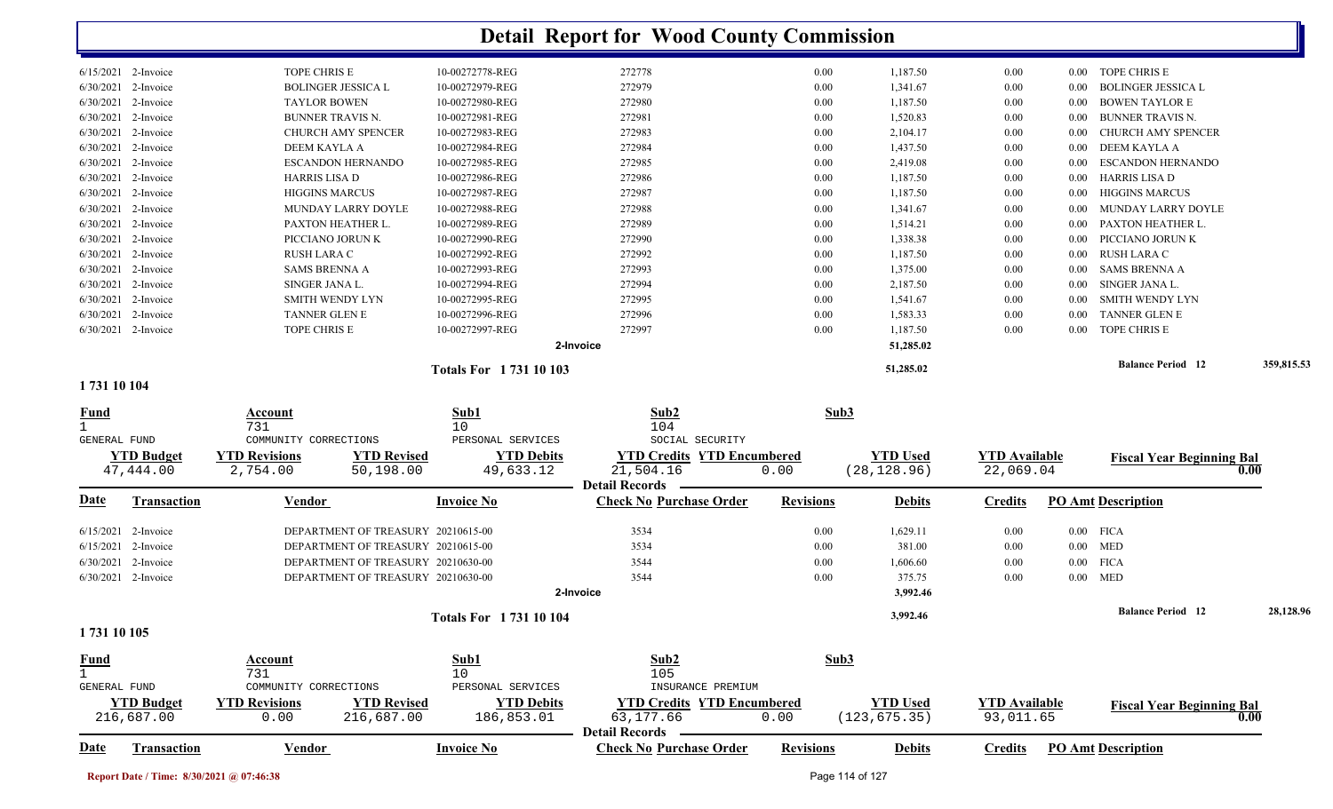|                                   |                                            |                             | <b>Detail Report for Wood County Commission</b> |                  |                 |                      |          |                                  |            |
|-----------------------------------|--------------------------------------------|-----------------------------|-------------------------------------------------|------------------|-----------------|----------------------|----------|----------------------------------|------------|
| 6/15/2021 2-Invoice               | TOPE CHRIS E                               | 10-00272778-REG             | 272778                                          | 0.00             | 1,187.50        | $0.00\,$             |          | 0.00 TOPE CHRIS E                |            |
| 6/30/2021 2-Invoice               | <b>BOLINGER JESSICA L</b>                  | 10-00272979-REG             | 272979                                          | 0.00             | 1,341.67        | $0.00\,$             | 0.00     | <b>BOLINGER JESSICA L</b>        |            |
| 6/30/2021 2-Invoice               | <b>TAYLOR BOWEN</b>                        | 10-00272980-REG             | 272980                                          | 0.00             | 1,187.50        | $0.00\,$             | $0.00\,$ | <b>BOWEN TAYLOR E</b>            |            |
| 6/30/2021 2-Invoice               | <b>BUNNER TRAVIS N.</b>                    | 10-00272981-REG             | 272981                                          | 0.00             | 1,520.83        | $0.00\,$             | 0.00     | <b>BUNNER TRAVIS N.</b>          |            |
| 6/30/2021<br>2-Invoice            | CHURCH AMY SPENCER                         | 10-00272983-REG             | 272983                                          | 0.00             | 2,104.17        | 0.00                 | 0.00     | <b>CHURCH AMY SPENCER</b>        |            |
| 6/30/2021 2-Invoice               | DEEM KAYLA A                               | 10-00272984-REG             | 272984                                          | 0.00             | 1,437.50        | 0.00                 | $0.00\,$ | DEEM KAYLA A                     |            |
| 6/30/2021<br>2-Invoice            | <b>ESCANDON HERNANDO</b>                   | 10-00272985-REG             | 272985                                          | 0.00             | 2,419.08        | 0.00                 | 0.00     | <b>ESCANDON HERNANDO</b>         |            |
| 6/30/2021<br>2-Invoice            | <b>HARRIS LISA D</b>                       | 10-00272986-REG             | 272986                                          | 0.00             | 1,187.50        | 0.00                 | 0.00     | <b>HARRIS LISA D</b>             |            |
| 6/30/2021<br>2-Invoice            | <b>HIGGINS MARCUS</b>                      | 10-00272987-REG             | 272987                                          | 0.00             | 1,187.50        | 0.00                 | 0.00     | <b>HIGGINS MARCUS</b>            |            |
| 6/30/2021 2-Invoice               | MUNDAY LARRY DOYLE                         | 10-00272988-REG             | 272988                                          | 0.00             | 1,341.67        | 0.00                 | 0.00     | MUNDAY LARRY DOYLE               |            |
| 6/30/2021 2-Invoice               | PAXTON HEATHER L.                          | 10-00272989-REG             | 272989                                          | 0.00             | 1,514.21        | 0.00                 | 0.00     | PAXTON HEATHER L.                |            |
| 6/30/2021 2-Invoice               | PICCIANO JORUN K                           | 10-00272990-REG             | 272990                                          | 0.00             | 1,338.38        | 0.00                 | 0.00     | PICCIANO JORUN K                 |            |
| 6/30/2021 2-Invoice               | RUSH LARA C                                | 10-00272992-REG             | 272992                                          | 0.00             | 1,187.50        | $0.00\,$             | 0.00     | RUSH LARA C                      |            |
| 6/30/2021 2-Invoice               | <b>SAMS BRENNA A</b>                       | 10-00272993-REG             | 272993                                          | 0.00             | 1,375.00        | $0.00\,$             | $0.00\,$ | <b>SAMS BRENNA A</b>             |            |
| 6/30/2021 2-Invoice               | SINGER JANA L.                             | 10-00272994-REG             | 272994                                          | 0.00             | 2,187.50        | $0.00\,$             | $0.00\,$ | SINGER JANA L.                   |            |
| 6/30/2021 2-Invoice               | <b>SMITH WENDY LYN</b>                     | 10-00272995-REG             | 272995                                          | 0.00             | 1,541.67        | $0.00\,$             | 0.00     | SMITH WENDY LYN                  |            |
| 6/30/2021 2-Invoice               | <b>TANNER GLEN E</b>                       | 10-00272996-REG             | 272996                                          | 0.00             | 1,583.33        | 0.00                 | $0.00\,$ | <b>TANNER GLEN E</b>             |            |
| 6/30/2021 2-Invoice               | TOPE CHRIS E                               | 10-00272997-REG             | 272997                                          | 0.00             | 1,187.50        | 0.00                 | $0.00\,$ | TOPE CHRIS E                     |            |
|                                   |                                            |                             | 2-Invoice                                       |                  | 51,285.02       |                      |          |                                  |            |
|                                   |                                            |                             |                                                 |                  |                 |                      |          | <b>Balance Period 12</b>         | 359,815.53 |
| 1731 10 104                       |                                            | <b>Totals For 173110103</b> |                                                 |                  | 51,285.02       |                      |          |                                  |            |
|                                   |                                            |                             |                                                 |                  |                 |                      |          |                                  |            |
| Fund                              | Account                                    | Sub1                        | Sub2                                            | Sub3             |                 |                      |          |                                  |            |
|                                   | 731                                        | 10                          | 104                                             |                  |                 |                      |          |                                  |            |
| <b>GENERAL FUND</b>               | COMMUNITY CORRECTIONS                      | PERSONAL SERVICES           | SOCIAL SECURITY                                 |                  |                 |                      |          |                                  |            |
| <b>YTD Budget</b>                 | <b>YTD Revisions</b><br><b>YTD Revised</b> | <b>YTD Debits</b>           | <b>YTD Credits YTD Encumbered</b>               |                  | <b>YTD Used</b> | <b>YTD Available</b> |          | <b>Fiscal Year Beginning Bal</b> |            |
| 47,444.00                         | 2,754.00<br>50,198.00                      | 49,633.12                   | 21,504.16                                       | 0.00             | (28, 128.96)    | 22,069.04            |          |                                  | 0.00       |
|                                   |                                            |                             | <b>Detail Records</b>                           |                  |                 |                      |          |                                  |            |
| <b>Transaction</b><br><u>Date</u> | <b>Vendor</b>                              | <b>Invoice No</b>           | <b>Check No Purchase Order</b>                  | <b>Revisions</b> | <b>Debits</b>   | <b>Credits</b>       |          | <b>PO Amt Description</b>        |            |
| $6/15/2021$ 2-Invoice             | DEPARTMENT OF TREASURY 20210615-00         |                             | 3534                                            | $0.00\,$         | 1,629.11        | $0.00\,$             |          | $0.00$ FICA                      |            |
| 6/15/2021 2-Invoice               | DEPARTMENT OF TREASURY 20210615-00         |                             | 3534                                            | 0.00             | 381.00          | $0.00\,$             |          | $0.00$ MED                       |            |
| 6/30/2021 2-Invoice               | DEPARTMENT OF TREASURY 20210630-00         |                             | 3544                                            | 0.00             | 1,606.60        | 0.00                 |          | $0.00$ FICA                      |            |
| 6/30/2021 2-Invoice               | DEPARTMENT OF TREASURY 20210630-00         |                             | 3544                                            | 0.00             | 375.75          | 0.00                 |          | $0.00$ MED                       |            |
|                                   |                                            |                             | 2-Invoice                                       |                  | 3,992.46        |                      |          |                                  |            |
|                                   |                                            |                             |                                                 |                  |                 |                      |          |                                  |            |
|                                   |                                            | Totals For 1731 10 104      |                                                 |                  | 3,992.46        |                      |          | <b>Balance Period</b> 12         | 28,128.96  |
| 1731 10 105                       |                                            |                             |                                                 |                  |                 |                      |          |                                  |            |
| <b>Fund</b>                       | Account                                    | Sub1                        | Sub2                                            | Sub3             |                 |                      |          |                                  |            |
| $\mathbf{1}$                      | 731                                        | 10                          | 105                                             |                  |                 |                      |          |                                  |            |
| <b>GENERAL FUND</b>               | COMMUNITY CORRECTIONS                      | PERSONAL SERVICES           | INSURANCE PREMIUM                               |                  |                 |                      |          |                                  |            |
| <b>YTD Budget</b>                 | <b>YTD Revisions</b><br><b>YTD Revised</b> | <b>YTD Debits</b>           | <b>YTD Credits YTD Encumbered</b>               |                  | <b>YTD Used</b> | <b>YTD Available</b> |          | <b>Fiscal Year Beginning Bal</b> |            |
| 216,687.00                        | 0.00<br>216,687.00                         | 186,853.01                  | 63,177.66                                       | 0.00             | (123, 675.35)   | 93,011.65            |          |                                  | 0.00       |
|                                   |                                            |                             | Detail Records —                                |                  |                 |                      |          |                                  |            |
| Transaction<br>Date               | <u>Vendor</u>                              | <b>Invoice No</b>           | <b>Check No Purchase Order</b>                  | <b>Revisions</b> | <b>Debits</b>   | <b>Credits</b>       |          | <b>PO Amt Description</b>        |            |

**Report Date / Time: 8/30/2021 @ 07:46:38** Page 114 of 127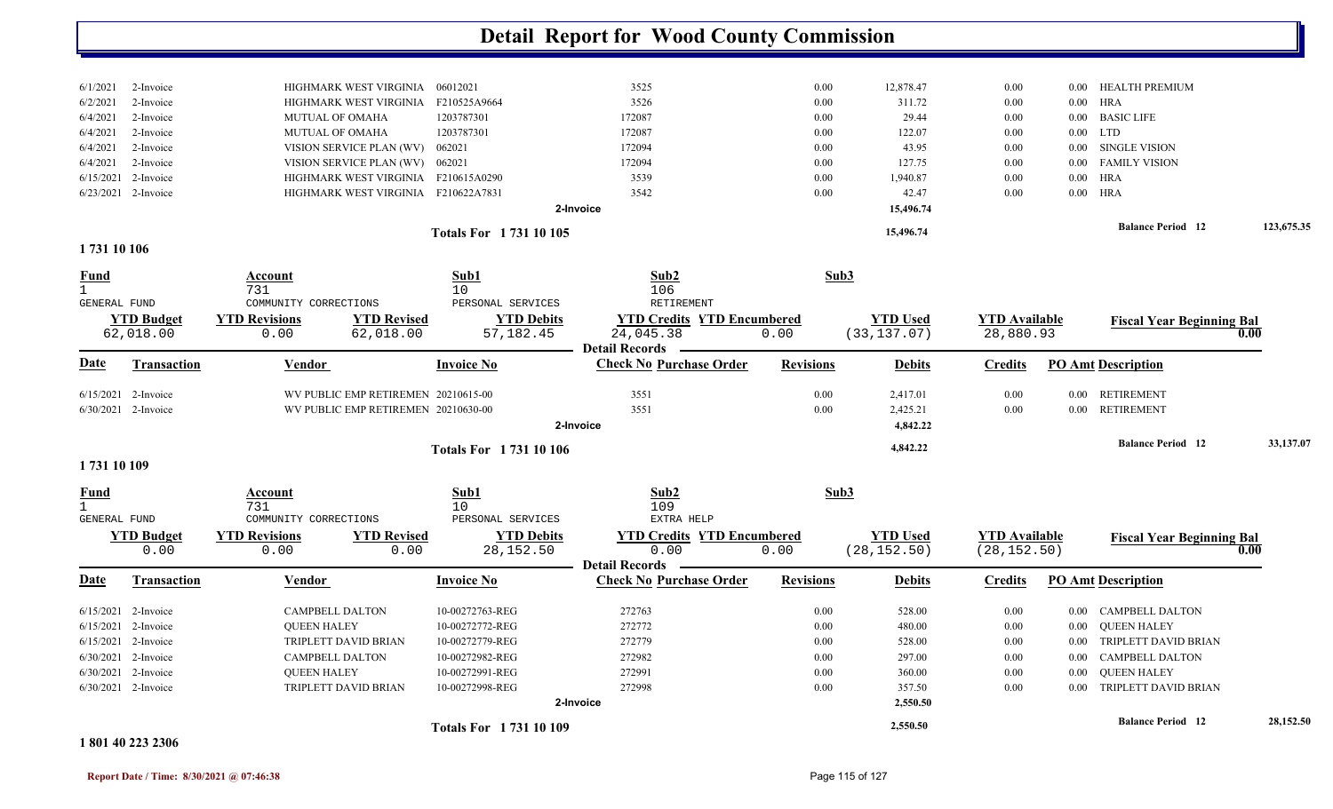|          |                       |                                     | Totals For 1731 10 105 |           |      | 15,496.74 |      | <b>Balance Period</b> 12 | 123,675.35 |
|----------|-----------------------|-------------------------------------|------------------------|-----------|------|-----------|------|--------------------------|------------|
|          |                       |                                     |                        | 2-Invoice |      | 15,496.74 |      |                          |            |
|          | $6/23/2021$ 2-Invoice | HIGHMARK WEST VIRGINIA F210622A7831 |                        | 3542      | 0.00 | 42.47     | 0.00 | $0.00$ HRA               |            |
|          | $6/15/2021$ 2-Invoice | HIGHMARK WEST VIRGINIA F210615A0290 |                        | 3539      | 0.00 | 1,940.87  | 0.00 | $0.00$ HRA               |            |
|          | $6/4/2021$ 2-Invoice  | VISION SERVICE PLAN (WV) 062021     |                        | 172094    | 0.00 | 127.75    | 0.00 | 0.00 FAMILY VISION       |            |
| 6/4/2021 | 2-Invoice             | VISION SERVICE PLAN (WV) 062021     |                        | 172094    | 0.00 | 43.95     | 0.00 | 0.00 SINGLE VISION       |            |
|          | $6/4/2021$ 2-Invoice  | <b>MUTUAL OF OMAHA</b>              | 1203787301             | 172087    | 0.00 | 122.07    | 0.00 | $0.00$ LTD               |            |
| 6/4/2021 | 2-Invoice             | <b>MUTUAL OF OMAHA</b>              | 1203787301             | 172087    | 0.00 | 29.44     | 0.00 | 0.00 BASIC LIFE          |            |
| 6/2/2021 | 2-Invoice             | HIGHMARK WEST VIRGINIA              | F210525A9664           | 3526      | 0.00 | 311.72    | 0.00 | $0.00$ HRA               |            |
| 6/1/2021 | 2-Invoice             | HIGHMARK WEST VIRGINIA              | 06012021               | 3525      | 0.00 | 12,878.47 | 0.00 | 0.00 HEALTH PREMIUM      |            |
|          |                       |                                     |                        |           |      |           |      |                          |            |

**1 731 10 106** 

| <b>Fund</b><br><b>GENERAL FUND</b> |                                                                                                                        | Account<br>731<br>COMMUNITY CORRECTIONS                                                      |                                                                            | Sub1<br>10<br>PERSONAL SERVICES                                                                                | Sub <sub>2</sub><br>106<br>RETIREMENT                                   |                                              | Sub3                                                                 |                                              |                                              |                                                                                                                                       |           |
|------------------------------------|------------------------------------------------------------------------------------------------------------------------|----------------------------------------------------------------------------------------------|----------------------------------------------------------------------------|----------------------------------------------------------------------------------------------------------------|-------------------------------------------------------------------------|----------------------------------------------|----------------------------------------------------------------------|----------------------------------------------|----------------------------------------------|---------------------------------------------------------------------------------------------------------------------------------------|-----------|
|                                    | <b>YTD Budget</b><br>62,018.00                                                                                         | <b>YTD Revisions</b><br>0.00                                                                 | <b>YTD Revised</b><br>62,018.00                                            | <b>YTD Debits</b><br>57,182.45                                                                                 | <b>YTD Credits YTD Encumbered</b><br>24,045.38<br><b>Detail Records</b> | 0.00                                         | <b>YTD Used</b><br>(33, 137.07)                                      | <b>YTD Available</b><br>28,880.93            |                                              | <b>Fiscal Year Beginning Bal</b>                                                                                                      | 0.00      |
| Date                               | <b>Transaction</b>                                                                                                     | Vendor                                                                                       |                                                                            | <b>Invoice No</b>                                                                                              | <b>Check No Purchase Order</b>                                          | <b>Revisions</b>                             | <b>Debits</b>                                                        | <b>Credits</b>                               |                                              | <b>PO Amt Description</b>                                                                                                             |           |
| 6/15/2021                          | 2-Invoice<br>6/30/2021 2-Invoice                                                                                       |                                                                                              | WV PUBLIC EMP RETIREMEN 20210615-00<br>WV PUBLIC EMP RETIREMEN 20210630-00 |                                                                                                                | 3551<br>3551<br>2-Invoice                                               | 0.00<br>0.00                                 | 2,417.01<br>2,425.21<br>4,842.22                                     | 0.00<br>0.00                                 | 0.00<br>$0.00\,$                             | <b>RETIREMENT</b><br><b>RETIREMENT</b>                                                                                                |           |
| 1731 10 109                        |                                                                                                                        |                                                                                              |                                                                            | <b>Totals For 173110106</b>                                                                                    |                                                                         |                                              | 4,842.22                                                             |                                              |                                              | <b>Balance Period 12</b>                                                                                                              | 33,137.07 |
| <b>Fund</b><br><b>GENERAL FUND</b> | <b>YTD Budget</b>                                                                                                      | Account<br>731<br>COMMUNITY CORRECTIONS<br><b>YTD Revisions</b>                              | <b>YTD Revised</b>                                                         | Sub1<br>10<br>PERSONAL SERVICES<br><b>YTD Debits</b>                                                           | Sub2<br>109<br>EXTRA HELP<br><b>YTD Credits YTD Encumbered</b>          |                                              | Sub3<br><b>YTD Used</b>                                              | <b>YTD Available</b>                         |                                              |                                                                                                                                       |           |
|                                    | 0.00                                                                                                                   | 0.00                                                                                         | 0.00                                                                       | 28, 152.50                                                                                                     | 0.00<br><b>Detail Records</b>                                           | 0.00                                         | (28, 152.50)                                                         | (28, 152.50)                                 |                                              | <b>Fiscal Year Beginning Bal</b>                                                                                                      | 0.00      |
| Date                               | <b>Transaction</b>                                                                                                     | Vendor                                                                                       |                                                                            | <b>Invoice No</b>                                                                                              | <b>Check No Purchase Order</b>                                          | <b>Revisions</b>                             | <b>Debits</b>                                                        | <b>Credits</b>                               |                                              | <b>PO Amt Description</b>                                                                                                             |           |
| 6/15/2021<br>6/15/2021             | 2-Invoice<br>6/15/2021 2-Invoice<br>2-Invoice<br>$6/30/2021$ 2-Invoice<br>$6/30/2021$ 2-Invoice<br>6/30/2021 2-Invoice | <b>CAMPBELL DALTON</b><br><b>OUEEN HALEY</b><br><b>CAMPBELL DALTON</b><br><b>OUEEN HALEY</b> | TRIPLETT DAVID BRIAN<br>TRIPLETT DAVID BRIAN                               | 10-00272763-REG<br>10-00272772-REG<br>10-00272779-REG<br>10-00272982-REG<br>10-00272991-REG<br>10-00272998-REG | 272763<br>272772<br>272779<br>272982<br>272991<br>272998<br>2-Invoice   | 0.00<br>0.00<br>0.00<br>0.00<br>0.00<br>0.00 | 528.00<br>480.00<br>528.00<br>297.00<br>360.00<br>357.50<br>2,550.50 | 0.00<br>0.00<br>0.00<br>0.00<br>0.00<br>0.00 | 0.00<br>0.00<br>0.00<br>0.00<br>0.00<br>0.00 | CAMPBELL DALTON<br><b>QUEEN HALEY</b><br>TRIPLETT DAVID BRIAN<br><b>CAMPBELL DALTON</b><br><b>OUEEN HALEY</b><br>TRIPLETT DAVID BRIAN |           |
|                                    |                                                                                                                        |                                                                                              |                                                                            | <b>Totals For 173110109</b>                                                                                    |                                                                         |                                              | 2,550.50                                                             |                                              |                                              | <b>Balance Period</b> 12                                                                                                              | 28,152.50 |

#### **1 801 40 223 2306**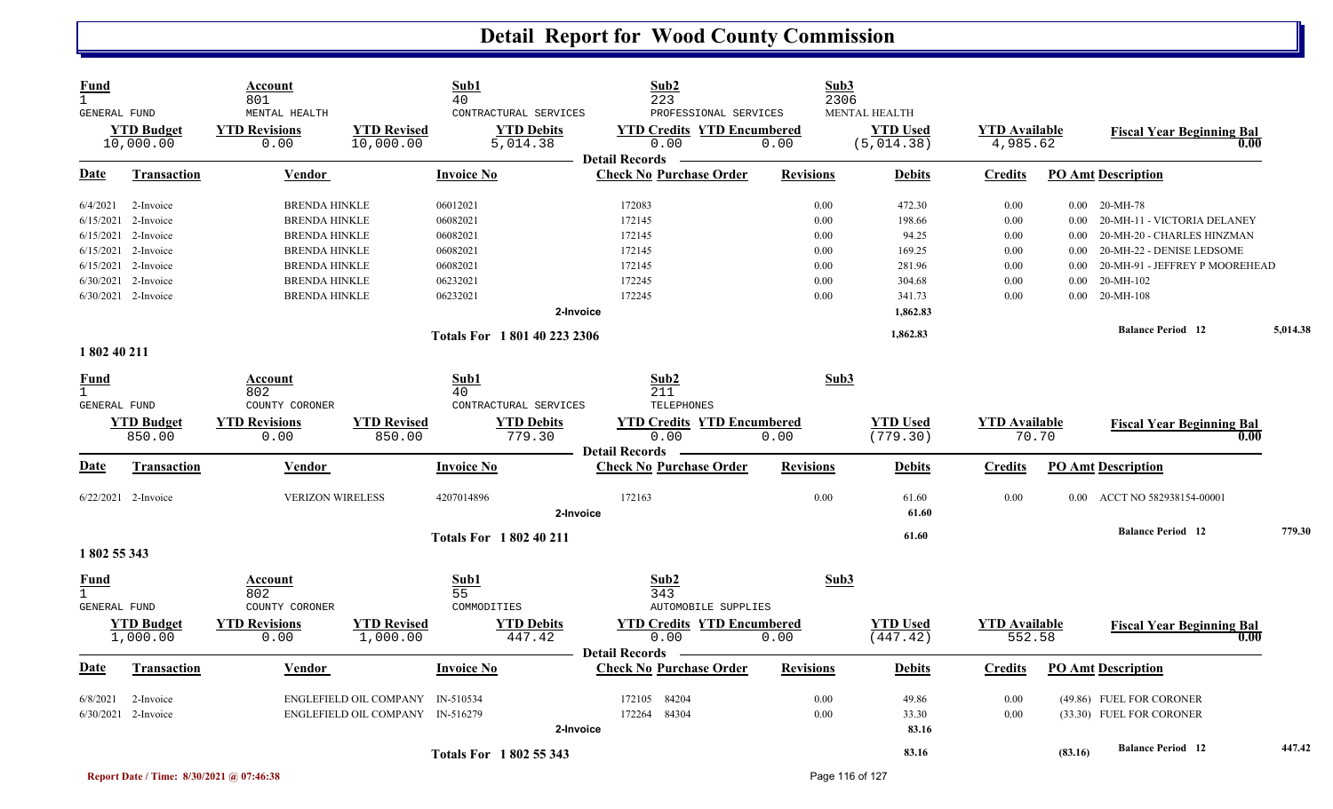| Fund<br><b>GENERAL FUND</b> |                                | Account<br>801<br>MENTAL HEALTH |                                  | Sub1<br>40        | CONTRACTURAL SERVICES         | Sub2<br>223<br>PROFESSIONAL SERVICES                               |                  | Sub3<br>2306<br>MENTAL HEALTH |                                  |          |                                          |          |
|-----------------------------|--------------------------------|---------------------------------|----------------------------------|-------------------|-------------------------------|--------------------------------------------------------------------|------------------|-------------------------------|----------------------------------|----------|------------------------------------------|----------|
|                             | <b>YTD Budget</b><br>10,000.00 | <b>YTD Revisions</b><br>0.00    | <b>YTD Revised</b><br>10,000.00  |                   | <b>YTD Debits</b><br>5,014.38 | <b>YTD Credits YTD Encumbered</b><br>0.00<br><b>Detail Records</b> | 0.00             | <b>YTD Used</b><br>(5,014.38) | <b>YTD</b> Available<br>4,985.62 |          | <b>Fiscal Year Beginning Bal</b><br>0.00 |          |
| Date                        | <b>Transaction</b>             | Vendor                          |                                  | <b>Invoice No</b> |                               | <b>Check No Purchase Order</b>                                     | <b>Revisions</b> | <b>Debits</b>                 | <b>Credits</b>                   |          | <b>PO Amt Description</b>                |          |
| 6/4/2021                    | 2-Invoice                      | <b>BRENDA HINKLE</b>            |                                  | 06012021          |                               | 172083                                                             | 0.00             | 472.30                        | 0.00                             |          | $0.00$ 20-MH-78                          |          |
|                             | $6/15/2021$ 2-Invoice          | <b>BRENDA HINKLE</b>            |                                  | 06082021          |                               | 172145                                                             | 0.00             | 198.66                        | 0.00                             | $0.00\,$ | 20-MH-11 - VICTORIA DELANEY              |          |
|                             | $6/15/2021$ 2-Invoice          | <b>BRENDA HINKLE</b>            |                                  | 06082021          |                               | 172145                                                             | 0.00             | 94.25                         | 0.00                             | 0.00     | 20-MH-20 - CHARLES HINZMAN               |          |
|                             | $6/15/2021$ 2-Invoice          | <b>BRENDA HINKLE</b>            |                                  | 06082021          |                               | 172145                                                             | 0.00             | 169.25                        | 0.00                             | $0.00\,$ | 20-MH-22 - DENISE LEDSOME                |          |
|                             | $6/15/2021$ 2-Invoice          | <b>BRENDA HINKLE</b>            |                                  | 06082021          |                               | 172145                                                             | 0.00             | 281.96                        | 0.00                             | 0.00     | 20-MH-91 - JEFFREY P MOOREHEAD           |          |
|                             | 6/30/2021 2-Invoice            | <b>BRENDA HINKLE</b>            |                                  | 06232021          |                               | 172245                                                             | 0.00             | 304.68                        | 0.00                             | 0.00     | 20-MH-102                                |          |
|                             | 6/30/2021 2-Invoice            | <b>BRENDA HINKLE</b>            |                                  | 06232021          |                               | 172245                                                             | 0.00             | 341.73                        | 0.00                             | 0.00     | 20-MH-108                                |          |
|                             |                                |                                 |                                  |                   | 2-Invoice                     |                                                                    |                  | 1,862.83                      |                                  |          |                                          |          |
|                             |                                |                                 |                                  |                   | Totals For 1801 40 223 2306   |                                                                    |                  | 1,862.83                      |                                  |          | <b>Balance Period 12</b>                 | 5,014.38 |
| 1 802 40 211                |                                |                                 |                                  |                   |                               |                                                                    |                  |                               |                                  |          |                                          |          |
| <u>Fund</u><br>$\mathbf{1}$ |                                | Account<br>802                  |                                  | Sub1<br>40        |                               | Sub2<br>211                                                        |                  | Sub3                          |                                  |          |                                          |          |
| GENERAL FUND                |                                | COUNTY CORONER                  |                                  |                   | CONTRACTURAL SERVICES         | TELEPHONES                                                         |                  |                               |                                  |          |                                          |          |
|                             | <b>YTD Budget</b>              | <b>YTD Revisions</b>            | <b>YTD Revised</b>               |                   | <b>YTD Debits</b>             | <b>YTD Credits YTD Encumbered</b>                                  |                  | <b>YTD</b> Used               | <b>YTD</b> Available             |          | <b>Fiscal Year Beginning Bal</b>         |          |
|                             | 850.00                         | 0.00                            | 850.00                           |                   | 779.30                        | 0.00                                                               | 0.00             | (779.30)                      | 70.70                            |          | 0.00                                     |          |
| Date                        | <b>Transaction</b>             | Vendor                          |                                  | <b>Invoice No</b> |                               | <b>Detail Records</b><br><b>Check No Purchase Order</b>            | <b>Revisions</b> | <b>Debits</b>                 | <b>Credits</b>                   |          | <b>PO Amt Description</b>                |          |
|                             |                                |                                 |                                  |                   |                               |                                                                    |                  |                               |                                  |          |                                          |          |
|                             | $6/22/2021$ 2-Invoice          | <b>VERIZON WIRELESS</b>         |                                  | 4207014896        |                               | 172163                                                             | 0.00             | 61.60                         | 0.00                             |          | 0.00 ACCT NO 582938154-00001             |          |
|                             |                                |                                 |                                  |                   | 2-Invoice                     |                                                                    |                  | 61.60                         |                                  |          |                                          |          |
|                             |                                |                                 |                                  |                   | <b>Totals For 1802 40 211</b> |                                                                    |                  | 61.60                         |                                  |          | <b>Balance Period 12</b>                 | 779.30   |
| 1 802 55 343                |                                |                                 |                                  |                   |                               |                                                                    |                  |                               |                                  |          |                                          |          |
| Fund                        |                                | Account                         |                                  | Sub1              |                               | Sub <sub>2</sub>                                                   |                  | Sub3                          |                                  |          |                                          |          |
|                             |                                | 802                             |                                  | 55                |                               | 343                                                                |                  |                               |                                  |          |                                          |          |
| <b>GENERAL FUND</b>         |                                | COUNTY CORONER                  |                                  | COMMODITIES       |                               | <b>AUTOMOBILE SUPPLIES</b>                                         |                  |                               |                                  |          |                                          |          |
|                             | <b>YTD Budget</b><br>1,000.00  | <b>YTD Revisions</b><br>0.00    | <b>YTD Revised</b><br>1,000.00   |                   | <b>YTD Debits</b><br>447.42   | <b>YTD Credits YTD Encumbered</b><br>0.00                          | 0.00             | <b>YTD Used</b><br>(447.42)   | <b>YTD</b> Available<br>552.58   |          | <b>Fiscal Year Beginning Bal</b><br>0.00 |          |
| <u>Date</u>                 | <b>Transaction</b>             | Vendor                          |                                  | <b>Invoice No</b> |                               | <b>Detail Records</b><br><b>Check No Purchase Order</b>            | <b>Revisions</b> | <b>Debits</b>                 | <b>Credits</b>                   |          | <b>PO Amt Description</b>                |          |
|                             |                                |                                 |                                  |                   |                               |                                                                    |                  |                               |                                  |          |                                          |          |
| 6/8/2021                    | 2-Invoice                      |                                 | ENGLEFIELD OIL COMPANY IN-510534 |                   |                               | 172105 84204                                                       | 0.00             | 49.86                         | 0.00                             |          | (49.86) FUEL FOR CORONER                 |          |
|                             | $6/30/2021$ 2-Invoice          |                                 | ENGLEFIELD OIL COMPANY IN-516279 |                   |                               | 172264 84304                                                       | 0.00             | 33.30                         | 0.00                             |          | (33.30) FUEL FOR CORONER                 |          |
|                             |                                |                                 |                                  |                   | 2-Invoice                     |                                                                    |                  | 83.16                         |                                  |          |                                          |          |
|                             |                                |                                 |                                  |                   | <b>Totals For 1802 55 343</b> |                                                                    |                  | 83.16                         |                                  | (83.16)  | <b>Balance Period</b> 12                 | 447.42   |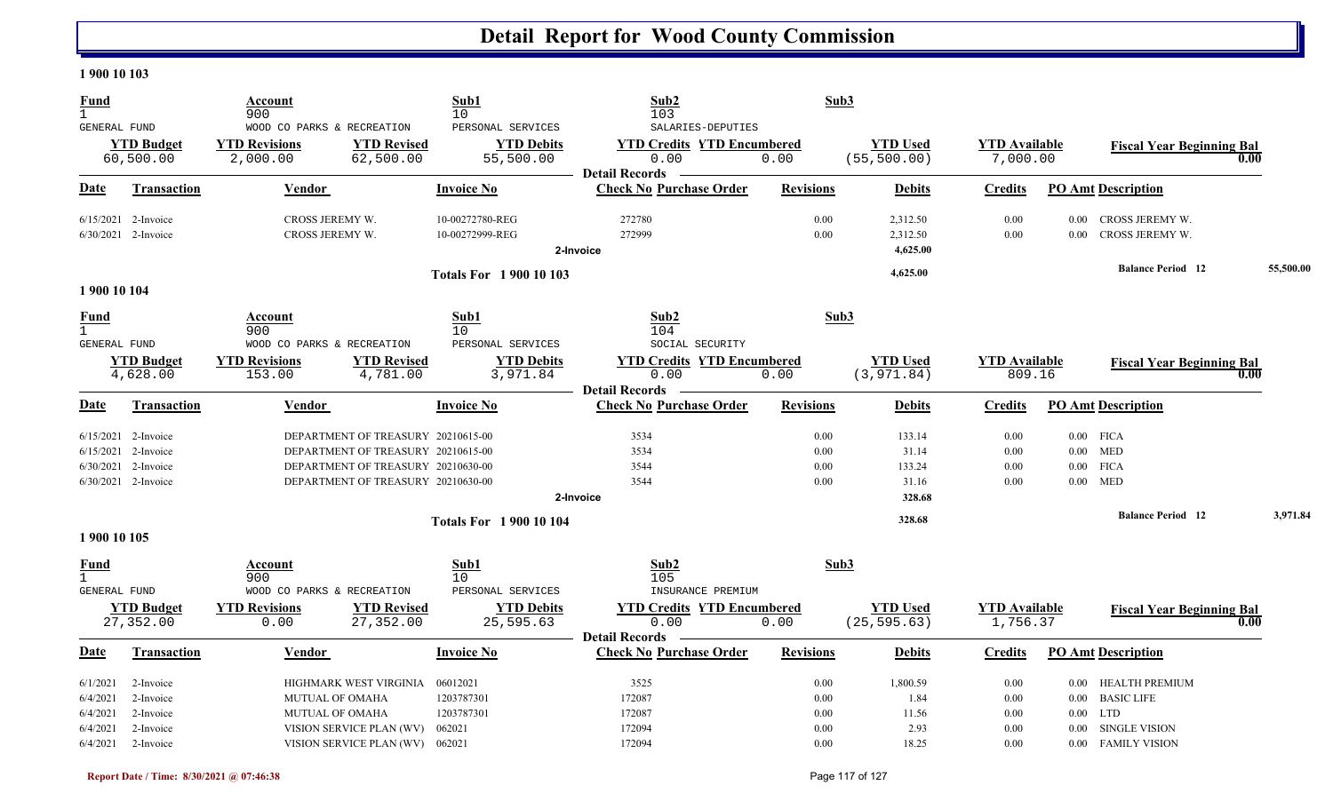#### **1 900 10 103**

| <b>Fund</b><br>$\mathbf{1}$                        |                                                                                              | Account<br>900                                                 |                                                                                                                                                      | Sub1<br>10                                          | Sub2<br>103                                                                             | Sub3                         |                                              |                                  |                                                                                                                           |           |
|----------------------------------------------------|----------------------------------------------------------------------------------------------|----------------------------------------------------------------|------------------------------------------------------------------------------------------------------------------------------------------------------|-----------------------------------------------------|-----------------------------------------------------------------------------------------|------------------------------|----------------------------------------------|----------------------------------|---------------------------------------------------------------------------------------------------------------------------|-----------|
| GENERAL FUND                                       | <b>YTD Budget</b><br>60,500.00                                                               | WOOD CO PARKS & RECREATION<br><b>YTD Revisions</b><br>2,000.00 | <b>YTD Revised</b><br>62,500.00                                                                                                                      | PERSONAL SERVICES<br><b>YTD Debits</b><br>55,500.00 | SALARIES-DEPUTIES<br><b>YTD Credits YTD Encumbered</b><br>0.00<br><b>Detail Records</b> | 0.00                         | <b>YTD Used</b><br>(55, 500.00)              | <b>YTD Available</b><br>7,000.00 | <b>Fiscal Year Beginning Bal</b>                                                                                          | 0.00      |
| Date                                               | <b>Transaction</b>                                                                           | Vendor                                                         |                                                                                                                                                      | <b>Invoice No</b>                                   | <b>Check No Purchase Order</b>                                                          | <b>Revisions</b>             | <b>Debits</b>                                | <b>Credits</b>                   | <b>PO Amt Description</b>                                                                                                 |           |
|                                                    | $6/15/2021$ 2-Invoice<br>6/30/2021 2-Invoice                                                 | CROSS JEREMY W.<br>CROSS JEREMY W.                             |                                                                                                                                                      | 10-00272780-REG<br>10-00272999-REG                  | 272780<br>272999<br>2-Invoice                                                           | 0.00<br>0.00                 | 2,312.50<br>2,312.50<br>4,625.00             | 0.00<br>0.00                     | CROSS JEREMY W.<br>$0.00\,$<br>CROSS JEREMY W.<br>$0.00\,$                                                                |           |
| 1 900 10 104                                       |                                                                                              |                                                                |                                                                                                                                                      | <b>Totals For 1 900 10 103</b>                      |                                                                                         |                              | 4,625.00                                     |                                  | <b>Balance Period 12</b>                                                                                                  | 55,500.00 |
| <b>Fund</b><br>$\mathbf{1}$<br><b>GENERAL FUND</b> |                                                                                              | Account<br>900<br>WOOD CO PARKS & RECREATION                   |                                                                                                                                                      | Sub1<br>10<br>PERSONAL SERVICES                     | Sub2<br>104<br>SOCIAL SECURITY                                                          | Sub3                         |                                              |                                  |                                                                                                                           |           |
|                                                    | <b>YTD Budget</b><br>4,628.00                                                                | <b>YTD Revisions</b><br>153.00                                 | <b>YTD Revised</b><br>4,781.00                                                                                                                       | <b>YTD Debits</b><br>3,971.84                       | <b>YTD Credits YTD Encumbered</b><br>0.00<br><b>Detail Records</b>                      | 0.00                         | <b>YTD Used</b><br>(3, 971.84)               | <b>YTD</b> Available<br>809.16   | <b>Fiscal Year Beginning Bal</b>                                                                                          | 0.00      |
| Date                                               | <b>Transaction</b>                                                                           | Vendor                                                         |                                                                                                                                                      | Invoice No                                          | <b>Check No Purchase Order</b>                                                          | <b>Revisions</b>             | <b>Debits</b>                                | <b>Credits</b>                   | <b>PO Amt Description</b>                                                                                                 |           |
|                                                    | $6/15/2021$ 2-Invoice<br>$6/15/2021$ 2-Invoice<br>6/30/2021 2-Invoice<br>6/30/2021 2-Invoice |                                                                | DEPARTMENT OF TREASURY 20210615-00<br>DEPARTMENT OF TREASURY 20210615-00<br>DEPARTMENT OF TREASURY 20210630-00<br>DEPARTMENT OF TREASURY 20210630-00 |                                                     | 3534<br>3534<br>3544<br>3544<br>2-Invoice                                               | 0.00<br>0.00<br>0.00<br>0.00 | 133.14<br>31.14<br>133.24<br>31.16<br>328.68 | 0.00<br>0.00<br>0.00<br>0.00     | $0.00$ FICA<br>$0.00$ MED<br>$0.00$ FICA<br>$0.00$ MED                                                                    |           |
| 1 900 10 105                                       |                                                                                              |                                                                |                                                                                                                                                      | <b>Totals For 190010104</b>                         |                                                                                         |                              | 328.68                                       |                                  | <b>Balance Period 12</b>                                                                                                  | 3,971.84  |
| Fund<br>$\mathbf{1}$<br><b>GENERAL FUND</b>        |                                                                                              | Account<br>900<br>WOOD CO PARKS & RECREATION                   |                                                                                                                                                      | Sub1<br>10<br>PERSONAL SERVICES                     | Sub2<br>105<br>INSURANCE PREMIUM                                                        | Sub3                         |                                              |                                  |                                                                                                                           |           |
|                                                    | <b>YTD Budget</b><br>27,352.00                                                               | <b>YTD Revisions</b><br>0.00                                   | <b>YTD Revised</b><br>27,352.00                                                                                                                      | <b>YTD Debits</b><br>25,595.63                      | <b>YTD Credits YTD Encumbered</b><br>0.00<br><b>Detail Records</b>                      | 0.00                         | <b>YTD Used</b><br>(25, 595.63)              | <b>YTD Available</b><br>1,756.37 | <b>Fiscal Year Beginning Bal</b>                                                                                          | 0.00      |
| Date                                               | <b>Transaction</b>                                                                           | <b>Vendor</b>                                                  |                                                                                                                                                      | Invoice No                                          | <b>Check No Purchase Order</b>                                                          | <b>Revisions</b>             | <b>Debits</b>                                | <b>Credits</b>                   | <b>PO Amt Description</b>                                                                                                 |           |
| 6/1/2021<br>6/4/2021<br>6/4/2021<br>6/4/2021       | 2-Invoice<br>2-Invoice<br>2-Invoice<br>2-Invoice                                             | <b>MUTUAL OF OMAHA</b><br>MUTUAL OF OMAHA                      | HIGHMARK WEST VIRGINIA<br>VISION SERVICE PLAN (WV)                                                                                                   | 06012021<br>1203787301<br>1203787301<br>062021      | 3525<br>172087<br>172087<br>172094                                                      | 0.00<br>0.00<br>0.00<br>0.00 | 1,800.59<br>1.84<br>11.56<br>2.93            | 0.00<br>0.00<br>0.00<br>0.00     | HEALTH PREMIUM<br>$0.00\,$<br><b>BASIC LIFE</b><br>$0.00\,$<br><b>LTD</b><br>$0.00\,$<br><b>SINGLE VISION</b><br>$0.00\,$ |           |
| 6/4/2021                                           | 2-Invoice                                                                                    |                                                                | VISION SERVICE PLAN (WV) 062021                                                                                                                      |                                                     | 172094                                                                                  | 0.00                         | 18.25                                        | 0.00                             | 0.00 FAMILY VISION                                                                                                        |           |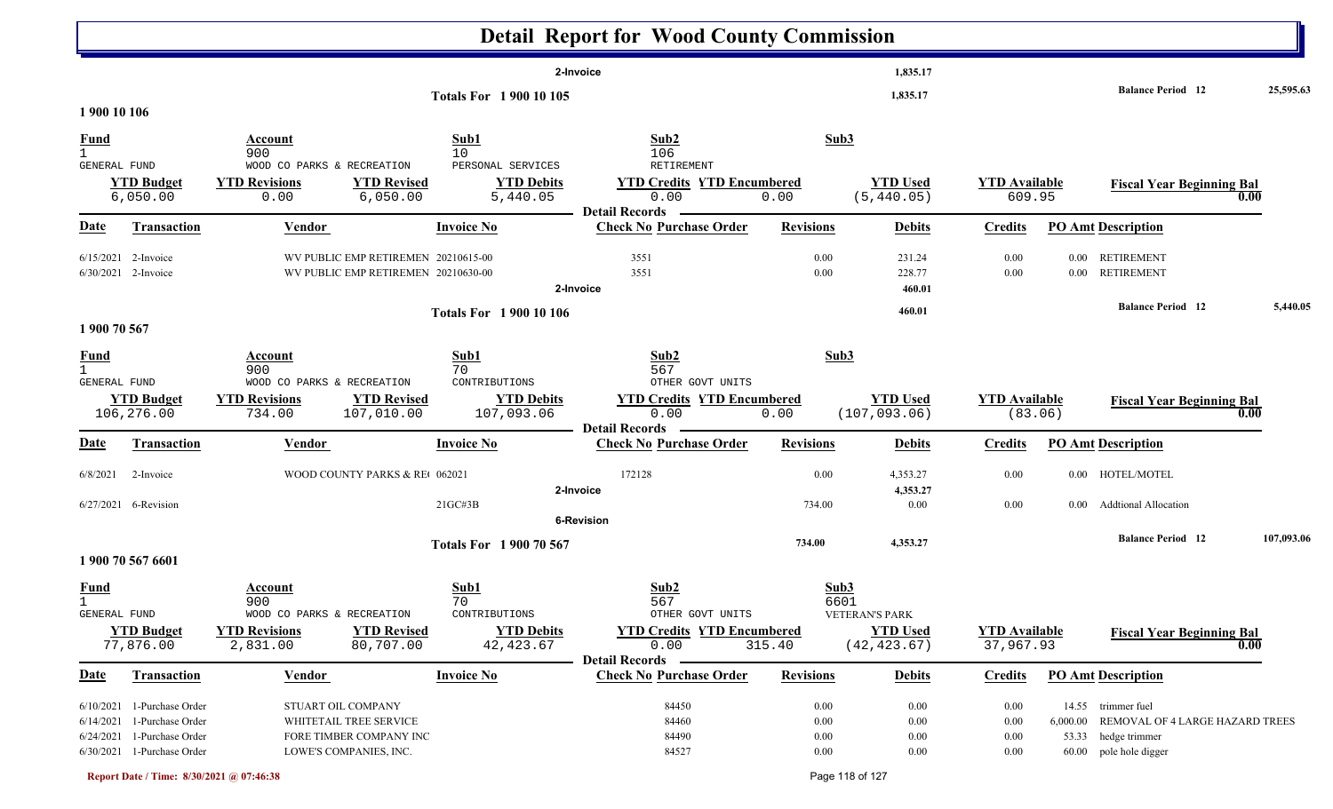|                                         |                                                                                                                        |                                                                                                   |                                                    | <b>Detail Report for Wood County Commission</b>                                        |                                  |                                                          |                                   |                      |                                                                                                        |            |
|-----------------------------------------|------------------------------------------------------------------------------------------------------------------------|---------------------------------------------------------------------------------------------------|----------------------------------------------------|----------------------------------------------------------------------------------------|----------------------------------|----------------------------------------------------------|-----------------------------------|----------------------|--------------------------------------------------------------------------------------------------------|------------|
|                                         |                                                                                                                        |                                                                                                   |                                                    | 2-Invoice                                                                              |                                  | 1,835.17                                                 |                                   |                      |                                                                                                        |            |
| 1 900 10 106                            |                                                                                                                        |                                                                                                   | <b>Totals For 190010105</b>                        |                                                                                        |                                  | 1,835.17                                                 |                                   |                      | <b>Balance Period</b> 12                                                                               | 25,595.63  |
| <b>Fund</b>                             |                                                                                                                        | Account<br>900                                                                                    | Sub1<br>10                                         | Sub2<br>106                                                                            | Sub3                             |                                                          |                                   |                      |                                                                                                        |            |
| GENERAL FUND                            | <b>YTD Budget</b><br>6,050.00                                                                                          | WOOD CO PARKS & RECREATION<br><b>YTD Revisions</b><br><b>YTD Revised</b><br>6,050.00<br>0.00      | PERSONAL SERVICES<br><b>YTD Debits</b><br>5,440.05 | RETIREMENT<br><b>YTD Credits YTD Encumbered</b><br>0.00                                | 0.00                             | <b>YTD Used</b><br>(5, 440.05)                           | <b>YTD</b> Available<br>609.95    |                      | <b>Fiscal Year Beginning Bal</b>                                                                       | 0.00       |
| <u>Date</u>                             | <b>Transaction</b>                                                                                                     | <b>Vendor</b>                                                                                     | <b>Invoice No</b>                                  | <b>Detail Records</b><br><b>Check No Purchase Order</b>                                | <b>Revisions</b>                 | <b>Debits</b>                                            | <b>Credits</b>                    |                      | <b>PO Amt Description</b>                                                                              |            |
|                                         | $6/15/2021$ 2-Invoice<br>$6/30/2021$ 2-Invoice                                                                         | WV PUBLIC EMP RETIREMEN 20210615-00<br>WV PUBLIC EMP RETIREMEN 20210630-00                        |                                                    | 3551<br>3551<br>2-Invoice                                                              | 0.00<br>0.00                     | 231.24<br>228.77<br>460.01                               | 0.00<br>0.00                      | $0.00\,$<br>$0.00\,$ | <b>RETIREMENT</b><br><b>RETIREMENT</b>                                                                 |            |
| 1 900 70 567                            |                                                                                                                        |                                                                                                   | <b>Totals For 1 900 10 106</b>                     |                                                                                        |                                  | 460.01                                                   |                                   |                      | <b>Balance Period</b> 12                                                                               | 5,440.05   |
| $\frac{Fund}{1}$<br><b>GENERAL FUND</b> |                                                                                                                        | Account<br>900<br>WOOD CO PARKS & RECREATION                                                      | Sub1<br>70<br>CONTRIBUTIONS                        | Sub2<br>567<br>OTHER GOVT UNITS                                                        | Sub3                             |                                                          |                                   |                      |                                                                                                        |            |
|                                         | <b>YTD Budget</b><br>106,276.00                                                                                        | <b>YTD Revisions</b><br><b>YTD Revised</b><br>107,010.00<br>734.00                                | <b>YTD Debits</b><br>107,093.06                    | <b>YTD Credits YTD Encumbered</b><br>0.00<br><b>Detail Records</b>                     | 0.00                             | <b>YTD Used</b><br>(107, 093.06)                         | <b>YTD Available</b><br>(83.06)   |                      | <b>Fiscal Year Beginning Bal</b>                                                                       | 0.00       |
| <u>Date</u>                             | <b>Transaction</b>                                                                                                     | <b>Vendor</b>                                                                                     | <b>Invoice No</b>                                  | <b>Check No Purchase Order</b>                                                         | <b>Revisions</b>                 | <b>Debits</b>                                            | <b>Credits</b>                    |                      | <b>PO Amt Description</b>                                                                              |            |
| 6/8/2021                                | 2-Invoice                                                                                                              | WOOD COUNTY PARKS & RE 062021                                                                     |                                                    | 172128<br>2-Invoice                                                                    | 0.00                             | 4,353.27<br>4,353.27                                     | 0.00                              | $0.00\,$             | HOTEL/MOTEL                                                                                            |            |
|                                         | 6/27/2021 6-Revision                                                                                                   |                                                                                                   | $21G$ C#3B                                         | 6-Revision                                                                             | 734.00                           | 0.00                                                     | 0.00                              | $0.00\,$             | <b>Addtional Allocation</b>                                                                            |            |
|                                         | 1 900 70 567 6601                                                                                                      |                                                                                                   | <b>Totals For 1900 70 567</b>                      |                                                                                        | 734.00                           | 4,353.27                                                 |                                   |                      | <b>Balance Period 12</b>                                                                               | 107,093.06 |
| $\frac{Fund}{1}$                        |                                                                                                                        | Account<br>900                                                                                    | Sub1<br>70                                         | Sub2<br>567                                                                            | Sub3<br>6601                     |                                                          |                                   |                      |                                                                                                        |            |
| GENERAL FUND                            | <b>YTD Budget</b><br>77,876.00                                                                                         | WOOD CO PARKS & RECREATION<br><b>YTD Revisions</b><br><b>YTD Revised</b><br>80,707.00<br>2,831.00 | CONTRIBUTIONS<br><b>YTD Debits</b><br>42, 423.67   | OTHER GOVT UNITS<br><b>YTD Credits YTD Encumbered</b><br>0.00<br><b>Detail Records</b> | 315.40                           | <b>VETERAN'S PARK</b><br><b>YTD Used</b><br>(42, 423.67) | <b>YTD Available</b><br>37,967.93 |                      | <b>Fiscal Year Beginning Bal</b>                                                                       | 0.00       |
| <u>Date</u>                             | <b>Transaction</b>                                                                                                     | <b>Vendor</b>                                                                                     | <b>Invoice No</b>                                  | <b>Check No Purchase Order</b>                                                         | <b>Revisions</b>                 | <b>Debits</b>                                            | <b>Credits</b>                    |                      | <b>PO Amt Description</b>                                                                              |            |
|                                         | $6/10/2021$ 1-Purchase Order<br>6/14/2021 1-Purchase Order<br>6/24/2021 1-Purchase Order<br>6/30/2021 1-Purchase Order | STUART OIL COMPANY<br>WHITETAIL TREE SERVICE<br>FORE TIMBER COMPANY INC<br>LOWE'S COMPANIES, INC. |                                                    | 84450<br>84460<br>84490<br>84527                                                       | 0.00<br>0.00<br>0.00<br>$0.00\,$ | $0.00\,$<br>0.00<br>$0.00\,$<br>0.00                     | 0.00<br>0.00<br>0.00<br>0.00      | 6,000.00             | 14.55 trimmer fuel<br>REMOVAL OF 4 LARGE HAZARD TREES<br>53.33 hedge trimmer<br>60.00 pole hole digger |            |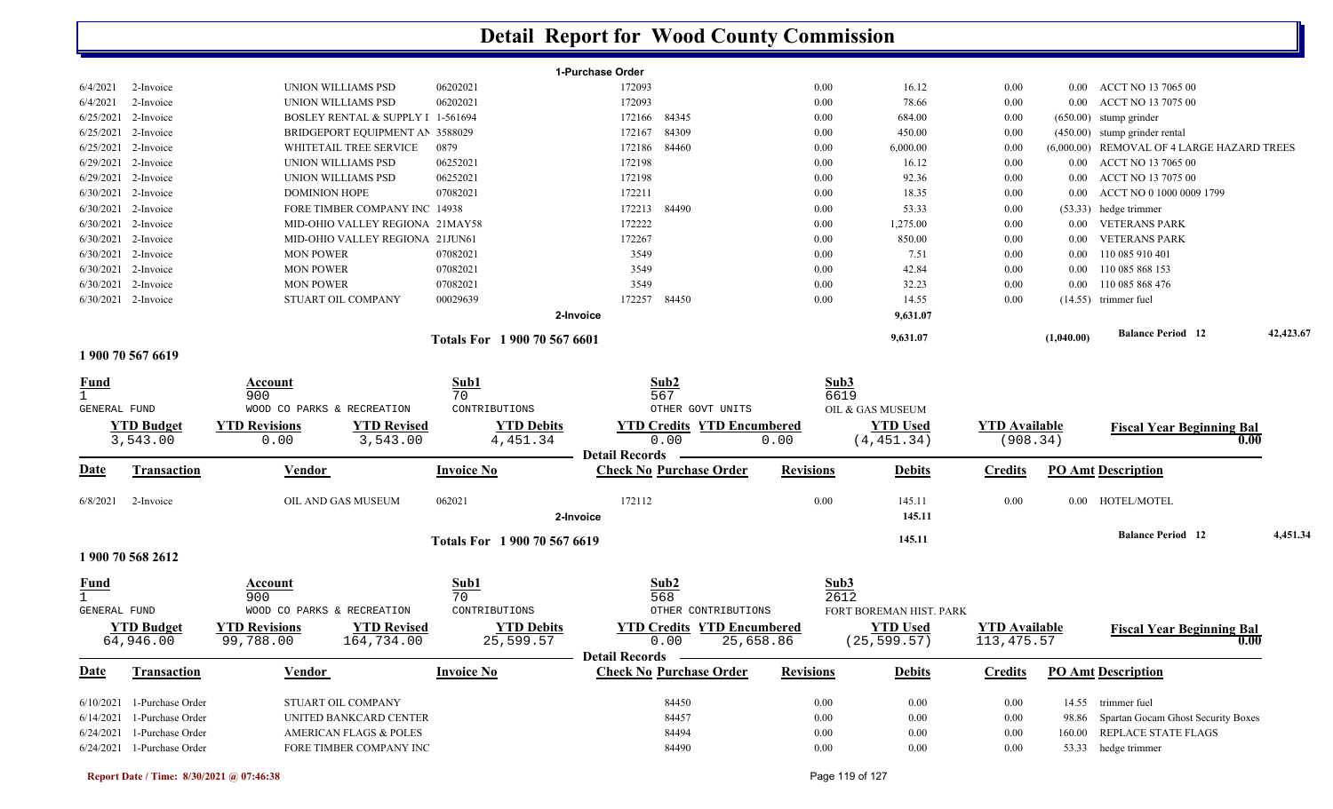| 06202021<br>172093<br>0.00<br>16.12<br>0.00<br>ACCT NO 13 7065 00<br>6/4/2021<br>2-Invoice<br>UNION WILLIAMS PSD<br>$0.00\,$<br>172093<br>6/4/2021<br>2-Invoice<br>06202021<br>0.00<br>78.66<br>0.00<br>ACCT NO 13 7075 00<br>UNION WILLIAMS PSD<br>0.00<br>6/25/2021 2-Invoice<br>BOSLEY RENTAL & SUPPLY I 1-561694<br>172166<br>84345<br>0.00<br>684.00<br>0.00<br>$(650.00)$ stump grinder<br>84309<br>6/25/2021 2-Invoice<br>BRIDGEPORT EQUIPMENT AN 3588029<br>172167<br>0.00<br>450.00<br>(450.00) stump grinder rental<br>0.00<br>6/25/2021 2-Invoice<br>0879<br>172186<br>84460<br>0.00<br>6,000.00<br>(6,000.00) REMOVAL OF 4 LARGE HAZARD TREES<br>WHITETAIL TREE SERVICE<br>0.00<br>172198<br>6/29/2021 2-Invoice<br>06252021<br>16.12<br>UNION WILLIAMS PSD<br>0.00<br>0.00<br>$0.00\,$<br>ACCT NO 13 7065 00<br>6/29/2021 2-Invoice<br>UNION WILLIAMS PSD<br>06252021<br>172198<br>0.00<br>92.36<br>ACCT NO 13 7075 00<br>0.00<br>$0.00\,$<br>6/30/2021 2-Invoice<br><b>DOMINION HOPE</b><br>07082021<br>172211<br>0.00<br>18.35<br>ACCT NO 0 1000 0009 1799<br>0.00<br>0.00<br>6/30/2021 2-Invoice<br>FORE TIMBER COMPANY INC 14938<br>172213<br>84490<br>0.00<br>53.33<br>0.00<br>$(53.33)$ hedge trimmer<br>172222<br>6/30/2021 2-Invoice<br>MID-OHIO VALLEY REGIONA 21MAY58<br>0.00<br>1,275.00<br><b>VETERANS PARK</b><br>0.00<br>$0.00\,$<br>6/30/2021 2-Invoice<br>MID-OHIO VALLEY REGIONA 21JUN61<br>172267<br>0.00<br>850.00<br><b>VETERANS PARK</b><br>0.00<br>0.00<br>6/30/2021<br>2-Invoice<br>07082021<br>3549<br>0.00<br>7.51<br>110 085 910 401<br><b>MON POWER</b><br>0.00<br>$0.00\,$<br>42.84<br>6/30/2021<br>2-Invoice<br>07082021<br>3549<br>0.00<br>0.00<br>110 085 868 153<br><b>MON POWER</b><br>$0.00\,$<br>3549<br>110 085 868 476<br>6/30/2021<br>2-Invoice<br><b>MON POWER</b><br>07082021<br>0.00<br>32.23<br>0.00<br>0.00<br>6/30/2021 2-Invoice<br>STUART OIL COMPANY<br>00029639<br>172257<br>84450<br>0.00<br>14.55<br>0.00<br>$(14.55)$ trimmer fuel<br>9,631.07<br>2-Invoice<br><b>Balance Period 12</b><br>9,631.07<br>(1,040.00)<br>Totals For 1 900 70 567 6601<br>1 900 70 567 6619<br>Sub1<br>Sub2<br>Sub3<br><u>Fund</u><br>Account<br>70<br>567<br>900<br>6619<br>WOOD CO PARKS & RECREATION<br>CONTRIBUTIONS<br>OTHER GOVT UNITS<br>OIL & GAS MUSEUM<br>GENERAL FUND<br><b>YTD Revisions</b><br><b>YTD Revised</b><br><b>YTD Debits</b><br><b>YTD Credits YTD Encumbered</b><br><b>YTD</b> Used<br><b>YTD Available</b><br><b>YTD Budget</b><br><b>Fiscal Year Beginning Bal</b><br>0.00<br>3,543.00<br>0.00<br>3,543.00<br>4,451.34<br>0.00<br>(4, 451.34)<br>(908.34)<br>0.00<br><b>Detail Records</b><br><b>Check No Purchase Order</b><br><b>PO Amt Description</b><br>Date<br><b>Transaction</b><br>Vendor<br><b>Invoice No</b><br><b>Revisions</b><br><b>Debits</b><br><b>Credits</b><br>172112<br>0.00<br>OIL AND GAS MUSEUM<br>062021<br>145.11<br>0.00<br>HOTEL/MOTEL<br>6/8/2021<br>2-Invoice<br>0.00<br>2-Invoice<br>145.11<br><b>Balance Period</b> 12<br>145.11<br>Totals For 1 900 70 567 6619<br>1 900 70 568 2612<br>Sub1<br>Sub3<br>Sub2<br><b>Fund</b><br>Account<br>568<br>900<br>70<br>2612<br>FORT BOREMAN HIST. PARK<br><b>GENERAL FUND</b><br>WOOD CO PARKS & RECREATION<br>CONTRIBUTIONS<br>OTHER CONTRIBUTIONS<br><b>YTD Revised</b><br><b>YTD Debits</b><br><b>YTD Credits YTD Encumbered</b><br><b>YTD Used</b><br><b>YTD Budget</b><br><b>YTD Revisions</b><br><b>YTD</b> Available<br><b>Fiscal Year Beginning Bal</b> |  |           |            |           | 1-Purchase Order |           |              |              |              |  |      |           |
|------------------------------------------------------------------------------------------------------------------------------------------------------------------------------------------------------------------------------------------------------------------------------------------------------------------------------------------------------------------------------------------------------------------------------------------------------------------------------------------------------------------------------------------------------------------------------------------------------------------------------------------------------------------------------------------------------------------------------------------------------------------------------------------------------------------------------------------------------------------------------------------------------------------------------------------------------------------------------------------------------------------------------------------------------------------------------------------------------------------------------------------------------------------------------------------------------------------------------------------------------------------------------------------------------------------------------------------------------------------------------------------------------------------------------------------------------------------------------------------------------------------------------------------------------------------------------------------------------------------------------------------------------------------------------------------------------------------------------------------------------------------------------------------------------------------------------------------------------------------------------------------------------------------------------------------------------------------------------------------------------------------------------------------------------------------------------------------------------------------------------------------------------------------------------------------------------------------------------------------------------------------------------------------------------------------------------------------------------------------------------------------------------------------------------------------------------------------------------------------------------------------------------------------------------------------------------------------------------------------------------------------------------------------------------------------------------------------------------------------------------------------------------------------------------------------------------------------------------------------------------------------------------------------------------------------------------------------------------------------------------------------------------------------------------------------------------------------------------------------------------------------------------------------------------------------------------------------------------------------------------------------------------------------------------------------------------------------------------------------------------------------------------------------------------------------------------------------------------------------------------------|--|-----------|------------|-----------|------------------|-----------|--------------|--------------|--------------|--|------|-----------|
|                                                                                                                                                                                                                                                                                                                                                                                                                                                                                                                                                                                                                                                                                                                                                                                                                                                                                                                                                                                                                                                                                                                                                                                                                                                                                                                                                                                                                                                                                                                                                                                                                                                                                                                                                                                                                                                                                                                                                                                                                                                                                                                                                                                                                                                                                                                                                                                                                                                                                                                                                                                                                                                                                                                                                                                                                                                                                                                                                                                                                                                                                                                                                                                                                                                                                                                                                                                                                                                                                                            |  |           |            |           |                  |           |              |              |              |  |      |           |
|                                                                                                                                                                                                                                                                                                                                                                                                                                                                                                                                                                                                                                                                                                                                                                                                                                                                                                                                                                                                                                                                                                                                                                                                                                                                                                                                                                                                                                                                                                                                                                                                                                                                                                                                                                                                                                                                                                                                                                                                                                                                                                                                                                                                                                                                                                                                                                                                                                                                                                                                                                                                                                                                                                                                                                                                                                                                                                                                                                                                                                                                                                                                                                                                                                                                                                                                                                                                                                                                                                            |  |           |            |           |                  |           |              |              |              |  |      |           |
|                                                                                                                                                                                                                                                                                                                                                                                                                                                                                                                                                                                                                                                                                                                                                                                                                                                                                                                                                                                                                                                                                                                                                                                                                                                                                                                                                                                                                                                                                                                                                                                                                                                                                                                                                                                                                                                                                                                                                                                                                                                                                                                                                                                                                                                                                                                                                                                                                                                                                                                                                                                                                                                                                                                                                                                                                                                                                                                                                                                                                                                                                                                                                                                                                                                                                                                                                                                                                                                                                                            |  |           |            |           |                  |           |              |              |              |  |      |           |
|                                                                                                                                                                                                                                                                                                                                                                                                                                                                                                                                                                                                                                                                                                                                                                                                                                                                                                                                                                                                                                                                                                                                                                                                                                                                                                                                                                                                                                                                                                                                                                                                                                                                                                                                                                                                                                                                                                                                                                                                                                                                                                                                                                                                                                                                                                                                                                                                                                                                                                                                                                                                                                                                                                                                                                                                                                                                                                                                                                                                                                                                                                                                                                                                                                                                                                                                                                                                                                                                                                            |  |           |            |           |                  |           |              |              |              |  |      |           |
|                                                                                                                                                                                                                                                                                                                                                                                                                                                                                                                                                                                                                                                                                                                                                                                                                                                                                                                                                                                                                                                                                                                                                                                                                                                                                                                                                                                                                                                                                                                                                                                                                                                                                                                                                                                                                                                                                                                                                                                                                                                                                                                                                                                                                                                                                                                                                                                                                                                                                                                                                                                                                                                                                                                                                                                                                                                                                                                                                                                                                                                                                                                                                                                                                                                                                                                                                                                                                                                                                                            |  |           |            |           |                  |           |              |              |              |  |      |           |
|                                                                                                                                                                                                                                                                                                                                                                                                                                                                                                                                                                                                                                                                                                                                                                                                                                                                                                                                                                                                                                                                                                                                                                                                                                                                                                                                                                                                                                                                                                                                                                                                                                                                                                                                                                                                                                                                                                                                                                                                                                                                                                                                                                                                                                                                                                                                                                                                                                                                                                                                                                                                                                                                                                                                                                                                                                                                                                                                                                                                                                                                                                                                                                                                                                                                                                                                                                                                                                                                                                            |  |           |            |           |                  |           |              |              |              |  |      |           |
|                                                                                                                                                                                                                                                                                                                                                                                                                                                                                                                                                                                                                                                                                                                                                                                                                                                                                                                                                                                                                                                                                                                                                                                                                                                                                                                                                                                                                                                                                                                                                                                                                                                                                                                                                                                                                                                                                                                                                                                                                                                                                                                                                                                                                                                                                                                                                                                                                                                                                                                                                                                                                                                                                                                                                                                                                                                                                                                                                                                                                                                                                                                                                                                                                                                                                                                                                                                                                                                                                                            |  |           |            |           |                  |           |              |              |              |  |      |           |
|                                                                                                                                                                                                                                                                                                                                                                                                                                                                                                                                                                                                                                                                                                                                                                                                                                                                                                                                                                                                                                                                                                                                                                                                                                                                                                                                                                                                                                                                                                                                                                                                                                                                                                                                                                                                                                                                                                                                                                                                                                                                                                                                                                                                                                                                                                                                                                                                                                                                                                                                                                                                                                                                                                                                                                                                                                                                                                                                                                                                                                                                                                                                                                                                                                                                                                                                                                                                                                                                                                            |  |           |            |           |                  |           |              |              |              |  |      |           |
|                                                                                                                                                                                                                                                                                                                                                                                                                                                                                                                                                                                                                                                                                                                                                                                                                                                                                                                                                                                                                                                                                                                                                                                                                                                                                                                                                                                                                                                                                                                                                                                                                                                                                                                                                                                                                                                                                                                                                                                                                                                                                                                                                                                                                                                                                                                                                                                                                                                                                                                                                                                                                                                                                                                                                                                                                                                                                                                                                                                                                                                                                                                                                                                                                                                                                                                                                                                                                                                                                                            |  |           |            |           |                  |           |              |              |              |  |      |           |
|                                                                                                                                                                                                                                                                                                                                                                                                                                                                                                                                                                                                                                                                                                                                                                                                                                                                                                                                                                                                                                                                                                                                                                                                                                                                                                                                                                                                                                                                                                                                                                                                                                                                                                                                                                                                                                                                                                                                                                                                                                                                                                                                                                                                                                                                                                                                                                                                                                                                                                                                                                                                                                                                                                                                                                                                                                                                                                                                                                                                                                                                                                                                                                                                                                                                                                                                                                                                                                                                                                            |  |           |            |           |                  |           |              |              |              |  |      |           |
|                                                                                                                                                                                                                                                                                                                                                                                                                                                                                                                                                                                                                                                                                                                                                                                                                                                                                                                                                                                                                                                                                                                                                                                                                                                                                                                                                                                                                                                                                                                                                                                                                                                                                                                                                                                                                                                                                                                                                                                                                                                                                                                                                                                                                                                                                                                                                                                                                                                                                                                                                                                                                                                                                                                                                                                                                                                                                                                                                                                                                                                                                                                                                                                                                                                                                                                                                                                                                                                                                                            |  |           |            |           |                  |           |              |              |              |  |      |           |
|                                                                                                                                                                                                                                                                                                                                                                                                                                                                                                                                                                                                                                                                                                                                                                                                                                                                                                                                                                                                                                                                                                                                                                                                                                                                                                                                                                                                                                                                                                                                                                                                                                                                                                                                                                                                                                                                                                                                                                                                                                                                                                                                                                                                                                                                                                                                                                                                                                                                                                                                                                                                                                                                                                                                                                                                                                                                                                                                                                                                                                                                                                                                                                                                                                                                                                                                                                                                                                                                                                            |  |           |            |           |                  |           |              |              |              |  |      |           |
|                                                                                                                                                                                                                                                                                                                                                                                                                                                                                                                                                                                                                                                                                                                                                                                                                                                                                                                                                                                                                                                                                                                                                                                                                                                                                                                                                                                                                                                                                                                                                                                                                                                                                                                                                                                                                                                                                                                                                                                                                                                                                                                                                                                                                                                                                                                                                                                                                                                                                                                                                                                                                                                                                                                                                                                                                                                                                                                                                                                                                                                                                                                                                                                                                                                                                                                                                                                                                                                                                                            |  |           |            |           |                  |           |              |              |              |  |      |           |
|                                                                                                                                                                                                                                                                                                                                                                                                                                                                                                                                                                                                                                                                                                                                                                                                                                                                                                                                                                                                                                                                                                                                                                                                                                                                                                                                                                                                                                                                                                                                                                                                                                                                                                                                                                                                                                                                                                                                                                                                                                                                                                                                                                                                                                                                                                                                                                                                                                                                                                                                                                                                                                                                                                                                                                                                                                                                                                                                                                                                                                                                                                                                                                                                                                                                                                                                                                                                                                                                                                            |  |           |            |           |                  |           |              |              |              |  |      |           |
|                                                                                                                                                                                                                                                                                                                                                                                                                                                                                                                                                                                                                                                                                                                                                                                                                                                                                                                                                                                                                                                                                                                                                                                                                                                                                                                                                                                                                                                                                                                                                                                                                                                                                                                                                                                                                                                                                                                                                                                                                                                                                                                                                                                                                                                                                                                                                                                                                                                                                                                                                                                                                                                                                                                                                                                                                                                                                                                                                                                                                                                                                                                                                                                                                                                                                                                                                                                                                                                                                                            |  |           |            |           |                  |           |              |              |              |  |      |           |
|                                                                                                                                                                                                                                                                                                                                                                                                                                                                                                                                                                                                                                                                                                                                                                                                                                                                                                                                                                                                                                                                                                                                                                                                                                                                                                                                                                                                                                                                                                                                                                                                                                                                                                                                                                                                                                                                                                                                                                                                                                                                                                                                                                                                                                                                                                                                                                                                                                                                                                                                                                                                                                                                                                                                                                                                                                                                                                                                                                                                                                                                                                                                                                                                                                                                                                                                                                                                                                                                                                            |  |           |            |           |                  |           |              |              |              |  |      |           |
|                                                                                                                                                                                                                                                                                                                                                                                                                                                                                                                                                                                                                                                                                                                                                                                                                                                                                                                                                                                                                                                                                                                                                                                                                                                                                                                                                                                                                                                                                                                                                                                                                                                                                                                                                                                                                                                                                                                                                                                                                                                                                                                                                                                                                                                                                                                                                                                                                                                                                                                                                                                                                                                                                                                                                                                                                                                                                                                                                                                                                                                                                                                                                                                                                                                                                                                                                                                                                                                                                                            |  |           |            |           |                  |           |              |              |              |  |      | 42,423.67 |
|                                                                                                                                                                                                                                                                                                                                                                                                                                                                                                                                                                                                                                                                                                                                                                                                                                                                                                                                                                                                                                                                                                                                                                                                                                                                                                                                                                                                                                                                                                                                                                                                                                                                                                                                                                                                                                                                                                                                                                                                                                                                                                                                                                                                                                                                                                                                                                                                                                                                                                                                                                                                                                                                                                                                                                                                                                                                                                                                                                                                                                                                                                                                                                                                                                                                                                                                                                                                                                                                                                            |  |           |            |           |                  |           |              |              |              |  |      |           |
|                                                                                                                                                                                                                                                                                                                                                                                                                                                                                                                                                                                                                                                                                                                                                                                                                                                                                                                                                                                                                                                                                                                                                                                                                                                                                                                                                                                                                                                                                                                                                                                                                                                                                                                                                                                                                                                                                                                                                                                                                                                                                                                                                                                                                                                                                                                                                                                                                                                                                                                                                                                                                                                                                                                                                                                                                                                                                                                                                                                                                                                                                                                                                                                                                                                                                                                                                                                                                                                                                                            |  |           |            |           |                  |           |              |              |              |  |      |           |
|                                                                                                                                                                                                                                                                                                                                                                                                                                                                                                                                                                                                                                                                                                                                                                                                                                                                                                                                                                                                                                                                                                                                                                                                                                                                                                                                                                                                                                                                                                                                                                                                                                                                                                                                                                                                                                                                                                                                                                                                                                                                                                                                                                                                                                                                                                                                                                                                                                                                                                                                                                                                                                                                                                                                                                                                                                                                                                                                                                                                                                                                                                                                                                                                                                                                                                                                                                                                                                                                                                            |  |           |            |           |                  |           |              |              |              |  |      |           |
|                                                                                                                                                                                                                                                                                                                                                                                                                                                                                                                                                                                                                                                                                                                                                                                                                                                                                                                                                                                                                                                                                                                                                                                                                                                                                                                                                                                                                                                                                                                                                                                                                                                                                                                                                                                                                                                                                                                                                                                                                                                                                                                                                                                                                                                                                                                                                                                                                                                                                                                                                                                                                                                                                                                                                                                                                                                                                                                                                                                                                                                                                                                                                                                                                                                                                                                                                                                                                                                                                                            |  |           |            |           |                  |           |              |              |              |  |      |           |
|                                                                                                                                                                                                                                                                                                                                                                                                                                                                                                                                                                                                                                                                                                                                                                                                                                                                                                                                                                                                                                                                                                                                                                                                                                                                                                                                                                                                                                                                                                                                                                                                                                                                                                                                                                                                                                                                                                                                                                                                                                                                                                                                                                                                                                                                                                                                                                                                                                                                                                                                                                                                                                                                                                                                                                                                                                                                                                                                                                                                                                                                                                                                                                                                                                                                                                                                                                                                                                                                                                            |  |           |            |           |                  |           |              |              |              |  |      |           |
|                                                                                                                                                                                                                                                                                                                                                                                                                                                                                                                                                                                                                                                                                                                                                                                                                                                                                                                                                                                                                                                                                                                                                                                                                                                                                                                                                                                                                                                                                                                                                                                                                                                                                                                                                                                                                                                                                                                                                                                                                                                                                                                                                                                                                                                                                                                                                                                                                                                                                                                                                                                                                                                                                                                                                                                                                                                                                                                                                                                                                                                                                                                                                                                                                                                                                                                                                                                                                                                                                                            |  |           |            |           |                  |           |              |              |              |  |      |           |
|                                                                                                                                                                                                                                                                                                                                                                                                                                                                                                                                                                                                                                                                                                                                                                                                                                                                                                                                                                                                                                                                                                                                                                                                                                                                                                                                                                                                                                                                                                                                                                                                                                                                                                                                                                                                                                                                                                                                                                                                                                                                                                                                                                                                                                                                                                                                                                                                                                                                                                                                                                                                                                                                                                                                                                                                                                                                                                                                                                                                                                                                                                                                                                                                                                                                                                                                                                                                                                                                                                            |  |           |            |           |                  |           |              |              |              |  |      |           |
|                                                                                                                                                                                                                                                                                                                                                                                                                                                                                                                                                                                                                                                                                                                                                                                                                                                                                                                                                                                                                                                                                                                                                                                                                                                                                                                                                                                                                                                                                                                                                                                                                                                                                                                                                                                                                                                                                                                                                                                                                                                                                                                                                                                                                                                                                                                                                                                                                                                                                                                                                                                                                                                                                                                                                                                                                                                                                                                                                                                                                                                                                                                                                                                                                                                                                                                                                                                                                                                                                                            |  |           |            |           |                  |           |              |              |              |  |      |           |
|                                                                                                                                                                                                                                                                                                                                                                                                                                                                                                                                                                                                                                                                                                                                                                                                                                                                                                                                                                                                                                                                                                                                                                                                                                                                                                                                                                                                                                                                                                                                                                                                                                                                                                                                                                                                                                                                                                                                                                                                                                                                                                                                                                                                                                                                                                                                                                                                                                                                                                                                                                                                                                                                                                                                                                                                                                                                                                                                                                                                                                                                                                                                                                                                                                                                                                                                                                                                                                                                                                            |  |           |            |           |                  |           |              |              |              |  |      |           |
|                                                                                                                                                                                                                                                                                                                                                                                                                                                                                                                                                                                                                                                                                                                                                                                                                                                                                                                                                                                                                                                                                                                                                                                                                                                                                                                                                                                                                                                                                                                                                                                                                                                                                                                                                                                                                                                                                                                                                                                                                                                                                                                                                                                                                                                                                                                                                                                                                                                                                                                                                                                                                                                                                                                                                                                                                                                                                                                                                                                                                                                                                                                                                                                                                                                                                                                                                                                                                                                                                                            |  |           |            |           |                  |           |              |              |              |  |      |           |
|                                                                                                                                                                                                                                                                                                                                                                                                                                                                                                                                                                                                                                                                                                                                                                                                                                                                                                                                                                                                                                                                                                                                                                                                                                                                                                                                                                                                                                                                                                                                                                                                                                                                                                                                                                                                                                                                                                                                                                                                                                                                                                                                                                                                                                                                                                                                                                                                                                                                                                                                                                                                                                                                                                                                                                                                                                                                                                                                                                                                                                                                                                                                                                                                                                                                                                                                                                                                                                                                                                            |  |           |            |           |                  |           |              |              |              |  |      |           |
|                                                                                                                                                                                                                                                                                                                                                                                                                                                                                                                                                                                                                                                                                                                                                                                                                                                                                                                                                                                                                                                                                                                                                                                                                                                                                                                                                                                                                                                                                                                                                                                                                                                                                                                                                                                                                                                                                                                                                                                                                                                                                                                                                                                                                                                                                                                                                                                                                                                                                                                                                                                                                                                                                                                                                                                                                                                                                                                                                                                                                                                                                                                                                                                                                                                                                                                                                                                                                                                                                                            |  |           |            |           |                  |           |              |              |              |  |      | 4,451.34  |
|                                                                                                                                                                                                                                                                                                                                                                                                                                                                                                                                                                                                                                                                                                                                                                                                                                                                                                                                                                                                                                                                                                                                                                                                                                                                                                                                                                                                                                                                                                                                                                                                                                                                                                                                                                                                                                                                                                                                                                                                                                                                                                                                                                                                                                                                                                                                                                                                                                                                                                                                                                                                                                                                                                                                                                                                                                                                                                                                                                                                                                                                                                                                                                                                                                                                                                                                                                                                                                                                                                            |  |           |            |           |                  |           |              |              |              |  |      |           |
|                                                                                                                                                                                                                                                                                                                                                                                                                                                                                                                                                                                                                                                                                                                                                                                                                                                                                                                                                                                                                                                                                                                                                                                                                                                                                                                                                                                                                                                                                                                                                                                                                                                                                                                                                                                                                                                                                                                                                                                                                                                                                                                                                                                                                                                                                                                                                                                                                                                                                                                                                                                                                                                                                                                                                                                                                                                                                                                                                                                                                                                                                                                                                                                                                                                                                                                                                                                                                                                                                                            |  |           |            |           |                  |           |              |              |              |  |      |           |
|                                                                                                                                                                                                                                                                                                                                                                                                                                                                                                                                                                                                                                                                                                                                                                                                                                                                                                                                                                                                                                                                                                                                                                                                                                                                                                                                                                                                                                                                                                                                                                                                                                                                                                                                                                                                                                                                                                                                                                                                                                                                                                                                                                                                                                                                                                                                                                                                                                                                                                                                                                                                                                                                                                                                                                                                                                                                                                                                                                                                                                                                                                                                                                                                                                                                                                                                                                                                                                                                                                            |  |           |            |           |                  |           |              |              |              |  |      |           |
|                                                                                                                                                                                                                                                                                                                                                                                                                                                                                                                                                                                                                                                                                                                                                                                                                                                                                                                                                                                                                                                                                                                                                                                                                                                                                                                                                                                                                                                                                                                                                                                                                                                                                                                                                                                                                                                                                                                                                                                                                                                                                                                                                                                                                                                                                                                                                                                                                                                                                                                                                                                                                                                                                                                                                                                                                                                                                                                                                                                                                                                                                                                                                                                                                                                                                                                                                                                                                                                                                                            |  |           |            |           |                  |           |              |              |              |  |      |           |
|                                                                                                                                                                                                                                                                                                                                                                                                                                                                                                                                                                                                                                                                                                                                                                                                                                                                                                                                                                                                                                                                                                                                                                                                                                                                                                                                                                                                                                                                                                                                                                                                                                                                                                                                                                                                                                                                                                                                                                                                                                                                                                                                                                                                                                                                                                                                                                                                                                                                                                                                                                                                                                                                                                                                                                                                                                                                                                                                                                                                                                                                                                                                                                                                                                                                                                                                                                                                                                                                                                            |  |           |            |           |                  |           |              |              |              |  |      |           |
| 64,946.00                                                                                                                                                                                                                                                                                                                                                                                                                                                                                                                                                                                                                                                                                                                                                                                                                                                                                                                                                                                                                                                                                                                                                                                                                                                                                                                                                                                                                                                                                                                                                                                                                                                                                                                                                                                                                                                                                                                                                                                                                                                                                                                                                                                                                                                                                                                                                                                                                                                                                                                                                                                                                                                                                                                                                                                                                                                                                                                                                                                                                                                                                                                                                                                                                                                                                                                                                                                                                                                                                                  |  | 99,788.00 | 164,734.00 | 25,599.57 | 0.00             | 25,658.86 |              | (25, 599.57) | 113, 475.57  |  | 0.00 |           |
| Detail Records –                                                                                                                                                                                                                                                                                                                                                                                                                                                                                                                                                                                                                                                                                                                                                                                                                                                                                                                                                                                                                                                                                                                                                                                                                                                                                                                                                                                                                                                                                                                                                                                                                                                                                                                                                                                                                                                                                                                                                                                                                                                                                                                                                                                                                                                                                                                                                                                                                                                                                                                                                                                                                                                                                                                                                                                                                                                                                                                                                                                                                                                                                                                                                                                                                                                                                                                                                                                                                                                                                           |  |           |            |           |                  |           |              |              |              |  |      |           |
| <u>Date</u><br><b>Check No Purchase Order</b><br><b>PO Amt Description</b><br><b>Vendor</b><br><b>Invoice No</b><br><b>Revisions</b><br><b>Debits</b><br><b>Credits</b><br><b>Transaction</b>                                                                                                                                                                                                                                                                                                                                                                                                                                                                                                                                                                                                                                                                                                                                                                                                                                                                                                                                                                                                                                                                                                                                                                                                                                                                                                                                                                                                                                                                                                                                                                                                                                                                                                                                                                                                                                                                                                                                                                                                                                                                                                                                                                                                                                                                                                                                                                                                                                                                                                                                                                                                                                                                                                                                                                                                                                                                                                                                                                                                                                                                                                                                                                                                                                                                                                              |  |           |            |           |                  |           |              |              |              |  |      |           |
| 84450<br>14.55 trimmer fuel<br>6/10/2021 1-Purchase Order<br>STUART OIL COMPANY<br>0.00<br>0.00<br>0.00                                                                                                                                                                                                                                                                                                                                                                                                                                                                                                                                                                                                                                                                                                                                                                                                                                                                                                                                                                                                                                                                                                                                                                                                                                                                                                                                                                                                                                                                                                                                                                                                                                                                                                                                                                                                                                                                                                                                                                                                                                                                                                                                                                                                                                                                                                                                                                                                                                                                                                                                                                                                                                                                                                                                                                                                                                                                                                                                                                                                                                                                                                                                                                                                                                                                                                                                                                                                    |  |           |            |           |                  |           |              |              |              |  |      |           |
| 6/14/2021 1-Purchase Order<br>UNITED BANKCARD CENTER<br>98.86 Spartan Gocam Ghost Security Boxes                                                                                                                                                                                                                                                                                                                                                                                                                                                                                                                                                                                                                                                                                                                                                                                                                                                                                                                                                                                                                                                                                                                                                                                                                                                                                                                                                                                                                                                                                                                                                                                                                                                                                                                                                                                                                                                                                                                                                                                                                                                                                                                                                                                                                                                                                                                                                                                                                                                                                                                                                                                                                                                                                                                                                                                                                                                                                                                                                                                                                                                                                                                                                                                                                                                                                                                                                                                                           |  |           |            |           |                  |           |              |              |              |  |      |           |
| 6/24/2021 1-Purchase Order<br><b>AMERICAN FLAGS &amp; POLES</b><br>160.00 REPLACE STATE FLAGS                                                                                                                                                                                                                                                                                                                                                                                                                                                                                                                                                                                                                                                                                                                                                                                                                                                                                                                                                                                                                                                                                                                                                                                                                                                                                                                                                                                                                                                                                                                                                                                                                                                                                                                                                                                                                                                                                                                                                                                                                                                                                                                                                                                                                                                                                                                                                                                                                                                                                                                                                                                                                                                                                                                                                                                                                                                                                                                                                                                                                                                                                                                                                                                                                                                                                                                                                                                                              |  |           |            |           |                  |           |              |              |              |  |      |           |
| $0.00\,$<br>6/24/2021 1-Purchase Order<br>84490<br>0.00<br>53.33 hedge trimmer<br>FORE TIMBER COMPANY INC<br>0.00                                                                                                                                                                                                                                                                                                                                                                                                                                                                                                                                                                                                                                                                                                                                                                                                                                                                                                                                                                                                                                                                                                                                                                                                                                                                                                                                                                                                                                                                                                                                                                                                                                                                                                                                                                                                                                                                                                                                                                                                                                                                                                                                                                                                                                                                                                                                                                                                                                                                                                                                                                                                                                                                                                                                                                                                                                                                                                                                                                                                                                                                                                                                                                                                                                                                                                                                                                                          |  |           |            |           | 84457<br>84494   |           | 0.00<br>0.00 | 0.00<br>0.00 | 0.00<br>0.00 |  |      |           |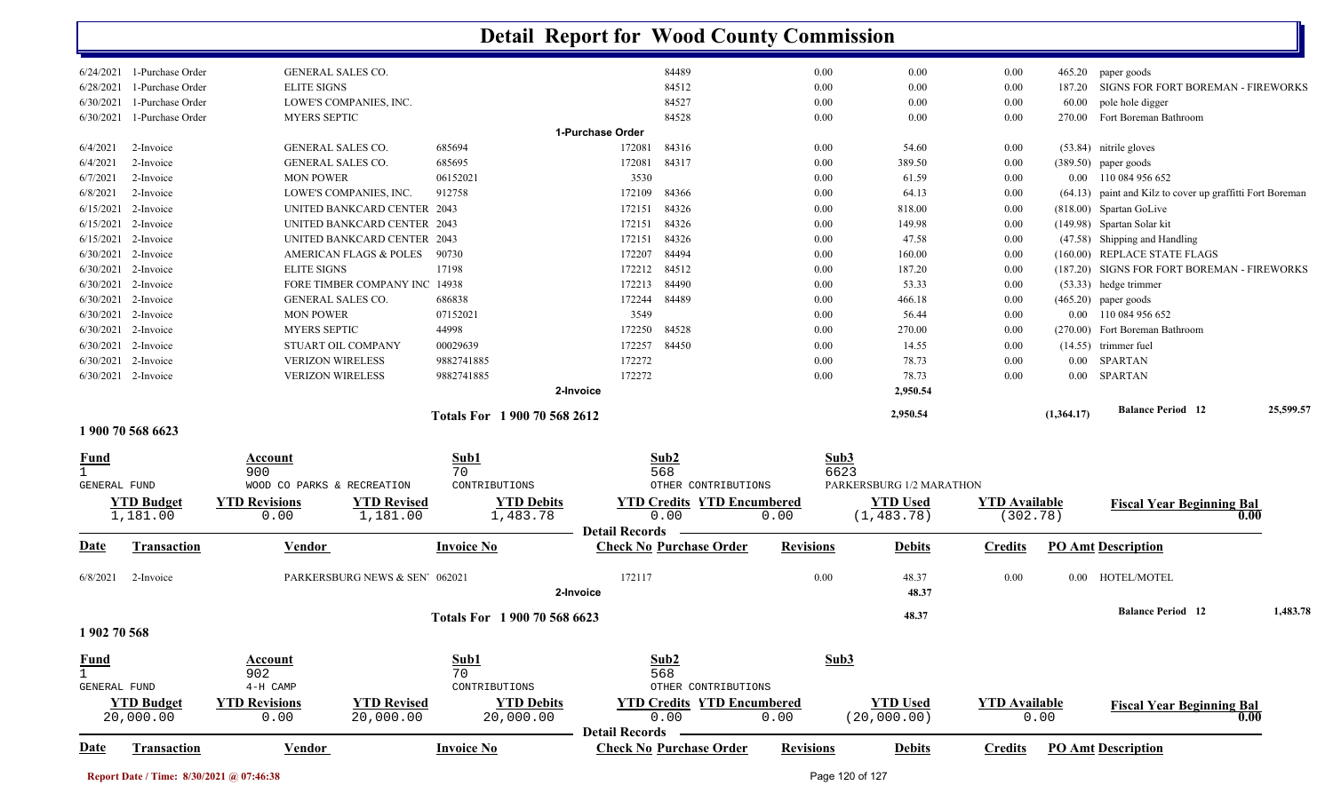|                              | 6/24/2021 1-Purchase Order | GENERAL SALES CO.                 |                                |                              |                       | 84489                             | 0.00             | $0.00\,$                 | 0.00                 |            | 465.20 paper goods                                        |           |
|------------------------------|----------------------------|-----------------------------------|--------------------------------|------------------------------|-----------------------|-----------------------------------|------------------|--------------------------|----------------------|------------|-----------------------------------------------------------|-----------|
| 6/28/2021                    | 1-Purchase Order           | <b>ELITE SIGNS</b>                |                                |                              |                       | 84512                             | 0.00             | $0.00\,$                 | 0.00                 |            | 187.20 SIGNS FOR FORT BOREMAN - FIREWORKS                 |           |
| 6/30/2021                    | 1-Purchase Order           |                                   | LOWE'S COMPANIES, INC.         |                              |                       | 84527                             | 0.00             | 0.00                     | 0.00                 | 60.00      | pole hole digger                                          |           |
| 6/30/2021                    | 1-Purchase Order           | <b>MYERS SEPTIC</b>               |                                |                              |                       | 84528                             | 0.00             | $0.00\,$                 | 0.00                 |            | 270.00 Fort Boreman Bathroom                              |           |
|                              |                            |                                   |                                |                              | 1-Purchase Order      |                                   |                  |                          |                      |            |                                                           |           |
| 6/4/2021                     | 2-Invoice                  | GENERAL SALES CO.                 |                                | 685694                       | 172081                | 84316                             | 0.00             | 54.60                    | 0.00                 |            | (53.84) nitrile gloves                                    |           |
| 6/4/2021                     | 2-Invoice                  | GENERAL SALES CO.                 |                                | 685695                       | 172081                | 84317                             | 0.00             | 389.50                   | 0.00                 |            | $(389.50)$ paper goods                                    |           |
| 6/7/2021                     | 2-Invoice                  | <b>MON POWER</b>                  |                                | 06152021                     | 3530                  |                                   | 0.00             | 61.59                    | 0.00                 |            | 0.00 110 084 956 652                                      |           |
| 6/8/2021                     | 2-Invoice                  |                                   | LOWE'S COMPANIES, INC.         | 912758                       | 172109                | 84366                             | 0.00             | 64.13                    | 0.00                 |            | (64.13) paint and Kilz to cover up graffitti Fort Boreman |           |
|                              | 6/15/2021 2-Invoice        |                                   | UNITED BANKCARD CENTER 2043    |                              | 172151                | 84326                             | 0.00             | 818.00                   | 0.00                 |            | (818.00) Spartan GoLive                                   |           |
|                              | $6/15/2021$ 2-Invoice      |                                   | UNITED BANKCARD CENTER 2043    |                              | 172151                | 84326                             | 0.00             | 149.98                   | 0.00                 |            | (149.98) Spartan Solar kit                                |           |
|                              | $6/15/2021$ 2-Invoice      |                                   | UNITED BANKCARD CENTER 2043    |                              | 172151                | 84326                             | 0.00             | 47.58                    | 0.00                 |            | (47.58) Shipping and Handling                             |           |
|                              | 6/30/2021 2-Invoice        |                                   | AMERICAN FLAGS & POLES         | 90730                        | 172207                | 84494                             | 0.00             | 160.00                   | 0.00                 |            | (160.00) REPLACE STATE FLAGS                              |           |
|                              | 6/30/2021 2-Invoice        | <b>ELITE SIGNS</b>                |                                | 17198                        | 172212                | 84512                             | 0.00             | 187.20                   | 0.00                 |            | (187.20) SIGNS FOR FORT BOREMAN - FIREWORKS               |           |
|                              | 6/30/2021 2-Invoice        |                                   | FORE TIMBER COMPANY INC 14938  |                              | 172213                | 84490                             | 0.00             | 53.33                    | 0.00                 |            | (53.33) hedge trimmer                                     |           |
|                              | 6/30/2021 2-Invoice        | GENERAL SALES CO.                 |                                | 686838                       | 172244                | 84489                             | 0.00             | 466.18                   | $0.00\,$             |            | $(465.20)$ paper goods                                    |           |
|                              | 6/30/2021 2-Invoice        | <b>MON POWER</b>                  |                                | 07152021                     | 3549                  |                                   | 0.00             | 56.44                    | 0.00                 |            | 0.00 110 084 956 652                                      |           |
| 6/30/2021                    | 2-Invoice                  | <b>MYERS SEPTIC</b>               |                                | 44998                        | 172250                | 84528                             | 0.00             | 270.00                   | 0.00                 |            | (270.00) Fort Boreman Bathroom                            |           |
|                              | 6/30/2021 2-Invoice        |                                   | STUART OIL COMPANY             | 00029639                     | 172257                | 84450                             | 0.00             | 14.55                    | 0.00                 |            | $(14.55)$ trimmer fuel                                    |           |
| 6/30/2021                    | 2-Invoice                  | <b>VERIZON WIRELESS</b>           |                                | 9882741885                   | 172272                |                                   | 0.00             | 78.73                    | 0.00                 |            | 0.00 SPARTAN                                              |           |
|                              | 6/30/2021 2-Invoice        | <b>VERIZON WIRELESS</b>           |                                | 9882741885                   | 172272                |                                   | 0.00             | 78.73                    | 0.00                 | $0.00\,$   | <b>SPARTAN</b>                                            |           |
|                              |                            |                                   |                                |                              | 2-Invoice             |                                   |                  | 2,950.54                 |                      |            |                                                           |           |
|                              |                            |                                   |                                |                              |                       |                                   |                  |                          |                      |            | <b>Balance Period 12</b>                                  | 25,599.57 |
|                              | 1 900 70 568 6623          |                                   |                                | Totals For 1 900 70 568 2612 |                       |                                   |                  | 2,950.54                 |                      | (1,364.17) |                                                           |           |
|                              |                            |                                   |                                |                              |                       |                                   |                  |                          |                      |            |                                                           |           |
| <u>Fund</u>                  |                            | Account                           |                                | Sub1                         |                       | Sub2                              | Sub3             |                          |                      |            |                                                           |           |
| $\mathbf{1}$<br>GENERAL FUND |                            | 900<br>WOOD CO PARKS & RECREATION |                                | 70<br>CONTRIBUTIONS          |                       | 568<br>OTHER CONTRIBUTIONS        | 6623             | PARKERSBURG 1/2 MARATHON |                      |            |                                                           |           |
|                              |                            |                                   |                                |                              |                       |                                   |                  |                          |                      |            |                                                           |           |
|                              | <b>YTD Budget</b>          | <b>YTD Revisions</b>              | <b>YTD Revised</b>             | <b>YTD Debits</b>            |                       | <b>YTD Credits YTD Encumbered</b> |                  | <b>YTD Used</b>          | <b>YTD</b> Available |            | <b>Fiscal Year Beginning Bal</b><br>0.00                  |           |
|                              | 1,181.00                   | 0.00                              | 1,181.00                       | 1,483.78                     | <b>Detail Records</b> | 0.00                              | 0.00             | (1, 483.78)              | (302.78)             |            |                                                           |           |
| <u>Date</u>                  | <b>Transaction</b>         | <b>Vendor</b>                     |                                | <b>Invoice No</b>            |                       | <b>Check No Purchase Order</b>    | <b>Revisions</b> | <b>Debits</b>            | <b>Credits</b>       |            | <b>PO Amt Description</b>                                 |           |
| 6/8/2021                     | 2-Invoice                  |                                   | PARKERSBURG NEWS & SEN' 062021 |                              | 172117                |                                   | 0.00             | 48.37                    | 0.00                 | $0.00\,$   | HOTEL/MOTEL                                               |           |
|                              |                            |                                   |                                |                              |                       |                                   |                  | 48.37                    |                      |            |                                                           |           |
|                              |                            |                                   |                                |                              | 2-Invoice             |                                   |                  |                          |                      |            |                                                           |           |
|                              |                            |                                   |                                | Totals For 1900 70 568 6623  |                       |                                   |                  | 48.37                    |                      |            | <b>Balance Period 12</b>                                  | 1,483.78  |
| 1 902 70 568                 |                            |                                   |                                |                              |                       |                                   |                  |                          |                      |            |                                                           |           |
| <b>Fund</b>                  |                            | Account                           |                                | Sub1                         |                       | Sub2                              | Sub3             |                          |                      |            |                                                           |           |
|                              |                            | 902                               |                                | 70                           |                       | 568                               |                  |                          |                      |            |                                                           |           |
| GENERAL FUND                 |                            | 4-H CAMP                          |                                | CONTRIBUTIONS                |                       | OTHER CONTRIBUTIONS               |                  |                          |                      |            |                                                           |           |
|                              | <b>YTD Budget</b>          | <b>YTD Revisions</b>              | <b>YTD Revised</b>             | <b>YTD Debits</b>            |                       | <b>YTD Credits YTD Encumbered</b> |                  | <b>YTD Used</b>          | <b>YTD Available</b> |            | <b>Fiscal Year Beginning Bal</b>                          |           |
|                              | 20,000.00                  | 0.00                              | 20,000.00                      | 20,000.00                    |                       | 0.00                              | 0.00             | (20,000.00)              |                      | 0.00       | 0.00                                                      |           |
|                              |                            |                                   |                                |                              | <b>Detail Records</b> |                                   |                  |                          |                      |            |                                                           |           |
| Date                         | Transaction                | <b>Vendor</b>                     |                                | <b>Invoice No</b>            |                       | <b>Check No Purchase Order</b>    | <b>Revisions</b> | <b>Debits</b>            | <b>Credits</b>       |            | <b>PO Amt Description</b>                                 |           |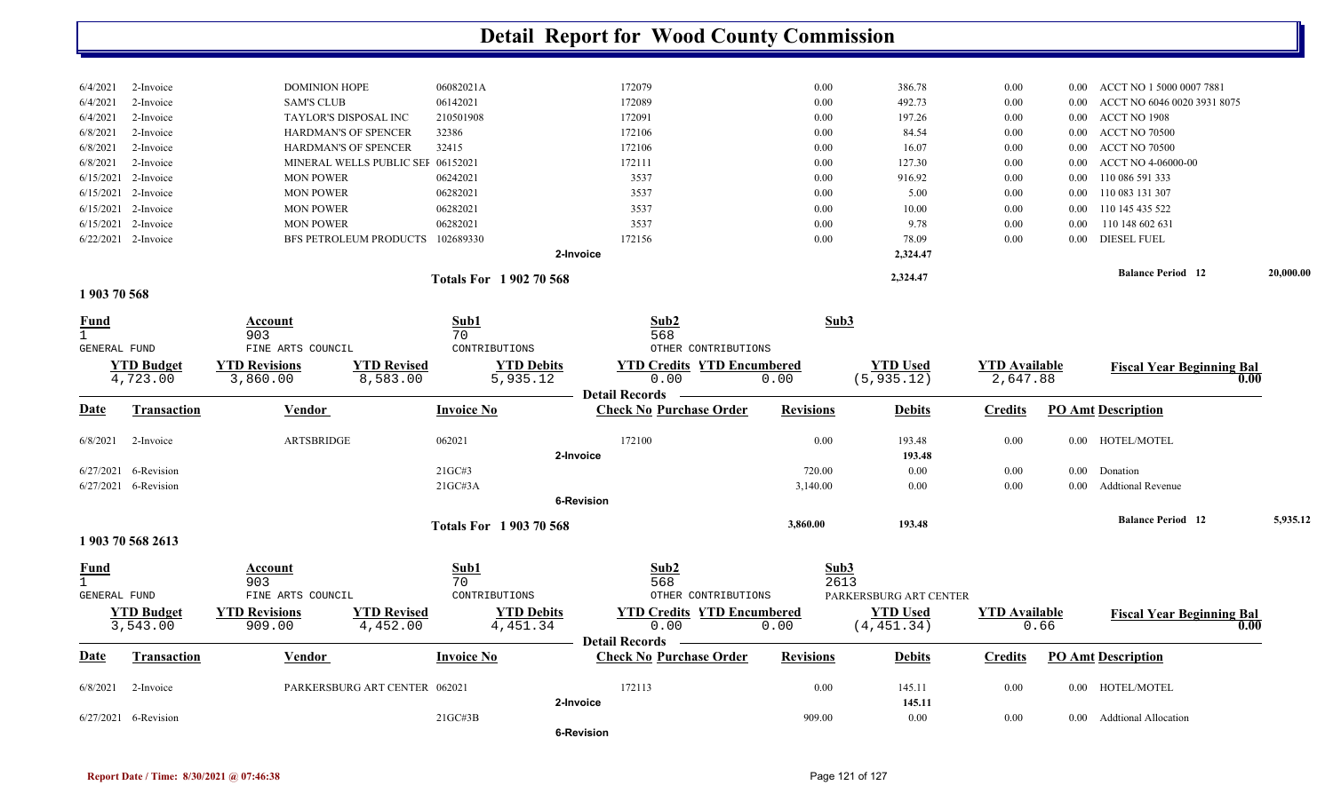|                             |                               |                                  |                                                                 | <b>Detail Report for Wood County Commission</b>         |                  |                                |                                  |          |                                  |           |
|-----------------------------|-------------------------------|----------------------------------|-----------------------------------------------------------------|---------------------------------------------------------|------------------|--------------------------------|----------------------------------|----------|----------------------------------|-----------|
|                             |                               |                                  |                                                                 |                                                         |                  |                                |                                  |          |                                  |           |
| 6/4/2021                    | 2-Invoice                     | <b>DOMINION HOPE</b>             | 06082021A                                                       | 172079                                                  | 0.00             | 386.78                         | 0.00                             | 0.00     | ACCT NO 1 5000 0007 7881         |           |
| 6/4/2021                    | 2-Invoice                     | <b>SAM'S CLUB</b>                | 06142021                                                        | 172089                                                  | 0.00             | 492.73                         | 0.00                             | 0.00     | ACCT NO 6046 0020 3931 8075      |           |
| 6/4/2021                    | 2-Invoice                     | TAYLOR'S DISPOSAL INC            | 210501908                                                       | 172091                                                  | 0.00             | 197.26                         | 0.00                             | $0.00\,$ | ACCT NO 1908                     |           |
| 6/8/2021                    | 2-Invoice                     | HARDMAN'S OF SPENCER             | 32386                                                           | 172106                                                  | 0.00             | 84.54                          | 0.00                             | $0.00\,$ | <b>ACCT NO 70500</b>             |           |
| 6/8/2021                    | 2-Invoice                     | HARDMAN'S OF SPENCER             | 32415                                                           | 172106                                                  | 0.00             | 16.07                          | 0.00                             | $0.00\,$ | <b>ACCT NO 70500</b>             |           |
| 6/8/2021                    | 2-Invoice                     |                                  | MINERAL WELLS PUBLIC SEI 06152021                               | 172111                                                  | 0.00             | 127.30                         | 0.00                             | 0.00     | ACCT NO 4-06000-00               |           |
| 6/15/2021                   | 2-Invoice                     | <b>MON POWER</b>                 | 06242021                                                        | 3537                                                    | 0.00             | 916.92                         | 0.00                             | 0.00     | 110 086 591 333                  |           |
| 6/15/2021                   | 2-Invoice                     | <b>MON POWER</b>                 | 06282021                                                        | 3537                                                    | 0.00             | 5.00                           | 0.00                             | $0.00\,$ | 110 083 131 307                  |           |
| 6/15/2021                   | 2-Invoice                     | <b>MON POWER</b>                 | 06282021                                                        | 3537                                                    | 0.00             | 10.00                          | 0.00                             | $0.00\,$ | 110 145 435 522                  |           |
| 6/15/2021                   | 2-Invoice                     | <b>MON POWER</b>                 | 06282021                                                        | 3537                                                    | 0.00             | 9.78                           | 0.00                             | 0.00     | 110 148 602 631                  |           |
|                             | 6/22/2021 2-Invoice           |                                  | BFS PETROLEUM PRODUCTS 102689330                                | 172156                                                  | 0.00             | 78.09                          | 0.00                             | $0.00\,$ | <b>DIESEL FUEL</b>               |           |
|                             |                               |                                  |                                                                 | 2-Invoice                                               |                  | 2,324.47                       |                                  |          |                                  |           |
|                             |                               |                                  | Totals For 1902 70 568                                          |                                                         |                  | 2,324.47                       |                                  |          | <b>Balance Period 12</b>         | 20,000.00 |
| 1903 70 568                 |                               |                                  |                                                                 |                                                         |                  |                                |                                  |          |                                  |           |
| <u>Fund</u><br>$\mathbf{1}$ |                               | Account<br>903                   | Sub1<br>70                                                      | Sub2<br>568                                             | Sub3             |                                |                                  |          |                                  |           |
| GENERAL FUND                |                               | FINE ARTS COUNCIL                | CONTRIBUTIONS                                                   | OTHER CONTRIBUTIONS                                     |                  |                                |                                  |          |                                  |           |
|                             | <b>YTD Budget</b><br>4,723.00 | <b>YTD Revisions</b><br>3,860.00 | <b>YTD Revised</b><br><b>YTD Debits</b><br>8,583.00<br>5,935.12 | <b>YTD Credits YTD Encumbered</b><br>0.00               | 0.00             | <b>YTD Used</b><br>(5, 935.12) | <b>YTD Available</b><br>2,647.88 |          | <b>Fiscal Year Beginning Bal</b> | 0.00      |
| <u>Date</u>                 | <b>Transaction</b>            | <b>Vendor</b>                    | <b>Invoice No</b>                                               | <b>Detail Records</b><br><b>Check No Purchase Order</b> | <b>Revisions</b> | <b>Debits</b>                  | <b>Credits</b>                   |          | <b>PO Amt Description</b>        |           |
| 6/8/2021                    | 2-Invoice                     | <b>ARTSBRIDGE</b>                | 062021                                                          | 172100                                                  | 0.00             | 193.48                         | 0.00                             |          | 0.00 HOTEL/MOTEL                 |           |
|                             |                               |                                  |                                                                 | 2-Invoice                                               |                  | 193.48                         |                                  |          |                                  |           |
|                             | 6/27/2021 6-Revision          |                                  | 21GC#3                                                          |                                                         | 720.00           | 0.00                           | 0.00                             | $0.00\,$ | Donation                         |           |
|                             | 6/27/2021 6-Revision          |                                  | 21GCH3A                                                         |                                                         | 3,140.00         | 0.00                           | 0.00                             | $0.00\,$ | <b>Addtional Revenue</b>         |           |
|                             |                               |                                  |                                                                 | 6-Revision                                              |                  |                                |                                  |          |                                  |           |
|                             |                               |                                  | <b>Totals For 1903 70 568</b>                                   |                                                         | 3,860.00         | 193.48                         |                                  |          | <b>Balance Period</b> 12         | 5,935.12  |
|                             | 1 903 70 568 2613             |                                  |                                                                 |                                                         |                  |                                |                                  |          |                                  |           |
| <u>Fund</u>                 |                               | <b>Account</b>                   | Sub1                                                            | Sub2                                                    | Sub3             |                                |                                  |          |                                  |           |
|                             |                               | 903                              | 70                                                              | 568                                                     | 2613             |                                |                                  |          |                                  |           |
| <b>GENERAL FUND</b>         |                               | FINE ARTS COUNCIL                | CONTRIBUTIONS                                                   | OTHER CONTRIBUTIONS                                     |                  | PARKERSBURG ART CENTER         |                                  |          |                                  |           |
|                             | <b>YTD Budget</b><br>3,543.00 | <b>YTD Revisions</b><br>909.00   | <b>YTD Revised</b><br><b>YTD Debits</b><br>4,452.00<br>4,451.34 | <b>YTD Credits YTD Encumbered</b><br>0.00               | 0.00             | <b>YTD Used</b><br>(4, 451.34) | <b>YTD</b> Available             | 0.66     | <b>Fiscal Year Beginning Bal</b> | 0.00      |
|                             |                               |                                  |                                                                 | <b>Detail Records</b>                                   |                  |                                |                                  |          |                                  |           |
| <u>Date</u>                 | Transaction                   | Vendor                           | <b>Invoice No</b>                                               | <b>Check No Purchase Order</b>                          | <b>Revisions</b> | <b>Debits</b>                  | <b>Credits</b>                   |          | <b>PO Amt Description</b>        |           |
| 6/8/2021                    | 2-Invoice                     |                                  | PARKERSBURG ART CENTER 062021                                   | 172113                                                  | 0.00             | 145.11                         | $0.00\,$                         |          | 0.00 HOTEL/MOTEL                 |           |
|                             |                               |                                  |                                                                 | 2-Invoice                                               |                  | 145.11                         |                                  |          |                                  |           |
|                             | 6/27/2021 6-Revision          |                                  | 21GC#3B                                                         |                                                         | 909.00           | $0.00\,$                       | $0.00\,$                         |          | 0.00 Addtional Allocation        |           |
|                             |                               |                                  |                                                                 | 6-Revision                                              |                  |                                |                                  |          |                                  |           |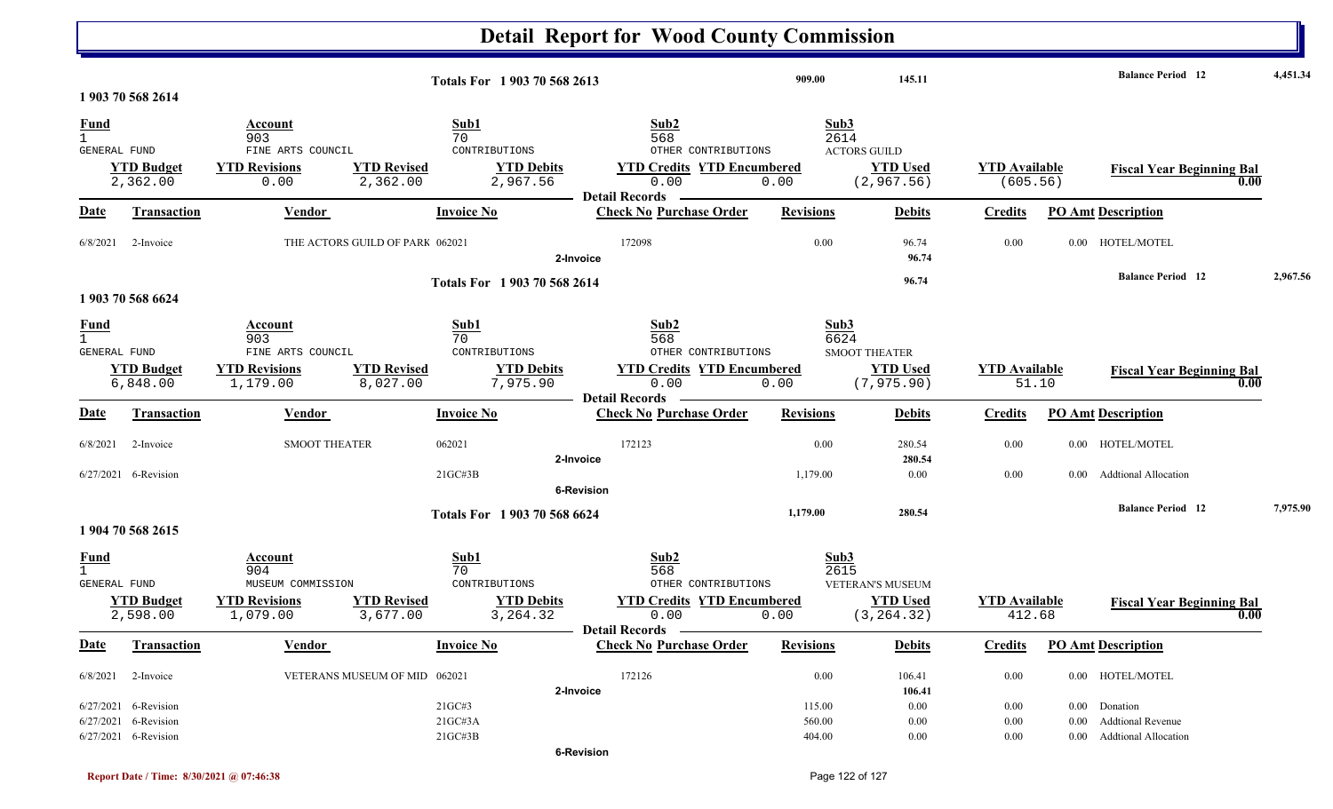|                  |                                              |                                                              |                                |                                                      |                   | <b>Detail Report for Wood County Commission</b>                         |                  |                                                        |                               |          |                                          |          |
|------------------|----------------------------------------------|--------------------------------------------------------------|--------------------------------|------------------------------------------------------|-------------------|-------------------------------------------------------------------------|------------------|--------------------------------------------------------|-------------------------------|----------|------------------------------------------|----------|
|                  | 1 903 70 568 2614                            |                                                              |                                | Totals For 1 903 70 568 2613                         |                   |                                                                         | 909.00           | 145.11                                                 |                               |          | <b>Balance Period</b> 12                 | 4,451.34 |
| <u>Fund</u>      |                                              | Account                                                      |                                | Sub1                                                 |                   | Sub2                                                                    | Sub3             |                                                        |                               |          |                                          |          |
| GENERAL FUND     |                                              | 903<br>FINE ARTS COUNCIL                                     |                                | 70<br>CONTRIBUTIONS                                  |                   | 568<br>OTHER CONTRIBUTIONS                                              | 2614             | <b>ACTORS GUILD</b>                                    |                               |          |                                          |          |
|                  | <b>YTD Budget</b>                            | <b>YTD Revisions</b>                                         | <b>YTD Revised</b>             | <b>YTD Debits</b>                                    |                   | <b>YTD Credits YTD Encumbered</b>                                       |                  | <b>YTD Used</b>                                        | <b>YTD</b> Available          |          | <b>Fiscal Year Beginning Bal</b>         |          |
|                  | 2,362.00                                     | 0.00                                                         | 2,362.00                       | 2,967.56                                             |                   | 0.00                                                                    | 0.00             | (2, 967.56)                                            | (605.56)                      |          | 0.00                                     |          |
| <b>Date</b>      | Transaction                                  | Vendor                                                       |                                | <b>Invoice No</b>                                    |                   | <b>Detail Records</b><br><b>Check No Purchase Order</b>                 | <b>Revisions</b> | <b>Debits</b>                                          | <b>Credits</b>                |          | <b>PO Amt Description</b>                |          |
| 6/8/2021         | 2-Invoice                                    | THE ACTORS GUILD OF PARK 062021                              |                                |                                                      | 2-Invoice         | 172098                                                                  | 0.00             | 96.74<br>96.74                                         | 0.00                          |          | 0.00 HOTEL/MOTEL                         |          |
|                  | 1 903 70 568 6624                            |                                                              |                                | Totals For 1 903 70 568 2614                         |                   |                                                                         |                  | 96.74                                                  |                               |          | <b>Balance Period 12</b>                 | 2,967.56 |
| $\frac{Fund}{1}$ |                                              | <b>Account</b>                                               |                                | Sub1                                                 |                   | Sub2                                                                    | Sub3             |                                                        |                               |          |                                          |          |
| GENERAL FUND     | <b>YTD Budget</b><br>6,848.00                | 903<br>FINE ARTS COUNCIL<br><b>YTD Revisions</b><br>1,179.00 | <b>YTD Revised</b><br>8,027.00 | 70<br>CONTRIBUTIONS<br><b>YTD Debits</b><br>7,975.90 |                   | 568<br>OTHER CONTRIBUTIONS<br><b>YTD Credits YTD Encumbered</b><br>0.00 | 6624<br>0.00     | <b>SMOOT THEATER</b><br><b>YTD Used</b><br>(7, 975.90) | <b>YTD Available</b><br>51.10 |          | <b>Fiscal Year Beginning Bal</b><br>0.00 |          |
| <b>Date</b>      | Transaction                                  | Vendor                                                       |                                | <b>Invoice No</b>                                    |                   | <b>Detail Records</b><br><b>Check No Purchase Order</b>                 | <b>Revisions</b> | <b>Debits</b>                                          | <b>Credits</b>                |          | <b>PO Amt Description</b>                |          |
| 6/8/2021         | 2-Invoice                                    | <b>SMOOT THEATER</b>                                         |                                | 062021                                               |                   | 172123                                                                  | 0.00             | 280.54                                                 | 0.00                          | $0.00\,$ | HOTEL/MOTEL                              |          |
|                  |                                              |                                                              |                                |                                                      | 2-Invoice         |                                                                         |                  | 280.54                                                 |                               |          |                                          |          |
|                  | 6/27/2021 6-Revision                         |                                                              |                                | $21G$ C#3B                                           |                   |                                                                         | 1,179.00         | 0.00                                                   | 0.00                          | 0.00     | <b>Addtional Allocation</b>              |          |
|                  |                                              |                                                              |                                |                                                      | <b>6-Revision</b> |                                                                         |                  |                                                        |                               |          |                                          |          |
|                  | 1 904 70 568 2615                            |                                                              |                                | Totals For 1 903 70 568 6624                         |                   |                                                                         | 1,179.00         | 280.54                                                 |                               |          | <b>Balance Period 12</b>                 | 7,975.90 |
| $\frac{Fund}{1}$ |                                              | Account                                                      |                                | Sub1                                                 |                   | Sub2                                                                    | Sub3             |                                                        |                               |          |                                          |          |
| GENERAL FUND     |                                              | 904<br>MUSEUM COMMISSION                                     |                                | 70<br>CONTRIBUTIONS                                  |                   | 568<br>OTHER CONTRIBUTIONS                                              | 2615             | VETERAN'S MUSEUM                                       |                               |          |                                          |          |
|                  | <b>YTD Budget</b>                            | <b>YTD Revisions</b>                                         | <b>YTD Revised</b>             | <b>YTD Debits</b>                                    |                   | <b>YTD Credits YTD Encumbered</b>                                       |                  | <b>YTD Used</b>                                        | <b>YTD</b> Available          |          | <b>Fiscal Year Beginning Bal</b>         |          |
|                  | 2,598.00                                     | 1,079.00                                                     | 3,677.00                       | 3,264.32                                             |                   | 0.00                                                                    | 0.00             | (3, 264.32)                                            | 412.68                        |          | 0.00                                     |          |
| <b>Date</b>      | Transaction                                  | <b>Vendor</b>                                                |                                | <b>Invoice No</b>                                    |                   | Detail Records -<br><b>Check No Purchase Order</b>                      | <b>Revisions</b> | <b>Debits</b>                                          | <b>Credits</b>                |          | <b>PO Amt Description</b>                |          |
|                  | $6/8/2021$ 2-Invoice                         | VETERANS MUSEUM OF MID 062021                                |                                |                                                      |                   | 172126                                                                  | 0.00             | 106.41                                                 | $0.00\,$                      |          | 0.00 HOTEL/MOTEL                         |          |
|                  |                                              |                                                              |                                |                                                      | 2-Invoice         |                                                                         |                  | 106.41                                                 |                               |          |                                          |          |
|                  | 6/27/2021 6-Revision<br>6/27/2021 6-Revision |                                                              |                                | 21GC#3<br>$21G$ C#3A                                 |                   |                                                                         | 115.00           | 0.00                                                   | $0.00\,$                      |          | 0.00 Donation<br>0.00 Addtional Revenue  |          |
|                  | 6/27/2021 6-Revision                         |                                                              |                                | $21$ GC#3B                                           |                   |                                                                         | 560.00<br>404.00 | 0.00<br>$0.00\,$                                       | 0.00<br>0.00                  |          | 0.00 Addtional Allocation                |          |
|                  |                                              |                                                              |                                |                                                      | <b>6-Revision</b> |                                                                         |                  |                                                        |                               |          |                                          |          |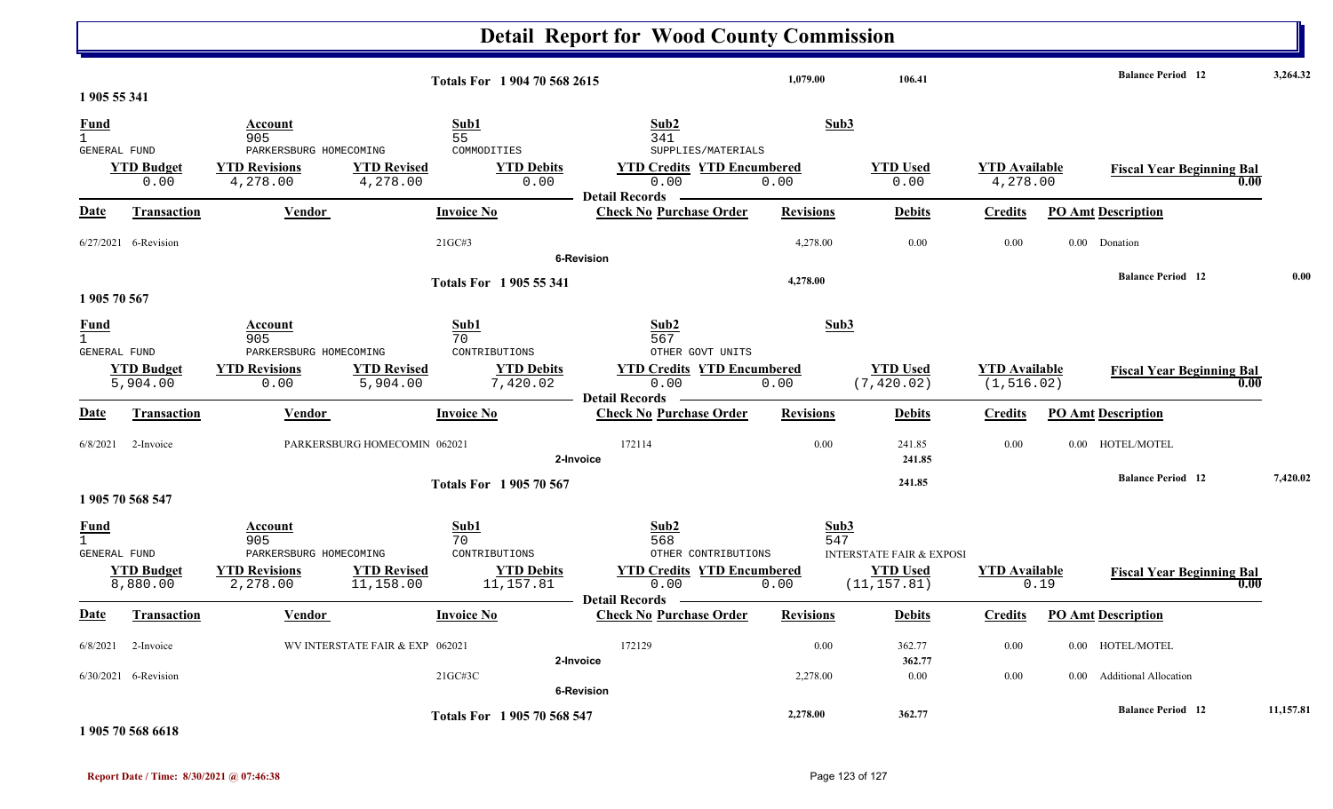|                                                    |                                |                                                                  |                                                                        | <b>Detail Report for Wood County Commission</b>                      |                          |                                     |                                  |          |                                          |           |
|----------------------------------------------------|--------------------------------|------------------------------------------------------------------|------------------------------------------------------------------------|----------------------------------------------------------------------|--------------------------|-------------------------------------|----------------------------------|----------|------------------------------------------|-----------|
| 1 905 55 341                                       |                                |                                                                  | Totals For 1 904 70 568 2615                                           |                                                                      | 1,079.00                 | 106.41                              |                                  |          | <b>Balance Period</b> 12                 | 3,264.32  |
| <u>Fund</u><br>$\mathbf{1}$<br>GENERAL FUND        |                                | <b>Account</b><br>905<br>PARKERSBURG HOMECOMING                  | Sub1<br>55<br>COMMODITIES                                              | Sub2<br>341<br>SUPPLIES/MATERIALS                                    | Sub3                     |                                     |                                  |          |                                          |           |
|                                                    | <b>YTD Budget</b><br>0.00      | <b>YTD Revisions</b><br>4,278.00                                 | <b>YTD Revised</b><br><b>YTD Debits</b><br>4,278.00<br>0.00            | <b>YTD Credits YTD Encumbered</b><br>0.00<br><b>Detail Records</b>   | 0.00                     | <b>YTD Used</b><br>0.00             | <b>YTD Available</b><br>4,278.00 |          | <b>Fiscal Year Beginning Bal</b><br>0.00 |           |
| <u>Date</u>                                        | <b>Transaction</b>             | Vendor                                                           | <b>Invoice No</b>                                                      | <b>Check No Purchase Order</b>                                       | <b>Revisions</b>         | <b>Debits</b>                       | <b>Credits</b>                   |          | <b>PO Amt Description</b>                |           |
|                                                    | 6/27/2021 6-Revision           |                                                                  | 21GC#3                                                                 | <b>6-Revision</b>                                                    | 4,278.00                 | 0.00                                | 0.00                             | $0.00\,$ | Donation                                 |           |
| 1 905 70 567                                       |                                |                                                                  | Totals For 1905 55 341                                                 |                                                                      | 4,278.00                 |                                     |                                  |          | <b>Balance Period</b> 12                 | 0.00      |
| <u>Fund</u><br>$\mathbf{1}$<br><b>GENERAL FUND</b> | <b>YTD Budget</b>              | Account<br>905<br>PARKERSBURG HOMECOMING<br><b>YTD Revisions</b> | Sub1<br>70<br>CONTRIBUTIONS<br><b>YTD Revised</b><br><b>YTD Debits</b> | Sub2<br>567<br>OTHER GOVT UNITS<br><b>YTD Credits YTD Encumbered</b> | Sub3                     | <b>YTD Used</b>                     | <b>YTD</b> Available             |          | <b>Fiscal Year Beginning Bal</b>         |           |
| <u>Date</u>                                        | 5,904.00<br><b>Transaction</b> | 0.00<br><b>Vendor</b>                                            | 5,904.00<br>7,420.02<br><b>Invoice No</b>                              | 0.00<br><b>Detail Records</b><br><b>Check No Purchase Order</b>      | 0.00<br><b>Revisions</b> | (7, 420.02)<br><b>Debits</b>        | (1, 516.02)<br><b>Credits</b>    |          | 0.00<br><b>PO Amt Description</b>        |           |
| 6/8/2021                                           | 2-Invoice                      | PARKERSBURG HOMECOMIN 062021                                     |                                                                        | 172114<br>2-Invoice                                                  | 0.00                     | 241.85<br>241.85                    | 0.00                             | 0.00     | HOTEL/MOTEL                              |           |
|                                                    | 1 905 70 568 547               |                                                                  | <b>Totals For 1905 70 567</b>                                          |                                                                      |                          | 241.85                              |                                  |          | <b>Balance Period</b> 12                 | 7,420.02  |
| <b>Fund</b><br>$\mathbf{1}$<br>GENERAL FUND        |                                | Account<br>905<br>PARKERSBURG HOMECOMING                         | Sub1<br>70<br>CONTRIBUTIONS                                            | Sub2<br>568<br>OTHER CONTRIBUTIONS                                   | Sub3<br>547              | <b>INTERSTATE FAIR &amp; EXPOSI</b> |                                  |          |                                          |           |
|                                                    | <b>YTD Budget</b><br>8,880.00  | <b>YTD Revisions</b><br>2,278.00                                 | <b>YTD Revised</b><br><b>YTD Debits</b><br>11,158.00<br>11,157.81      | <b>YTD Credits YTD Encumbered</b><br>0.00<br><b>Detail Records</b>   | 0.00                     | <b>YTD Used</b><br>(11, 157.81)     | <b>YTD Available</b>             | 0.19     | <b>Fiscal Year Beginning Bal</b><br>0.00 |           |
| Date                                               | <b>Transaction</b>             | <u>Vendor</u>                                                    | <b>Invoice No</b>                                                      | <b>Check No Purchase Order</b>                                       | <b>Revisions</b>         | <b>Debits</b>                       | <b>Credits</b>                   |          | <b>PO Amt Description</b>                |           |
|                                                    | 6/8/2021 2-Invoice             | WV INTERSTATE FAIR & EXP 062021                                  |                                                                        | 172129                                                               | 0.00                     | 362.77                              | $0.00\,$                         |          | 0.00 HOTEL/MOTEL                         |           |
|                                                    | $6/30/2021$ 6-Revision         |                                                                  | $21G$ C#3C                                                             | 2-Invoice<br>6-Revision                                              | 2,278.00                 | 362.77<br>0.00                      | $0.00\,$                         |          | 0.00 Additional Allocation               |           |
|                                                    | 1.0055050000                   |                                                                  | Totals For 1905 70 568 547                                             |                                                                      | 2,278.00                 | 362.77                              |                                  |          | <b>Balance Period</b> 12                 | 11,157.81 |

**1 905 70 568 6618**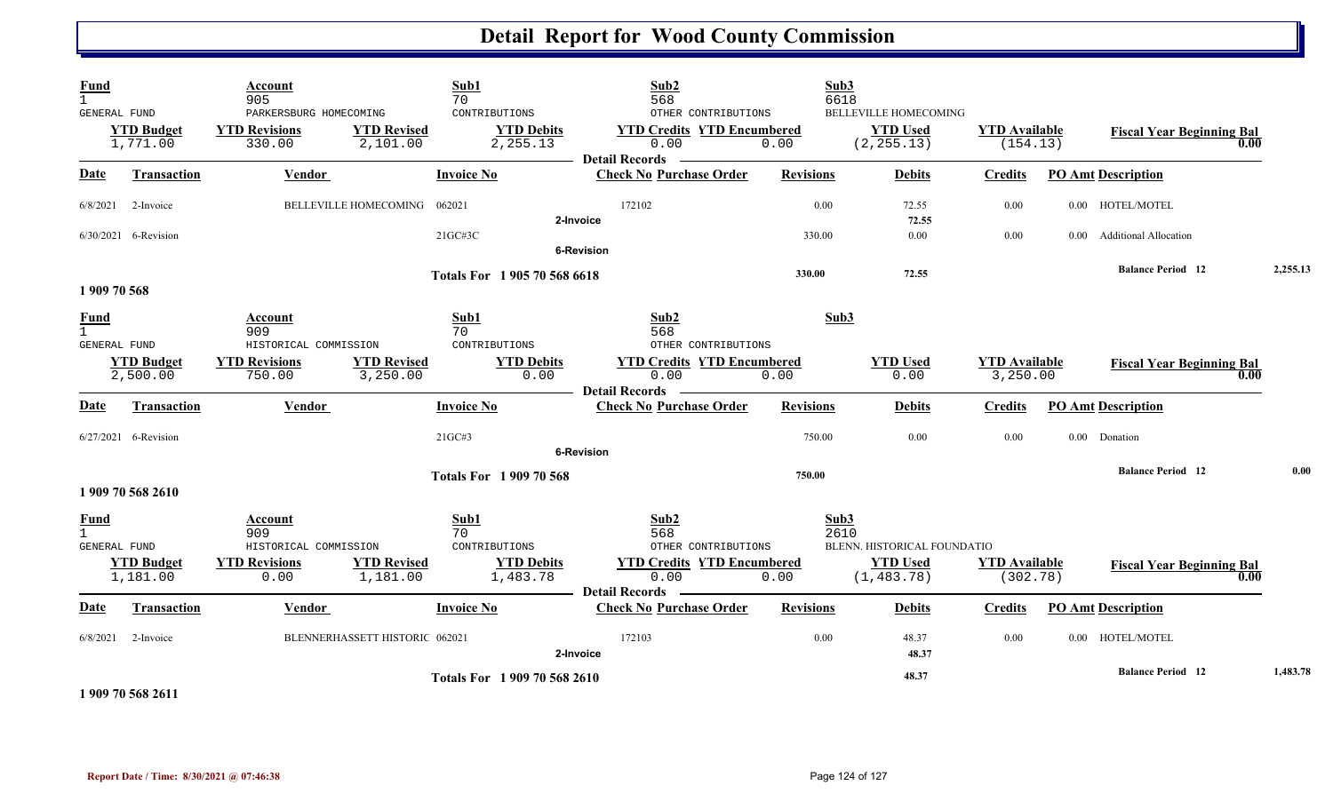| Fund<br>$\mathbf{1}$ |                                               | Account<br>905                                           |                                | Sub1<br>70                                     | Sub2<br>568                                                                          | Sub3<br>6618     |                                                                |                                  |                           |                                          |          |
|----------------------|-----------------------------------------------|----------------------------------------------------------|--------------------------------|------------------------------------------------|--------------------------------------------------------------------------------------|------------------|----------------------------------------------------------------|----------------------------------|---------------------------|------------------------------------------|----------|
|                      | GENERAL FUND<br><b>YTD Budget</b><br>1,771.00 | PARKERSBURG HOMECOMING<br><b>YTD Revisions</b><br>330.00 | <b>YTD Revised</b><br>2,101.00 | CONTRIBUTIONS<br><b>YTD Debits</b><br>2,255.13 | OTHER CONTRIBUTIONS<br><b>YTD Credits YTD Encumbered</b><br>0.00<br>- Detail Records | 0.00             | <b>BELLEVILLE HOMECOMING</b><br><b>YTD Used</b><br>(2, 255.13) | <b>YTD Available</b><br>(154.13) |                           | <b>Fiscal Year Beginning Bal</b><br>0.00 |          |
| <b>Date</b>          | <b>Transaction</b>                            | <b>Vendor</b>                                            |                                | <b>Invoice No</b>                              | <b>Check No Purchase Order</b>                                                       | <b>Revisions</b> | <b>Debits</b>                                                  | <b>Credits</b>                   | <b>PO Amt Description</b> |                                          |          |
| 6/8/2021             | 2-Invoice                                     |                                                          | BELLEVILLE HOMECOMING          | 062021                                         | 172102<br>2-Invoice                                                                  | 0.00             | 72.55<br>72.55                                                 | 0.00                             |                           | 0.00 HOTEL/MOTEL                         |          |
|                      | 6/30/2021 6-Revision                          |                                                          |                                | $21G$ C#3C                                     | <b>6-Revision</b>                                                                    | 330.00           | $0.00\,$                                                       | 0.00                             | $0.00\,$                  | <b>Additional Allocation</b>             |          |
|                      |                                               |                                                          |                                | Totals For 1 905 70 568 6618                   |                                                                                      | 330.00           | 72.55                                                          |                                  |                           | <b>Balance Period 12</b>                 | 2,255.13 |
| 1 909 70 568         |                                               |                                                          |                                |                                                |                                                                                      |                  |                                                                |                                  |                           |                                          |          |
| Fund<br>$\mathbf{1}$ | GENERAL FUND                                  | Account<br>909<br>HISTORICAL COMMISSION                  |                                | Sub1<br>70<br>CONTRIBUTIONS                    | Sub2<br>568<br>OTHER CONTRIBUTIONS                                                   | Sub3             |                                                                |                                  |                           |                                          |          |
|                      | <b>YTD Budget</b><br>2,500.00                 | <b>YTD Revisions</b><br>750.00                           | <b>YTD Revised</b><br>3,250.00 | <b>YTD Debits</b><br>0.00                      | <b>YTD Credits YTD Encumbered</b><br>0.00                                            | 0.00             | <b>YTD Used</b><br>0.00                                        | <b>YTD Available</b><br>3,250.00 |                           | <b>Fiscal Year Beginning Bal</b><br>0.00 |          |
| Date                 | <b>Transaction</b>                            | Vendor                                                   |                                | <b>Invoice No</b>                              | <b>Detail Records</b><br><b>Check No Purchase Order</b>                              | <b>Revisions</b> | <b>Debits</b>                                                  | <b>Credits</b>                   | <b>PO Amt Description</b> |                                          |          |
|                      | 6/27/2021 6-Revision                          |                                                          |                                | 21GC#3                                         | <b>6-Revision</b>                                                                    | 750.00           | $0.00\,$                                                       | 0.00                             | 0.00 Donation             |                                          |          |
|                      | 1 909 70 568 2610                             |                                                          |                                | <b>Totals For 1909 70 568</b>                  |                                                                                      | 750.00           |                                                                |                                  |                           | <b>Balance Period 12</b>                 | 0.00     |
| Fund<br>$\mathbf{1}$ |                                               | Account<br>909                                           |                                | Sub1<br>70                                     | Sub2<br>568                                                                          | Sub3<br>2610     |                                                                |                                  |                           |                                          |          |
|                      | GENERAL FUND<br><b>YTD Budget</b><br>1,181.00 | HISTORICAL COMMISSION<br><b>YTD Revisions</b><br>0.00    | <b>YTD Revised</b><br>1,181.00 | CONTRIBUTIONS<br><b>YTD Debits</b><br>1,483.78 | OTHER CONTRIBUTIONS<br><b>YTD Credits YTD Encumbered</b><br>0.00                     | 0.00             | BLENN. HISTORICAL FOUNDATIO<br><b>YTD Used</b><br>(1, 483.78)  | <b>YTD Available</b><br>(302.78) |                           | <b>Fiscal Year Beginning Bal</b><br>0.00 |          |
| Date                 | <b>Transaction</b>                            | Vendor                                                   |                                | <b>Invoice No</b>                              | <b>Detail Records</b><br><b>Check No Purchase Order</b>                              | <b>Revisions</b> | <b>Debits</b>                                                  | <b>Credits</b>                   | <b>PO Amt Description</b> |                                          |          |
| 6/8/2021             | 2-Invoice                                     |                                                          | BLENNERHASSETT HISTORIC 062021 |                                                | 172103<br>2-Invoice                                                                  | 0.00             | 48.37<br>48.37                                                 | 0.00                             |                           | 0.00 HOTEL/MOTEL                         |          |
|                      | $1.000$ =0.500 $211$                          |                                                          |                                | Totals For 1 909 70 568 2610                   |                                                                                      |                  | 48.37                                                          |                                  |                           | <b>Balance Period 12</b>                 | 1,483.78 |

**1 909 70 568 2611**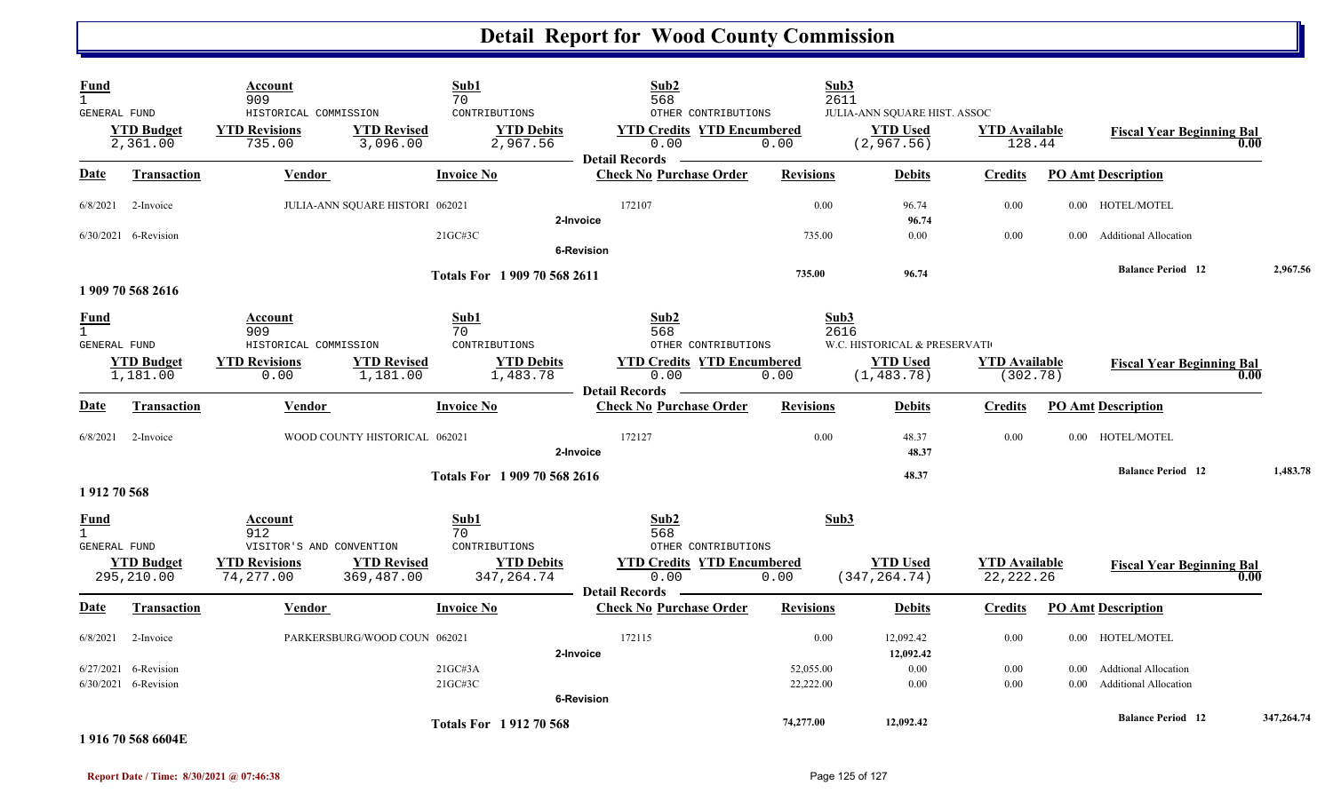| <b>Fund</b><br>$\mathbf{1}$<br><b>GENERAL FUND</b> |                                    | Account<br>909<br>HISTORICAL COMMISSION                                 | Sub1<br>70                                   | CONTRIBUTIONS                                  | Sub2<br>568<br>OTHER CONTRIBUTIONS                                              | Sub3<br>2611           | JULIA-ANN SQUARE HIST. ASSOC                                   |                                     |              |                                                             |      |            |
|----------------------------------------------------|------------------------------------|-------------------------------------------------------------------------|----------------------------------------------|------------------------------------------------|---------------------------------------------------------------------------------|------------------------|----------------------------------------------------------------|-------------------------------------|--------------|-------------------------------------------------------------|------|------------|
|                                                    | <b>YTD Budget</b><br>2,361.00      | <b>YTD Revisions</b><br>735.00                                          | <b>YTD Revised</b><br>3,096.00               | <b>YTD Debits</b><br>2,967.56                  | <b>YTD Credits YTD Encumbered</b><br>0.00<br><b>Detail Records</b>              | 0.00                   | <b>YTD Used</b><br>(2, 967.56)                                 | <b>YTD</b> Available<br>128.44      |              | <b>Fiscal Year Beginning Bal</b>                            | 0.00 |            |
| Date                                               | <b>Transaction</b>                 | <b>Vendor</b>                                                           | <b>Invoice No</b>                            |                                                | <b>Check No Purchase Order</b>                                                  | <b>Revisions</b>       | <b>Debits</b>                                                  | <b>Credits</b>                      |              | <b>PO Amt Description</b>                                   |      |            |
| 6/8/2021                                           | 2-Invoice                          |                                                                         | JULIA-ANN SQUARE HISTORI 062021              |                                                | 172107<br>2-Invoice                                                             | 0.00                   | 96.74<br>96.74                                                 | 0.00                                |              | 0.00 HOTEL/MOTEL                                            |      |            |
|                                                    | 6/30/2021 6-Revision               |                                                                         | 21GC#3C                                      |                                                | 6-Revision                                                                      | 735.00                 | 0.00                                                           | 0.00                                | $0.00\,$     | <b>Additional Allocation</b>                                |      |            |
|                                                    | 1 909 70 568 2616                  |                                                                         |                                              | Totals For 1 909 70 568 2611                   |                                                                                 | 735.00                 | 96.74                                                          |                                     |              | <b>Balance Period 12</b>                                    |      | 2,967.56   |
| Fund<br>$\mathbf{1}$<br><b>GENERAL FUND</b>        | <b>YTD Budget</b><br>1,181.00      | Account<br>909<br>HISTORICAL COMMISSION<br><b>YTD Revisions</b><br>0.00 | Sub1<br>70<br><b>YTD Revised</b><br>1,181.00 | CONTRIBUTIONS<br><b>YTD Debits</b><br>1,483.78 | Sub2<br>568<br>OTHER CONTRIBUTIONS<br><b>YTD Credits YTD Encumbered</b><br>0.00 | Sub3<br>2616<br>0.00   | W.C. HISTORICAL & PRESERVATI<br><b>YTD Used</b><br>(1, 483.78) | <b>YTD</b> Available<br>(302.78)    |              | <b>Fiscal Year Beginning Bal</b>                            | 0.00 |            |
| Date                                               | Transaction                        | Vendor                                                                  | <b>Invoice No</b>                            |                                                | <b>Detail Records</b><br><b>Check No Purchase Order</b>                         | <b>Revisions</b>       | <b>Debits</b>                                                  | <b>Credits</b>                      |              | <b>PO Amt Description</b>                                   |      |            |
| 6/8/2021                                           | 2-Invoice                          |                                                                         | WOOD COUNTY HISTORICAL 062021                |                                                | 172127<br>2-Invoice                                                             | 0.00                   | 48.37<br>48.37                                                 | 0.00                                |              | 0.00 HOTEL/MOTEL                                            |      |            |
| 1912 70 568                                        |                                    |                                                                         |                                              | Totals For 1909 70 568 2616                    |                                                                                 |                        | 48.37                                                          |                                     |              | <b>Balance Period 12</b>                                    |      | 1,483.78   |
| Fund<br>$\mathbf{1}$<br><b>GENERAL FUND</b>        |                                    | Account<br>912<br>VISITOR'S AND CONVENTION                              | Sub1<br>70                                   | CONTRIBUTIONS                                  | Sub2<br>568<br>OTHER CONTRIBUTIONS                                              | Sub3                   |                                                                |                                     |              |                                                             |      |            |
|                                                    | <b>YTD Budget</b><br>295,210.00    | <b>YTD Revisions</b><br>74,277.00                                       | <b>YTD Revised</b><br>369,487.00             | <b>YTD Debits</b><br>347, 264.74               | <b>YTD Credits YTD Encumbered</b><br>0.00<br><b>Detail Records</b>              | 0.00                   | <b>YTD</b> Used<br>(347, 264.74)                               | <b>YTD</b> Available<br>22, 222. 26 |              | <b>Fiscal Year Beginning Bal</b>                            | 0.00 |            |
| Date                                               | <b>Transaction</b>                 | Vendor                                                                  | <b>Invoice No</b>                            |                                                | <b>Check No Purchase Order</b>                                                  | <b>Revisions</b>       | <b>Debits</b>                                                  | <b>Credits</b>                      |              | <b>PO Amt Description</b>                                   |      |            |
| 6/8/2021                                           | 2-Invoice                          |                                                                         | PARKERSBURG/WOOD COUN 062021                 |                                                | 172115<br>2-Invoice                                                             | 0.00                   | 12,092.42<br>12,092.42                                         | 0.00                                |              | 0.00 HOTEL/MOTEL                                            |      |            |
| 6/27/2021                                          | 6-Revision<br>6/30/2021 6-Revision |                                                                         | 21GCH3A<br>21GC#3C                           |                                                |                                                                                 | 52,055.00<br>22,222.00 | 0.00<br>0.00                                                   | 0.00<br>0.00                        | 0.00<br>0.00 | <b>Addtional Allocation</b><br><b>Additional Allocation</b> |      |            |
|                                                    | 1.016.70.569.6604 $E$              |                                                                         |                                              | <b>Totals For 191270568</b>                    | <b>6-Revision</b>                                                               | 74,277.00              | 12,092.42                                                      |                                     |              | <b>Balance Period 12</b>                                    |      | 347,264.74 |

### **1 916 70 568 6604E**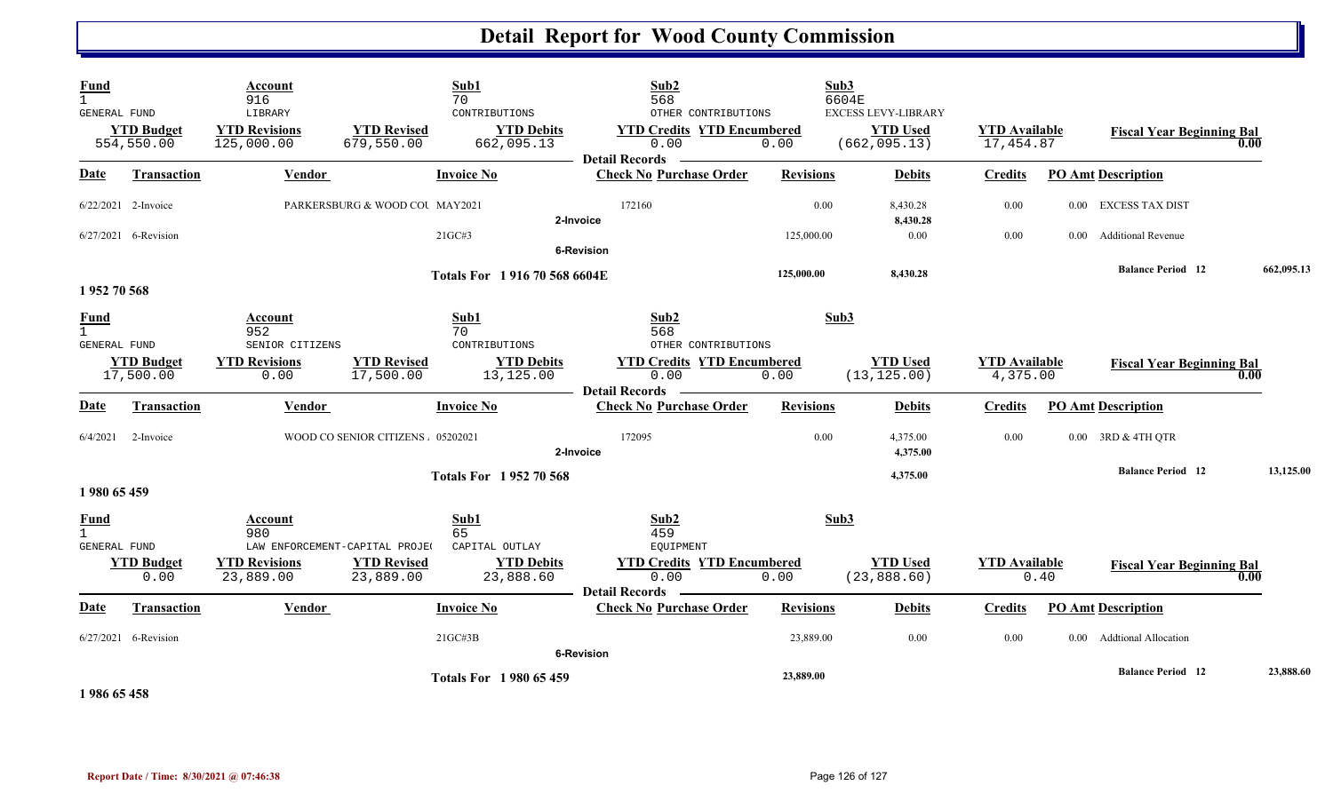| <b>Fund</b><br>$\mathbf{1}$<br>GENERAL FUND        |                                 | Account<br>916<br>LIBRARY                        |                                  | Sub1<br>70<br>CONTRIBUTIONS     | Sub2<br>568<br>OTHER CONTRIBUTIONS                                 | Sub3             | 6604E<br><b>EXCESS LEVY-LIBRARY</b> |                                   |          |                                  |            |
|----------------------------------------------------|---------------------------------|--------------------------------------------------|----------------------------------|---------------------------------|--------------------------------------------------------------------|------------------|-------------------------------------|-----------------------------------|----------|----------------------------------|------------|
|                                                    | <b>YTD Budget</b><br>554,550.00 | <b>YTD Revisions</b><br>125,000.00               | <b>YTD</b> Revised<br>679,550.00 | <b>YTD Debits</b><br>662,095.13 | <b>YTD Credits YTD Encumbered</b><br>0.00<br><b>Detail Records</b> | 0.00             | <b>YTD Used</b><br>(662, 095.13)    | <b>YTD</b> Available<br>17,454.87 |          | <b>Fiscal Year Beginning Bal</b> | 0.00       |
| Date                                               | <b>Transaction</b>              | <b>Vendor</b>                                    |                                  | <b>Invoice No</b>               | <b>Check No Purchase Order</b>                                     | <b>Revisions</b> | <b>Debits</b>                       | <b>Credits</b>                    |          | <b>PO Amt Description</b>        |            |
|                                                    | $6/22/2021$ 2-Invoice           |                                                  | PARKERSBURG & WOOD COU MAY2021   |                                 | 172160<br>2-Invoice                                                | 0.00             | 8,430.28<br>8,430.28                | 0.00                              | $0.00\,$ | EXCESS TAX DIST                  |            |
|                                                    | 6/27/2021 6-Revision            |                                                  |                                  | 21GC#3                          | <b>6-Revision</b>                                                  | 125,000.00       | $0.00\,$                            | $0.00\,$                          | $0.00 -$ | <b>Additional Revenue</b>        |            |
|                                                    |                                 |                                                  |                                  | Totals For 1916 70 568 6604E    |                                                                    | 125,000.00       | 8,430.28                            |                                   |          | <b>Balance Period</b> 12         | 662,095.13 |
| 1952 70 568                                        |                                 |                                                  |                                  |                                 |                                                                    |                  |                                     |                                   |          |                                  |            |
| <b>Fund</b><br>$\overline{1}$<br>GENERAL FUND      |                                 | Account<br>952<br>SENIOR CITIZENS                |                                  | Sub1<br>70<br>CONTRIBUTIONS     | Sub2<br>568<br>OTHER CONTRIBUTIONS                                 | Sub3             |                                     |                                   |          |                                  |            |
|                                                    | <b>YTD Budget</b><br>17,500.00  | <b>YTD Revisions</b><br>0.00                     | <b>YTD Revised</b><br>17,500.00  | <b>YTD Debits</b><br>13,125.00  | <b>YTD Credits YTD Encumbered</b><br>0.00<br><b>Detail Records</b> | 0.00             | <b>YTD Used</b><br>(13, 125.00)     | <b>YTD</b> Available<br>4,375.00  |          | <b>Fiscal Year Beginning Bal</b> | 0.00       |
| Date                                               | <b>Transaction</b>              | Vendor                                           |                                  | <b>Invoice No</b>               | <b>Check No Purchase Order</b>                                     | <b>Revisions</b> | <b>Debits</b>                       | <b>Credits</b>                    |          | <b>PO Amt Description</b>        |            |
|                                                    | $6/4/2021$ 2-Invoice            |                                                  | WOOD CO SENIOR CITIZENS 05202021 |                                 | 172095<br>2-Invoice                                                | 0.00             | 4,375.00<br>4,375.00                | 0.00                              |          | 0.00 3RD & 4TH QTR               |            |
| 1980 65 459                                        |                                 |                                                  |                                  | <b>Totals For 195270568</b>     |                                                                    |                  | 4,375.00                            |                                   |          | <b>Balance Period 12</b>         | 13,125.00  |
| <b>Fund</b><br>$\mathbf{1}$<br><b>GENERAL FUND</b> |                                 | Account<br>980<br>LAW ENFORCEMENT-CAPITAL PROJE( |                                  | Sub1<br>65<br>CAPITAL OUTLAY    | Sub2<br>459<br><b>EQUIPMENT</b>                                    | Sub3             |                                     |                                   |          |                                  |            |
|                                                    | <b>YTD Budget</b><br>0.00       | <b>YTD Revisions</b><br>23,889.00                | <b>YTD Revised</b><br>23,889.00  | <b>YTD Debits</b><br>23,888.60  | <b>YTD Credits YTD Encumbered</b><br>0.00<br><b>Detail Records</b> | 0.00             | <b>YTD Used</b><br>(23, 888.60)     | <b>YTD</b> Available              | 0.40     | <b>Fiscal Year Beginning Bal</b> | 0.00       |
| Date                                               | Transaction                     | Vendor                                           |                                  | <b>Invoice No</b>               | <b>Check No Purchase Order</b>                                     | <b>Revisions</b> | <b>Debits</b>                       | <b>Credits</b>                    |          | <b>PO Amt Description</b>        |            |
|                                                    | 6/27/2021 6-Revision            |                                                  |                                  | $21G$ C#3B                      | <b>6-Revision</b>                                                  | 23,889.00        | 0.00                                | 0.00                              | $0.00\,$ | <b>Addtional Allocation</b>      |            |
| 1986 65458                                         |                                 |                                                  |                                  | <b>Totals For 1980 65 459</b>   |                                                                    | 23,889.00        |                                     |                                   |          | <b>Balance Period 12</b>         | 23,888.60  |

**Report Date / Time: 8/30/2021 @ 07:46:38** Page 126 of 127